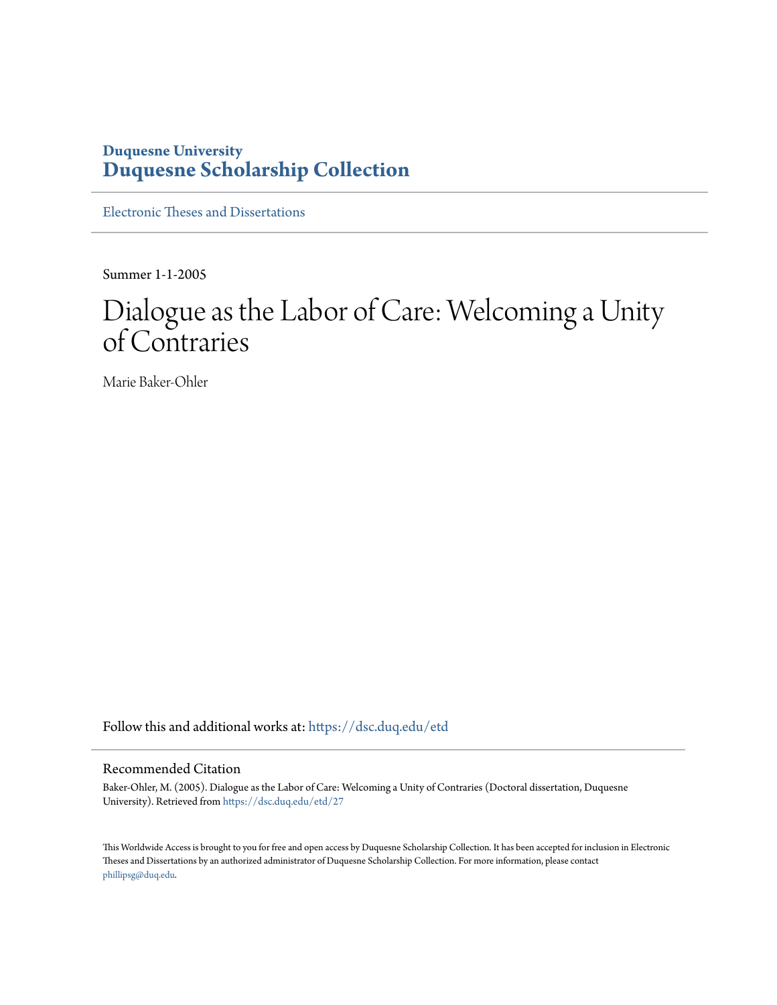# **Duquesne University [Duquesne Scholarship Collection](https://dsc.duq.edu?utm_source=dsc.duq.edu%2Fetd%2F27&utm_medium=PDF&utm_campaign=PDFCoverPages)**

[Electronic Theses and Dissertations](https://dsc.duq.edu/etd?utm_source=dsc.duq.edu%2Fetd%2F27&utm_medium=PDF&utm_campaign=PDFCoverPages)

Summer 1-1-2005

# Dialogue as the Labor of Care: Welcoming a Unity of Contraries

Marie Baker-Ohler

Follow this and additional works at: [https://dsc.duq.edu/etd](https://dsc.duq.edu/etd?utm_source=dsc.duq.edu%2Fetd%2F27&utm_medium=PDF&utm_campaign=PDFCoverPages)

## Recommended Citation

Baker-Ohler, M. (2005). Dialogue as the Labor of Care: Welcoming a Unity of Contraries (Doctoral dissertation, Duquesne University). Retrieved from [https://dsc.duq.edu/etd/27](https://dsc.duq.edu/etd/27?utm_source=dsc.duq.edu%2Fetd%2F27&utm_medium=PDF&utm_campaign=PDFCoverPages)

This Worldwide Access is brought to you for free and open access by Duquesne Scholarship Collection. It has been accepted for inclusion in Electronic Theses and Dissertations by an authorized administrator of Duquesne Scholarship Collection. For more information, please contact [phillipsg@duq.edu.](mailto:phillipsg@duq.edu)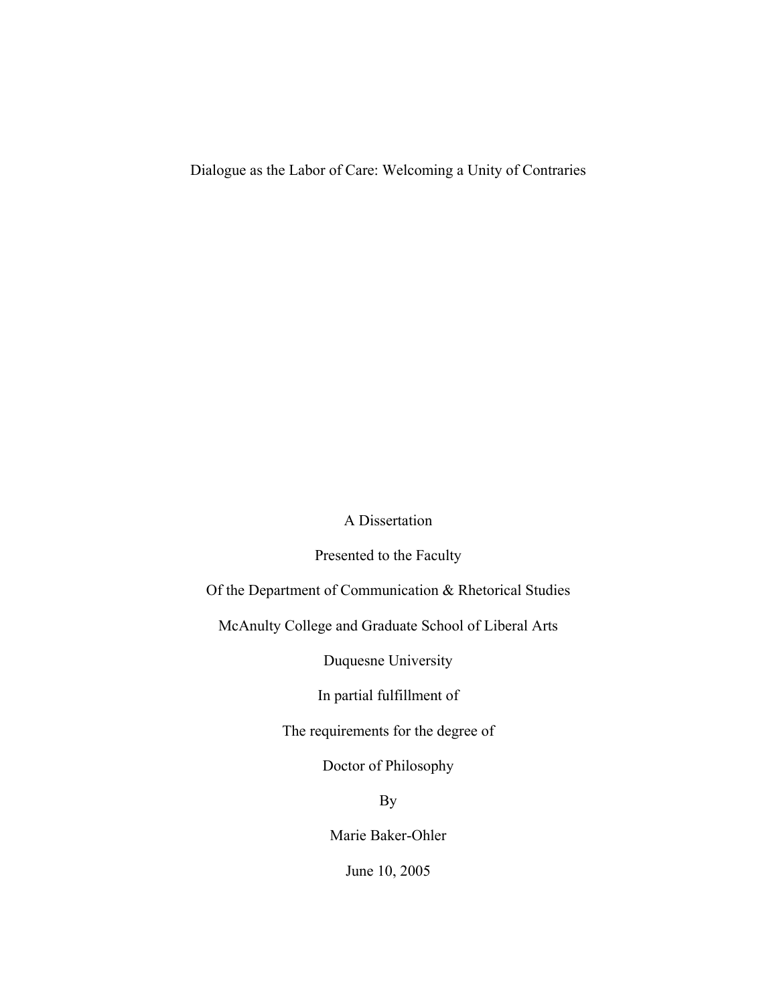Dialogue as the Labor of Care: Welcoming a Unity of Contraries

A Dissertation

Presented to the Faculty

Of the Department of Communication & Rhetorical Studies

McAnulty College and Graduate School of Liberal Arts

Duquesne University

In partial fulfillment of

The requirements for the degree of

Doctor of Philosophy

By

Marie Baker-Ohler

June 10, 2005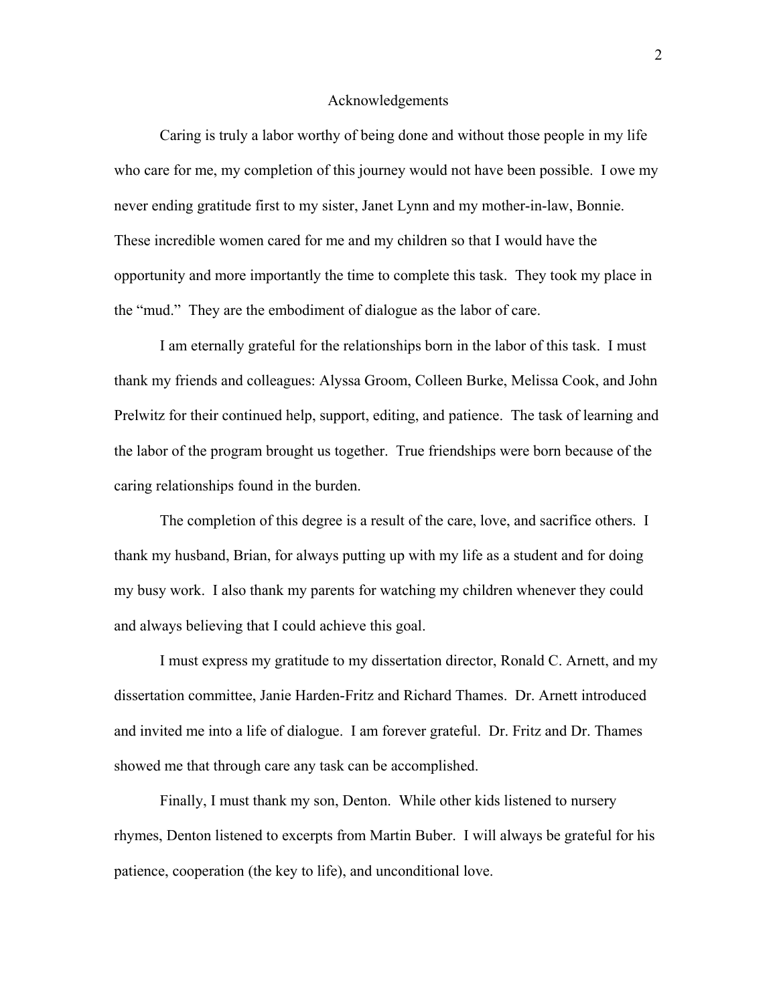#### Acknowledgements

Caring is truly a labor worthy of being done and without those people in my life who care for me, my completion of this journey would not have been possible. I owe my never ending gratitude first to my sister, Janet Lynn and my mother-in-law, Bonnie. These incredible women cared for me and my children so that I would have the opportunity and more importantly the time to complete this task. They took my place in the "mud." They are the embodiment of dialogue as the labor of care.

I am eternally grateful for the relationships born in the labor of this task. I must thank my friends and colleagues: Alyssa Groom, Colleen Burke, Melissa Cook, and John Prelwitz for their continued help, support, editing, and patience. The task of learning and the labor of the program brought us together. True friendships were born because of the caring relationships found in the burden.

The completion of this degree is a result of the care, love, and sacrifice others. I thank my husband, Brian, for always putting up with my life as a student and for doing my busy work. I also thank my parents for watching my children whenever they could and always believing that I could achieve this goal.

I must express my gratitude to my dissertation director, Ronald C. Arnett, and my dissertation committee, Janie Harden-Fritz and Richard Thames. Dr. Arnett introduced and invited me into a life of dialogue. I am forever grateful. Dr. Fritz and Dr. Thames showed me that through care any task can be accomplished.

Finally, I must thank my son, Denton. While other kids listened to nursery rhymes, Denton listened to excerpts from Martin Buber. I will always be grateful for his patience, cooperation (the key to life), and unconditional love.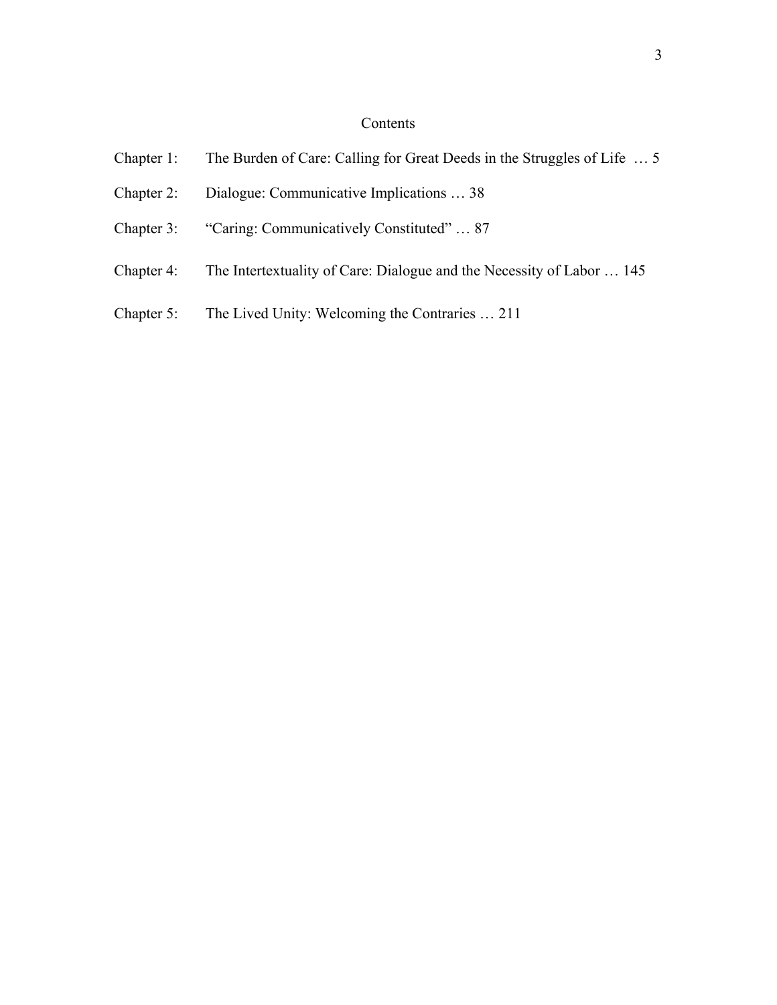# Contents

| Chapter $1$ : | The Burden of Care: Calling for Great Deeds in the Struggles of Life  5 |
|---------------|-------------------------------------------------------------------------|
| Chapter 2:    | Dialogue: Communicative Implications  38                                |
| Chapter 3:    | "Caring: Communicatively Constituted"  87                               |
| Chapter 4:    | The Intertextuality of Care: Dialogue and the Necessity of Labor  145   |
| Chapter $5$ : | The Lived Unity: Welcoming the Contraries  211                          |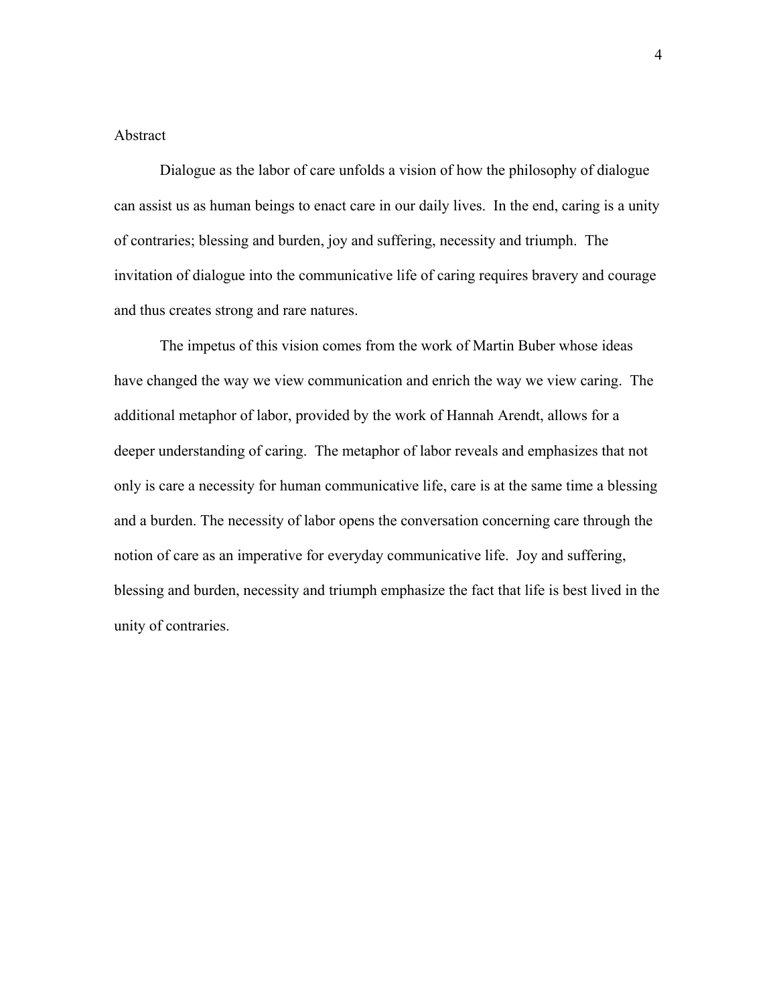#### Abstract

Dialogue as the labor of care unfolds a vision of how the philosophy of dialogue can assist us as human beings to enact care in our daily lives. In the end, caring is a unity of contraries; blessing and burden, joy and suffering, necessity and triumph. The invitation of dialogue into the communicative life of caring requires bravery and courage and thus creates strong and rare natures.

The impetus of this vision comes from the work of Martin Buber whose ideas have changed the way we view communication and enrich the way we view caring. The additional metaphor of labor, provided by the work of Hannah Arendt, allows for a deeper understanding of caring. The metaphor of labor reveals and emphasizes that not only is care a necessity for human communicative life, care is at the same time a blessing and a burden. The necessity of labor opens the conversation concerning care through the notion of care as an imperative for everyday communicative life. Joy and suffering, blessing and burden, necessity and triumph emphasize the fact that life is best lived in the unity of contraries.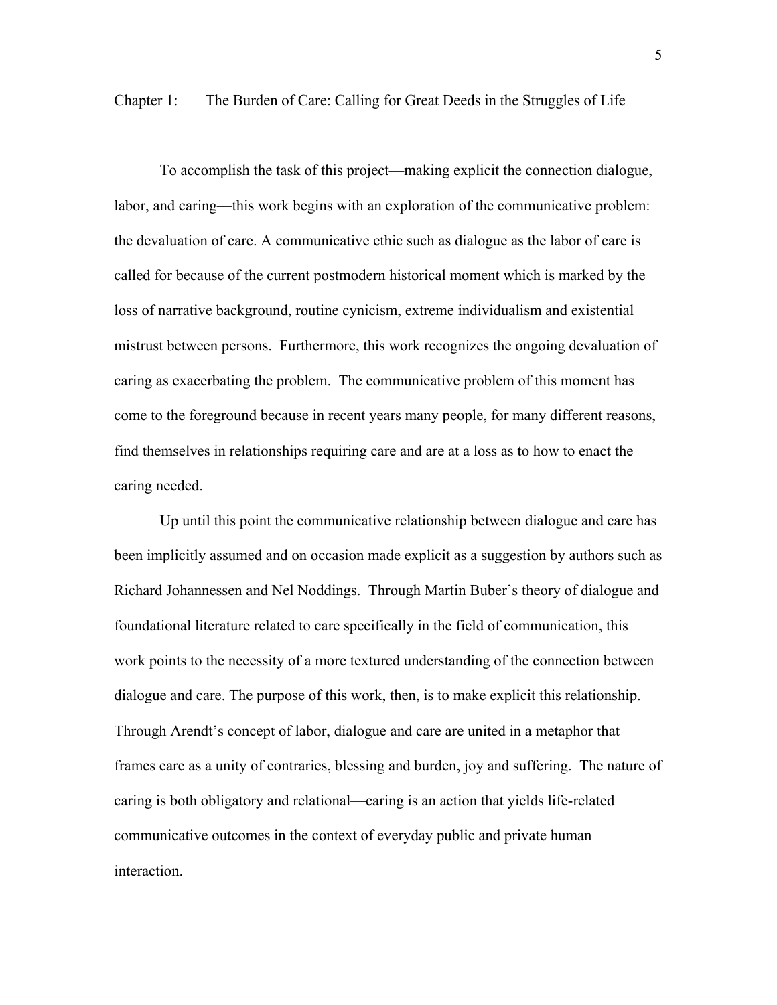Chapter 1: The Burden of Care: Calling for Great Deeds in the Struggles of Life

To accomplish the task of this project—making explicit the connection dialogue, labor, and caring—this work begins with an exploration of the communicative problem: the devaluation of care. A communicative ethic such as dialogue as the labor of care is called for because of the current postmodern historical moment which is marked by the loss of narrative background, routine cynicism, extreme individualism and existential mistrust between persons. Furthermore, this work recognizes the ongoing devaluation of caring as exacerbating the problem. The communicative problem of this moment has come to the foreground because in recent years many people, for many different reasons, find themselves in relationships requiring care and are at a loss as to how to enact the caring needed.

Up until this point the communicative relationship between dialogue and care has been implicitly assumed and on occasion made explicit as a suggestion by authors such as Richard Johannessen and Nel Noddings. Through Martin Buber's theory of dialogue and foundational literature related to care specifically in the field of communication, this work points to the necessity of a more textured understanding of the connection between dialogue and care. The purpose of this work, then, is to make explicit this relationship. Through Arendt's concept of labor, dialogue and care are united in a metaphor that frames care as a unity of contraries, blessing and burden, joy and suffering. The nature of caring is both obligatory and relational—caring is an action that yields life-related communicative outcomes in the context of everyday public and private human interaction.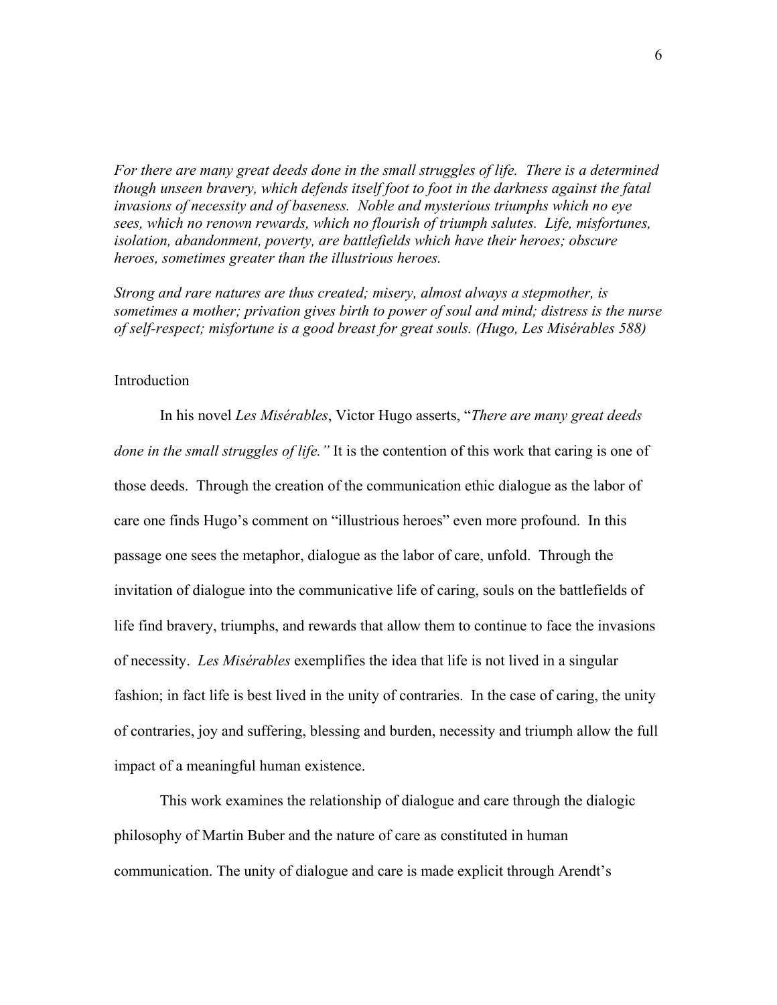*For there are many great deeds done in the small struggles of life. There is a determined though unseen bravery, which defends itself foot to foot in the darkness against the fatal invasions of necessity and of baseness. Noble and mysterious triumphs which no eye sees, which no renown rewards, which no flourish of triumph salutes. Life, misfortunes, isolation, abandonment, poverty, are battlefields which have their heroes; obscure heroes, sometimes greater than the illustrious heroes.* 

*Strong and rare natures are thus created; misery, almost always a stepmother, is sometimes a mother; privation gives birth to power of soul and mind; distress is the nurse of self-respect; misfortune is a good breast for great souls. (Hugo, Les Misérables 588)* 

#### Introduction

In his novel *Les Misérables*, Victor Hugo asserts, "*There are many great deeds done in the small struggles of life."* It is the contention of this work that caring is one of those deeds. Through the creation of the communication ethic dialogue as the labor of care one finds Hugo's comment on "illustrious heroes" even more profound. In this passage one sees the metaphor, dialogue as the labor of care, unfold. Through the invitation of dialogue into the communicative life of caring, souls on the battlefields of life find bravery, triumphs, and rewards that allow them to continue to face the invasions of necessity. *Les Misérables* exemplifies the idea that life is not lived in a singular fashion; in fact life is best lived in the unity of contraries. In the case of caring, the unity of contraries, joy and suffering, blessing and burden, necessity and triumph allow the full impact of a meaningful human existence.

This work examines the relationship of dialogue and care through the dialogic philosophy of Martin Buber and the nature of care as constituted in human communication. The unity of dialogue and care is made explicit through Arendt's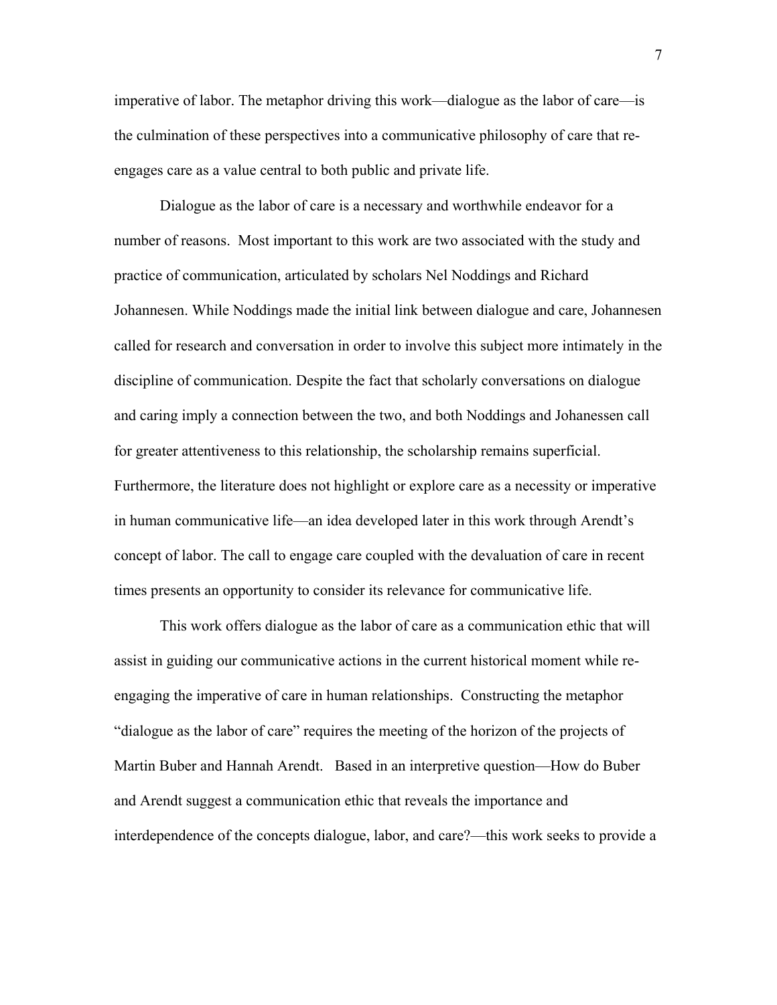imperative of labor. The metaphor driving this work—dialogue as the labor of care—is the culmination of these perspectives into a communicative philosophy of care that reengages care as a value central to both public and private life.

Dialogue as the labor of care is a necessary and worthwhile endeavor for a number of reasons. Most important to this work are two associated with the study and practice of communication, articulated by scholars Nel Noddings and Richard Johannesen. While Noddings made the initial link between dialogue and care, Johannesen called for research and conversation in order to involve this subject more intimately in the discipline of communication. Despite the fact that scholarly conversations on dialogue and caring imply a connection between the two, and both Noddings and Johanessen call for greater attentiveness to this relationship, the scholarship remains superficial. Furthermore, the literature does not highlight or explore care as a necessity or imperative in human communicative life—an idea developed later in this work through Arendt's concept of labor. The call to engage care coupled with the devaluation of care in recent times presents an opportunity to consider its relevance for communicative life.

This work offers dialogue as the labor of care as a communication ethic that will assist in guiding our communicative actions in the current historical moment while reengaging the imperative of care in human relationships. Constructing the metaphor "dialogue as the labor of care" requires the meeting of the horizon of the projects of Martin Buber and Hannah Arendt. Based in an interpretive question—How do Buber and Arendt suggest a communication ethic that reveals the importance and interdependence of the concepts dialogue, labor, and care?—this work seeks to provide a

7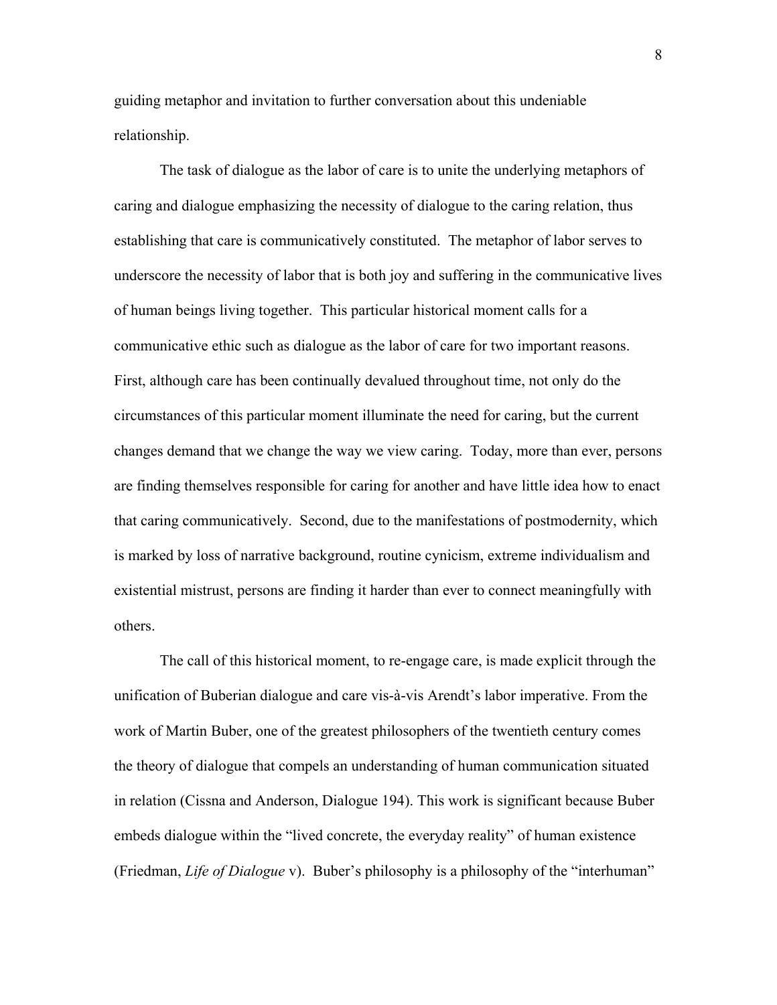guiding metaphor and invitation to further conversation about this undeniable relationship.

The task of dialogue as the labor of care is to unite the underlying metaphors of caring and dialogue emphasizing the necessity of dialogue to the caring relation, thus establishing that care is communicatively constituted. The metaphor of labor serves to underscore the necessity of labor that is both joy and suffering in the communicative lives of human beings living together. This particular historical moment calls for a communicative ethic such as dialogue as the labor of care for two important reasons. First, although care has been continually devalued throughout time, not only do the circumstances of this particular moment illuminate the need for caring, but the current changes demand that we change the way we view caring. Today, more than ever, persons are finding themselves responsible for caring for another and have little idea how to enact that caring communicatively. Second, due to the manifestations of postmodernity, which is marked by loss of narrative background, routine cynicism, extreme individualism and existential mistrust, persons are finding it harder than ever to connect meaningfully with others.

The call of this historical moment, to re-engage care, is made explicit through the unification of Buberian dialogue and care vis-à-vis Arendt's labor imperative. From the work of Martin Buber, one of the greatest philosophers of the twentieth century comes the theory of dialogue that compels an understanding of human communication situated in relation (Cissna and Anderson, Dialogue 194). This work is significant because Buber embeds dialogue within the "lived concrete, the everyday reality" of human existence (Friedman, *Life of Dialogue* v). Buber's philosophy is a philosophy of the "interhuman"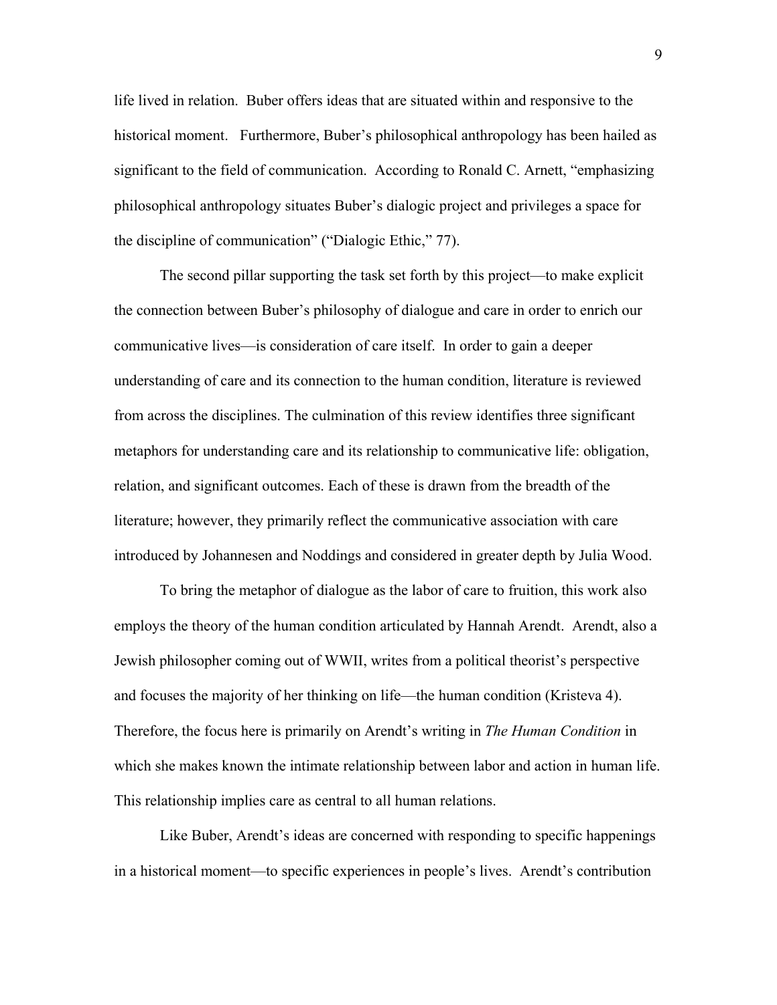life lived in relation. Buber offers ideas that are situated within and responsive to the historical moment. Furthermore, Buber's philosophical anthropology has been hailed as significant to the field of communication. According to Ronald C. Arnett, "emphasizing philosophical anthropology situates Buber's dialogic project and privileges a space for the discipline of communication" ("Dialogic Ethic," 77).

The second pillar supporting the task set forth by this project—to make explicit the connection between Buber's philosophy of dialogue and care in order to enrich our communicative lives—is consideration of care itself. In order to gain a deeper understanding of care and its connection to the human condition, literature is reviewed from across the disciplines. The culmination of this review identifies three significant metaphors for understanding care and its relationship to communicative life: obligation, relation, and significant outcomes. Each of these is drawn from the breadth of the literature; however, they primarily reflect the communicative association with care introduced by Johannesen and Noddings and considered in greater depth by Julia Wood.

To bring the metaphor of dialogue as the labor of care to fruition, this work also employs the theory of the human condition articulated by Hannah Arendt. Arendt, also a Jewish philosopher coming out of WWII, writes from a political theorist's perspective and focuses the majority of her thinking on life—the human condition (Kristeva 4). Therefore, the focus here is primarily on Arendt's writing in *The Human Condition* in which she makes known the intimate relationship between labor and action in human life. This relationship implies care as central to all human relations.

Like Buber, Arendt's ideas are concerned with responding to specific happenings in a historical moment—to specific experiences in people's lives. Arendt's contribution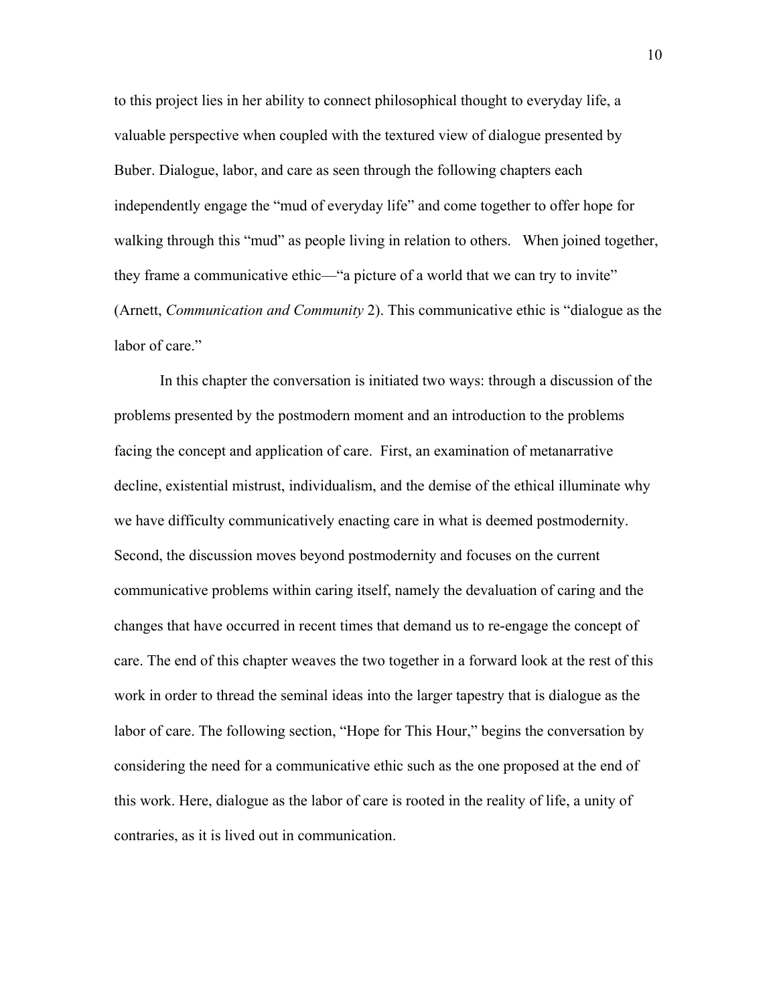to this project lies in her ability to connect philosophical thought to everyday life, a valuable perspective when coupled with the textured view of dialogue presented by Buber. Dialogue, labor, and care as seen through the following chapters each independently engage the "mud of everyday life" and come together to offer hope for walking through this "mud" as people living in relation to others. When joined together, they frame a communicative ethic—"a picture of a world that we can try to invite" (Arnett, *Communication and Community* 2). This communicative ethic is "dialogue as the labor of care."

 In this chapter the conversation is initiated two ways: through a discussion of the problems presented by the postmodern moment and an introduction to the problems facing the concept and application of care. First, an examination of metanarrative decline, existential mistrust, individualism, and the demise of the ethical illuminate why we have difficulty communicatively enacting care in what is deemed postmodernity. Second, the discussion moves beyond postmodernity and focuses on the current communicative problems within caring itself, namely the devaluation of caring and the changes that have occurred in recent times that demand us to re-engage the concept of care. The end of this chapter weaves the two together in a forward look at the rest of this work in order to thread the seminal ideas into the larger tapestry that is dialogue as the labor of care. The following section, "Hope for This Hour," begins the conversation by considering the need for a communicative ethic such as the one proposed at the end of this work. Here, dialogue as the labor of care is rooted in the reality of life, a unity of contraries, as it is lived out in communication.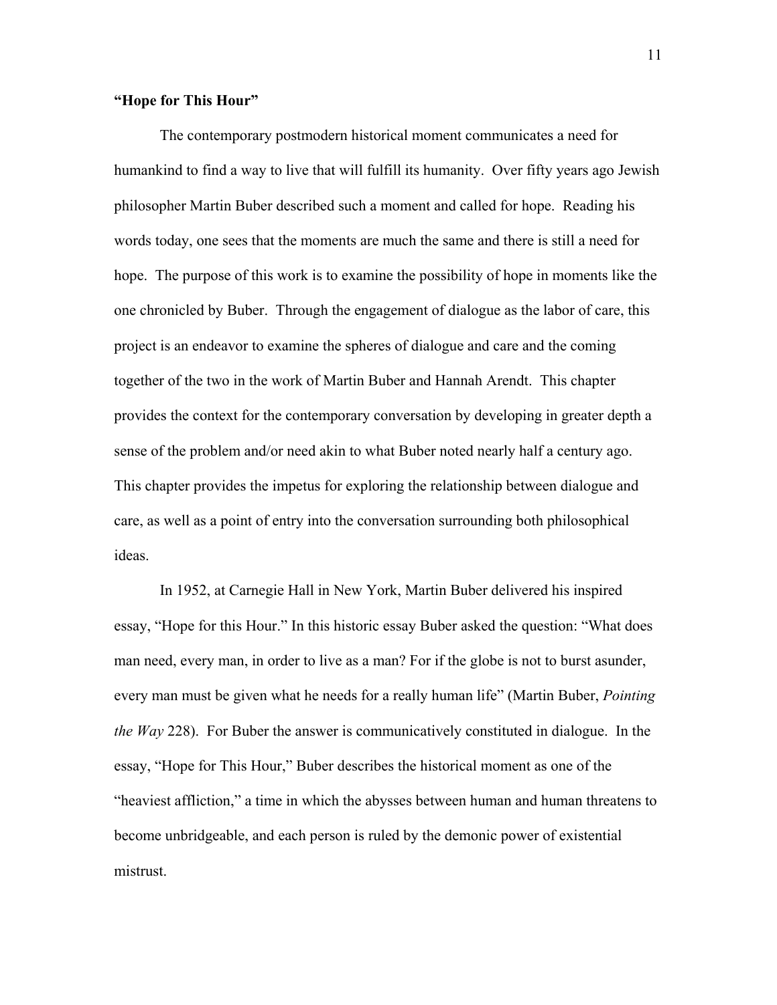### **"Hope for This Hour"**

 The contemporary postmodern historical moment communicates a need for humankind to find a way to live that will fulfill its humanity. Over fifty years ago Jewish philosopher Martin Buber described such a moment and called for hope. Reading his words today, one sees that the moments are much the same and there is still a need for hope. The purpose of this work is to examine the possibility of hope in moments like the one chronicled by Buber. Through the engagement of dialogue as the labor of care, this project is an endeavor to examine the spheres of dialogue and care and the coming together of the two in the work of Martin Buber and Hannah Arendt. This chapter provides the context for the contemporary conversation by developing in greater depth a sense of the problem and/or need akin to what Buber noted nearly half a century ago. This chapter provides the impetus for exploring the relationship between dialogue and care, as well as a point of entry into the conversation surrounding both philosophical ideas.

In 1952, at Carnegie Hall in New York, Martin Buber delivered his inspired essay, "Hope for this Hour." In this historic essay Buber asked the question: "What does man need, every man, in order to live as a man? For if the globe is not to burst asunder, every man must be given what he needs for a really human life" (Martin Buber, *Pointing the Way* 228). For Buber the answer is communicatively constituted in dialogue. In the essay, "Hope for This Hour," Buber describes the historical moment as one of the "heaviest affliction," a time in which the abysses between human and human threatens to become unbridgeable, and each person is ruled by the demonic power of existential mistrust.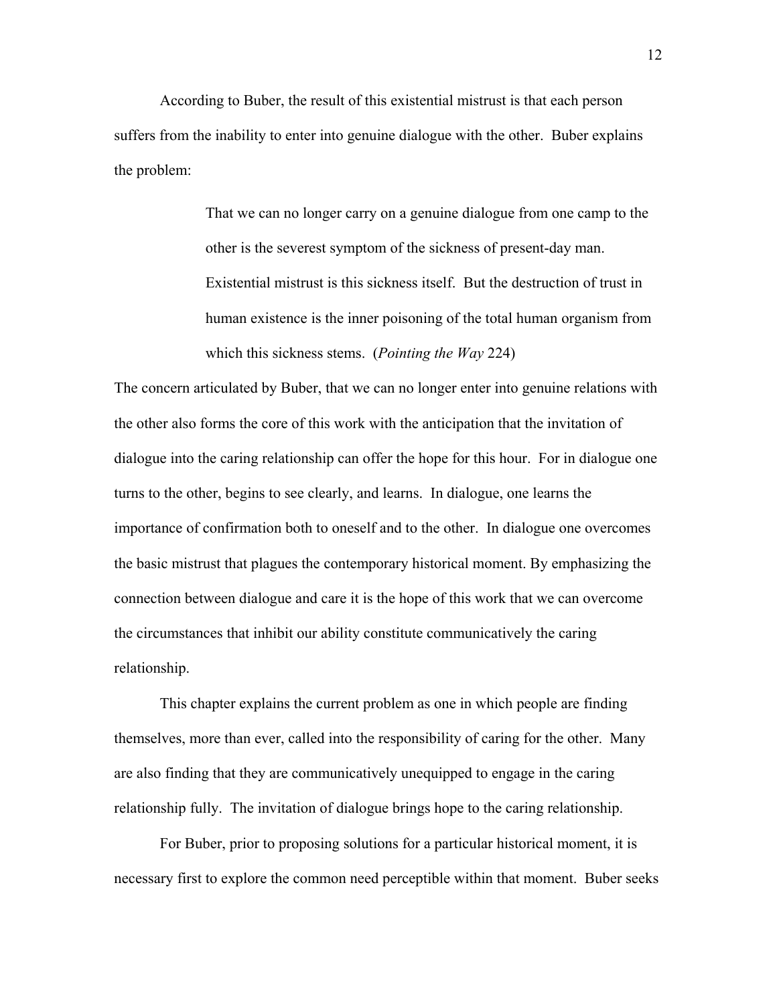According to Buber, the result of this existential mistrust is that each person suffers from the inability to enter into genuine dialogue with the other. Buber explains the problem:

> That we can no longer carry on a genuine dialogue from one camp to the other is the severest symptom of the sickness of present-day man. Existential mistrust is this sickness itself. But the destruction of trust in human existence is the inner poisoning of the total human organism from which this sickness stems. (*Pointing the Way* 224)

The concern articulated by Buber, that we can no longer enter into genuine relations with the other also forms the core of this work with the anticipation that the invitation of dialogue into the caring relationship can offer the hope for this hour. For in dialogue one turns to the other, begins to see clearly, and learns. In dialogue, one learns the importance of confirmation both to oneself and to the other. In dialogue one overcomes the basic mistrust that plagues the contemporary historical moment. By emphasizing the connection between dialogue and care it is the hope of this work that we can overcome the circumstances that inhibit our ability constitute communicatively the caring relationship.

This chapter explains the current problem as one in which people are finding themselves, more than ever, called into the responsibility of caring for the other. Many are also finding that they are communicatively unequipped to engage in the caring relationship fully. The invitation of dialogue brings hope to the caring relationship.

 For Buber, prior to proposing solutions for a particular historical moment, it is necessary first to explore the common need perceptible within that moment. Buber seeks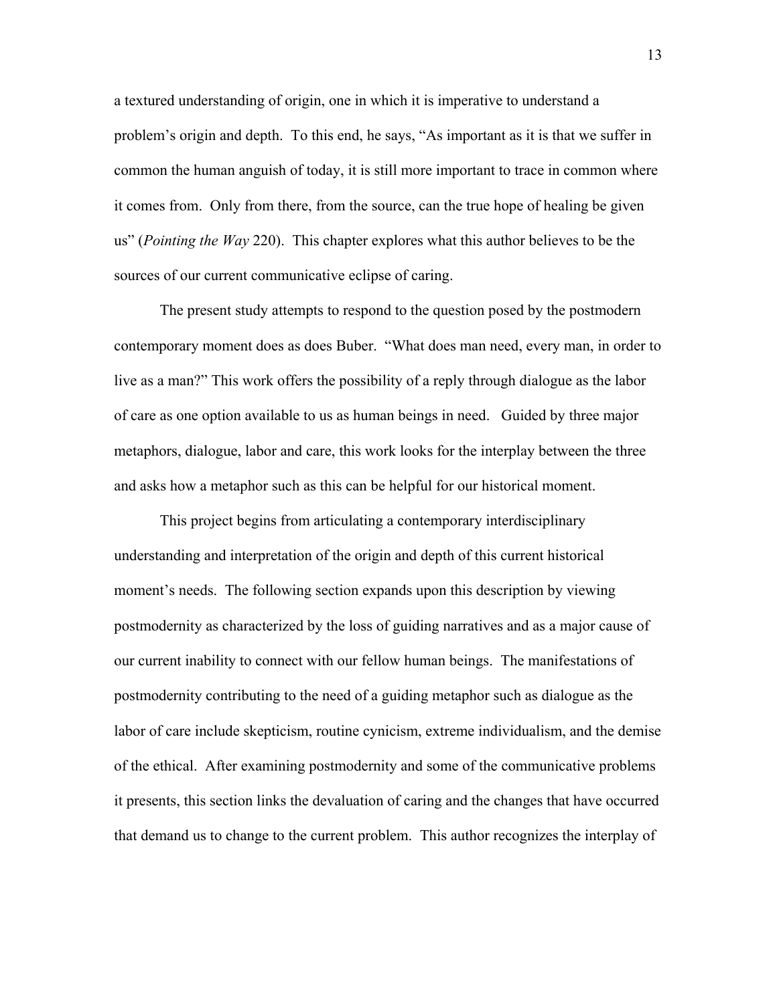a textured understanding of origin, one in which it is imperative to understand a problem's origin and depth. To this end, he says, "As important as it is that we suffer in common the human anguish of today, it is still more important to trace in common where it comes from. Only from there, from the source, can the true hope of healing be given us" (*Pointing the Way* 220). This chapter explores what this author believes to be the sources of our current communicative eclipse of caring.

The present study attempts to respond to the question posed by the postmodern contemporary moment does as does Buber. "What does man need, every man, in order to live as a man?" This work offers the possibility of a reply through dialogue as the labor of care as one option available to us as human beings in need. Guided by three major metaphors, dialogue, labor and care, this work looks for the interplay between the three and asks how a metaphor such as this can be helpful for our historical moment.

This project begins from articulating a contemporary interdisciplinary understanding and interpretation of the origin and depth of this current historical moment's needs. The following section expands upon this description by viewing postmodernity as characterized by the loss of guiding narratives and as a major cause of our current inability to connect with our fellow human beings. The manifestations of postmodernity contributing to the need of a guiding metaphor such as dialogue as the labor of care include skepticism, routine cynicism, extreme individualism, and the demise of the ethical. After examining postmodernity and some of the communicative problems it presents, this section links the devaluation of caring and the changes that have occurred that demand us to change to the current problem. This author recognizes the interplay of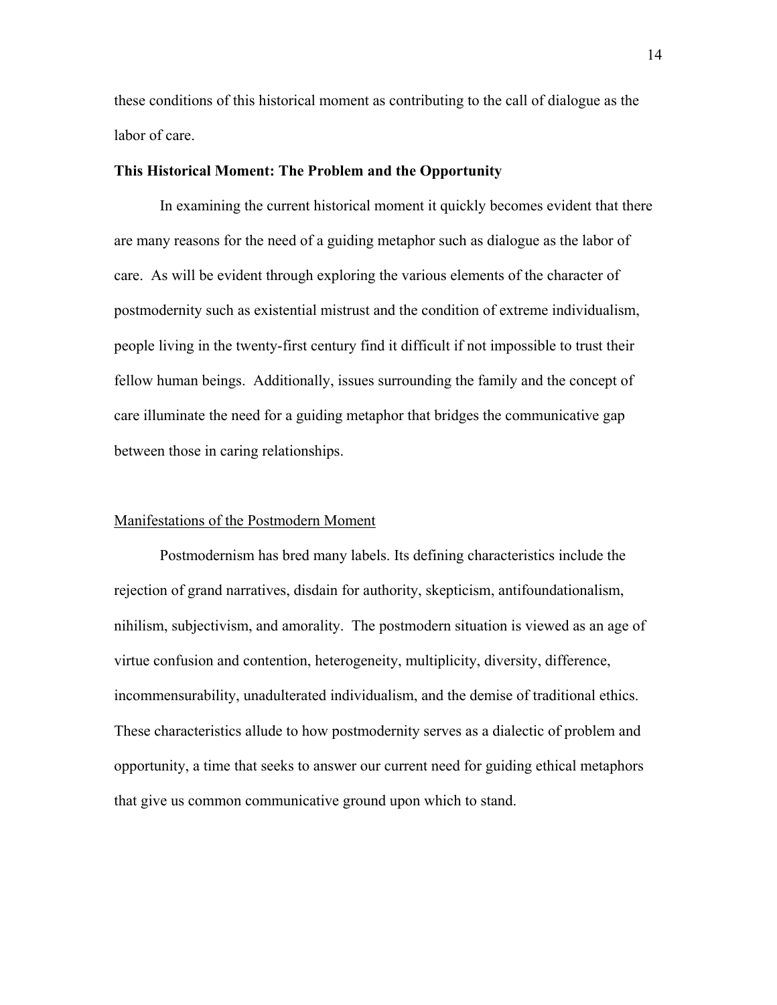these conditions of this historical moment as contributing to the call of dialogue as the labor of care.

#### **This Historical Moment: The Problem and the Opportunity**

 In examining the current historical moment it quickly becomes evident that there are many reasons for the need of a guiding metaphor such as dialogue as the labor of care. As will be evident through exploring the various elements of the character of postmodernity such as existential mistrust and the condition of extreme individualism, people living in the twenty-first century find it difficult if not impossible to trust their fellow human beings. Additionally, issues surrounding the family and the concept of care illuminate the need for a guiding metaphor that bridges the communicative gap between those in caring relationships.

#### Manifestations of the Postmodern Moment

 Postmodernism has bred many labels. Its defining characteristics include the rejection of grand narratives, disdain for authority, skepticism, antifoundationalism, nihilism, subjectivism, and amorality. The postmodern situation is viewed as an age of virtue confusion and contention, heterogeneity, multiplicity, diversity, difference, incommensurability, unadulterated individualism, and the demise of traditional ethics. These characteristics allude to how postmodernity serves as a dialectic of problem and opportunity, a time that seeks to answer our current need for guiding ethical metaphors that give us common communicative ground upon which to stand.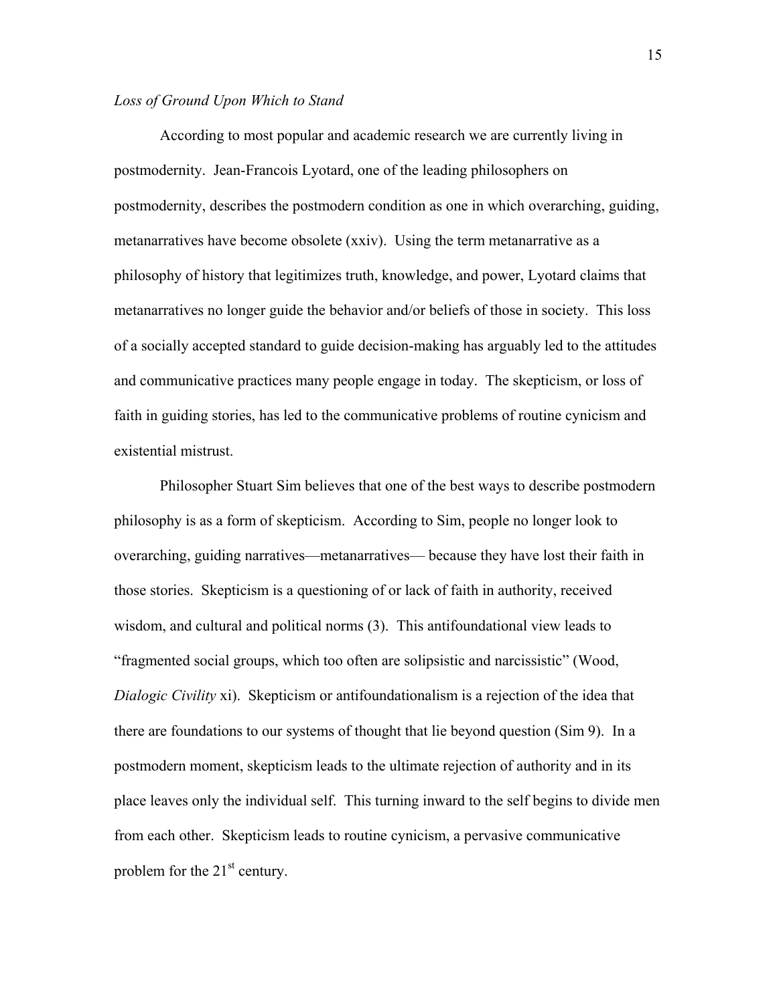## *Loss of Ground Upon Which to Stand*

 According to most popular and academic research we are currently living in postmodernity. Jean-Francois Lyotard, one of the leading philosophers on postmodernity, describes the postmodern condition as one in which overarching, guiding, metanarratives have become obsolete (xxiv). Using the term metanarrative as a philosophy of history that legitimizes truth, knowledge, and power, Lyotard claims that metanarratives no longer guide the behavior and/or beliefs of those in society. This loss of a socially accepted standard to guide decision-making has arguably led to the attitudes and communicative practices many people engage in today. The skepticism, or loss of faith in guiding stories, has led to the communicative problems of routine cynicism and existential mistrust.

Philosopher Stuart Sim believes that one of the best ways to describe postmodern philosophy is as a form of skepticism. According to Sim, people no longer look to overarching, guiding narratives—metanarratives— because they have lost their faith in those stories. Skepticism is a questioning of or lack of faith in authority, received wisdom, and cultural and political norms (3). This antifoundational view leads to "fragmented social groups, which too often are solipsistic and narcissistic" (Wood, *Dialogic Civility* xi). Skepticism or antifoundationalism is a rejection of the idea that there are foundations to our systems of thought that lie beyond question (Sim 9). In a postmodern moment, skepticism leads to the ultimate rejection of authority and in its place leaves only the individual self. This turning inward to the self begins to divide men from each other. Skepticism leads to routine cynicism, a pervasive communicative problem for the  $21<sup>st</sup>$  century.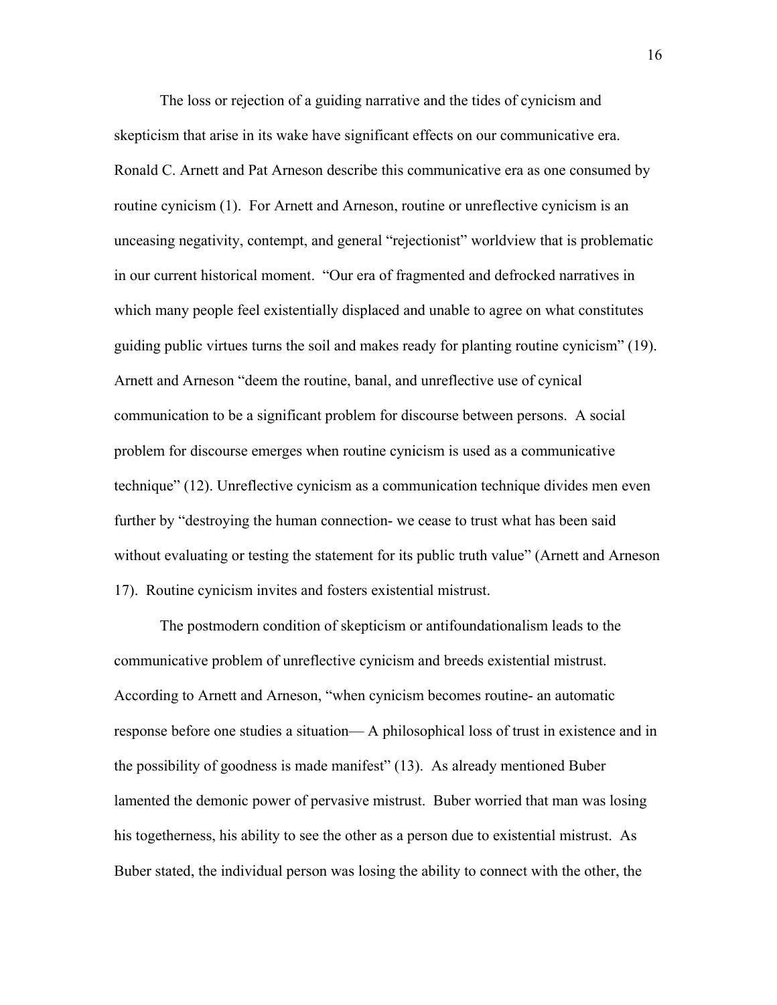The loss or rejection of a guiding narrative and the tides of cynicism and skepticism that arise in its wake have significant effects on our communicative era. Ronald C. Arnett and Pat Arneson describe this communicative era as one consumed by routine cynicism (1). For Arnett and Arneson, routine or unreflective cynicism is an unceasing negativity, contempt, and general "rejectionist" worldview that is problematic in our current historical moment. "Our era of fragmented and defrocked narratives in which many people feel existentially displaced and unable to agree on what constitutes guiding public virtues turns the soil and makes ready for planting routine cynicism" (19). Arnett and Arneson "deem the routine, banal, and unreflective use of cynical communication to be a significant problem for discourse between persons. A social problem for discourse emerges when routine cynicism is used as a communicative technique" (12). Unreflective cynicism as a communication technique divides men even further by "destroying the human connection- we cease to trust what has been said without evaluating or testing the statement for its public truth value" (Arnett and Arneson 17). Routine cynicism invites and fosters existential mistrust.

The postmodern condition of skepticism or antifoundationalism leads to the communicative problem of unreflective cynicism and breeds existential mistrust. According to Arnett and Arneson, "when cynicism becomes routine- an automatic response before one studies a situation— A philosophical loss of trust in existence and in the possibility of goodness is made manifest" (13). As already mentioned Buber lamented the demonic power of pervasive mistrust. Buber worried that man was losing his togetherness, his ability to see the other as a person due to existential mistrust. As Buber stated, the individual person was losing the ability to connect with the other, the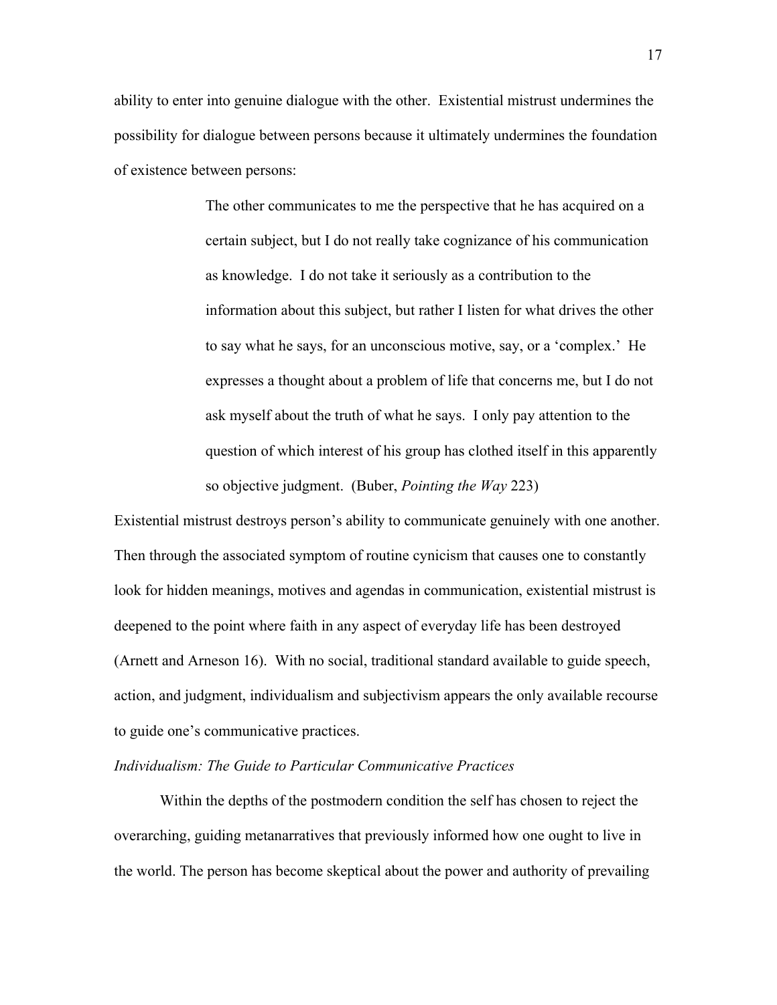ability to enter into genuine dialogue with the other. Existential mistrust undermines the possibility for dialogue between persons because it ultimately undermines the foundation of existence between persons:

> The other communicates to me the perspective that he has acquired on a certain subject, but I do not really take cognizance of his communication as knowledge. I do not take it seriously as a contribution to the information about this subject, but rather I listen for what drives the other to say what he says, for an unconscious motive, say, or a 'complex.' He expresses a thought about a problem of life that concerns me, but I do not ask myself about the truth of what he says. I only pay attention to the question of which interest of his group has clothed itself in this apparently so objective judgment. (Buber, *Pointing the Way* 223)

Existential mistrust destroys person's ability to communicate genuinely with one another. Then through the associated symptom of routine cynicism that causes one to constantly look for hidden meanings, motives and agendas in communication, existential mistrust is deepened to the point where faith in any aspect of everyday life has been destroyed (Arnett and Arneson 16). With no social, traditional standard available to guide speech, action, and judgment, individualism and subjectivism appears the only available recourse to guide one's communicative practices.

## *Individualism: The Guide to Particular Communicative Practices*

 Within the depths of the postmodern condition the self has chosen to reject the overarching, guiding metanarratives that previously informed how one ought to live in the world. The person has become skeptical about the power and authority of prevailing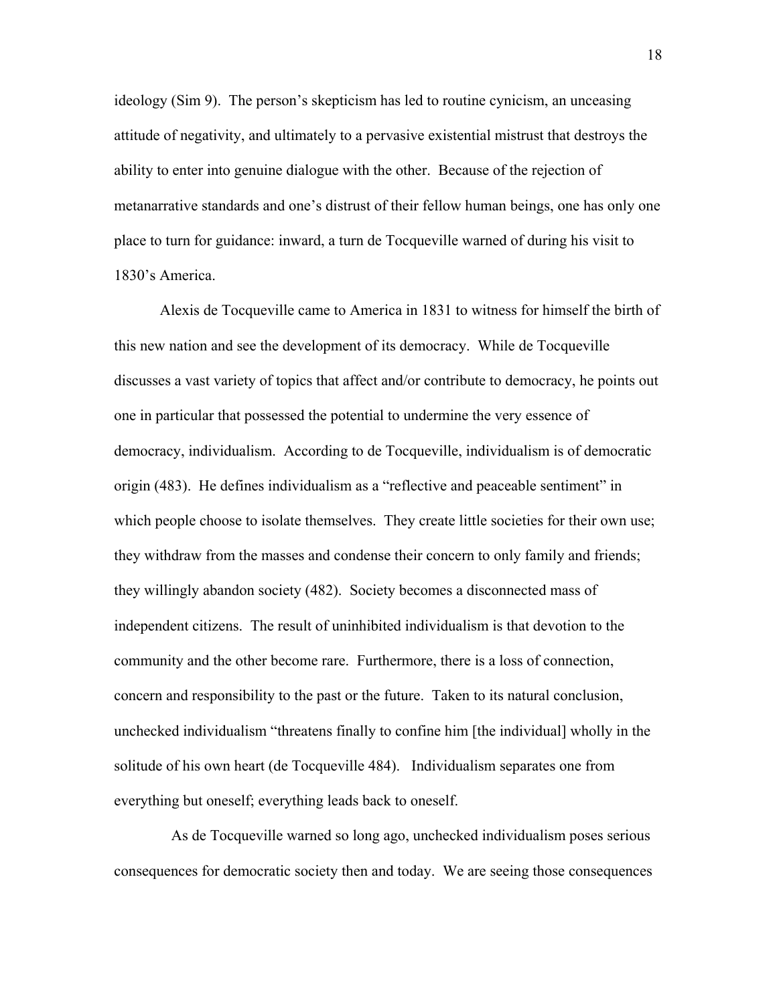ideology (Sim 9). The person's skepticism has led to routine cynicism, an unceasing attitude of negativity, and ultimately to a pervasive existential mistrust that destroys the ability to enter into genuine dialogue with the other. Because of the rejection of metanarrative standards and one's distrust of their fellow human beings, one has only one place to turn for guidance: inward, a turn de Tocqueville warned of during his visit to 1830's America.

Alexis de Tocqueville came to America in 1831 to witness for himself the birth of this new nation and see the development of its democracy. While de Tocqueville discusses a vast variety of topics that affect and/or contribute to democracy, he points out one in particular that possessed the potential to undermine the very essence of democracy, individualism. According to de Tocqueville, individualism is of democratic origin (483). He defines individualism as a "reflective and peaceable sentiment" in which people choose to isolate themselves. They create little societies for their own use; they withdraw from the masses and condense their concern to only family and friends; they willingly abandon society (482). Society becomes a disconnected mass of independent citizens. The result of uninhibited individualism is that devotion to the community and the other become rare. Furthermore, there is a loss of connection, concern and responsibility to the past or the future. Taken to its natural conclusion, unchecked individualism "threatens finally to confine him [the individual] wholly in the solitude of his own heart (de Tocqueville 484). Individualism separates one from everything but oneself; everything leads back to oneself.

 As de Tocqueville warned so long ago, unchecked individualism poses serious consequences for democratic society then and today. We are seeing those consequences

18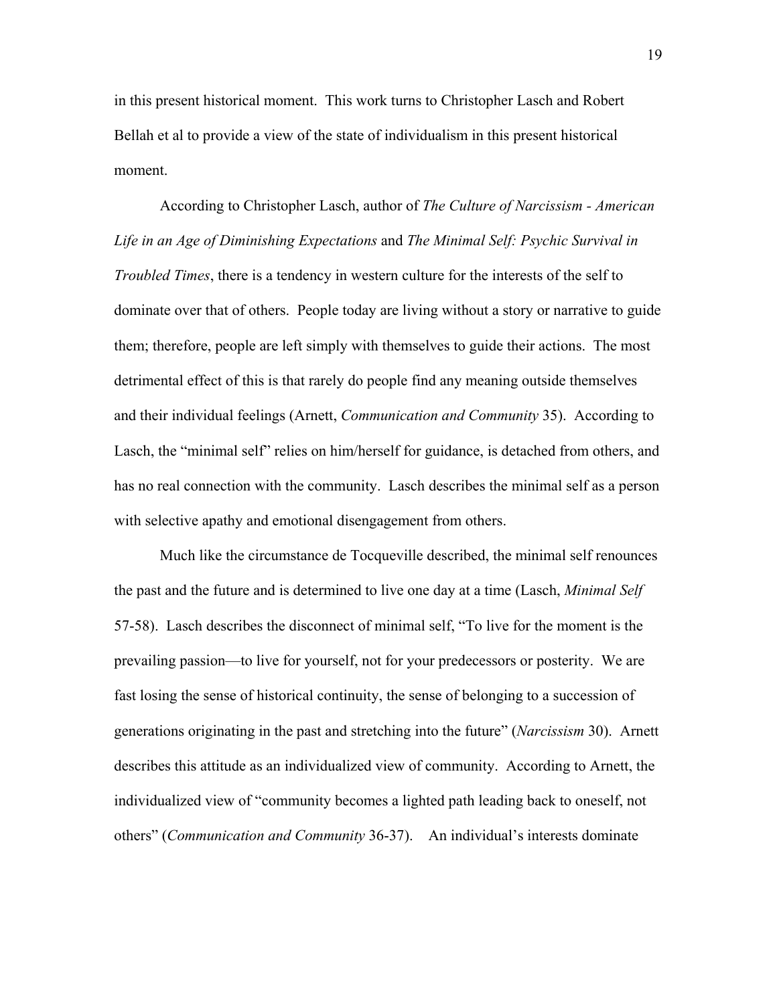in this present historical moment. This work turns to Christopher Lasch and Robert Bellah et al to provide a view of the state of individualism in this present historical moment.

According to Christopher Lasch, author of *The Culture of Narcissism - American Life in an Age of Diminishing Expectations* and *The Minimal Self: Psychic Survival in Troubled Times*, there is a tendency in western culture for the interests of the self to dominate over that of others. People today are living without a story or narrative to guide them; therefore, people are left simply with themselves to guide their actions. The most detrimental effect of this is that rarely do people find any meaning outside themselves and their individual feelings (Arnett, *Communication and Community* 35). According to Lasch, the "minimal self" relies on him/herself for guidance, is detached from others, and has no real connection with the community. Lasch describes the minimal self as a person with selective apathy and emotional disengagement from others.

Much like the circumstance de Tocqueville described, the minimal self renounces the past and the future and is determined to live one day at a time (Lasch, *Minimal Self* 57-58). Lasch describes the disconnect of minimal self, "To live for the moment is the prevailing passion—to live for yourself, not for your predecessors or posterity. We are fast losing the sense of historical continuity, the sense of belonging to a succession of generations originating in the past and stretching into the future" (*Narcissism* 30). Arnett describes this attitude as an individualized view of community. According to Arnett, the individualized view of "community becomes a lighted path leading back to oneself, not others" (*Communication and Community* 36-37). An individual's interests dominate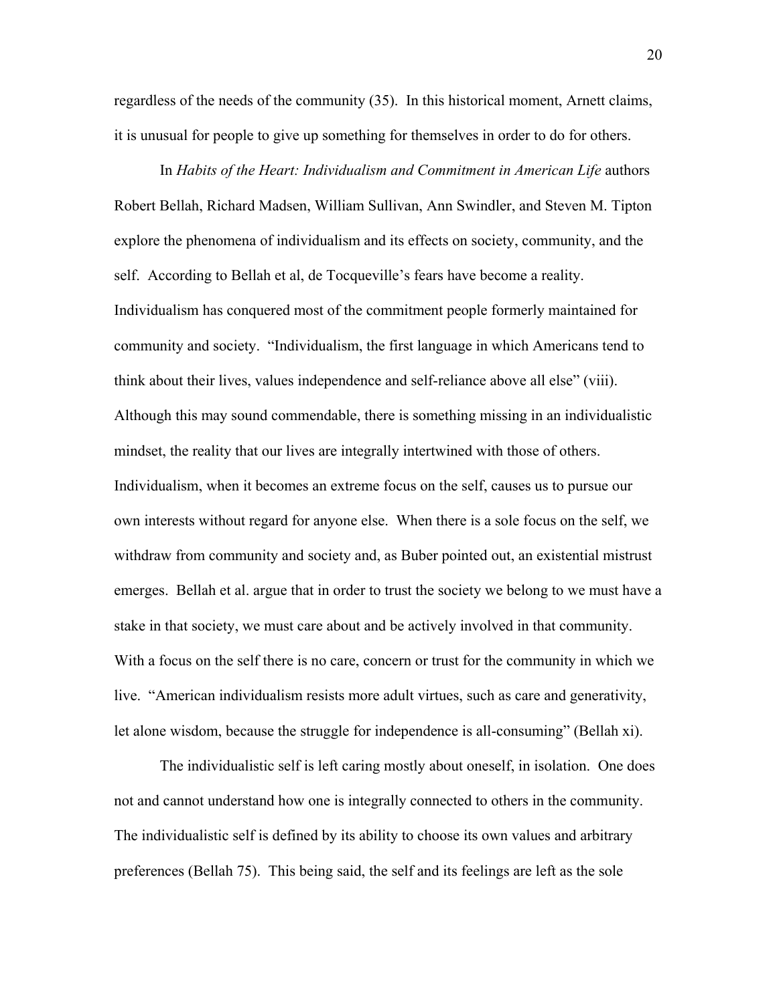regardless of the needs of the community (35). In this historical moment, Arnett claims, it is unusual for people to give up something for themselves in order to do for others.

In *Habits of the Heart: Individualism and Commitment in American Life* authors Robert Bellah, Richard Madsen, William Sullivan, Ann Swindler, and Steven M. Tipton explore the phenomena of individualism and its effects on society, community, and the self. According to Bellah et al, de Tocqueville's fears have become a reality. Individualism has conquered most of the commitment people formerly maintained for community and society. "Individualism, the first language in which Americans tend to think about their lives, values independence and self-reliance above all else" (viii). Although this may sound commendable, there is something missing in an individualistic mindset, the reality that our lives are integrally intertwined with those of others. Individualism, when it becomes an extreme focus on the self, causes us to pursue our own interests without regard for anyone else. When there is a sole focus on the self, we withdraw from community and society and, as Buber pointed out, an existential mistrust emerges. Bellah et al. argue that in order to trust the society we belong to we must have a stake in that society, we must care about and be actively involved in that community. With a focus on the self there is no care, concern or trust for the community in which we live. "American individualism resists more adult virtues, such as care and generativity, let alone wisdom, because the struggle for independence is all-consuming" (Bellah xi).

 The individualistic self is left caring mostly about oneself, in isolation. One does not and cannot understand how one is integrally connected to others in the community. The individualistic self is defined by its ability to choose its own values and arbitrary preferences (Bellah 75). This being said, the self and its feelings are left as the sole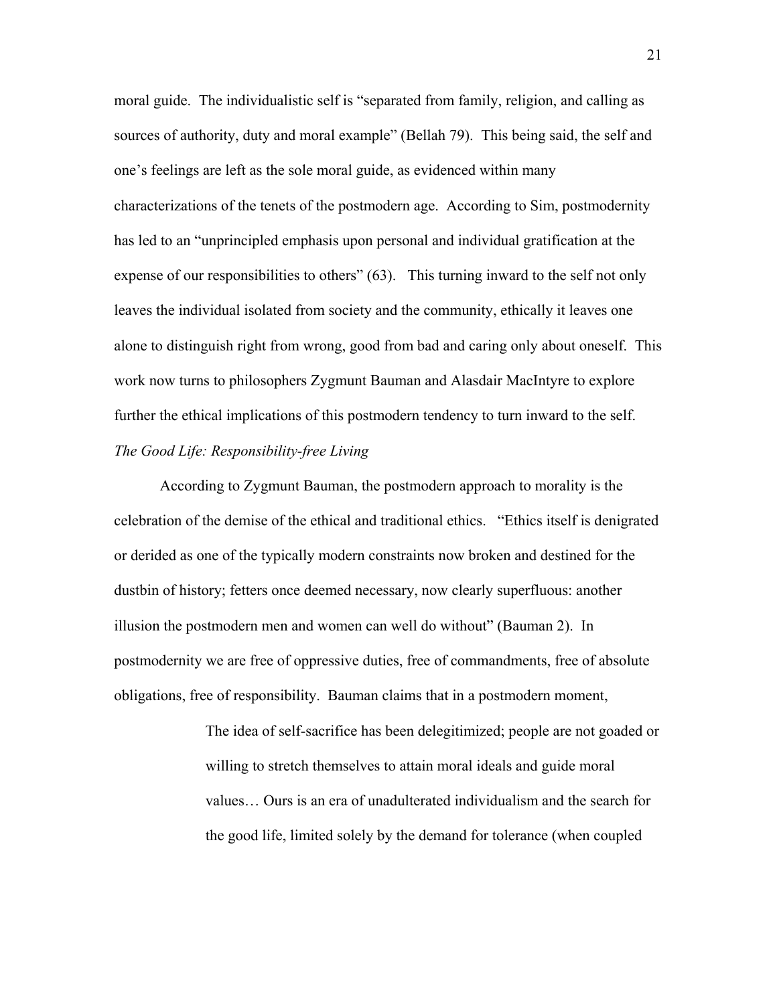moral guide. The individualistic self is "separated from family, religion, and calling as sources of authority, duty and moral example" (Bellah 79). This being said, the self and one's feelings are left as the sole moral guide, as evidenced within many characterizations of the tenets of the postmodern age. According to Sim, postmodernity has led to an "unprincipled emphasis upon personal and individual gratification at the expense of our responsibilities to others" (63). This turning inward to the self not only leaves the individual isolated from society and the community, ethically it leaves one alone to distinguish right from wrong, good from bad and caring only about oneself. This work now turns to philosophers Zygmunt Bauman and Alasdair MacIntyre to explore further the ethical implications of this postmodern tendency to turn inward to the self. *The Good Life: Responsibility-free Living* 

 According to Zygmunt Bauman, the postmodern approach to morality is the celebration of the demise of the ethical and traditional ethics. "Ethics itself is denigrated or derided as one of the typically modern constraints now broken and destined for the dustbin of history; fetters once deemed necessary, now clearly superfluous: another illusion the postmodern men and women can well do without" (Bauman 2). In postmodernity we are free of oppressive duties, free of commandments, free of absolute obligations, free of responsibility. Bauman claims that in a postmodern moment,

> The idea of self-sacrifice has been delegitimized; people are not goaded or willing to stretch themselves to attain moral ideals and guide moral values… Ours is an era of unadulterated individualism and the search for the good life, limited solely by the demand for tolerance (when coupled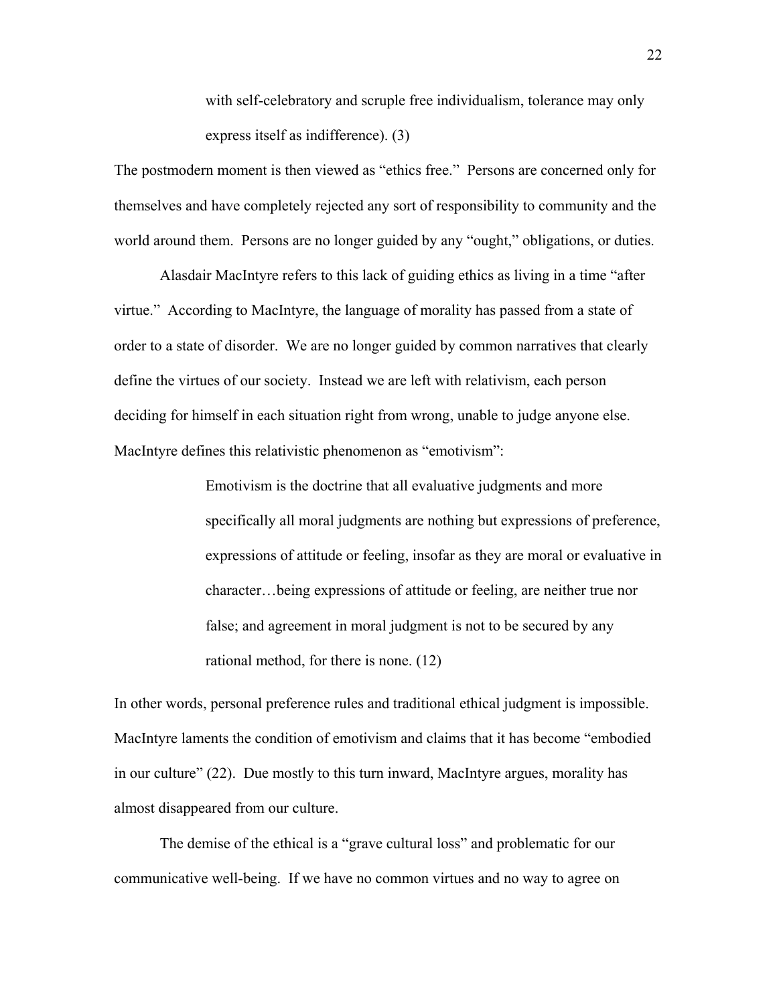with self-celebratory and scruple free individualism, tolerance may only express itself as indifference). (3)

The postmodern moment is then viewed as "ethics free." Persons are concerned only for themselves and have completely rejected any sort of responsibility to community and the world around them. Persons are no longer guided by any "ought," obligations, or duties.

 Alasdair MacIntyre refers to this lack of guiding ethics as living in a time "after virtue." According to MacIntyre, the language of morality has passed from a state of order to a state of disorder. We are no longer guided by common narratives that clearly define the virtues of our society. Instead we are left with relativism, each person deciding for himself in each situation right from wrong, unable to judge anyone else. MacIntyre defines this relativistic phenomenon as "emotivism":

> Emotivism is the doctrine that all evaluative judgments and more specifically all moral judgments are nothing but expressions of preference, expressions of attitude or feeling, insofar as they are moral or evaluative in character…being expressions of attitude or feeling, are neither true nor false; and agreement in moral judgment is not to be secured by any rational method, for there is none. (12)

In other words, personal preference rules and traditional ethical judgment is impossible. MacIntyre laments the condition of emotivism and claims that it has become "embodied in our culture" (22). Due mostly to this turn inward, MacIntyre argues, morality has almost disappeared from our culture.

The demise of the ethical is a "grave cultural loss" and problematic for our communicative well-being. If we have no common virtues and no way to agree on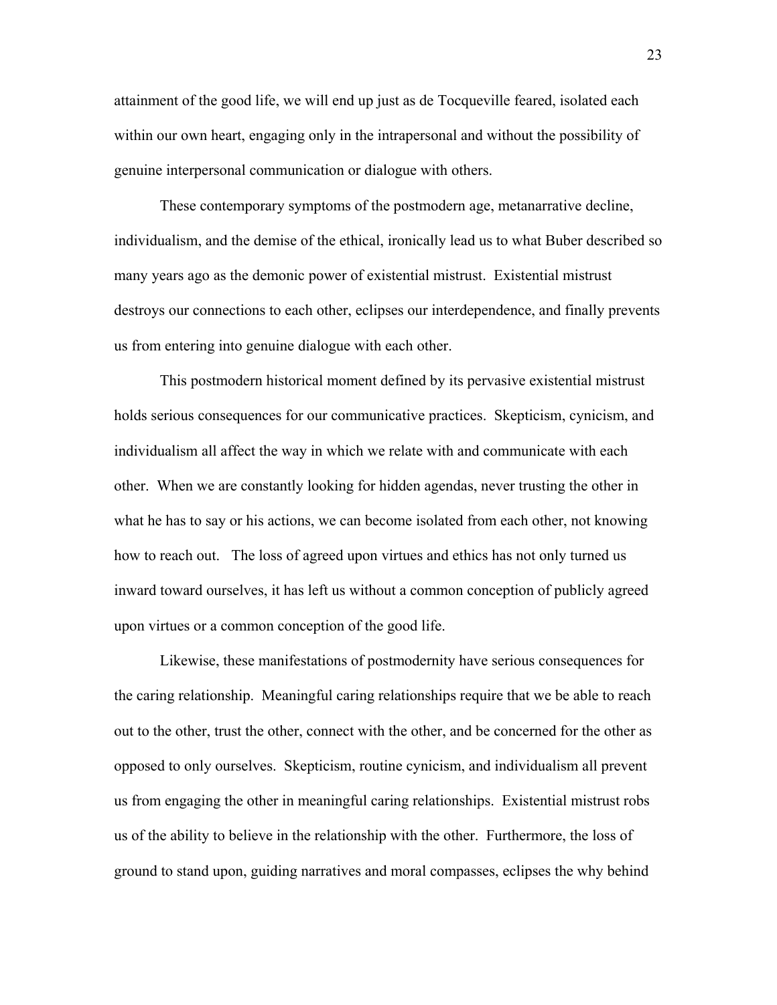attainment of the good life, we will end up just as de Tocqueville feared, isolated each within our own heart, engaging only in the intrapersonal and without the possibility of genuine interpersonal communication or dialogue with others.

 These contemporary symptoms of the postmodern age, metanarrative decline, individualism, and the demise of the ethical, ironically lead us to what Buber described so many years ago as the demonic power of existential mistrust. Existential mistrust destroys our connections to each other, eclipses our interdependence, and finally prevents us from entering into genuine dialogue with each other.

This postmodern historical moment defined by its pervasive existential mistrust holds serious consequences for our communicative practices. Skepticism, cynicism, and individualism all affect the way in which we relate with and communicate with each other. When we are constantly looking for hidden agendas, never trusting the other in what he has to say or his actions, we can become isolated from each other, not knowing how to reach out. The loss of agreed upon virtues and ethics has not only turned us inward toward ourselves, it has left us without a common conception of publicly agreed upon virtues or a common conception of the good life.

Likewise, these manifestations of postmodernity have serious consequences for the caring relationship. Meaningful caring relationships require that we be able to reach out to the other, trust the other, connect with the other, and be concerned for the other as opposed to only ourselves. Skepticism, routine cynicism, and individualism all prevent us from engaging the other in meaningful caring relationships. Existential mistrust robs us of the ability to believe in the relationship with the other. Furthermore, the loss of ground to stand upon, guiding narratives and moral compasses, eclipses the why behind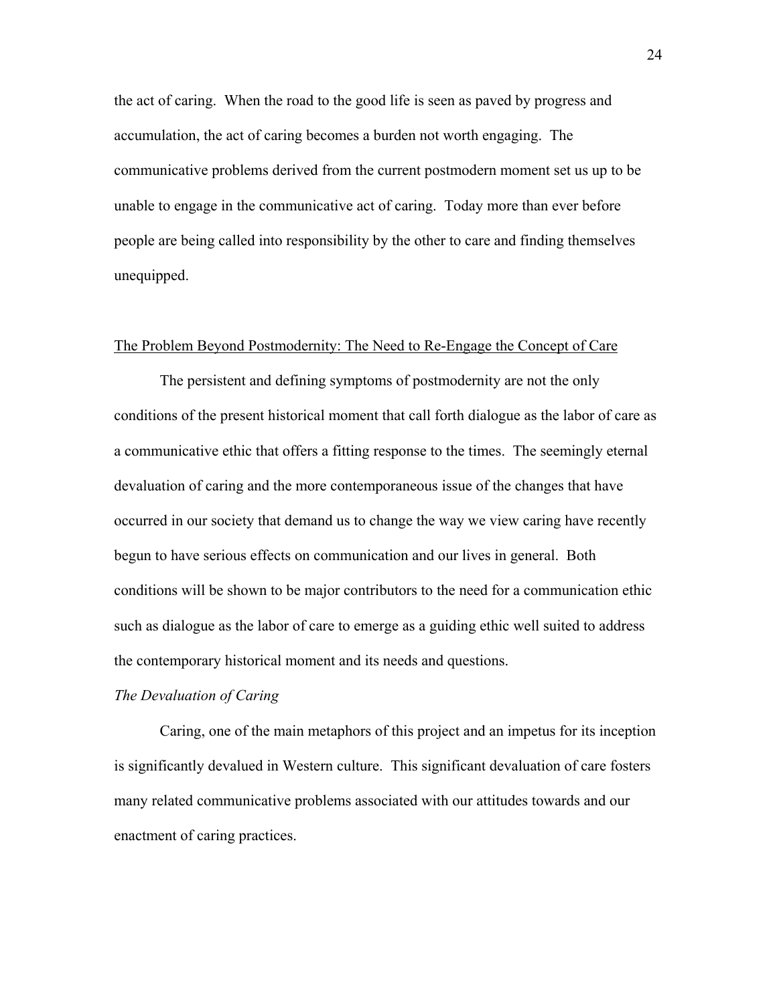the act of caring. When the road to the good life is seen as paved by progress and accumulation, the act of caring becomes a burden not worth engaging. The communicative problems derived from the current postmodern moment set us up to be unable to engage in the communicative act of caring. Today more than ever before people are being called into responsibility by the other to care and finding themselves unequipped.

#### The Problem Beyond Postmodernity: The Need to Re-Engage the Concept of Care

 The persistent and defining symptoms of postmodernity are not the only conditions of the present historical moment that call forth dialogue as the labor of care as a communicative ethic that offers a fitting response to the times. The seemingly eternal devaluation of caring and the more contemporaneous issue of the changes that have occurred in our society that demand us to change the way we view caring have recently begun to have serious effects on communication and our lives in general. Both conditions will be shown to be major contributors to the need for a communication ethic such as dialogue as the labor of care to emerge as a guiding ethic well suited to address the contemporary historical moment and its needs and questions.

#### *The Devaluation of Caring*

Caring, one of the main metaphors of this project and an impetus for its inception is significantly devalued in Western culture. This significant devaluation of care fosters many related communicative problems associated with our attitudes towards and our enactment of caring practices.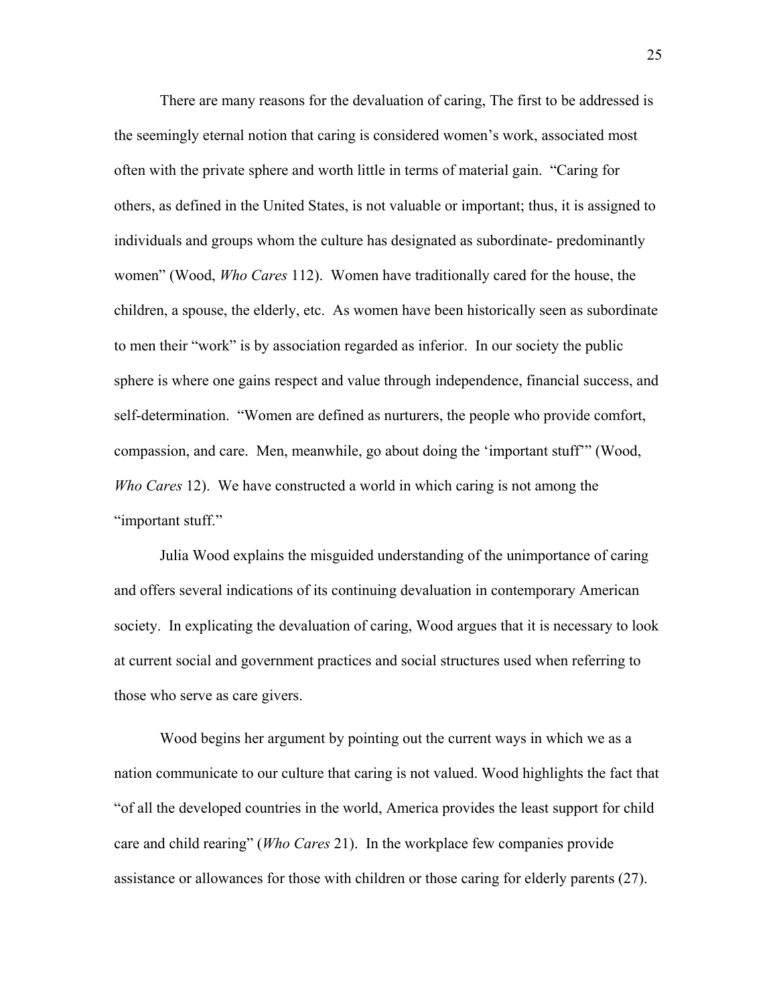There are many reasons for the devaluation of caring, The first to be addressed is the seemingly eternal notion that caring is considered women's work, associated most often with the private sphere and worth little in terms of material gain. "Caring for others, as defined in the United States, is not valuable or important; thus, it is assigned to individuals and groups whom the culture has designated as subordinate- predominantly women" (Wood, *Who Cares* 112). Women have traditionally cared for the house, the children, a spouse, the elderly, etc. As women have been historically seen as subordinate to men their "work" is by association regarded as inferior. In our society the public sphere is where one gains respect and value through independence, financial success, and self-determination. "Women are defined as nurturers, the people who provide comfort, compassion, and care. Men, meanwhile, go about doing the 'important stuff'" (Wood, *Who Cares* 12). We have constructed a world in which caring is not among the "important stuff."

Julia Wood explains the misguided understanding of the unimportance of caring and offers several indications of its continuing devaluation in contemporary American society. In explicating the devaluation of caring, Wood argues that it is necessary to look at current social and government practices and social structures used when referring to those who serve as care givers.

Wood begins her argument by pointing out the current ways in which we as a nation communicate to our culture that caring is not valued. Wood highlights the fact that "of all the developed countries in the world, America provides the least support for child care and child rearing" (*Who Cares* 21). In the workplace few companies provide assistance or allowances for those with children or those caring for elderly parents (27).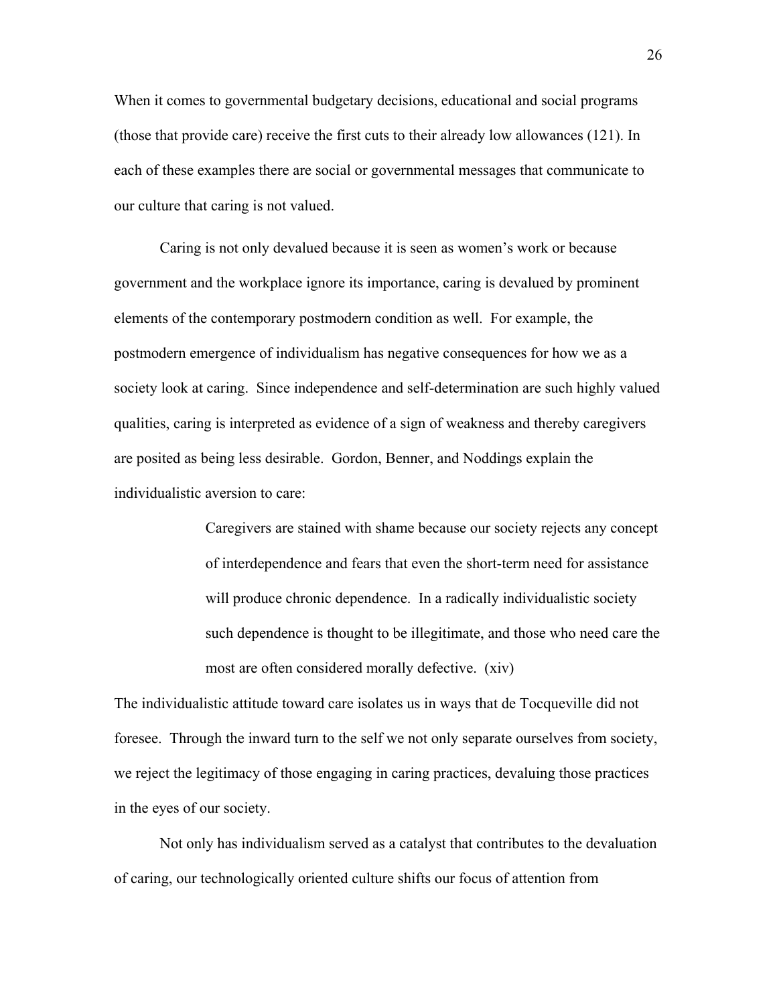When it comes to governmental budgetary decisions, educational and social programs (those that provide care) receive the first cuts to their already low allowances (121). In each of these examples there are social or governmental messages that communicate to our culture that caring is not valued.

 Caring is not only devalued because it is seen as women's work or because government and the workplace ignore its importance, caring is devalued by prominent elements of the contemporary postmodern condition as well. For example, the postmodern emergence of individualism has negative consequences for how we as a society look at caring. Since independence and self-determination are such highly valued qualities, caring is interpreted as evidence of a sign of weakness and thereby caregivers are posited as being less desirable. Gordon, Benner, and Noddings explain the individualistic aversion to care:

> Caregivers are stained with shame because our society rejects any concept of interdependence and fears that even the short-term need for assistance will produce chronic dependence. In a radically individualistic society such dependence is thought to be illegitimate, and those who need care the most are often considered morally defective. (xiv)

The individualistic attitude toward care isolates us in ways that de Tocqueville did not foresee. Through the inward turn to the self we not only separate ourselves from society, we reject the legitimacy of those engaging in caring practices, devaluing those practices in the eyes of our society.

Not only has individualism served as a catalyst that contributes to the devaluation of caring, our technologically oriented culture shifts our focus of attention from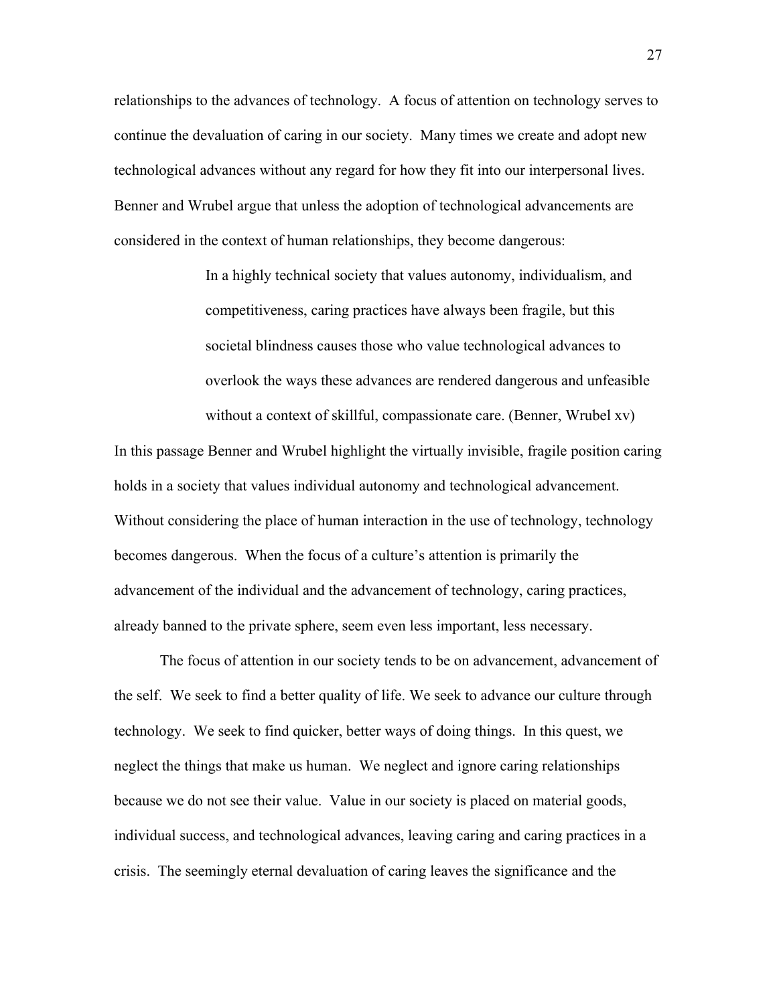relationships to the advances of technology. A focus of attention on technology serves to continue the devaluation of caring in our society. Many times we create and adopt new technological advances without any regard for how they fit into our interpersonal lives. Benner and Wrubel argue that unless the adoption of technological advancements are considered in the context of human relationships, they become dangerous:

> In a highly technical society that values autonomy, individualism, and competitiveness, caring practices have always been fragile, but this societal blindness causes those who value technological advances to overlook the ways these advances are rendered dangerous and unfeasible without a context of skillful, compassionate care. (Benner, Wrubel xv)

In this passage Benner and Wrubel highlight the virtually invisible, fragile position caring holds in a society that values individual autonomy and technological advancement. Without considering the place of human interaction in the use of technology, technology becomes dangerous. When the focus of a culture's attention is primarily the advancement of the individual and the advancement of technology, caring practices, already banned to the private sphere, seem even less important, less necessary.

The focus of attention in our society tends to be on advancement, advancement of the self. We seek to find a better quality of life. We seek to advance our culture through technology. We seek to find quicker, better ways of doing things. In this quest, we neglect the things that make us human. We neglect and ignore caring relationships because we do not see their value. Value in our society is placed on material goods, individual success, and technological advances, leaving caring and caring practices in a crisis. The seemingly eternal devaluation of caring leaves the significance and the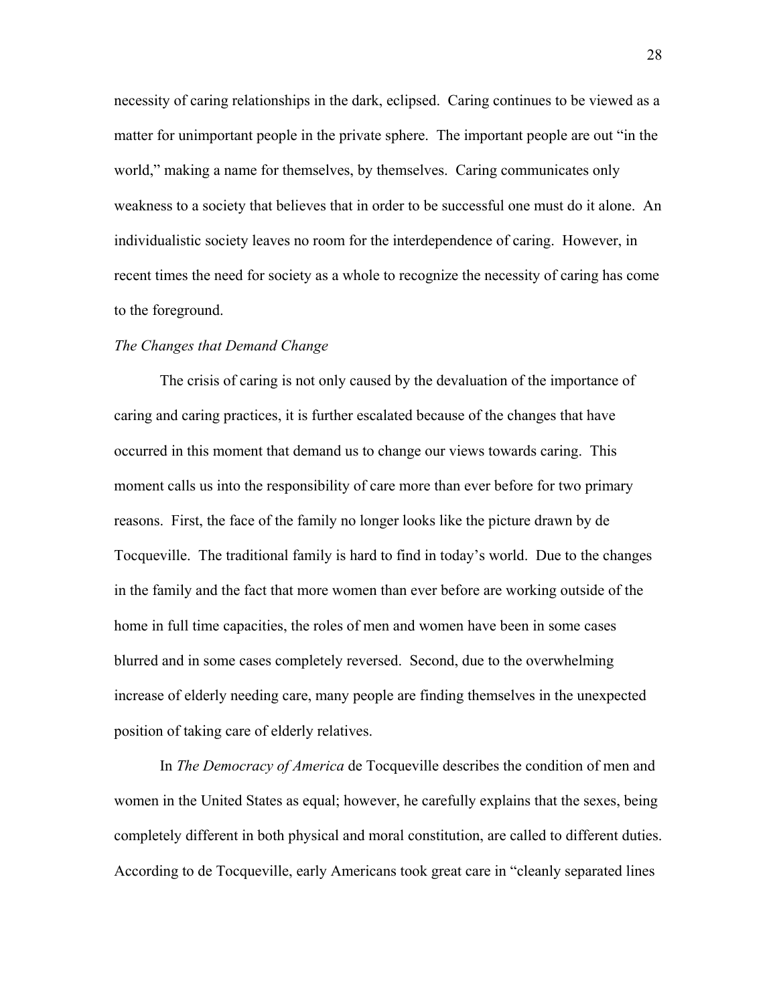necessity of caring relationships in the dark, eclipsed. Caring continues to be viewed as a matter for unimportant people in the private sphere. The important people are out "in the world," making a name for themselves, by themselves. Caring communicates only weakness to a society that believes that in order to be successful one must do it alone. An individualistic society leaves no room for the interdependence of caring. However, in recent times the need for society as a whole to recognize the necessity of caring has come to the foreground.

#### *The Changes that Demand Change*

The crisis of caring is not only caused by the devaluation of the importance of caring and caring practices, it is further escalated because of the changes that have occurred in this moment that demand us to change our views towards caring. This moment calls us into the responsibility of care more than ever before for two primary reasons. First, the face of the family no longer looks like the picture drawn by de Tocqueville. The traditional family is hard to find in today's world. Due to the changes in the family and the fact that more women than ever before are working outside of the home in full time capacities, the roles of men and women have been in some cases blurred and in some cases completely reversed. Second, due to the overwhelming increase of elderly needing care, many people are finding themselves in the unexpected position of taking care of elderly relatives.

In *The Democracy of America* de Tocqueville describes the condition of men and women in the United States as equal; however, he carefully explains that the sexes, being completely different in both physical and moral constitution, are called to different duties. According to de Tocqueville, early Americans took great care in "cleanly separated lines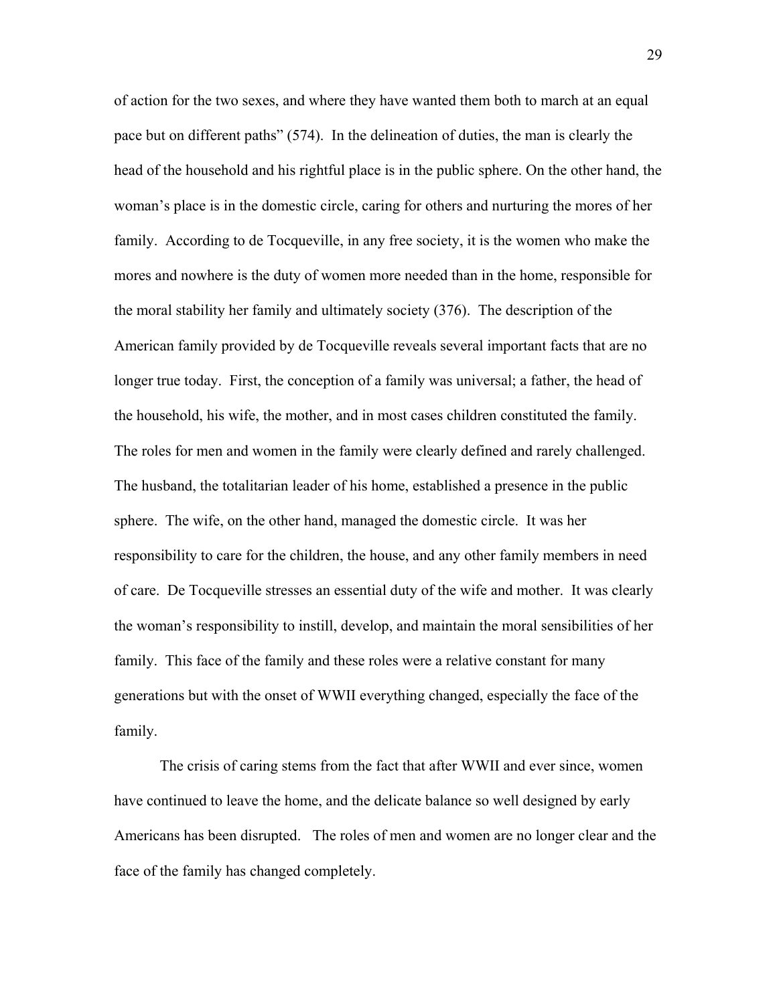of action for the two sexes, and where they have wanted them both to march at an equal pace but on different paths" (574). In the delineation of duties, the man is clearly the head of the household and his rightful place is in the public sphere. On the other hand, the woman's place is in the domestic circle, caring for others and nurturing the mores of her family. According to de Tocqueville, in any free society, it is the women who make the mores and nowhere is the duty of women more needed than in the home, responsible for the moral stability her family and ultimately society (376). The description of the American family provided by de Tocqueville reveals several important facts that are no longer true today. First, the conception of a family was universal; a father, the head of the household, his wife, the mother, and in most cases children constituted the family. The roles for men and women in the family were clearly defined and rarely challenged. The husband, the totalitarian leader of his home, established a presence in the public sphere. The wife, on the other hand, managed the domestic circle. It was her responsibility to care for the children, the house, and any other family members in need of care. De Tocqueville stresses an essential duty of the wife and mother. It was clearly the woman's responsibility to instill, develop, and maintain the moral sensibilities of her family. This face of the family and these roles were a relative constant for many generations but with the onset of WWII everything changed, especially the face of the family.

The crisis of caring stems from the fact that after WWII and ever since, women have continued to leave the home, and the delicate balance so well designed by early Americans has been disrupted. The roles of men and women are no longer clear and the face of the family has changed completely.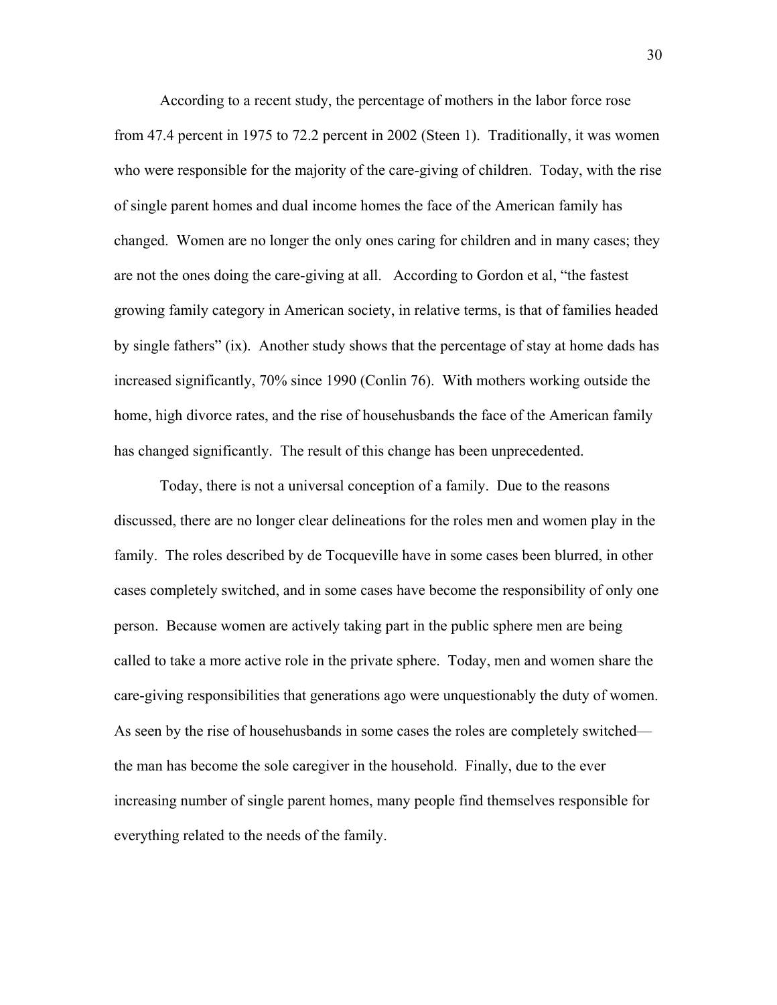According to a recent study, the percentage of mothers in the labor force rose from 47.4 percent in 1975 to 72.2 percent in 2002 (Steen 1). Traditionally, it was women who were responsible for the majority of the care-giving of children. Today, with the rise of single parent homes and dual income homes the face of the American family has changed. Women are no longer the only ones caring for children and in many cases; they are not the ones doing the care-giving at all. According to Gordon et al, "the fastest growing family category in American society, in relative terms, is that of families headed by single fathers" (ix). Another study shows that the percentage of stay at home dads has increased significantly, 70% since 1990 (Conlin 76). With mothers working outside the home, high divorce rates, and the rise of househusbands the face of the American family has changed significantly. The result of this change has been unprecedented.

 Today, there is not a universal conception of a family. Due to the reasons discussed, there are no longer clear delineations for the roles men and women play in the family. The roles described by de Tocqueville have in some cases been blurred, in other cases completely switched, and in some cases have become the responsibility of only one person. Because women are actively taking part in the public sphere men are being called to take a more active role in the private sphere. Today, men and women share the care-giving responsibilities that generations ago were unquestionably the duty of women. As seen by the rise of househusbands in some cases the roles are completely switched the man has become the sole caregiver in the household. Finally, due to the ever increasing number of single parent homes, many people find themselves responsible for everything related to the needs of the family.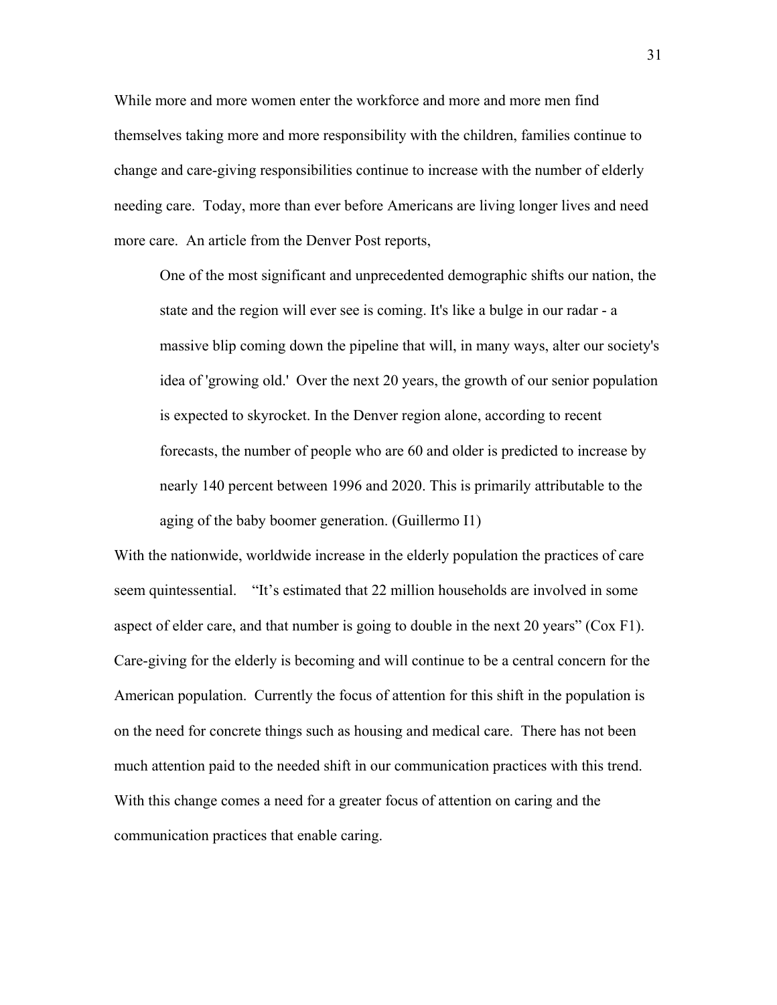While more and more women enter the workforce and more and more men find themselves taking more and more responsibility with the children, families continue to change and care-giving responsibilities continue to increase with the number of elderly needing care. Today, more than ever before Americans are living longer lives and need more care. An article from the Denver Post reports,

One of the most significant and unprecedented demographic shifts our nation, the state and the region will ever see is coming. It's like a bulge in our radar - a massive blip coming down the pipeline that will, in many ways, alter our society's idea of 'growing old.' Over the next 20 years, the growth of our senior population is expected to skyrocket. In the Denver region alone, according to recent forecasts, the number of people who are 60 and older is predicted to increase by nearly 140 percent between 1996 and 2020. This is primarily attributable to the aging of the baby boomer generation. (Guillermo I1)

With the nationwide, worldwide increase in the elderly population the practices of care seem quintessential. "It's estimated that 22 million households are involved in some aspect of elder care, and that number is going to double in the next 20 years" (Cox F1). Care-giving for the elderly is becoming and will continue to be a central concern for the American population. Currently the focus of attention for this shift in the population is on the need for concrete things such as housing and medical care. There has not been much attention paid to the needed shift in our communication practices with this trend. With this change comes a need for a greater focus of attention on caring and the communication practices that enable caring.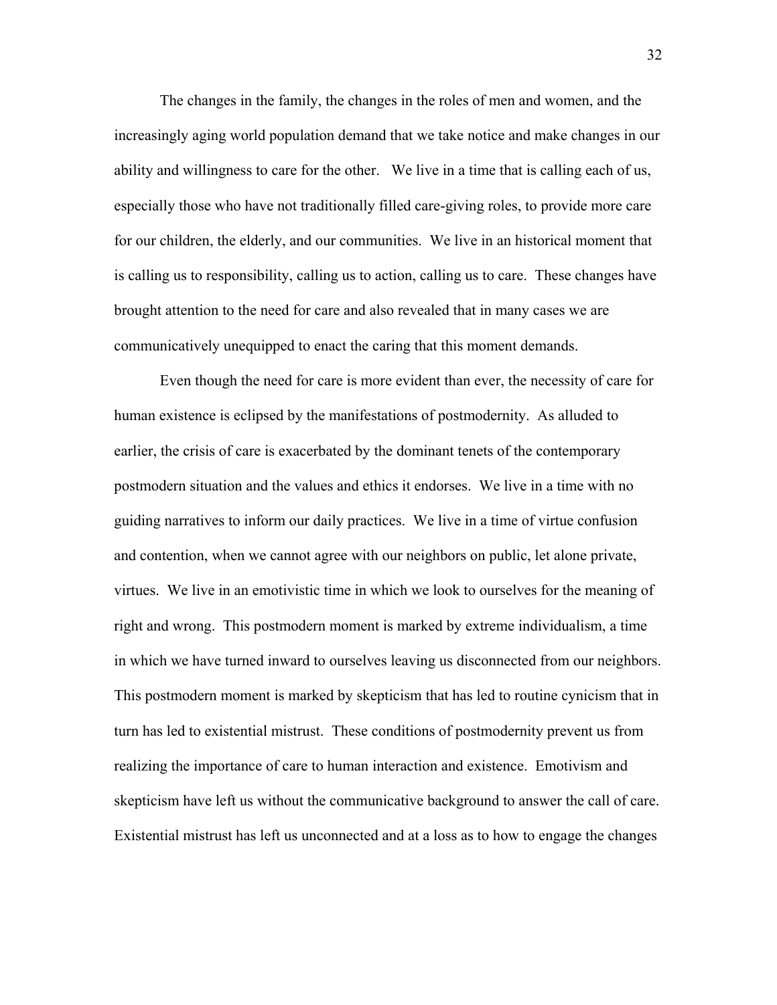The changes in the family, the changes in the roles of men and women, and the increasingly aging world population demand that we take notice and make changes in our ability and willingness to care for the other. We live in a time that is calling each of us, especially those who have not traditionally filled care-giving roles, to provide more care for our children, the elderly, and our communities. We live in an historical moment that is calling us to responsibility, calling us to action, calling us to care. These changes have brought attention to the need for care and also revealed that in many cases we are communicatively unequipped to enact the caring that this moment demands.

Even though the need for care is more evident than ever, the necessity of care for human existence is eclipsed by the manifestations of postmodernity. As alluded to earlier, the crisis of care is exacerbated by the dominant tenets of the contemporary postmodern situation and the values and ethics it endorses. We live in a time with no guiding narratives to inform our daily practices. We live in a time of virtue confusion and contention, when we cannot agree with our neighbors on public, let alone private, virtues. We live in an emotivistic time in which we look to ourselves for the meaning of right and wrong. This postmodern moment is marked by extreme individualism, a time in which we have turned inward to ourselves leaving us disconnected from our neighbors. This postmodern moment is marked by skepticism that has led to routine cynicism that in turn has led to existential mistrust. These conditions of postmodernity prevent us from realizing the importance of care to human interaction and existence. Emotivism and skepticism have left us without the communicative background to answer the call of care. Existential mistrust has left us unconnected and at a loss as to how to engage the changes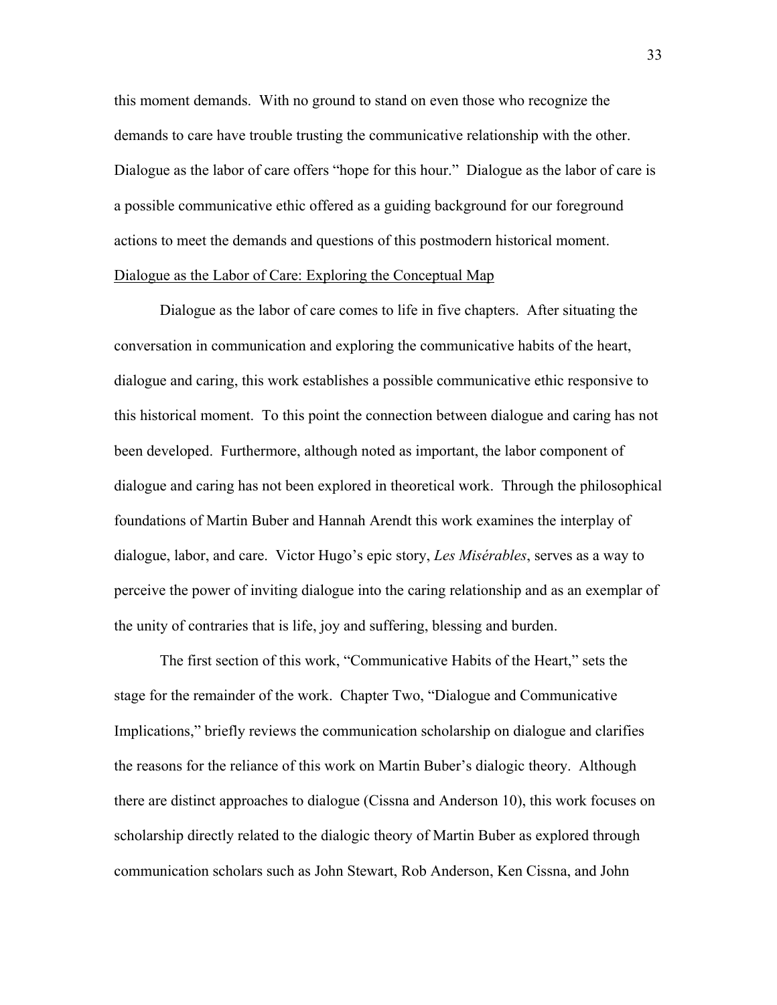this moment demands. With no ground to stand on even those who recognize the demands to care have trouble trusting the communicative relationship with the other. Dialogue as the labor of care offers "hope for this hour." Dialogue as the labor of care is a possible communicative ethic offered as a guiding background for our foreground actions to meet the demands and questions of this postmodern historical moment. Dialogue as the Labor of Care: Exploring the Conceptual Map

Dialogue as the labor of care comes to life in five chapters. After situating the conversation in communication and exploring the communicative habits of the heart, dialogue and caring, this work establishes a possible communicative ethic responsive to this historical moment. To this point the connection between dialogue and caring has not been developed. Furthermore, although noted as important, the labor component of dialogue and caring has not been explored in theoretical work. Through the philosophical foundations of Martin Buber and Hannah Arendt this work examines the interplay of dialogue, labor, and care. Victor Hugo's epic story, *Les Misérables*, serves as a way to perceive the power of inviting dialogue into the caring relationship and as an exemplar of the unity of contraries that is life, joy and suffering, blessing and burden.

The first section of this work, "Communicative Habits of the Heart," sets the stage for the remainder of the work. Chapter Two, "Dialogue and Communicative Implications," briefly reviews the communication scholarship on dialogue and clarifies the reasons for the reliance of this work on Martin Buber's dialogic theory. Although there are distinct approaches to dialogue (Cissna and Anderson 10), this work focuses on scholarship directly related to the dialogic theory of Martin Buber as explored through communication scholars such as John Stewart, Rob Anderson, Ken Cissna, and John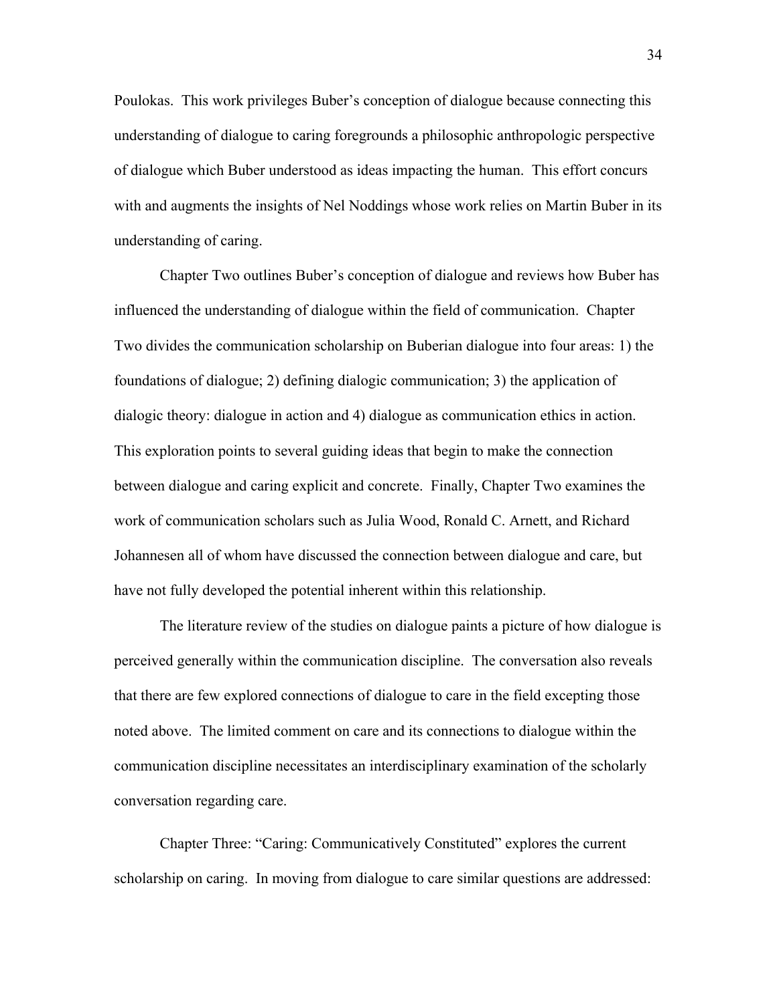Poulokas. This work privileges Buber's conception of dialogue because connecting this understanding of dialogue to caring foregrounds a philosophic anthropologic perspective of dialogue which Buber understood as ideas impacting the human. This effort concurs with and augments the insights of Nel Noddings whose work relies on Martin Buber in its understanding of caring.

Chapter Two outlines Buber's conception of dialogue and reviews how Buber has influenced the understanding of dialogue within the field of communication. Chapter Two divides the communication scholarship on Buberian dialogue into four areas: 1) the foundations of dialogue; 2) defining dialogic communication; 3) the application of dialogic theory: dialogue in action and 4) dialogue as communication ethics in action. This exploration points to several guiding ideas that begin to make the connection between dialogue and caring explicit and concrete. Finally, Chapter Two examines the work of communication scholars such as Julia Wood, Ronald C. Arnett, and Richard Johannesen all of whom have discussed the connection between dialogue and care, but have not fully developed the potential inherent within this relationship.

The literature review of the studies on dialogue paints a picture of how dialogue is perceived generally within the communication discipline. The conversation also reveals that there are few explored connections of dialogue to care in the field excepting those noted above. The limited comment on care and its connections to dialogue within the communication discipline necessitates an interdisciplinary examination of the scholarly conversation regarding care.

Chapter Three: "Caring: Communicatively Constituted" explores the current scholarship on caring. In moving from dialogue to care similar questions are addressed: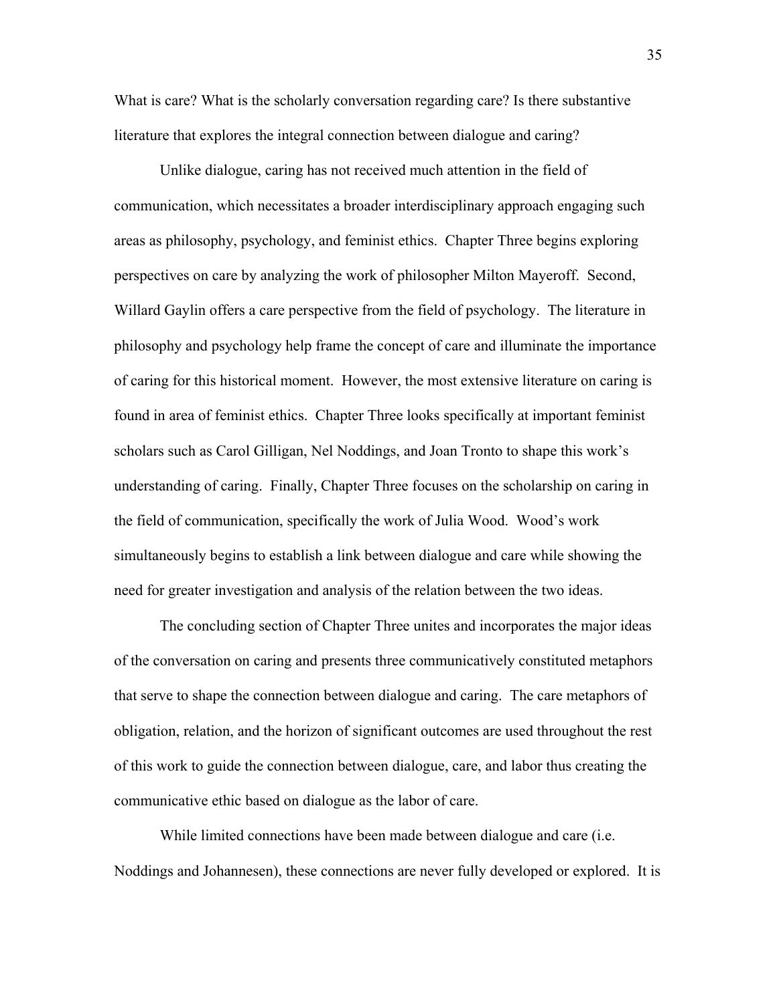What is care? What is the scholarly conversation regarding care? Is there substantive literature that explores the integral connection between dialogue and caring?

Unlike dialogue, caring has not received much attention in the field of communication, which necessitates a broader interdisciplinary approach engaging such areas as philosophy, psychology, and feminist ethics. Chapter Three begins exploring perspectives on care by analyzing the work of philosopher Milton Mayeroff. Second, Willard Gaylin offers a care perspective from the field of psychology. The literature in philosophy and psychology help frame the concept of care and illuminate the importance of caring for this historical moment. However, the most extensive literature on caring is found in area of feminist ethics. Chapter Three looks specifically at important feminist scholars such as Carol Gilligan, Nel Noddings, and Joan Tronto to shape this work's understanding of caring. Finally, Chapter Three focuses on the scholarship on caring in the field of communication, specifically the work of Julia Wood. Wood's work simultaneously begins to establish a link between dialogue and care while showing the need for greater investigation and analysis of the relation between the two ideas.

The concluding section of Chapter Three unites and incorporates the major ideas of the conversation on caring and presents three communicatively constituted metaphors that serve to shape the connection between dialogue and caring. The care metaphors of obligation, relation, and the horizon of significant outcomes are used throughout the rest of this work to guide the connection between dialogue, care, and labor thus creating the communicative ethic based on dialogue as the labor of care.

While limited connections have been made between dialogue and care (i.e. Noddings and Johannesen), these connections are never fully developed or explored. It is

35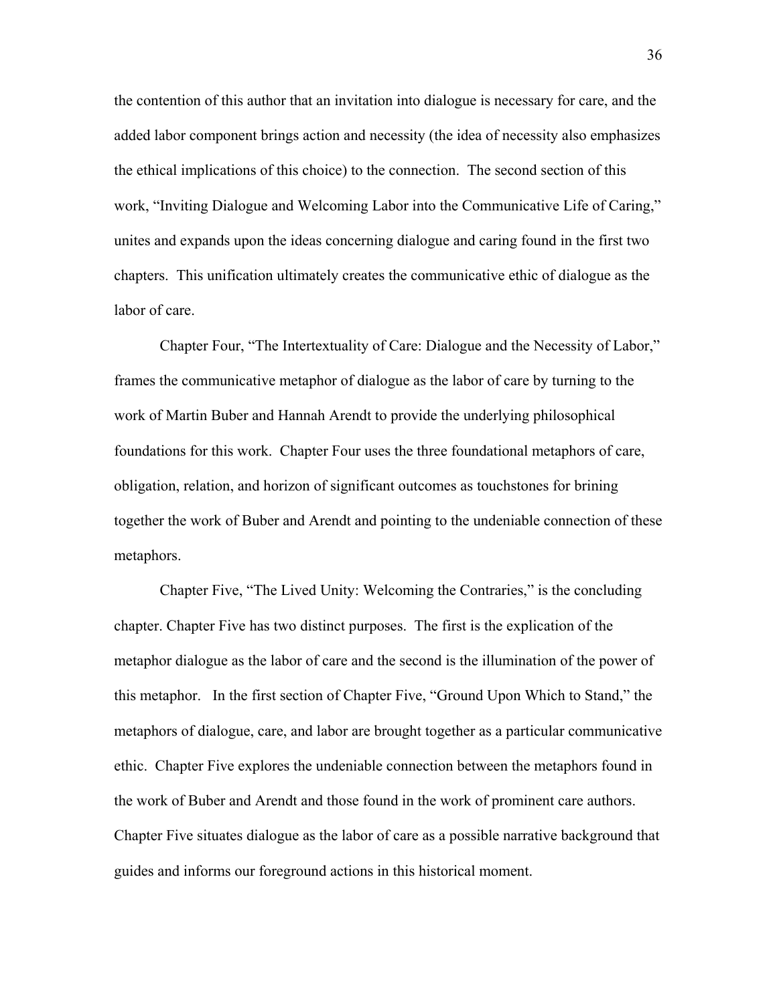the contention of this author that an invitation into dialogue is necessary for care, and the added labor component brings action and necessity (the idea of necessity also emphasizes the ethical implications of this choice) to the connection. The second section of this work, "Inviting Dialogue and Welcoming Labor into the Communicative Life of Caring," unites and expands upon the ideas concerning dialogue and caring found in the first two chapters. This unification ultimately creates the communicative ethic of dialogue as the labor of care.

Chapter Four, "The Intertextuality of Care: Dialogue and the Necessity of Labor," frames the communicative metaphor of dialogue as the labor of care by turning to the work of Martin Buber and Hannah Arendt to provide the underlying philosophical foundations for this work. Chapter Four uses the three foundational metaphors of care, obligation, relation, and horizon of significant outcomes as touchstones for brining together the work of Buber and Arendt and pointing to the undeniable connection of these metaphors.

Chapter Five, "The Lived Unity: Welcoming the Contraries," is the concluding chapter. Chapter Five has two distinct purposes. The first is the explication of the metaphor dialogue as the labor of care and the second is the illumination of the power of this metaphor. In the first section of Chapter Five, "Ground Upon Which to Stand," the metaphors of dialogue, care, and labor are brought together as a particular communicative ethic. Chapter Five explores the undeniable connection between the metaphors found in the work of Buber and Arendt and those found in the work of prominent care authors. Chapter Five situates dialogue as the labor of care as a possible narrative background that guides and informs our foreground actions in this historical moment.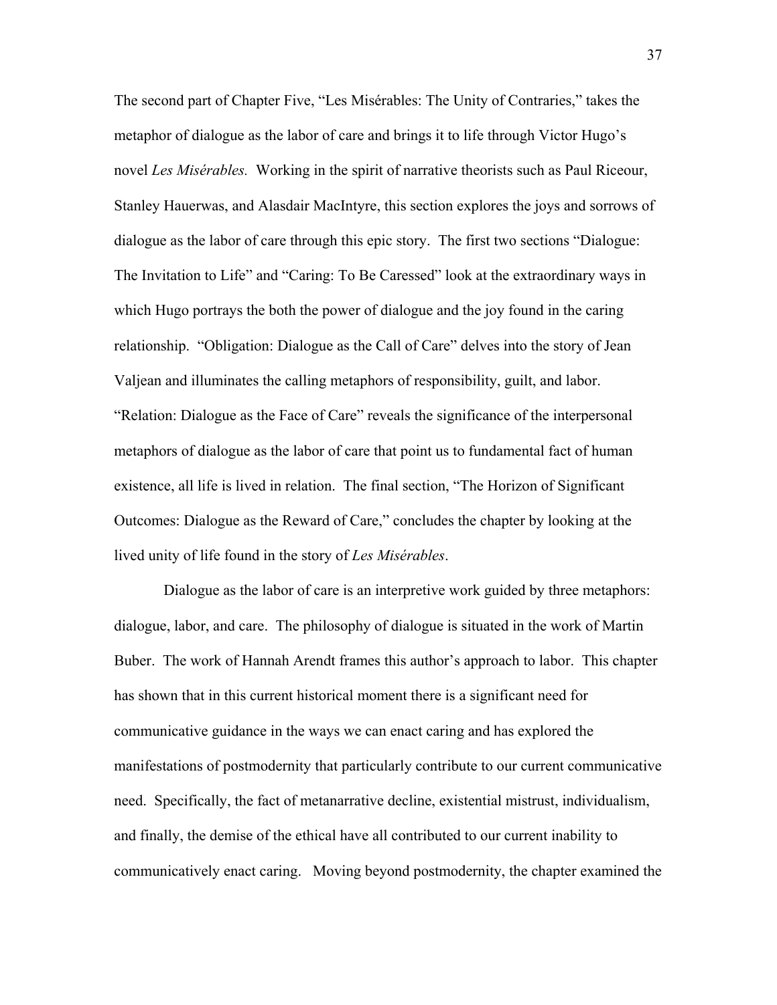The second part of Chapter Five, "Les Misérables: The Unity of Contraries," takes the metaphor of dialogue as the labor of care and brings it to life through Victor Hugo's novel *Les Misérables.* Working in the spirit of narrative theorists such as Paul Riceour, Stanley Hauerwas, and Alasdair MacIntyre, this section explores the joys and sorrows of dialogue as the labor of care through this epic story. The first two sections "Dialogue: The Invitation to Life" and "Caring: To Be Caressed" look at the extraordinary ways in which Hugo portrays the both the power of dialogue and the joy found in the caring relationship. "Obligation: Dialogue as the Call of Care" delves into the story of Jean Valjean and illuminates the calling metaphors of responsibility, guilt, and labor. "Relation: Dialogue as the Face of Care" reveals the significance of the interpersonal metaphors of dialogue as the labor of care that point us to fundamental fact of human existence, all life is lived in relation. The final section, "The Horizon of Significant Outcomes: Dialogue as the Reward of Care," concludes the chapter by looking at the lived unity of life found in the story of *Les Misérables*.

 Dialogue as the labor of care is an interpretive work guided by three metaphors: dialogue, labor, and care. The philosophy of dialogue is situated in the work of Martin Buber. The work of Hannah Arendt frames this author's approach to labor. This chapter has shown that in this current historical moment there is a significant need for communicative guidance in the ways we can enact caring and has explored the manifestations of postmodernity that particularly contribute to our current communicative need. Specifically, the fact of metanarrative decline, existential mistrust, individualism, and finally, the demise of the ethical have all contributed to our current inability to communicatively enact caring. Moving beyond postmodernity, the chapter examined the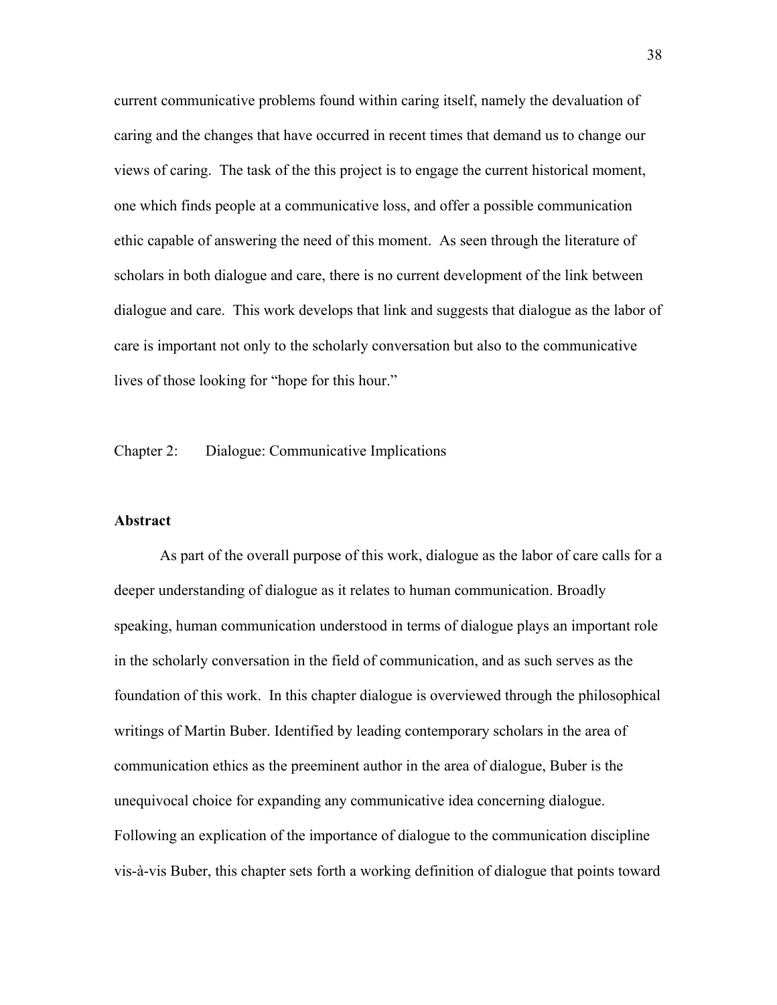current communicative problems found within caring itself, namely the devaluation of caring and the changes that have occurred in recent times that demand us to change our views of caring. The task of the this project is to engage the current historical moment, one which finds people at a communicative loss, and offer a possible communication ethic capable of answering the need of this moment. As seen through the literature of scholars in both dialogue and care, there is no current development of the link between dialogue and care. This work develops that link and suggests that dialogue as the labor of care is important not only to the scholarly conversation but also to the communicative lives of those looking for "hope for this hour."

Chapter 2: Dialogue: Communicative Implications

#### **Abstract**

As part of the overall purpose of this work, dialogue as the labor of care calls for a deeper understanding of dialogue as it relates to human communication. Broadly speaking, human communication understood in terms of dialogue plays an important role in the scholarly conversation in the field of communication, and as such serves as the foundation of this work. In this chapter dialogue is overviewed through the philosophical writings of Martin Buber. Identified by leading contemporary scholars in the area of communication ethics as the preeminent author in the area of dialogue, Buber is the unequivocal choice for expanding any communicative idea concerning dialogue. Following an explication of the importance of dialogue to the communication discipline vis-à-vis Buber, this chapter sets forth a working definition of dialogue that points toward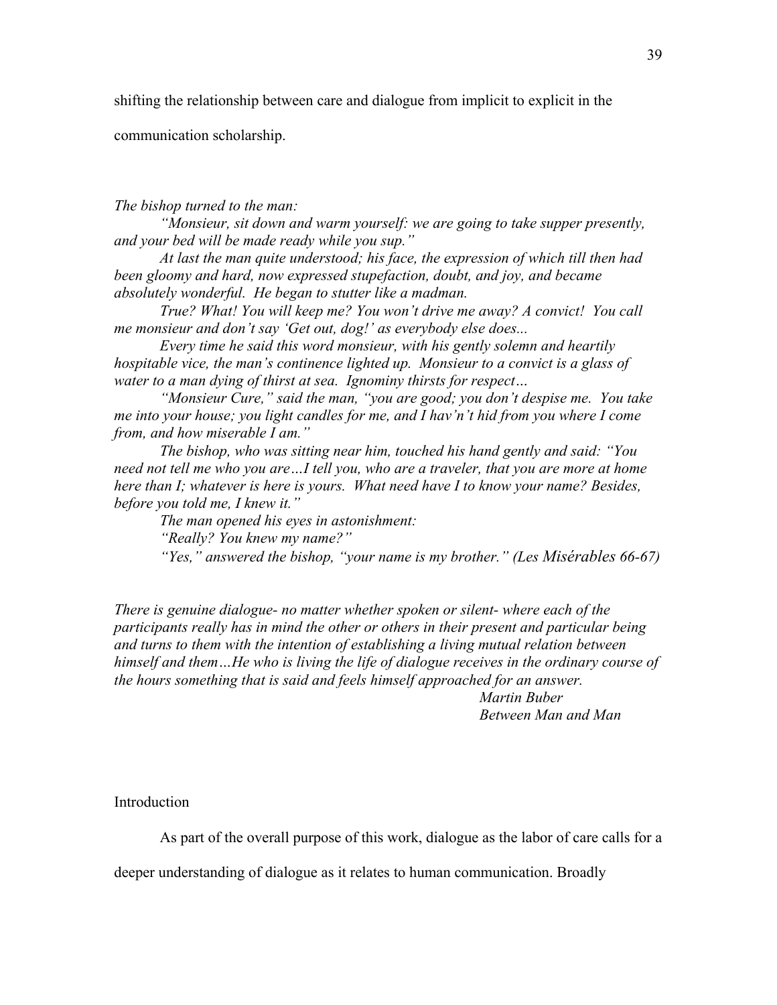shifting the relationship between care and dialogue from implicit to explicit in the

communication scholarship.

*The bishop turned to the man:* 

*"Monsieur, sit down and warm yourself: we are going to take supper presently, and your bed will be made ready while you sup."* 

*At last the man quite understood; his face, the expression of which till then had been gloomy and hard, now expressed stupefaction, doubt, and joy, and became absolutely wonderful. He began to stutter like a madman.* 

*True? What! You will keep me? You won't drive me away? A convict! You call me monsieur and don't say 'Get out, dog!' as everybody else does...* 

*Every time he said this word monsieur, with his gently solemn and heartily hospitable vice, the man's continence lighted up. Monsieur to a convict is a glass of water to a man dying of thirst at sea. Ignominy thirsts for respect…* 

*"Monsieur Cure," said the man, "you are good; you don't despise me. You take me into your house; you light candles for me, and I hav'n't hid from you where I come from, and how miserable I am."* 

 *The bishop, who was sitting near him, touched his hand gently and said: "You need not tell me who you are…I tell you, who are a traveler, that you are more at home here than I; whatever is here is yours. What need have I to know your name? Besides, before you told me, I knew it."* 

*The man opened his eyes in astonishment:* 

*"Really? You knew my name?"* 

*"Yes," answered the bishop, "your name is my brother." (Les Misérables 66-67)* 

*There is genuine dialogue- no matter whether spoken or silent- where each of the participants really has in mind the other or others in their present and particular being and turns to them with the intention of establishing a living mutual relation between himself and them…He who is living the life of dialogue receives in the ordinary course of the hours something that is said and feels himself approached for an answer.* 

> *Martin Buber Between Man and Man*

Introduction

As part of the overall purpose of this work, dialogue as the labor of care calls for a

deeper understanding of dialogue as it relates to human communication. Broadly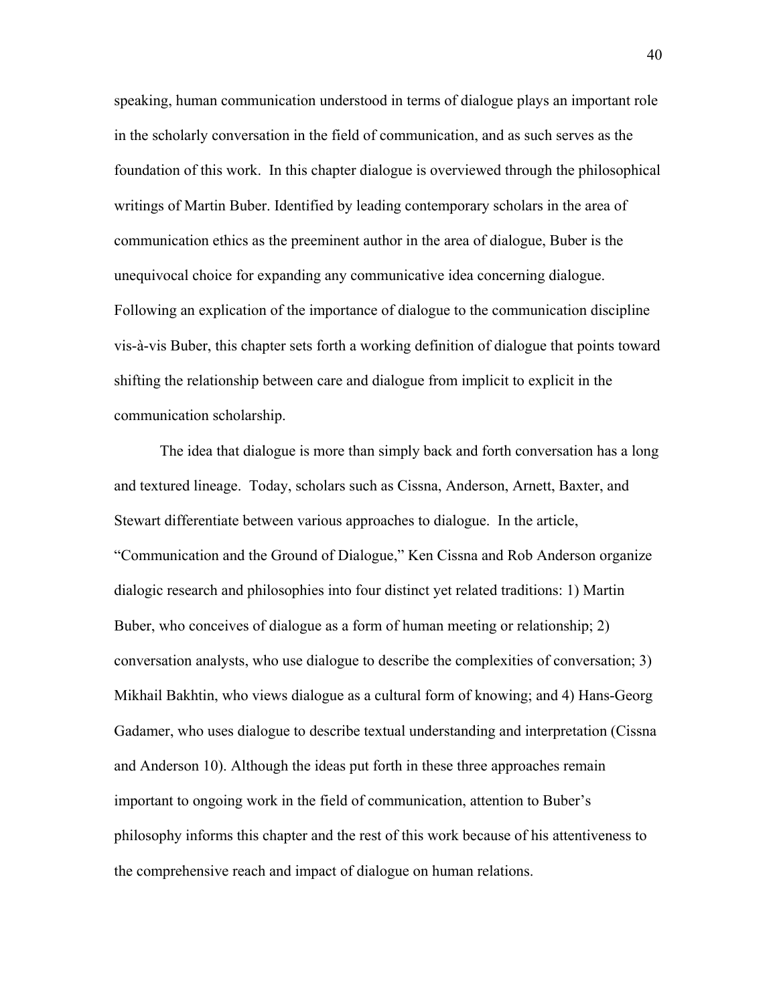speaking, human communication understood in terms of dialogue plays an important role in the scholarly conversation in the field of communication, and as such serves as the foundation of this work. In this chapter dialogue is overviewed through the philosophical writings of Martin Buber. Identified by leading contemporary scholars in the area of communication ethics as the preeminent author in the area of dialogue, Buber is the unequivocal choice for expanding any communicative idea concerning dialogue. Following an explication of the importance of dialogue to the communication discipline vis-à-vis Buber, this chapter sets forth a working definition of dialogue that points toward shifting the relationship between care and dialogue from implicit to explicit in the communication scholarship.

The idea that dialogue is more than simply back and forth conversation has a long and textured lineage. Today, scholars such as Cissna, Anderson, Arnett, Baxter, and Stewart differentiate between various approaches to dialogue. In the article, "Communication and the Ground of Dialogue," Ken Cissna and Rob Anderson organize dialogic research and philosophies into four distinct yet related traditions: 1) Martin Buber, who conceives of dialogue as a form of human meeting or relationship; 2) conversation analysts, who use dialogue to describe the complexities of conversation; 3) Mikhail Bakhtin, who views dialogue as a cultural form of knowing; and 4) Hans-Georg Gadamer, who uses dialogue to describe textual understanding and interpretation (Cissna and Anderson 10). Although the ideas put forth in these three approaches remain important to ongoing work in the field of communication, attention to Buber's philosophy informs this chapter and the rest of this work because of his attentiveness to the comprehensive reach and impact of dialogue on human relations.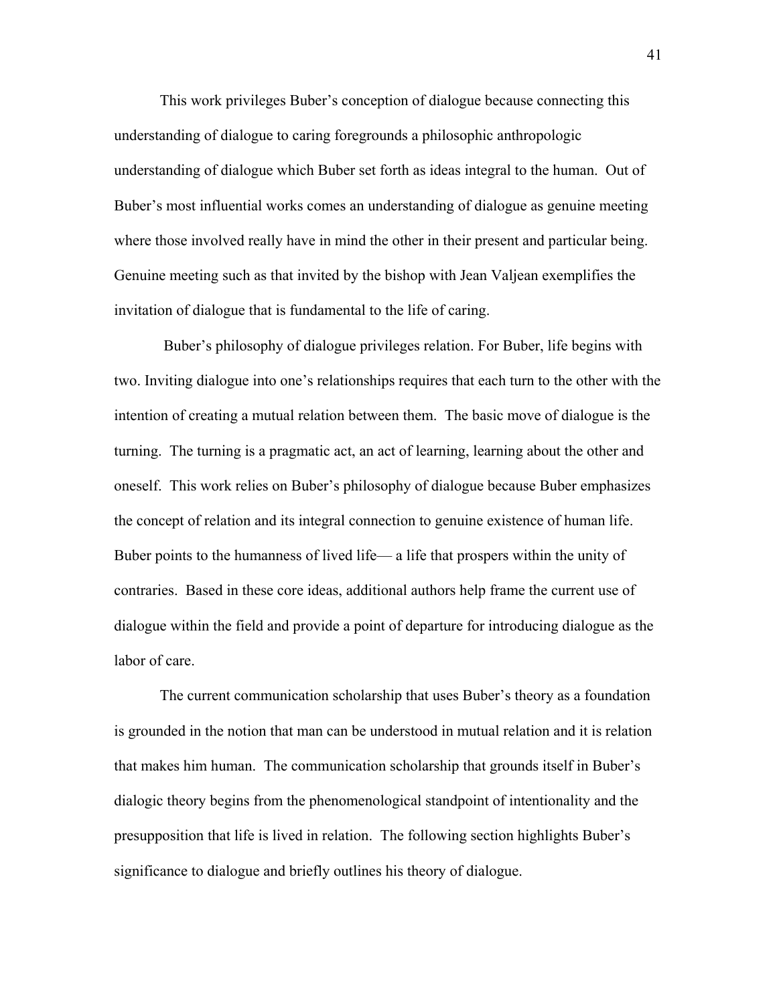This work privileges Buber's conception of dialogue because connecting this understanding of dialogue to caring foregrounds a philosophic anthropologic understanding of dialogue which Buber set forth as ideas integral to the human. Out of Buber's most influential works comes an understanding of dialogue as genuine meeting where those involved really have in mind the other in their present and particular being. Genuine meeting such as that invited by the bishop with Jean Valjean exemplifies the invitation of dialogue that is fundamental to the life of caring.

 Buber's philosophy of dialogue privileges relation. For Buber, life begins with two. Inviting dialogue into one's relationships requires that each turn to the other with the intention of creating a mutual relation between them. The basic move of dialogue is the turning. The turning is a pragmatic act, an act of learning, learning about the other and oneself. This work relies on Buber's philosophy of dialogue because Buber emphasizes the concept of relation and its integral connection to genuine existence of human life. Buber points to the humanness of lived life— a life that prospers within the unity of contraries. Based in these core ideas, additional authors help frame the current use of dialogue within the field and provide a point of departure for introducing dialogue as the labor of care.

The current communication scholarship that uses Buber's theory as a foundation is grounded in the notion that man can be understood in mutual relation and it is relation that makes him human. The communication scholarship that grounds itself in Buber's dialogic theory begins from the phenomenological standpoint of intentionality and the presupposition that life is lived in relation. The following section highlights Buber's significance to dialogue and briefly outlines his theory of dialogue.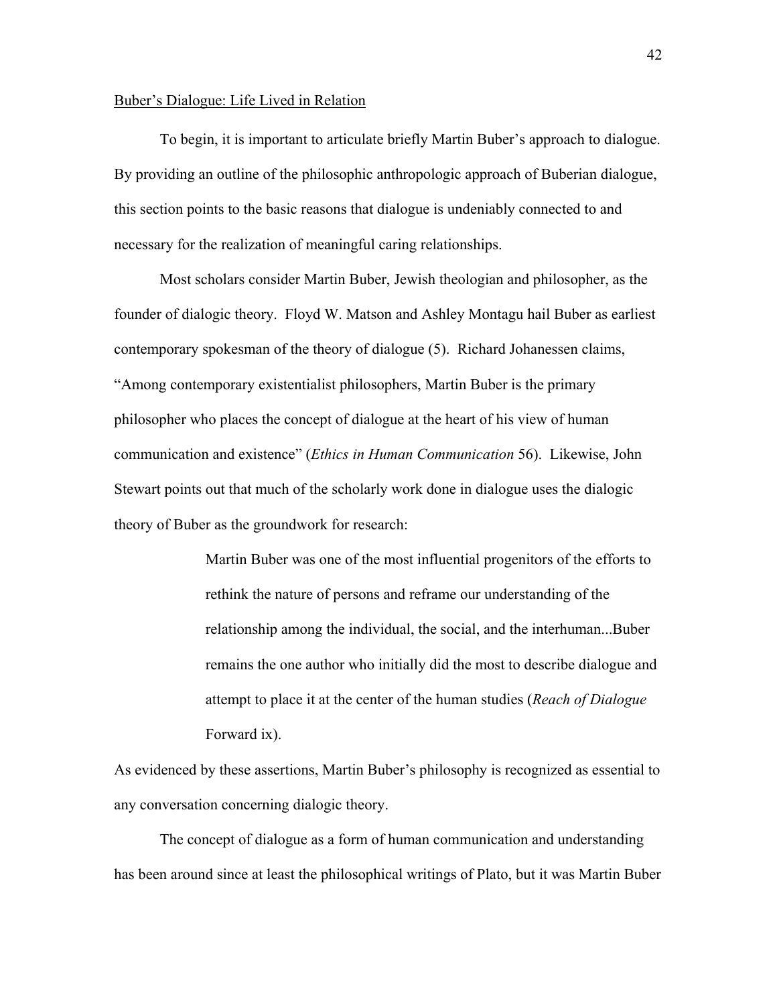## Buber's Dialogue: Life Lived in Relation

To begin, it is important to articulate briefly Martin Buber's approach to dialogue. By providing an outline of the philosophic anthropologic approach of Buberian dialogue, this section points to the basic reasons that dialogue is undeniably connected to and necessary for the realization of meaningful caring relationships.

Most scholars consider Martin Buber, Jewish theologian and philosopher, as the founder of dialogic theory. Floyd W. Matson and Ashley Montagu hail Buber as earliest contemporary spokesman of the theory of dialogue (5). Richard Johanessen claims, "Among contemporary existentialist philosophers, Martin Buber is the primary philosopher who places the concept of dialogue at the heart of his view of human communication and existence" (*Ethics in Human Communication* 56). Likewise, John Stewart points out that much of the scholarly work done in dialogue uses the dialogic theory of Buber as the groundwork for research:

> Martin Buber was one of the most influential progenitors of the efforts to rethink the nature of persons and reframe our understanding of the relationship among the individual, the social, and the interhuman...Buber remains the one author who initially did the most to describe dialogue and attempt to place it at the center of the human studies (*Reach of Dialogue*  Forward ix).

As evidenced by these assertions, Martin Buber's philosophy is recognized as essential to any conversation concerning dialogic theory.

The concept of dialogue as a form of human communication and understanding has been around since at least the philosophical writings of Plato, but it was Martin Buber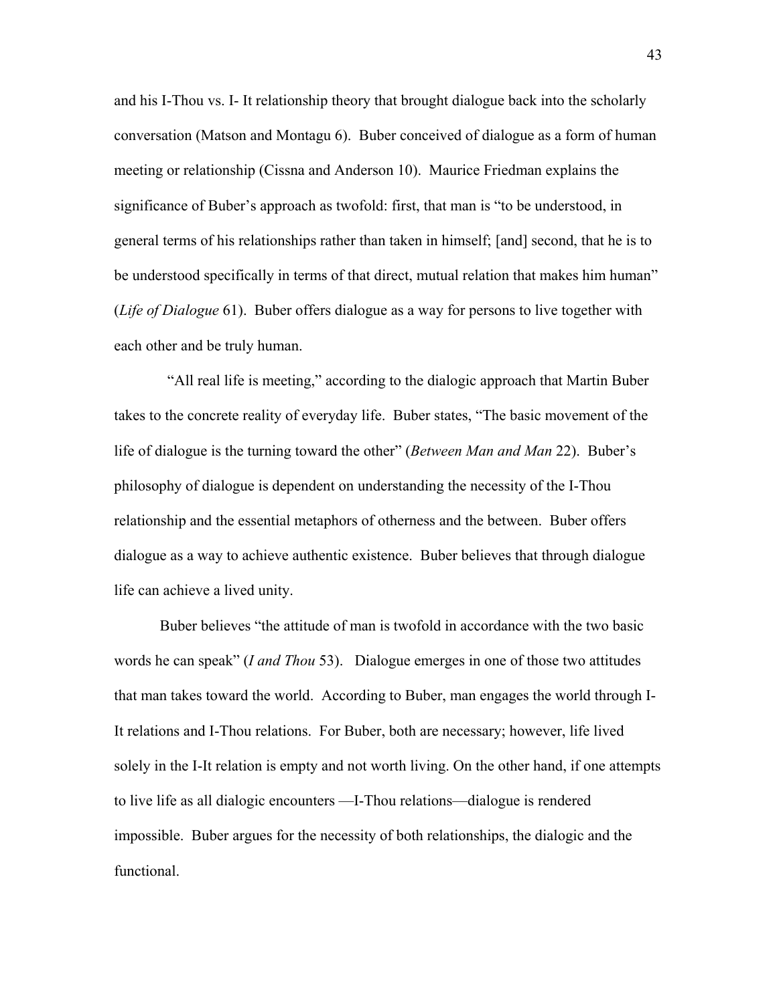and his I-Thou vs. I- It relationship theory that brought dialogue back into the scholarly conversation (Matson and Montagu 6). Buber conceived of dialogue as a form of human meeting or relationship (Cissna and Anderson 10). Maurice Friedman explains the significance of Buber's approach as twofold: first, that man is "to be understood, in general terms of his relationships rather than taken in himself; [and] second, that he is to be understood specifically in terms of that direct, mutual relation that makes him human" (*Life of Dialogue* 61). Buber offers dialogue as a way for persons to live together with each other and be truly human.

 "All real life is meeting," according to the dialogic approach that Martin Buber takes to the concrete reality of everyday life. Buber states, "The basic movement of the life of dialogue is the turning toward the other" (*Between Man and Man* 22). Buber's philosophy of dialogue is dependent on understanding the necessity of the I-Thou relationship and the essential metaphors of otherness and the between. Buber offers dialogue as a way to achieve authentic existence. Buber believes that through dialogue life can achieve a lived unity.

Buber believes "the attitude of man is twofold in accordance with the two basic words he can speak" (*I and Thou* 53). Dialogue emerges in one of those two attitudes that man takes toward the world. According to Buber, man engages the world through I-It relations and I-Thou relations. For Buber, both are necessary; however, life lived solely in the I-It relation is empty and not worth living. On the other hand, if one attempts to live life as all dialogic encounters —I-Thou relations—dialogue is rendered impossible. Buber argues for the necessity of both relationships, the dialogic and the functional.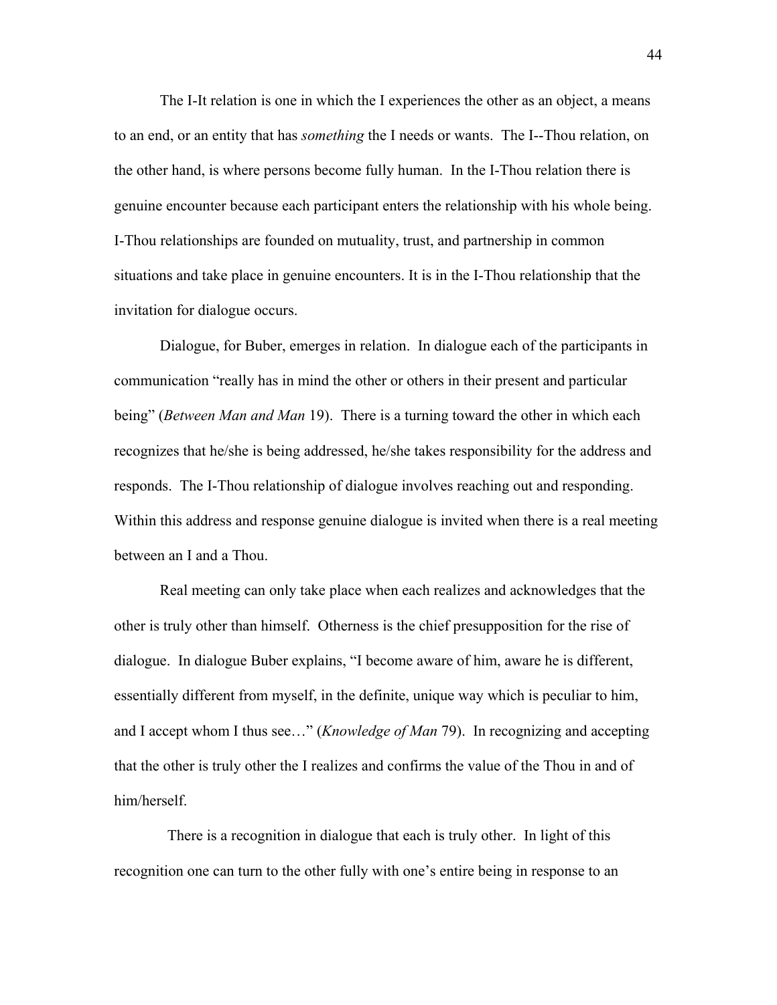The I-It relation is one in which the I experiences the other as an object, a means to an end, or an entity that has *something* the I needs or wants. The I--Thou relation, on the other hand, is where persons become fully human. In the I-Thou relation there is genuine encounter because each participant enters the relationship with his whole being. I-Thou relationships are founded on mutuality, trust, and partnership in common situations and take place in genuine encounters. It is in the I-Thou relationship that the invitation for dialogue occurs.

Dialogue, for Buber, emerges in relation. In dialogue each of the participants in communication "really has in mind the other or others in their present and particular being" (*Between Man and Man* 19). There is a turning toward the other in which each recognizes that he/she is being addressed, he/she takes responsibility for the address and responds. The I-Thou relationship of dialogue involves reaching out and responding. Within this address and response genuine dialogue is invited when there is a real meeting between an I and a Thou.

Real meeting can only take place when each realizes and acknowledges that the other is truly other than himself. Otherness is the chief presupposition for the rise of dialogue. In dialogue Buber explains, "I become aware of him, aware he is different, essentially different from myself, in the definite, unique way which is peculiar to him, and I accept whom I thus see…" (*Knowledge of Man* 79). In recognizing and accepting that the other is truly other the I realizes and confirms the value of the Thou in and of him/herself.

 There is a recognition in dialogue that each is truly other. In light of this recognition one can turn to the other fully with one's entire being in response to an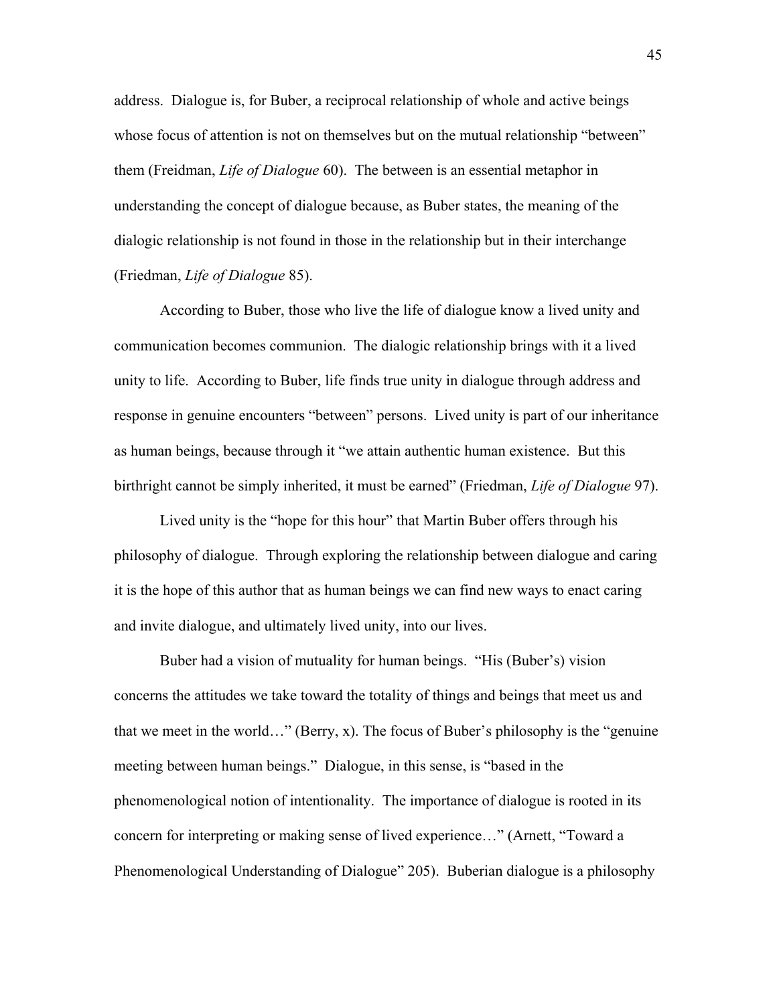address. Dialogue is, for Buber, a reciprocal relationship of whole and active beings whose focus of attention is not on themselves but on the mutual relationship "between" them (Freidman, *Life of Dialogue* 60). The between is an essential metaphor in understanding the concept of dialogue because, as Buber states, the meaning of the dialogic relationship is not found in those in the relationship but in their interchange (Friedman, *Life of Dialogue* 85).

According to Buber, those who live the life of dialogue know a lived unity and communication becomes communion. The dialogic relationship brings with it a lived unity to life. According to Buber, life finds true unity in dialogue through address and response in genuine encounters "between" persons. Lived unity is part of our inheritance as human beings, because through it "we attain authentic human existence. But this birthright cannot be simply inherited, it must be earned" (Friedman, *Life of Dialogue* 97).

Lived unity is the "hope for this hour" that Martin Buber offers through his philosophy of dialogue. Through exploring the relationship between dialogue and caring it is the hope of this author that as human beings we can find new ways to enact caring and invite dialogue, and ultimately lived unity, into our lives.

Buber had a vision of mutuality for human beings. "His (Buber's) vision concerns the attitudes we take toward the totality of things and beings that meet us and that we meet in the world…" (Berry, x). The focus of Buber's philosophy is the "genuine meeting between human beings." Dialogue, in this sense, is "based in the phenomenological notion of intentionality. The importance of dialogue is rooted in its concern for interpreting or making sense of lived experience…" (Arnett, "Toward a Phenomenological Understanding of Dialogue" 205). Buberian dialogue is a philosophy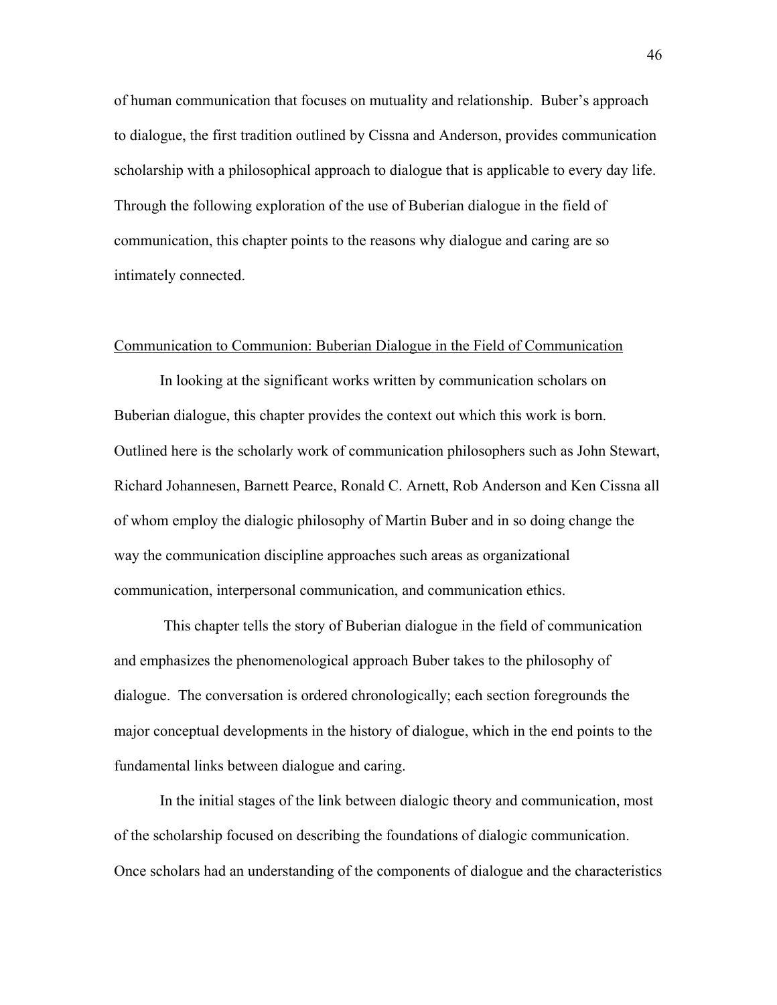of human communication that focuses on mutuality and relationship. Buber's approach to dialogue, the first tradition outlined by Cissna and Anderson, provides communication scholarship with a philosophical approach to dialogue that is applicable to every day life. Through the following exploration of the use of Buberian dialogue in the field of communication, this chapter points to the reasons why dialogue and caring are so intimately connected.

#### Communication to Communion: Buberian Dialogue in the Field of Communication

In looking at the significant works written by communication scholars on Buberian dialogue, this chapter provides the context out which this work is born. Outlined here is the scholarly work of communication philosophers such as John Stewart, Richard Johannesen, Barnett Pearce, Ronald C. Arnett, Rob Anderson and Ken Cissna all of whom employ the dialogic philosophy of Martin Buber and in so doing change the way the communication discipline approaches such areas as organizational communication, interpersonal communication, and communication ethics.

 This chapter tells the story of Buberian dialogue in the field of communication and emphasizes the phenomenological approach Buber takes to the philosophy of dialogue. The conversation is ordered chronologically; each section foregrounds the major conceptual developments in the history of dialogue, which in the end points to the fundamental links between dialogue and caring.

In the initial stages of the link between dialogic theory and communication, most of the scholarship focused on describing the foundations of dialogic communication. Once scholars had an understanding of the components of dialogue and the characteristics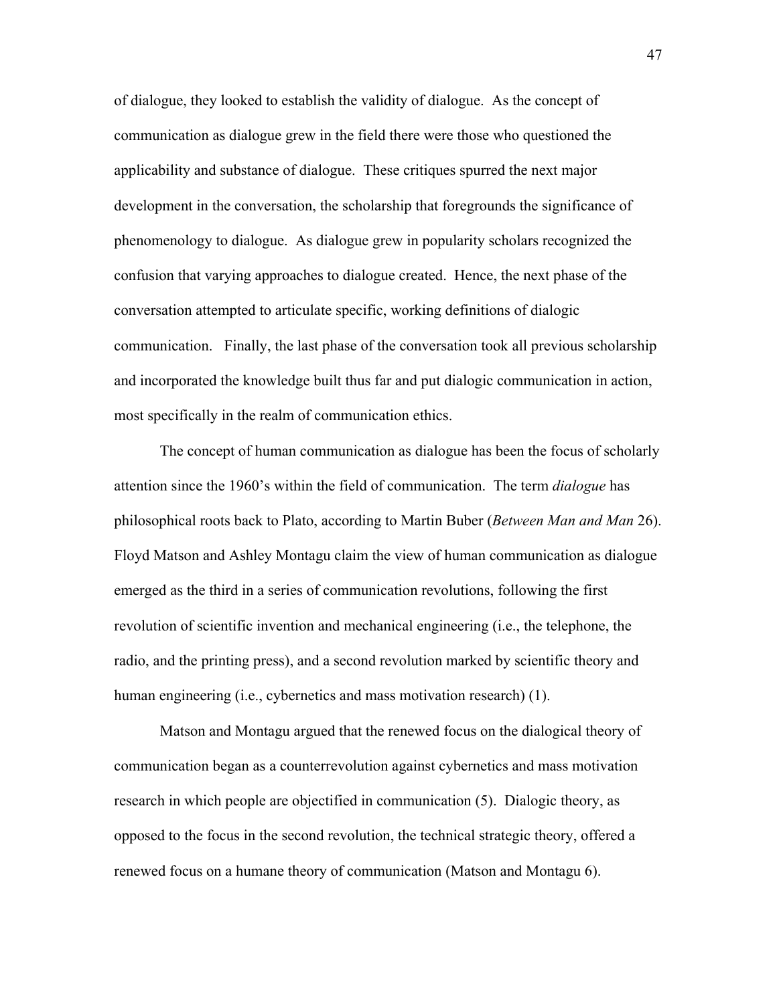of dialogue, they looked to establish the validity of dialogue. As the concept of communication as dialogue grew in the field there were those who questioned the applicability and substance of dialogue. These critiques spurred the next major development in the conversation, the scholarship that foregrounds the significance of phenomenology to dialogue. As dialogue grew in popularity scholars recognized the confusion that varying approaches to dialogue created. Hence, the next phase of the conversation attempted to articulate specific, working definitions of dialogic communication. Finally, the last phase of the conversation took all previous scholarship and incorporated the knowledge built thus far and put dialogic communication in action, most specifically in the realm of communication ethics.

The concept of human communication as dialogue has been the focus of scholarly attention since the 1960's within the field of communication. The term *dialogue* has philosophical roots back to Plato, according to Martin Buber (*Between Man and Man* 26). Floyd Matson and Ashley Montagu claim the view of human communication as dialogue emerged as the third in a series of communication revolutions, following the first revolution of scientific invention and mechanical engineering (i.e., the telephone, the radio, and the printing press), and a second revolution marked by scientific theory and human engineering (i.e., cybernetics and mass motivation research) (1).

Matson and Montagu argued that the renewed focus on the dialogical theory of communication began as a counterrevolution against cybernetics and mass motivation research in which people are objectified in communication (5). Dialogic theory, as opposed to the focus in the second revolution, the technical strategic theory, offered a renewed focus on a humane theory of communication (Matson and Montagu 6).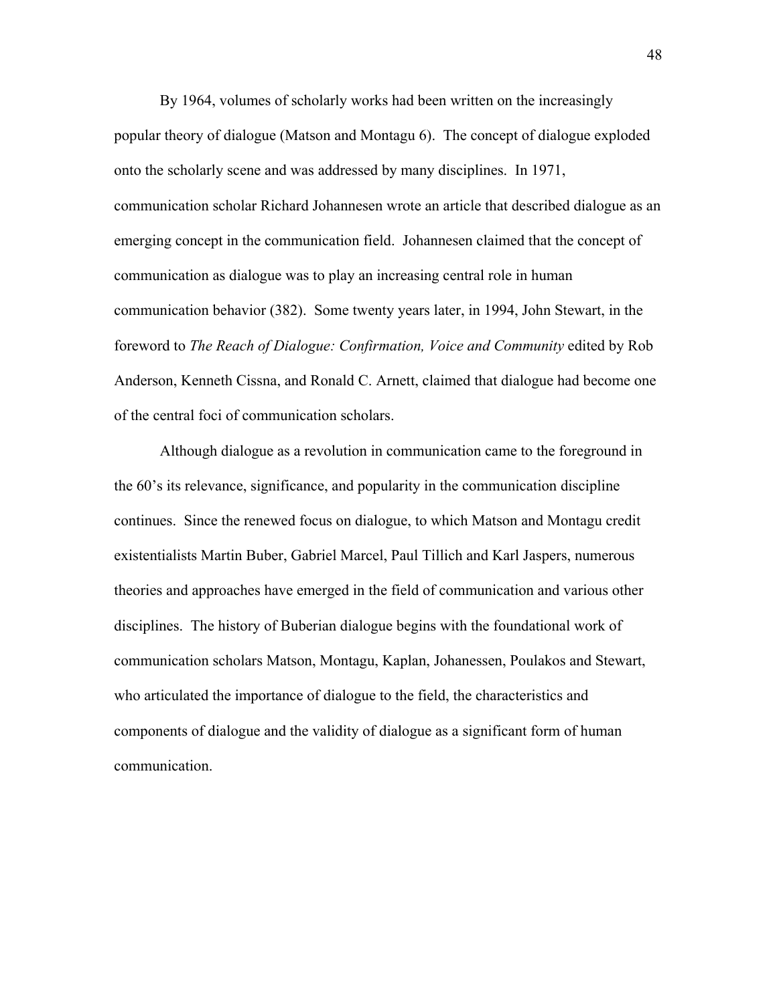By 1964, volumes of scholarly works had been written on the increasingly popular theory of dialogue (Matson and Montagu 6). The concept of dialogue exploded onto the scholarly scene and was addressed by many disciplines. In 1971, communication scholar Richard Johannesen wrote an article that described dialogue as an emerging concept in the communication field. Johannesen claimed that the concept of communication as dialogue was to play an increasing central role in human communication behavior (382). Some twenty years later, in 1994, John Stewart, in the foreword to *The Reach of Dialogue: Confirmation, Voice and Community* edited by Rob Anderson, Kenneth Cissna, and Ronald C. Arnett, claimed that dialogue had become one of the central foci of communication scholars.

Although dialogue as a revolution in communication came to the foreground in the 60's its relevance, significance, and popularity in the communication discipline continues. Since the renewed focus on dialogue, to which Matson and Montagu credit existentialists Martin Buber, Gabriel Marcel, Paul Tillich and Karl Jaspers, numerous theories and approaches have emerged in the field of communication and various other disciplines. The history of Buberian dialogue begins with the foundational work of communication scholars Matson, Montagu, Kaplan, Johanessen, Poulakos and Stewart, who articulated the importance of dialogue to the field, the characteristics and components of dialogue and the validity of dialogue as a significant form of human communication.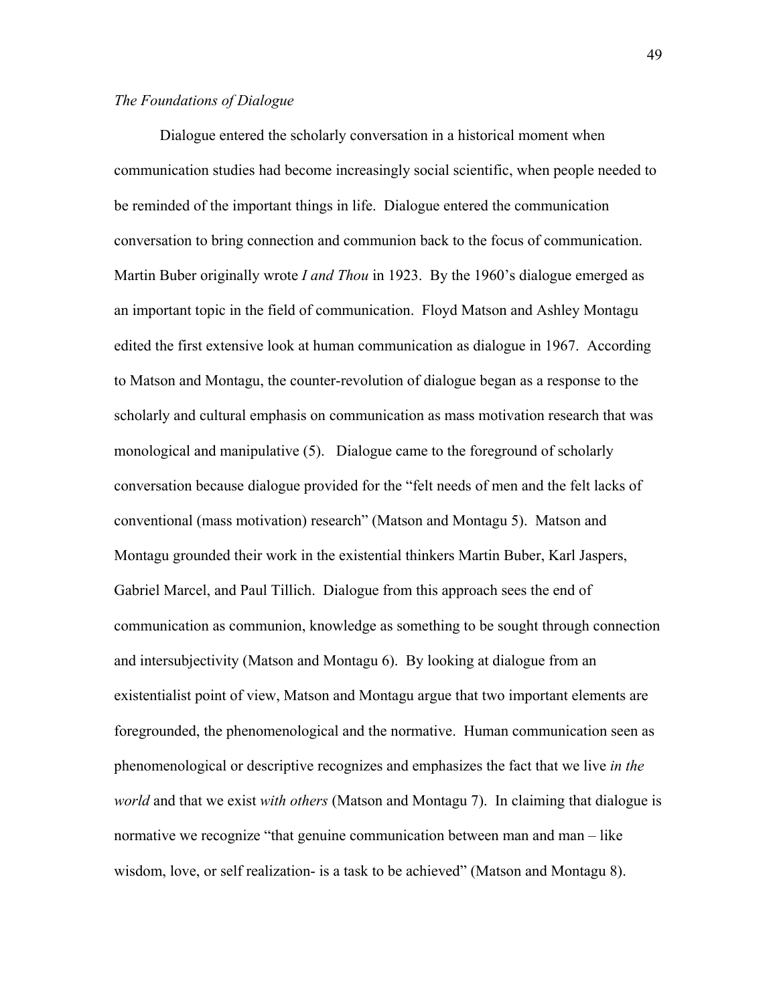## *The Foundations of Dialogue*

 Dialogue entered the scholarly conversation in a historical moment when communication studies had become increasingly social scientific, when people needed to be reminded of the important things in life. Dialogue entered the communication conversation to bring connection and communion back to the focus of communication. Martin Buber originally wrote *I and Thou* in 1923. By the 1960's dialogue emerged as an important topic in the field of communication. Floyd Matson and Ashley Montagu edited the first extensive look at human communication as dialogue in 1967. According to Matson and Montagu, the counter-revolution of dialogue began as a response to the scholarly and cultural emphasis on communication as mass motivation research that was monological and manipulative (5). Dialogue came to the foreground of scholarly conversation because dialogue provided for the "felt needs of men and the felt lacks of conventional (mass motivation) research" (Matson and Montagu 5). Matson and Montagu grounded their work in the existential thinkers Martin Buber, Karl Jaspers, Gabriel Marcel, and Paul Tillich. Dialogue from this approach sees the end of communication as communion, knowledge as something to be sought through connection and intersubjectivity (Matson and Montagu 6). By looking at dialogue from an existentialist point of view, Matson and Montagu argue that two important elements are foregrounded, the phenomenological and the normative. Human communication seen as phenomenological or descriptive recognizes and emphasizes the fact that we live *in the world* and that we exist *with others* (Matson and Montagu 7). In claiming that dialogue is normative we recognize "that genuine communication between man and man – like wisdom, love, or self realization- is a task to be achieved" (Matson and Montagu 8).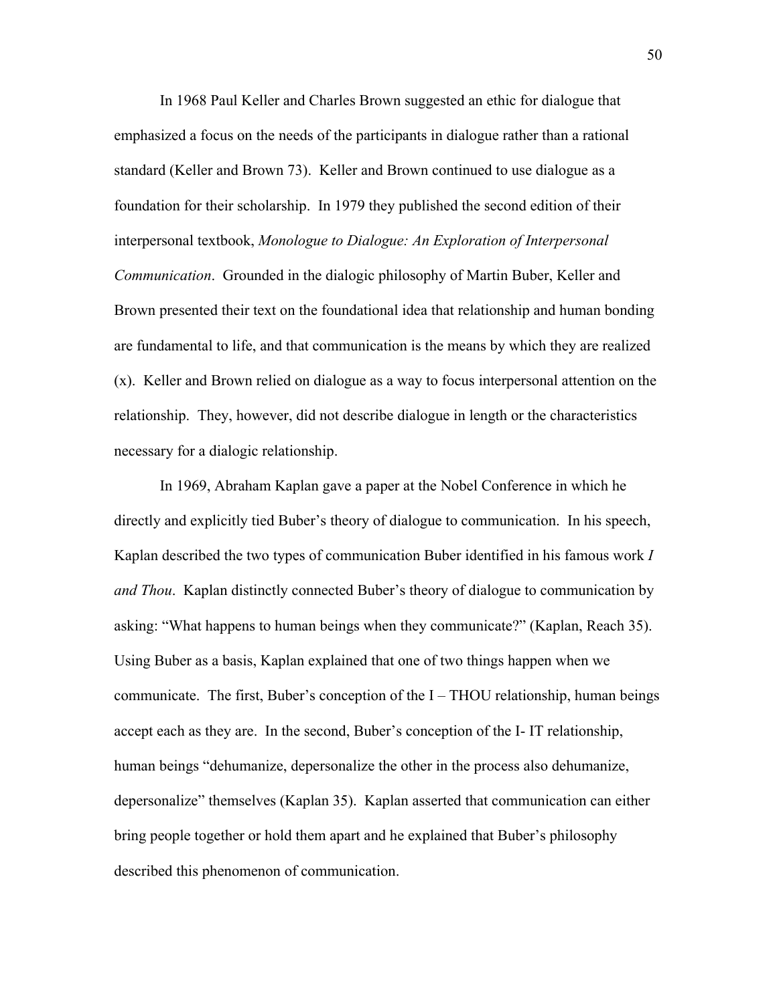In 1968 Paul Keller and Charles Brown suggested an ethic for dialogue that emphasized a focus on the needs of the participants in dialogue rather than a rational standard (Keller and Brown 73). Keller and Brown continued to use dialogue as a foundation for their scholarship. In 1979 they published the second edition of their interpersonal textbook, *Monologue to Dialogue: An Exploration of Interpersonal Communication*. Grounded in the dialogic philosophy of Martin Buber, Keller and Brown presented their text on the foundational idea that relationship and human bonding are fundamental to life, and that communication is the means by which they are realized (x). Keller and Brown relied on dialogue as a way to focus interpersonal attention on the relationship. They, however, did not describe dialogue in length or the characteristics necessary for a dialogic relationship.

In 1969, Abraham Kaplan gave a paper at the Nobel Conference in which he directly and explicitly tied Buber's theory of dialogue to communication. In his speech, Kaplan described the two types of communication Buber identified in his famous work *I and Thou*. Kaplan distinctly connected Buber's theory of dialogue to communication by asking: "What happens to human beings when they communicate?" (Kaplan, Reach 35). Using Buber as a basis, Kaplan explained that one of two things happen when we communicate. The first, Buber's conception of the I – THOU relationship, human beings accept each as they are. In the second, Buber's conception of the I- IT relationship, human beings "dehumanize, depersonalize the other in the process also dehumanize, depersonalize" themselves (Kaplan 35). Kaplan asserted that communication can either bring people together or hold them apart and he explained that Buber's philosophy described this phenomenon of communication.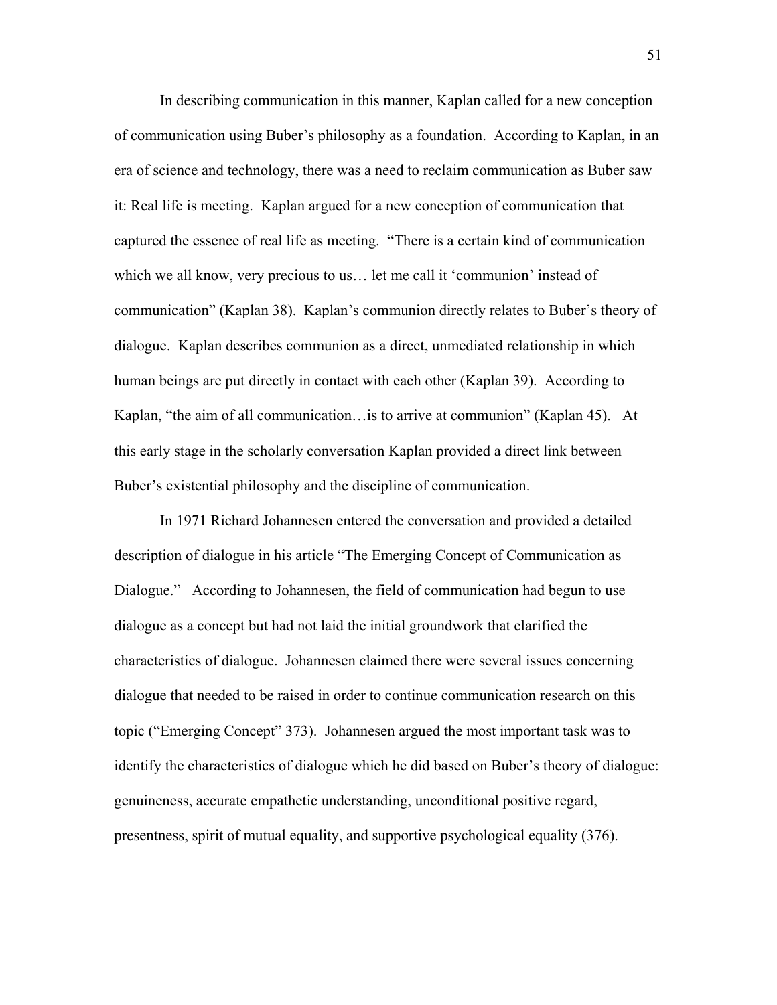In describing communication in this manner, Kaplan called for a new conception of communication using Buber's philosophy as a foundation. According to Kaplan, in an era of science and technology, there was a need to reclaim communication as Buber saw it: Real life is meeting. Kaplan argued for a new conception of communication that captured the essence of real life as meeting. "There is a certain kind of communication which we all know, very precious to us... let me call it 'communion' instead of communication" (Kaplan 38). Kaplan's communion directly relates to Buber's theory of dialogue. Kaplan describes communion as a direct, unmediated relationship in which human beings are put directly in contact with each other (Kaplan 39). According to Kaplan, "the aim of all communication…is to arrive at communion" (Kaplan 45). At this early stage in the scholarly conversation Kaplan provided a direct link between Buber's existential philosophy and the discipline of communication.

In 1971 Richard Johannesen entered the conversation and provided a detailed description of dialogue in his article "The Emerging Concept of Communication as Dialogue." According to Johannesen, the field of communication had begun to use dialogue as a concept but had not laid the initial groundwork that clarified the characteristics of dialogue. Johannesen claimed there were several issues concerning dialogue that needed to be raised in order to continue communication research on this topic ("Emerging Concept" 373). Johannesen argued the most important task was to identify the characteristics of dialogue which he did based on Buber's theory of dialogue: genuineness, accurate empathetic understanding, unconditional positive regard, presentness, spirit of mutual equality, and supportive psychological equality (376).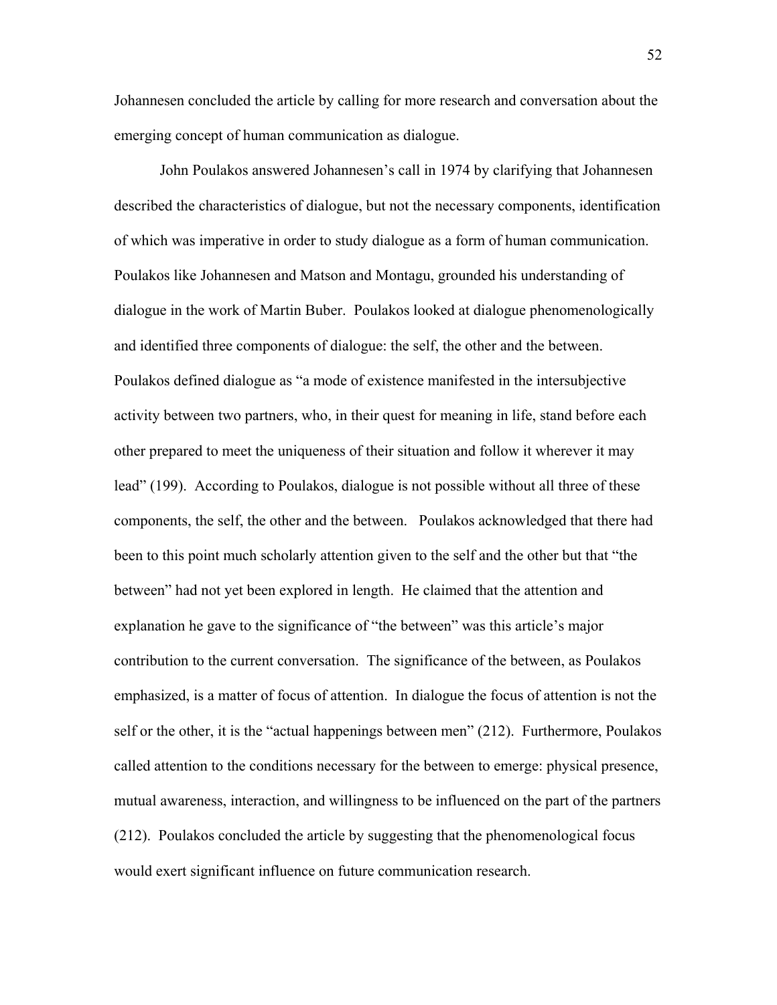Johannesen concluded the article by calling for more research and conversation about the emerging concept of human communication as dialogue.

John Poulakos answered Johannesen's call in 1974 by clarifying that Johannesen described the characteristics of dialogue, but not the necessary components, identification of which was imperative in order to study dialogue as a form of human communication. Poulakos like Johannesen and Matson and Montagu, grounded his understanding of dialogue in the work of Martin Buber. Poulakos looked at dialogue phenomenologically and identified three components of dialogue: the self, the other and the between. Poulakos defined dialogue as "a mode of existence manifested in the intersubjective activity between two partners, who, in their quest for meaning in life, stand before each other prepared to meet the uniqueness of their situation and follow it wherever it may lead" (199). According to Poulakos, dialogue is not possible without all three of these components, the self, the other and the between. Poulakos acknowledged that there had been to this point much scholarly attention given to the self and the other but that "the between" had not yet been explored in length. He claimed that the attention and explanation he gave to the significance of "the between" was this article's major contribution to the current conversation. The significance of the between, as Poulakos emphasized, is a matter of focus of attention. In dialogue the focus of attention is not the self or the other, it is the "actual happenings between men" (212). Furthermore, Poulakos called attention to the conditions necessary for the between to emerge: physical presence, mutual awareness, interaction, and willingness to be influenced on the part of the partners (212). Poulakos concluded the article by suggesting that the phenomenological focus would exert significant influence on future communication research.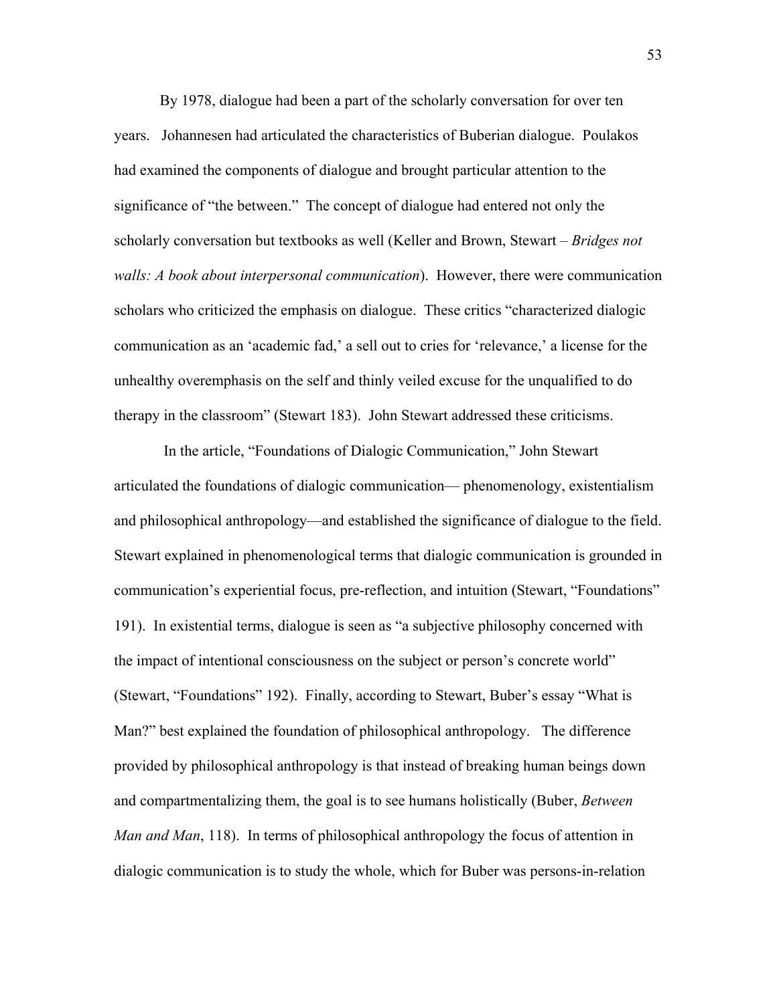By 1978, dialogue had been a part of the scholarly conversation for over ten years. Johannesen had articulated the characteristics of Buberian dialogue. Poulakos had examined the components of dialogue and brought particular attention to the significance of "the between." The concept of dialogue had entered not only the scholarly conversation but textbooks as well (Keller and Brown, Stewart – *Bridges not walls: A book about interpersonal communication*). However, there were communication scholars who criticized the emphasis on dialogue. These critics "characterized dialogic communication as an 'academic fad,' a sell out to cries for 'relevance,' a license for the unhealthy overemphasis on the self and thinly veiled excuse for the unqualified to do therapy in the classroom" (Stewart 183). John Stewart addressed these criticisms.

 In the article, "Foundations of Dialogic Communication," John Stewart articulated the foundations of dialogic communication— phenomenology, existentialism and philosophical anthropology—and established the significance of dialogue to the field. Stewart explained in phenomenological terms that dialogic communication is grounded in communication's experiential focus, pre-reflection, and intuition (Stewart, "Foundations" 191). In existential terms, dialogue is seen as "a subjective philosophy concerned with the impact of intentional consciousness on the subject or person's concrete world" (Stewart, "Foundations" 192). Finally, according to Stewart, Buber's essay "What is Man?" best explained the foundation of philosophical anthropology. The difference provided by philosophical anthropology is that instead of breaking human beings down and compartmentalizing them, the goal is to see humans holistically (Buber, *Between Man and Man*, 118). In terms of philosophical anthropology the focus of attention in dialogic communication is to study the whole, which for Buber was persons-in-relation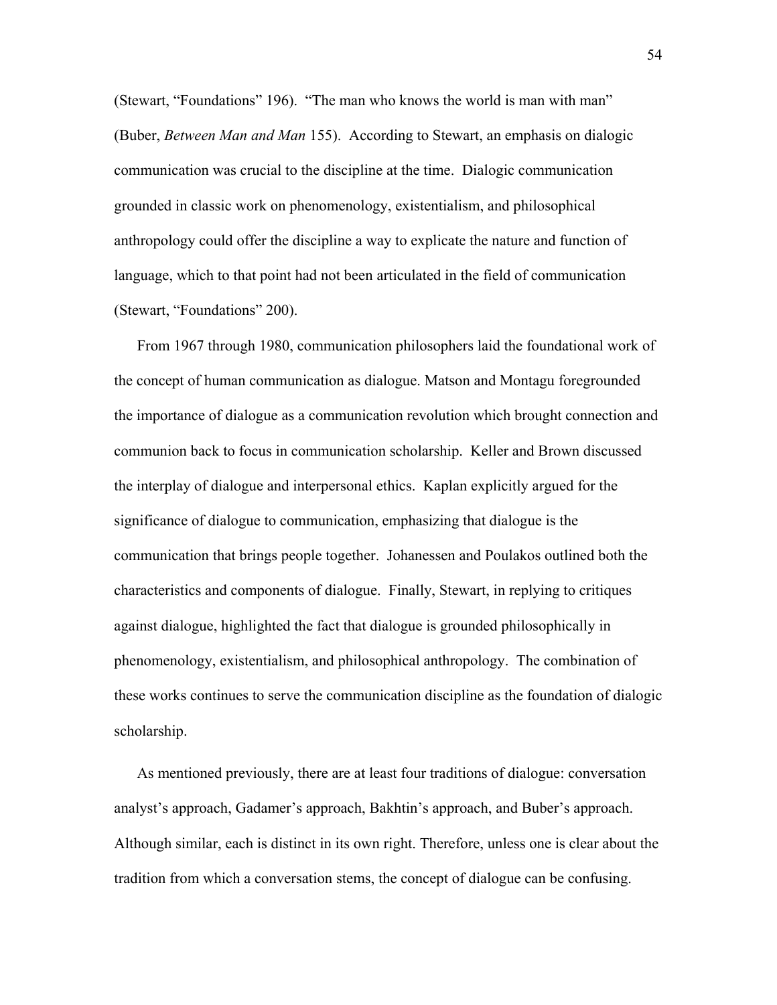(Stewart, "Foundations" 196). "The man who knows the world is man with man" (Buber, *Between Man and Man* 155). According to Stewart, an emphasis on dialogic communication was crucial to the discipline at the time. Dialogic communication grounded in classic work on phenomenology, existentialism, and philosophical anthropology could offer the discipline a way to explicate the nature and function of language, which to that point had not been articulated in the field of communication (Stewart, "Foundations" 200).

From 1967 through 1980, communication philosophers laid the foundational work of the concept of human communication as dialogue. Matson and Montagu foregrounded the importance of dialogue as a communication revolution which brought connection and communion back to focus in communication scholarship. Keller and Brown discussed the interplay of dialogue and interpersonal ethics. Kaplan explicitly argued for the significance of dialogue to communication, emphasizing that dialogue is the communication that brings people together. Johanessen and Poulakos outlined both the characteristics and components of dialogue. Finally, Stewart, in replying to critiques against dialogue, highlighted the fact that dialogue is grounded philosophically in phenomenology, existentialism, and philosophical anthropology. The combination of these works continues to serve the communication discipline as the foundation of dialogic scholarship.

As mentioned previously, there are at least four traditions of dialogue: conversation analyst's approach, Gadamer's approach, Bakhtin's approach, and Buber's approach. Although similar, each is distinct in its own right. Therefore, unless one is clear about the tradition from which a conversation stems, the concept of dialogue can be confusing.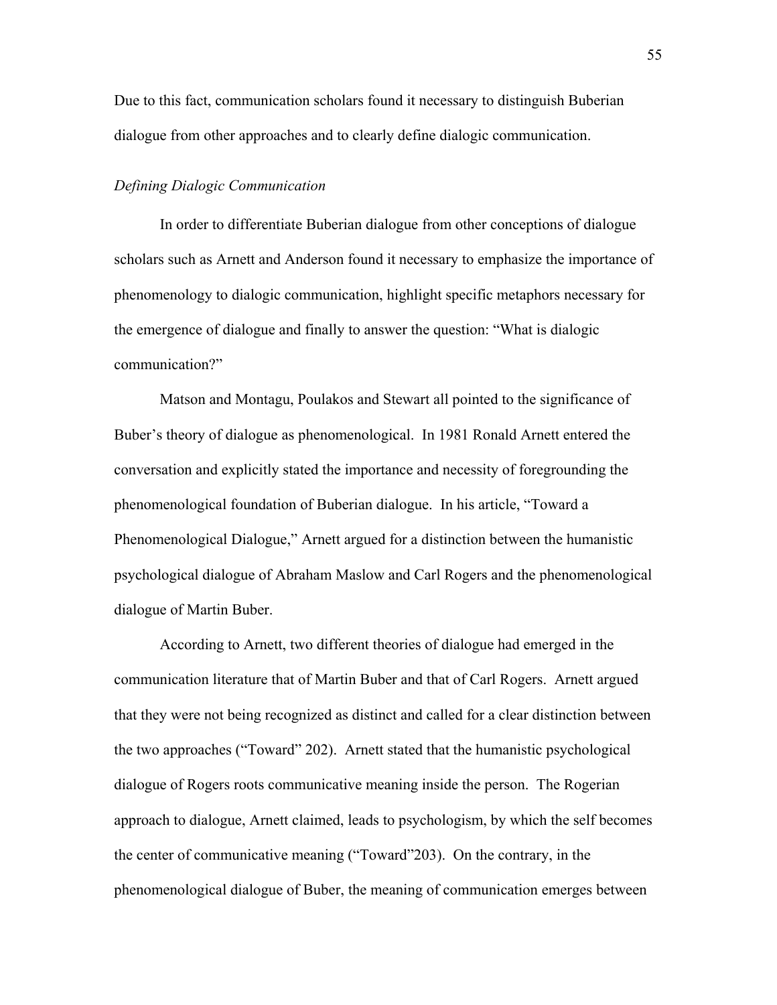Due to this fact, communication scholars found it necessary to distinguish Buberian dialogue from other approaches and to clearly define dialogic communication.

## *Defining Dialogic Communication*

In order to differentiate Buberian dialogue from other conceptions of dialogue scholars such as Arnett and Anderson found it necessary to emphasize the importance of phenomenology to dialogic communication, highlight specific metaphors necessary for the emergence of dialogue and finally to answer the question: "What is dialogic communication?"

Matson and Montagu, Poulakos and Stewart all pointed to the significance of Buber's theory of dialogue as phenomenological. In 1981 Ronald Arnett entered the conversation and explicitly stated the importance and necessity of foregrounding the phenomenological foundation of Buberian dialogue. In his article, "Toward a Phenomenological Dialogue," Arnett argued for a distinction between the humanistic psychological dialogue of Abraham Maslow and Carl Rogers and the phenomenological dialogue of Martin Buber.

According to Arnett, two different theories of dialogue had emerged in the communication literature that of Martin Buber and that of Carl Rogers. Arnett argued that they were not being recognized as distinct and called for a clear distinction between the two approaches ("Toward" 202). Arnett stated that the humanistic psychological dialogue of Rogers roots communicative meaning inside the person. The Rogerian approach to dialogue, Arnett claimed, leads to psychologism, by which the self becomes the center of communicative meaning ("Toward"203). On the contrary, in the phenomenological dialogue of Buber, the meaning of communication emerges between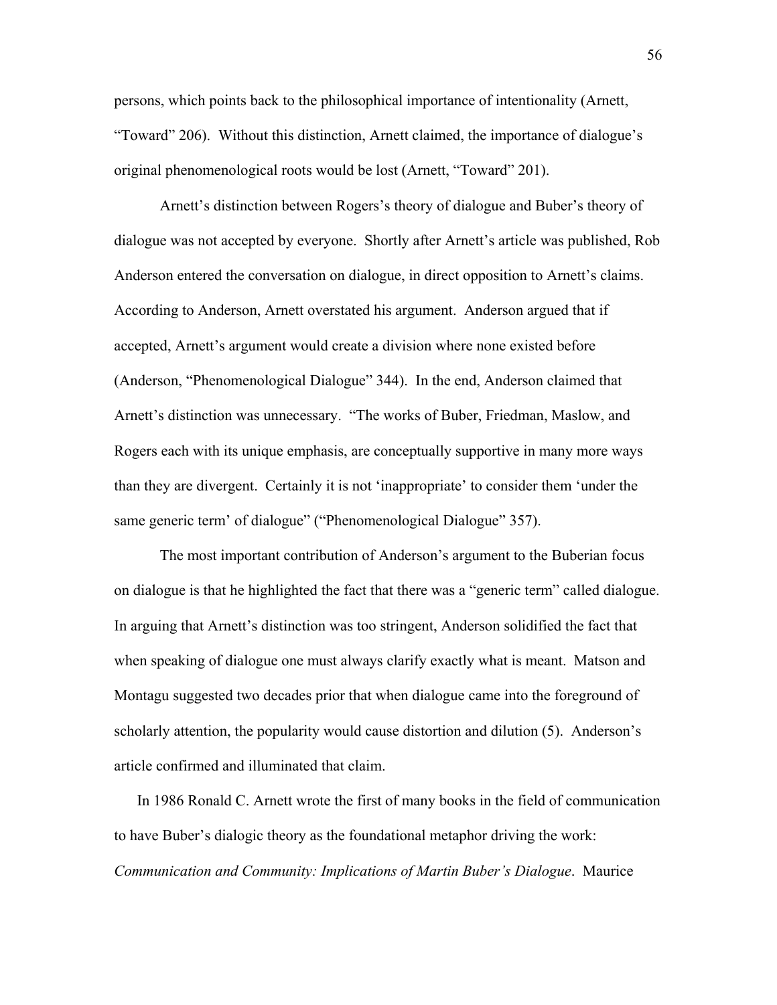persons, which points back to the philosophical importance of intentionality (Arnett, "Toward" 206). Without this distinction, Arnett claimed, the importance of dialogue's original phenomenological roots would be lost (Arnett, "Toward" 201).

Arnett's distinction between Rogers's theory of dialogue and Buber's theory of dialogue was not accepted by everyone. Shortly after Arnett's article was published, Rob Anderson entered the conversation on dialogue, in direct opposition to Arnett's claims. According to Anderson, Arnett overstated his argument. Anderson argued that if accepted, Arnett's argument would create a division where none existed before (Anderson, "Phenomenological Dialogue" 344). In the end, Anderson claimed that Arnett's distinction was unnecessary. "The works of Buber, Friedman, Maslow, and Rogers each with its unique emphasis, are conceptually supportive in many more ways than they are divergent. Certainly it is not 'inappropriate' to consider them 'under the same generic term' of dialogue" ("Phenomenological Dialogue" 357).

The most important contribution of Anderson's argument to the Buberian focus on dialogue is that he highlighted the fact that there was a "generic term" called dialogue. In arguing that Arnett's distinction was too stringent, Anderson solidified the fact that when speaking of dialogue one must always clarify exactly what is meant. Matson and Montagu suggested two decades prior that when dialogue came into the foreground of scholarly attention, the popularity would cause distortion and dilution (5). Anderson's article confirmed and illuminated that claim.

In 1986 Ronald C. Arnett wrote the first of many books in the field of communication to have Buber's dialogic theory as the foundational metaphor driving the work: *Communication and Community: Implications of Martin Buber's Dialogue*. Maurice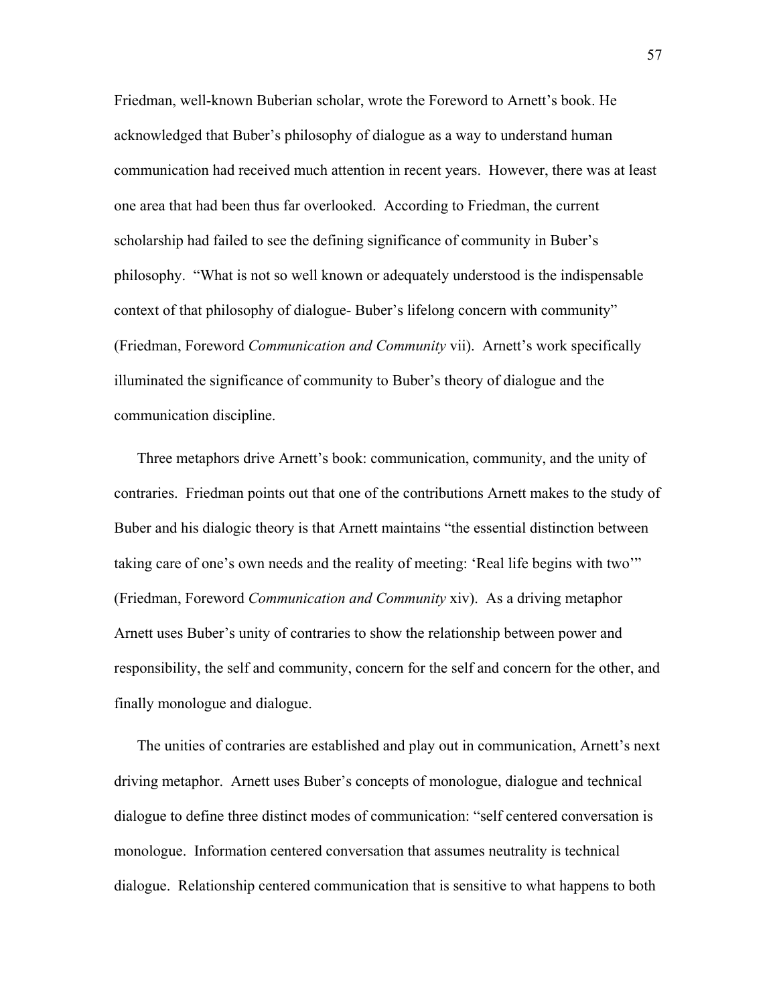Friedman, well-known Buberian scholar, wrote the Foreword to Arnett's book. He acknowledged that Buber's philosophy of dialogue as a way to understand human communication had received much attention in recent years. However, there was at least one area that had been thus far overlooked. According to Friedman, the current scholarship had failed to see the defining significance of community in Buber's philosophy. "What is not so well known or adequately understood is the indispensable context of that philosophy of dialogue- Buber's lifelong concern with community" (Friedman, Foreword *Communication and Community* vii). Arnett's work specifically illuminated the significance of community to Buber's theory of dialogue and the communication discipline.

Three metaphors drive Arnett's book: communication, community, and the unity of contraries. Friedman points out that one of the contributions Arnett makes to the study of Buber and his dialogic theory is that Arnett maintains "the essential distinction between taking care of one's own needs and the reality of meeting: 'Real life begins with two'" (Friedman, Foreword *Communication and Community* xiv). As a driving metaphor Arnett uses Buber's unity of contraries to show the relationship between power and responsibility, the self and community, concern for the self and concern for the other, and finally monologue and dialogue.

The unities of contraries are established and play out in communication, Arnett's next driving metaphor. Arnett uses Buber's concepts of monologue, dialogue and technical dialogue to define three distinct modes of communication: "self centered conversation is monologue. Information centered conversation that assumes neutrality is technical dialogue. Relationship centered communication that is sensitive to what happens to both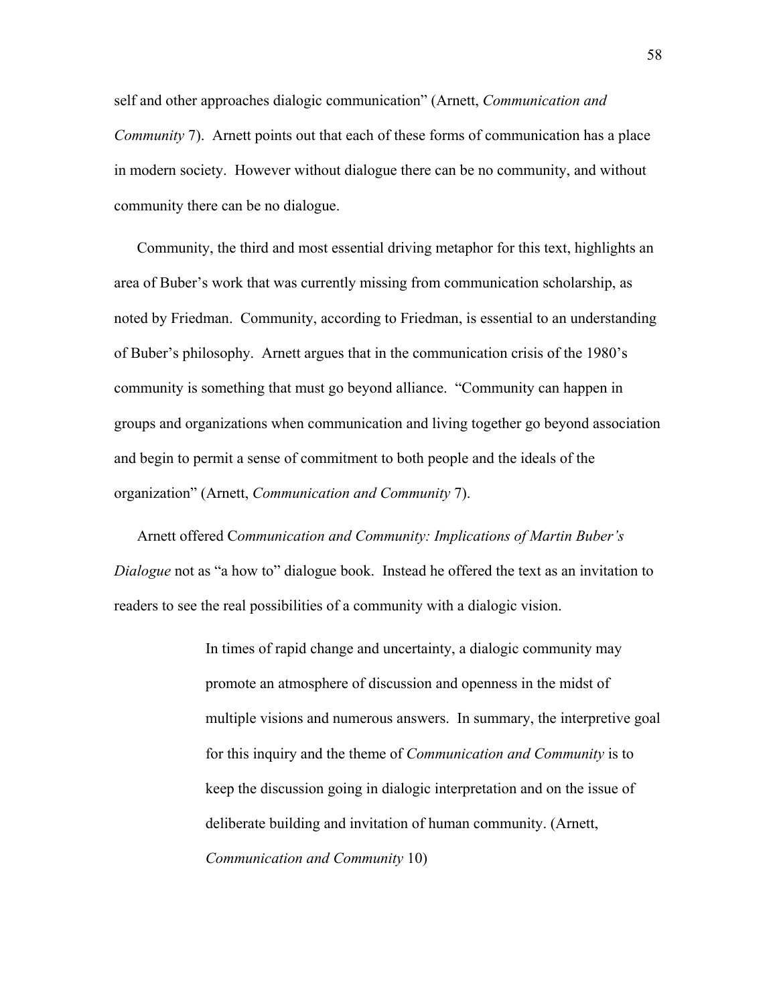self and other approaches dialogic communication" (Arnett, *Communication and Community* 7). Arnett points out that each of these forms of communication has a place in modern society. However without dialogue there can be no community, and without community there can be no dialogue.

Community, the third and most essential driving metaphor for this text, highlights an area of Buber's work that was currently missing from communication scholarship, as noted by Friedman. Community, according to Friedman, is essential to an understanding of Buber's philosophy. Arnett argues that in the communication crisis of the 1980's community is something that must go beyond alliance. "Community can happen in groups and organizations when communication and living together go beyond association and begin to permit a sense of commitment to both people and the ideals of the organization" (Arnett, *Communication and Community* 7).

Arnett offered C*ommunication and Community: Implications of Martin Buber's Dialogue* not as "a how to" dialogue book. Instead he offered the text as an invitation to readers to see the real possibilities of a community with a dialogic vision.

> In times of rapid change and uncertainty, a dialogic community may promote an atmosphere of discussion and openness in the midst of multiple visions and numerous answers. In summary, the interpretive goal for this inquiry and the theme of *Communication and Community* is to keep the discussion going in dialogic interpretation and on the issue of deliberate building and invitation of human community. (Arnett, *Communication and Community* 10)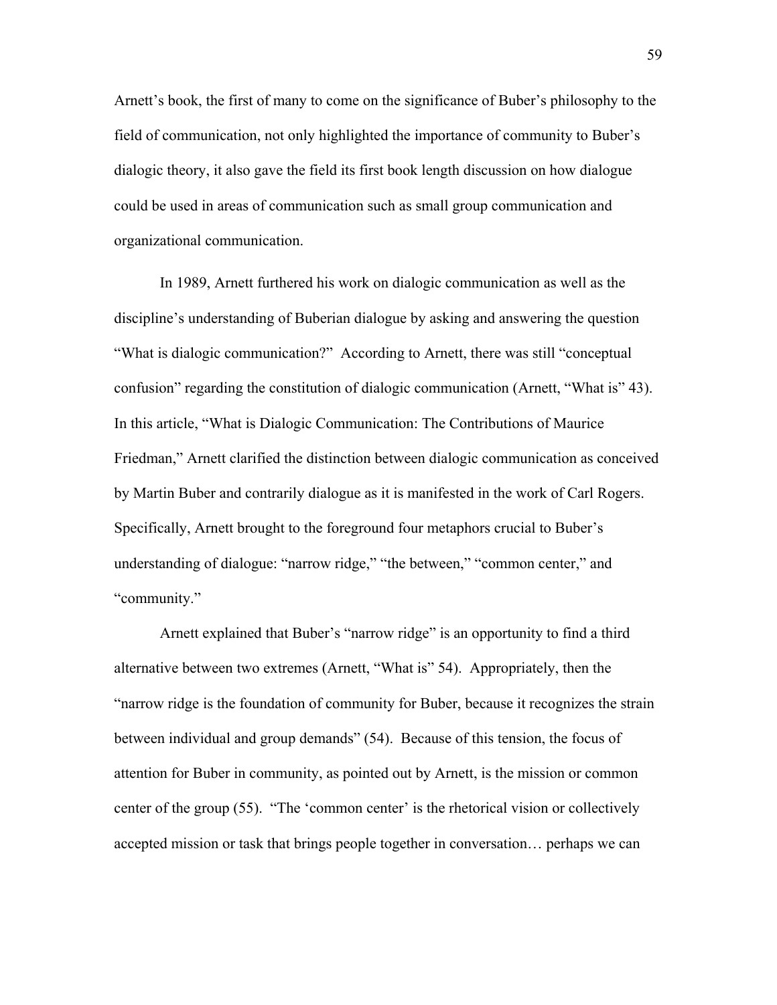Arnett's book, the first of many to come on the significance of Buber's philosophy to the field of communication, not only highlighted the importance of community to Buber's dialogic theory, it also gave the field its first book length discussion on how dialogue could be used in areas of communication such as small group communication and organizational communication.

In 1989, Arnett furthered his work on dialogic communication as well as the discipline's understanding of Buberian dialogue by asking and answering the question "What is dialogic communication?" According to Arnett, there was still "conceptual confusion" regarding the constitution of dialogic communication (Arnett, "What is" 43). In this article, "What is Dialogic Communication: The Contributions of Maurice Friedman," Arnett clarified the distinction between dialogic communication as conceived by Martin Buber and contrarily dialogue as it is manifested in the work of Carl Rogers. Specifically, Arnett brought to the foreground four metaphors crucial to Buber's understanding of dialogue: "narrow ridge," "the between," "common center," and "community."

Arnett explained that Buber's "narrow ridge" is an opportunity to find a third alternative between two extremes (Arnett, "What is" 54). Appropriately, then the "narrow ridge is the foundation of community for Buber, because it recognizes the strain between individual and group demands" (54). Because of this tension, the focus of attention for Buber in community, as pointed out by Arnett, is the mission or common center of the group (55). "The 'common center' is the rhetorical vision or collectively accepted mission or task that brings people together in conversation… perhaps we can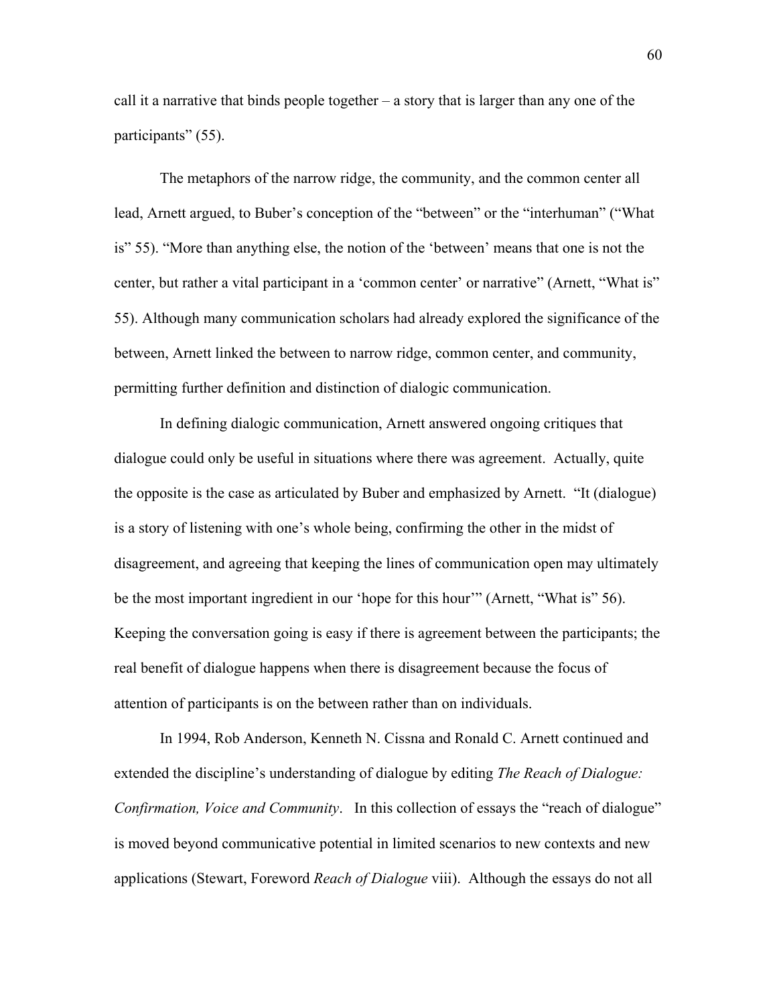call it a narrative that binds people together – a story that is larger than any one of the participants" (55).

The metaphors of the narrow ridge, the community, and the common center all lead, Arnett argued, to Buber's conception of the "between" or the "interhuman" ("What is" 55). "More than anything else, the notion of the 'between' means that one is not the center, but rather a vital participant in a 'common center' or narrative" (Arnett, "What is" 55). Although many communication scholars had already explored the significance of the between, Arnett linked the between to narrow ridge, common center, and community, permitting further definition and distinction of dialogic communication.

In defining dialogic communication, Arnett answered ongoing critiques that dialogue could only be useful in situations where there was agreement. Actually, quite the opposite is the case as articulated by Buber and emphasized by Arnett. "It (dialogue) is a story of listening with one's whole being, confirming the other in the midst of disagreement, and agreeing that keeping the lines of communication open may ultimately be the most important ingredient in our 'hope for this hour'" (Arnett, "What is" 56). Keeping the conversation going is easy if there is agreement between the participants; the real benefit of dialogue happens when there is disagreement because the focus of attention of participants is on the between rather than on individuals.

In 1994, Rob Anderson, Kenneth N. Cissna and Ronald C. Arnett continued and extended the discipline's understanding of dialogue by editing *The Reach of Dialogue: Confirmation, Voice and Community*. In this collection of essays the "reach of dialogue" is moved beyond communicative potential in limited scenarios to new contexts and new applications (Stewart, Foreword *Reach of Dialogue* viii). Although the essays do not all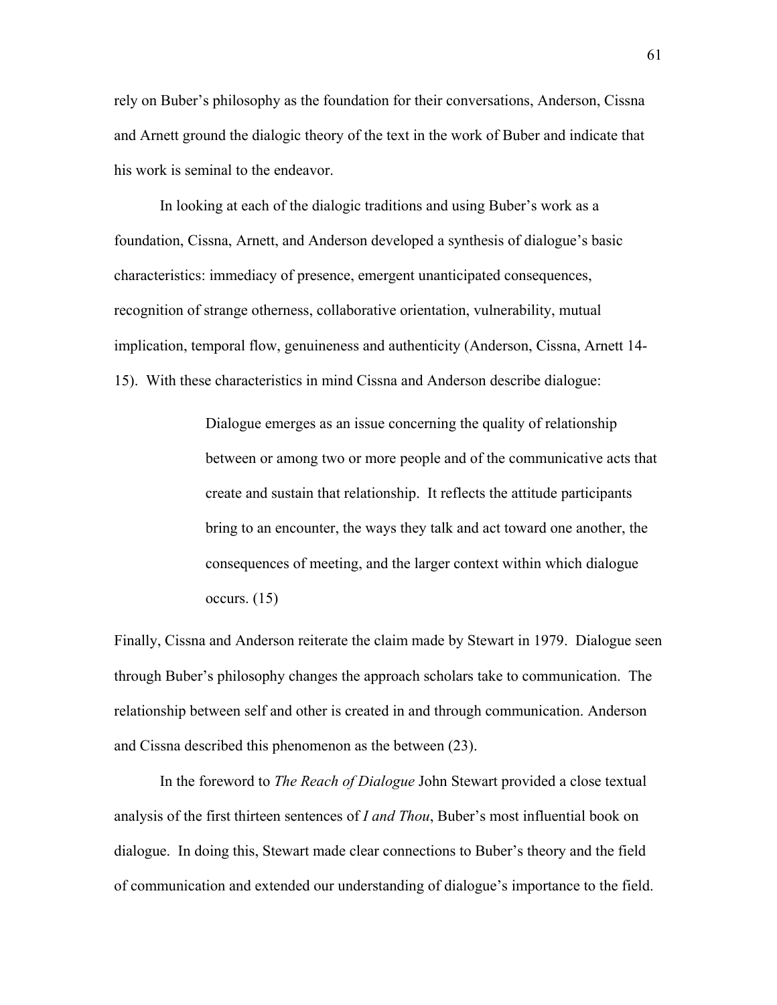rely on Buber's philosophy as the foundation for their conversations, Anderson, Cissna and Arnett ground the dialogic theory of the text in the work of Buber and indicate that his work is seminal to the endeavor.

In looking at each of the dialogic traditions and using Buber's work as a foundation, Cissna, Arnett, and Anderson developed a synthesis of dialogue's basic characteristics: immediacy of presence, emergent unanticipated consequences, recognition of strange otherness, collaborative orientation, vulnerability, mutual implication, temporal flow, genuineness and authenticity (Anderson, Cissna, Arnett 14- 15). With these characteristics in mind Cissna and Anderson describe dialogue:

> Dialogue emerges as an issue concerning the quality of relationship between or among two or more people and of the communicative acts that create and sustain that relationship. It reflects the attitude participants bring to an encounter, the ways they talk and act toward one another, the consequences of meeting, and the larger context within which dialogue occurs.  $(15)$

Finally, Cissna and Anderson reiterate the claim made by Stewart in 1979. Dialogue seen through Buber's philosophy changes the approach scholars take to communication. The relationship between self and other is created in and through communication. Anderson and Cissna described this phenomenon as the between (23).

 In the foreword to *The Reach of Dialogue* John Stewart provided a close textual analysis of the first thirteen sentences of *I and Thou*, Buber's most influential book on dialogue. In doing this, Stewart made clear connections to Buber's theory and the field of communication and extended our understanding of dialogue's importance to the field.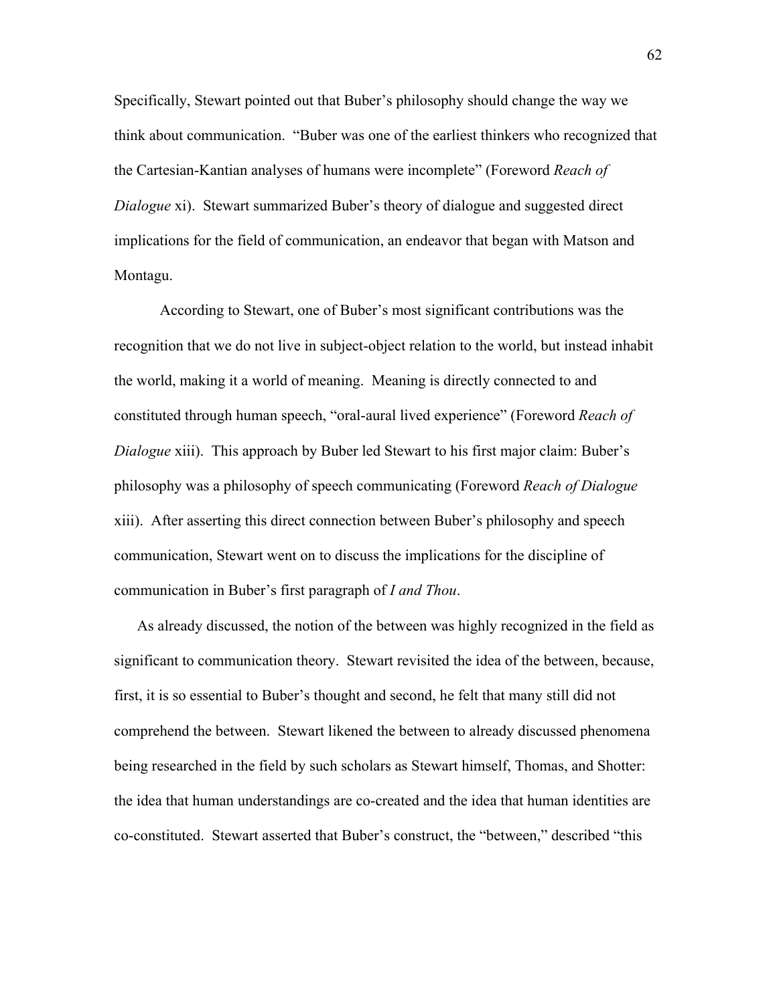Specifically, Stewart pointed out that Buber's philosophy should change the way we think about communication. "Buber was one of the earliest thinkers who recognized that the Cartesian-Kantian analyses of humans were incomplete" (Foreword *Reach of Dialogue* xi). Stewart summarized Buber's theory of dialogue and suggested direct implications for the field of communication, an endeavor that began with Matson and Montagu.

According to Stewart, one of Buber's most significant contributions was the recognition that we do not live in subject-object relation to the world, but instead inhabit the world, making it a world of meaning. Meaning is directly connected to and constituted through human speech, "oral-aural lived experience" (Foreword *Reach of Dialogue* xiii). This approach by Buber led Stewart to his first major claim: Buber's philosophy was a philosophy of speech communicating (Foreword *Reach of Dialogue*  xiii). After asserting this direct connection between Buber's philosophy and speech communication, Stewart went on to discuss the implications for the discipline of communication in Buber's first paragraph of *I and Thou*.

As already discussed, the notion of the between was highly recognized in the field as significant to communication theory. Stewart revisited the idea of the between, because, first, it is so essential to Buber's thought and second, he felt that many still did not comprehend the between. Stewart likened the between to already discussed phenomena being researched in the field by such scholars as Stewart himself, Thomas, and Shotter: the idea that human understandings are co-created and the idea that human identities are co-constituted. Stewart asserted that Buber's construct, the "between," described "this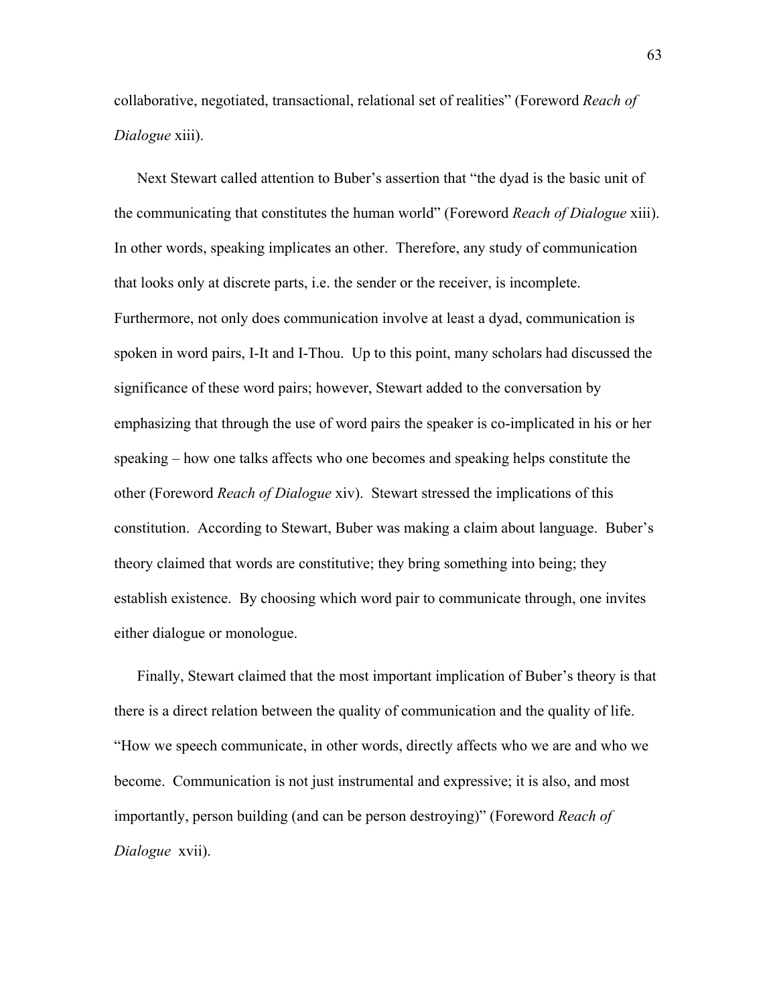collaborative, negotiated, transactional, relational set of realities" (Foreword *Reach of Dialogue* xiii).

Next Stewart called attention to Buber's assertion that "the dyad is the basic unit of the communicating that constitutes the human world" (Foreword *Reach of Dialogue* xiii). In other words, speaking implicates an other. Therefore, any study of communication that looks only at discrete parts, i.e. the sender or the receiver, is incomplete. Furthermore, not only does communication involve at least a dyad, communication is spoken in word pairs, I-It and I-Thou. Up to this point, many scholars had discussed the significance of these word pairs; however, Stewart added to the conversation by emphasizing that through the use of word pairs the speaker is co-implicated in his or her speaking – how one talks affects who one becomes and speaking helps constitute the other (Foreword *Reach of Dialogue* xiv). Stewart stressed the implications of this constitution. According to Stewart, Buber was making a claim about language. Buber's theory claimed that words are constitutive; they bring something into being; they establish existence. By choosing which word pair to communicate through, one invites either dialogue or monologue.

Finally, Stewart claimed that the most important implication of Buber's theory is that there is a direct relation between the quality of communication and the quality of life. "How we speech communicate, in other words, directly affects who we are and who we become. Communication is not just instrumental and expressive; it is also, and most importantly, person building (and can be person destroying)" (Foreword *Reach of Dialogue* xvii).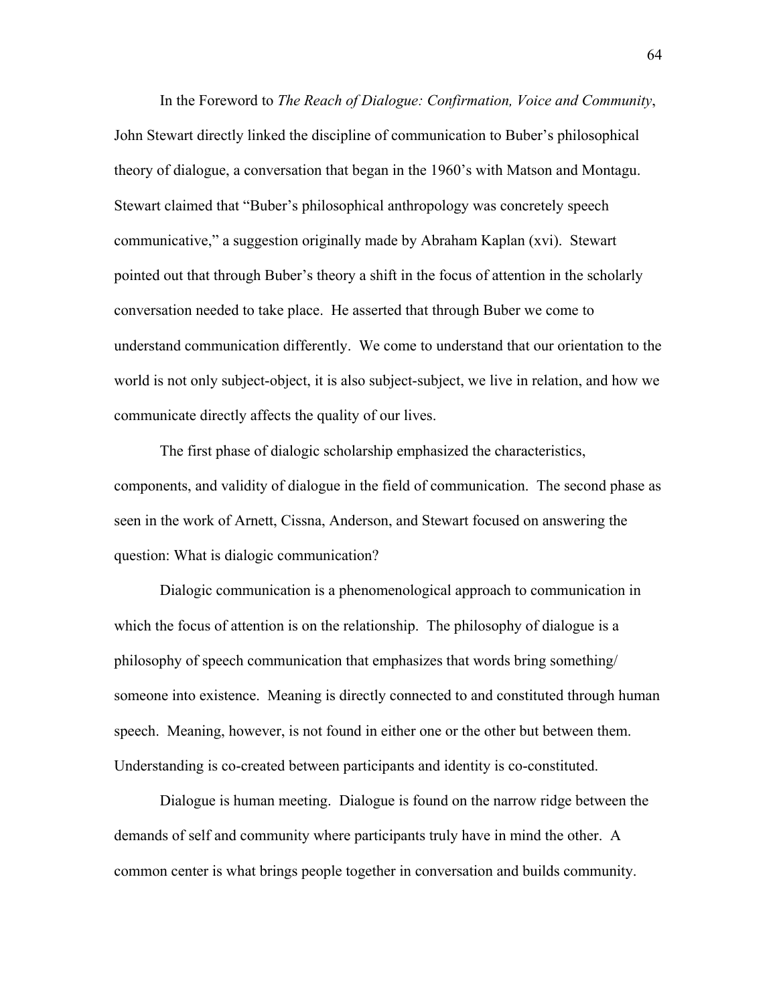In the Foreword to *The Reach of Dialogue: Confirmation, Voice and Community*, John Stewart directly linked the discipline of communication to Buber's philosophical theory of dialogue, a conversation that began in the 1960's with Matson and Montagu. Stewart claimed that "Buber's philosophical anthropology was concretely speech communicative," a suggestion originally made by Abraham Kaplan (xvi). Stewart pointed out that through Buber's theory a shift in the focus of attention in the scholarly conversation needed to take place. He asserted that through Buber we come to understand communication differently. We come to understand that our orientation to the world is not only subject-object, it is also subject-subject, we live in relation, and how we communicate directly affects the quality of our lives.

The first phase of dialogic scholarship emphasized the characteristics, components, and validity of dialogue in the field of communication. The second phase as seen in the work of Arnett, Cissna, Anderson, and Stewart focused on answering the question: What is dialogic communication?

Dialogic communication is a phenomenological approach to communication in which the focus of attention is on the relationship. The philosophy of dialogue is a philosophy of speech communication that emphasizes that words bring something/ someone into existence. Meaning is directly connected to and constituted through human speech. Meaning, however, is not found in either one or the other but between them. Understanding is co-created between participants and identity is co-constituted.

Dialogue is human meeting. Dialogue is found on the narrow ridge between the demands of self and community where participants truly have in mind the other. A common center is what brings people together in conversation and builds community.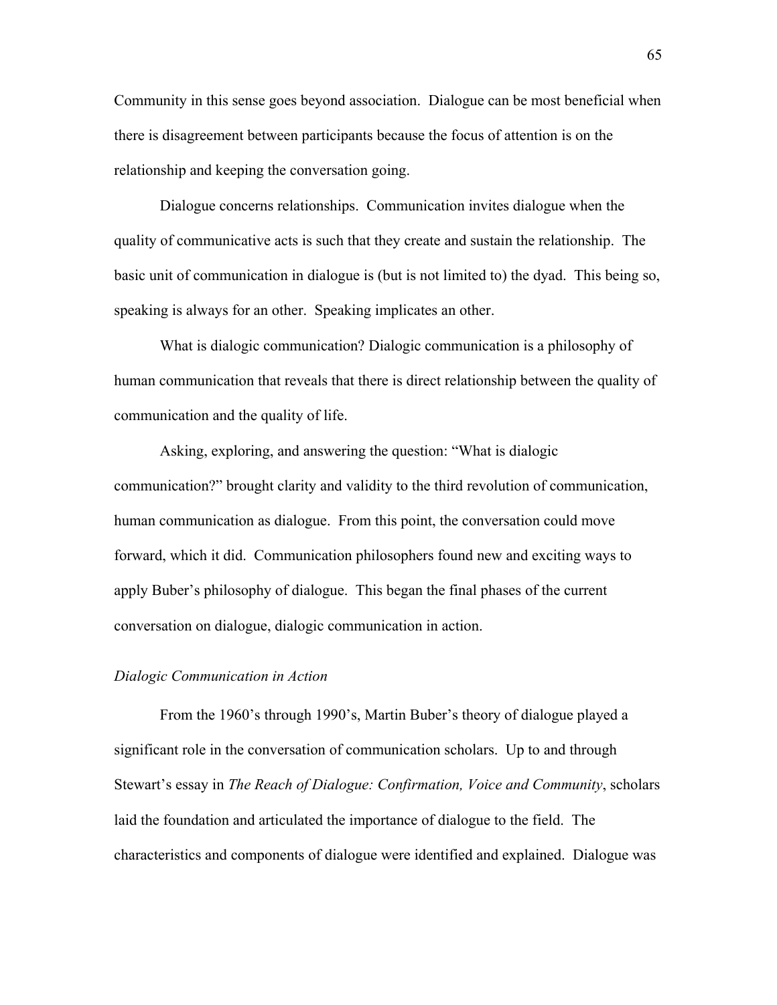Community in this sense goes beyond association. Dialogue can be most beneficial when there is disagreement between participants because the focus of attention is on the relationship and keeping the conversation going.

Dialogue concerns relationships. Communication invites dialogue when the quality of communicative acts is such that they create and sustain the relationship. The basic unit of communication in dialogue is (but is not limited to) the dyad. This being so, speaking is always for an other. Speaking implicates an other.

What is dialogic communication? Dialogic communication is a philosophy of human communication that reveals that there is direct relationship between the quality of communication and the quality of life.

Asking, exploring, and answering the question: "What is dialogic communication?" brought clarity and validity to the third revolution of communication, human communication as dialogue. From this point, the conversation could move forward, which it did. Communication philosophers found new and exciting ways to apply Buber's philosophy of dialogue. This began the final phases of the current conversation on dialogue, dialogic communication in action.

# *Dialogic Communication in Action*

From the 1960's through 1990's, Martin Buber's theory of dialogue played a significant role in the conversation of communication scholars. Up to and through Stewart's essay in *The Reach of Dialogue: Confirmation, Voice and Community*, scholars laid the foundation and articulated the importance of dialogue to the field. The characteristics and components of dialogue were identified and explained. Dialogue was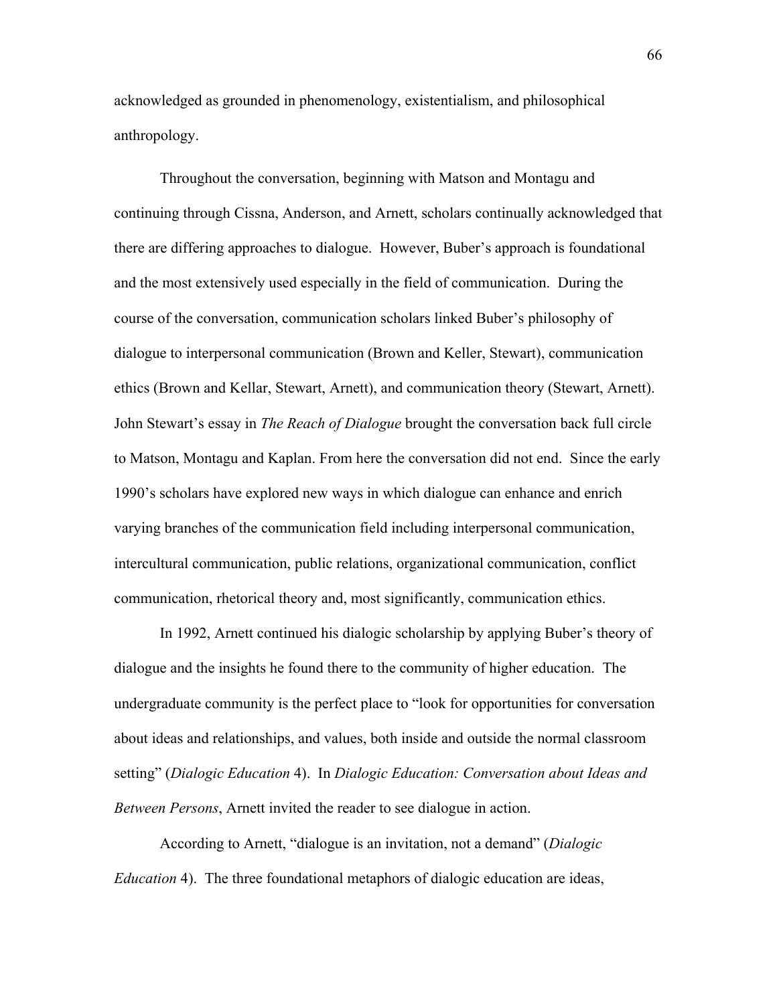acknowledged as grounded in phenomenology, existentialism, and philosophical anthropology.

Throughout the conversation, beginning with Matson and Montagu and continuing through Cissna, Anderson, and Arnett, scholars continually acknowledged that there are differing approaches to dialogue. However, Buber's approach is foundational and the most extensively used especially in the field of communication. During the course of the conversation, communication scholars linked Buber's philosophy of dialogue to interpersonal communication (Brown and Keller, Stewart), communication ethics (Brown and Kellar, Stewart, Arnett), and communication theory (Stewart, Arnett). John Stewart's essay in *The Reach of Dialogue* brought the conversation back full circle to Matson, Montagu and Kaplan. From here the conversation did not end. Since the early 1990's scholars have explored new ways in which dialogue can enhance and enrich varying branches of the communication field including interpersonal communication, intercultural communication, public relations, organizational communication, conflict communication, rhetorical theory and, most significantly, communication ethics.

In 1992, Arnett continued his dialogic scholarship by applying Buber's theory of dialogue and the insights he found there to the community of higher education. The undergraduate community is the perfect place to "look for opportunities for conversation about ideas and relationships, and values, both inside and outside the normal classroom setting" (*Dialogic Education* 4). In *Dialogic Education: Conversation about Ideas and Between Persons*, Arnett invited the reader to see dialogue in action.

According to Arnett, "dialogue is an invitation, not a demand" (*Dialogic Education* 4). The three foundational metaphors of dialogic education are ideas,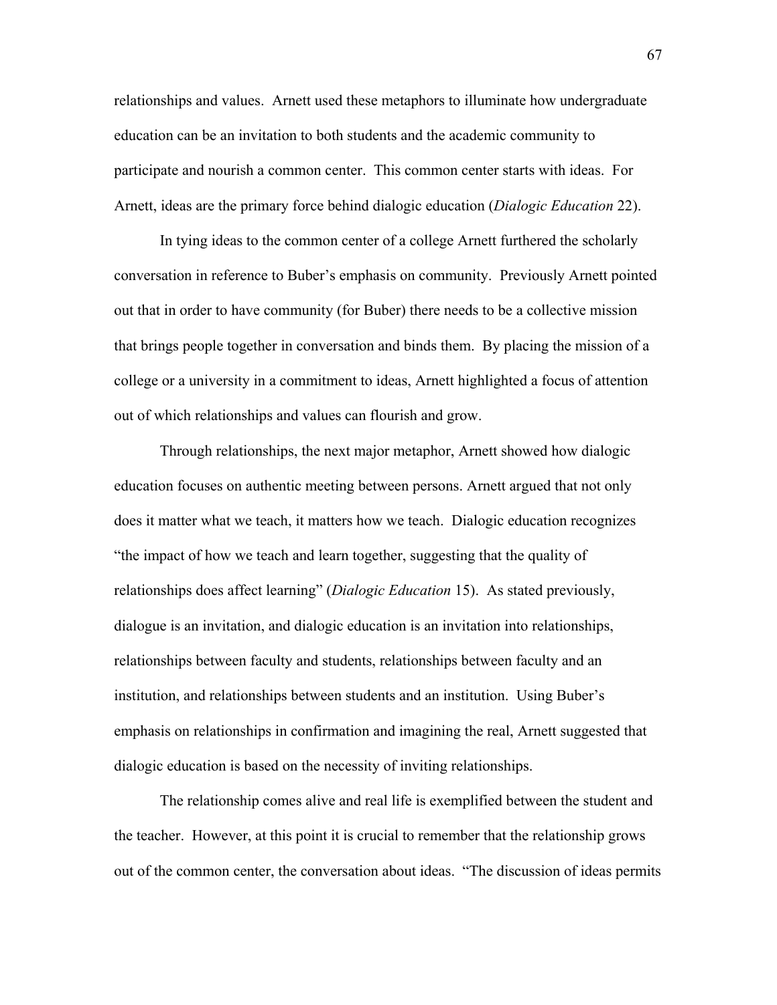relationships and values. Arnett used these metaphors to illuminate how undergraduate education can be an invitation to both students and the academic community to participate and nourish a common center. This common center starts with ideas. For Arnett, ideas are the primary force behind dialogic education (*Dialogic Education* 22).

In tying ideas to the common center of a college Arnett furthered the scholarly conversation in reference to Buber's emphasis on community. Previously Arnett pointed out that in order to have community (for Buber) there needs to be a collective mission that brings people together in conversation and binds them. By placing the mission of a college or a university in a commitment to ideas, Arnett highlighted a focus of attention out of which relationships and values can flourish and grow.

Through relationships, the next major metaphor, Arnett showed how dialogic education focuses on authentic meeting between persons. Arnett argued that not only does it matter what we teach, it matters how we teach. Dialogic education recognizes "the impact of how we teach and learn together, suggesting that the quality of relationships does affect learning" (*Dialogic Education* 15). As stated previously, dialogue is an invitation, and dialogic education is an invitation into relationships, relationships between faculty and students, relationships between faculty and an institution, and relationships between students and an institution. Using Buber's emphasis on relationships in confirmation and imagining the real, Arnett suggested that dialogic education is based on the necessity of inviting relationships.

The relationship comes alive and real life is exemplified between the student and the teacher. However, at this point it is crucial to remember that the relationship grows out of the common center, the conversation about ideas. "The discussion of ideas permits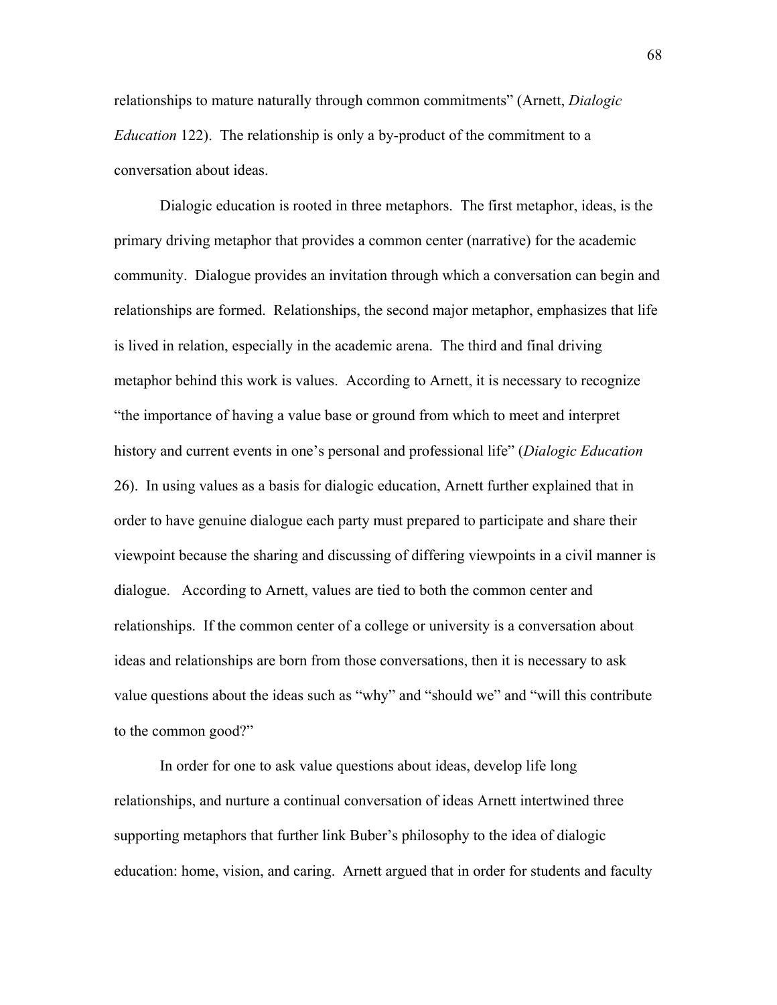relationships to mature naturally through common commitments" (Arnett, *Dialogic Education* 122). The relationship is only a by-product of the commitment to a conversation about ideas.

Dialogic education is rooted in three metaphors. The first metaphor, ideas, is the primary driving metaphor that provides a common center (narrative) for the academic community. Dialogue provides an invitation through which a conversation can begin and relationships are formed. Relationships, the second major metaphor, emphasizes that life is lived in relation, especially in the academic arena. The third and final driving metaphor behind this work is values. According to Arnett, it is necessary to recognize "the importance of having a value base or ground from which to meet and interpret history and current events in one's personal and professional life" (*Dialogic Education* 26). In using values as a basis for dialogic education, Arnett further explained that in order to have genuine dialogue each party must prepared to participate and share their viewpoint because the sharing and discussing of differing viewpoints in a civil manner is dialogue. According to Arnett, values are tied to both the common center and relationships. If the common center of a college or university is a conversation about ideas and relationships are born from those conversations, then it is necessary to ask value questions about the ideas such as "why" and "should we" and "will this contribute to the common good?"

In order for one to ask value questions about ideas, develop life long relationships, and nurture a continual conversation of ideas Arnett intertwined three supporting metaphors that further link Buber's philosophy to the idea of dialogic education: home, vision, and caring. Arnett argued that in order for students and faculty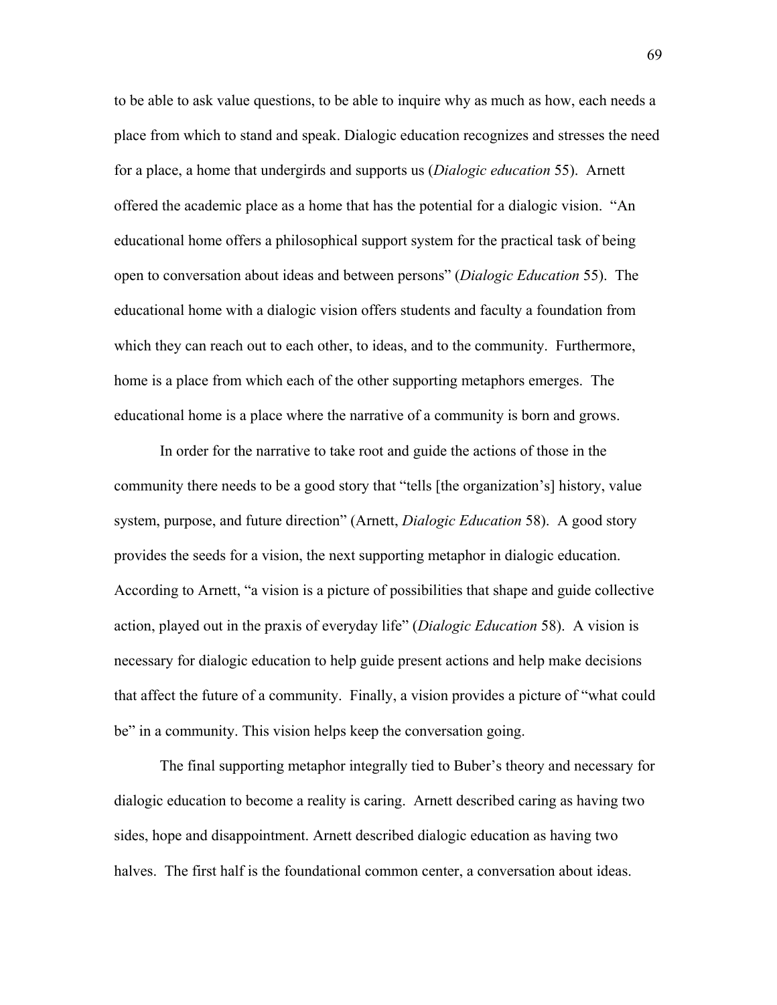to be able to ask value questions, to be able to inquire why as much as how, each needs a place from which to stand and speak. Dialogic education recognizes and stresses the need for a place, a home that undergirds and supports us (*Dialogic education* 55). Arnett offered the academic place as a home that has the potential for a dialogic vision. "An educational home offers a philosophical support system for the practical task of being open to conversation about ideas and between persons" (*Dialogic Education* 55). The educational home with a dialogic vision offers students and faculty a foundation from which they can reach out to each other, to ideas, and to the community. Furthermore, home is a place from which each of the other supporting metaphors emerges. The educational home is a place where the narrative of a community is born and grows.

In order for the narrative to take root and guide the actions of those in the community there needs to be a good story that "tells [the organization's] history, value system, purpose, and future direction" (Arnett, *Dialogic Education* 58). A good story provides the seeds for a vision, the next supporting metaphor in dialogic education. According to Arnett, "a vision is a picture of possibilities that shape and guide collective action, played out in the praxis of everyday life" (*Dialogic Education* 58). A vision is necessary for dialogic education to help guide present actions and help make decisions that affect the future of a community. Finally, a vision provides a picture of "what could be" in a community. This vision helps keep the conversation going.

The final supporting metaphor integrally tied to Buber's theory and necessary for dialogic education to become a reality is caring. Arnett described caring as having two sides, hope and disappointment. Arnett described dialogic education as having two halves. The first half is the foundational common center, a conversation about ideas.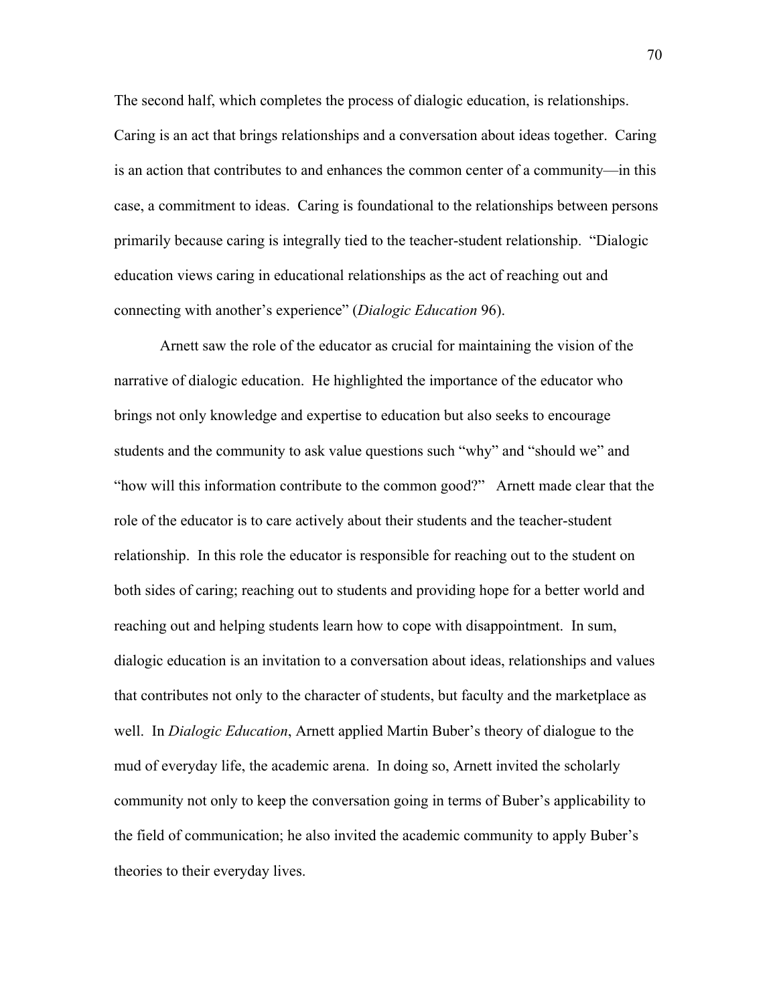The second half, which completes the process of dialogic education, is relationships. Caring is an act that brings relationships and a conversation about ideas together. Caring is an action that contributes to and enhances the common center of a community—in this case, a commitment to ideas. Caring is foundational to the relationships between persons primarily because caring is integrally tied to the teacher-student relationship. "Dialogic education views caring in educational relationships as the act of reaching out and connecting with another's experience" (*Dialogic Education* 96).

Arnett saw the role of the educator as crucial for maintaining the vision of the narrative of dialogic education. He highlighted the importance of the educator who brings not only knowledge and expertise to education but also seeks to encourage students and the community to ask value questions such "why" and "should we" and "how will this information contribute to the common good?" Arnett made clear that the role of the educator is to care actively about their students and the teacher-student relationship. In this role the educator is responsible for reaching out to the student on both sides of caring; reaching out to students and providing hope for a better world and reaching out and helping students learn how to cope with disappointment. In sum, dialogic education is an invitation to a conversation about ideas, relationships and values that contributes not only to the character of students, but faculty and the marketplace as well. In *Dialogic Education*, Arnett applied Martin Buber's theory of dialogue to the mud of everyday life, the academic arena. In doing so, Arnett invited the scholarly community not only to keep the conversation going in terms of Buber's applicability to the field of communication; he also invited the academic community to apply Buber's theories to their everyday lives.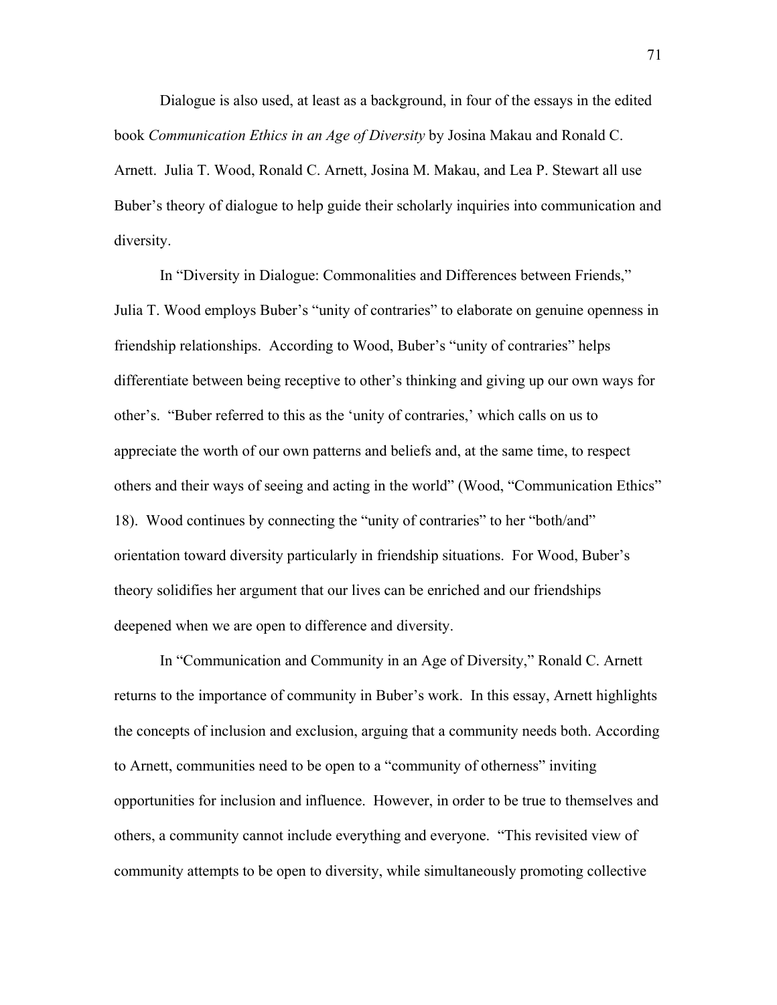Dialogue is also used, at least as a background, in four of the essays in the edited book *Communication Ethics in an Age of Diversity* by Josina Makau and Ronald C. Arnett. Julia T. Wood, Ronald C. Arnett, Josina M. Makau, and Lea P. Stewart all use Buber's theory of dialogue to help guide their scholarly inquiries into communication and diversity.

In "Diversity in Dialogue: Commonalities and Differences between Friends," Julia T. Wood employs Buber's "unity of contraries" to elaborate on genuine openness in friendship relationships. According to Wood, Buber's "unity of contraries" helps differentiate between being receptive to other's thinking and giving up our own ways for other's. "Buber referred to this as the 'unity of contraries,' which calls on us to appreciate the worth of our own patterns and beliefs and, at the same time, to respect others and their ways of seeing and acting in the world" (Wood, "Communication Ethics" 18). Wood continues by connecting the "unity of contraries" to her "both/and" orientation toward diversity particularly in friendship situations. For Wood, Buber's theory solidifies her argument that our lives can be enriched and our friendships deepened when we are open to difference and diversity.

In "Communication and Community in an Age of Diversity," Ronald C. Arnett returns to the importance of community in Buber's work. In this essay, Arnett highlights the concepts of inclusion and exclusion, arguing that a community needs both. According to Arnett, communities need to be open to a "community of otherness" inviting opportunities for inclusion and influence. However, in order to be true to themselves and others, a community cannot include everything and everyone. "This revisited view of community attempts to be open to diversity, while simultaneously promoting collective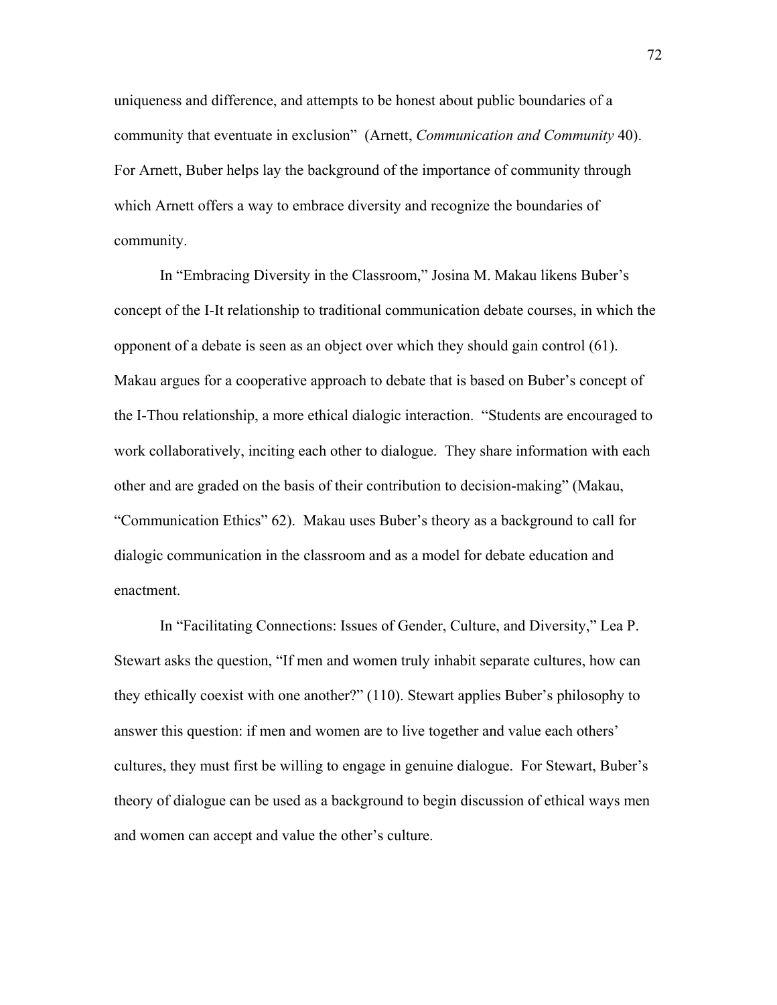uniqueness and difference, and attempts to be honest about public boundaries of a community that eventuate in exclusion" (Arnett, *Communication and Community* 40). For Arnett, Buber helps lay the background of the importance of community through which Arnett offers a way to embrace diversity and recognize the boundaries of community.

In "Embracing Diversity in the Classroom," Josina M. Makau likens Buber's concept of the I-It relationship to traditional communication debate courses, in which the opponent of a debate is seen as an object over which they should gain control (61). Makau argues for a cooperative approach to debate that is based on Buber's concept of the I-Thou relationship, a more ethical dialogic interaction. "Students are encouraged to work collaboratively, inciting each other to dialogue. They share information with each other and are graded on the basis of their contribution to decision-making" (Makau, "Communication Ethics" 62). Makau uses Buber's theory as a background to call for dialogic communication in the classroom and as a model for debate education and enactment.

In "Facilitating Connections: Issues of Gender, Culture, and Diversity," Lea P. Stewart asks the question, "If men and women truly inhabit separate cultures, how can they ethically coexist with one another?" (110). Stewart applies Buber's philosophy to answer this question: if men and women are to live together and value each others' cultures, they must first be willing to engage in genuine dialogue. For Stewart, Buber's theory of dialogue can be used as a background to begin discussion of ethical ways men and women can accept and value the other's culture.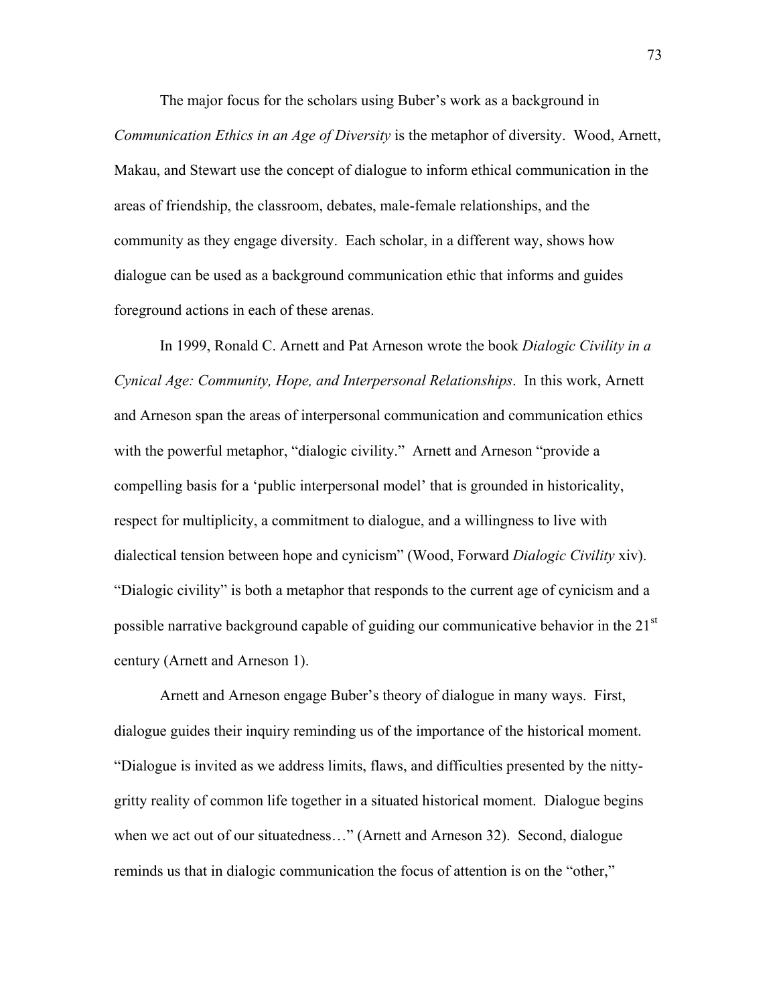The major focus for the scholars using Buber's work as a background in

*Communication Ethics in an Age of Diversity* is the metaphor of diversity. Wood, Arnett, Makau, and Stewart use the concept of dialogue to inform ethical communication in the areas of friendship, the classroom, debates, male-female relationships, and the community as they engage diversity. Each scholar, in a different way, shows how dialogue can be used as a background communication ethic that informs and guides foreground actions in each of these arenas.

In 1999, Ronald C. Arnett and Pat Arneson wrote the book *Dialogic Civility in a Cynical Age: Community, Hope, and Interpersonal Relationships*. In this work, Arnett and Arneson span the areas of interpersonal communication and communication ethics with the powerful metaphor, "dialogic civility." Arnett and Arneson "provide a compelling basis for a 'public interpersonal model' that is grounded in historicality, respect for multiplicity, a commitment to dialogue, and a willingness to live with dialectical tension between hope and cynicism" (Wood, Forward *Dialogic Civility* xiv). "Dialogic civility" is both a metaphor that responds to the current age of cynicism and a possible narrative background capable of guiding our communicative behavior in the  $21<sup>st</sup>$ century (Arnett and Arneson 1).

Arnett and Arneson engage Buber's theory of dialogue in many ways. First, dialogue guides their inquiry reminding us of the importance of the historical moment. "Dialogue is invited as we address limits, flaws, and difficulties presented by the nittygritty reality of common life together in a situated historical moment. Dialogue begins when we act out of our situatedness..." (Arnett and Arneson 32). Second, dialogue reminds us that in dialogic communication the focus of attention is on the "other,"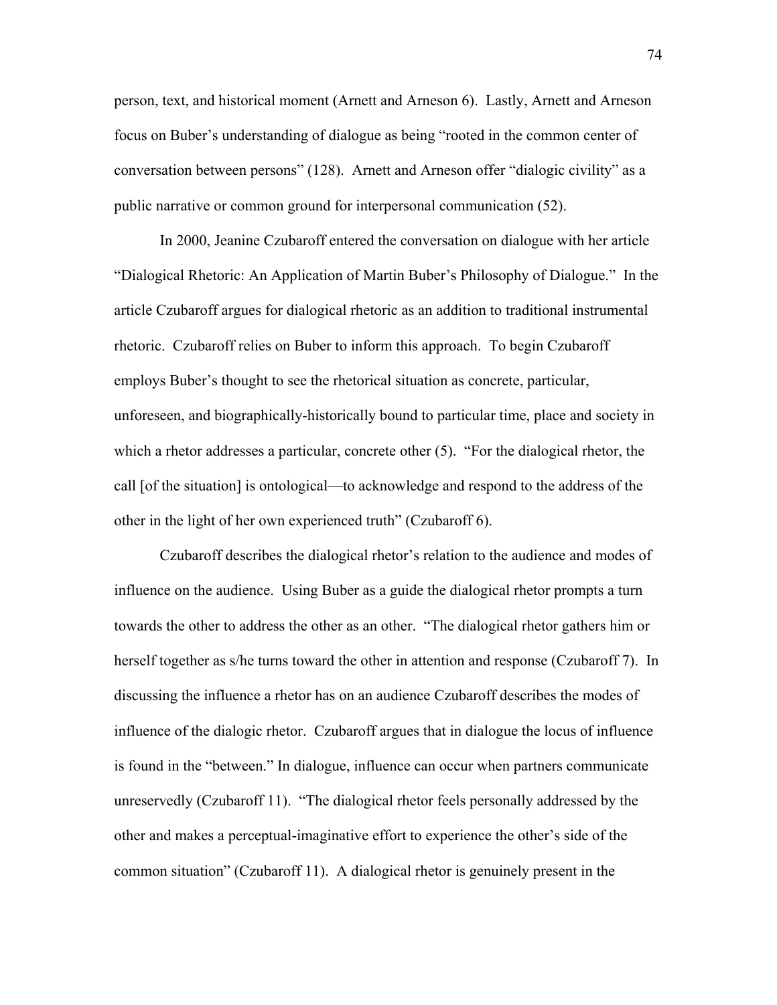person, text, and historical moment (Arnett and Arneson 6). Lastly, Arnett and Arneson focus on Buber's understanding of dialogue as being "rooted in the common center of conversation between persons" (128). Arnett and Arneson offer "dialogic civility" as a public narrative or common ground for interpersonal communication (52).

In 2000, Jeanine Czubaroff entered the conversation on dialogue with her article "Dialogical Rhetoric: An Application of Martin Buber's Philosophy of Dialogue." In the article Czubaroff argues for dialogical rhetoric as an addition to traditional instrumental rhetoric. Czubaroff relies on Buber to inform this approach. To begin Czubaroff employs Buber's thought to see the rhetorical situation as concrete, particular, unforeseen, and biographically-historically bound to particular time, place and society in which a rhetor addresses a particular, concrete other (5). "For the dialogical rhetor, the call [of the situation] is ontological—to acknowledge and respond to the address of the other in the light of her own experienced truth" (Czubaroff 6).

Czubaroff describes the dialogical rhetor's relation to the audience and modes of influence on the audience. Using Buber as a guide the dialogical rhetor prompts a turn towards the other to address the other as an other. "The dialogical rhetor gathers him or herself together as s/he turns toward the other in attention and response (Czubaroff 7). In discussing the influence a rhetor has on an audience Czubaroff describes the modes of influence of the dialogic rhetor. Czubaroff argues that in dialogue the locus of influence is found in the "between." In dialogue, influence can occur when partners communicate unreservedly (Czubaroff 11). "The dialogical rhetor feels personally addressed by the other and makes a perceptual-imaginative effort to experience the other's side of the common situation" (Czubaroff 11). A dialogical rhetor is genuinely present in the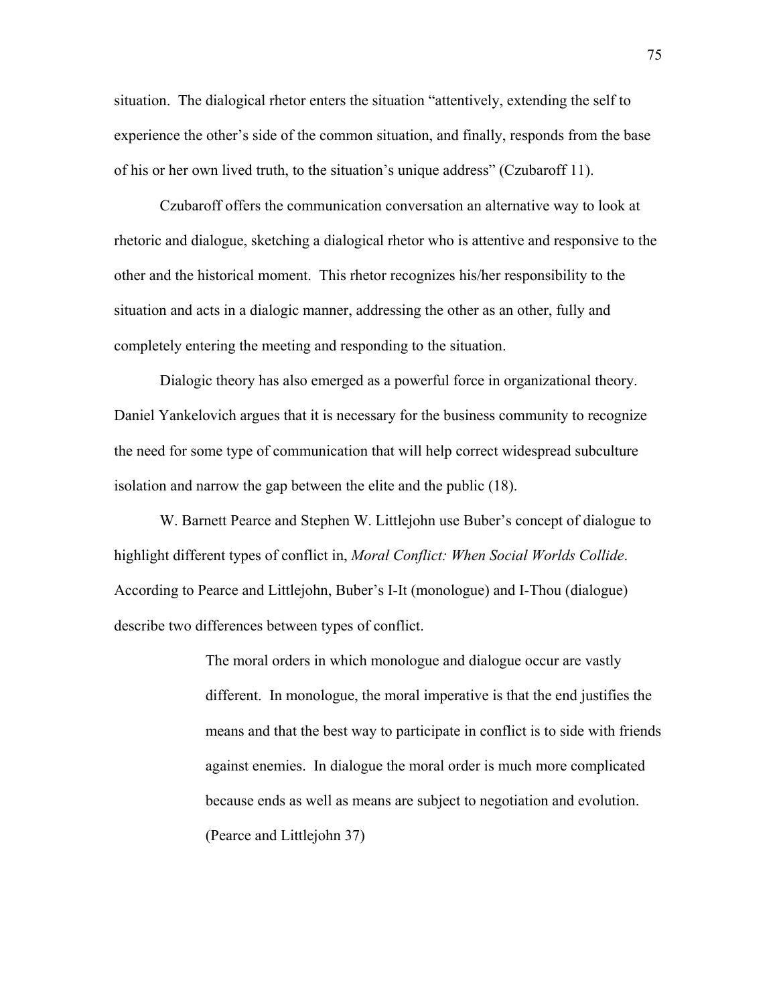situation. The dialogical rhetor enters the situation "attentively, extending the self to experience the other's side of the common situation, and finally, responds from the base of his or her own lived truth, to the situation's unique address" (Czubaroff 11).

Czubaroff offers the communication conversation an alternative way to look at rhetoric and dialogue, sketching a dialogical rhetor who is attentive and responsive to the other and the historical moment. This rhetor recognizes his/her responsibility to the situation and acts in a dialogic manner, addressing the other as an other, fully and completely entering the meeting and responding to the situation.

Dialogic theory has also emerged as a powerful force in organizational theory. Daniel Yankelovich argues that it is necessary for the business community to recognize the need for some type of communication that will help correct widespread subculture isolation and narrow the gap between the elite and the public (18).

W. Barnett Pearce and Stephen W. Littlejohn use Buber's concept of dialogue to highlight different types of conflict in, *Moral Conflict: When Social Worlds Collide*. According to Pearce and Littlejohn, Buber's I-It (monologue) and I-Thou (dialogue) describe two differences between types of conflict.

> The moral orders in which monologue and dialogue occur are vastly different. In monologue, the moral imperative is that the end justifies the means and that the best way to participate in conflict is to side with friends against enemies. In dialogue the moral order is much more complicated because ends as well as means are subject to negotiation and evolution. (Pearce and Littlejohn 37)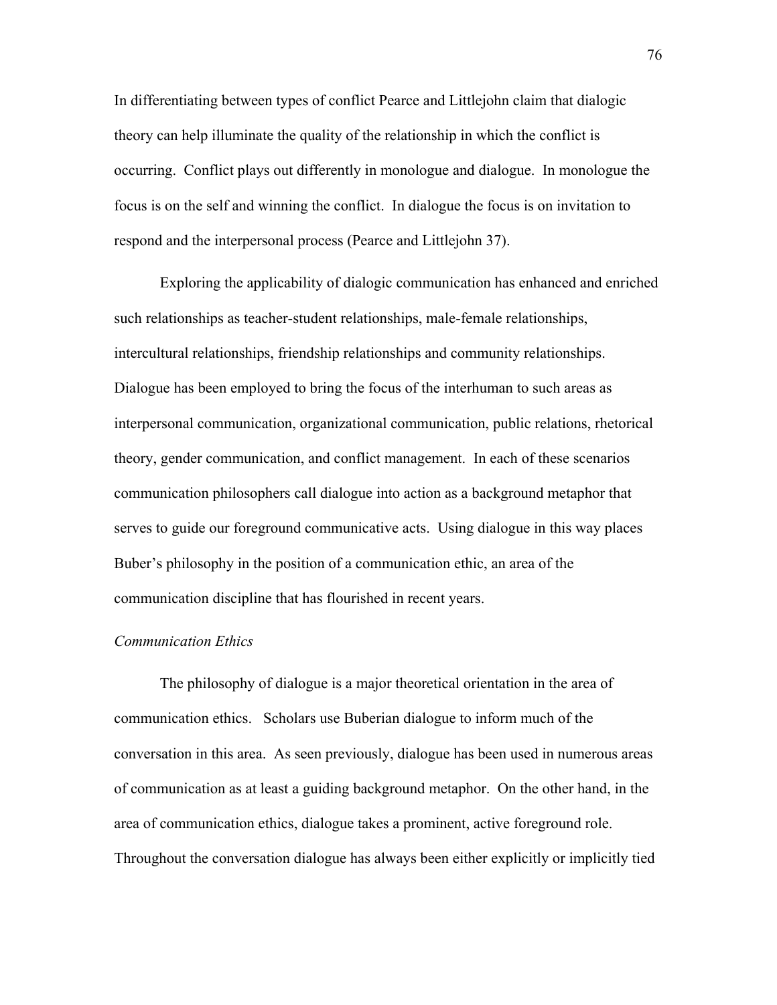In differentiating between types of conflict Pearce and Littlejohn claim that dialogic theory can help illuminate the quality of the relationship in which the conflict is occurring. Conflict plays out differently in monologue and dialogue. In monologue the focus is on the self and winning the conflict. In dialogue the focus is on invitation to respond and the interpersonal process (Pearce and Littlejohn 37).

Exploring the applicability of dialogic communication has enhanced and enriched such relationships as teacher-student relationships, male-female relationships, intercultural relationships, friendship relationships and community relationships. Dialogue has been employed to bring the focus of the interhuman to such areas as interpersonal communication, organizational communication, public relations, rhetorical theory, gender communication, and conflict management. In each of these scenarios communication philosophers call dialogue into action as a background metaphor that serves to guide our foreground communicative acts. Using dialogue in this way places Buber's philosophy in the position of a communication ethic, an area of the communication discipline that has flourished in recent years.

## *Communication Ethics*

The philosophy of dialogue is a major theoretical orientation in the area of communication ethics. Scholars use Buberian dialogue to inform much of the conversation in this area. As seen previously, dialogue has been used in numerous areas of communication as at least a guiding background metaphor. On the other hand, in the area of communication ethics, dialogue takes a prominent, active foreground role. Throughout the conversation dialogue has always been either explicitly or implicitly tied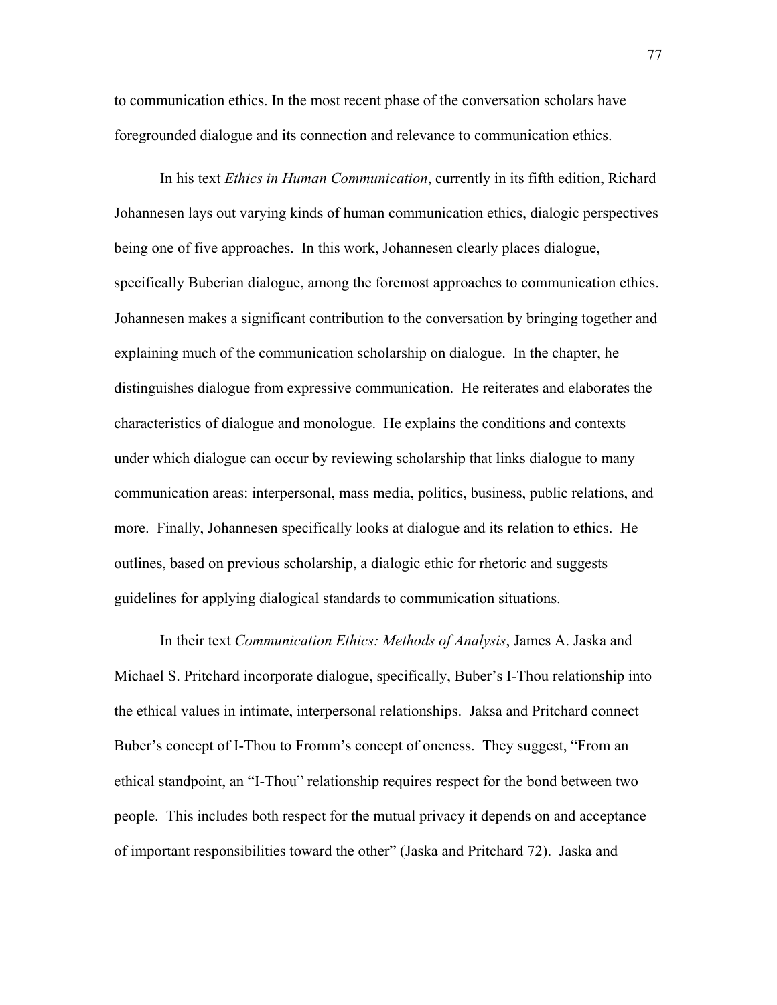to communication ethics. In the most recent phase of the conversation scholars have foregrounded dialogue and its connection and relevance to communication ethics.

In his text *Ethics in Human Communication*, currently in its fifth edition, Richard Johannesen lays out varying kinds of human communication ethics, dialogic perspectives being one of five approaches. In this work, Johannesen clearly places dialogue, specifically Buberian dialogue, among the foremost approaches to communication ethics. Johannesen makes a significant contribution to the conversation by bringing together and explaining much of the communication scholarship on dialogue. In the chapter, he distinguishes dialogue from expressive communication. He reiterates and elaborates the characteristics of dialogue and monologue. He explains the conditions and contexts under which dialogue can occur by reviewing scholarship that links dialogue to many communication areas: interpersonal, mass media, politics, business, public relations, and more. Finally, Johannesen specifically looks at dialogue and its relation to ethics. He outlines, based on previous scholarship, a dialogic ethic for rhetoric and suggests guidelines for applying dialogical standards to communication situations.

In their text *Communication Ethics: Methods of Analysis*, James A. Jaska and Michael S. Pritchard incorporate dialogue, specifically, Buber's I-Thou relationship into the ethical values in intimate, interpersonal relationships. Jaksa and Pritchard connect Buber's concept of I-Thou to Fromm's concept of oneness. They suggest, "From an ethical standpoint, an "I-Thou" relationship requires respect for the bond between two people. This includes both respect for the mutual privacy it depends on and acceptance of important responsibilities toward the other" (Jaska and Pritchard 72). Jaska and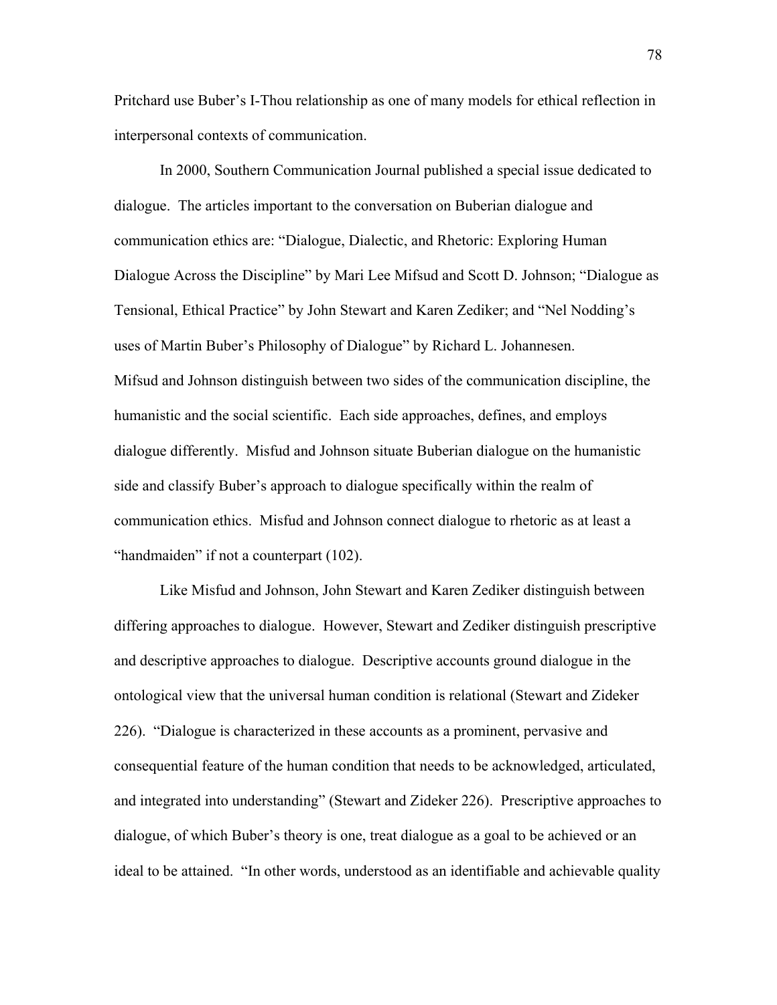Pritchard use Buber's I-Thou relationship as one of many models for ethical reflection in interpersonal contexts of communication.

In 2000, Southern Communication Journal published a special issue dedicated to dialogue. The articles important to the conversation on Buberian dialogue and communication ethics are: "Dialogue, Dialectic, and Rhetoric: Exploring Human Dialogue Across the Discipline" by Mari Lee Mifsud and Scott D. Johnson; "Dialogue as Tensional, Ethical Practice" by John Stewart and Karen Zediker; and "Nel Nodding's uses of Martin Buber's Philosophy of Dialogue" by Richard L. Johannesen. Mifsud and Johnson distinguish between two sides of the communication discipline, the humanistic and the social scientific. Each side approaches, defines, and employs dialogue differently. Misfud and Johnson situate Buberian dialogue on the humanistic side and classify Buber's approach to dialogue specifically within the realm of communication ethics. Misfud and Johnson connect dialogue to rhetoric as at least a "handmaiden" if not a counterpart (102).

Like Misfud and Johnson, John Stewart and Karen Zediker distinguish between differing approaches to dialogue. However, Stewart and Zediker distinguish prescriptive and descriptive approaches to dialogue. Descriptive accounts ground dialogue in the ontological view that the universal human condition is relational (Stewart and Zideker 226). "Dialogue is characterized in these accounts as a prominent, pervasive and consequential feature of the human condition that needs to be acknowledged, articulated, and integrated into understanding" (Stewart and Zideker 226). Prescriptive approaches to dialogue, of which Buber's theory is one, treat dialogue as a goal to be achieved or an ideal to be attained. "In other words, understood as an identifiable and achievable quality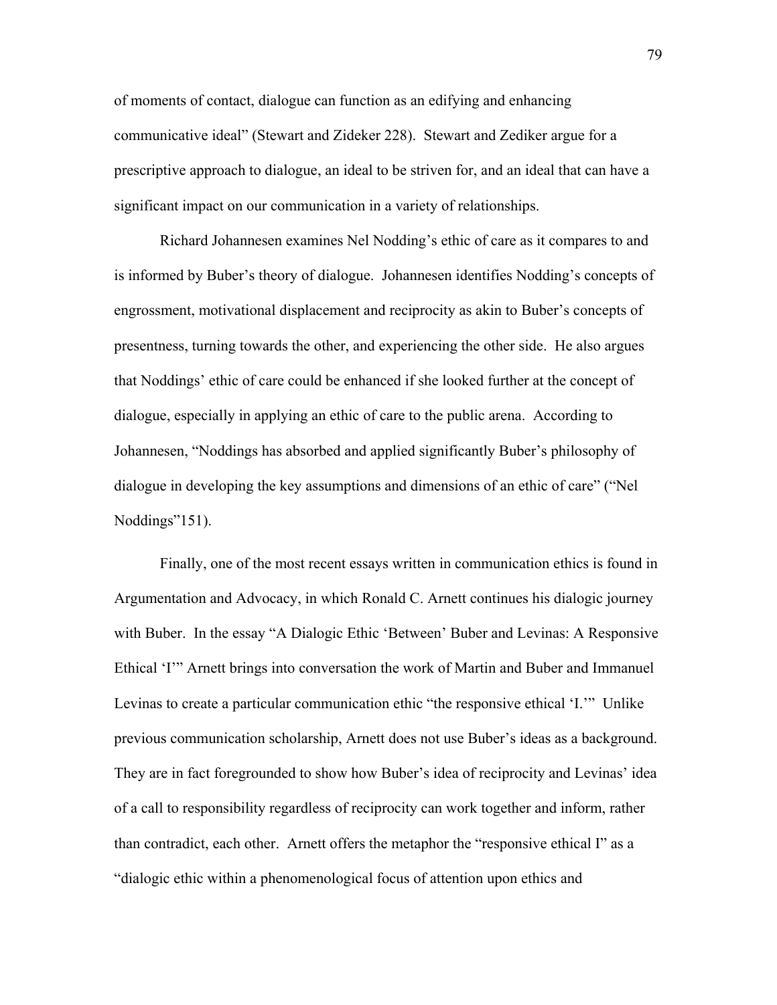of moments of contact, dialogue can function as an edifying and enhancing communicative ideal" (Stewart and Zideker 228). Stewart and Zediker argue for a prescriptive approach to dialogue, an ideal to be striven for, and an ideal that can have a significant impact on our communication in a variety of relationships.

Richard Johannesen examines Nel Nodding's ethic of care as it compares to and is informed by Buber's theory of dialogue. Johannesen identifies Nodding's concepts of engrossment, motivational displacement and reciprocity as akin to Buber's concepts of presentness, turning towards the other, and experiencing the other side. He also argues that Noddings' ethic of care could be enhanced if she looked further at the concept of dialogue, especially in applying an ethic of care to the public arena. According to Johannesen, "Noddings has absorbed and applied significantly Buber's philosophy of dialogue in developing the key assumptions and dimensions of an ethic of care" ("Nel Noddings"<sup>151</sup>).

Finally, one of the most recent essays written in communication ethics is found in Argumentation and Advocacy, in which Ronald C. Arnett continues his dialogic journey with Buber. In the essay "A Dialogic Ethic 'Between' Buber and Levinas: A Responsive Ethical 'I'" Arnett brings into conversation the work of Martin and Buber and Immanuel Levinas to create a particular communication ethic "the responsive ethical 'I.'" Unlike previous communication scholarship, Arnett does not use Buber's ideas as a background. They are in fact foregrounded to show how Buber's idea of reciprocity and Levinas' idea of a call to responsibility regardless of reciprocity can work together and inform, rather than contradict, each other. Arnett offers the metaphor the "responsive ethical I" as a "dialogic ethic within a phenomenological focus of attention upon ethics and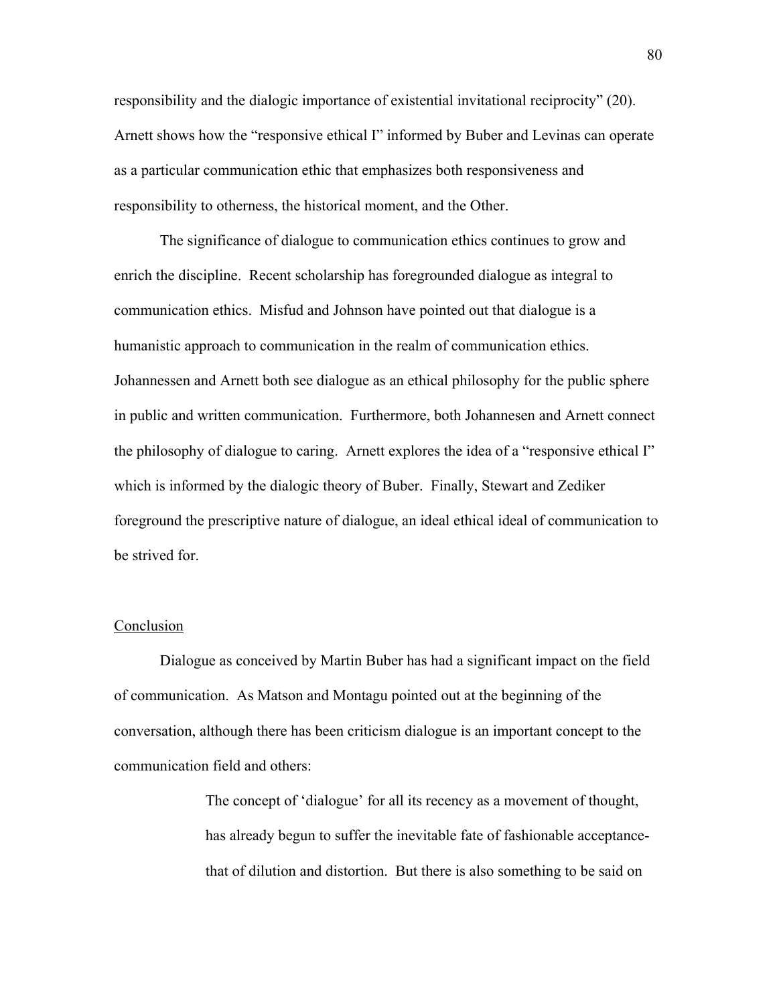responsibility and the dialogic importance of existential invitational reciprocity" (20). Arnett shows how the "responsive ethical I" informed by Buber and Levinas can operate as a particular communication ethic that emphasizes both responsiveness and responsibility to otherness, the historical moment, and the Other.

The significance of dialogue to communication ethics continues to grow and enrich the discipline. Recent scholarship has foregrounded dialogue as integral to communication ethics. Misfud and Johnson have pointed out that dialogue is a humanistic approach to communication in the realm of communication ethics. Johannessen and Arnett both see dialogue as an ethical philosophy for the public sphere in public and written communication. Furthermore, both Johannesen and Arnett connect the philosophy of dialogue to caring. Arnett explores the idea of a "responsive ethical I" which is informed by the dialogic theory of Buber. Finally, Stewart and Zediker foreground the prescriptive nature of dialogue, an ideal ethical ideal of communication to be strived for.

# Conclusion

Dialogue as conceived by Martin Buber has had a significant impact on the field of communication. As Matson and Montagu pointed out at the beginning of the conversation, although there has been criticism dialogue is an important concept to the communication field and others:

> The concept of 'dialogue' for all its recency as a movement of thought, has already begun to suffer the inevitable fate of fashionable acceptancethat of dilution and distortion. But there is also something to be said on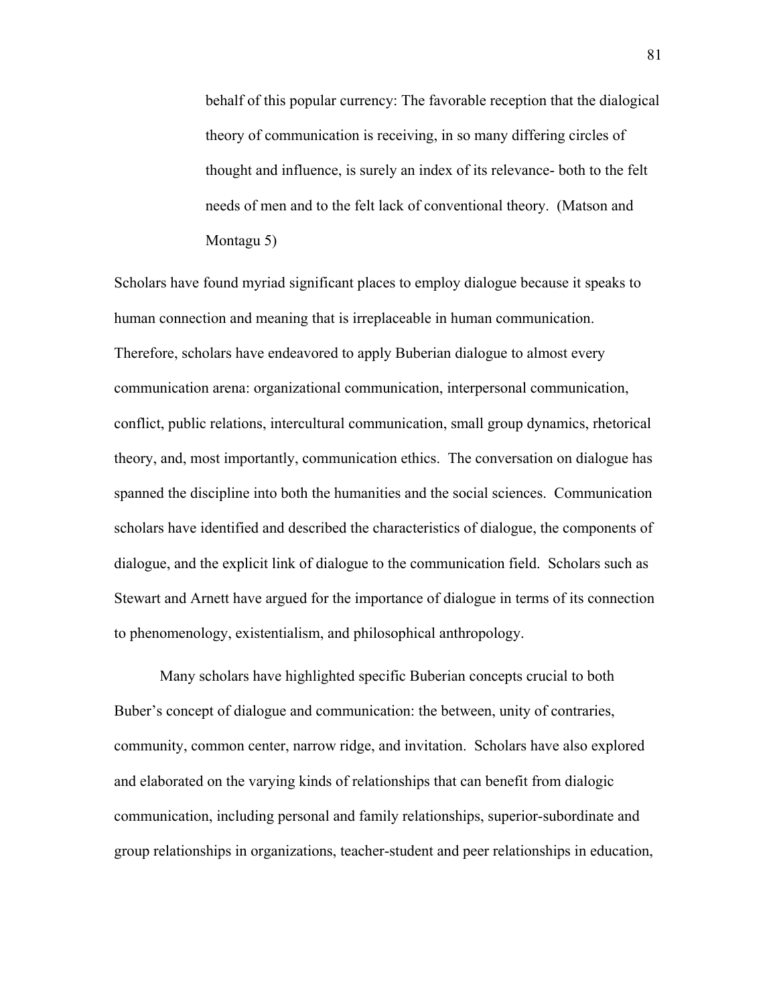behalf of this popular currency: The favorable reception that the dialogical theory of communication is receiving, in so many differing circles of thought and influence, is surely an index of its relevance- both to the felt needs of men and to the felt lack of conventional theory. (Matson and Montagu 5)

Scholars have found myriad significant places to employ dialogue because it speaks to human connection and meaning that is irreplaceable in human communication. Therefore, scholars have endeavored to apply Buberian dialogue to almost every communication arena: organizational communication, interpersonal communication, conflict, public relations, intercultural communication, small group dynamics, rhetorical theory, and, most importantly, communication ethics. The conversation on dialogue has spanned the discipline into both the humanities and the social sciences. Communication scholars have identified and described the characteristics of dialogue, the components of dialogue, and the explicit link of dialogue to the communication field. Scholars such as Stewart and Arnett have argued for the importance of dialogue in terms of its connection to phenomenology, existentialism, and philosophical anthropology.

Many scholars have highlighted specific Buberian concepts crucial to both Buber's concept of dialogue and communication: the between, unity of contraries, community, common center, narrow ridge, and invitation. Scholars have also explored and elaborated on the varying kinds of relationships that can benefit from dialogic communication, including personal and family relationships, superior-subordinate and group relationships in organizations, teacher-student and peer relationships in education,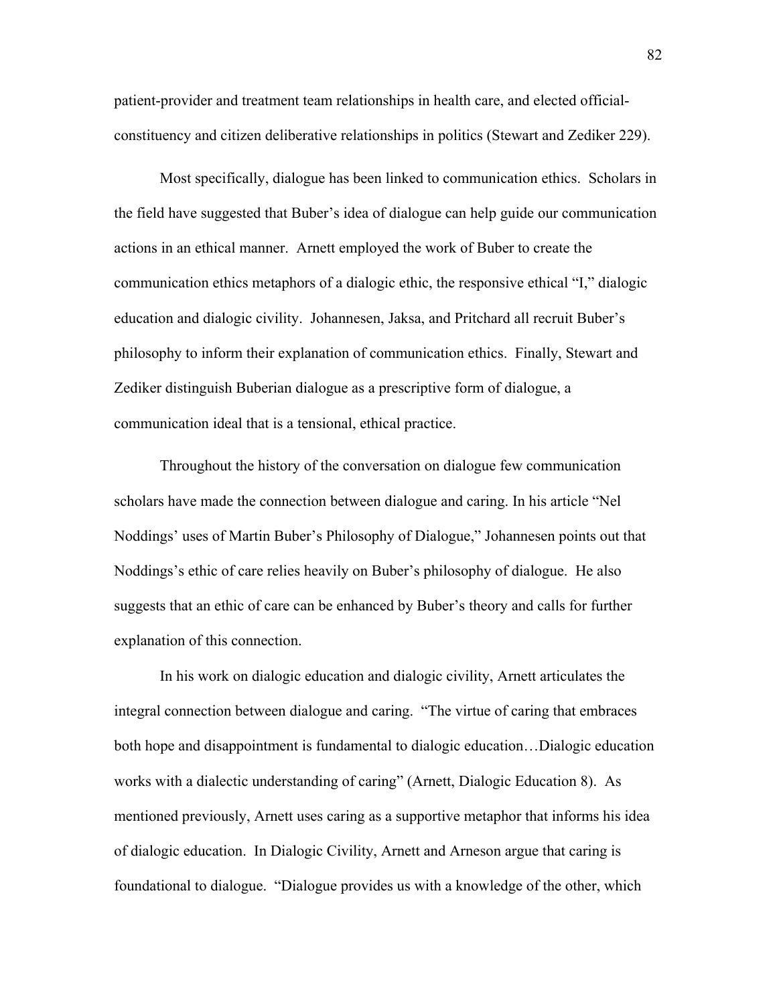patient-provider and treatment team relationships in health care, and elected officialconstituency and citizen deliberative relationships in politics (Stewart and Zediker 229).

Most specifically, dialogue has been linked to communication ethics. Scholars in the field have suggested that Buber's idea of dialogue can help guide our communication actions in an ethical manner. Arnett employed the work of Buber to create the communication ethics metaphors of a dialogic ethic, the responsive ethical "I," dialogic education and dialogic civility. Johannesen, Jaksa, and Pritchard all recruit Buber's philosophy to inform their explanation of communication ethics. Finally, Stewart and Zediker distinguish Buberian dialogue as a prescriptive form of dialogue, a communication ideal that is a tensional, ethical practice.

Throughout the history of the conversation on dialogue few communication scholars have made the connection between dialogue and caring. In his article "Nel Noddings' uses of Martin Buber's Philosophy of Dialogue," Johannesen points out that Noddings's ethic of care relies heavily on Buber's philosophy of dialogue. He also suggests that an ethic of care can be enhanced by Buber's theory and calls for further explanation of this connection.

In his work on dialogic education and dialogic civility, Arnett articulates the integral connection between dialogue and caring. "The virtue of caring that embraces both hope and disappointment is fundamental to dialogic education…Dialogic education works with a dialectic understanding of caring" (Arnett, Dialogic Education 8). As mentioned previously, Arnett uses caring as a supportive metaphor that informs his idea of dialogic education. In Dialogic Civility, Arnett and Arneson argue that caring is foundational to dialogue. "Dialogue provides us with a knowledge of the other, which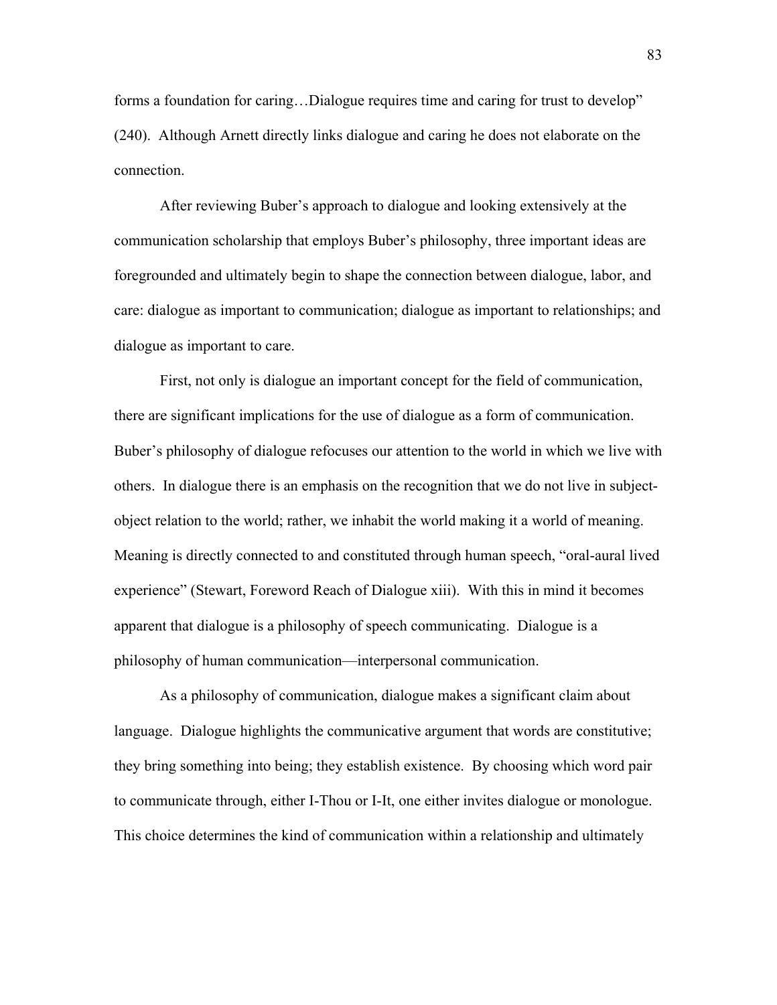forms a foundation for caring…Dialogue requires time and caring for trust to develop" (240). Although Arnett directly links dialogue and caring he does not elaborate on the connection.

After reviewing Buber's approach to dialogue and looking extensively at the communication scholarship that employs Buber's philosophy, three important ideas are foregrounded and ultimately begin to shape the connection between dialogue, labor, and care: dialogue as important to communication; dialogue as important to relationships; and dialogue as important to care.

First, not only is dialogue an important concept for the field of communication, there are significant implications for the use of dialogue as a form of communication. Buber's philosophy of dialogue refocuses our attention to the world in which we live with others. In dialogue there is an emphasis on the recognition that we do not live in subjectobject relation to the world; rather, we inhabit the world making it a world of meaning. Meaning is directly connected to and constituted through human speech, "oral-aural lived experience" (Stewart, Foreword Reach of Dialogue xiii). With this in mind it becomes apparent that dialogue is a philosophy of speech communicating. Dialogue is a philosophy of human communication—interpersonal communication.

As a philosophy of communication, dialogue makes a significant claim about language. Dialogue highlights the communicative argument that words are constitutive; they bring something into being; they establish existence. By choosing which word pair to communicate through, either I-Thou or I-It, one either invites dialogue or monologue. This choice determines the kind of communication within a relationship and ultimately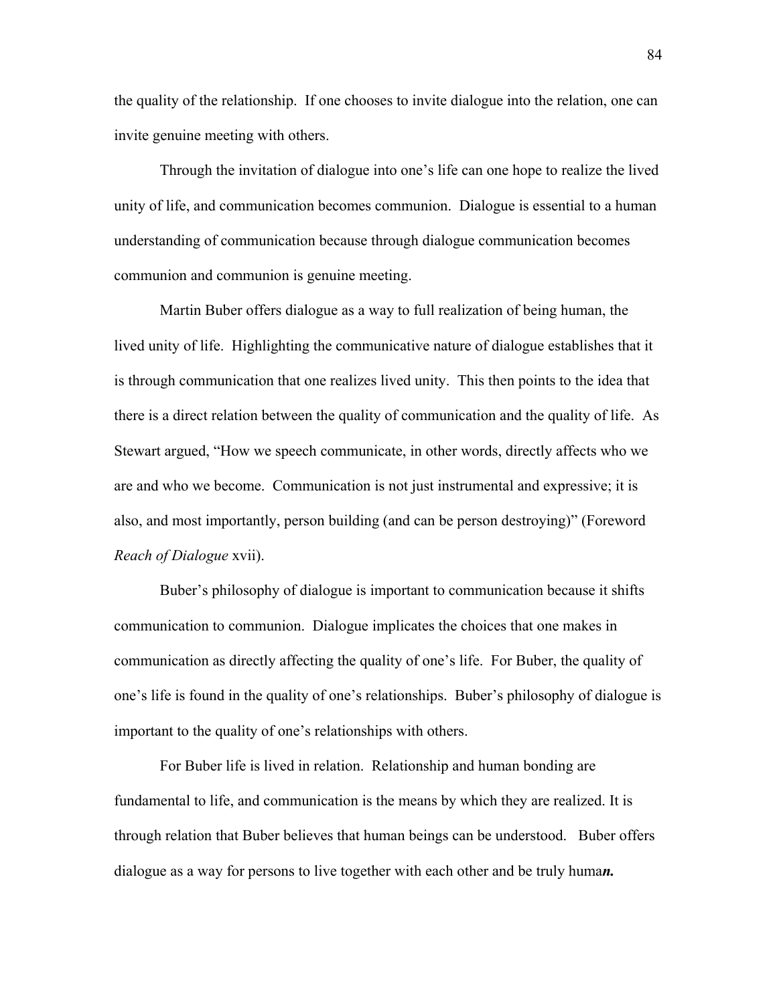the quality of the relationship. If one chooses to invite dialogue into the relation, one can invite genuine meeting with others.

 Through the invitation of dialogue into one's life can one hope to realize the lived unity of life, and communication becomes communion. Dialogue is essential to a human understanding of communication because through dialogue communication becomes communion and communion is genuine meeting.

 Martin Buber offers dialogue as a way to full realization of being human, the lived unity of life. Highlighting the communicative nature of dialogue establishes that it is through communication that one realizes lived unity. This then points to the idea that there is a direct relation between the quality of communication and the quality of life. As Stewart argued, "How we speech communicate, in other words, directly affects who we are and who we become. Communication is not just instrumental and expressive; it is also, and most importantly, person building (and can be person destroying)" (Foreword *Reach of Dialogue* xvii).

Buber's philosophy of dialogue is important to communication because it shifts communication to communion. Dialogue implicates the choices that one makes in communication as directly affecting the quality of one's life. For Buber, the quality of one's life is found in the quality of one's relationships. Buber's philosophy of dialogue is important to the quality of one's relationships with others.

For Buber life is lived in relation. Relationship and human bonding are fundamental to life, and communication is the means by which they are realized. It is through relation that Buber believes that human beings can be understood. Buber offers dialogue as a way for persons to live together with each other and be truly huma*n.* 

84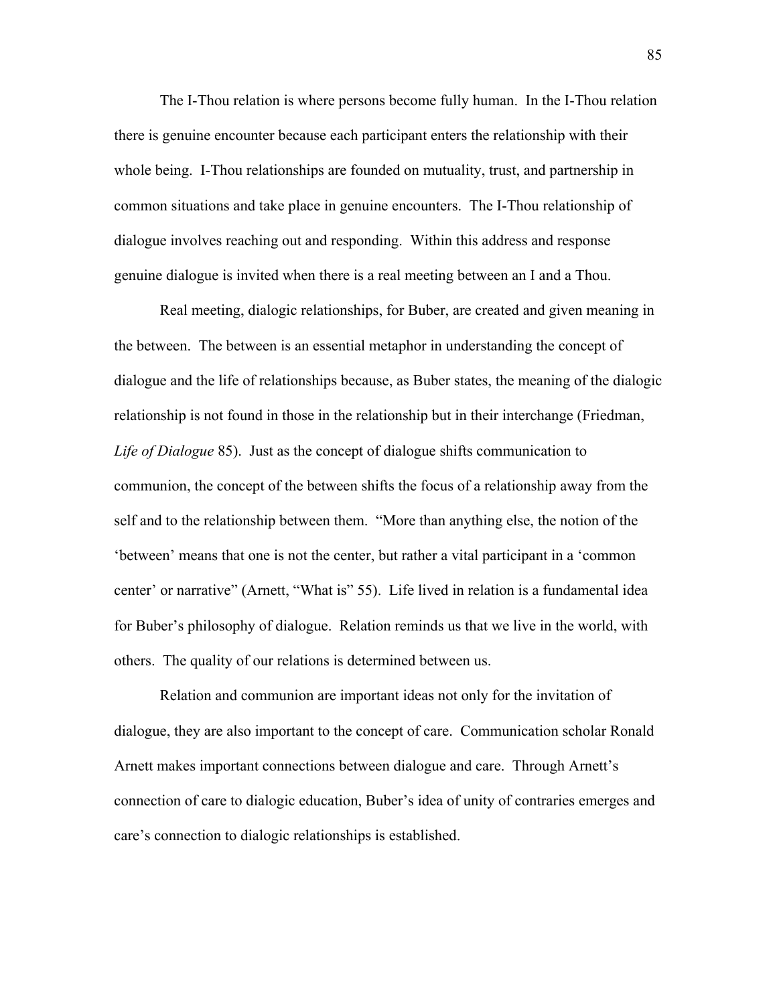The I-Thou relation is where persons become fully human. In the I-Thou relation there is genuine encounter because each participant enters the relationship with their whole being. I-Thou relationships are founded on mutuality, trust, and partnership in common situations and take place in genuine encounters. The I-Thou relationship of dialogue involves reaching out and responding. Within this address and response genuine dialogue is invited when there is a real meeting between an I and a Thou.

Real meeting, dialogic relationships, for Buber, are created and given meaning in the between. The between is an essential metaphor in understanding the concept of dialogue and the life of relationships because, as Buber states, the meaning of the dialogic relationship is not found in those in the relationship but in their interchange (Friedman, *Life of Dialogue* 85). Just as the concept of dialogue shifts communication to communion, the concept of the between shifts the focus of a relationship away from the self and to the relationship between them. "More than anything else, the notion of the 'between' means that one is not the center, but rather a vital participant in a 'common center' or narrative" (Arnett, "What is" 55). Life lived in relation is a fundamental idea for Buber's philosophy of dialogue. Relation reminds us that we live in the world, with others. The quality of our relations is determined between us.

Relation and communion are important ideas not only for the invitation of dialogue, they are also important to the concept of care. Communication scholar Ronald Arnett makes important connections between dialogue and care. Through Arnett's connection of care to dialogic education, Buber's idea of unity of contraries emerges and care's connection to dialogic relationships is established.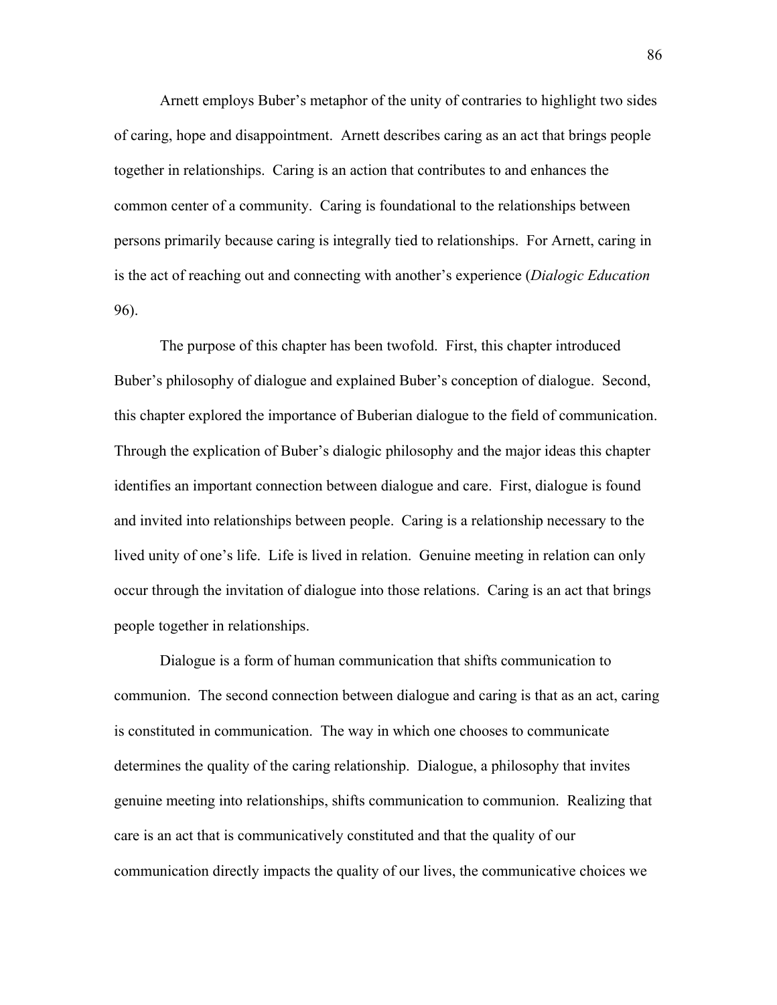Arnett employs Buber's metaphor of the unity of contraries to highlight two sides of caring, hope and disappointment. Arnett describes caring as an act that brings people together in relationships. Caring is an action that contributes to and enhances the common center of a community. Caring is foundational to the relationships between persons primarily because caring is integrally tied to relationships. For Arnett, caring in is the act of reaching out and connecting with another's experience (*Dialogic Education* 96).

The purpose of this chapter has been twofold. First, this chapter introduced Buber's philosophy of dialogue and explained Buber's conception of dialogue. Second, this chapter explored the importance of Buberian dialogue to the field of communication. Through the explication of Buber's dialogic philosophy and the major ideas this chapter identifies an important connection between dialogue and care. First, dialogue is found and invited into relationships between people. Caring is a relationship necessary to the lived unity of one's life. Life is lived in relation. Genuine meeting in relation can only occur through the invitation of dialogue into those relations. Caring is an act that brings people together in relationships.

Dialogue is a form of human communication that shifts communication to communion. The second connection between dialogue and caring is that as an act, caring is constituted in communication. The way in which one chooses to communicate determines the quality of the caring relationship. Dialogue, a philosophy that invites genuine meeting into relationships, shifts communication to communion. Realizing that care is an act that is communicatively constituted and that the quality of our communication directly impacts the quality of our lives, the communicative choices we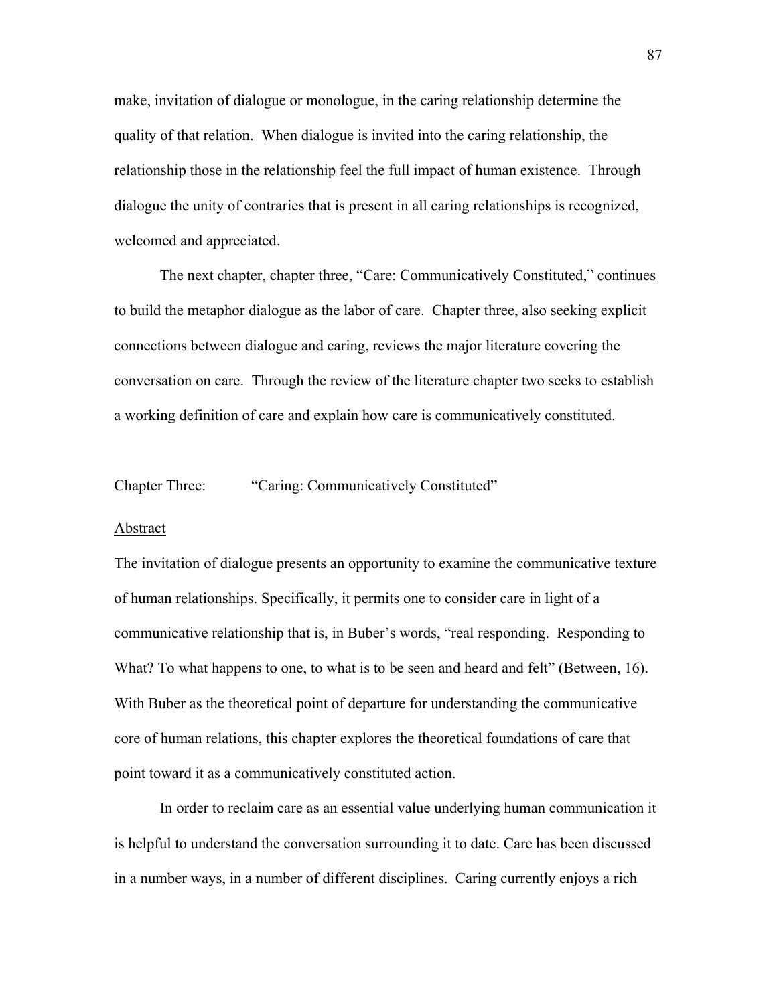make, invitation of dialogue or monologue, in the caring relationship determine the quality of that relation. When dialogue is invited into the caring relationship, the relationship those in the relationship feel the full impact of human existence. Through dialogue the unity of contraries that is present in all caring relationships is recognized, welcomed and appreciated.

The next chapter, chapter three, "Care: Communicatively Constituted," continues to build the metaphor dialogue as the labor of care. Chapter three, also seeking explicit connections between dialogue and caring, reviews the major literature covering the conversation on care. Through the review of the literature chapter two seeks to establish a working definition of care and explain how care is communicatively constituted.

Chapter Three: "Caring: Communicatively Constituted"

#### Abstract

The invitation of dialogue presents an opportunity to examine the communicative texture of human relationships. Specifically, it permits one to consider care in light of a communicative relationship that is, in Buber's words, "real responding. Responding to What? To what happens to one, to what is to be seen and heard and felt" (Between, 16). With Buber as the theoretical point of departure for understanding the communicative core of human relations, this chapter explores the theoretical foundations of care that point toward it as a communicatively constituted action.

In order to reclaim care as an essential value underlying human communication it is helpful to understand the conversation surrounding it to date. Care has been discussed in a number ways, in a number of different disciplines. Caring currently enjoys a rich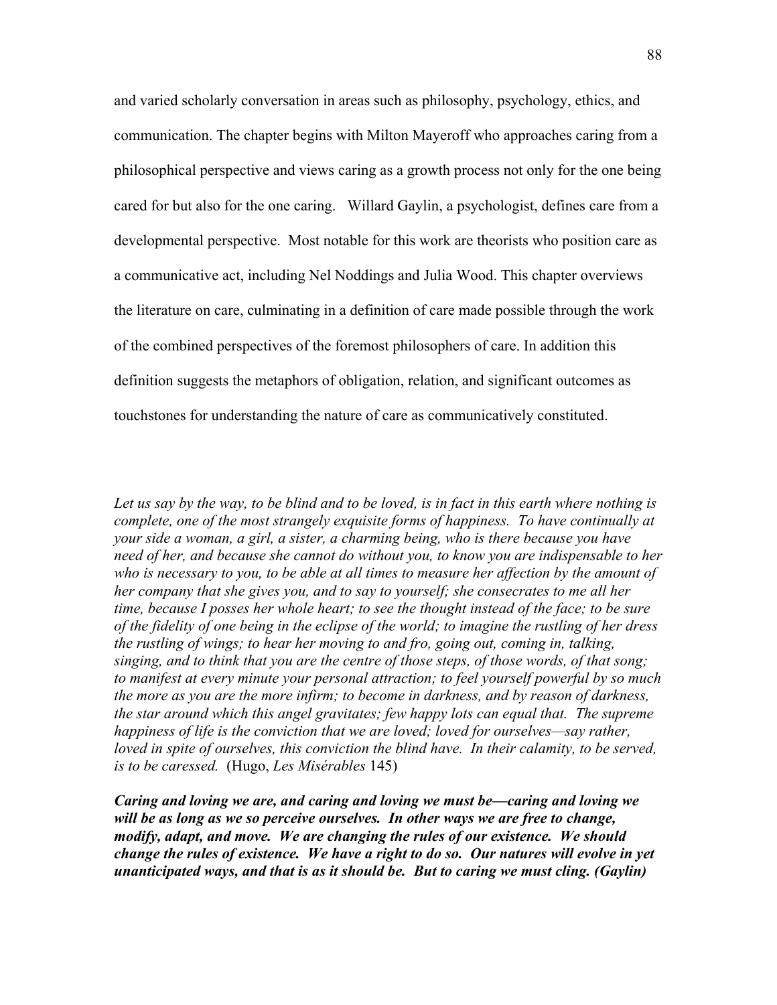and varied scholarly conversation in areas such as philosophy, psychology, ethics, and communication. The chapter begins with Milton Mayeroff who approaches caring from a philosophical perspective and views caring as a growth process not only for the one being cared for but also for the one caring. Willard Gaylin, a psychologist, defines care from a developmental perspective. Most notable for this work are theorists who position care as a communicative act, including Nel Noddings and Julia Wood. This chapter overviews the literature on care, culminating in a definition of care made possible through the work of the combined perspectives of the foremost philosophers of care. In addition this definition suggests the metaphors of obligation, relation, and significant outcomes as touchstones for understanding the nature of care as communicatively constituted.

*Let us say by the way, to be blind and to be loved, is in fact in this earth where nothing is complete, one of the most strangely exquisite forms of happiness. To have continually at your side a woman, a girl, a sister, a charming being, who is there because you have need of her, and because she cannot do without you, to know you are indispensable to her who is necessary to you, to be able at all times to measure her affection by the amount of her company that she gives you, and to say to yourself; she consecrates to me all her time, because I posses her whole heart; to see the thought instead of the face; to be sure of the fidelity of one being in the eclipse of the world; to imagine the rustling of her dress the rustling of wings; to hear her moving to and fro, going out, coming in, talking, singing, and to think that you are the centre of those steps, of those words, of that song; to manifest at every minute your personal attraction; to feel yourself powerful by so much the more as you are the more infirm; to become in darkness, and by reason of darkness, the star around which this angel gravitates; few happy lots can equal that. The supreme happiness of life is the conviction that we are loved; loved for ourselves—say rather,*  loved in spite of ourselves, this conviction the blind have. In their calamity, to be served, *is to be caressed.* (Hugo, *Les Misérables* 145)

*Caring and loving we are, and caring and loving we must be—caring and loving we will be as long as we so perceive ourselves. In other ways we are free to change, modify, adapt, and move. We are changing the rules of our existence. We should change the rules of existence. We have a right to do so. Our natures will evolve in yet unanticipated ways, and that is as it should be. But to caring we must cling. (Gaylin)*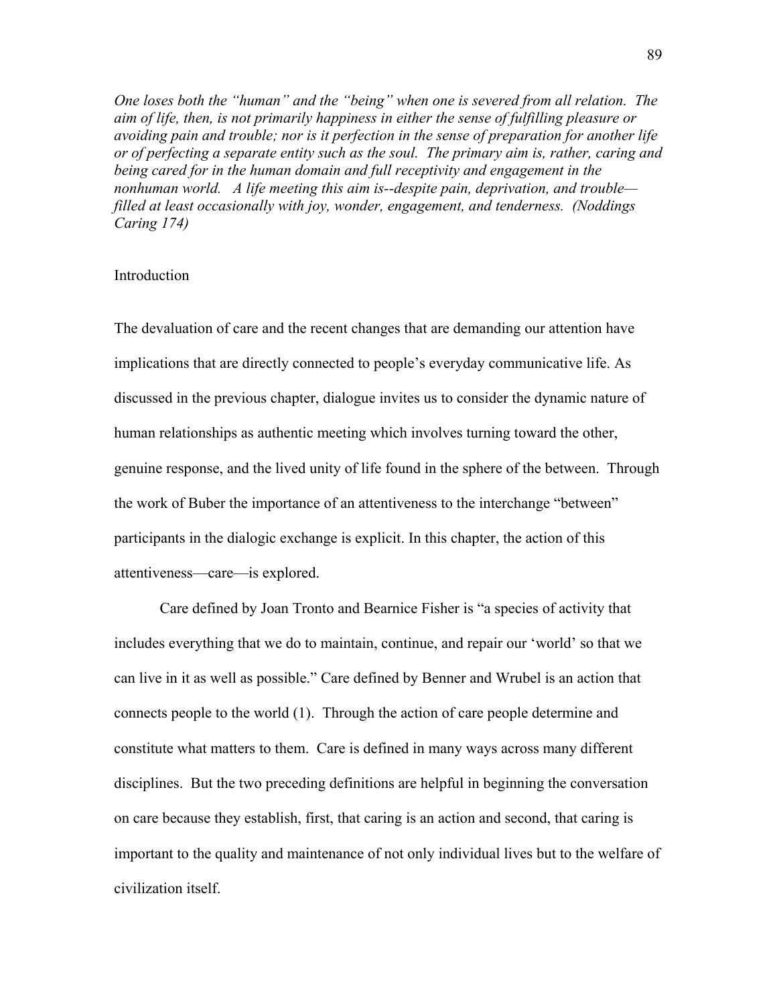*One loses both the "human" and the "being" when one is severed from all relation. The aim of life, then, is not primarily happiness in either the sense of fulfilling pleasure or avoiding pain and trouble; nor is it perfection in the sense of preparation for another life or of perfecting a separate entity such as the soul. The primary aim is, rather, caring and being cared for in the human domain and full receptivity and engagement in the nonhuman world. A life meeting this aim is--despite pain, deprivation, and trouble filled at least occasionally with joy, wonder, engagement, and tenderness. (Noddings Caring 174)* 

## Introduction

The devaluation of care and the recent changes that are demanding our attention have implications that are directly connected to people's everyday communicative life. As discussed in the previous chapter, dialogue invites us to consider the dynamic nature of human relationships as authentic meeting which involves turning toward the other, genuine response, and the lived unity of life found in the sphere of the between. Through the work of Buber the importance of an attentiveness to the interchange "between" participants in the dialogic exchange is explicit. In this chapter, the action of this attentiveness—care—is explored.

Care defined by Joan Tronto and Bearnice Fisher is "a species of activity that includes everything that we do to maintain, continue, and repair our 'world' so that we can live in it as well as possible." Care defined by Benner and Wrubel is an action that connects people to the world (1). Through the action of care people determine and constitute what matters to them. Care is defined in many ways across many different disciplines. But the two preceding definitions are helpful in beginning the conversation on care because they establish, first, that caring is an action and second, that caring is important to the quality and maintenance of not only individual lives but to the welfare of civilization itself.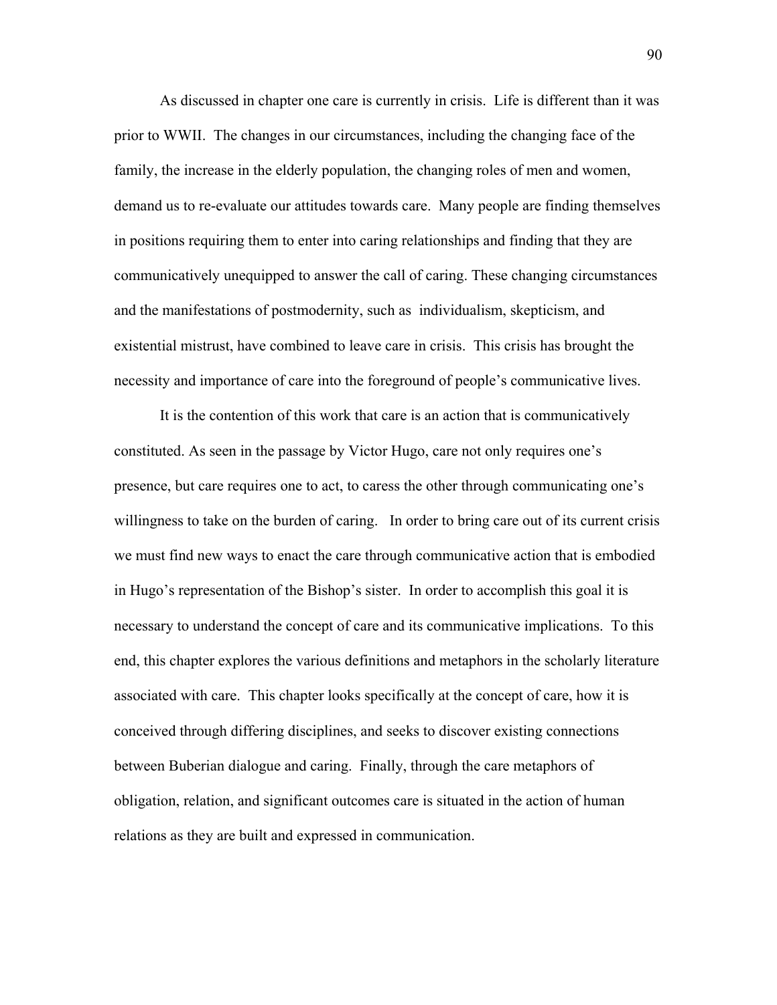As discussed in chapter one care is currently in crisis. Life is different than it was prior to WWII. The changes in our circumstances, including the changing face of the family, the increase in the elderly population, the changing roles of men and women, demand us to re-evaluate our attitudes towards care. Many people are finding themselves in positions requiring them to enter into caring relationships and finding that they are communicatively unequipped to answer the call of caring. These changing circumstances and the manifestations of postmodernity, such as individualism, skepticism, and existential mistrust, have combined to leave care in crisis. This crisis has brought the necessity and importance of care into the foreground of people's communicative lives.

 It is the contention of this work that care is an action that is communicatively constituted. As seen in the passage by Victor Hugo, care not only requires one's presence, but care requires one to act, to caress the other through communicating one's willingness to take on the burden of caring. In order to bring care out of its current crisis we must find new ways to enact the care through communicative action that is embodied in Hugo's representation of the Bishop's sister. In order to accomplish this goal it is necessary to understand the concept of care and its communicative implications. To this end, this chapter explores the various definitions and metaphors in the scholarly literature associated with care. This chapter looks specifically at the concept of care, how it is conceived through differing disciplines, and seeks to discover existing connections between Buberian dialogue and caring. Finally, through the care metaphors of obligation, relation, and significant outcomes care is situated in the action of human relations as they are built and expressed in communication.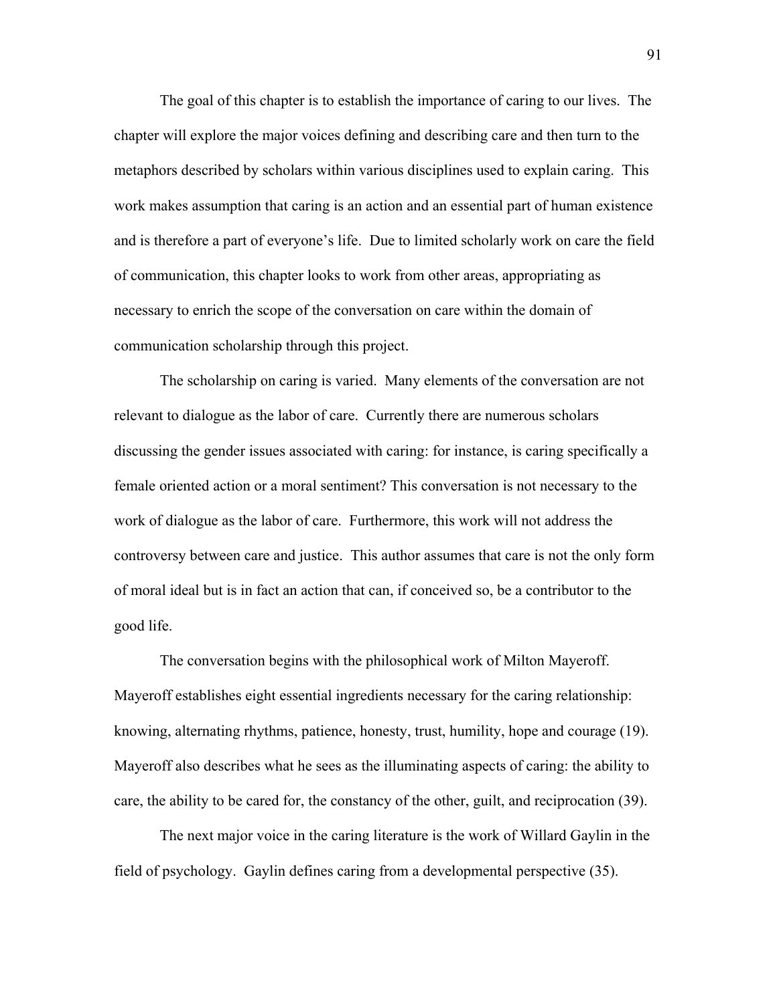The goal of this chapter is to establish the importance of caring to our lives. The chapter will explore the major voices defining and describing care and then turn to the metaphors described by scholars within various disciplines used to explain caring. This work makes assumption that caring is an action and an essential part of human existence and is therefore a part of everyone's life. Due to limited scholarly work on care the field of communication, this chapter looks to work from other areas, appropriating as necessary to enrich the scope of the conversation on care within the domain of communication scholarship through this project.

The scholarship on caring is varied. Many elements of the conversation are not relevant to dialogue as the labor of care. Currently there are numerous scholars discussing the gender issues associated with caring: for instance, is caring specifically a female oriented action or a moral sentiment? This conversation is not necessary to the work of dialogue as the labor of care. Furthermore, this work will not address the controversy between care and justice. This author assumes that care is not the only form of moral ideal but is in fact an action that can, if conceived so, be a contributor to the good life.

The conversation begins with the philosophical work of Milton Mayeroff. Mayeroff establishes eight essential ingredients necessary for the caring relationship: knowing, alternating rhythms, patience, honesty, trust, humility, hope and courage (19). Mayeroff also describes what he sees as the illuminating aspects of caring: the ability to care, the ability to be cared for, the constancy of the other, guilt, and reciprocation (39).

The next major voice in the caring literature is the work of Willard Gaylin in the field of psychology. Gaylin defines caring from a developmental perspective (35).

91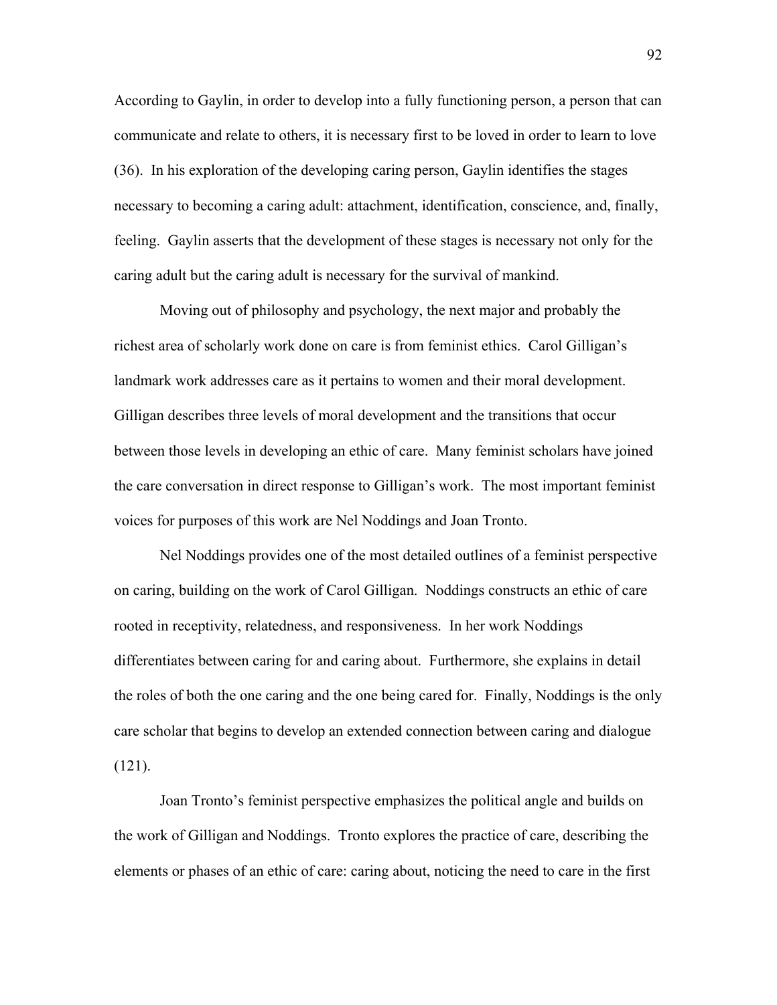According to Gaylin, in order to develop into a fully functioning person, a person that can communicate and relate to others, it is necessary first to be loved in order to learn to love (36). In his exploration of the developing caring person, Gaylin identifies the stages necessary to becoming a caring adult: attachment, identification, conscience, and, finally, feeling. Gaylin asserts that the development of these stages is necessary not only for the caring adult but the caring adult is necessary for the survival of mankind.

Moving out of philosophy and psychology, the next major and probably the richest area of scholarly work done on care is from feminist ethics. Carol Gilligan's landmark work addresses care as it pertains to women and their moral development. Gilligan describes three levels of moral development and the transitions that occur between those levels in developing an ethic of care. Many feminist scholars have joined the care conversation in direct response to Gilligan's work. The most important feminist voices for purposes of this work are Nel Noddings and Joan Tronto.

Nel Noddings provides one of the most detailed outlines of a feminist perspective on caring, building on the work of Carol Gilligan. Noddings constructs an ethic of care rooted in receptivity, relatedness, and responsiveness. In her work Noddings differentiates between caring for and caring about. Furthermore, she explains in detail the roles of both the one caring and the one being cared for. Finally, Noddings is the only care scholar that begins to develop an extended connection between caring and dialogue (121).

Joan Tronto's feminist perspective emphasizes the political angle and builds on the work of Gilligan and Noddings. Tronto explores the practice of care, describing the elements or phases of an ethic of care: caring about, noticing the need to care in the first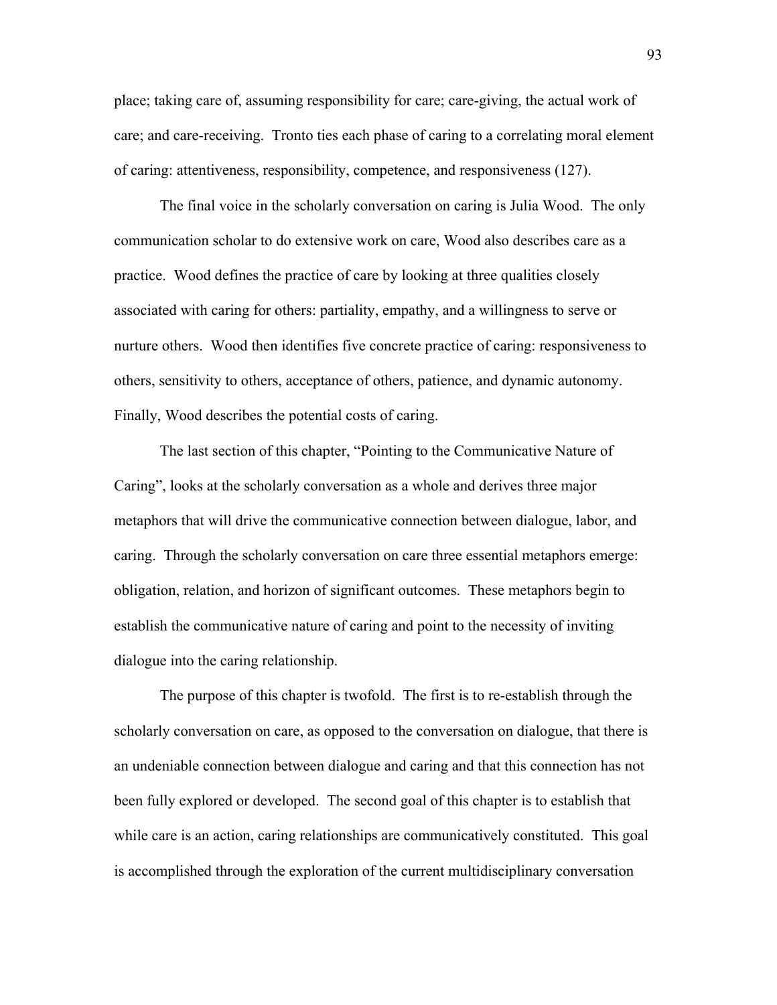place; taking care of, assuming responsibility for care; care-giving, the actual work of care; and care-receiving. Tronto ties each phase of caring to a correlating moral element of caring: attentiveness, responsibility, competence, and responsiveness (127).

The final voice in the scholarly conversation on caring is Julia Wood. The only communication scholar to do extensive work on care, Wood also describes care as a practice. Wood defines the practice of care by looking at three qualities closely associated with caring for others: partiality, empathy, and a willingness to serve or nurture others. Wood then identifies five concrete practice of caring: responsiveness to others, sensitivity to others, acceptance of others, patience, and dynamic autonomy. Finally, Wood describes the potential costs of caring.

The last section of this chapter, "Pointing to the Communicative Nature of Caring", looks at the scholarly conversation as a whole and derives three major metaphors that will drive the communicative connection between dialogue, labor, and caring. Through the scholarly conversation on care three essential metaphors emerge: obligation, relation, and horizon of significant outcomes. These metaphors begin to establish the communicative nature of caring and point to the necessity of inviting dialogue into the caring relationship.

The purpose of this chapter is twofold. The first is to re-establish through the scholarly conversation on care, as opposed to the conversation on dialogue, that there is an undeniable connection between dialogue and caring and that this connection has not been fully explored or developed. The second goal of this chapter is to establish that while care is an action, caring relationships are communicatively constituted. This goal is accomplished through the exploration of the current multidisciplinary conversation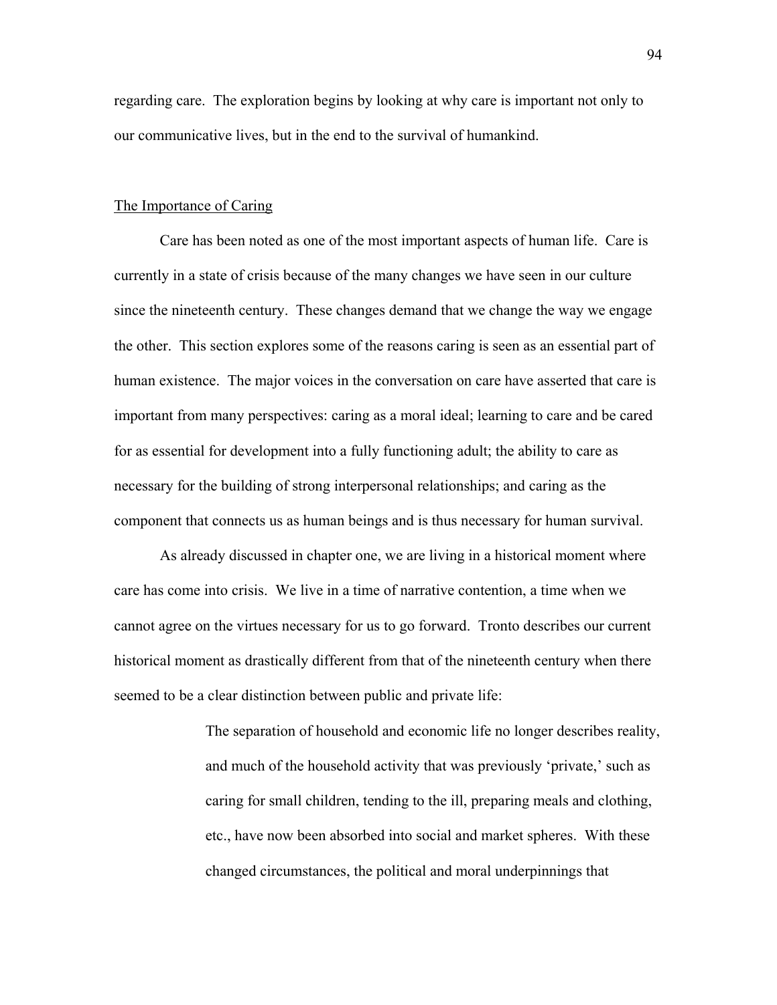regarding care. The exploration begins by looking at why care is important not only to our communicative lives, but in the end to the survival of humankind.

### The Importance of Caring

Care has been noted as one of the most important aspects of human life. Care is currently in a state of crisis because of the many changes we have seen in our culture since the nineteenth century. These changes demand that we change the way we engage the other. This section explores some of the reasons caring is seen as an essential part of human existence. The major voices in the conversation on care have asserted that care is important from many perspectives: caring as a moral ideal; learning to care and be cared for as essential for development into a fully functioning adult; the ability to care as necessary for the building of strong interpersonal relationships; and caring as the component that connects us as human beings and is thus necessary for human survival.

As already discussed in chapter one, we are living in a historical moment where care has come into crisis. We live in a time of narrative contention, a time when we cannot agree on the virtues necessary for us to go forward. Tronto describes our current historical moment as drastically different from that of the nineteenth century when there seemed to be a clear distinction between public and private life:

> The separation of household and economic life no longer describes reality, and much of the household activity that was previously 'private,' such as caring for small children, tending to the ill, preparing meals and clothing, etc., have now been absorbed into social and market spheres. With these changed circumstances, the political and moral underpinnings that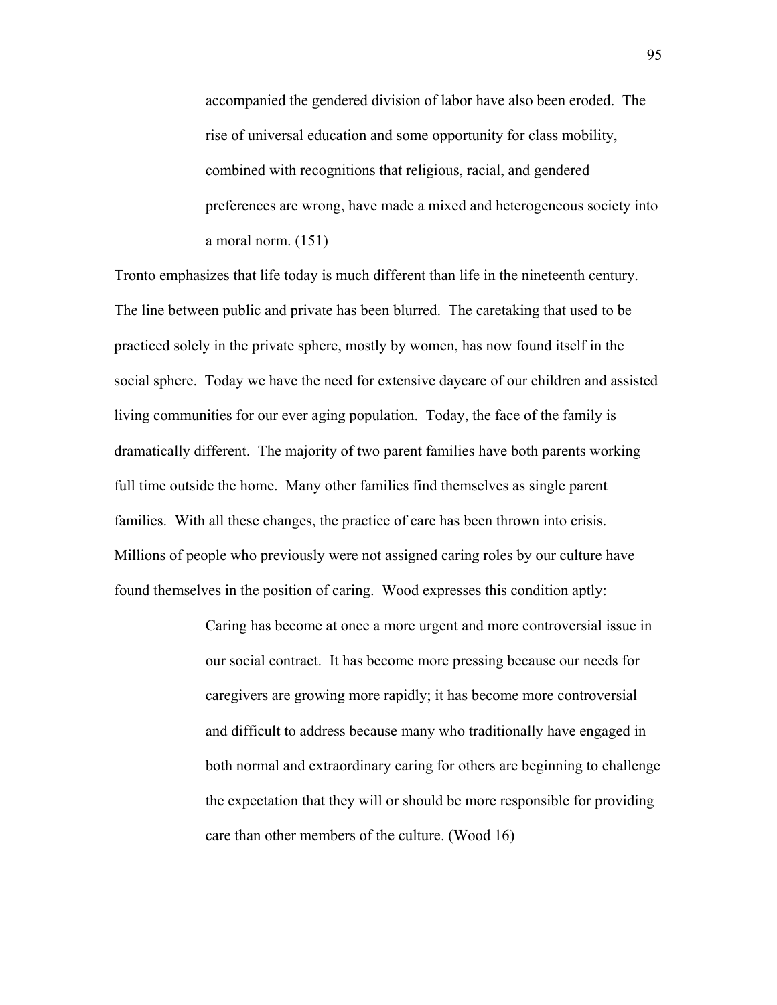accompanied the gendered division of labor have also been eroded. The rise of universal education and some opportunity for class mobility, combined with recognitions that religious, racial, and gendered preferences are wrong, have made a mixed and heterogeneous society into a moral norm. (151)

Tronto emphasizes that life today is much different than life in the nineteenth century. The line between public and private has been blurred. The caretaking that used to be practiced solely in the private sphere, mostly by women, has now found itself in the social sphere. Today we have the need for extensive daycare of our children and assisted living communities for our ever aging population. Today, the face of the family is dramatically different. The majority of two parent families have both parents working full time outside the home. Many other families find themselves as single parent families. With all these changes, the practice of care has been thrown into crisis. Millions of people who previously were not assigned caring roles by our culture have found themselves in the position of caring. Wood expresses this condition aptly:

> Caring has become at once a more urgent and more controversial issue in our social contract. It has become more pressing because our needs for caregivers are growing more rapidly; it has become more controversial and difficult to address because many who traditionally have engaged in both normal and extraordinary caring for others are beginning to challenge the expectation that they will or should be more responsible for providing care than other members of the culture. (Wood 16)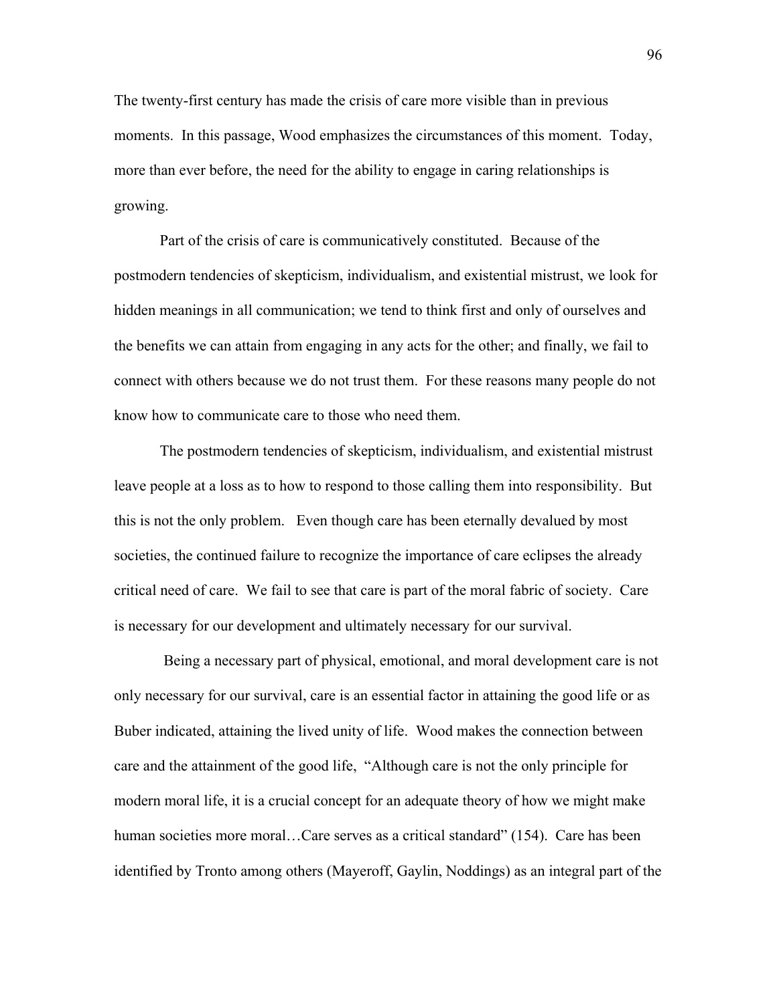The twenty-first century has made the crisis of care more visible than in previous moments. In this passage, Wood emphasizes the circumstances of this moment. Today, more than ever before, the need for the ability to engage in caring relationships is growing.

Part of the crisis of care is communicatively constituted. Because of the postmodern tendencies of skepticism, individualism, and existential mistrust, we look for hidden meanings in all communication; we tend to think first and only of ourselves and the benefits we can attain from engaging in any acts for the other; and finally, we fail to connect with others because we do not trust them. For these reasons many people do not know how to communicate care to those who need them.

The postmodern tendencies of skepticism, individualism, and existential mistrust leave people at a loss as to how to respond to those calling them into responsibility. But this is not the only problem. Even though care has been eternally devalued by most societies, the continued failure to recognize the importance of care eclipses the already critical need of care. We fail to see that care is part of the moral fabric of society. Care is necessary for our development and ultimately necessary for our survival.

 Being a necessary part of physical, emotional, and moral development care is not only necessary for our survival, care is an essential factor in attaining the good life or as Buber indicated, attaining the lived unity of life. Wood makes the connection between care and the attainment of the good life, "Although care is not the only principle for modern moral life, it is a crucial concept for an adequate theory of how we might make human societies more moral...Care serves as a critical standard" (154). Care has been identified by Tronto among others (Mayeroff, Gaylin, Noddings) as an integral part of the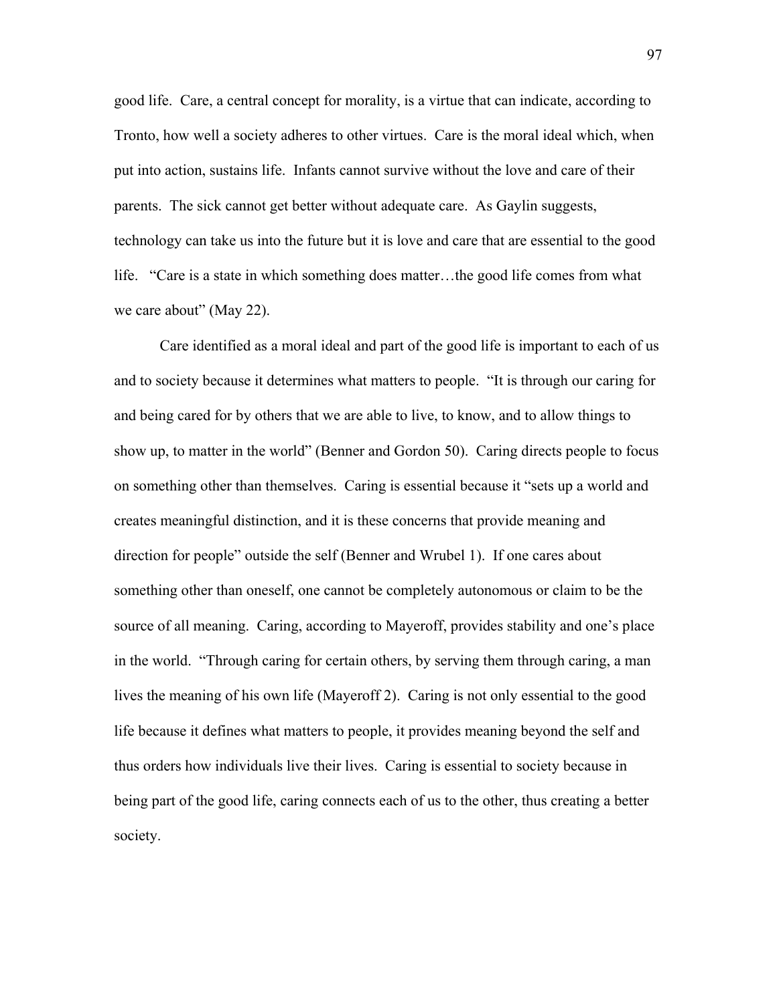good life. Care, a central concept for morality, is a virtue that can indicate, according to Tronto, how well a society adheres to other virtues. Care is the moral ideal which, when put into action, sustains life. Infants cannot survive without the love and care of their parents. The sick cannot get better without adequate care. As Gaylin suggests, technology can take us into the future but it is love and care that are essential to the good life. "Care is a state in which something does matter…the good life comes from what we care about" (May 22).

Care identified as a moral ideal and part of the good life is important to each of us and to society because it determines what matters to people. "It is through our caring for and being cared for by others that we are able to live, to know, and to allow things to show up, to matter in the world" (Benner and Gordon 50). Caring directs people to focus on something other than themselves. Caring is essential because it "sets up a world and creates meaningful distinction, and it is these concerns that provide meaning and direction for people" outside the self (Benner and Wrubel 1). If one cares about something other than oneself, one cannot be completely autonomous or claim to be the source of all meaning. Caring, according to Mayeroff, provides stability and one's place in the world. "Through caring for certain others, by serving them through caring, a man lives the meaning of his own life (Mayeroff 2). Caring is not only essential to the good life because it defines what matters to people, it provides meaning beyond the self and thus orders how individuals live their lives. Caring is essential to society because in being part of the good life, caring connects each of us to the other, thus creating a better society.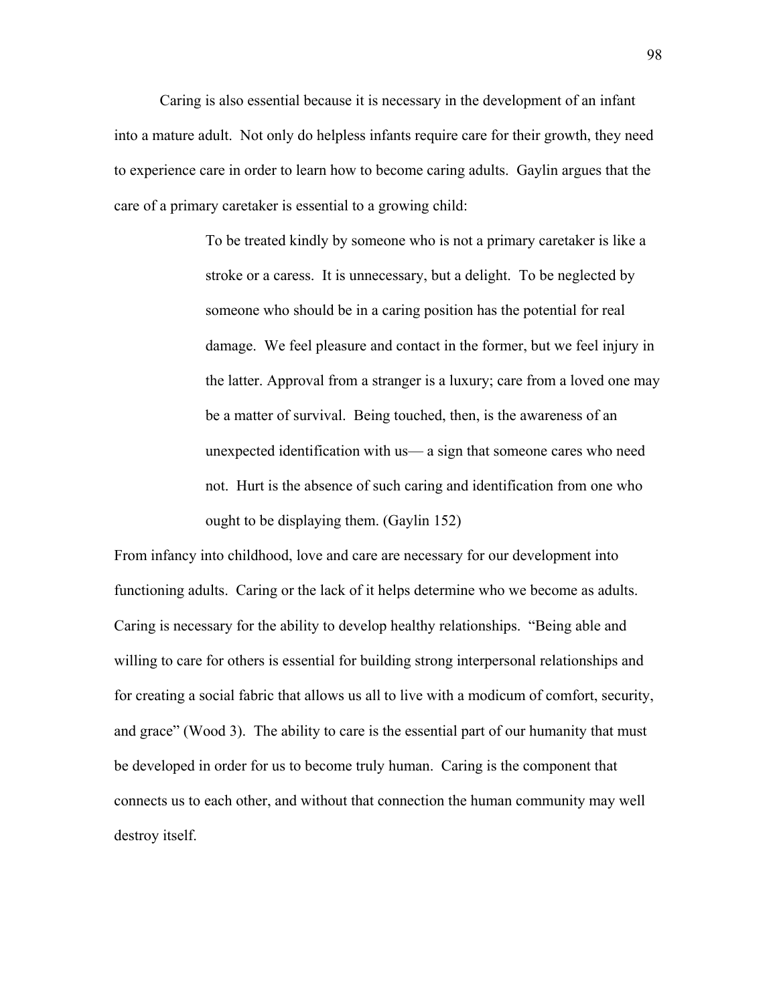Caring is also essential because it is necessary in the development of an infant into a mature adult. Not only do helpless infants require care for their growth, they need to experience care in order to learn how to become caring adults. Gaylin argues that the care of a primary caretaker is essential to a growing child:

> To be treated kindly by someone who is not a primary caretaker is like a stroke or a caress. It is unnecessary, but a delight. To be neglected by someone who should be in a caring position has the potential for real damage. We feel pleasure and contact in the former, but we feel injury in the latter. Approval from a stranger is a luxury; care from a loved one may be a matter of survival. Being touched, then, is the awareness of an unexpected identification with us— a sign that someone cares who need not. Hurt is the absence of such caring and identification from one who ought to be displaying them. (Gaylin 152)

From infancy into childhood, love and care are necessary for our development into functioning adults. Caring or the lack of it helps determine who we become as adults. Caring is necessary for the ability to develop healthy relationships. "Being able and willing to care for others is essential for building strong interpersonal relationships and for creating a social fabric that allows us all to live with a modicum of comfort, security, and grace" (Wood 3). The ability to care is the essential part of our humanity that must be developed in order for us to become truly human. Caring is the component that connects us to each other, and without that connection the human community may well destroy itself.

98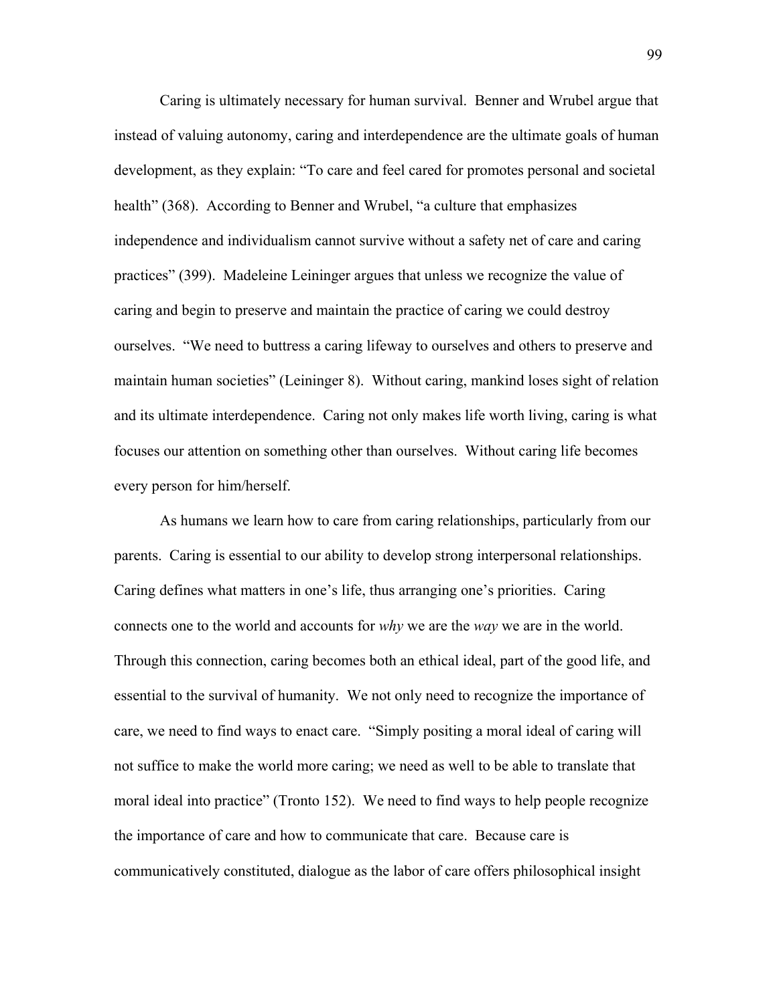Caring is ultimately necessary for human survival. Benner and Wrubel argue that instead of valuing autonomy, caring and interdependence are the ultimate goals of human development, as they explain: "To care and feel cared for promotes personal and societal health" (368). According to Benner and Wrubel, "a culture that emphasizes independence and individualism cannot survive without a safety net of care and caring practices" (399). Madeleine Leininger argues that unless we recognize the value of caring and begin to preserve and maintain the practice of caring we could destroy ourselves. "We need to buttress a caring lifeway to ourselves and others to preserve and maintain human societies" (Leininger 8). Without caring, mankind loses sight of relation and its ultimate interdependence. Caring not only makes life worth living, caring is what focuses our attention on something other than ourselves. Without caring life becomes every person for him/herself.

As humans we learn how to care from caring relationships, particularly from our parents. Caring is essential to our ability to develop strong interpersonal relationships. Caring defines what matters in one's life, thus arranging one's priorities. Caring connects one to the world and accounts for *why* we are the *way* we are in the world. Through this connection, caring becomes both an ethical ideal, part of the good life, and essential to the survival of humanity. We not only need to recognize the importance of care, we need to find ways to enact care. "Simply positing a moral ideal of caring will not suffice to make the world more caring; we need as well to be able to translate that moral ideal into practice" (Tronto 152). We need to find ways to help people recognize the importance of care and how to communicate that care. Because care is communicatively constituted, dialogue as the labor of care offers philosophical insight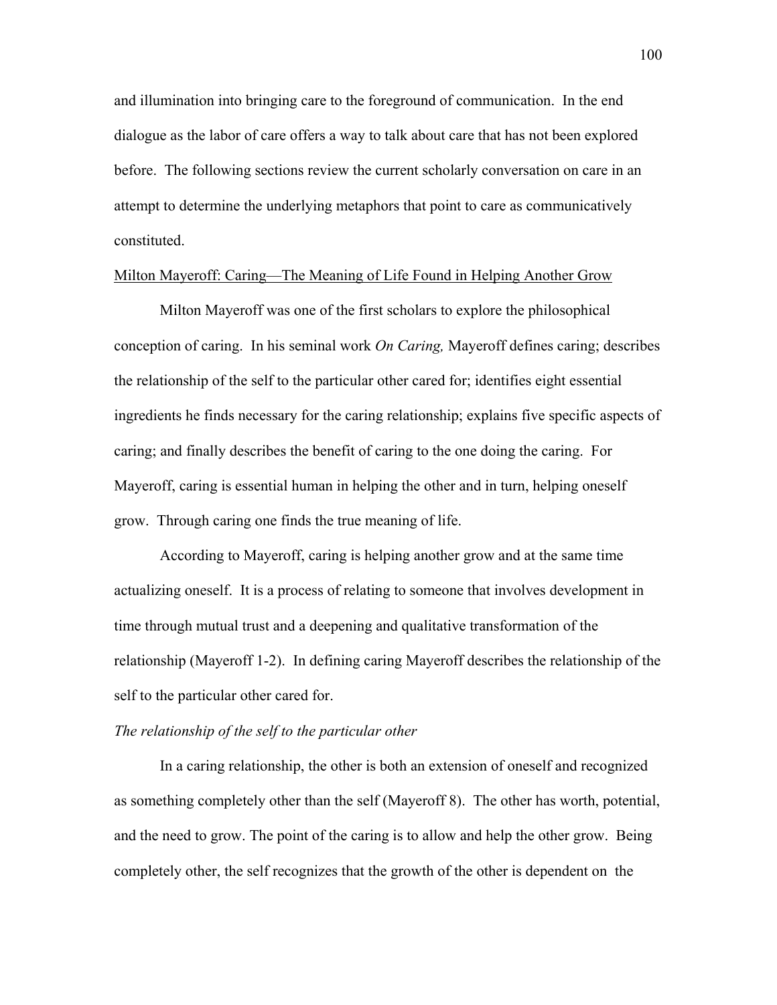and illumination into bringing care to the foreground of communication. In the end dialogue as the labor of care offers a way to talk about care that has not been explored before. The following sections review the current scholarly conversation on care in an attempt to determine the underlying metaphors that point to care as communicatively constituted.

### Milton Mayeroff: Caring—The Meaning of Life Found in Helping Another Grow

Milton Mayeroff was one of the first scholars to explore the philosophical conception of caring. In his seminal work *On Caring,* Mayeroff defines caring; describes the relationship of the self to the particular other cared for; identifies eight essential ingredients he finds necessary for the caring relationship; explains five specific aspects of caring; and finally describes the benefit of caring to the one doing the caring. For Mayeroff, caring is essential human in helping the other and in turn, helping oneself grow. Through caring one finds the true meaning of life.

According to Mayeroff, caring is helping another grow and at the same time actualizing oneself. It is a process of relating to someone that involves development in time through mutual trust and a deepening and qualitative transformation of the relationship (Mayeroff 1-2). In defining caring Mayeroff describes the relationship of the self to the particular other cared for.

### *The relationship of the self to the particular other*

In a caring relationship, the other is both an extension of oneself and recognized as something completely other than the self (Mayeroff 8). The other has worth, potential, and the need to grow. The point of the caring is to allow and help the other grow. Being completely other, the self recognizes that the growth of the other is dependent on the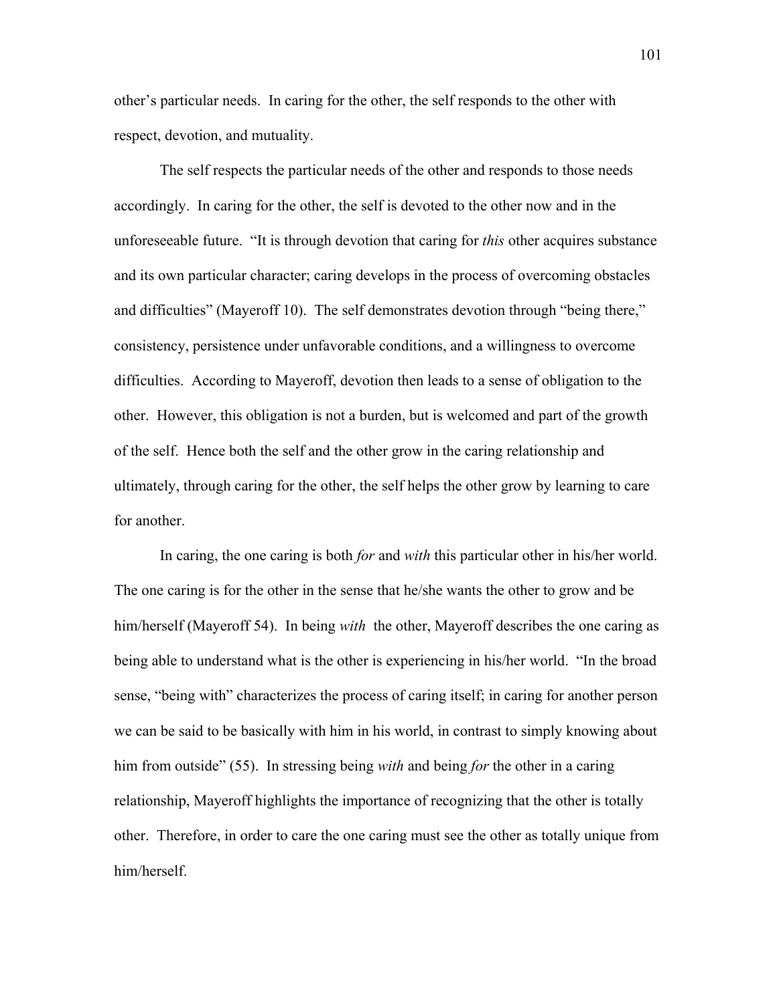other's particular needs. In caring for the other, the self responds to the other with respect, devotion, and mutuality.

The self respects the particular needs of the other and responds to those needs accordingly. In caring for the other, the self is devoted to the other now and in the unforeseeable future. "It is through devotion that caring for *this* other acquires substance and its own particular character; caring develops in the process of overcoming obstacles and difficulties" (Mayeroff 10). The self demonstrates devotion through "being there," consistency, persistence under unfavorable conditions, and a willingness to overcome difficulties. According to Mayeroff, devotion then leads to a sense of obligation to the other. However, this obligation is not a burden, but is welcomed and part of the growth of the self. Hence both the self and the other grow in the caring relationship and ultimately, through caring for the other, the self helps the other grow by learning to care for another.

In caring, the one caring is both *for* and *with* this particular other in his/her world. The one caring is for the other in the sense that he/she wants the other to grow and be him/herself (Mayeroff 54). In being *with* the other, Mayeroff describes the one caring as being able to understand what is the other is experiencing in his/her world. "In the broad sense, "being with" characterizes the process of caring itself; in caring for another person we can be said to be basically with him in his world, in contrast to simply knowing about him from outside" (55). In stressing being *with* and being *for* the other in a caring relationship, Mayeroff highlights the importance of recognizing that the other is totally other. Therefore, in order to care the one caring must see the other as totally unique from him/herself.

101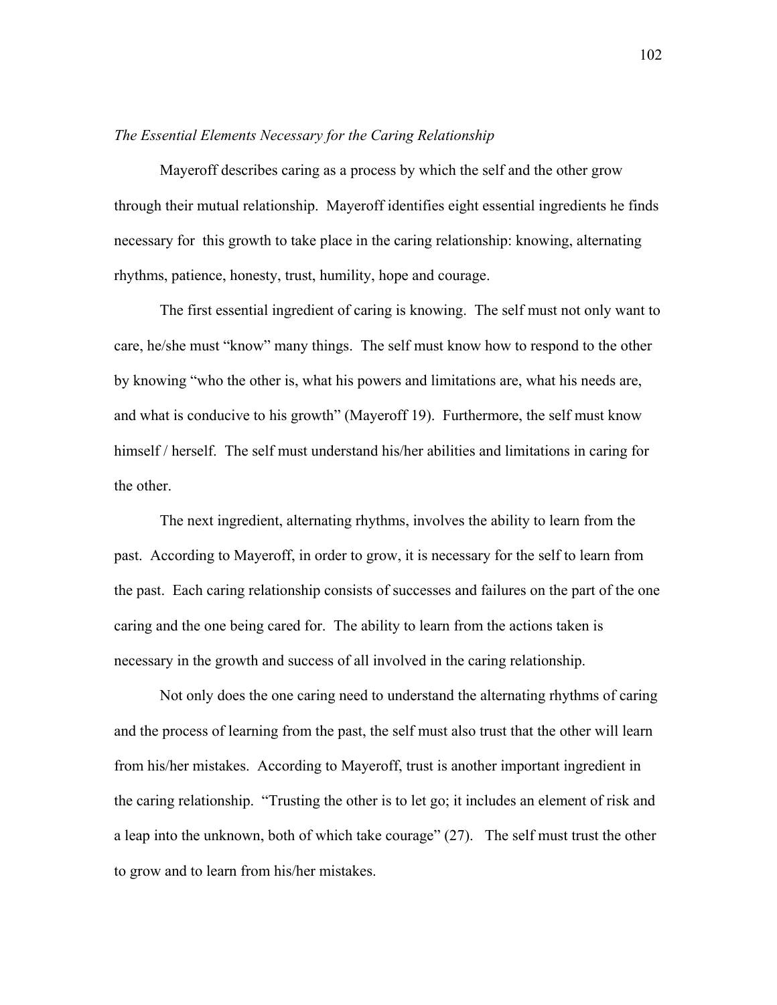# *The Essential Elements Necessary for the Caring Relationship*

Mayeroff describes caring as a process by which the self and the other grow through their mutual relationship. Mayeroff identifies eight essential ingredients he finds necessary for this growth to take place in the caring relationship: knowing, alternating rhythms, patience, honesty, trust, humility, hope and courage.

The first essential ingredient of caring is knowing. The self must not only want to care, he/she must "know" many things. The self must know how to respond to the other by knowing "who the other is, what his powers and limitations are, what his needs are, and what is conducive to his growth" (Mayeroff 19). Furthermore, the self must know himself / herself. The self must understand his/her abilities and limitations in caring for the other.

The next ingredient, alternating rhythms, involves the ability to learn from the past. According to Mayeroff, in order to grow, it is necessary for the self to learn from the past. Each caring relationship consists of successes and failures on the part of the one caring and the one being cared for. The ability to learn from the actions taken is necessary in the growth and success of all involved in the caring relationship.

Not only does the one caring need to understand the alternating rhythms of caring and the process of learning from the past, the self must also trust that the other will learn from his/her mistakes. According to Mayeroff, trust is another important ingredient in the caring relationship. "Trusting the other is to let go; it includes an element of risk and a leap into the unknown, both of which take courage" (27). The self must trust the other to grow and to learn from his/her mistakes.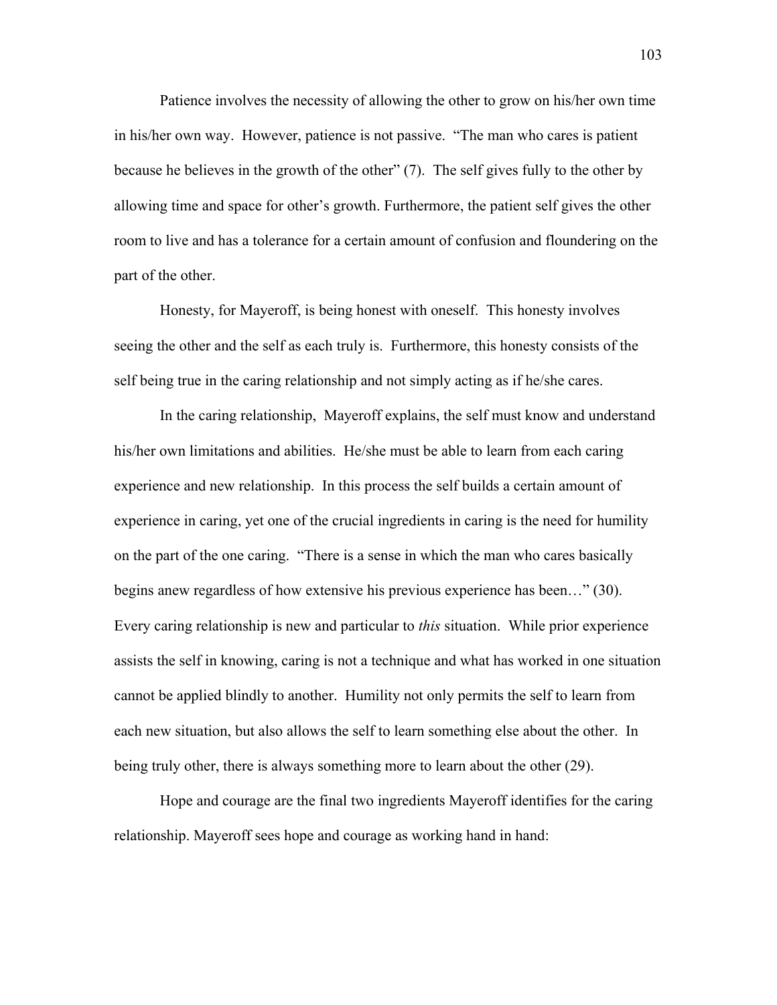Patience involves the necessity of allowing the other to grow on his/her own time in his/her own way. However, patience is not passive. "The man who cares is patient because he believes in the growth of the other" (7). The self gives fully to the other by allowing time and space for other's growth. Furthermore, the patient self gives the other room to live and has a tolerance for a certain amount of confusion and floundering on the part of the other.

Honesty, for Mayeroff, is being honest with oneself. This honesty involves seeing the other and the self as each truly is. Furthermore, this honesty consists of the self being true in the caring relationship and not simply acting as if he/she cares.

In the caring relationship, Mayeroff explains, the self must know and understand his/her own limitations and abilities. He/she must be able to learn from each caring experience and new relationship. In this process the self builds a certain amount of experience in caring, yet one of the crucial ingredients in caring is the need for humility on the part of the one caring. "There is a sense in which the man who cares basically begins anew regardless of how extensive his previous experience has been…" (30). Every caring relationship is new and particular to *this* situation. While prior experience assists the self in knowing, caring is not a technique and what has worked in one situation cannot be applied blindly to another. Humility not only permits the self to learn from each new situation, but also allows the self to learn something else about the other. In being truly other, there is always something more to learn about the other (29).

Hope and courage are the final two ingredients Mayeroff identifies for the caring relationship. Mayeroff sees hope and courage as working hand in hand: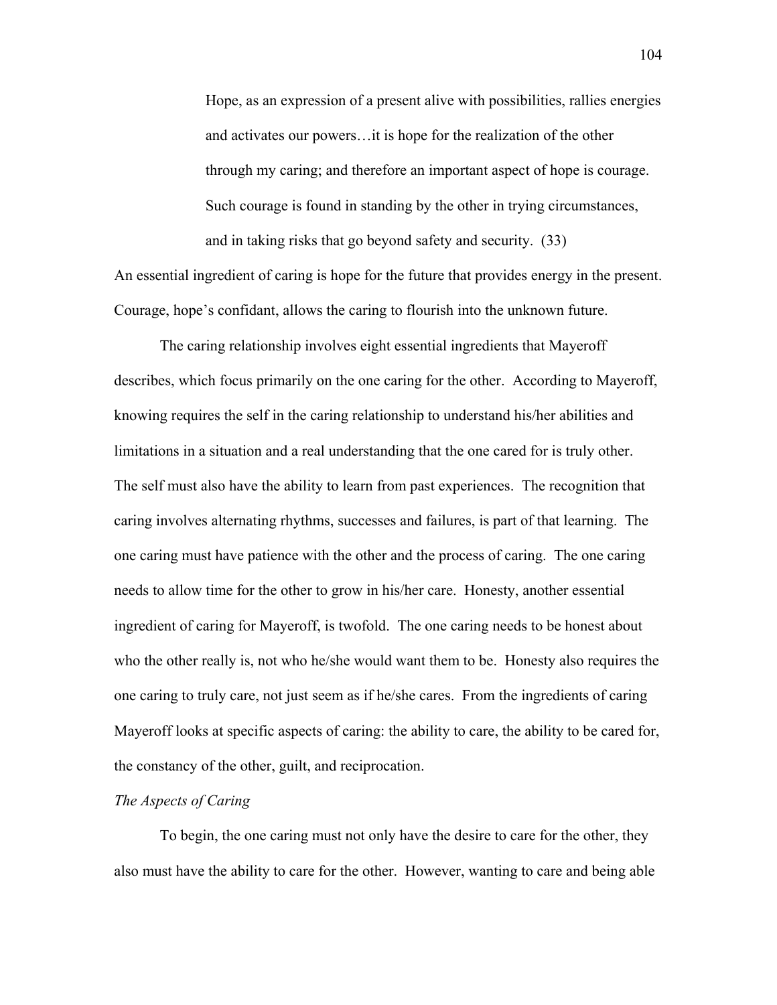Hope, as an expression of a present alive with possibilities, rallies energies and activates our powers…it is hope for the realization of the other through my caring; and therefore an important aspect of hope is courage. Such courage is found in standing by the other in trying circumstances, and in taking risks that go beyond safety and security. (33)

An essential ingredient of caring is hope for the future that provides energy in the present. Courage, hope's confidant, allows the caring to flourish into the unknown future.

The caring relationship involves eight essential ingredients that Mayeroff describes, which focus primarily on the one caring for the other. According to Mayeroff, knowing requires the self in the caring relationship to understand his/her abilities and limitations in a situation and a real understanding that the one cared for is truly other. The self must also have the ability to learn from past experiences. The recognition that caring involves alternating rhythms, successes and failures, is part of that learning. The one caring must have patience with the other and the process of caring. The one caring needs to allow time for the other to grow in his/her care. Honesty, another essential ingredient of caring for Mayeroff, is twofold. The one caring needs to be honest about who the other really is, not who he/she would want them to be. Honesty also requires the one caring to truly care, not just seem as if he/she cares. From the ingredients of caring Mayeroff looks at specific aspects of caring: the ability to care, the ability to be cared for, the constancy of the other, guilt, and reciprocation.

# *The Aspects of Caring*

To begin, the one caring must not only have the desire to care for the other, they also must have the ability to care for the other. However, wanting to care and being able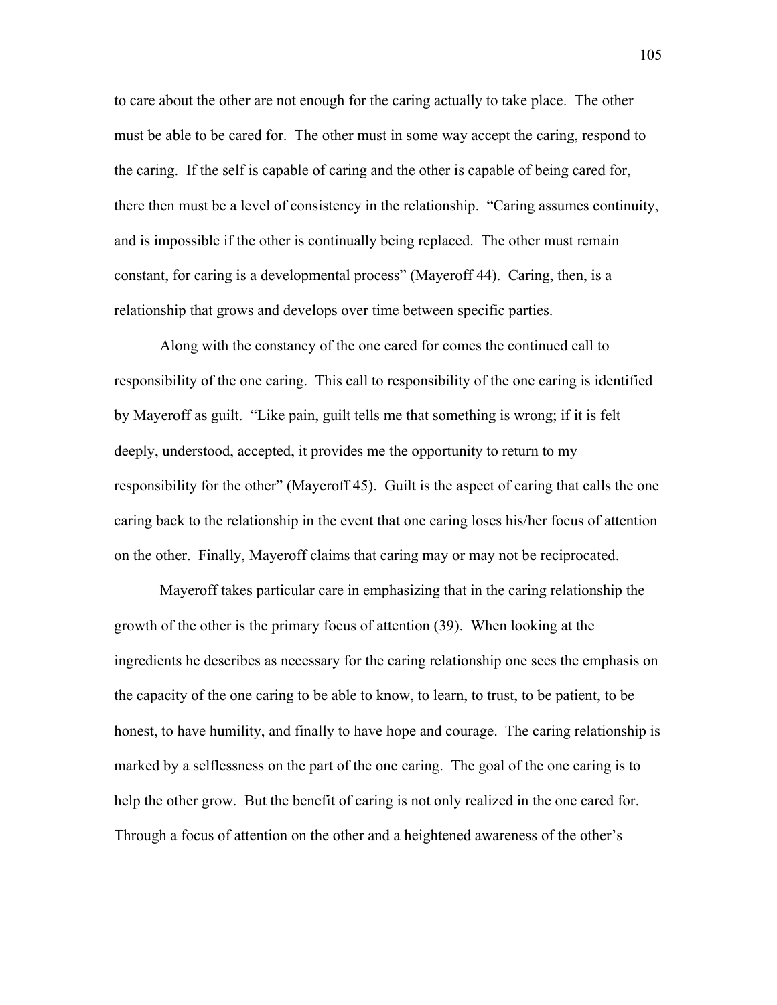to care about the other are not enough for the caring actually to take place. The other must be able to be cared for. The other must in some way accept the caring, respond to the caring. If the self is capable of caring and the other is capable of being cared for, there then must be a level of consistency in the relationship. "Caring assumes continuity, and is impossible if the other is continually being replaced. The other must remain constant, for caring is a developmental process" (Mayeroff 44). Caring, then, is a relationship that grows and develops over time between specific parties.

Along with the constancy of the one cared for comes the continued call to responsibility of the one caring. This call to responsibility of the one caring is identified by Mayeroff as guilt. "Like pain, guilt tells me that something is wrong; if it is felt deeply, understood, accepted, it provides me the opportunity to return to my responsibility for the other" (Mayeroff 45). Guilt is the aspect of caring that calls the one caring back to the relationship in the event that one caring loses his/her focus of attention on the other. Finally, Mayeroff claims that caring may or may not be reciprocated.

Mayeroff takes particular care in emphasizing that in the caring relationship the growth of the other is the primary focus of attention (39). When looking at the ingredients he describes as necessary for the caring relationship one sees the emphasis on the capacity of the one caring to be able to know, to learn, to trust, to be patient, to be honest, to have humility, and finally to have hope and courage. The caring relationship is marked by a selflessness on the part of the one caring. The goal of the one caring is to help the other grow. But the benefit of caring is not only realized in the one cared for. Through a focus of attention on the other and a heightened awareness of the other's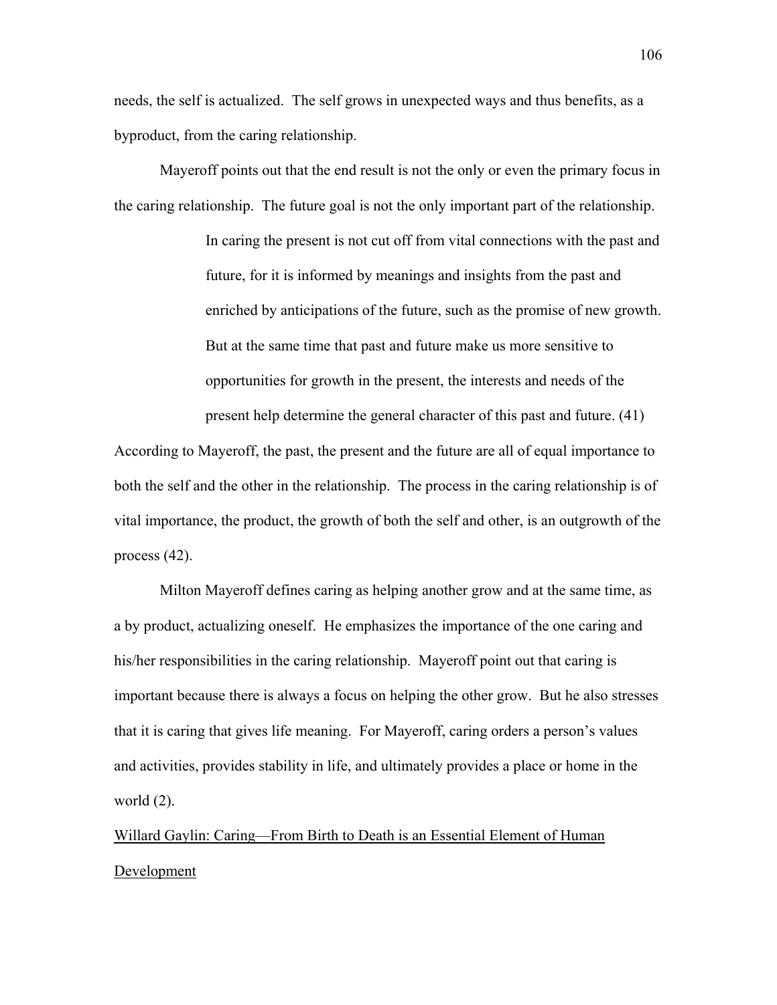needs, the self is actualized. The self grows in unexpected ways and thus benefits, as a byproduct, from the caring relationship.

Mayeroff points out that the end result is not the only or even the primary focus in the caring relationship. The future goal is not the only important part of the relationship.

> In caring the present is not cut off from vital connections with the past and future, for it is informed by meanings and insights from the past and enriched by anticipations of the future, such as the promise of new growth. But at the same time that past and future make us more sensitive to opportunities for growth in the present, the interests and needs of the present help determine the general character of this past and future. (41)

According to Mayeroff, the past, the present and the future are all of equal importance to both the self and the other in the relationship. The process in the caring relationship is of vital importance, the product, the growth of both the self and other, is an outgrowth of the process (42).

Milton Mayeroff defines caring as helping another grow and at the same time, as a by product, actualizing oneself. He emphasizes the importance of the one caring and his/her responsibilities in the caring relationship. Mayeroff point out that caring is important because there is always a focus on helping the other grow. But he also stresses that it is caring that gives life meaning. For Mayeroff, caring orders a person's values and activities, provides stability in life, and ultimately provides a place or home in the world (2).

Willard Gaylin: Caring—From Birth to Death is an Essential Element of Human Development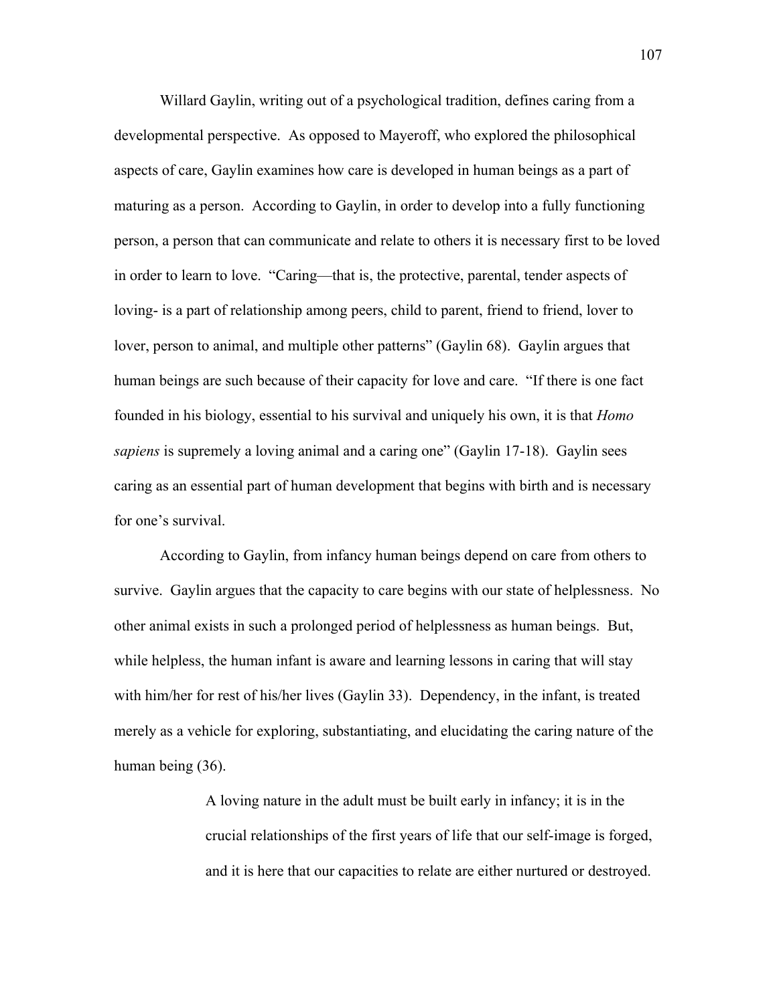Willard Gaylin, writing out of a psychological tradition, defines caring from a developmental perspective. As opposed to Mayeroff, who explored the philosophical aspects of care, Gaylin examines how care is developed in human beings as a part of maturing as a person. According to Gaylin, in order to develop into a fully functioning person, a person that can communicate and relate to others it is necessary first to be loved in order to learn to love. "Caring—that is, the protective, parental, tender aspects of loving- is a part of relationship among peers, child to parent, friend to friend, lover to lover, person to animal, and multiple other patterns" (Gaylin 68). Gaylin argues that human beings are such because of their capacity for love and care. "If there is one fact founded in his biology, essential to his survival and uniquely his own, it is that *Homo sapiens* is supremely a loving animal and a caring one" (Gaylin 17-18). Gaylin sees caring as an essential part of human development that begins with birth and is necessary for one's survival.

According to Gaylin, from infancy human beings depend on care from others to survive. Gaylin argues that the capacity to care begins with our state of helplessness. No other animal exists in such a prolonged period of helplessness as human beings. But, while helpless, the human infant is aware and learning lessons in caring that will stay with him/her for rest of his/her lives (Gaylin 33). Dependency, in the infant, is treated merely as a vehicle for exploring, substantiating, and elucidating the caring nature of the human being (36).

> A loving nature in the adult must be built early in infancy; it is in the crucial relationships of the first years of life that our self-image is forged, and it is here that our capacities to relate are either nurtured or destroyed.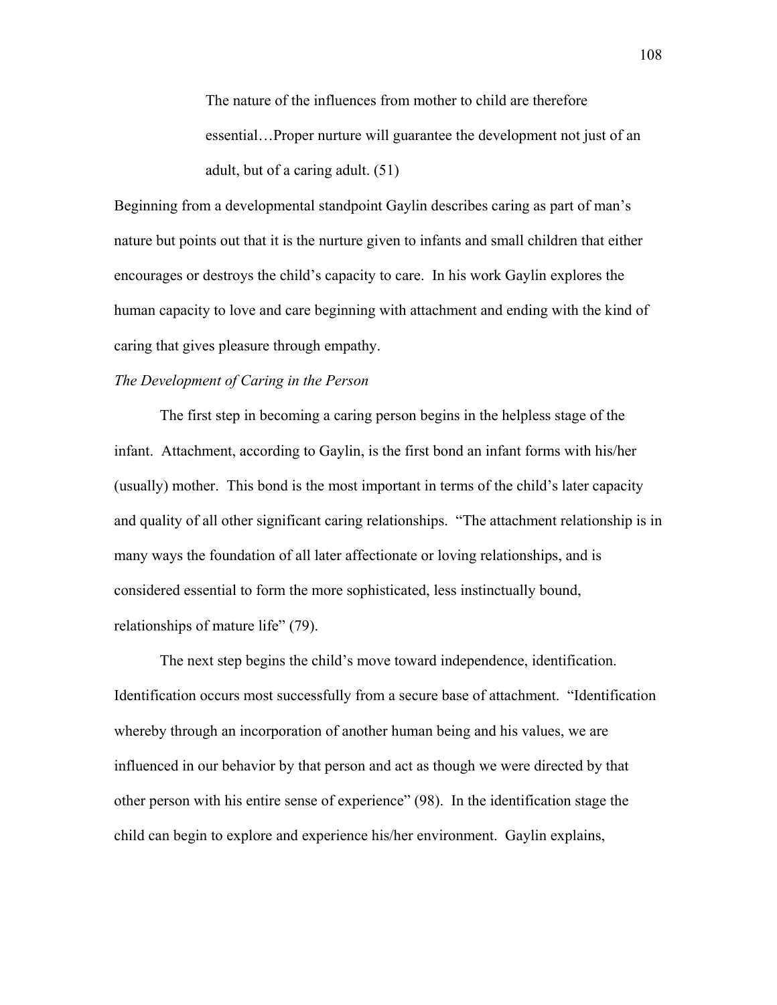The nature of the influences from mother to child are therefore essential…Proper nurture will guarantee the development not just of an adult, but of a caring adult. (51)

Beginning from a developmental standpoint Gaylin describes caring as part of man's nature but points out that it is the nurture given to infants and small children that either encourages or destroys the child's capacity to care. In his work Gaylin explores the human capacity to love and care beginning with attachment and ending with the kind of caring that gives pleasure through empathy.

## *The Development of Caring in the Person*

The first step in becoming a caring person begins in the helpless stage of the infant. Attachment, according to Gaylin, is the first bond an infant forms with his/her (usually) mother. This bond is the most important in terms of the child's later capacity and quality of all other significant caring relationships. "The attachment relationship is in many ways the foundation of all later affectionate or loving relationships, and is considered essential to form the more sophisticated, less instinctually bound, relationships of mature life" (79).

The next step begins the child's move toward independence, identification. Identification occurs most successfully from a secure base of attachment. "Identification whereby through an incorporation of another human being and his values, we are influenced in our behavior by that person and act as though we were directed by that other person with his entire sense of experience" (98). In the identification stage the child can begin to explore and experience his/her environment. Gaylin explains,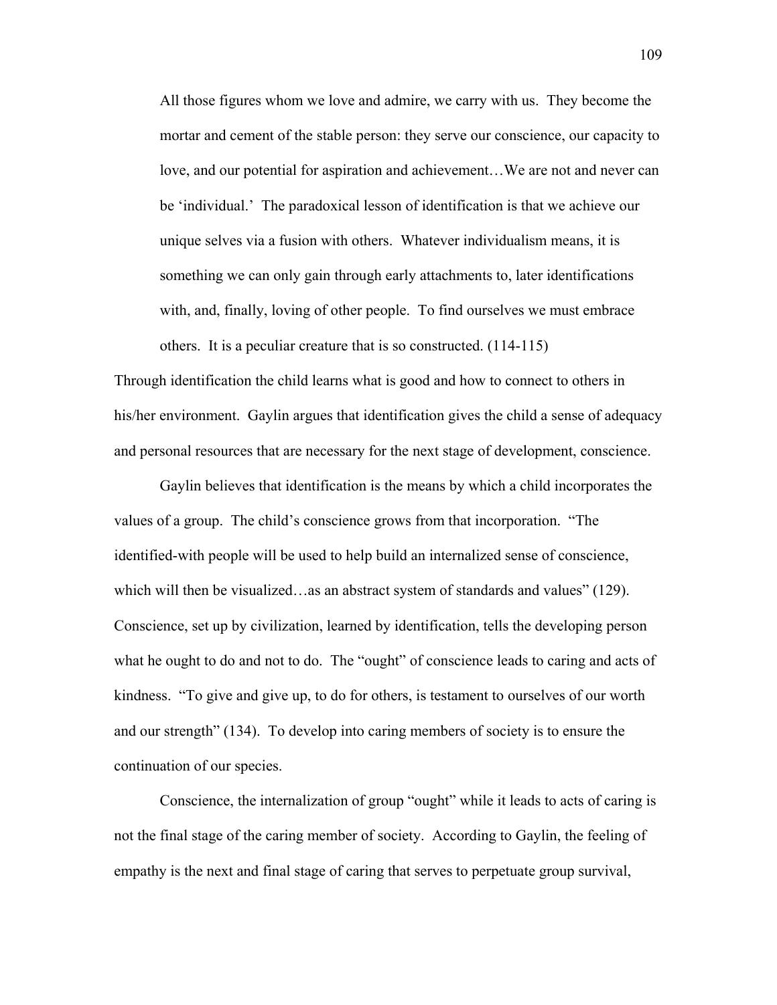All those figures whom we love and admire, we carry with us. They become the mortar and cement of the stable person: they serve our conscience, our capacity to love, and our potential for aspiration and achievement…We are not and never can be 'individual.' The paradoxical lesson of identification is that we achieve our unique selves via a fusion with others. Whatever individualism means, it is something we can only gain through early attachments to, later identifications with, and, finally, loving of other people. To find ourselves we must embrace others. It is a peculiar creature that is so constructed. (114-115)

Through identification the child learns what is good and how to connect to others in his/her environment. Gaylin argues that identification gives the child a sense of adequacy and personal resources that are necessary for the next stage of development, conscience.

Gaylin believes that identification is the means by which a child incorporates the values of a group. The child's conscience grows from that incorporation. "The identified-with people will be used to help build an internalized sense of conscience, which will then be visualized…as an abstract system of standards and values" (129). Conscience, set up by civilization, learned by identification, tells the developing person what he ought to do and not to do. The "ought" of conscience leads to caring and acts of kindness. "To give and give up, to do for others, is testament to ourselves of our worth and our strength" (134). To develop into caring members of society is to ensure the continuation of our species.

Conscience, the internalization of group "ought" while it leads to acts of caring is not the final stage of the caring member of society. According to Gaylin, the feeling of empathy is the next and final stage of caring that serves to perpetuate group survival,

109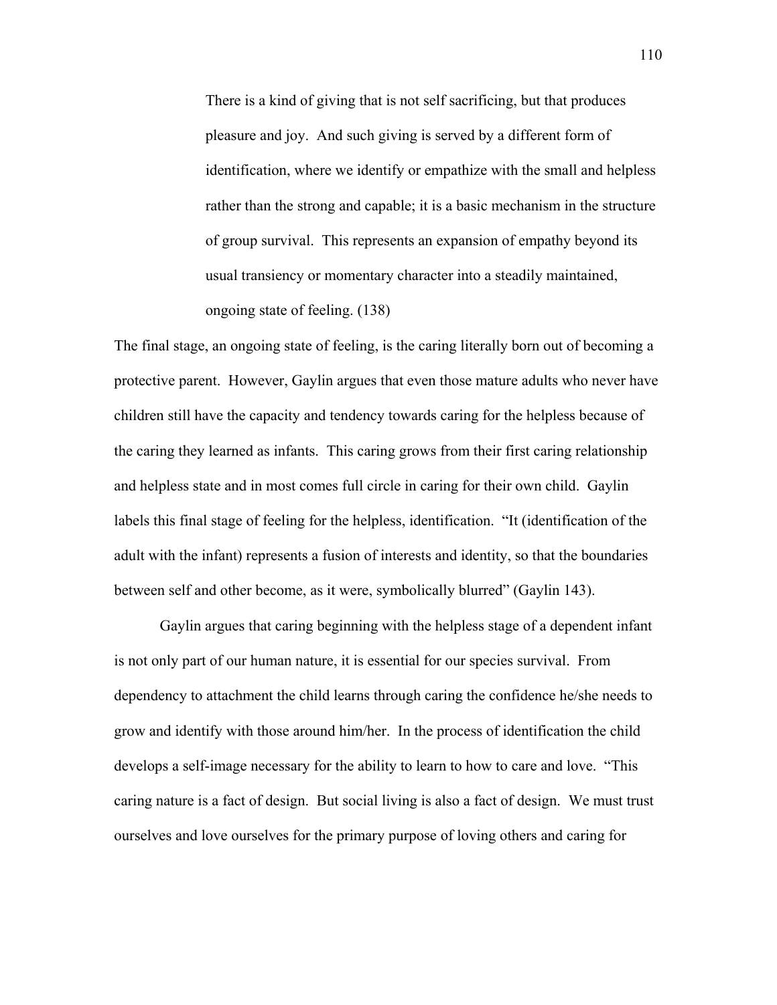There is a kind of giving that is not self sacrificing, but that produces pleasure and joy. And such giving is served by a different form of identification, where we identify or empathize with the small and helpless rather than the strong and capable; it is a basic mechanism in the structure of group survival. This represents an expansion of empathy beyond its usual transiency or momentary character into a steadily maintained, ongoing state of feeling. (138)

The final stage, an ongoing state of feeling, is the caring literally born out of becoming a protective parent. However, Gaylin argues that even those mature adults who never have children still have the capacity and tendency towards caring for the helpless because of the caring they learned as infants. This caring grows from their first caring relationship and helpless state and in most comes full circle in caring for their own child. Gaylin labels this final stage of feeling for the helpless, identification. "It (identification of the adult with the infant) represents a fusion of interests and identity, so that the boundaries between self and other become, as it were, symbolically blurred" (Gaylin 143).

Gaylin argues that caring beginning with the helpless stage of a dependent infant is not only part of our human nature, it is essential for our species survival. From dependency to attachment the child learns through caring the confidence he/she needs to grow and identify with those around him/her. In the process of identification the child develops a self-image necessary for the ability to learn to how to care and love. "This caring nature is a fact of design. But social living is also a fact of design. We must trust ourselves and love ourselves for the primary purpose of loving others and caring for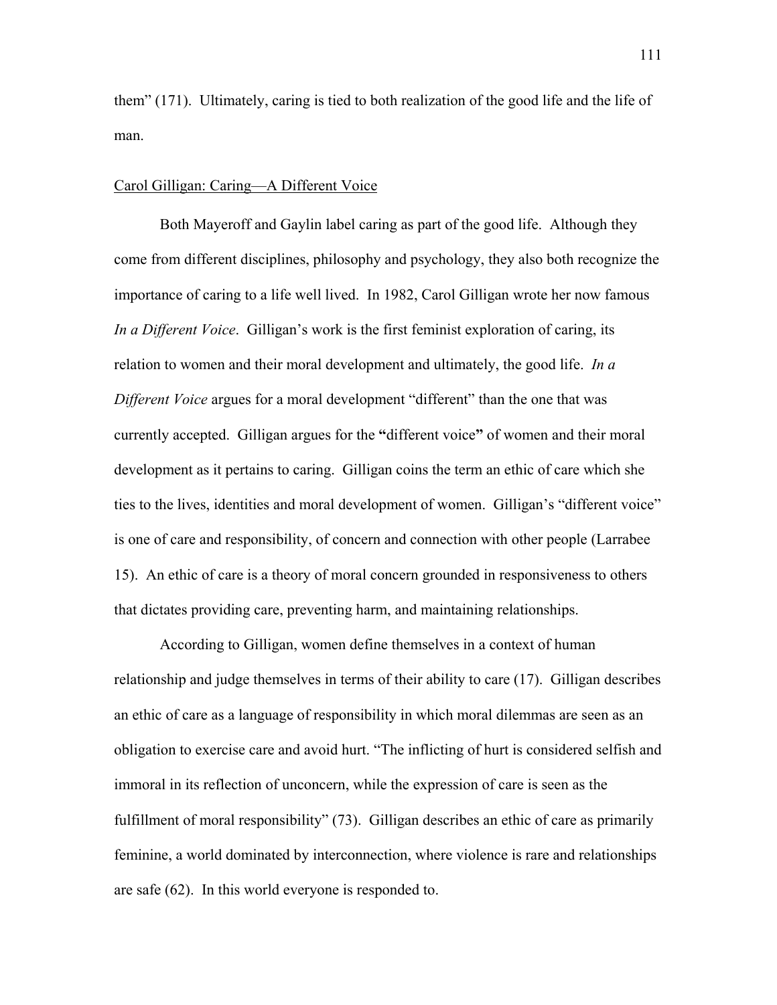them" (171). Ultimately, caring is tied to both realization of the good life and the life of man.

## Carol Gilligan: Caring—A Different Voice

Both Mayeroff and Gaylin label caring as part of the good life. Although they come from different disciplines, philosophy and psychology, they also both recognize the importance of caring to a life well lived. In 1982, Carol Gilligan wrote her now famous *In a Different Voice*. Gilligan's work is the first feminist exploration of caring, its relation to women and their moral development and ultimately, the good life. *In a Different Voice* argues for a moral development "different" than the one that was currently accepted. Gilligan argues for the **"**different voice**"** of women and their moral development as it pertains to caring. Gilligan coins the term an ethic of care which she ties to the lives, identities and moral development of women. Gilligan's "different voice" is one of care and responsibility, of concern and connection with other people (Larrabee 15). An ethic of care is a theory of moral concern grounded in responsiveness to others that dictates providing care, preventing harm, and maintaining relationships.

According to Gilligan, women define themselves in a context of human relationship and judge themselves in terms of their ability to care (17). Gilligan describes an ethic of care as a language of responsibility in which moral dilemmas are seen as an obligation to exercise care and avoid hurt. "The inflicting of hurt is considered selfish and immoral in its reflection of unconcern, while the expression of care is seen as the fulfillment of moral responsibility" (73). Gilligan describes an ethic of care as primarily feminine, a world dominated by interconnection, where violence is rare and relationships are safe (62). In this world everyone is responded to.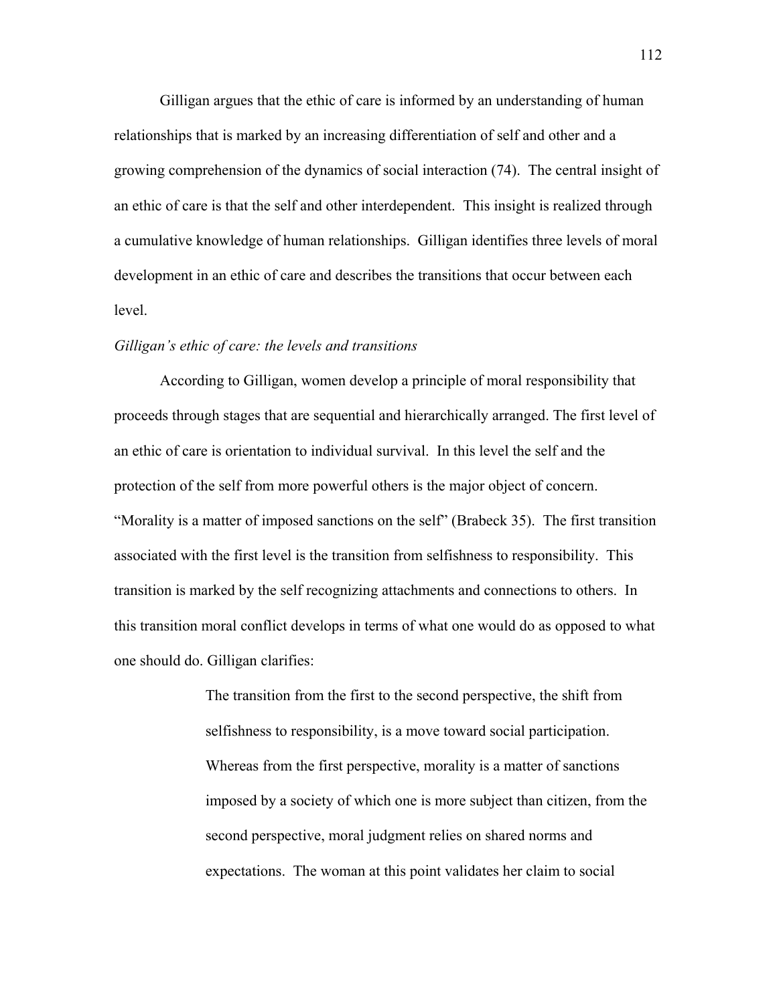Gilligan argues that the ethic of care is informed by an understanding of human relationships that is marked by an increasing differentiation of self and other and a growing comprehension of the dynamics of social interaction (74). The central insight of an ethic of care is that the self and other interdependent. This insight is realized through a cumulative knowledge of human relationships. Gilligan identifies three levels of moral development in an ethic of care and describes the transitions that occur between each level.

#### *Gilligan's ethic of care: the levels and transitions*

According to Gilligan, women develop a principle of moral responsibility that proceeds through stages that are sequential and hierarchically arranged. The first level of an ethic of care is orientation to individual survival. In this level the self and the protection of the self from more powerful others is the major object of concern. "Morality is a matter of imposed sanctions on the self" (Brabeck 35). The first transition associated with the first level is the transition from selfishness to responsibility. This transition is marked by the self recognizing attachments and connections to others. In this transition moral conflict develops in terms of what one would do as opposed to what one should do. Gilligan clarifies:

> The transition from the first to the second perspective, the shift from selfishness to responsibility, is a move toward social participation. Whereas from the first perspective, morality is a matter of sanctions imposed by a society of which one is more subject than citizen, from the second perspective, moral judgment relies on shared norms and expectations. The woman at this point validates her claim to social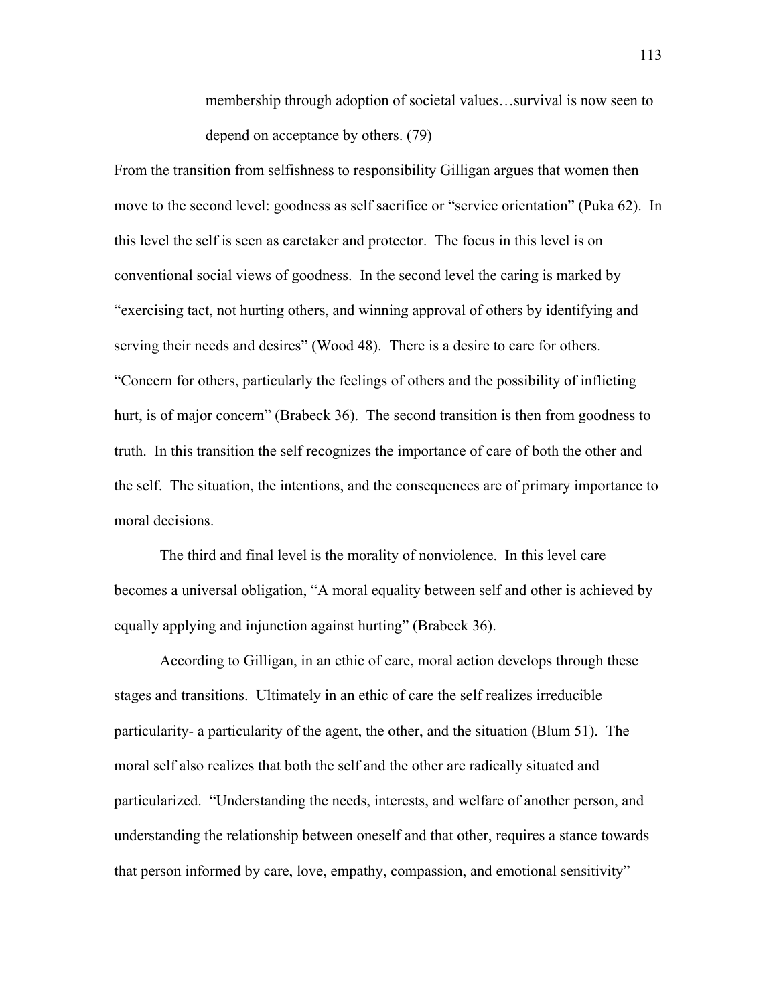membership through adoption of societal values…survival is now seen to depend on acceptance by others. (79)

From the transition from selfishness to responsibility Gilligan argues that women then move to the second level: goodness as self sacrifice or "service orientation" (Puka 62). In this level the self is seen as caretaker and protector. The focus in this level is on conventional social views of goodness. In the second level the caring is marked by "exercising tact, not hurting others, and winning approval of others by identifying and serving their needs and desires" (Wood 48). There is a desire to care for others. "Concern for others, particularly the feelings of others and the possibility of inflicting hurt, is of major concern" (Brabeck 36). The second transition is then from goodness to truth. In this transition the self recognizes the importance of care of both the other and the self. The situation, the intentions, and the consequences are of primary importance to moral decisions.

The third and final level is the morality of nonviolence. In this level care becomes a universal obligation, "A moral equality between self and other is achieved by equally applying and injunction against hurting" (Brabeck 36).

According to Gilligan, in an ethic of care, moral action develops through these stages and transitions. Ultimately in an ethic of care the self realizes irreducible particularity- a particularity of the agent, the other, and the situation (Blum 51). The moral self also realizes that both the self and the other are radically situated and particularized. "Understanding the needs, interests, and welfare of another person, and understanding the relationship between oneself and that other, requires a stance towards that person informed by care, love, empathy, compassion, and emotional sensitivity"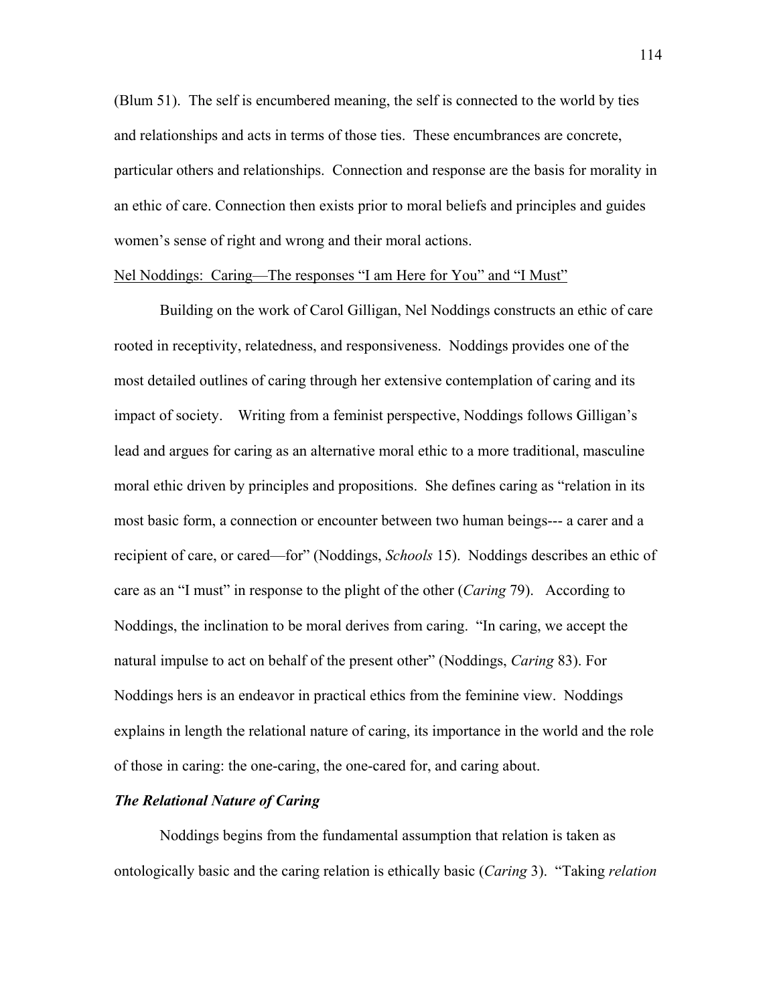(Blum 51). The self is encumbered meaning, the self is connected to the world by ties and relationships and acts in terms of those ties. These encumbrances are concrete, particular others and relationships. Connection and response are the basis for morality in an ethic of care. Connection then exists prior to moral beliefs and principles and guides women's sense of right and wrong and their moral actions.

#### Nel Noddings: Caring—The responses "I am Here for You" and "I Must"

Building on the work of Carol Gilligan, Nel Noddings constructs an ethic of care rooted in receptivity, relatedness, and responsiveness. Noddings provides one of the most detailed outlines of caring through her extensive contemplation of caring and its impact of society. Writing from a feminist perspective, Noddings follows Gilligan's lead and argues for caring as an alternative moral ethic to a more traditional, masculine moral ethic driven by principles and propositions. She defines caring as "relation in its most basic form, a connection or encounter between two human beings--- a carer and a recipient of care, or cared—for" (Noddings, *Schools* 15). Noddings describes an ethic of care as an "I must" in response to the plight of the other (*Caring* 79). According to Noddings, the inclination to be moral derives from caring. "In caring, we accept the natural impulse to act on behalf of the present other" (Noddings, *Caring* 83). For Noddings hers is an endeavor in practical ethics from the feminine view. Noddings explains in length the relational nature of caring, its importance in the world and the role of those in caring: the one-caring, the one-cared for, and caring about.

# *The Relational Nature of Caring*

Noddings begins from the fundamental assumption that relation is taken as ontologically basic and the caring relation is ethically basic (*Caring* 3). "Taking *relation*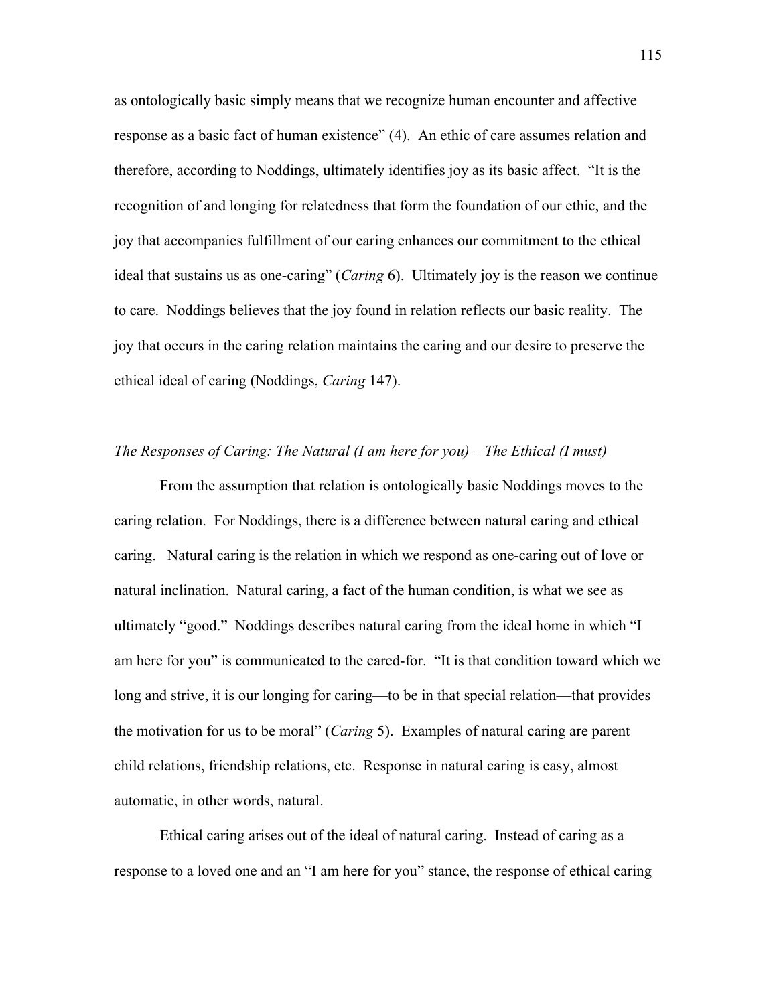as ontologically basic simply means that we recognize human encounter and affective response as a basic fact of human existence" (4). An ethic of care assumes relation and therefore, according to Noddings, ultimately identifies joy as its basic affect. "It is the recognition of and longing for relatedness that form the foundation of our ethic, and the joy that accompanies fulfillment of our caring enhances our commitment to the ethical ideal that sustains us as one-caring" (*Caring* 6). Ultimately joy is the reason we continue to care. Noddings believes that the joy found in relation reflects our basic reality. The joy that occurs in the caring relation maintains the caring and our desire to preserve the ethical ideal of caring (Noddings, *Caring* 147).

### *The Responses of Caring: The Natural (I am here for you) – The Ethical (I must)*

From the assumption that relation is ontologically basic Noddings moves to the caring relation. For Noddings, there is a difference between natural caring and ethical caring. Natural caring is the relation in which we respond as one-caring out of love or natural inclination. Natural caring, a fact of the human condition, is what we see as ultimately "good." Noddings describes natural caring from the ideal home in which "I am here for you" is communicated to the cared-for. "It is that condition toward which we long and strive, it is our longing for caring—to be in that special relation—that provides the motivation for us to be moral" (*Caring* 5). Examples of natural caring are parent child relations, friendship relations, etc. Response in natural caring is easy, almost automatic, in other words, natural.

Ethical caring arises out of the ideal of natural caring. Instead of caring as a response to a loved one and an "I am here for you" stance, the response of ethical caring

115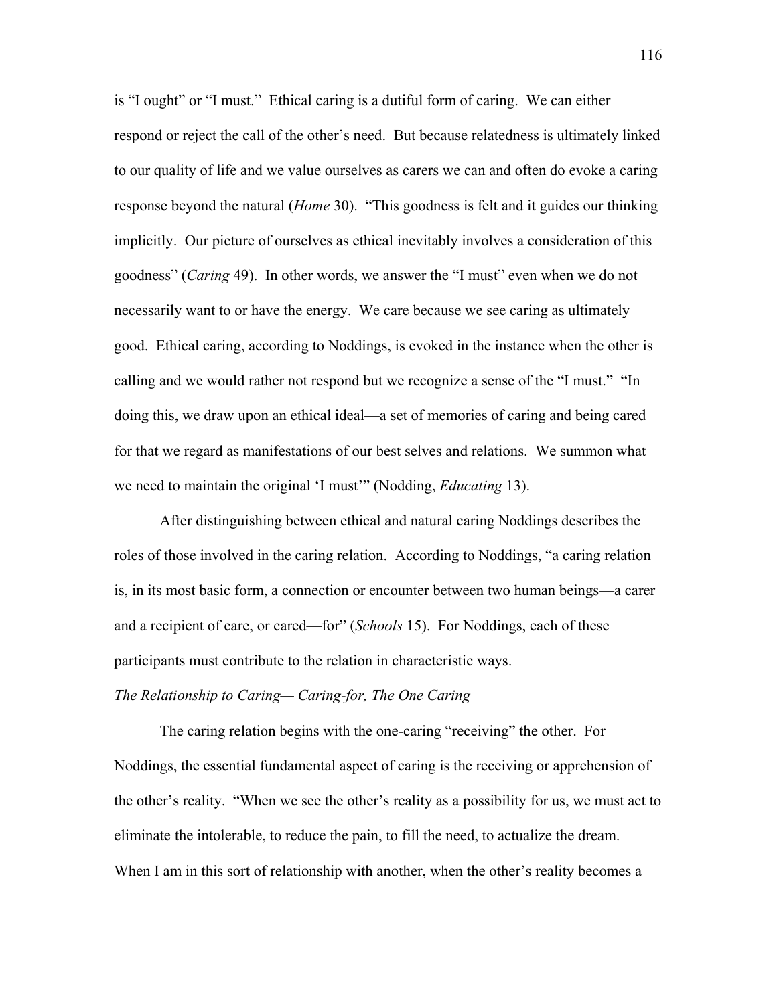is "I ought" or "I must." Ethical caring is a dutiful form of caring. We can either respond or reject the call of the other's need. But because relatedness is ultimately linked to our quality of life and we value ourselves as carers we can and often do evoke a caring response beyond the natural (*Home* 30). "This goodness is felt and it guides our thinking implicitly. Our picture of ourselves as ethical inevitably involves a consideration of this goodness" (*Caring* 49). In other words, we answer the "I must" even when we do not necessarily want to or have the energy. We care because we see caring as ultimately good. Ethical caring, according to Noddings, is evoked in the instance when the other is calling and we would rather not respond but we recognize a sense of the "I must." "In doing this, we draw upon an ethical ideal—a set of memories of caring and being cared for that we regard as manifestations of our best selves and relations. We summon what we need to maintain the original 'I must'" (Nodding, *Educating* 13).

After distinguishing between ethical and natural caring Noddings describes the roles of those involved in the caring relation. According to Noddings, "a caring relation is, in its most basic form, a connection or encounter between two human beings—a carer and a recipient of care, or cared—for" (*Schools* 15). For Noddings, each of these participants must contribute to the relation in characteristic ways.

# *The Relationship to Caring— Caring-for, The One Caring*

The caring relation begins with the one-caring "receiving" the other. For Noddings, the essential fundamental aspect of caring is the receiving or apprehension of the other's reality. "When we see the other's reality as a possibility for us, we must act to eliminate the intolerable, to reduce the pain, to fill the need, to actualize the dream. When I am in this sort of relationship with another, when the other's reality becomes a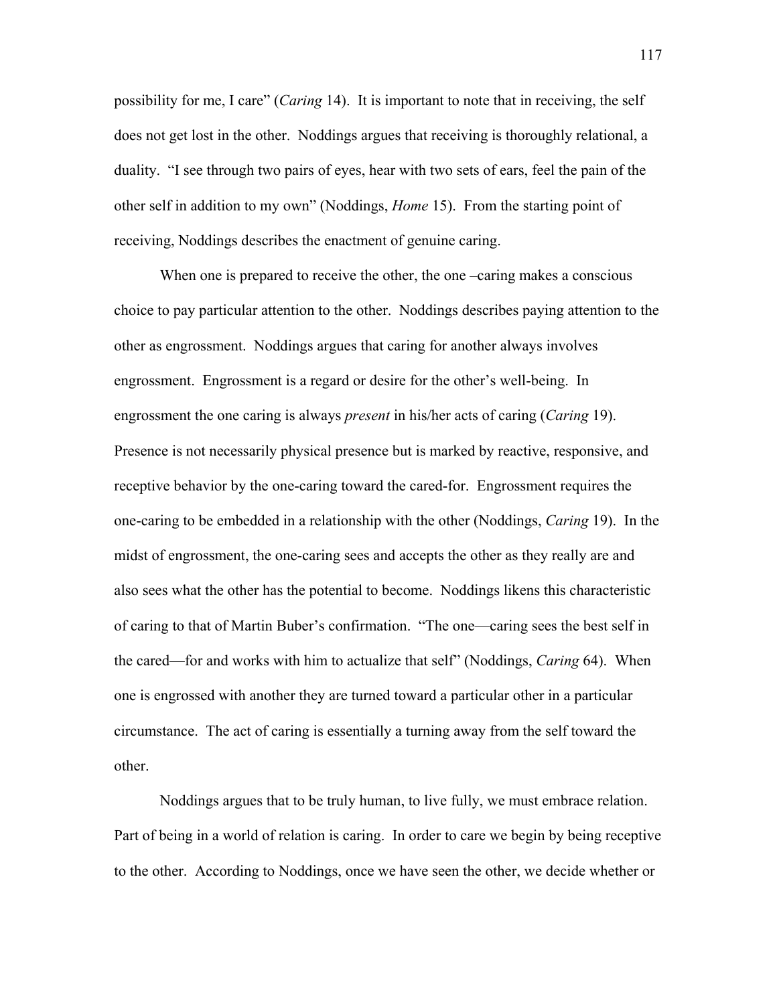possibility for me, I care" (*Caring* 14). It is important to note that in receiving, the self does not get lost in the other. Noddings argues that receiving is thoroughly relational, a duality. "I see through two pairs of eyes, hear with two sets of ears, feel the pain of the other self in addition to my own" (Noddings, *Home* 15). From the starting point of receiving, Noddings describes the enactment of genuine caring.

When one is prepared to receive the other, the one –caring makes a conscious choice to pay particular attention to the other. Noddings describes paying attention to the other as engrossment. Noddings argues that caring for another always involves engrossment. Engrossment is a regard or desire for the other's well-being. In engrossment the one caring is always *present* in his/her acts of caring (*Caring* 19). Presence is not necessarily physical presence but is marked by reactive, responsive, and receptive behavior by the one-caring toward the cared-for. Engrossment requires the one-caring to be embedded in a relationship with the other (Noddings, *Caring* 19). In the midst of engrossment, the one-caring sees and accepts the other as they really are and also sees what the other has the potential to become. Noddings likens this characteristic of caring to that of Martin Buber's confirmation. "The one—caring sees the best self in the cared—for and works with him to actualize that self" (Noddings, *Caring* 64). When one is engrossed with another they are turned toward a particular other in a particular circumstance. The act of caring is essentially a turning away from the self toward the other.

Noddings argues that to be truly human, to live fully, we must embrace relation. Part of being in a world of relation is caring. In order to care we begin by being receptive to the other. According to Noddings, once we have seen the other, we decide whether or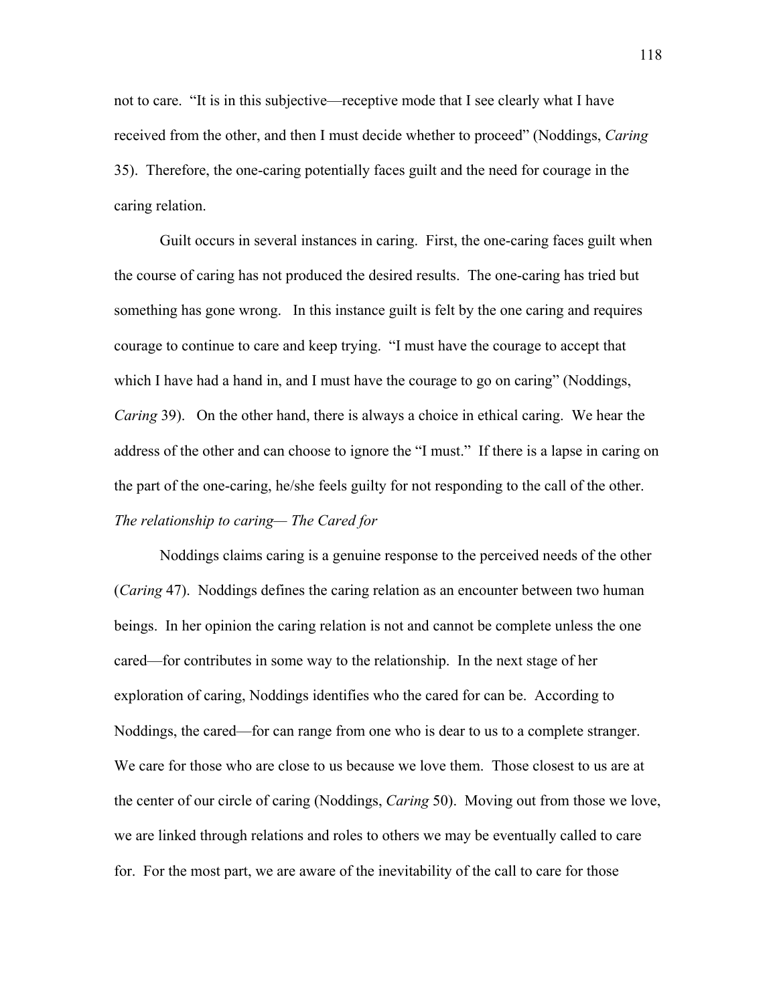not to care. "It is in this subjective—receptive mode that I see clearly what I have received from the other, and then I must decide whether to proceed" (Noddings, *Caring* 35). Therefore, the one-caring potentially faces guilt and the need for courage in the caring relation.

Guilt occurs in several instances in caring. First, the one-caring faces guilt when the course of caring has not produced the desired results. The one-caring has tried but something has gone wrong. In this instance guilt is felt by the one caring and requires courage to continue to care and keep trying. "I must have the courage to accept that which I have had a hand in, and I must have the courage to go on caring" (Noddings, *Caring* 39). On the other hand, there is always a choice in ethical caring. We hear the address of the other and can choose to ignore the "I must." If there is a lapse in caring on the part of the one-caring, he/she feels guilty for not responding to the call of the other. *The relationship to caring— The Cared for* 

Noddings claims caring is a genuine response to the perceived needs of the other (*Caring* 47). Noddings defines the caring relation as an encounter between two human beings. In her opinion the caring relation is not and cannot be complete unless the one cared—for contributes in some way to the relationship. In the next stage of her exploration of caring, Noddings identifies who the cared for can be. According to Noddings, the cared—for can range from one who is dear to us to a complete stranger. We care for those who are close to us because we love them. Those closest to us are at the center of our circle of caring (Noddings, *Caring* 50). Moving out from those we love, we are linked through relations and roles to others we may be eventually called to care for. For the most part, we are aware of the inevitability of the call to care for those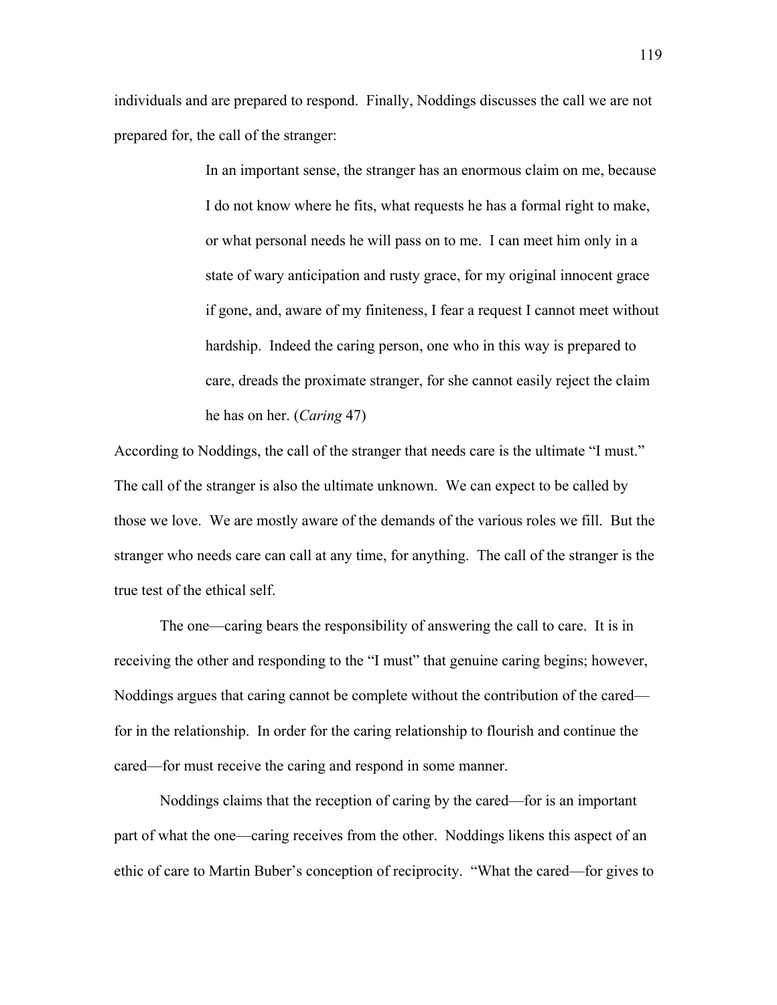individuals and are prepared to respond. Finally, Noddings discusses the call we are not prepared for, the call of the stranger:

> In an important sense, the stranger has an enormous claim on me, because I do not know where he fits, what requests he has a formal right to make, or what personal needs he will pass on to me. I can meet him only in a state of wary anticipation and rusty grace, for my original innocent grace if gone, and, aware of my finiteness, I fear a request I cannot meet without hardship. Indeed the caring person, one who in this way is prepared to care, dreads the proximate stranger, for she cannot easily reject the claim he has on her. (*Caring* 47)

According to Noddings, the call of the stranger that needs care is the ultimate "I must." The call of the stranger is also the ultimate unknown. We can expect to be called by those we love. We are mostly aware of the demands of the various roles we fill. But the stranger who needs care can call at any time, for anything. The call of the stranger is the true test of the ethical self.

The one—caring bears the responsibility of answering the call to care. It is in receiving the other and responding to the "I must" that genuine caring begins; however, Noddings argues that caring cannot be complete without the contribution of the cared for in the relationship. In order for the caring relationship to flourish and continue the cared—for must receive the caring and respond in some manner.

Noddings claims that the reception of caring by the cared—for is an important part of what the one—caring receives from the other. Noddings likens this aspect of an ethic of care to Martin Buber's conception of reciprocity. "What the cared—for gives to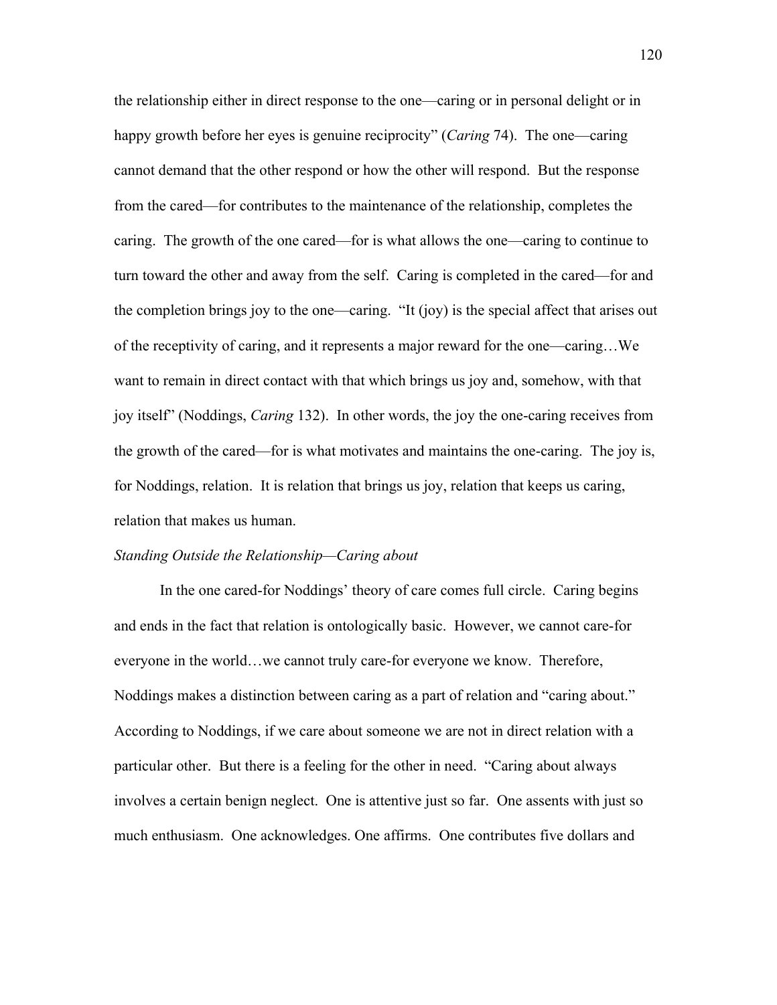the relationship either in direct response to the one—caring or in personal delight or in happy growth before her eyes is genuine reciprocity" (*Caring* 74). The one—caring cannot demand that the other respond or how the other will respond. But the response from the cared—for contributes to the maintenance of the relationship, completes the caring. The growth of the one cared—for is what allows the one—caring to continue to turn toward the other and away from the self. Caring is completed in the cared—for and the completion brings joy to the one—caring. "It (joy) is the special affect that arises out of the receptivity of caring, and it represents a major reward for the one—caring…We want to remain in direct contact with that which brings us joy and, somehow, with that joy itself" (Noddings, *Caring* 132). In other words, the joy the one-caring receives from the growth of the cared—for is what motivates and maintains the one-caring. The joy is, for Noddings, relation. It is relation that brings us joy, relation that keeps us caring, relation that makes us human.

# *Standing Outside the Relationship—Caring about*

In the one cared-for Noddings' theory of care comes full circle. Caring begins and ends in the fact that relation is ontologically basic. However, we cannot care-for everyone in the world…we cannot truly care-for everyone we know. Therefore, Noddings makes a distinction between caring as a part of relation and "caring about." According to Noddings, if we care about someone we are not in direct relation with a particular other. But there is a feeling for the other in need. "Caring about always involves a certain benign neglect. One is attentive just so far. One assents with just so much enthusiasm. One acknowledges. One affirms. One contributes five dollars and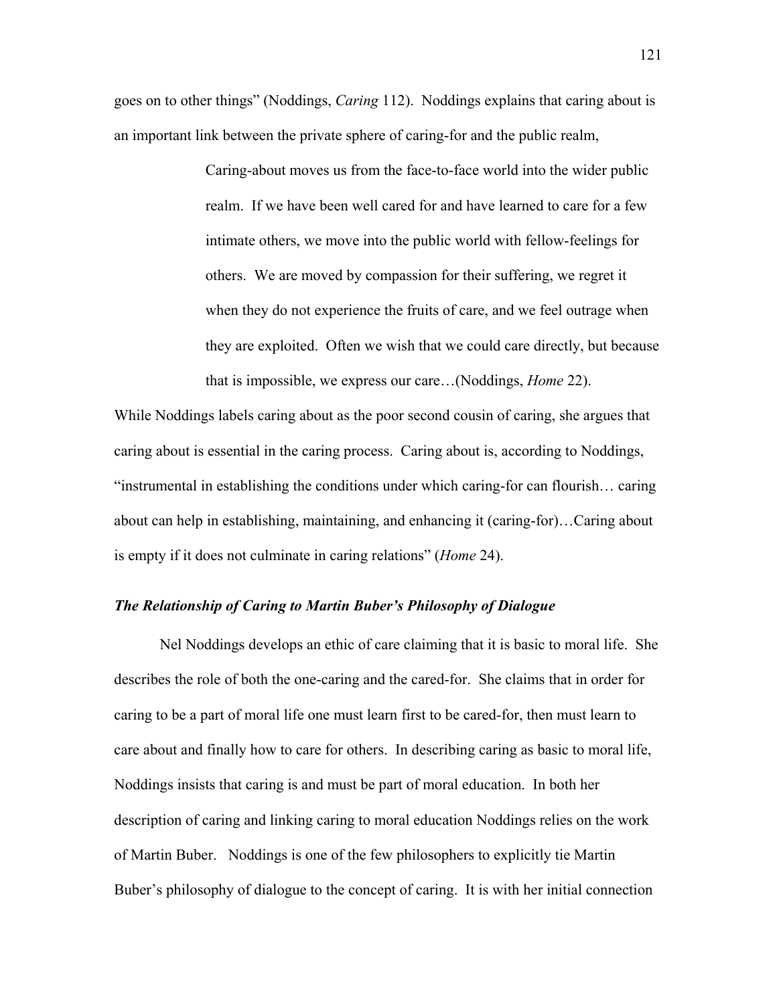goes on to other things" (Noddings, *Caring* 112). Noddings explains that caring about is an important link between the private sphere of caring-for and the public realm,

> Caring-about moves us from the face-to-face world into the wider public realm. If we have been well cared for and have learned to care for a few intimate others, we move into the public world with fellow-feelings for others. We are moved by compassion for their suffering, we regret it when they do not experience the fruits of care, and we feel outrage when they are exploited. Often we wish that we could care directly, but because that is impossible, we express our care…(Noddings, *Home* 22).

While Noddings labels caring about as the poor second cousin of caring, she argues that caring about is essential in the caring process. Caring about is, according to Noddings, "instrumental in establishing the conditions under which caring-for can flourish… caring about can help in establishing, maintaining, and enhancing it (caring-for)…Caring about is empty if it does not culminate in caring relations" (*Home* 24).

## *The Relationship of Caring to Martin Buber's Philosophy of Dialogue*

Nel Noddings develops an ethic of care claiming that it is basic to moral life. She describes the role of both the one-caring and the cared-for. She claims that in order for caring to be a part of moral life one must learn first to be cared-for, then must learn to care about and finally how to care for others. In describing caring as basic to moral life, Noddings insists that caring is and must be part of moral education. In both her description of caring and linking caring to moral education Noddings relies on the work of Martin Buber. Noddings is one of the few philosophers to explicitly tie Martin Buber's philosophy of dialogue to the concept of caring. It is with her initial connection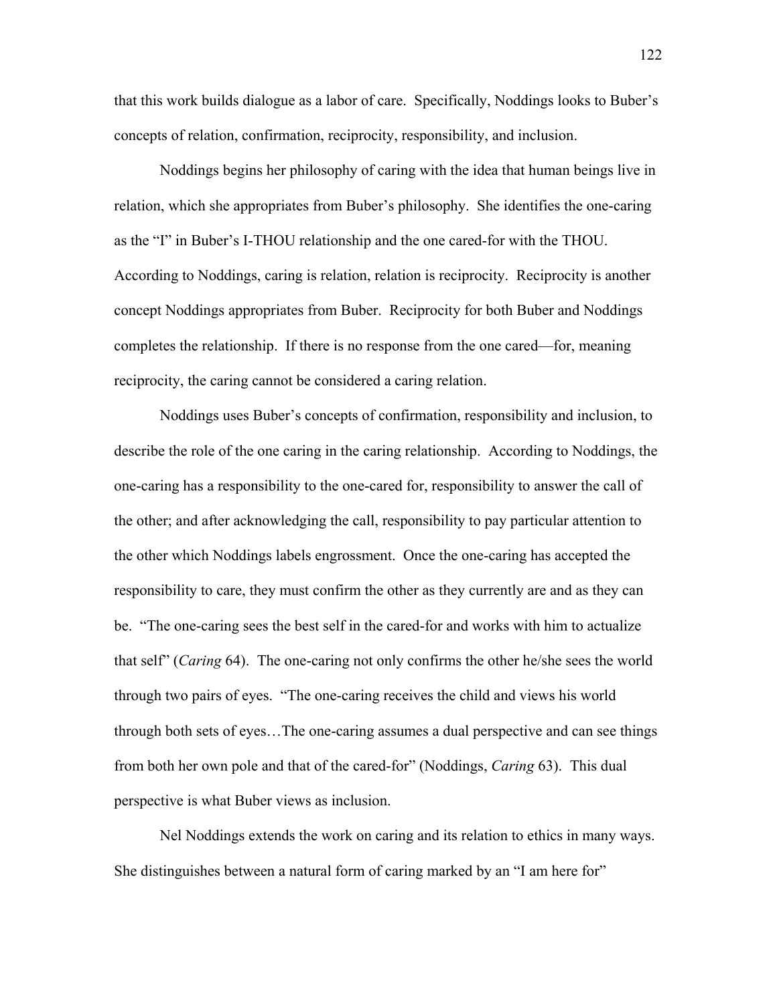that this work builds dialogue as a labor of care. Specifically, Noddings looks to Buber's concepts of relation, confirmation, reciprocity, responsibility, and inclusion.

Noddings begins her philosophy of caring with the idea that human beings live in relation, which she appropriates from Buber's philosophy. She identifies the one-caring as the "I" in Buber's I-THOU relationship and the one cared-for with the THOU. According to Noddings, caring is relation, relation is reciprocity. Reciprocity is another concept Noddings appropriates from Buber. Reciprocity for both Buber and Noddings completes the relationship. If there is no response from the one cared—for, meaning reciprocity, the caring cannot be considered a caring relation.

Noddings uses Buber's concepts of confirmation, responsibility and inclusion, to describe the role of the one caring in the caring relationship. According to Noddings, the one-caring has a responsibility to the one-cared for, responsibility to answer the call of the other; and after acknowledging the call, responsibility to pay particular attention to the other which Noddings labels engrossment. Once the one-caring has accepted the responsibility to care, they must confirm the other as they currently are and as they can be. "The one-caring sees the best self in the cared-for and works with him to actualize that self" (*Caring* 64). The one-caring not only confirms the other he/she sees the world through two pairs of eyes. "The one-caring receives the child and views his world through both sets of eyes…The one-caring assumes a dual perspective and can see things from both her own pole and that of the cared-for" (Noddings, *Caring* 63). This dual perspective is what Buber views as inclusion.

Nel Noddings extends the work on caring and its relation to ethics in many ways. She distinguishes between a natural form of caring marked by an "I am here for"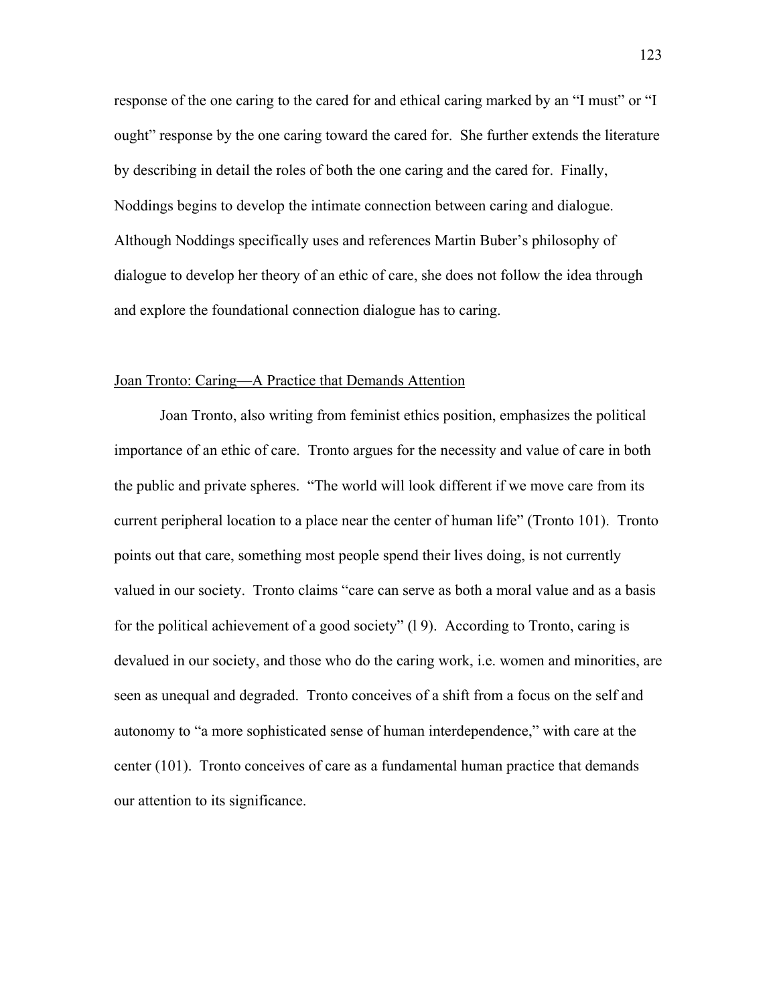response of the one caring to the cared for and ethical caring marked by an "I must" or "I ought" response by the one caring toward the cared for. She further extends the literature by describing in detail the roles of both the one caring and the cared for. Finally, Noddings begins to develop the intimate connection between caring and dialogue. Although Noddings specifically uses and references Martin Buber's philosophy of dialogue to develop her theory of an ethic of care, she does not follow the idea through and explore the foundational connection dialogue has to caring.

## Joan Tronto: Caring—A Practice that Demands Attention

Joan Tronto, also writing from feminist ethics position, emphasizes the political importance of an ethic of care. Tronto argues for the necessity and value of care in both the public and private spheres. "The world will look different if we move care from its current peripheral location to a place near the center of human life" (Tronto 101). Tronto points out that care, something most people spend their lives doing, is not currently valued in our society. Tronto claims "care can serve as both a moral value and as a basis for the political achievement of a good society" (l 9). According to Tronto, caring is devalued in our society, and those who do the caring work, i.e. women and minorities, are seen as unequal and degraded. Tronto conceives of a shift from a focus on the self and autonomy to "a more sophisticated sense of human interdependence," with care at the center (101). Tronto conceives of care as a fundamental human practice that demands our attention to its significance.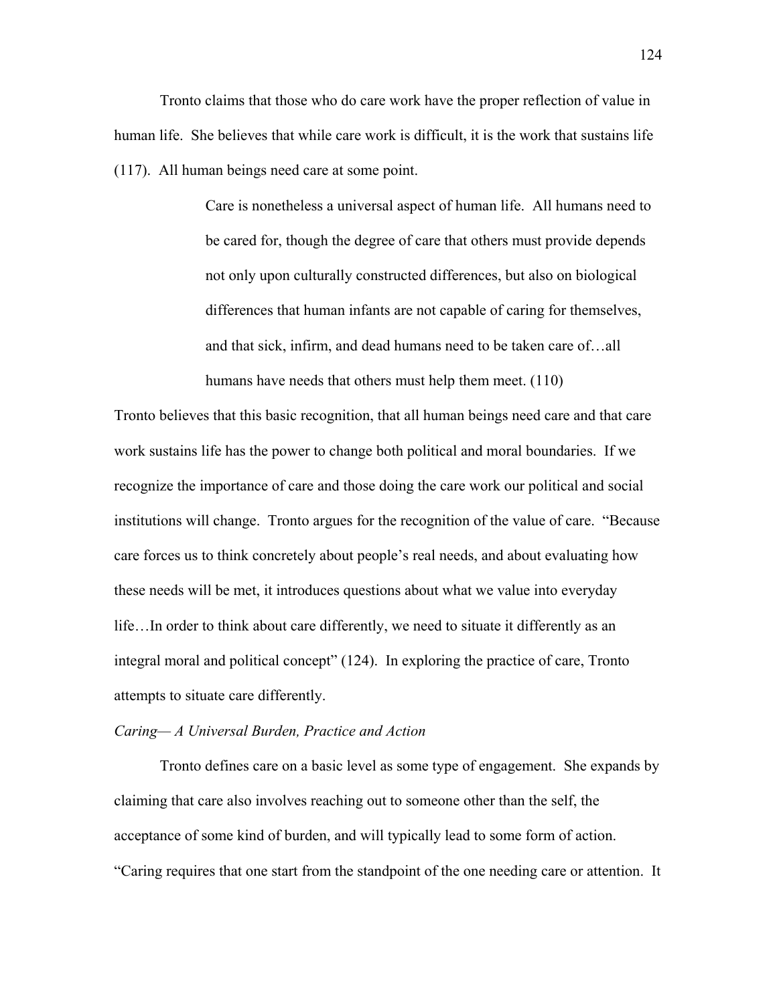Tronto claims that those who do care work have the proper reflection of value in human life. She believes that while care work is difficult, it is the work that sustains life (117). All human beings need care at some point.

> Care is nonetheless a universal aspect of human life. All humans need to be cared for, though the degree of care that others must provide depends not only upon culturally constructed differences, but also on biological differences that human infants are not capable of caring for themselves, and that sick, infirm, and dead humans need to be taken care of…all humans have needs that others must help them meet. (110)

Tronto believes that this basic recognition, that all human beings need care and that care work sustains life has the power to change both political and moral boundaries. If we recognize the importance of care and those doing the care work our political and social institutions will change. Tronto argues for the recognition of the value of care. "Because care forces us to think concretely about people's real needs, and about evaluating how these needs will be met, it introduces questions about what we value into everyday life…In order to think about care differently, we need to situate it differently as an integral moral and political concept" (124). In exploring the practice of care, Tronto attempts to situate care differently.

## *Caring— A Universal Burden, Practice and Action*

Tronto defines care on a basic level as some type of engagement. She expands by claiming that care also involves reaching out to someone other than the self, the acceptance of some kind of burden, and will typically lead to some form of action. "Caring requires that one start from the standpoint of the one needing care or attention. It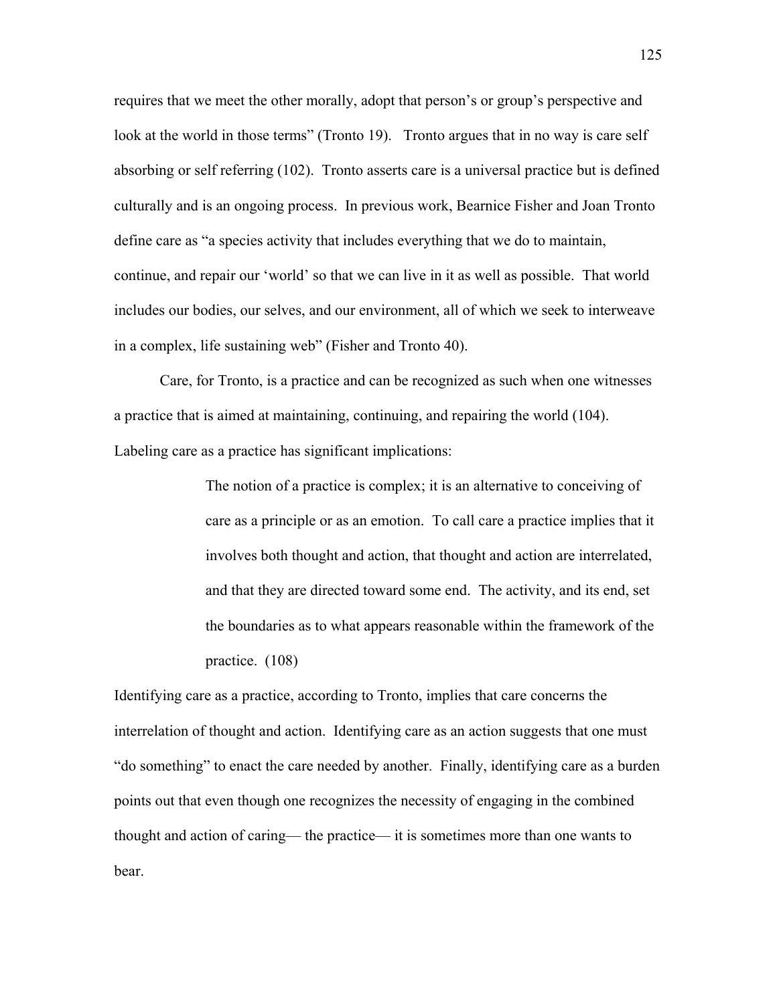requires that we meet the other morally, adopt that person's or group's perspective and look at the world in those terms" (Tronto 19). Tronto argues that in no way is care self absorbing or self referring (102). Tronto asserts care is a universal practice but is defined culturally and is an ongoing process. In previous work, Bearnice Fisher and Joan Tronto define care as "a species activity that includes everything that we do to maintain, continue, and repair our 'world' so that we can live in it as well as possible. That world includes our bodies, our selves, and our environment, all of which we seek to interweave in a complex, life sustaining web" (Fisher and Tronto 40).

Care, for Tronto, is a practice and can be recognized as such when one witnesses a practice that is aimed at maintaining, continuing, and repairing the world (104). Labeling care as a practice has significant implications:

> The notion of a practice is complex; it is an alternative to conceiving of care as a principle or as an emotion. To call care a practice implies that it involves both thought and action, that thought and action are interrelated, and that they are directed toward some end. The activity, and its end, set the boundaries as to what appears reasonable within the framework of the practice. (108)

Identifying care as a practice, according to Tronto, implies that care concerns the interrelation of thought and action. Identifying care as an action suggests that one must "do something" to enact the care needed by another. Finally, identifying care as a burden points out that even though one recognizes the necessity of engaging in the combined thought and action of caring— the practice— it is sometimes more than one wants to bear.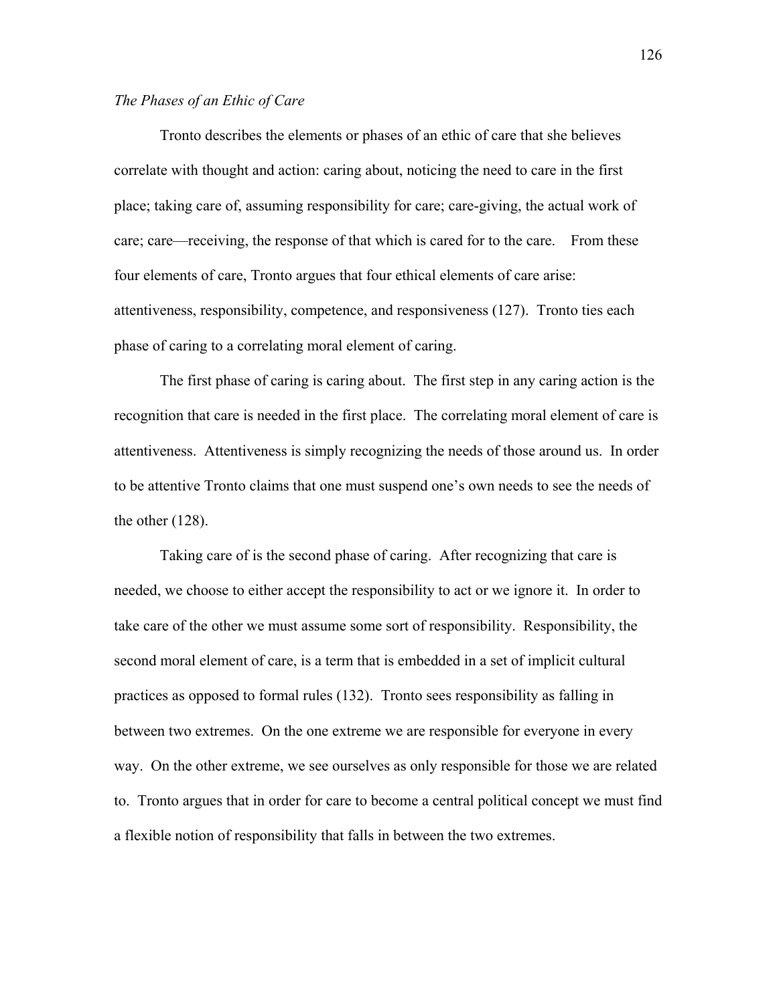# *The Phases of an Ethic of Care*

Tronto describes the elements or phases of an ethic of care that she believes correlate with thought and action: caring about, noticing the need to care in the first place; taking care of, assuming responsibility for care; care-giving, the actual work of care; care—receiving, the response of that which is cared for to the care. From these four elements of care, Tronto argues that four ethical elements of care arise: attentiveness, responsibility, competence, and responsiveness (127). Tronto ties each phase of caring to a correlating moral element of caring.

The first phase of caring is caring about. The first step in any caring action is the recognition that care is needed in the first place. The correlating moral element of care is attentiveness. Attentiveness is simply recognizing the needs of those around us. In order to be attentive Tronto claims that one must suspend one's own needs to see the needs of the other (128).

Taking care of is the second phase of caring. After recognizing that care is needed, we choose to either accept the responsibility to act or we ignore it. In order to take care of the other we must assume some sort of responsibility. Responsibility, the second moral element of care, is a term that is embedded in a set of implicit cultural practices as opposed to formal rules (132). Tronto sees responsibility as falling in between two extremes. On the one extreme we are responsible for everyone in every way. On the other extreme, we see ourselves as only responsible for those we are related to. Tronto argues that in order for care to become a central political concept we must find a flexible notion of responsibility that falls in between the two extremes.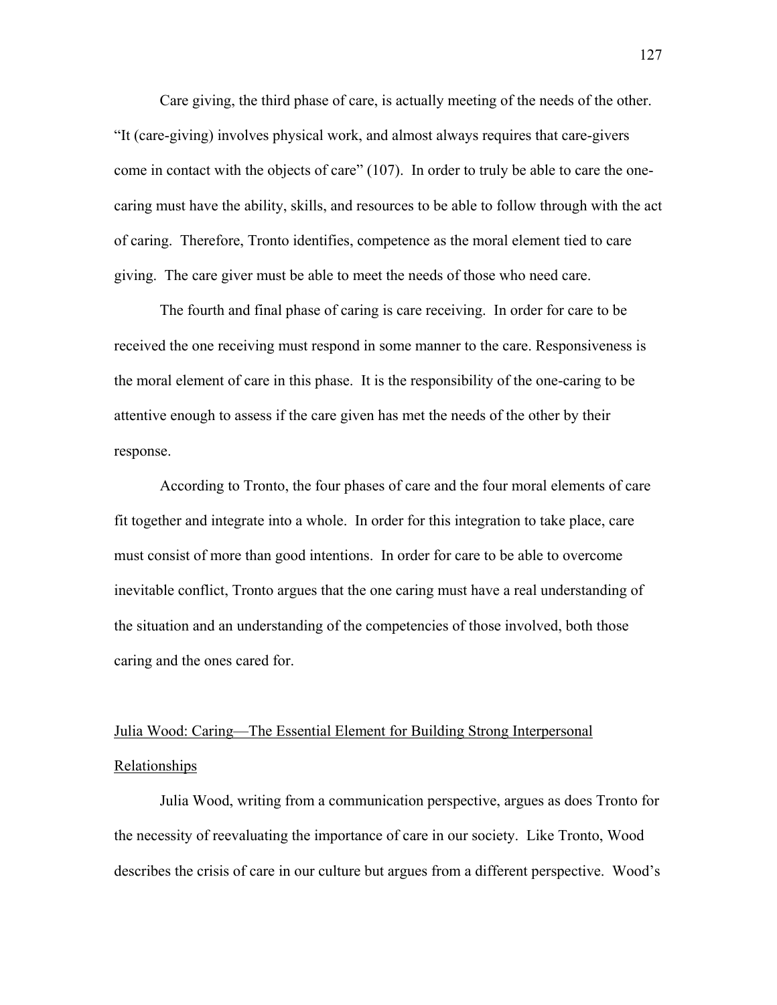Care giving, the third phase of care, is actually meeting of the needs of the other. "It (care-giving) involves physical work, and almost always requires that care-givers come in contact with the objects of care" (107). In order to truly be able to care the onecaring must have the ability, skills, and resources to be able to follow through with the act of caring. Therefore, Tronto identifies, competence as the moral element tied to care giving. The care giver must be able to meet the needs of those who need care.

The fourth and final phase of caring is care receiving. In order for care to be received the one receiving must respond in some manner to the care. Responsiveness is the moral element of care in this phase. It is the responsibility of the one-caring to be attentive enough to assess if the care given has met the needs of the other by their response.

According to Tronto, the four phases of care and the four moral elements of care fit together and integrate into a whole. In order for this integration to take place, care must consist of more than good intentions. In order for care to be able to overcome inevitable conflict, Tronto argues that the one caring must have a real understanding of the situation and an understanding of the competencies of those involved, both those caring and the ones cared for.

# Julia Wood: Caring—The Essential Element for Building Strong Interpersonal Relationships

Julia Wood, writing from a communication perspective, argues as does Tronto for the necessity of reevaluating the importance of care in our society. Like Tronto, Wood describes the crisis of care in our culture but argues from a different perspective. Wood's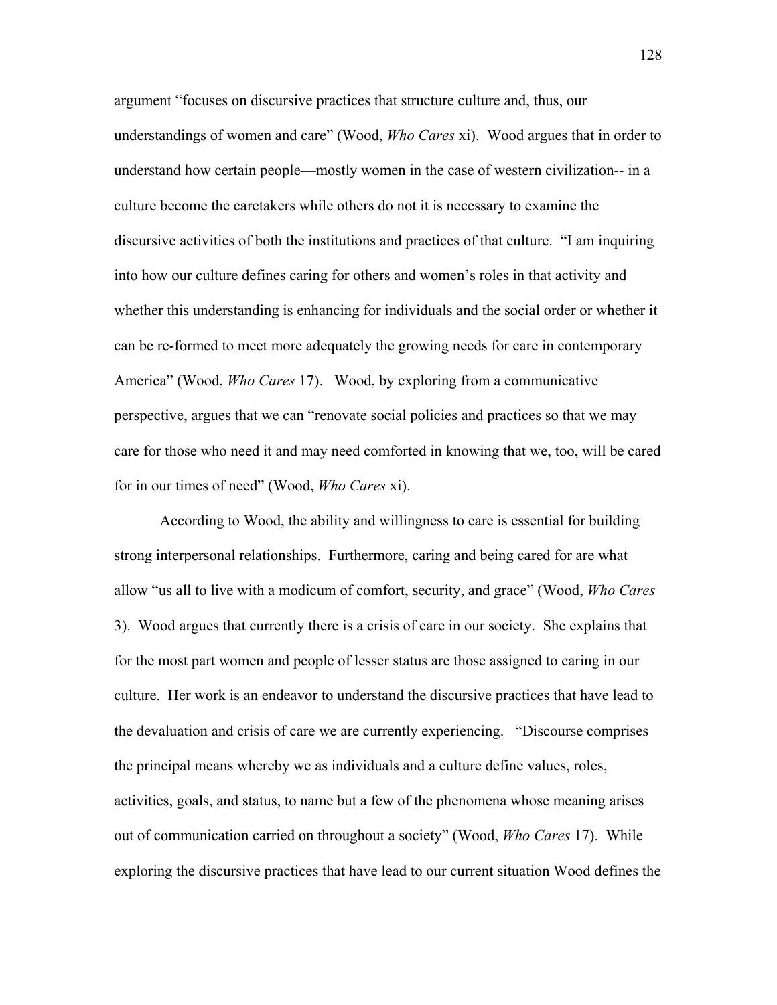argument "focuses on discursive practices that structure culture and, thus, our understandings of women and care" (Wood, *Who Cares* xi). Wood argues that in order to understand how certain people—mostly women in the case of western civilization-- in a culture become the caretakers while others do not it is necessary to examine the discursive activities of both the institutions and practices of that culture. "I am inquiring into how our culture defines caring for others and women's roles in that activity and whether this understanding is enhancing for individuals and the social order or whether it can be re-formed to meet more adequately the growing needs for care in contemporary America" (Wood, *Who Cares* 17). Wood, by exploring from a communicative perspective, argues that we can "renovate social policies and practices so that we may care for those who need it and may need comforted in knowing that we, too, will be cared for in our times of need" (Wood, *Who Cares* xi).

According to Wood, the ability and willingness to care is essential for building strong interpersonal relationships. Furthermore, caring and being cared for are what allow "us all to live with a modicum of comfort, security, and grace" (Wood, *Who Cares* 3). Wood argues that currently there is a crisis of care in our society. She explains that for the most part women and people of lesser status are those assigned to caring in our culture. Her work is an endeavor to understand the discursive practices that have lead to the devaluation and crisis of care we are currently experiencing. "Discourse comprises the principal means whereby we as individuals and a culture define values, roles, activities, goals, and status, to name but a few of the phenomena whose meaning arises out of communication carried on throughout a society" (Wood, *Who Cares* 17). While exploring the discursive practices that have lead to our current situation Wood defines the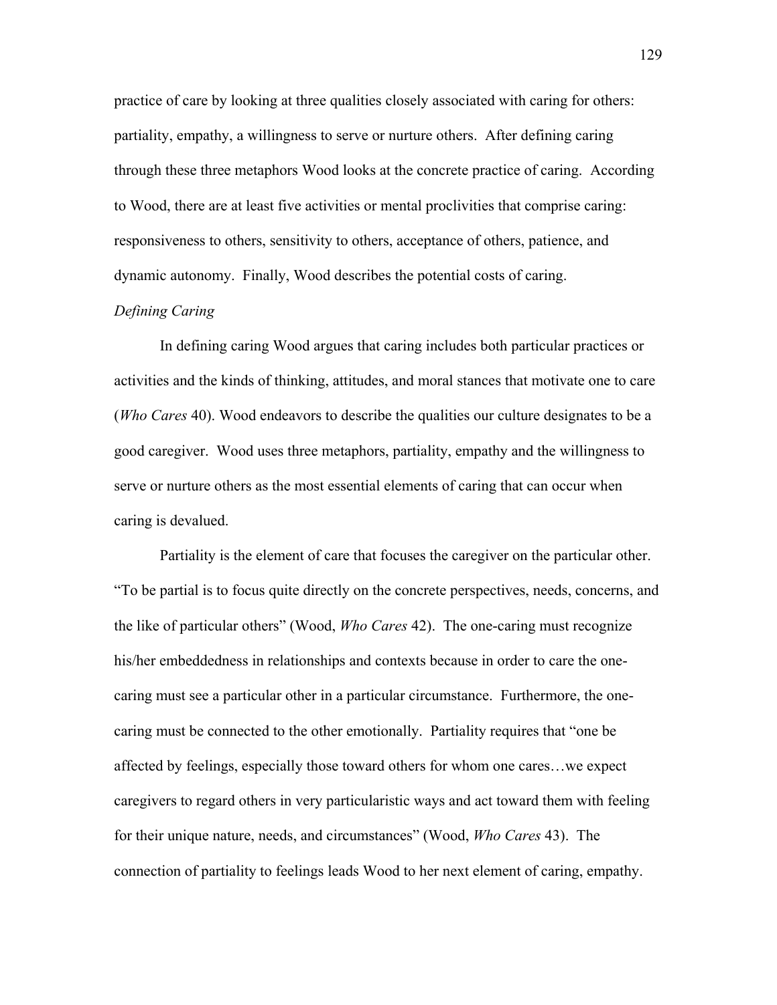practice of care by looking at three qualities closely associated with caring for others: partiality, empathy, a willingness to serve or nurture others. After defining caring through these three metaphors Wood looks at the concrete practice of caring. According to Wood, there are at least five activities or mental proclivities that comprise caring: responsiveness to others, sensitivity to others, acceptance of others, patience, and dynamic autonomy. Finally, Wood describes the potential costs of caring.

# *Defining Caring*

In defining caring Wood argues that caring includes both particular practices or activities and the kinds of thinking, attitudes, and moral stances that motivate one to care (*Who Cares* 40). Wood endeavors to describe the qualities our culture designates to be a good caregiver. Wood uses three metaphors, partiality, empathy and the willingness to serve or nurture others as the most essential elements of caring that can occur when caring is devalued.

Partiality is the element of care that focuses the caregiver on the particular other. "To be partial is to focus quite directly on the concrete perspectives, needs, concerns, and the like of particular others" (Wood, *Who Cares* 42). The one-caring must recognize his/her embeddedness in relationships and contexts because in order to care the onecaring must see a particular other in a particular circumstance. Furthermore, the onecaring must be connected to the other emotionally. Partiality requires that "one be affected by feelings, especially those toward others for whom one cares…we expect caregivers to regard others in very particularistic ways and act toward them with feeling for their unique nature, needs, and circumstances" (Wood, *Who Cares* 43). The connection of partiality to feelings leads Wood to her next element of caring, empathy.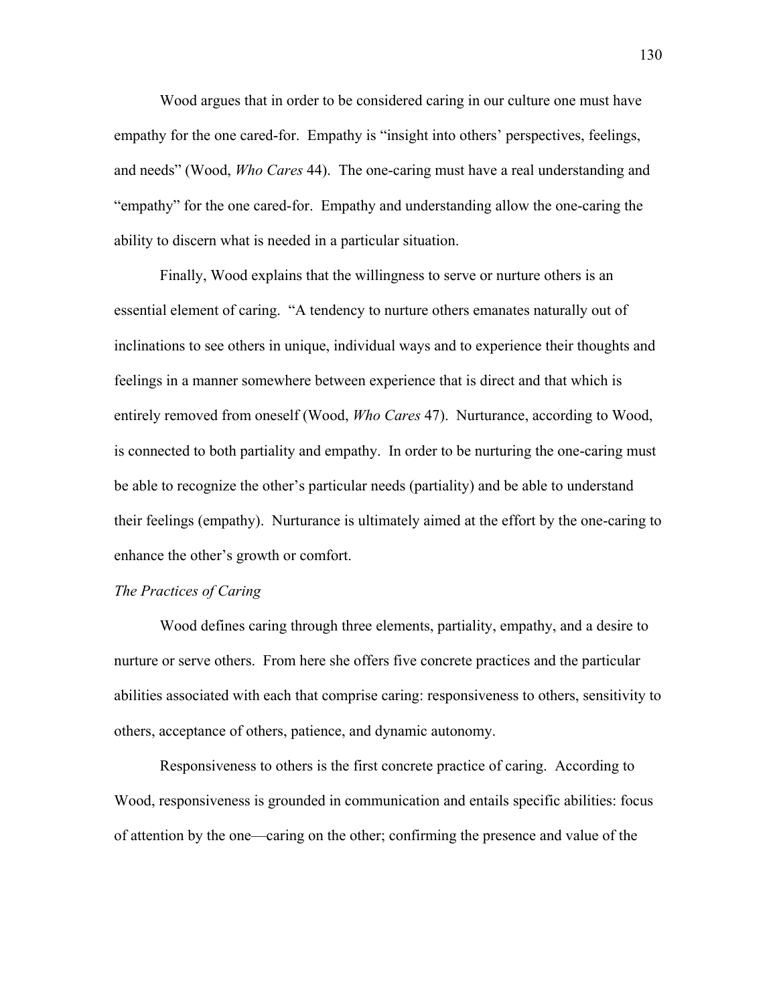Wood argues that in order to be considered caring in our culture one must have empathy for the one cared-for. Empathy is "insight into others' perspectives, feelings, and needs" (Wood, *Who Cares* 44). The one-caring must have a real understanding and "empathy" for the one cared-for. Empathy and understanding allow the one-caring the ability to discern what is needed in a particular situation.

Finally, Wood explains that the willingness to serve or nurture others is an essential element of caring. "A tendency to nurture others emanates naturally out of inclinations to see others in unique, individual ways and to experience their thoughts and feelings in a manner somewhere between experience that is direct and that which is entirely removed from oneself (Wood, *Who Cares* 47). Nurturance, according to Wood, is connected to both partiality and empathy. In order to be nurturing the one-caring must be able to recognize the other's particular needs (partiality) and be able to understand their feelings (empathy). Nurturance is ultimately aimed at the effort by the one-caring to enhance the other's growth or comfort.

## *The Practices of Caring*

Wood defines caring through three elements, partiality, empathy, and a desire to nurture or serve others. From here she offers five concrete practices and the particular abilities associated with each that comprise caring: responsiveness to others, sensitivity to others, acceptance of others, patience, and dynamic autonomy.

Responsiveness to others is the first concrete practice of caring. According to Wood, responsiveness is grounded in communication and entails specific abilities: focus of attention by the one—caring on the other; confirming the presence and value of the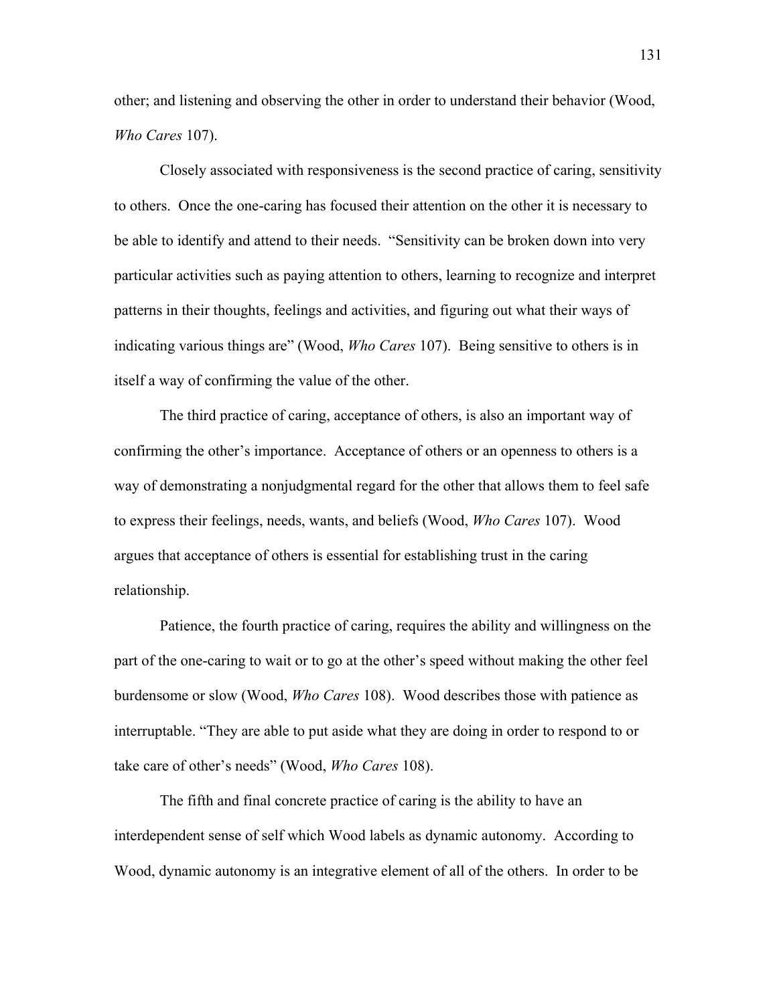other; and listening and observing the other in order to understand their behavior (Wood, *Who Cares* 107).

Closely associated with responsiveness is the second practice of caring, sensitivity to others. Once the one-caring has focused their attention on the other it is necessary to be able to identify and attend to their needs. "Sensitivity can be broken down into very particular activities such as paying attention to others, learning to recognize and interpret patterns in their thoughts, feelings and activities, and figuring out what their ways of indicating various things are" (Wood, *Who Cares* 107). Being sensitive to others is in itself a way of confirming the value of the other.

The third practice of caring, acceptance of others, is also an important way of confirming the other's importance. Acceptance of others or an openness to others is a way of demonstrating a nonjudgmental regard for the other that allows them to feel safe to express their feelings, needs, wants, and beliefs (Wood, *Who Cares* 107). Wood argues that acceptance of others is essential for establishing trust in the caring relationship.

Patience, the fourth practice of caring, requires the ability and willingness on the part of the one-caring to wait or to go at the other's speed without making the other feel burdensome or slow (Wood, *Who Cares* 108). Wood describes those with patience as interruptable. "They are able to put aside what they are doing in order to respond to or take care of other's needs" (Wood, *Who Cares* 108).

The fifth and final concrete practice of caring is the ability to have an interdependent sense of self which Wood labels as dynamic autonomy. According to Wood, dynamic autonomy is an integrative element of all of the others. In order to be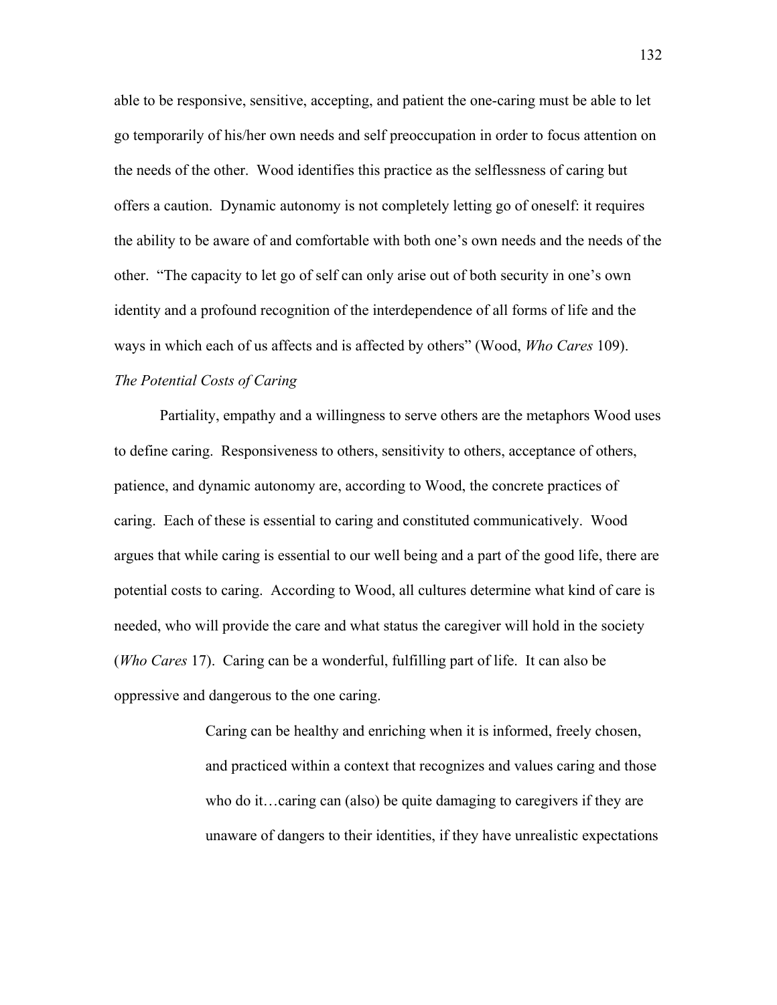able to be responsive, sensitive, accepting, and patient the one-caring must be able to let go temporarily of his/her own needs and self preoccupation in order to focus attention on the needs of the other. Wood identifies this practice as the selflessness of caring but offers a caution. Dynamic autonomy is not completely letting go of oneself: it requires the ability to be aware of and comfortable with both one's own needs and the needs of the other. "The capacity to let go of self can only arise out of both security in one's own identity and a profound recognition of the interdependence of all forms of life and the ways in which each of us affects and is affected by others" (Wood, *Who Cares* 109). *The Potential Costs of Caring* 

Partiality, empathy and a willingness to serve others are the metaphors Wood uses to define caring. Responsiveness to others, sensitivity to others, acceptance of others, patience, and dynamic autonomy are, according to Wood, the concrete practices of caring. Each of these is essential to caring and constituted communicatively. Wood argues that while caring is essential to our well being and a part of the good life, there are potential costs to caring. According to Wood, all cultures determine what kind of care is needed, who will provide the care and what status the caregiver will hold in the society (*Who Cares* 17). Caring can be a wonderful, fulfilling part of life. It can also be oppressive and dangerous to the one caring.

> Caring can be healthy and enriching when it is informed, freely chosen, and practiced within a context that recognizes and values caring and those who do it…caring can (also) be quite damaging to caregivers if they are unaware of dangers to their identities, if they have unrealistic expectations

132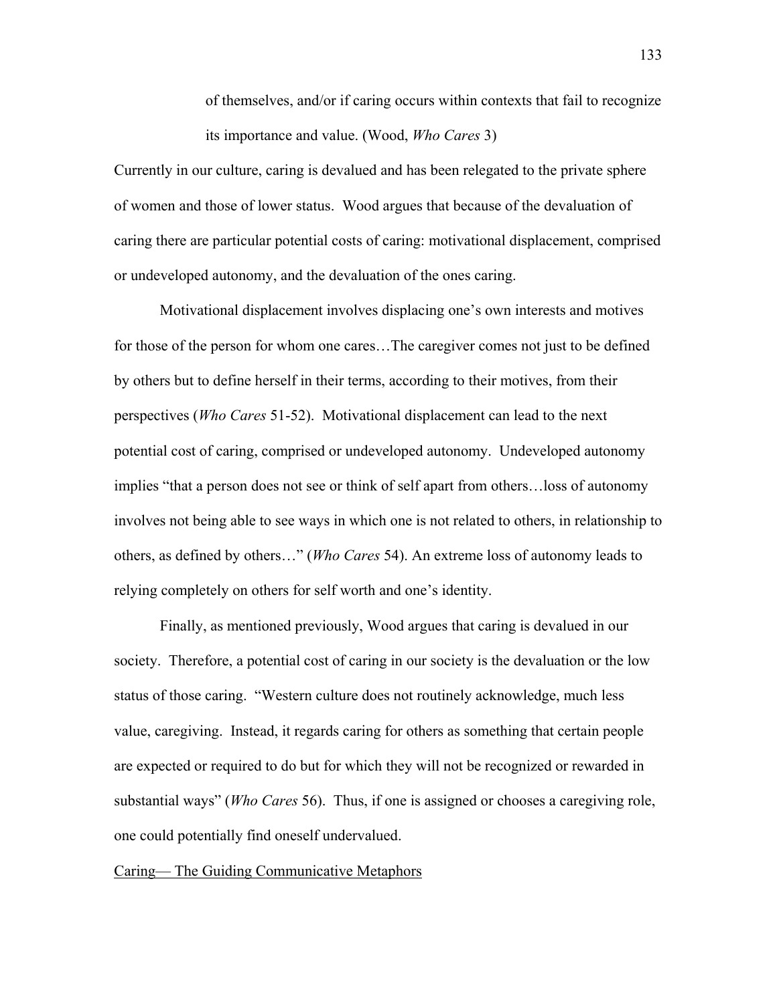of themselves, and/or if caring occurs within contexts that fail to recognize its importance and value. (Wood, *Who Cares* 3)

Currently in our culture, caring is devalued and has been relegated to the private sphere of women and those of lower status. Wood argues that because of the devaluation of caring there are particular potential costs of caring: motivational displacement, comprised or undeveloped autonomy, and the devaluation of the ones caring.

Motivational displacement involves displacing one's own interests and motives for those of the person for whom one cares…The caregiver comes not just to be defined by others but to define herself in their terms, according to their motives, from their perspectives (*Who Cares* 51-52). Motivational displacement can lead to the next potential cost of caring, comprised or undeveloped autonomy. Undeveloped autonomy implies "that a person does not see or think of self apart from others…loss of autonomy involves not being able to see ways in which one is not related to others, in relationship to others, as defined by others…" (*Who Cares* 54). An extreme loss of autonomy leads to relying completely on others for self worth and one's identity.

Finally, as mentioned previously, Wood argues that caring is devalued in our society. Therefore, a potential cost of caring in our society is the devaluation or the low status of those caring. "Western culture does not routinely acknowledge, much less value, caregiving. Instead, it regards caring for others as something that certain people are expected or required to do but for which they will not be recognized or rewarded in substantial ways" (*Who Cares* 56). Thus, if one is assigned or chooses a caregiving role, one could potentially find oneself undervalued.

#### Caring— The Guiding Communicative Metaphors

133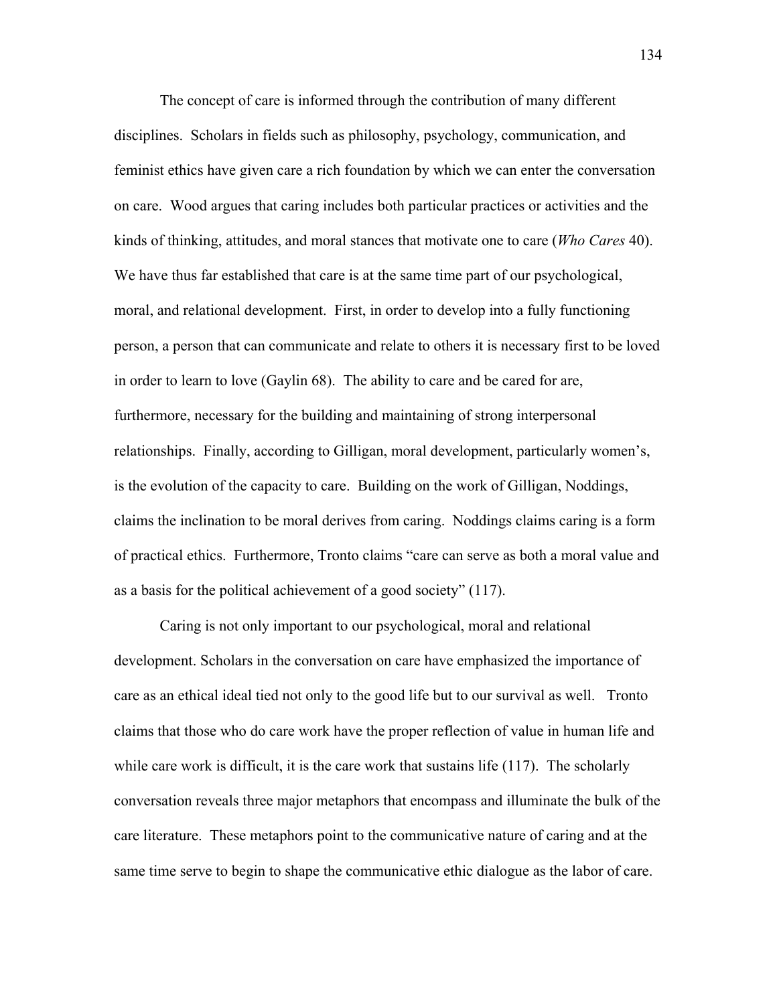The concept of care is informed through the contribution of many different disciplines. Scholars in fields such as philosophy, psychology, communication, and feminist ethics have given care a rich foundation by which we can enter the conversation on care. Wood argues that caring includes both particular practices or activities and the kinds of thinking, attitudes, and moral stances that motivate one to care (*Who Cares* 40). We have thus far established that care is at the same time part of our psychological, moral, and relational development. First, in order to develop into a fully functioning person, a person that can communicate and relate to others it is necessary first to be loved in order to learn to love (Gaylin 68). The ability to care and be cared for are, furthermore, necessary for the building and maintaining of strong interpersonal relationships. Finally, according to Gilligan, moral development, particularly women's, is the evolution of the capacity to care. Building on the work of Gilligan, Noddings, claims the inclination to be moral derives from caring. Noddings claims caring is a form of practical ethics. Furthermore, Tronto claims "care can serve as both a moral value and as a basis for the political achievement of a good society" (117).

Caring is not only important to our psychological, moral and relational development. Scholars in the conversation on care have emphasized the importance of care as an ethical ideal tied not only to the good life but to our survival as well. Tronto claims that those who do care work have the proper reflection of value in human life and while care work is difficult, it is the care work that sustains life (117). The scholarly conversation reveals three major metaphors that encompass and illuminate the bulk of the care literature. These metaphors point to the communicative nature of caring and at the same time serve to begin to shape the communicative ethic dialogue as the labor of care.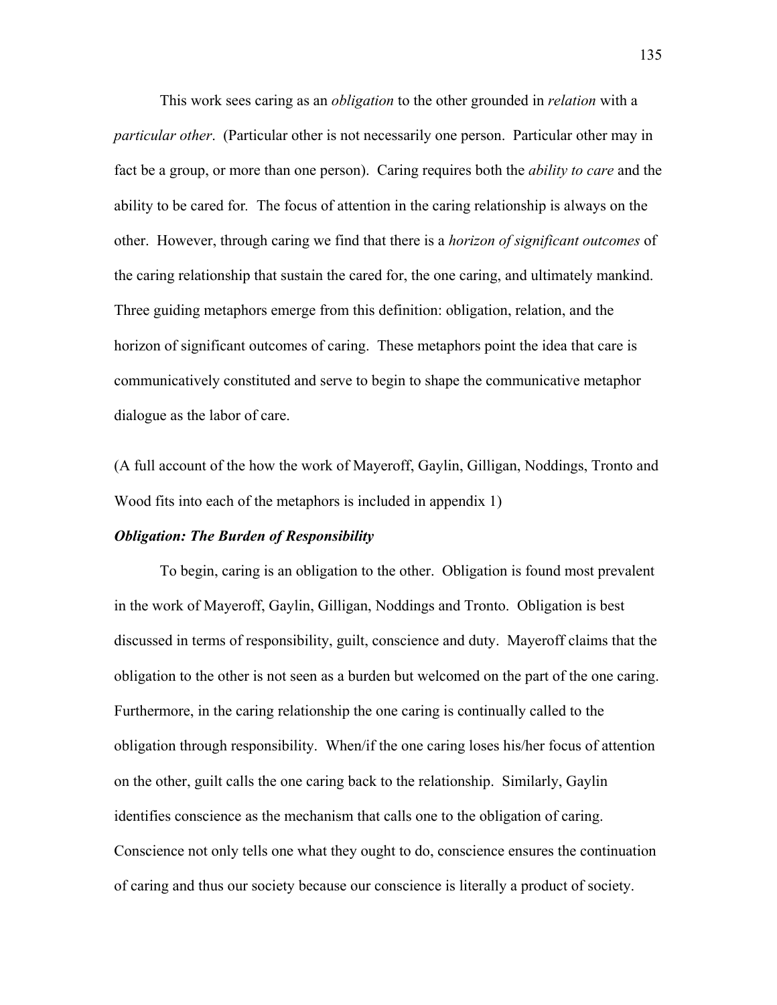This work sees caring as an *obligation* to the other grounded in *relation* with a *particular other*. (Particular other is not necessarily one person. Particular other may in fact be a group, or more than one person). Caring requires both the *ability to care* and the ability to be cared for*.* The focus of attention in the caring relationship is always on the other. However, through caring we find that there is a *horizon of significant outcomes* of the caring relationship that sustain the cared for, the one caring, and ultimately mankind. Three guiding metaphors emerge from this definition: obligation, relation, and the horizon of significant outcomes of caring. These metaphors point the idea that care is communicatively constituted and serve to begin to shape the communicative metaphor dialogue as the labor of care.

(A full account of the how the work of Mayeroff, Gaylin, Gilligan, Noddings, Tronto and Wood fits into each of the metaphors is included in appendix 1)

#### *Obligation: The Burden of Responsibility*

To begin, caring is an obligation to the other. Obligation is found most prevalent in the work of Mayeroff, Gaylin, Gilligan, Noddings and Tronto. Obligation is best discussed in terms of responsibility, guilt, conscience and duty. Mayeroff claims that the obligation to the other is not seen as a burden but welcomed on the part of the one caring. Furthermore, in the caring relationship the one caring is continually called to the obligation through responsibility. When/if the one caring loses his/her focus of attention on the other, guilt calls the one caring back to the relationship. Similarly, Gaylin identifies conscience as the mechanism that calls one to the obligation of caring. Conscience not only tells one what they ought to do, conscience ensures the continuation of caring and thus our society because our conscience is literally a product of society.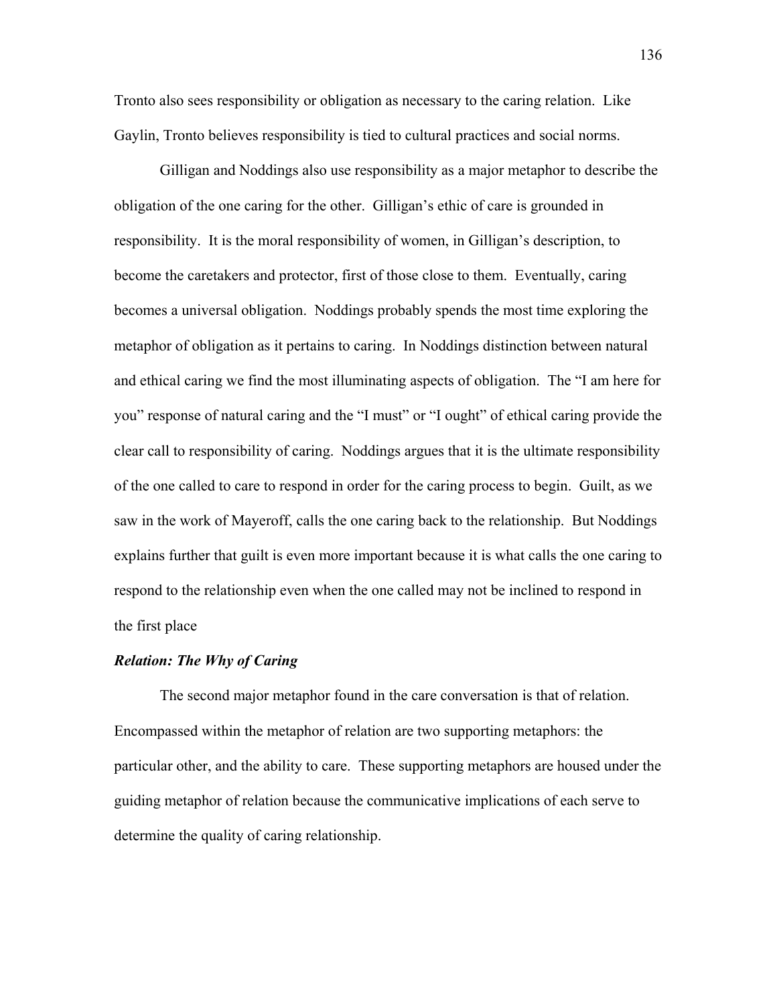Tronto also sees responsibility or obligation as necessary to the caring relation. Like Gaylin, Tronto believes responsibility is tied to cultural practices and social norms.

Gilligan and Noddings also use responsibility as a major metaphor to describe the obligation of the one caring for the other. Gilligan's ethic of care is grounded in responsibility. It is the moral responsibility of women, in Gilligan's description, to become the caretakers and protector, first of those close to them. Eventually, caring becomes a universal obligation. Noddings probably spends the most time exploring the metaphor of obligation as it pertains to caring. In Noddings distinction between natural and ethical caring we find the most illuminating aspects of obligation. The "I am here for you" response of natural caring and the "I must" or "I ought" of ethical caring provide the clear call to responsibility of caring. Noddings argues that it is the ultimate responsibility of the one called to care to respond in order for the caring process to begin. Guilt, as we saw in the work of Mayeroff, calls the one caring back to the relationship. But Noddings explains further that guilt is even more important because it is what calls the one caring to respond to the relationship even when the one called may not be inclined to respond in the first place

## *Relation: The Why of Caring*

The second major metaphor found in the care conversation is that of relation. Encompassed within the metaphor of relation are two supporting metaphors: the particular other, and the ability to care. These supporting metaphors are housed under the guiding metaphor of relation because the communicative implications of each serve to determine the quality of caring relationship.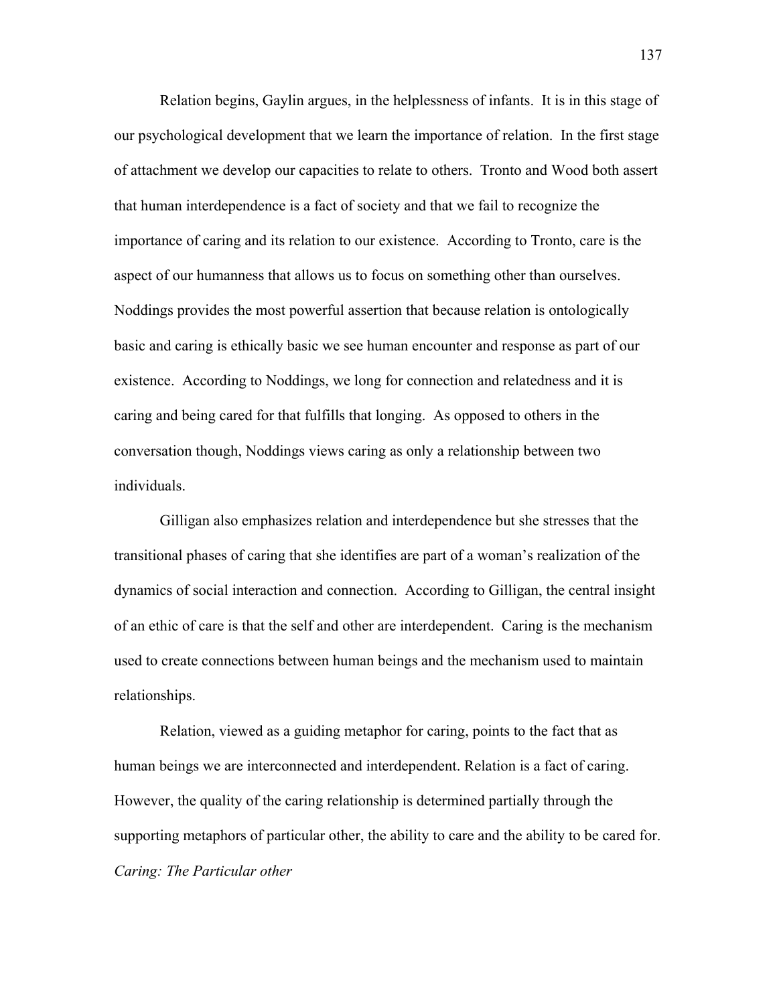Relation begins, Gaylin argues, in the helplessness of infants. It is in this stage of our psychological development that we learn the importance of relation. In the first stage of attachment we develop our capacities to relate to others. Tronto and Wood both assert that human interdependence is a fact of society and that we fail to recognize the importance of caring and its relation to our existence. According to Tronto, care is the aspect of our humanness that allows us to focus on something other than ourselves. Noddings provides the most powerful assertion that because relation is ontologically basic and caring is ethically basic we see human encounter and response as part of our existence. According to Noddings, we long for connection and relatedness and it is caring and being cared for that fulfills that longing. As opposed to others in the conversation though, Noddings views caring as only a relationship between two individuals.

Gilligan also emphasizes relation and interdependence but she stresses that the transitional phases of caring that she identifies are part of a woman's realization of the dynamics of social interaction and connection. According to Gilligan, the central insight of an ethic of care is that the self and other are interdependent. Caring is the mechanism used to create connections between human beings and the mechanism used to maintain relationships.

Relation, viewed as a guiding metaphor for caring, points to the fact that as human beings we are interconnected and interdependent. Relation is a fact of caring. However, the quality of the caring relationship is determined partially through the supporting metaphors of particular other, the ability to care and the ability to be cared for. *Caring: The Particular other*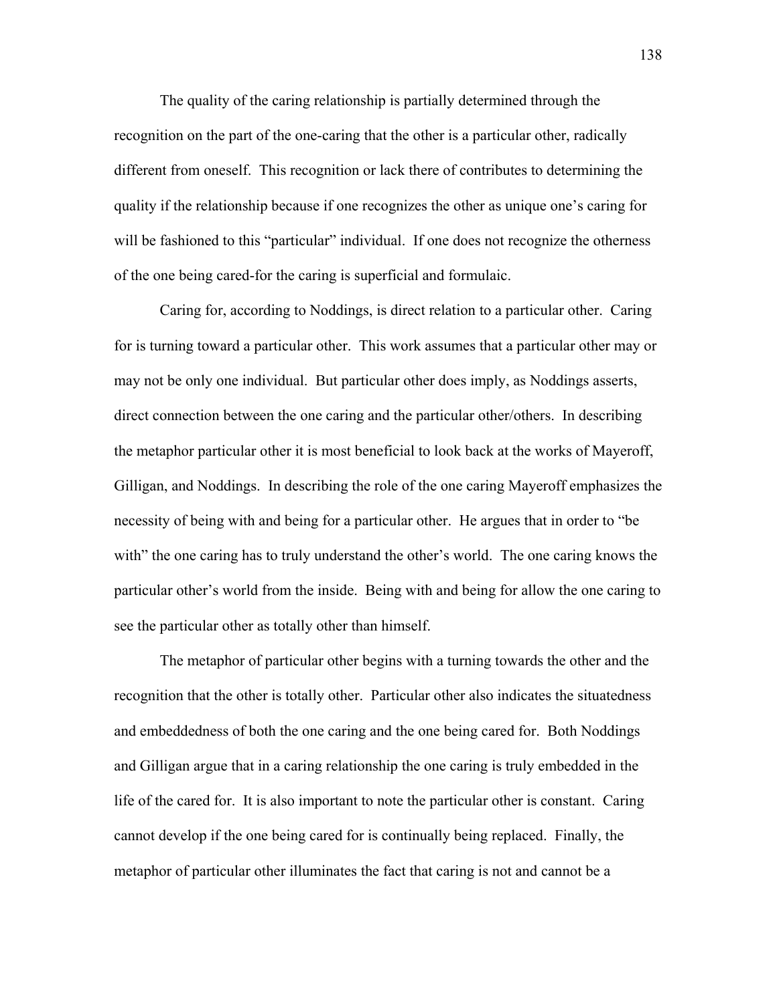The quality of the caring relationship is partially determined through the recognition on the part of the one-caring that the other is a particular other, radically different from oneself. This recognition or lack there of contributes to determining the quality if the relationship because if one recognizes the other as unique one's caring for will be fashioned to this "particular" individual. If one does not recognize the otherness of the one being cared-for the caring is superficial and formulaic.

Caring for, according to Noddings, is direct relation to a particular other. Caring for is turning toward a particular other. This work assumes that a particular other may or may not be only one individual. But particular other does imply, as Noddings asserts, direct connection between the one caring and the particular other/others. In describing the metaphor particular other it is most beneficial to look back at the works of Mayeroff, Gilligan, and Noddings. In describing the role of the one caring Mayeroff emphasizes the necessity of being with and being for a particular other. He argues that in order to "be with" the one caring has to truly understand the other's world. The one caring knows the particular other's world from the inside. Being with and being for allow the one caring to see the particular other as totally other than himself.

The metaphor of particular other begins with a turning towards the other and the recognition that the other is totally other. Particular other also indicates the situatedness and embeddedness of both the one caring and the one being cared for. Both Noddings and Gilligan argue that in a caring relationship the one caring is truly embedded in the life of the cared for. It is also important to note the particular other is constant. Caring cannot develop if the one being cared for is continually being replaced. Finally, the metaphor of particular other illuminates the fact that caring is not and cannot be a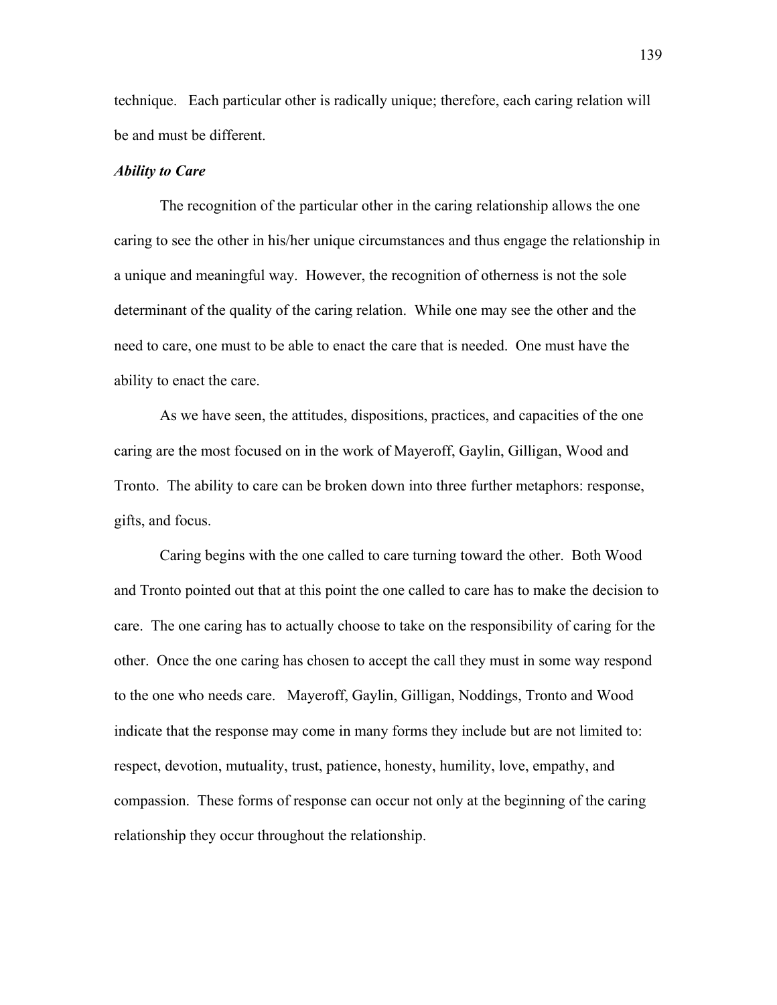technique. Each particular other is radically unique; therefore, each caring relation will be and must be different.

#### *Ability to Care*

The recognition of the particular other in the caring relationship allows the one caring to see the other in his/her unique circumstances and thus engage the relationship in a unique and meaningful way. However, the recognition of otherness is not the sole determinant of the quality of the caring relation. While one may see the other and the need to care, one must to be able to enact the care that is needed. One must have the ability to enact the care.

As we have seen, the attitudes, dispositions, practices, and capacities of the one caring are the most focused on in the work of Mayeroff, Gaylin, Gilligan, Wood and Tronto. The ability to care can be broken down into three further metaphors: response, gifts, and focus.

Caring begins with the one called to care turning toward the other. Both Wood and Tronto pointed out that at this point the one called to care has to make the decision to care. The one caring has to actually choose to take on the responsibility of caring for the other. Once the one caring has chosen to accept the call they must in some way respond to the one who needs care. Mayeroff, Gaylin, Gilligan, Noddings, Tronto and Wood indicate that the response may come in many forms they include but are not limited to: respect, devotion, mutuality, trust, patience, honesty, humility, love, empathy, and compassion. These forms of response can occur not only at the beginning of the caring relationship they occur throughout the relationship.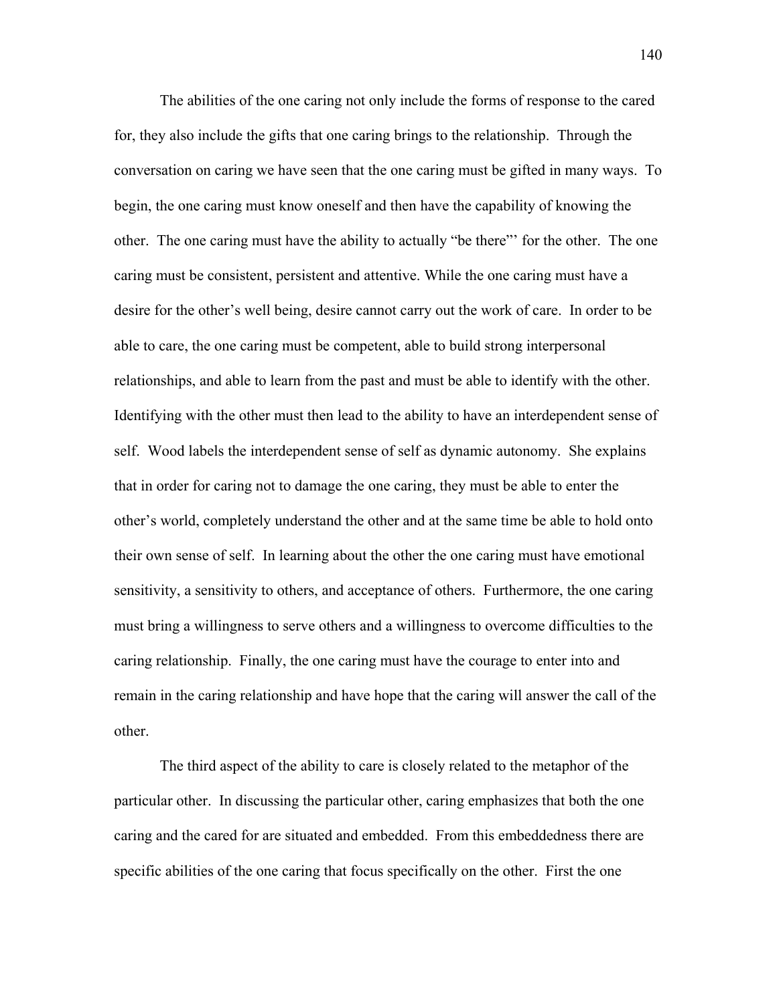The abilities of the one caring not only include the forms of response to the cared for, they also include the gifts that one caring brings to the relationship. Through the conversation on caring we have seen that the one caring must be gifted in many ways. To begin, the one caring must know oneself and then have the capability of knowing the other. The one caring must have the ability to actually "be there"' for the other. The one caring must be consistent, persistent and attentive. While the one caring must have a desire for the other's well being, desire cannot carry out the work of care. In order to be able to care, the one caring must be competent, able to build strong interpersonal relationships, and able to learn from the past and must be able to identify with the other. Identifying with the other must then lead to the ability to have an interdependent sense of self. Wood labels the interdependent sense of self as dynamic autonomy. She explains that in order for caring not to damage the one caring, they must be able to enter the other's world, completely understand the other and at the same time be able to hold onto their own sense of self. In learning about the other the one caring must have emotional sensitivity, a sensitivity to others, and acceptance of others. Furthermore, the one caring must bring a willingness to serve others and a willingness to overcome difficulties to the caring relationship. Finally, the one caring must have the courage to enter into and remain in the caring relationship and have hope that the caring will answer the call of the other.

The third aspect of the ability to care is closely related to the metaphor of the particular other. In discussing the particular other, caring emphasizes that both the one caring and the cared for are situated and embedded. From this embeddedness there are specific abilities of the one caring that focus specifically on the other. First the one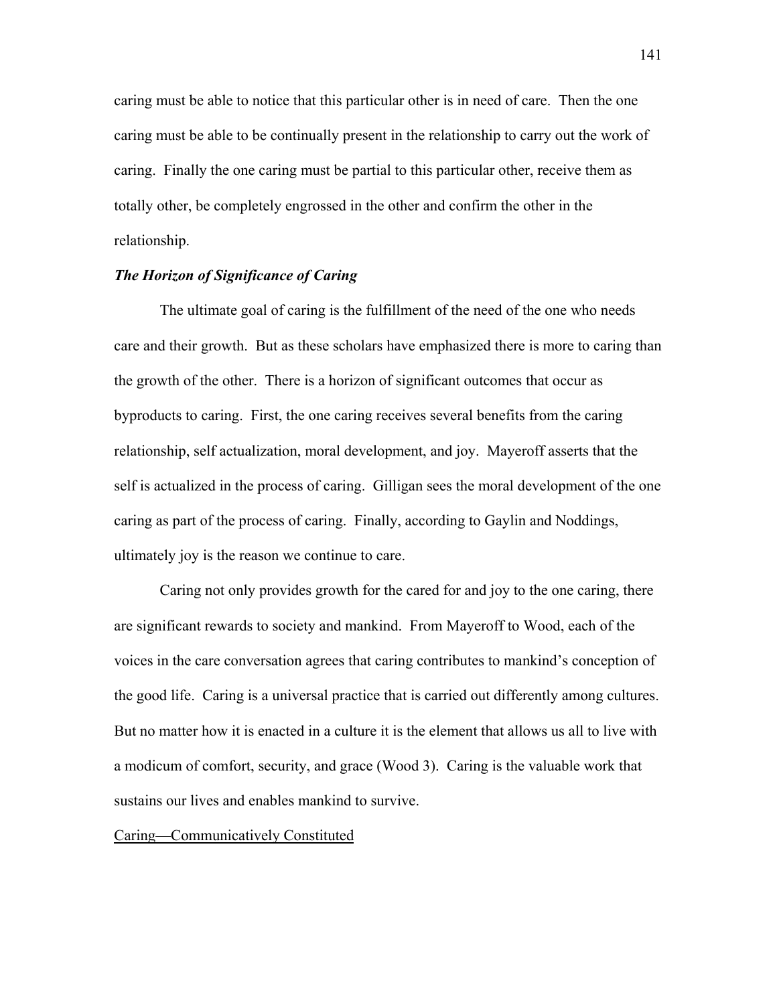caring must be able to notice that this particular other is in need of care. Then the one caring must be able to be continually present in the relationship to carry out the work of caring. Finally the one caring must be partial to this particular other, receive them as totally other, be completely engrossed in the other and confirm the other in the relationship.

## *The Horizon of Significance of Caring*

The ultimate goal of caring is the fulfillment of the need of the one who needs care and their growth. But as these scholars have emphasized there is more to caring than the growth of the other. There is a horizon of significant outcomes that occur as byproducts to caring. First, the one caring receives several benefits from the caring relationship, self actualization, moral development, and joy. Mayeroff asserts that the self is actualized in the process of caring. Gilligan sees the moral development of the one caring as part of the process of caring. Finally, according to Gaylin and Noddings, ultimately joy is the reason we continue to care.

Caring not only provides growth for the cared for and joy to the one caring, there are significant rewards to society and mankind. From Mayeroff to Wood, each of the voices in the care conversation agrees that caring contributes to mankind's conception of the good life. Caring is a universal practice that is carried out differently among cultures. But no matter how it is enacted in a culture it is the element that allows us all to live with a modicum of comfort, security, and grace (Wood 3). Caring is the valuable work that sustains our lives and enables mankind to survive.

### Caring—Communicatively Constituted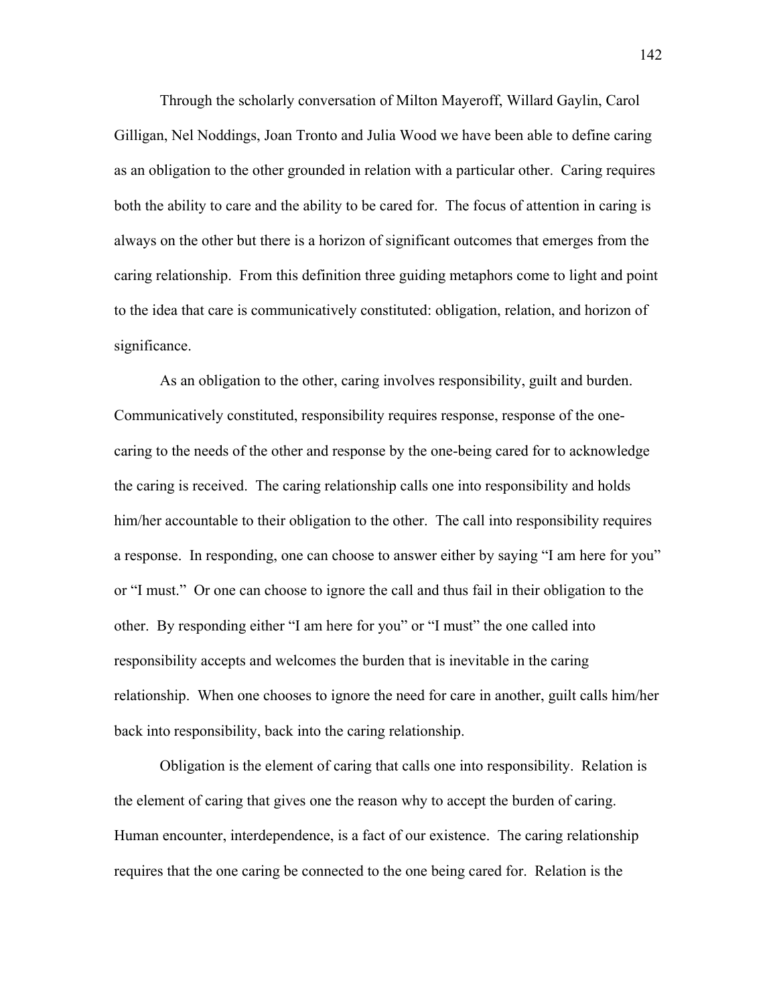Through the scholarly conversation of Milton Mayeroff, Willard Gaylin, Carol Gilligan, Nel Noddings, Joan Tronto and Julia Wood we have been able to define caring as an obligation to the other grounded in relation with a particular other. Caring requires both the ability to care and the ability to be cared for. The focus of attention in caring is always on the other but there is a horizon of significant outcomes that emerges from the caring relationship. From this definition three guiding metaphors come to light and point to the idea that care is communicatively constituted: obligation, relation, and horizon of significance.

As an obligation to the other, caring involves responsibility, guilt and burden. Communicatively constituted, responsibility requires response, response of the onecaring to the needs of the other and response by the one-being cared for to acknowledge the caring is received. The caring relationship calls one into responsibility and holds him/her accountable to their obligation to the other. The call into responsibility requires a response. In responding, one can choose to answer either by saying "I am here for you" or "I must." Or one can choose to ignore the call and thus fail in their obligation to the other. By responding either "I am here for you" or "I must" the one called into responsibility accepts and welcomes the burden that is inevitable in the caring relationship. When one chooses to ignore the need for care in another, guilt calls him/her back into responsibility, back into the caring relationship.

Obligation is the element of caring that calls one into responsibility. Relation is the element of caring that gives one the reason why to accept the burden of caring. Human encounter, interdependence, is a fact of our existence. The caring relationship requires that the one caring be connected to the one being cared for. Relation is the

142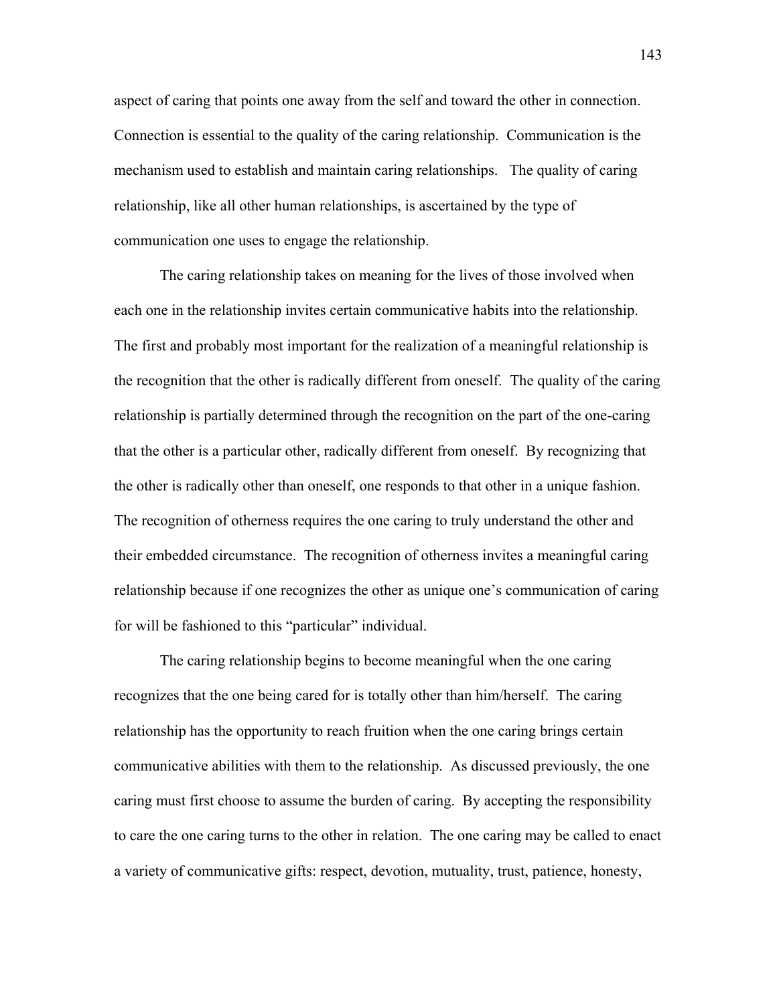aspect of caring that points one away from the self and toward the other in connection. Connection is essential to the quality of the caring relationship. Communication is the mechanism used to establish and maintain caring relationships. The quality of caring relationship, like all other human relationships, is ascertained by the type of communication one uses to engage the relationship.

 The caring relationship takes on meaning for the lives of those involved when each one in the relationship invites certain communicative habits into the relationship. The first and probably most important for the realization of a meaningful relationship is the recognition that the other is radically different from oneself. The quality of the caring relationship is partially determined through the recognition on the part of the one-caring that the other is a particular other, radically different from oneself. By recognizing that the other is radically other than oneself, one responds to that other in a unique fashion. The recognition of otherness requires the one caring to truly understand the other and their embedded circumstance. The recognition of otherness invites a meaningful caring relationship because if one recognizes the other as unique one's communication of caring for will be fashioned to this "particular" individual.

The caring relationship begins to become meaningful when the one caring recognizes that the one being cared for is totally other than him/herself. The caring relationship has the opportunity to reach fruition when the one caring brings certain communicative abilities with them to the relationship. As discussed previously, the one caring must first choose to assume the burden of caring. By accepting the responsibility to care the one caring turns to the other in relation. The one caring may be called to enact a variety of communicative gifts: respect, devotion, mutuality, trust, patience, honesty,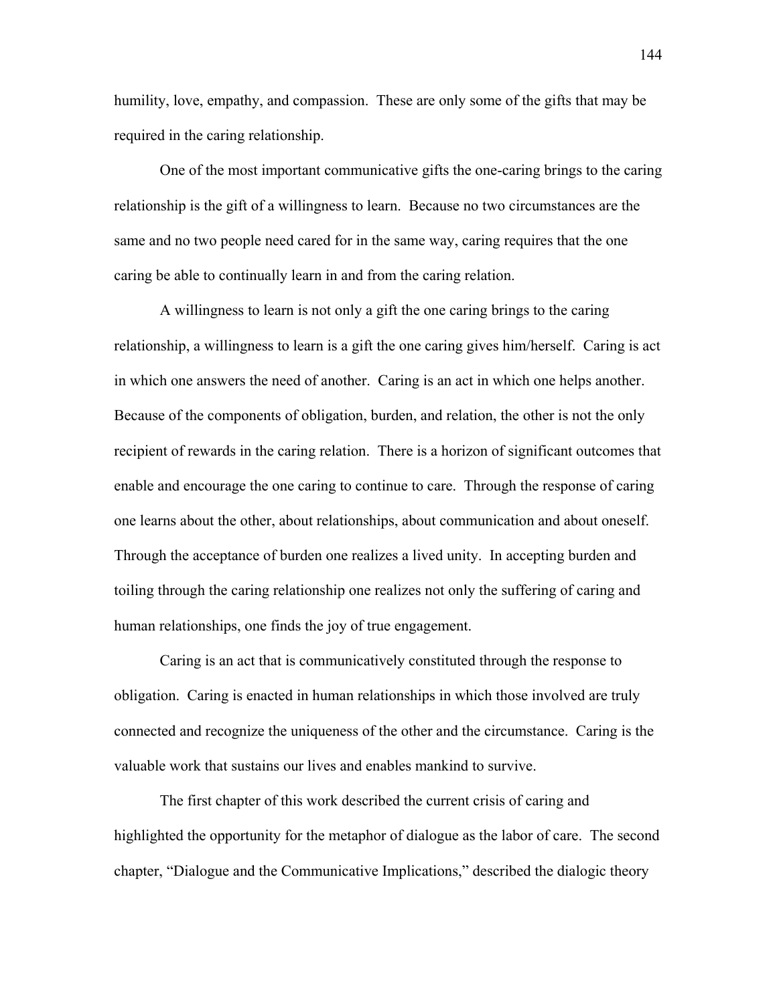humility, love, empathy, and compassion. These are only some of the gifts that may be required in the caring relationship.

One of the most important communicative gifts the one-caring brings to the caring relationship is the gift of a willingness to learn. Because no two circumstances are the same and no two people need cared for in the same way, caring requires that the one caring be able to continually learn in and from the caring relation.

 A willingness to learn is not only a gift the one caring brings to the caring relationship, a willingness to learn is a gift the one caring gives him/herself. Caring is act in which one answers the need of another. Caring is an act in which one helps another. Because of the components of obligation, burden, and relation, the other is not the only recipient of rewards in the caring relation. There is a horizon of significant outcomes that enable and encourage the one caring to continue to care. Through the response of caring one learns about the other, about relationships, about communication and about oneself. Through the acceptance of burden one realizes a lived unity. In accepting burden and toiling through the caring relationship one realizes not only the suffering of caring and human relationships, one finds the joy of true engagement.

 Caring is an act that is communicatively constituted through the response to obligation. Caring is enacted in human relationships in which those involved are truly connected and recognize the uniqueness of the other and the circumstance. Caring is the valuable work that sustains our lives and enables mankind to survive.

 The first chapter of this work described the current crisis of caring and highlighted the opportunity for the metaphor of dialogue as the labor of care. The second chapter, "Dialogue and the Communicative Implications," described the dialogic theory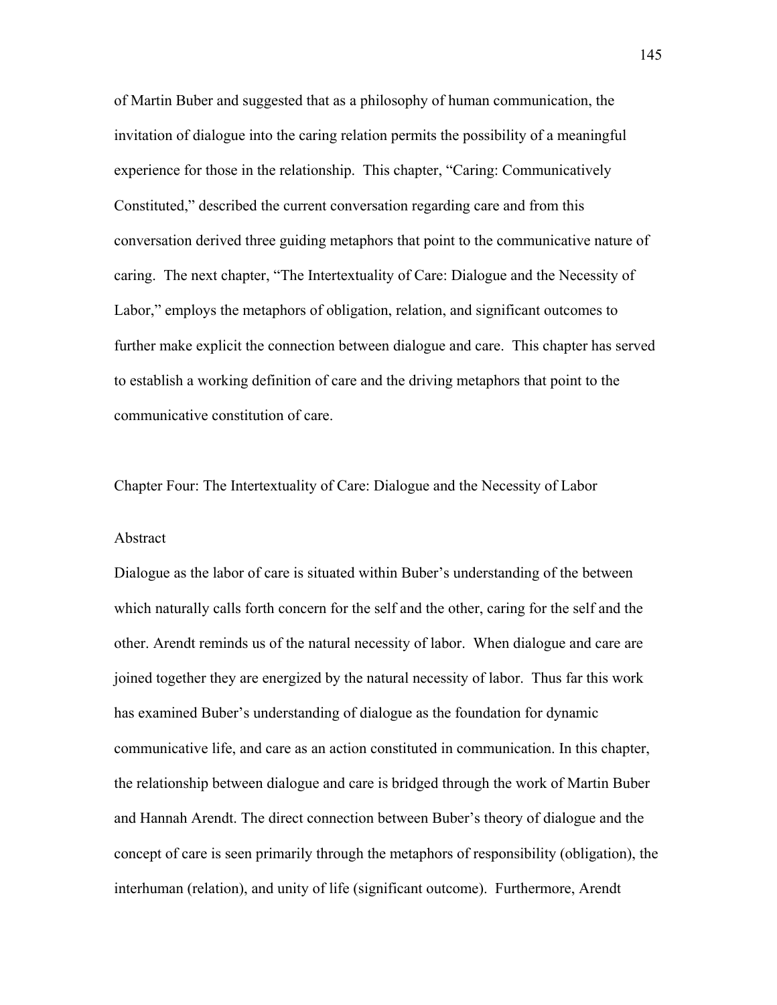of Martin Buber and suggested that as a philosophy of human communication, the invitation of dialogue into the caring relation permits the possibility of a meaningful experience for those in the relationship. This chapter, "Caring: Communicatively Constituted," described the current conversation regarding care and from this conversation derived three guiding metaphors that point to the communicative nature of caring. The next chapter, "The Intertextuality of Care: Dialogue and the Necessity of Labor," employs the metaphors of obligation, relation, and significant outcomes to further make explicit the connection between dialogue and care. This chapter has served to establish a working definition of care and the driving metaphors that point to the communicative constitution of care.

Chapter Four: The Intertextuality of Care: Dialogue and the Necessity of Labor

#### Abstract

Dialogue as the labor of care is situated within Buber's understanding of the between which naturally calls forth concern for the self and the other, caring for the self and the other. Arendt reminds us of the natural necessity of labor. When dialogue and care are joined together they are energized by the natural necessity of labor. Thus far this work has examined Buber's understanding of dialogue as the foundation for dynamic communicative life, and care as an action constituted in communication. In this chapter, the relationship between dialogue and care is bridged through the work of Martin Buber and Hannah Arendt. The direct connection between Buber's theory of dialogue and the concept of care is seen primarily through the metaphors of responsibility (obligation), the interhuman (relation), and unity of life (significant outcome). Furthermore, Arendt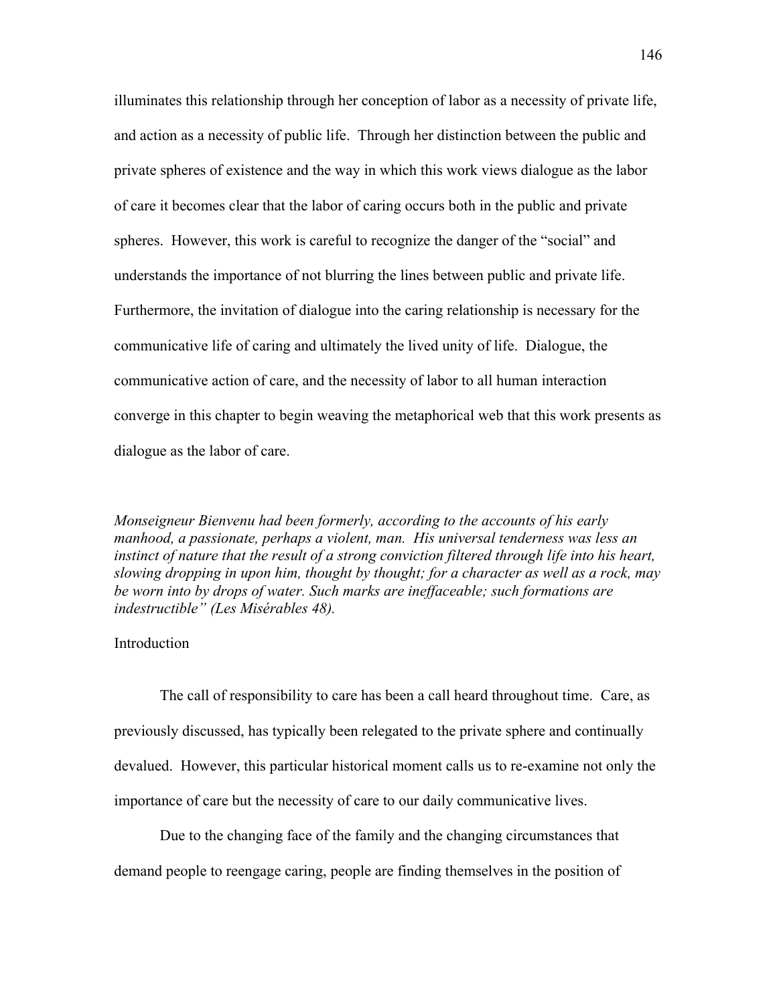illuminates this relationship through her conception of labor as a necessity of private life, and action as a necessity of public life. Through her distinction between the public and private spheres of existence and the way in which this work views dialogue as the labor of care it becomes clear that the labor of caring occurs both in the public and private spheres. However, this work is careful to recognize the danger of the "social" and understands the importance of not blurring the lines between public and private life. Furthermore, the invitation of dialogue into the caring relationship is necessary for the communicative life of caring and ultimately the lived unity of life. Dialogue, the communicative action of care, and the necessity of labor to all human interaction converge in this chapter to begin weaving the metaphorical web that this work presents as dialogue as the labor of care.

*Monseigneur Bienvenu had been formerly, according to the accounts of his early manhood, a passionate, perhaps a violent, man. His universal tenderness was less an instinct of nature that the result of a strong conviction filtered through life into his heart, slowing dropping in upon him, thought by thought; for a character as well as a rock, may be worn into by drops of water. Such marks are ineffaceable; such formations are indestructible" (Les Misérables 48).* 

#### Introduction

The call of responsibility to care has been a call heard throughout time. Care, as previously discussed, has typically been relegated to the private sphere and continually devalued. However, this particular historical moment calls us to re-examine not only the importance of care but the necessity of care to our daily communicative lives.

Due to the changing face of the family and the changing circumstances that demand people to reengage caring, people are finding themselves in the position of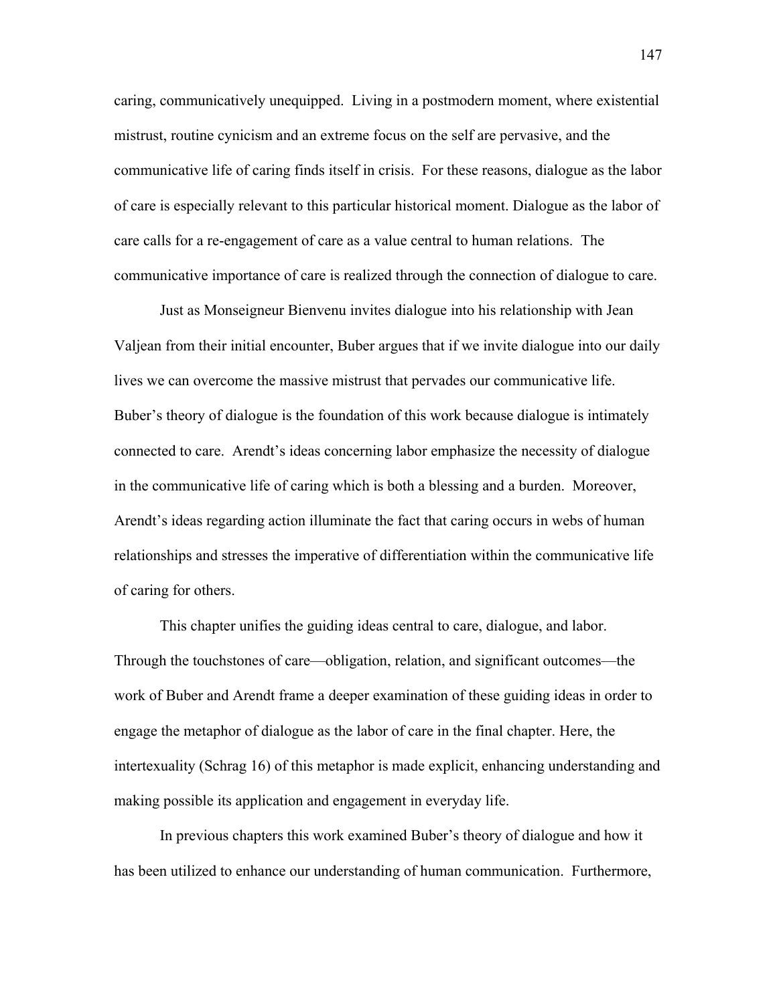caring, communicatively unequipped. Living in a postmodern moment, where existential mistrust, routine cynicism and an extreme focus on the self are pervasive, and the communicative life of caring finds itself in crisis. For these reasons, dialogue as the labor of care is especially relevant to this particular historical moment. Dialogue as the labor of care calls for a re-engagement of care as a value central to human relations. The communicative importance of care is realized through the connection of dialogue to care.

Just as Monseigneur Bienvenu invites dialogue into his relationship with Jean Valjean from their initial encounter, Buber argues that if we invite dialogue into our daily lives we can overcome the massive mistrust that pervades our communicative life. Buber's theory of dialogue is the foundation of this work because dialogue is intimately connected to care. Arendt's ideas concerning labor emphasize the necessity of dialogue in the communicative life of caring which is both a blessing and a burden. Moreover, Arendt's ideas regarding action illuminate the fact that caring occurs in webs of human relationships and stresses the imperative of differentiation within the communicative life of caring for others.

This chapter unifies the guiding ideas central to care, dialogue, and labor. Through the touchstones of care—obligation, relation, and significant outcomes—the work of Buber and Arendt frame a deeper examination of these guiding ideas in order to engage the metaphor of dialogue as the labor of care in the final chapter. Here, the intertexuality (Schrag 16) of this metaphor is made explicit, enhancing understanding and making possible its application and engagement in everyday life.

In previous chapters this work examined Buber's theory of dialogue and how it has been utilized to enhance our understanding of human communication. Furthermore,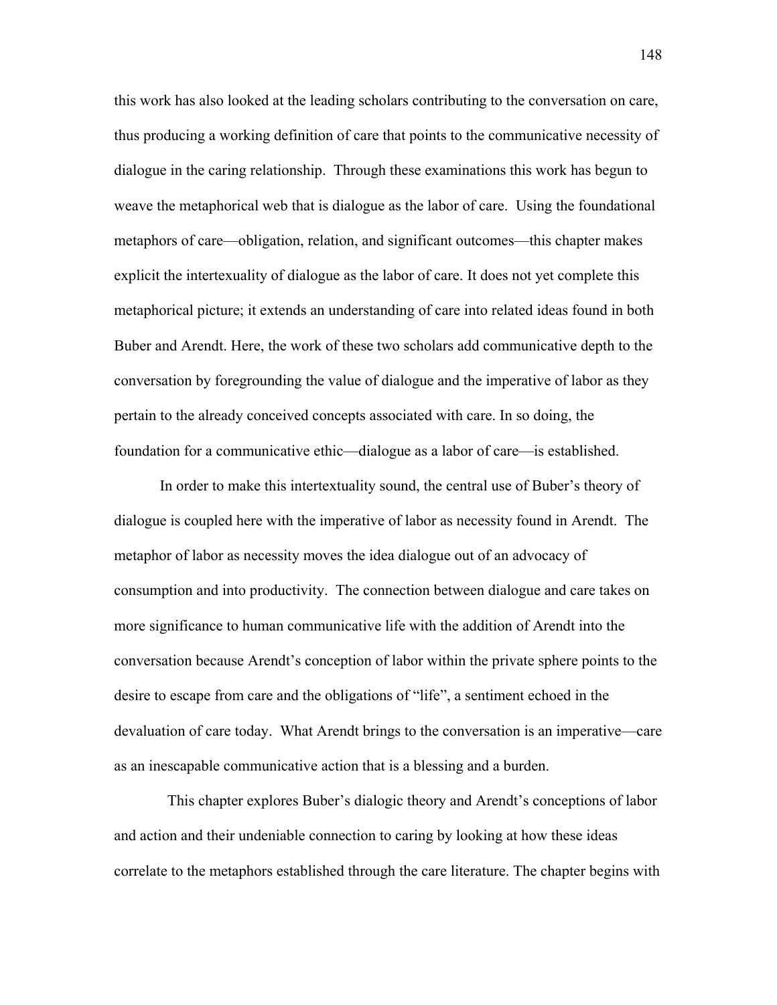this work has also looked at the leading scholars contributing to the conversation on care, thus producing a working definition of care that points to the communicative necessity of dialogue in the caring relationship. Through these examinations this work has begun to weave the metaphorical web that is dialogue as the labor of care. Using the foundational metaphors of care—obligation, relation, and significant outcomes—this chapter makes explicit the intertexuality of dialogue as the labor of care. It does not yet complete this metaphorical picture; it extends an understanding of care into related ideas found in both Buber and Arendt. Here, the work of these two scholars add communicative depth to the conversation by foregrounding the value of dialogue and the imperative of labor as they pertain to the already conceived concepts associated with care. In so doing, the foundation for a communicative ethic—dialogue as a labor of care—is established.

In order to make this intertextuality sound, the central use of Buber's theory of dialogue is coupled here with the imperative of labor as necessity found in Arendt. The metaphor of labor as necessity moves the idea dialogue out of an advocacy of consumption and into productivity. The connection between dialogue and care takes on more significance to human communicative life with the addition of Arendt into the conversation because Arendt's conception of labor within the private sphere points to the desire to escape from care and the obligations of "life", a sentiment echoed in the devaluation of care today. What Arendt brings to the conversation is an imperative—care as an inescapable communicative action that is a blessing and a burden.

 This chapter explores Buber's dialogic theory and Arendt's conceptions of labor and action and their undeniable connection to caring by looking at how these ideas correlate to the metaphors established through the care literature. The chapter begins with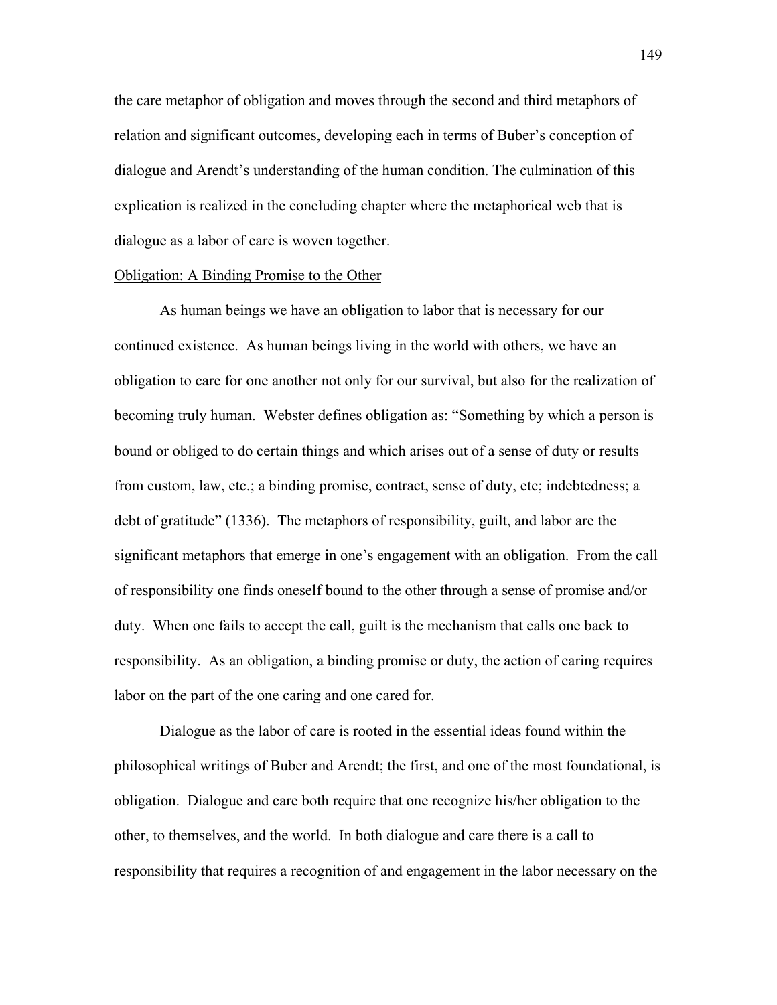the care metaphor of obligation and moves through the second and third metaphors of relation and significant outcomes, developing each in terms of Buber's conception of dialogue and Arendt's understanding of the human condition. The culmination of this explication is realized in the concluding chapter where the metaphorical web that is dialogue as a labor of care is woven together.

#### Obligation: A Binding Promise to the Other

As human beings we have an obligation to labor that is necessary for our continued existence. As human beings living in the world with others, we have an obligation to care for one another not only for our survival, but also for the realization of becoming truly human. Webster defines obligation as: "Something by which a person is bound or obliged to do certain things and which arises out of a sense of duty or results from custom, law, etc.; a binding promise, contract, sense of duty, etc; indebtedness; a debt of gratitude" (1336). The metaphors of responsibility, guilt, and labor are the significant metaphors that emerge in one's engagement with an obligation. From the call of responsibility one finds oneself bound to the other through a sense of promise and/or duty. When one fails to accept the call, guilt is the mechanism that calls one back to responsibility. As an obligation, a binding promise or duty, the action of caring requires labor on the part of the one caring and one cared for.

Dialogue as the labor of care is rooted in the essential ideas found within the philosophical writings of Buber and Arendt; the first, and one of the most foundational, is obligation. Dialogue and care both require that one recognize his/her obligation to the other, to themselves, and the world. In both dialogue and care there is a call to responsibility that requires a recognition of and engagement in the labor necessary on the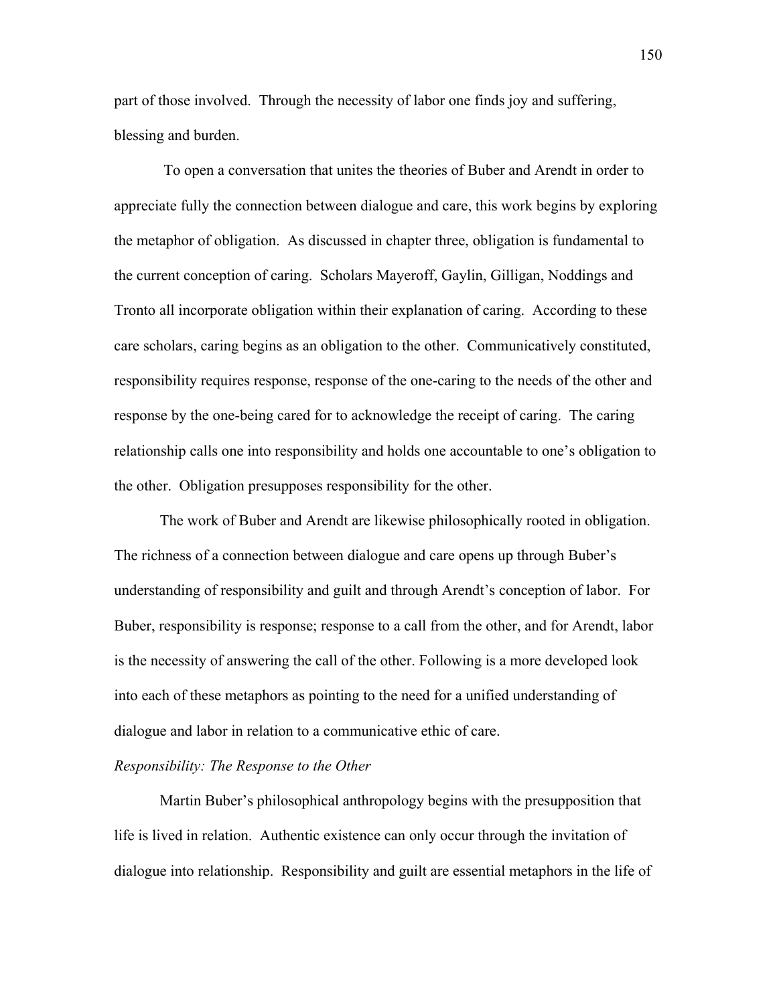part of those involved. Through the necessity of labor one finds joy and suffering, blessing and burden.

 To open a conversation that unites the theories of Buber and Arendt in order to appreciate fully the connection between dialogue and care, this work begins by exploring the metaphor of obligation. As discussed in chapter three, obligation is fundamental to the current conception of caring. Scholars Mayeroff, Gaylin, Gilligan, Noddings and Tronto all incorporate obligation within their explanation of caring. According to these care scholars, caring begins as an obligation to the other. Communicatively constituted, responsibility requires response, response of the one-caring to the needs of the other and response by the one-being cared for to acknowledge the receipt of caring. The caring relationship calls one into responsibility and holds one accountable to one's obligation to the other. Obligation presupposes responsibility for the other.

The work of Buber and Arendt are likewise philosophically rooted in obligation. The richness of a connection between dialogue and care opens up through Buber's understanding of responsibility and guilt and through Arendt's conception of labor. For Buber, responsibility is response; response to a call from the other, and for Arendt, labor is the necessity of answering the call of the other. Following is a more developed look into each of these metaphors as pointing to the need for a unified understanding of dialogue and labor in relation to a communicative ethic of care.

## *Responsibility: The Response to the Other*

Martin Buber's philosophical anthropology begins with the presupposition that life is lived in relation. Authentic existence can only occur through the invitation of dialogue into relationship. Responsibility and guilt are essential metaphors in the life of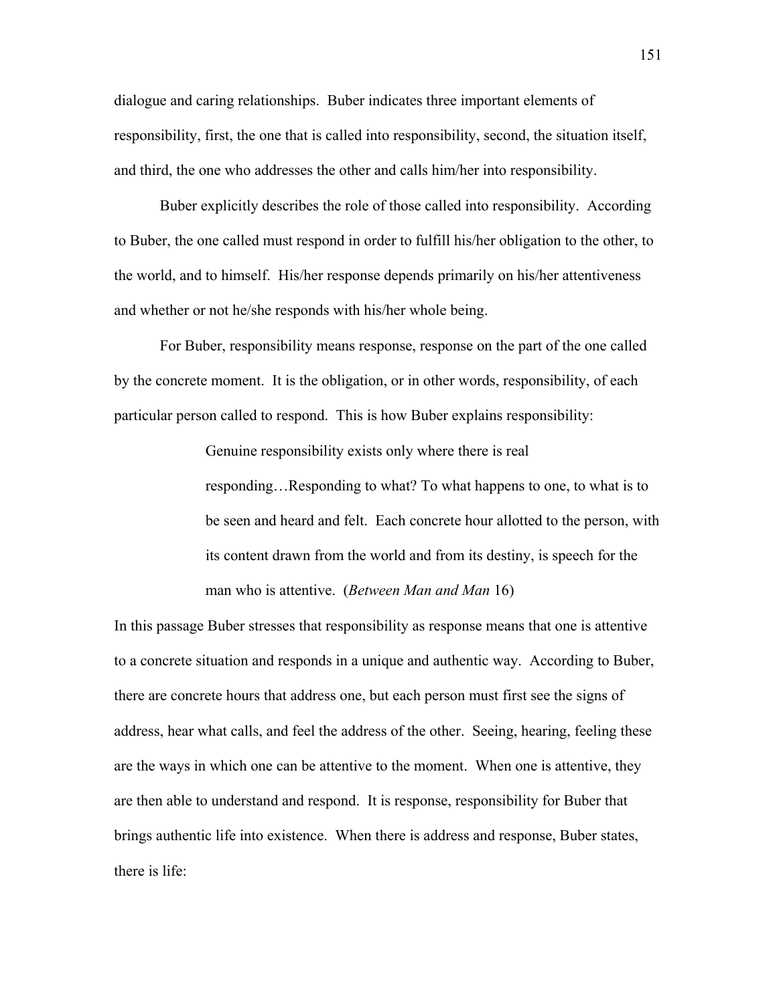dialogue and caring relationships. Buber indicates three important elements of responsibility, first, the one that is called into responsibility, second, the situation itself, and third, the one who addresses the other and calls him/her into responsibility.

Buber explicitly describes the role of those called into responsibility. According to Buber, the one called must respond in order to fulfill his/her obligation to the other, to the world, and to himself. His/her response depends primarily on his/her attentiveness and whether or not he/she responds with his/her whole being.

For Buber, responsibility means response, response on the part of the one called by the concrete moment. It is the obligation, or in other words, responsibility, of each particular person called to respond. This is how Buber explains responsibility:

> Genuine responsibility exists only where there is real responding…Responding to what? To what happens to one, to what is to be seen and heard and felt. Each concrete hour allotted to the person, with its content drawn from the world and from its destiny, is speech for the man who is attentive. (*Between Man and Man* 16)

In this passage Buber stresses that responsibility as response means that one is attentive to a concrete situation and responds in a unique and authentic way. According to Buber, there are concrete hours that address one, but each person must first see the signs of address, hear what calls, and feel the address of the other. Seeing, hearing, feeling these are the ways in which one can be attentive to the moment. When one is attentive, they are then able to understand and respond. It is response, responsibility for Buber that brings authentic life into existence. When there is address and response, Buber states, there is life: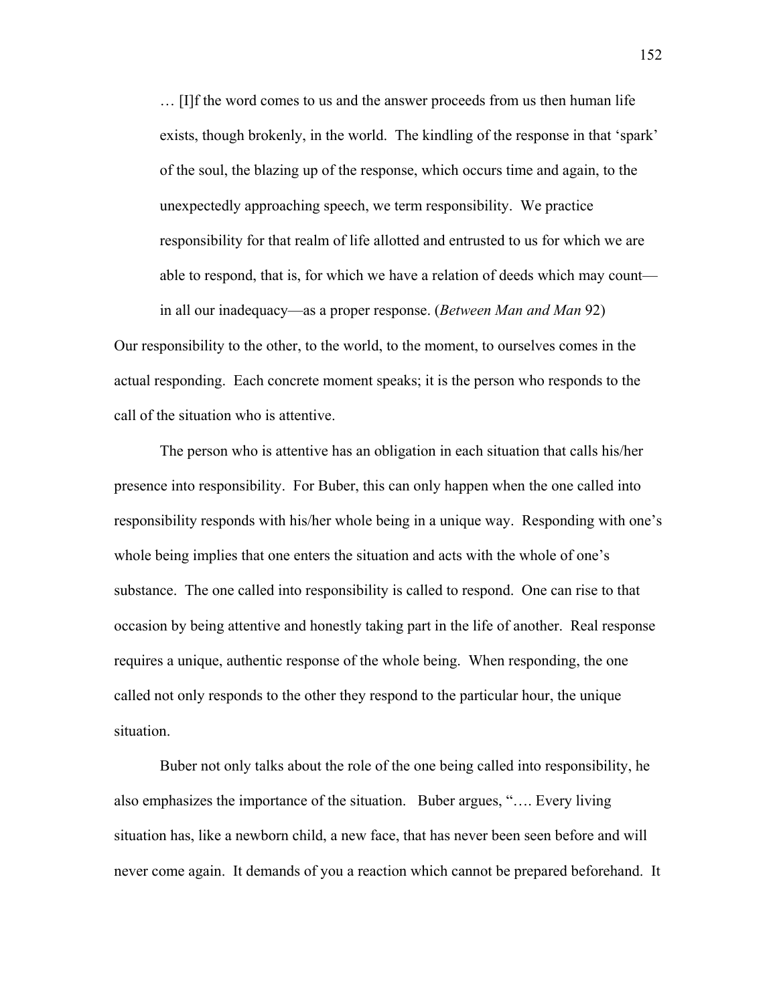… [I]f the word comes to us and the answer proceeds from us then human life exists, though brokenly, in the world. The kindling of the response in that 'spark' of the soul, the blazing up of the response, which occurs time and again, to the unexpectedly approaching speech, we term responsibility. We practice responsibility for that realm of life allotted and entrusted to us for which we are able to respond, that is, for which we have a relation of deeds which may count in all our inadequacy—as a proper response. (*Between Man and Man* 92)

Our responsibility to the other, to the world, to the moment, to ourselves comes in the actual responding. Each concrete moment speaks; it is the person who responds to the call of the situation who is attentive.

The person who is attentive has an obligation in each situation that calls his/her presence into responsibility. For Buber, this can only happen when the one called into responsibility responds with his/her whole being in a unique way. Responding with one's whole being implies that one enters the situation and acts with the whole of one's substance. The one called into responsibility is called to respond. One can rise to that occasion by being attentive and honestly taking part in the life of another. Real response requires a unique, authentic response of the whole being. When responding, the one called not only responds to the other they respond to the particular hour, the unique situation.

Buber not only talks about the role of the one being called into responsibility, he also emphasizes the importance of the situation. Buber argues, "…. Every living situation has, like a newborn child, a new face, that has never been seen before and will never come again. It demands of you a reaction which cannot be prepared beforehand. It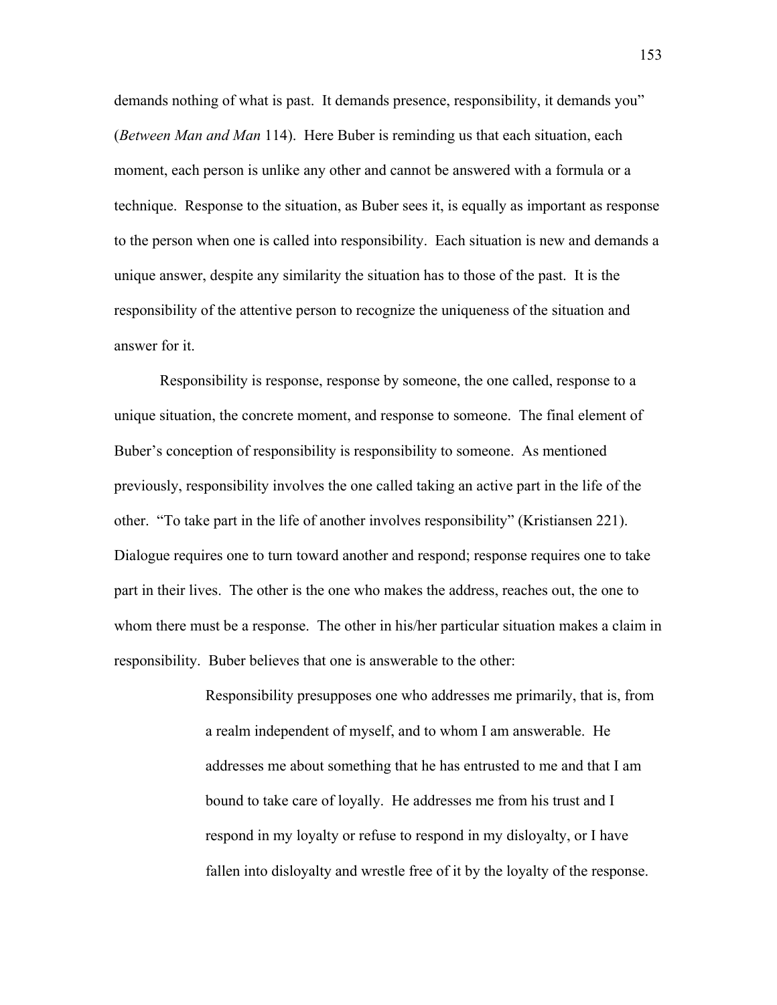demands nothing of what is past. It demands presence, responsibility, it demands you" (*Between Man and Man* 114). Here Buber is reminding us that each situation, each moment, each person is unlike any other and cannot be answered with a formula or a technique. Response to the situation, as Buber sees it, is equally as important as response to the person when one is called into responsibility. Each situation is new and demands a unique answer, despite any similarity the situation has to those of the past. It is the responsibility of the attentive person to recognize the uniqueness of the situation and answer for it.

Responsibility is response, response by someone, the one called, response to a unique situation, the concrete moment, and response to someone. The final element of Buber's conception of responsibility is responsibility to someone. As mentioned previously, responsibility involves the one called taking an active part in the life of the other. "To take part in the life of another involves responsibility" (Kristiansen 221). Dialogue requires one to turn toward another and respond; response requires one to take part in their lives. The other is the one who makes the address, reaches out, the one to whom there must be a response. The other in his/her particular situation makes a claim in responsibility. Buber believes that one is answerable to the other:

> Responsibility presupposes one who addresses me primarily, that is, from a realm independent of myself, and to whom I am answerable. He addresses me about something that he has entrusted to me and that I am bound to take care of loyally. He addresses me from his trust and I respond in my loyalty or refuse to respond in my disloyalty, or I have fallen into disloyalty and wrestle free of it by the loyalty of the response.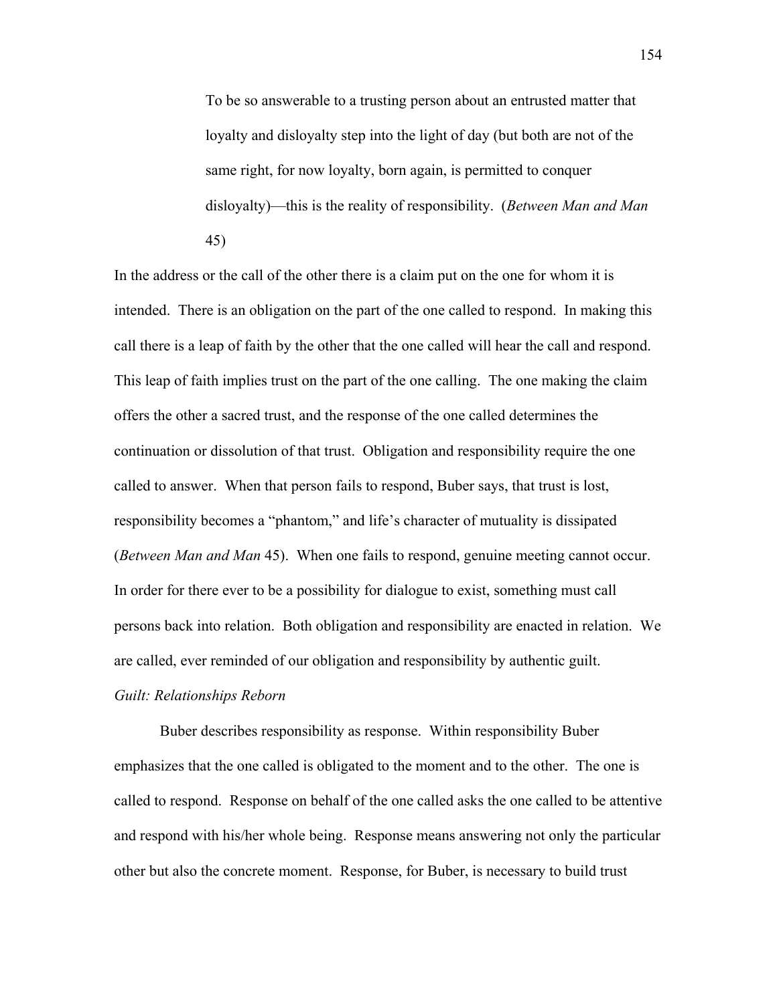To be so answerable to a trusting person about an entrusted matter that loyalty and disloyalty step into the light of day (but both are not of the same right, for now loyalty, born again, is permitted to conquer disloyalty)—this is the reality of responsibility. (*Between Man and Man* 45)

In the address or the call of the other there is a claim put on the one for whom it is intended. There is an obligation on the part of the one called to respond. In making this call there is a leap of faith by the other that the one called will hear the call and respond. This leap of faith implies trust on the part of the one calling. The one making the claim offers the other a sacred trust, and the response of the one called determines the continuation or dissolution of that trust. Obligation and responsibility require the one called to answer. When that person fails to respond, Buber says, that trust is lost, responsibility becomes a "phantom," and life's character of mutuality is dissipated (*Between Man and Man* 45). When one fails to respond, genuine meeting cannot occur. In order for there ever to be a possibility for dialogue to exist, something must call persons back into relation. Both obligation and responsibility are enacted in relation. We are called, ever reminded of our obligation and responsibility by authentic guilt.

# *Guilt: Relationships Reborn*

Buber describes responsibility as response. Within responsibility Buber emphasizes that the one called is obligated to the moment and to the other. The one is called to respond. Response on behalf of the one called asks the one called to be attentive and respond with his/her whole being. Response means answering not only the particular other but also the concrete moment. Response, for Buber, is necessary to build trust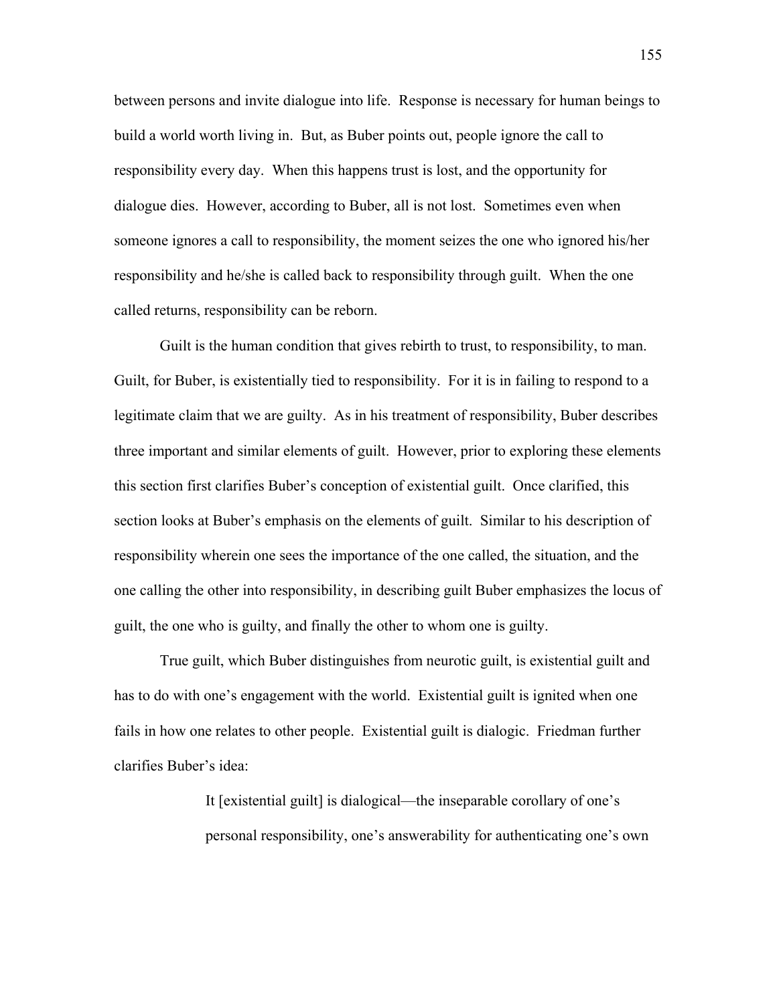between persons and invite dialogue into life. Response is necessary for human beings to build a world worth living in. But, as Buber points out, people ignore the call to responsibility every day. When this happens trust is lost, and the opportunity for dialogue dies. However, according to Buber, all is not lost. Sometimes even when someone ignores a call to responsibility, the moment seizes the one who ignored his/her responsibility and he/she is called back to responsibility through guilt. When the one called returns, responsibility can be reborn.

Guilt is the human condition that gives rebirth to trust, to responsibility, to man. Guilt, for Buber, is existentially tied to responsibility. For it is in failing to respond to a legitimate claim that we are guilty. As in his treatment of responsibility, Buber describes three important and similar elements of guilt. However, prior to exploring these elements this section first clarifies Buber's conception of existential guilt. Once clarified, this section looks at Buber's emphasis on the elements of guilt. Similar to his description of responsibility wherein one sees the importance of the one called, the situation, and the one calling the other into responsibility, in describing guilt Buber emphasizes the locus of guilt, the one who is guilty, and finally the other to whom one is guilty.

True guilt, which Buber distinguishes from neurotic guilt, is existential guilt and has to do with one's engagement with the world. Existential guilt is ignited when one fails in how one relates to other people. Existential guilt is dialogic. Friedman further clarifies Buber's idea:

> It [existential guilt] is dialogical—the inseparable corollary of one's personal responsibility, one's answerability for authenticating one's own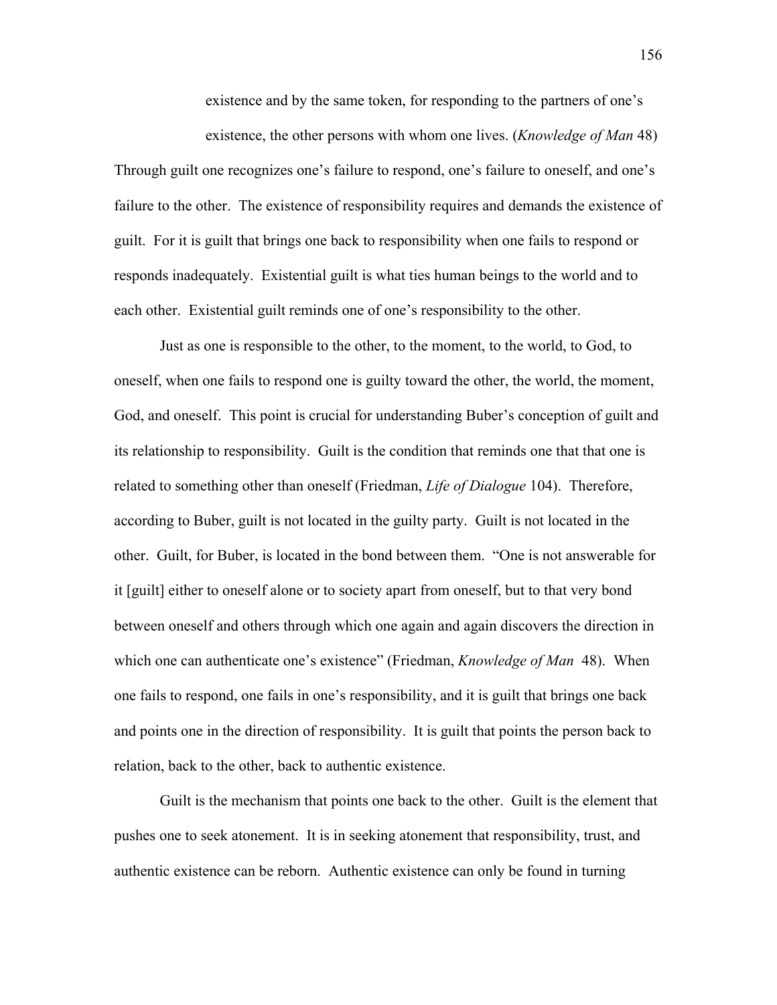existence and by the same token, for responding to the partners of one's

existence, the other persons with whom one lives. (*Knowledge of Man* 48) Through guilt one recognizes one's failure to respond, one's failure to oneself, and one's failure to the other. The existence of responsibility requires and demands the existence of guilt. For it is guilt that brings one back to responsibility when one fails to respond or responds inadequately. Existential guilt is what ties human beings to the world and to each other. Existential guilt reminds one of one's responsibility to the other.

Just as one is responsible to the other, to the moment, to the world, to God, to oneself, when one fails to respond one is guilty toward the other, the world, the moment, God, and oneself. This point is crucial for understanding Buber's conception of guilt and its relationship to responsibility. Guilt is the condition that reminds one that that one is related to something other than oneself (Friedman, *Life of Dialogue* 104). Therefore, according to Buber, guilt is not located in the guilty party. Guilt is not located in the other. Guilt, for Buber, is located in the bond between them. "One is not answerable for it [guilt] either to oneself alone or to society apart from oneself, but to that very bond between oneself and others through which one again and again discovers the direction in which one can authenticate one's existence" (Friedman, *Knowledge of Man* 48). When one fails to respond, one fails in one's responsibility, and it is guilt that brings one back and points one in the direction of responsibility. It is guilt that points the person back to relation, back to the other, back to authentic existence.

Guilt is the mechanism that points one back to the other. Guilt is the element that pushes one to seek atonement. It is in seeking atonement that responsibility, trust, and authentic existence can be reborn. Authentic existence can only be found in turning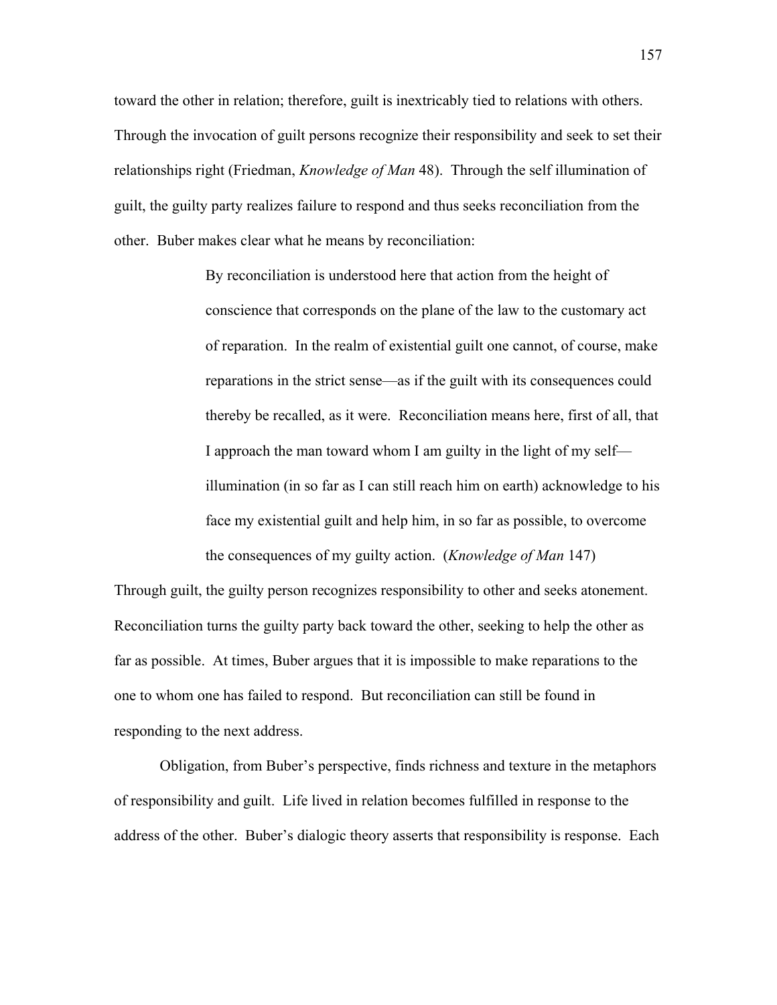toward the other in relation; therefore, guilt is inextricably tied to relations with others. Through the invocation of guilt persons recognize their responsibility and seek to set their relationships right (Friedman, *Knowledge of Man* 48). Through the self illumination of guilt, the guilty party realizes failure to respond and thus seeks reconciliation from the other. Buber makes clear what he means by reconciliation:

> By reconciliation is understood here that action from the height of conscience that corresponds on the plane of the law to the customary act of reparation. In the realm of existential guilt one cannot, of course, make reparations in the strict sense—as if the guilt with its consequences could thereby be recalled, as it were. Reconciliation means here, first of all, that I approach the man toward whom I am guilty in the light of my self illumination (in so far as I can still reach him on earth) acknowledge to his face my existential guilt and help him, in so far as possible, to overcome the consequences of my guilty action. (*Knowledge of Man* 147)

Through guilt, the guilty person recognizes responsibility to other and seeks atonement. Reconciliation turns the guilty party back toward the other, seeking to help the other as far as possible. At times, Buber argues that it is impossible to make reparations to the one to whom one has failed to respond. But reconciliation can still be found in responding to the next address.

Obligation, from Buber's perspective, finds richness and texture in the metaphors of responsibility and guilt. Life lived in relation becomes fulfilled in response to the address of the other. Buber's dialogic theory asserts that responsibility is response. Each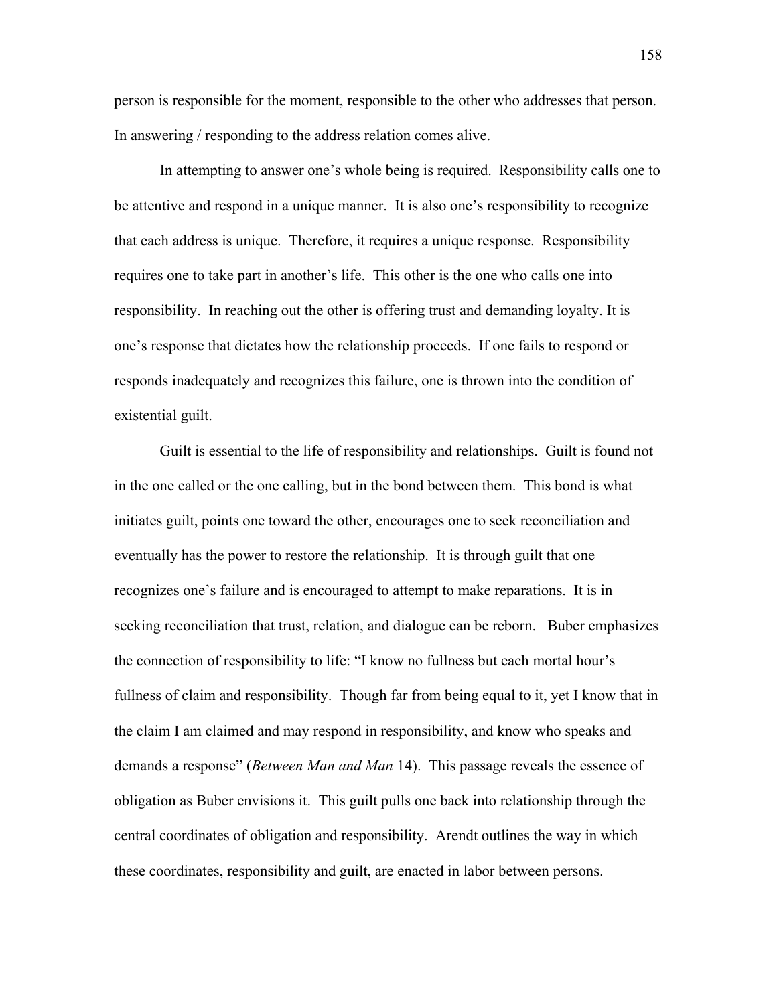person is responsible for the moment, responsible to the other who addresses that person. In answering / responding to the address relation comes alive.

In attempting to answer one's whole being is required. Responsibility calls one to be attentive and respond in a unique manner. It is also one's responsibility to recognize that each address is unique. Therefore, it requires a unique response. Responsibility requires one to take part in another's life. This other is the one who calls one into responsibility. In reaching out the other is offering trust and demanding loyalty. It is one's response that dictates how the relationship proceeds. If one fails to respond or responds inadequately and recognizes this failure, one is thrown into the condition of existential guilt.

Guilt is essential to the life of responsibility and relationships. Guilt is found not in the one called or the one calling, but in the bond between them. This bond is what initiates guilt, points one toward the other, encourages one to seek reconciliation and eventually has the power to restore the relationship. It is through guilt that one recognizes one's failure and is encouraged to attempt to make reparations. It is in seeking reconciliation that trust, relation, and dialogue can be reborn. Buber emphasizes the connection of responsibility to life: "I know no fullness but each mortal hour's fullness of claim and responsibility. Though far from being equal to it, yet I know that in the claim I am claimed and may respond in responsibility, and know who speaks and demands a response" (*Between Man and Man* 14). This passage reveals the essence of obligation as Buber envisions it. This guilt pulls one back into relationship through the central coordinates of obligation and responsibility. Arendt outlines the way in which these coordinates, responsibility and guilt, are enacted in labor between persons.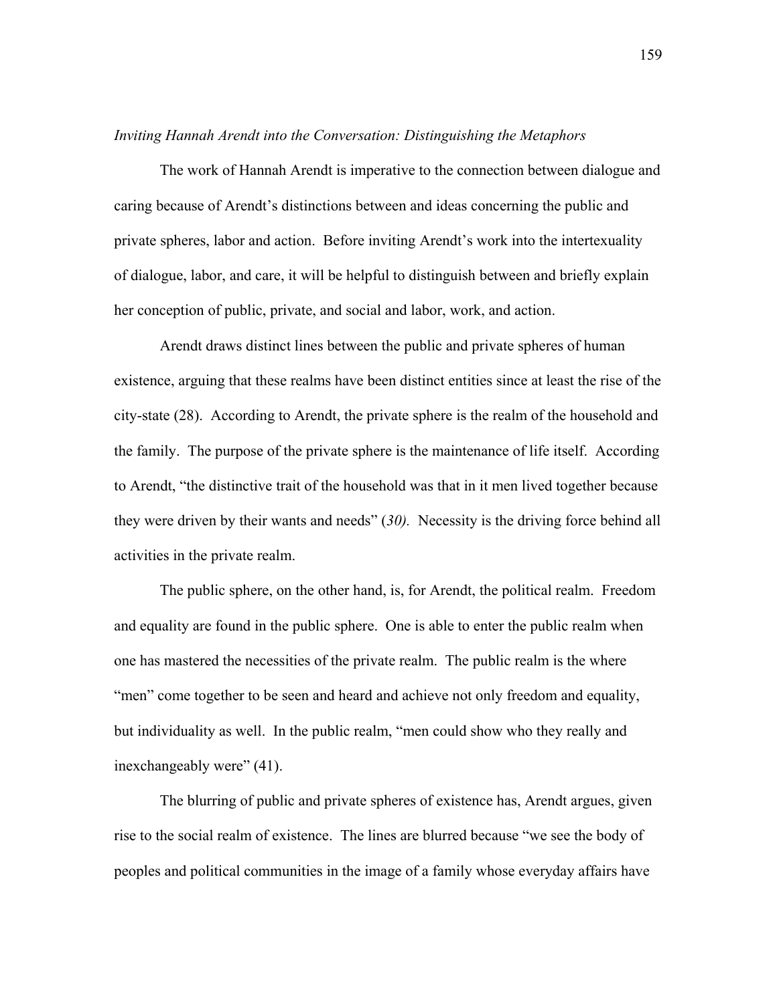# *Inviting Hannah Arendt into the Conversation: Distinguishing the Metaphors*

The work of Hannah Arendt is imperative to the connection between dialogue and caring because of Arendt's distinctions between and ideas concerning the public and private spheres, labor and action. Before inviting Arendt's work into the intertexuality of dialogue, labor, and care, it will be helpful to distinguish between and briefly explain her conception of public, private, and social and labor, work, and action.

Arendt draws distinct lines between the public and private spheres of human existence, arguing that these realms have been distinct entities since at least the rise of the city-state (28). According to Arendt, the private sphere is the realm of the household and the family. The purpose of the private sphere is the maintenance of life itself. According to Arendt, "the distinctive trait of the household was that in it men lived together because they were driven by their wants and needs" (*30).* Necessity is the driving force behind all activities in the private realm.

The public sphere, on the other hand, is, for Arendt, the political realm. Freedom and equality are found in the public sphere. One is able to enter the public realm when one has mastered the necessities of the private realm. The public realm is the where "men" come together to be seen and heard and achieve not only freedom and equality, but individuality as well. In the public realm, "men could show who they really and inexchangeably were" (41).

The blurring of public and private spheres of existence has, Arendt argues, given rise to the social realm of existence. The lines are blurred because "we see the body of peoples and political communities in the image of a family whose everyday affairs have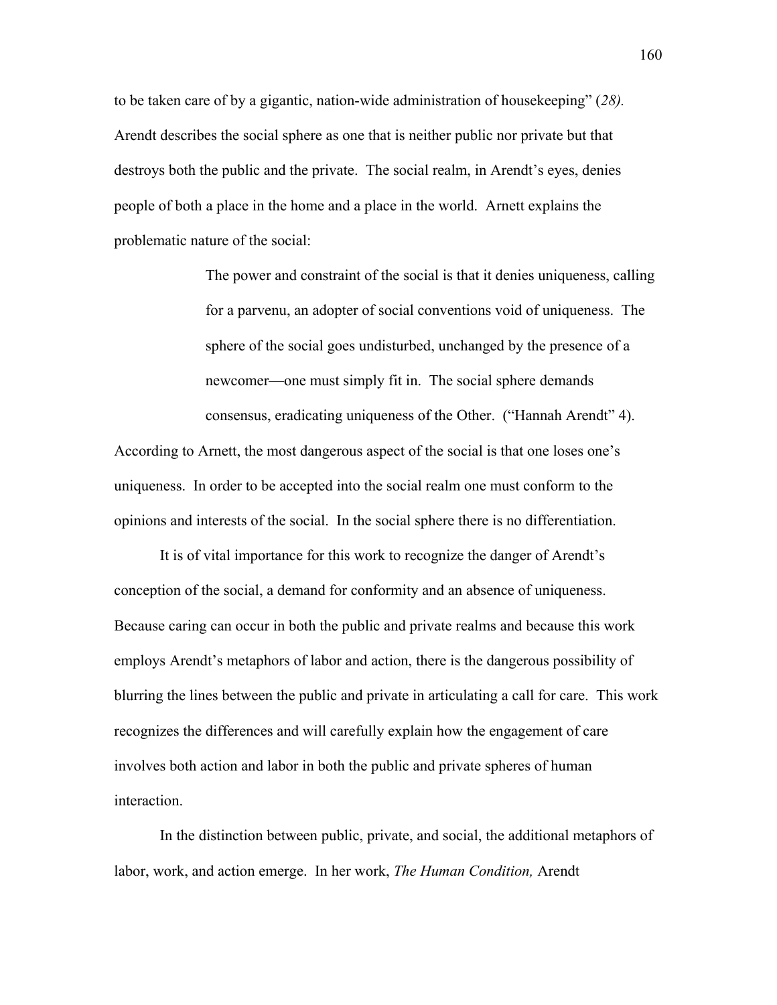to be taken care of by a gigantic, nation-wide administration of housekeeping" (*28).*  Arendt describes the social sphere as one that is neither public nor private but that destroys both the public and the private. The social realm, in Arendt's eyes, denies people of both a place in the home and a place in the world. Arnett explains the problematic nature of the social:

> The power and constraint of the social is that it denies uniqueness, calling for a parvenu, an adopter of social conventions void of uniqueness. The sphere of the social goes undisturbed, unchanged by the presence of a newcomer—one must simply fit in. The social sphere demands consensus, eradicating uniqueness of the Other. ("Hannah Arendt" 4).

According to Arnett, the most dangerous aspect of the social is that one loses one's uniqueness. In order to be accepted into the social realm one must conform to the opinions and interests of the social. In the social sphere there is no differentiation.

It is of vital importance for this work to recognize the danger of Arendt's conception of the social, a demand for conformity and an absence of uniqueness. Because caring can occur in both the public and private realms and because this work employs Arendt's metaphors of labor and action, there is the dangerous possibility of blurring the lines between the public and private in articulating a call for care. This work recognizes the differences and will carefully explain how the engagement of care involves both action and labor in both the public and private spheres of human interaction.

In the distinction between public, private, and social, the additional metaphors of labor, work, and action emerge. In her work, *The Human Condition,* Arendt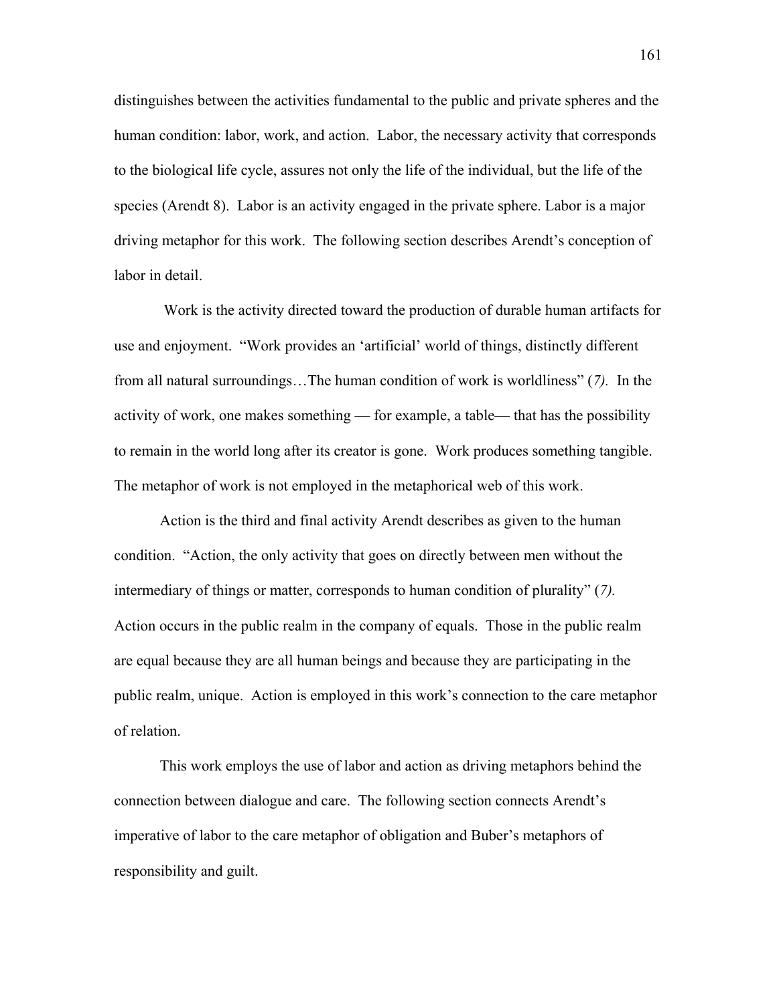distinguishes between the activities fundamental to the public and private spheres and the human condition: labor, work, and action. Labor, the necessary activity that corresponds to the biological life cycle, assures not only the life of the individual, but the life of the species (Arendt 8). Labor is an activity engaged in the private sphere. Labor is a major driving metaphor for this work. The following section describes Arendt's conception of labor in detail.

 Work is the activity directed toward the production of durable human artifacts for use and enjoyment. "Work provides an 'artificial' world of things, distinctly different from all natural surroundings…The human condition of work is worldliness" (*7).* In the activity of work, one makes something — for example, a table— that has the possibility to remain in the world long after its creator is gone. Work produces something tangible. The metaphor of work is not employed in the metaphorical web of this work.

 Action is the third and final activity Arendt describes as given to the human condition. "Action, the only activity that goes on directly between men without the intermediary of things or matter, corresponds to human condition of plurality" (*7).*  Action occurs in the public realm in the company of equals. Those in the public realm are equal because they are all human beings and because they are participating in the public realm, unique. Action is employed in this work's connection to the care metaphor of relation.

This work employs the use of labor and action as driving metaphors behind the connection between dialogue and care. The following section connects Arendt's imperative of labor to the care metaphor of obligation and Buber's metaphors of responsibility and guilt.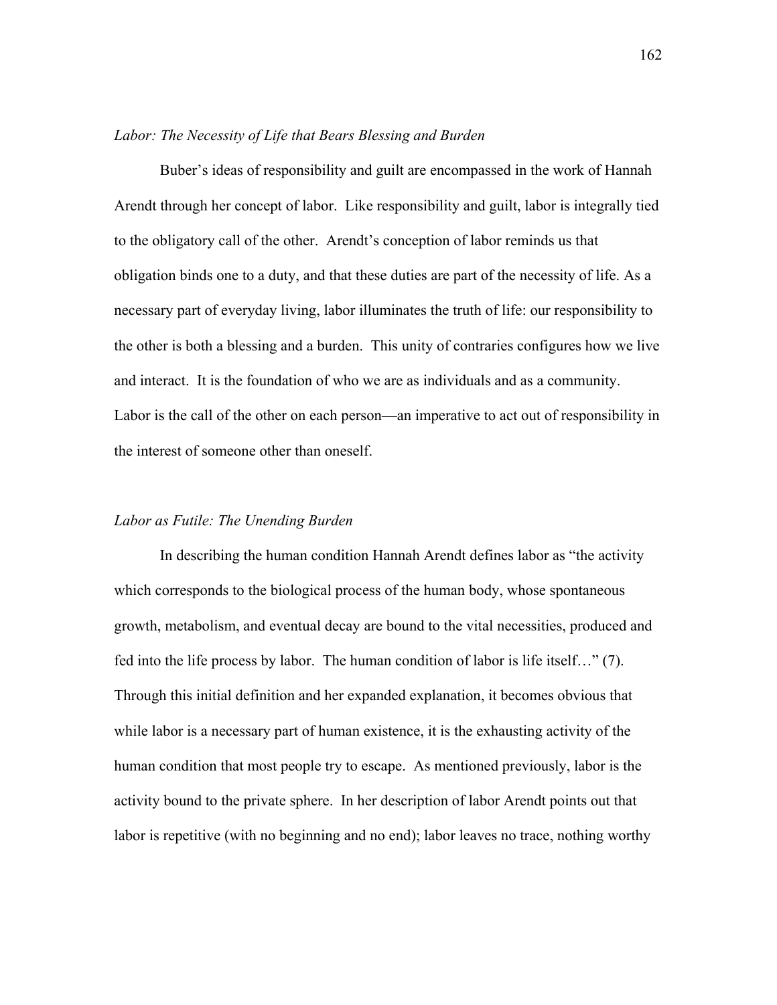# *Labor: The Necessity of Life that Bears Blessing and Burden*

Buber's ideas of responsibility and guilt are encompassed in the work of Hannah Arendt through her concept of labor. Like responsibility and guilt, labor is integrally tied to the obligatory call of the other. Arendt's conception of labor reminds us that obligation binds one to a duty, and that these duties are part of the necessity of life. As a necessary part of everyday living, labor illuminates the truth of life: our responsibility to the other is both a blessing and a burden. This unity of contraries configures how we live and interact. It is the foundation of who we are as individuals and as a community. Labor is the call of the other on each person—an imperative to act out of responsibility in the interest of someone other than oneself.

#### *Labor as Futile: The Unending Burden*

In describing the human condition Hannah Arendt defines labor as "the activity which corresponds to the biological process of the human body, whose spontaneous growth, metabolism, and eventual decay are bound to the vital necessities, produced and fed into the life process by labor. The human condition of labor is life itself…" (7). Through this initial definition and her expanded explanation, it becomes obvious that while labor is a necessary part of human existence, it is the exhausting activity of the human condition that most people try to escape. As mentioned previously, labor is the activity bound to the private sphere. In her description of labor Arendt points out that labor is repetitive (with no beginning and no end); labor leaves no trace, nothing worthy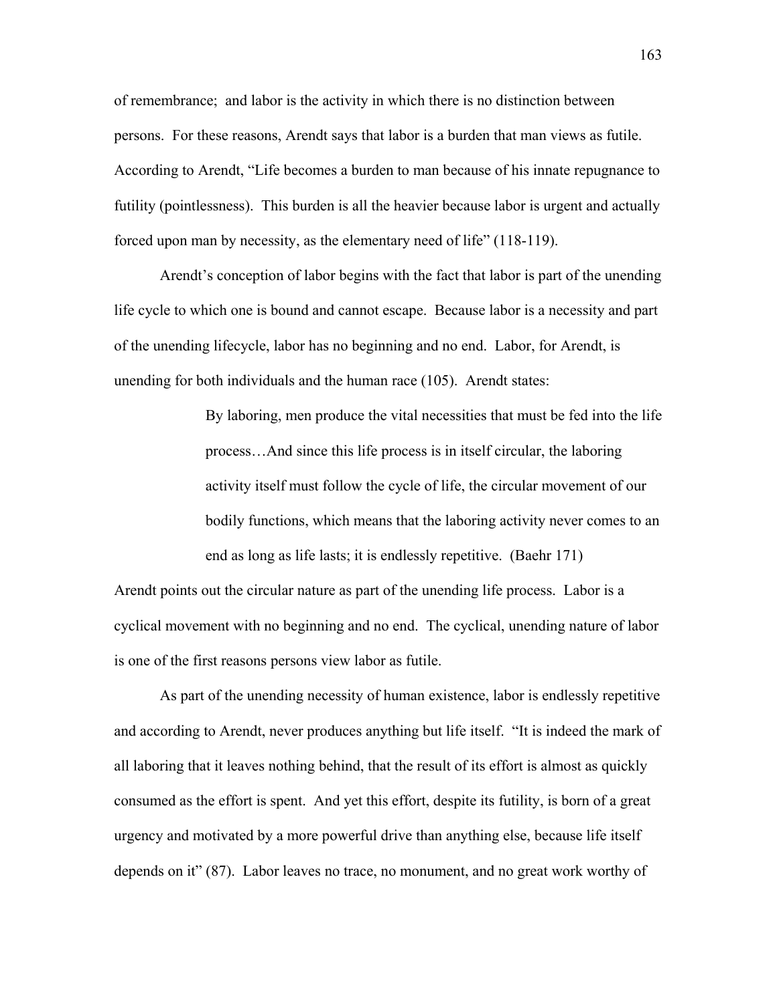of remembrance; and labor is the activity in which there is no distinction between persons. For these reasons, Arendt says that labor is a burden that man views as futile. According to Arendt, "Life becomes a burden to man because of his innate repugnance to futility (pointlessness). This burden is all the heavier because labor is urgent and actually forced upon man by necessity, as the elementary need of life" (118-119).

Arendt's conception of labor begins with the fact that labor is part of the unending life cycle to which one is bound and cannot escape. Because labor is a necessity and part of the unending lifecycle, labor has no beginning and no end. Labor, for Arendt, is unending for both individuals and the human race (105). Arendt states:

> By laboring, men produce the vital necessities that must be fed into the life process…And since this life process is in itself circular, the laboring activity itself must follow the cycle of life, the circular movement of our bodily functions, which means that the laboring activity never comes to an end as long as life lasts; it is endlessly repetitive. (Baehr 171)

Arendt points out the circular nature as part of the unending life process. Labor is a cyclical movement with no beginning and no end. The cyclical, unending nature of labor is one of the first reasons persons view labor as futile.

 As part of the unending necessity of human existence, labor is endlessly repetitive and according to Arendt, never produces anything but life itself. "It is indeed the mark of all laboring that it leaves nothing behind, that the result of its effort is almost as quickly consumed as the effort is spent. And yet this effort, despite its futility, is born of a great urgency and motivated by a more powerful drive than anything else, because life itself depends on it" (87). Labor leaves no trace, no monument, and no great work worthy of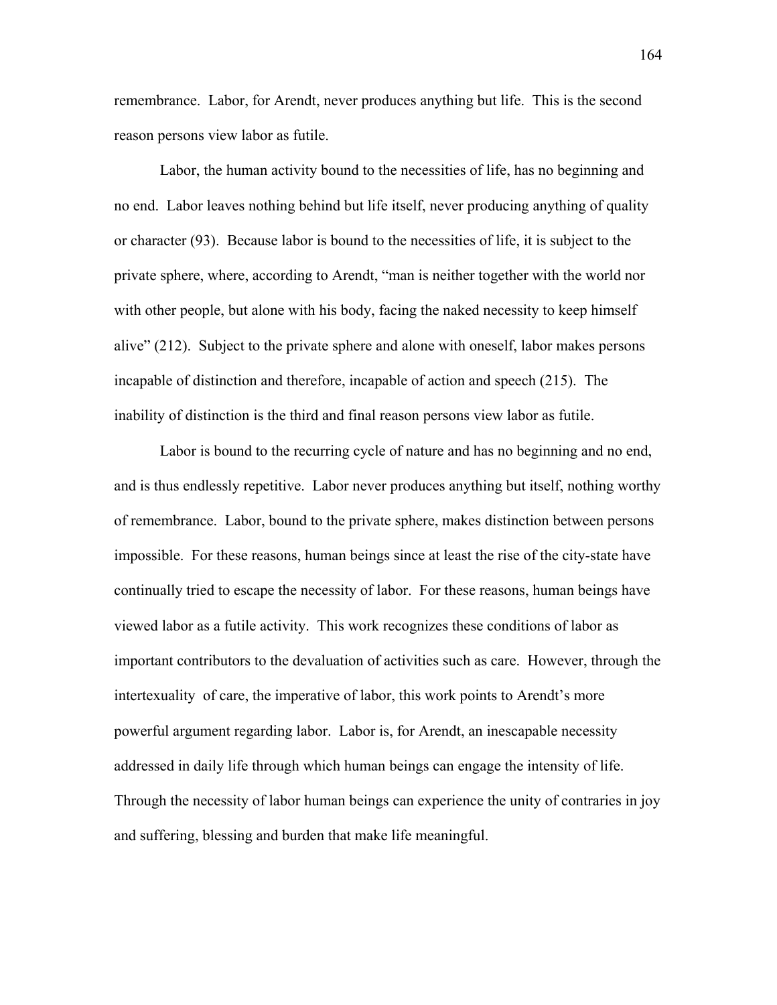remembrance. Labor, for Arendt, never produces anything but life. This is the second reason persons view labor as futile.

 Labor, the human activity bound to the necessities of life, has no beginning and no end. Labor leaves nothing behind but life itself, never producing anything of quality or character (93). Because labor is bound to the necessities of life, it is subject to the private sphere, where, according to Arendt, "man is neither together with the world nor with other people, but alone with his body, facing the naked necessity to keep himself alive" (212). Subject to the private sphere and alone with oneself, labor makes persons incapable of distinction and therefore, incapable of action and speech (215). The inability of distinction is the third and final reason persons view labor as futile.

Labor is bound to the recurring cycle of nature and has no beginning and no end, and is thus endlessly repetitive. Labor never produces anything but itself, nothing worthy of remembrance. Labor, bound to the private sphere, makes distinction between persons impossible. For these reasons, human beings since at least the rise of the city-state have continually tried to escape the necessity of labor. For these reasons, human beings have viewed labor as a futile activity. This work recognizes these conditions of labor as important contributors to the devaluation of activities such as care. However, through the intertexuality of care, the imperative of labor, this work points to Arendt's more powerful argument regarding labor. Labor is, for Arendt, an inescapable necessity addressed in daily life through which human beings can engage the intensity of life. Through the necessity of labor human beings can experience the unity of contraries in joy and suffering, blessing and burden that make life meaningful.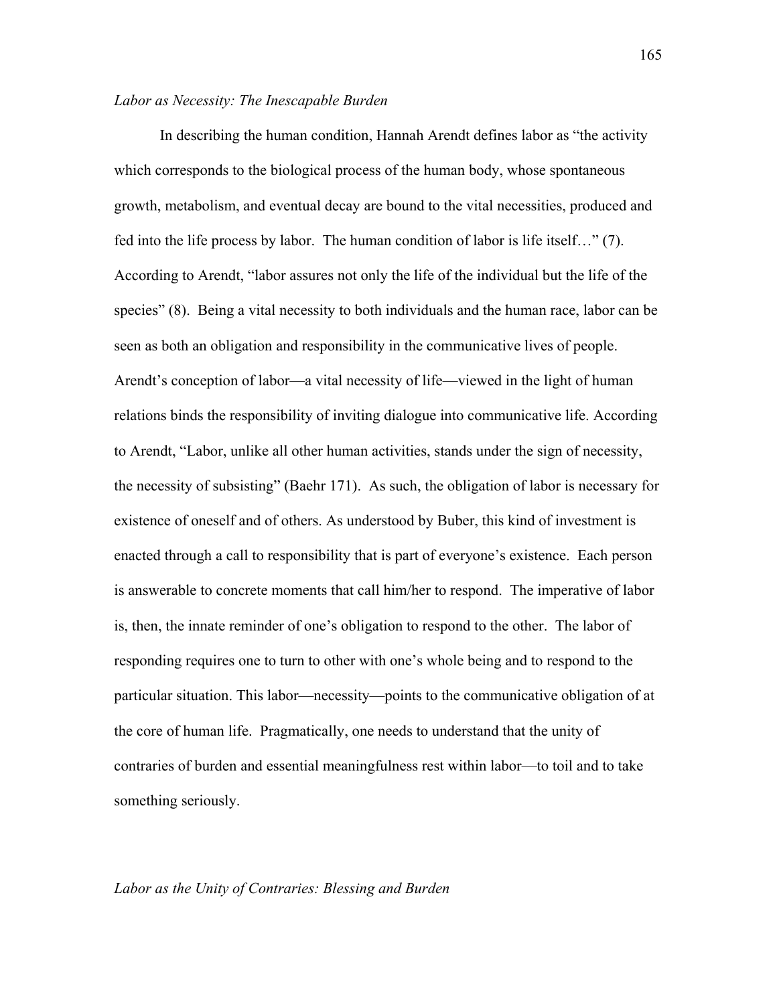# *Labor as Necessity: The Inescapable Burden*

In describing the human condition, Hannah Arendt defines labor as "the activity which corresponds to the biological process of the human body, whose spontaneous growth, metabolism, and eventual decay are bound to the vital necessities, produced and fed into the life process by labor. The human condition of labor is life itself…" (7). According to Arendt, "labor assures not only the life of the individual but the life of the species" (8). Being a vital necessity to both individuals and the human race, labor can be seen as both an obligation and responsibility in the communicative lives of people. Arendt's conception of labor—a vital necessity of life—viewed in the light of human relations binds the responsibility of inviting dialogue into communicative life. According to Arendt, "Labor, unlike all other human activities, stands under the sign of necessity, the necessity of subsisting" (Baehr 171). As such, the obligation of labor is necessary for existence of oneself and of others. As understood by Buber, this kind of investment is enacted through a call to responsibility that is part of everyone's existence. Each person is answerable to concrete moments that call him/her to respond. The imperative of labor is, then, the innate reminder of one's obligation to respond to the other. The labor of responding requires one to turn to other with one's whole being and to respond to the particular situation. This labor—necessity—points to the communicative obligation of at the core of human life. Pragmatically, one needs to understand that the unity of contraries of burden and essential meaningfulness rest within labor—to toil and to take something seriously.

# *Labor as the Unity of Contraries: Blessing and Burden*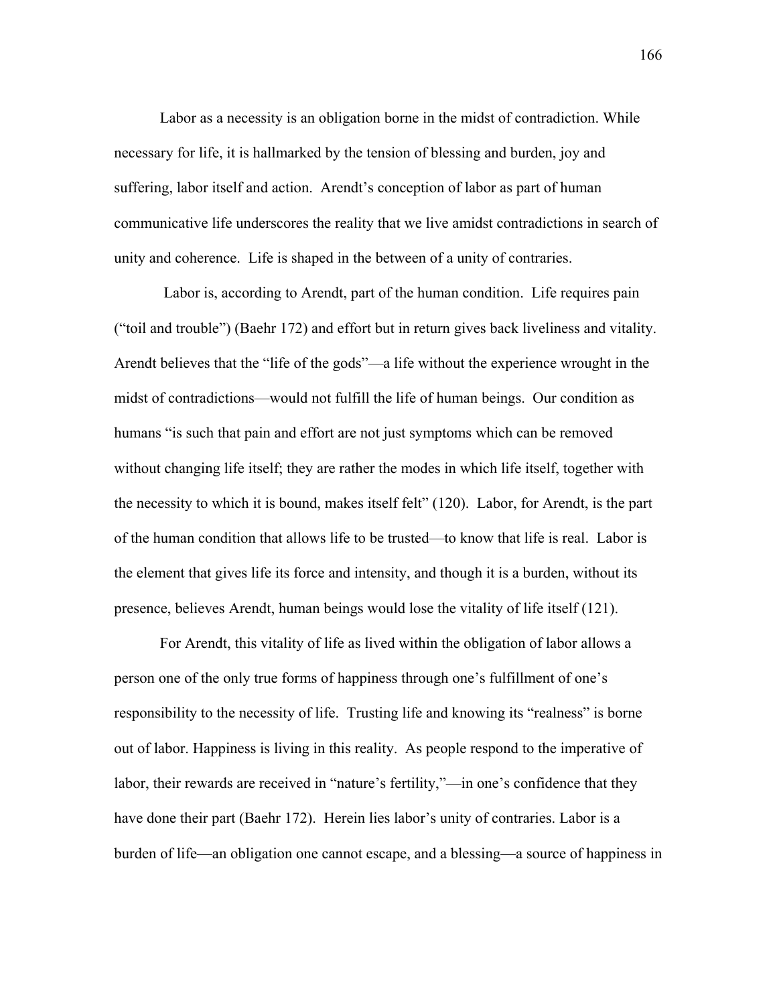Labor as a necessity is an obligation borne in the midst of contradiction. While necessary for life, it is hallmarked by the tension of blessing and burden, joy and suffering, labor itself and action. Arendt's conception of labor as part of human communicative life underscores the reality that we live amidst contradictions in search of unity and coherence. Life is shaped in the between of a unity of contraries.

 Labor is, according to Arendt, part of the human condition. Life requires pain ("toil and trouble") (Baehr 172) and effort but in return gives back liveliness and vitality. Arendt believes that the "life of the gods"—a life without the experience wrought in the midst of contradictions—would not fulfill the life of human beings. Our condition as humans "is such that pain and effort are not just symptoms which can be removed without changing life itself; they are rather the modes in which life itself, together with the necessity to which it is bound, makes itself felt" (120). Labor, for Arendt, is the part of the human condition that allows life to be trusted—to know that life is real. Labor is the element that gives life its force and intensity, and though it is a burden, without its presence, believes Arendt, human beings would lose the vitality of life itself (121).

 For Arendt, this vitality of life as lived within the obligation of labor allows a person one of the only true forms of happiness through one's fulfillment of one's responsibility to the necessity of life. Trusting life and knowing its "realness" is borne out of labor. Happiness is living in this reality. As people respond to the imperative of labor, their rewards are received in "nature's fertility,"—in one's confidence that they have done their part (Baehr 172). Herein lies labor's unity of contraries. Labor is a burden of life—an obligation one cannot escape, and a blessing—a source of happiness in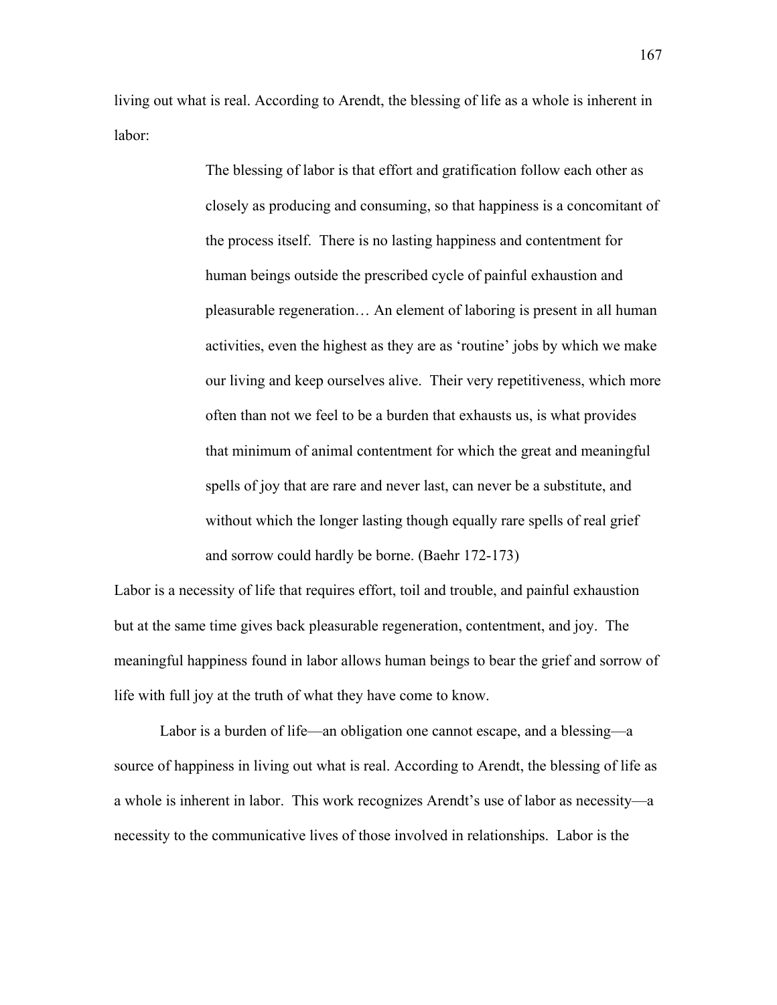living out what is real. According to Arendt, the blessing of life as a whole is inherent in labor:

> The blessing of labor is that effort and gratification follow each other as closely as producing and consuming, so that happiness is a concomitant of the process itself. There is no lasting happiness and contentment for human beings outside the prescribed cycle of painful exhaustion and pleasurable regeneration… An element of laboring is present in all human activities, even the highest as they are as 'routine' jobs by which we make our living and keep ourselves alive. Their very repetitiveness, which more often than not we feel to be a burden that exhausts us, is what provides that minimum of animal contentment for which the great and meaningful spells of joy that are rare and never last, can never be a substitute, and without which the longer lasting though equally rare spells of real grief and sorrow could hardly be borne. (Baehr 172-173)

Labor is a necessity of life that requires effort, toil and trouble, and painful exhaustion but at the same time gives back pleasurable regeneration, contentment, and joy. The meaningful happiness found in labor allows human beings to bear the grief and sorrow of life with full joy at the truth of what they have come to know.

Labor is a burden of life—an obligation one cannot escape, and a blessing—a source of happiness in living out what is real. According to Arendt, the blessing of life as a whole is inherent in labor. This work recognizes Arendt's use of labor as necessity—a necessity to the communicative lives of those involved in relationships. Labor is the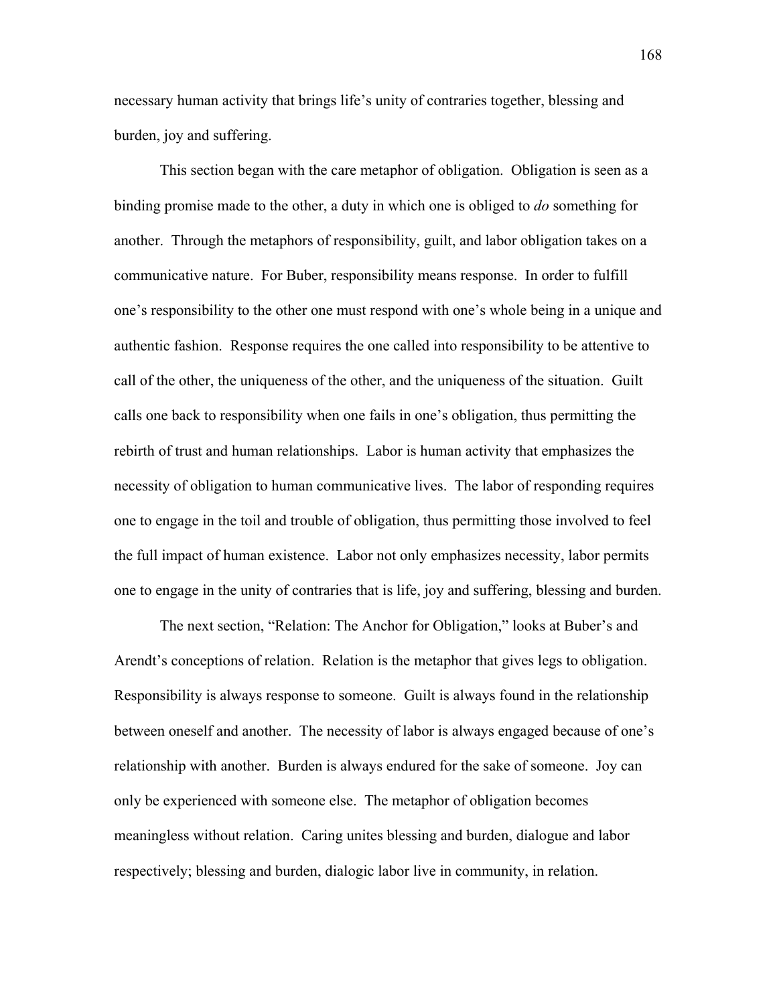necessary human activity that brings life's unity of contraries together, blessing and burden, joy and suffering.

 This section began with the care metaphor of obligation. Obligation is seen as a binding promise made to the other, a duty in which one is obliged to *do* something for another. Through the metaphors of responsibility, guilt, and labor obligation takes on a communicative nature. For Buber, responsibility means response. In order to fulfill one's responsibility to the other one must respond with one's whole being in a unique and authentic fashion. Response requires the one called into responsibility to be attentive to call of the other, the uniqueness of the other, and the uniqueness of the situation. Guilt calls one back to responsibility when one fails in one's obligation, thus permitting the rebirth of trust and human relationships. Labor is human activity that emphasizes the necessity of obligation to human communicative lives. The labor of responding requires one to engage in the toil and trouble of obligation, thus permitting those involved to feel the full impact of human existence. Labor not only emphasizes necessity, labor permits one to engage in the unity of contraries that is life, joy and suffering, blessing and burden.

 The next section, "Relation: The Anchor for Obligation," looks at Buber's and Arendt's conceptions of relation. Relation is the metaphor that gives legs to obligation. Responsibility is always response to someone. Guilt is always found in the relationship between oneself and another. The necessity of labor is always engaged because of one's relationship with another. Burden is always endured for the sake of someone. Joy can only be experienced with someone else. The metaphor of obligation becomes meaningless without relation. Caring unites blessing and burden, dialogue and labor respectively; blessing and burden, dialogic labor live in community, in relation.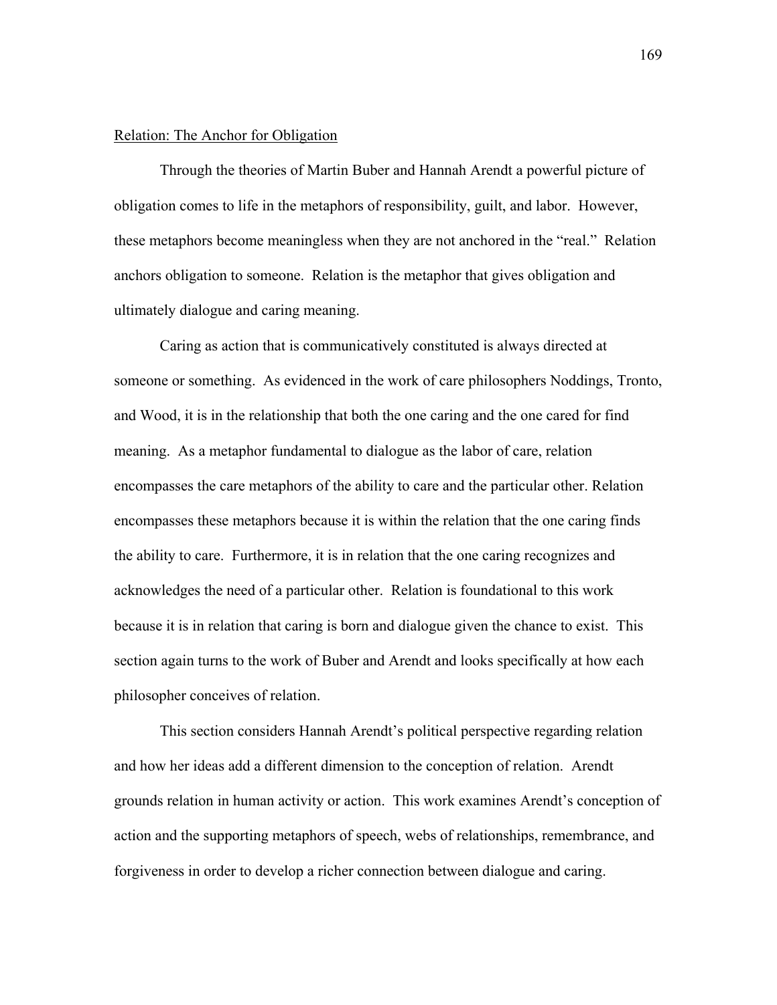# Relation: The Anchor for Obligation

Through the theories of Martin Buber and Hannah Arendt a powerful picture of obligation comes to life in the metaphors of responsibility, guilt, and labor. However, these metaphors become meaningless when they are not anchored in the "real." Relation anchors obligation to someone. Relation is the metaphor that gives obligation and ultimately dialogue and caring meaning.

Caring as action that is communicatively constituted is always directed at someone or something. As evidenced in the work of care philosophers Noddings, Tronto, and Wood, it is in the relationship that both the one caring and the one cared for find meaning. As a metaphor fundamental to dialogue as the labor of care, relation encompasses the care metaphors of the ability to care and the particular other. Relation encompasses these metaphors because it is within the relation that the one caring finds the ability to care. Furthermore, it is in relation that the one caring recognizes and acknowledges the need of a particular other. Relation is foundational to this work because it is in relation that caring is born and dialogue given the chance to exist. This section again turns to the work of Buber and Arendt and looks specifically at how each philosopher conceives of relation.

This section considers Hannah Arendt's political perspective regarding relation and how her ideas add a different dimension to the conception of relation. Arendt grounds relation in human activity or action. This work examines Arendt's conception of action and the supporting metaphors of speech, webs of relationships, remembrance, and forgiveness in order to develop a richer connection between dialogue and caring.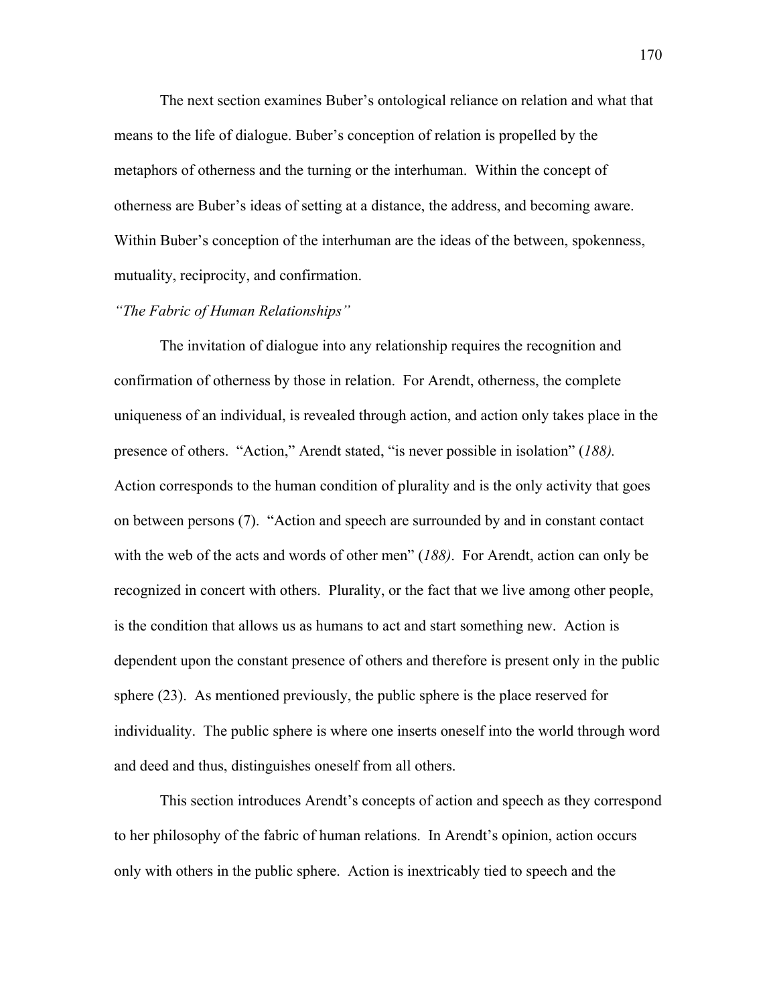The next section examines Buber's ontological reliance on relation and what that means to the life of dialogue. Buber's conception of relation is propelled by the metaphors of otherness and the turning or the interhuman. Within the concept of otherness are Buber's ideas of setting at a distance, the address, and becoming aware. Within Buber's conception of the interhuman are the ideas of the between, spokenness, mutuality, reciprocity, and confirmation.

# *"The Fabric of Human Relationships"*

 The invitation of dialogue into any relationship requires the recognition and confirmation of otherness by those in relation. For Arendt, otherness, the complete uniqueness of an individual, is revealed through action, and action only takes place in the presence of others. "Action," Arendt stated, "is never possible in isolation" (*188).*  Action corresponds to the human condition of plurality and is the only activity that goes on between persons (7). "Action and speech are surrounded by and in constant contact with the web of the acts and words of other men" (*188)*. For Arendt, action can only be recognized in concert with others. Plurality, or the fact that we live among other people, is the condition that allows us as humans to act and start something new. Action is dependent upon the constant presence of others and therefore is present only in the public sphere (23). As mentioned previously, the public sphere is the place reserved for individuality. The public sphere is where one inserts oneself into the world through word and deed and thus, distinguishes oneself from all others.

This section introduces Arendt's concepts of action and speech as they correspond to her philosophy of the fabric of human relations. In Arendt's opinion, action occurs only with others in the public sphere. Action is inextricably tied to speech and the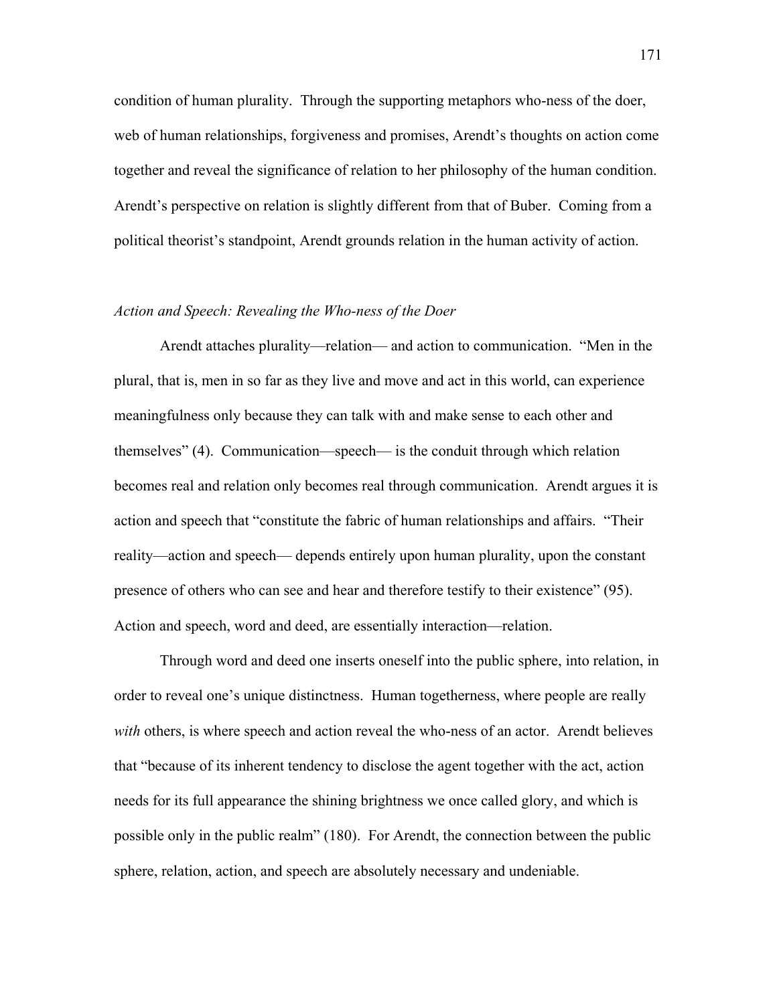condition of human plurality. Through the supporting metaphors who-ness of the doer, web of human relationships, forgiveness and promises, Arendt's thoughts on action come together and reveal the significance of relation to her philosophy of the human condition. Arendt's perspective on relation is slightly different from that of Buber. Coming from a political theorist's standpoint, Arendt grounds relation in the human activity of action.

#### *Action and Speech: Revealing the Who-ness of the Doer*

Arendt attaches plurality—relation— and action to communication. "Men in the plural, that is, men in so far as they live and move and act in this world, can experience meaningfulness only because they can talk with and make sense to each other and themselves" (4). Communication—speech— is the conduit through which relation becomes real and relation only becomes real through communication. Arendt argues it is action and speech that "constitute the fabric of human relationships and affairs. "Their reality—action and speech— depends entirely upon human plurality, upon the constant presence of others who can see and hear and therefore testify to their existence" (95). Action and speech, word and deed, are essentially interaction—relation.

Through word and deed one inserts oneself into the public sphere, into relation, in order to reveal one's unique distinctness. Human togetherness, where people are really *with* others, is where speech and action reveal the who-ness of an actor. Arendt believes that "because of its inherent tendency to disclose the agent together with the act, action needs for its full appearance the shining brightness we once called glory, and which is possible only in the public realm" (180). For Arendt, the connection between the public sphere, relation, action, and speech are absolutely necessary and undeniable.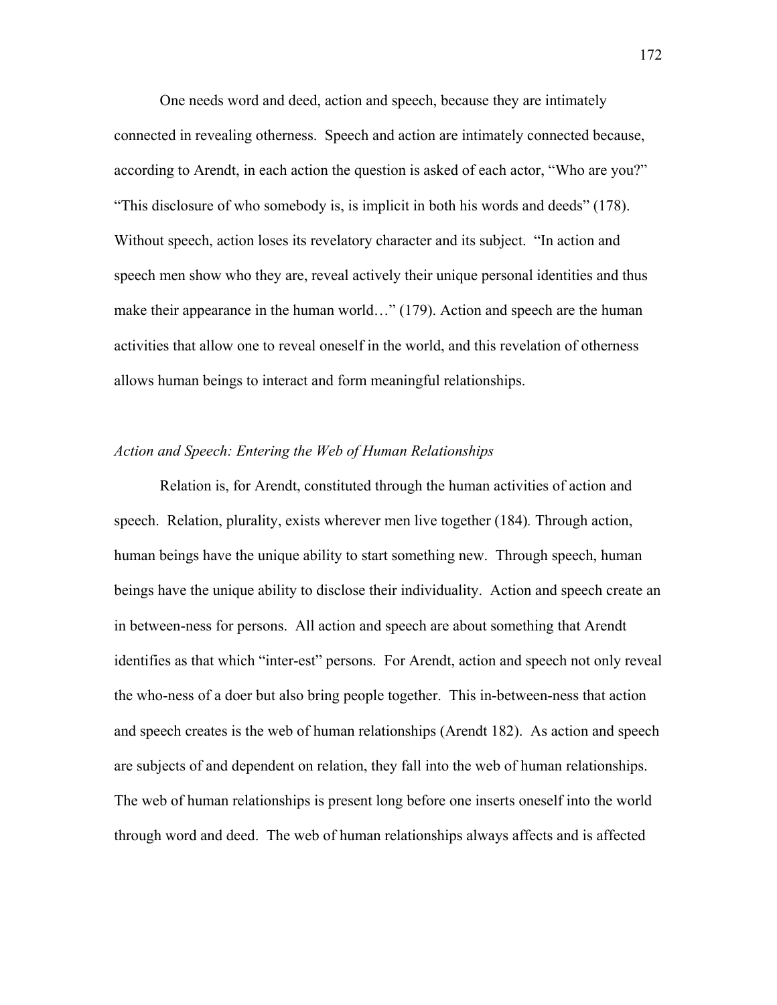One needs word and deed, action and speech, because they are intimately connected in revealing otherness. Speech and action are intimately connected because, according to Arendt, in each action the question is asked of each actor, "Who are you?" "This disclosure of who somebody is, is implicit in both his words and deeds" (178). Without speech, action loses its revelatory character and its subject. "In action and speech men show who they are, reveal actively their unique personal identities and thus make their appearance in the human world…" (179). Action and speech are the human activities that allow one to reveal oneself in the world, and this revelation of otherness allows human beings to interact and form meaningful relationships.

## *Action and Speech: Entering the Web of Human Relationships*

Relation is, for Arendt, constituted through the human activities of action and speech. Relation, plurality, exists wherever men live together (184)*.* Through action, human beings have the unique ability to start something new. Through speech, human beings have the unique ability to disclose their individuality. Action and speech create an in between-ness for persons. All action and speech are about something that Arendt identifies as that which "inter-est" persons. For Arendt, action and speech not only reveal the who-ness of a doer but also bring people together. This in-between-ness that action and speech creates is the web of human relationships (Arendt 182). As action and speech are subjects of and dependent on relation, they fall into the web of human relationships. The web of human relationships is present long before one inserts oneself into the world through word and deed. The web of human relationships always affects and is affected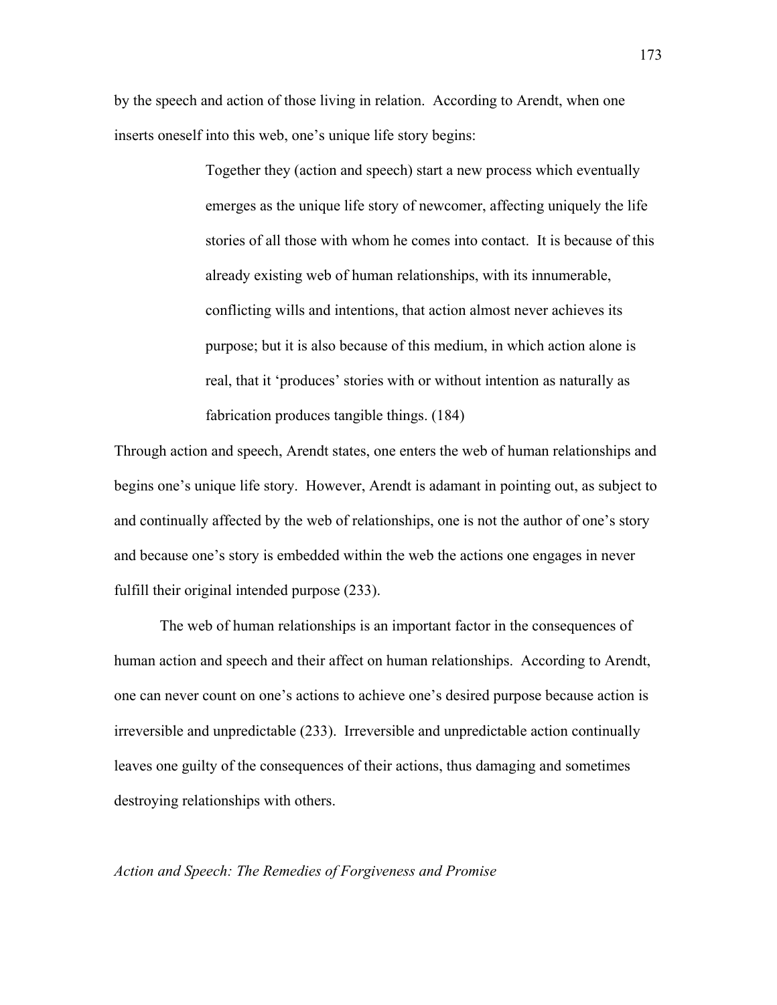by the speech and action of those living in relation. According to Arendt, when one inserts oneself into this web, one's unique life story begins:

> Together they (action and speech) start a new process which eventually emerges as the unique life story of newcomer, affecting uniquely the life stories of all those with whom he comes into contact. It is because of this already existing web of human relationships, with its innumerable, conflicting wills and intentions, that action almost never achieves its purpose; but it is also because of this medium, in which action alone is real, that it 'produces' stories with or without intention as naturally as fabrication produces tangible things. (184)

Through action and speech, Arendt states, one enters the web of human relationships and begins one's unique life story. However, Arendt is adamant in pointing out, as subject to and continually affected by the web of relationships, one is not the author of one's story and because one's story is embedded within the web the actions one engages in never fulfill their original intended purpose (233).

 The web of human relationships is an important factor in the consequences of human action and speech and their affect on human relationships. According to Arendt, one can never count on one's actions to achieve one's desired purpose because action is irreversible and unpredictable (233). Irreversible and unpredictable action continually leaves one guilty of the consequences of their actions, thus damaging and sometimes destroying relationships with others.

#### *Action and Speech: The Remedies of Forgiveness and Promise*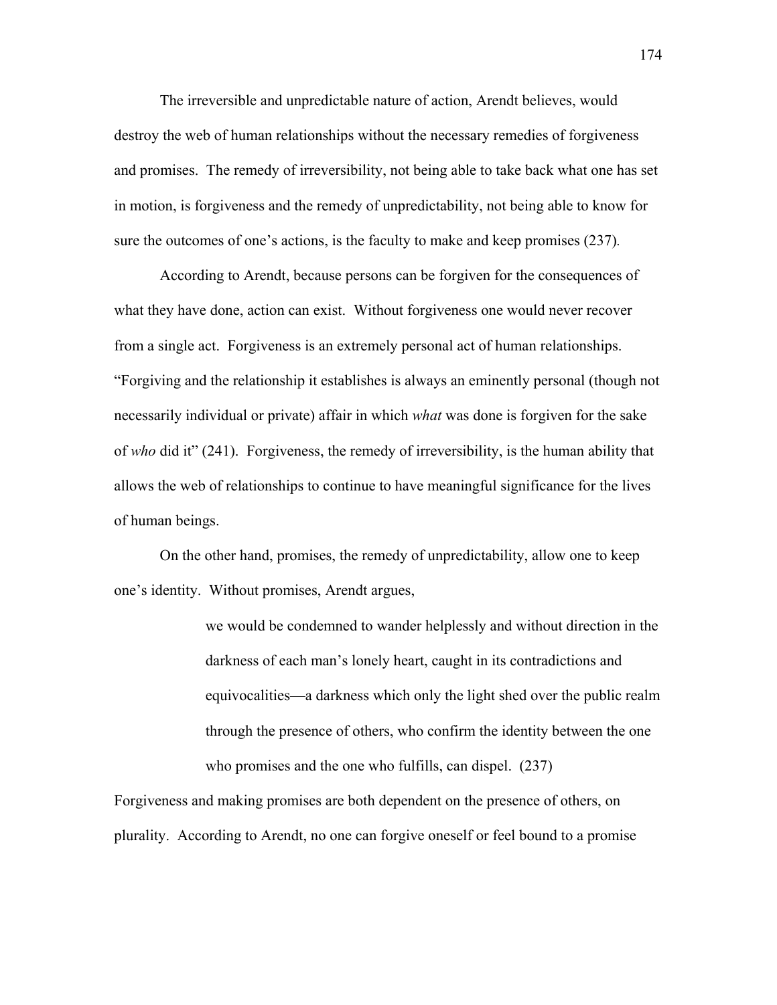The irreversible and unpredictable nature of action, Arendt believes, would destroy the web of human relationships without the necessary remedies of forgiveness and promises. The remedy of irreversibility, not being able to take back what one has set in motion, is forgiveness and the remedy of unpredictability, not being able to know for sure the outcomes of one's actions, is the faculty to make and keep promises (237)*.* 

According to Arendt, because persons can be forgiven for the consequences of what they have done, action can exist. Without forgiveness one would never recover from a single act. Forgiveness is an extremely personal act of human relationships. "Forgiving and the relationship it establishes is always an eminently personal (though not necessarily individual or private) affair in which *what* was done is forgiven for the sake of *who* did it" (241). Forgiveness, the remedy of irreversibility, is the human ability that allows the web of relationships to continue to have meaningful significance for the lives of human beings.

On the other hand, promises, the remedy of unpredictability, allow one to keep one's identity. Without promises, Arendt argues,

> we would be condemned to wander helplessly and without direction in the darkness of each man's lonely heart, caught in its contradictions and equivocalities—a darkness which only the light shed over the public realm through the presence of others, who confirm the identity between the one who promises and the one who fulfills, can dispel. (237)

Forgiveness and making promises are both dependent on the presence of others, on plurality. According to Arendt, no one can forgive oneself or feel bound to a promise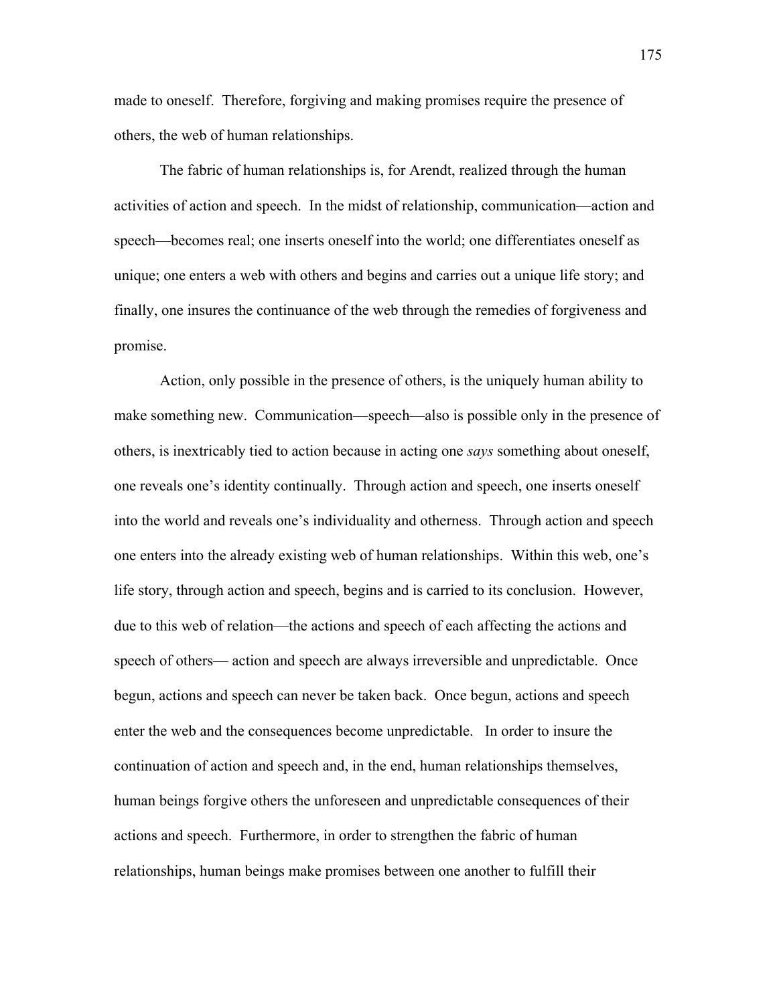made to oneself. Therefore, forgiving and making promises require the presence of others, the web of human relationships.

 The fabric of human relationships is, for Arendt, realized through the human activities of action and speech. In the midst of relationship, communication—action and speech—becomes real; one inserts oneself into the world; one differentiates oneself as unique; one enters a web with others and begins and carries out a unique life story; and finally, one insures the continuance of the web through the remedies of forgiveness and promise.

Action, only possible in the presence of others, is the uniquely human ability to make something new. Communication—speech—also is possible only in the presence of others, is inextricably tied to action because in acting one *says* something about oneself, one reveals one's identity continually. Through action and speech, one inserts oneself into the world and reveals one's individuality and otherness. Through action and speech one enters into the already existing web of human relationships. Within this web, one's life story, through action and speech, begins and is carried to its conclusion. However, due to this web of relation—the actions and speech of each affecting the actions and speech of others— action and speech are always irreversible and unpredictable. Once begun, actions and speech can never be taken back. Once begun, actions and speech enter the web and the consequences become unpredictable. In order to insure the continuation of action and speech and, in the end, human relationships themselves, human beings forgive others the unforeseen and unpredictable consequences of their actions and speech. Furthermore, in order to strengthen the fabric of human relationships, human beings make promises between one another to fulfill their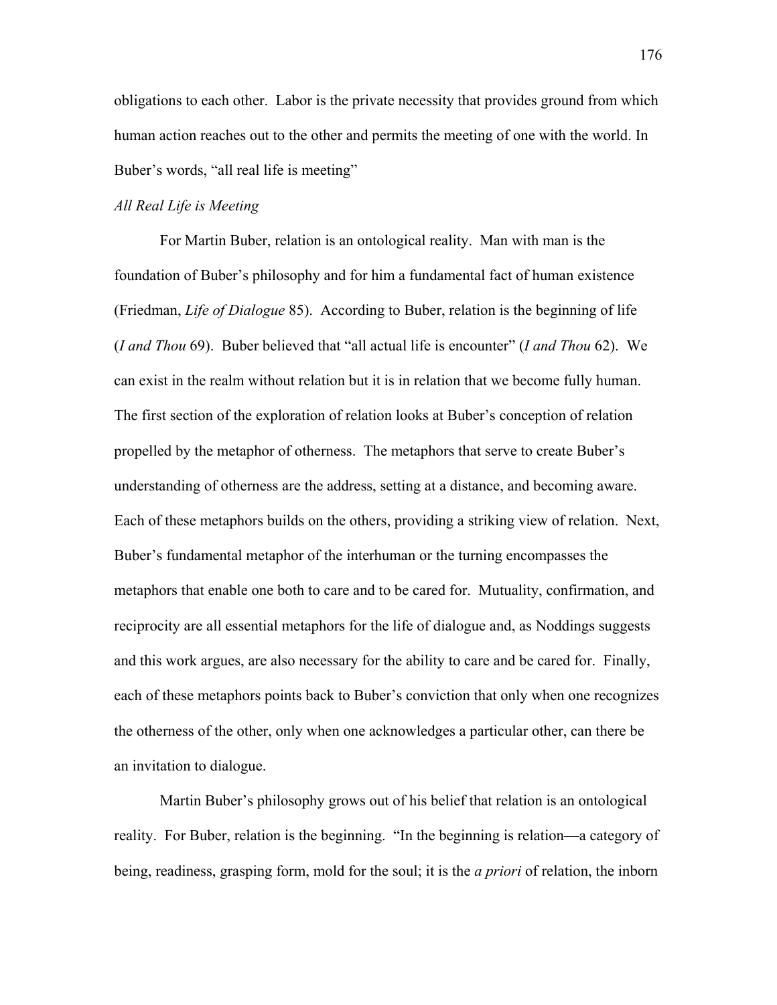obligations to each other. Labor is the private necessity that provides ground from which human action reaches out to the other and permits the meeting of one with the world. In Buber's words, "all real life is meeting"

## *All Real Life is Meeting*

For Martin Buber, relation is an ontological reality. Man with man is the foundation of Buber's philosophy and for him a fundamental fact of human existence (Friedman, *Life of Dialogue* 85). According to Buber, relation is the beginning of life (*I and Thou* 69). Buber believed that "all actual life is encounter" (*I and Thou* 62). We can exist in the realm without relation but it is in relation that we become fully human. The first section of the exploration of relation looks at Buber's conception of relation propelled by the metaphor of otherness. The metaphors that serve to create Buber's understanding of otherness are the address, setting at a distance, and becoming aware. Each of these metaphors builds on the others, providing a striking view of relation. Next, Buber's fundamental metaphor of the interhuman or the turning encompasses the metaphors that enable one both to care and to be cared for. Mutuality, confirmation, and reciprocity are all essential metaphors for the life of dialogue and, as Noddings suggests and this work argues, are also necessary for the ability to care and be cared for. Finally, each of these metaphors points back to Buber's conviction that only when one recognizes the otherness of the other, only when one acknowledges a particular other, can there be an invitation to dialogue.

Martin Buber's philosophy grows out of his belief that relation is an ontological reality. For Buber, relation is the beginning. "In the beginning is relation—a category of being, readiness, grasping form, mold for the soul; it is the *a priori* of relation, the inborn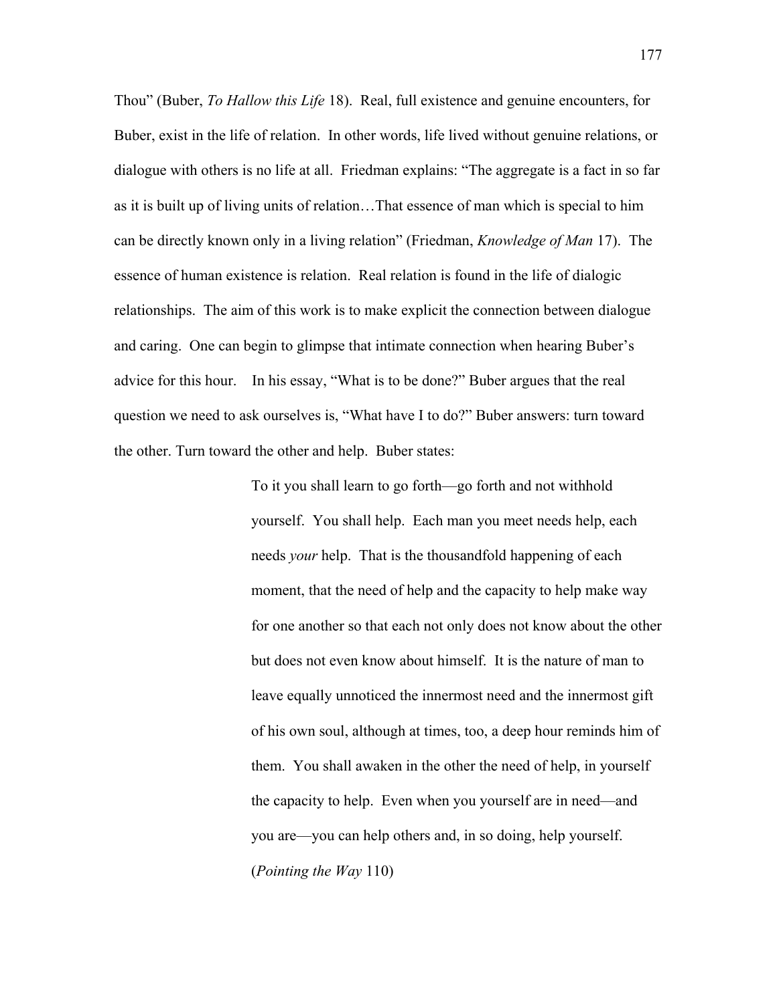Thou" (Buber, *To Hallow this Life* 18). Real, full existence and genuine encounters, for Buber, exist in the life of relation. In other words, life lived without genuine relations, or dialogue with others is no life at all. Friedman explains: "The aggregate is a fact in so far as it is built up of living units of relation…That essence of man which is special to him can be directly known only in a living relation" (Friedman, *Knowledge of Man* 17). The essence of human existence is relation. Real relation is found in the life of dialogic relationships. The aim of this work is to make explicit the connection between dialogue and caring. One can begin to glimpse that intimate connection when hearing Buber's advice for this hour. In his essay, "What is to be done?" Buber argues that the real question we need to ask ourselves is, "What have I to do?" Buber answers: turn toward the other. Turn toward the other and help. Buber states:

> To it you shall learn to go forth—go forth and not withhold yourself. You shall help. Each man you meet needs help, each needs *your* help. That is the thousandfold happening of each moment, that the need of help and the capacity to help make way for one another so that each not only does not know about the other but does not even know about himself. It is the nature of man to leave equally unnoticed the innermost need and the innermost gift of his own soul, although at times, too, a deep hour reminds him of them. You shall awaken in the other the need of help, in yourself the capacity to help. Even when you yourself are in need—and you are—you can help others and, in so doing, help yourself. (*Pointing the Way* 110)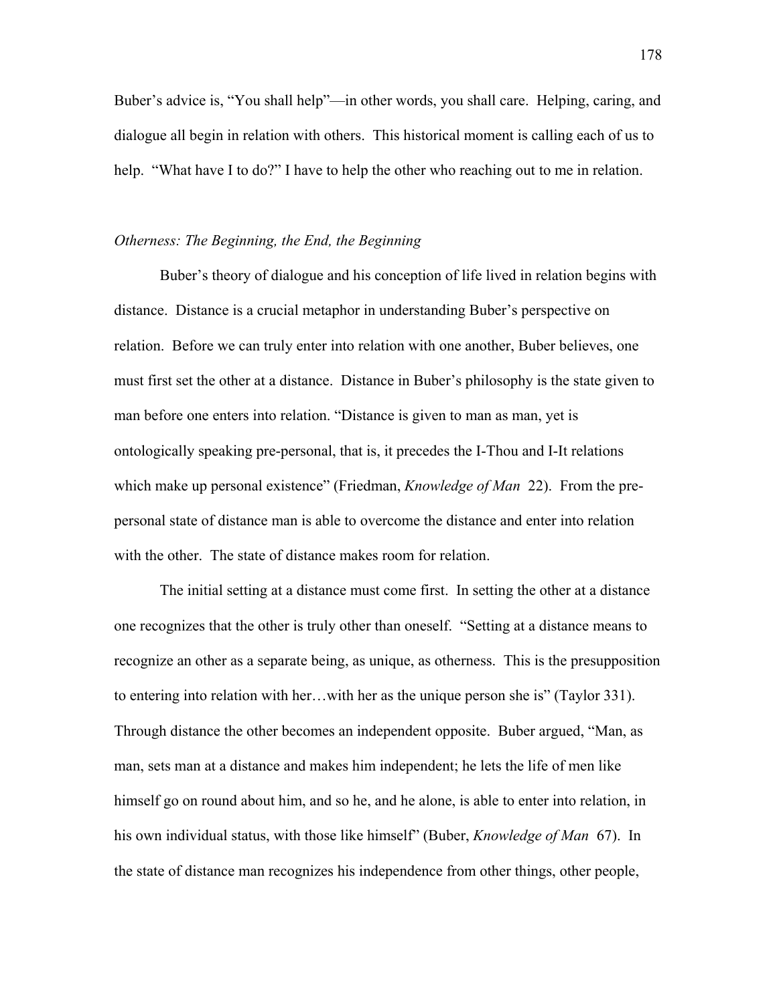Buber's advice is, "You shall help"—in other words, you shall care. Helping, caring, and dialogue all begin in relation with others. This historical moment is calling each of us to help. "What have I to do?" I have to help the other who reaching out to me in relation.

# *Otherness: The Beginning, the End, the Beginning*

Buber's theory of dialogue and his conception of life lived in relation begins with distance. Distance is a crucial metaphor in understanding Buber's perspective on relation. Before we can truly enter into relation with one another, Buber believes, one must first set the other at a distance. Distance in Buber's philosophy is the state given to man before one enters into relation. "Distance is given to man as man, yet is ontologically speaking pre-personal, that is, it precedes the I-Thou and I-It relations which make up personal existence" (Friedman, *Knowledge of Man* 22). From the prepersonal state of distance man is able to overcome the distance and enter into relation with the other. The state of distance makes room for relation.

The initial setting at a distance must come first. In setting the other at a distance one recognizes that the other is truly other than oneself. "Setting at a distance means to recognize an other as a separate being, as unique, as otherness. This is the presupposition to entering into relation with her…with her as the unique person she is" (Taylor 331). Through distance the other becomes an independent opposite. Buber argued, "Man, as man, sets man at a distance and makes him independent; he lets the life of men like himself go on round about him, and so he, and he alone, is able to enter into relation, in his own individual status, with those like himself" (Buber, *Knowledge of Man* 67). In the state of distance man recognizes his independence from other things, other people,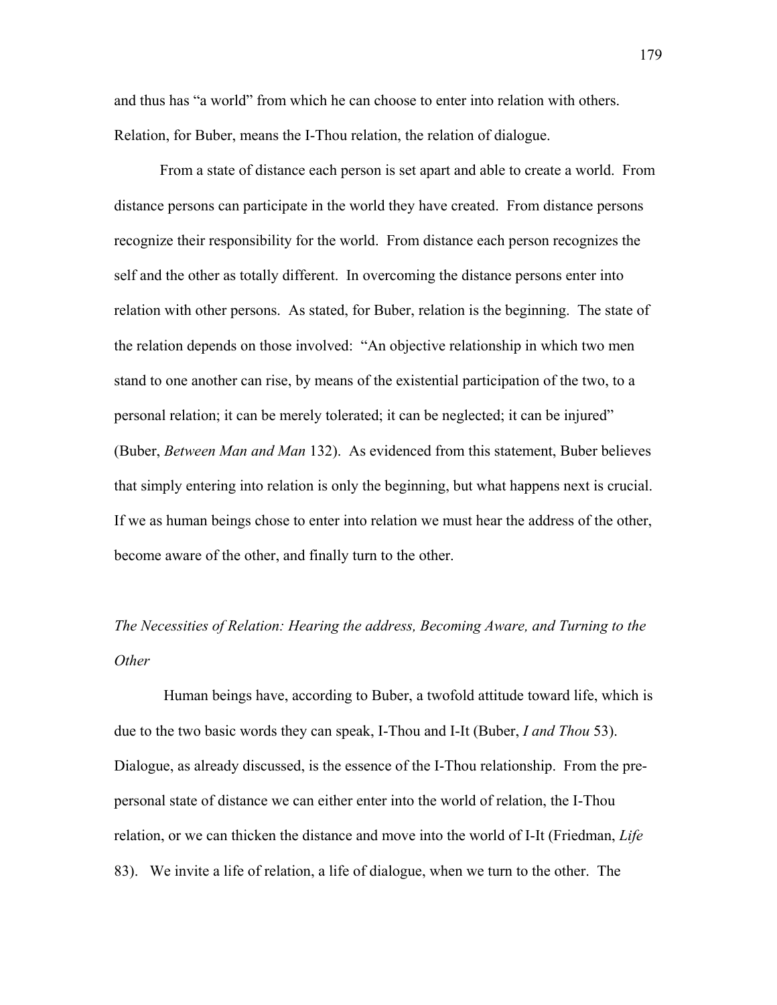and thus has "a world" from which he can choose to enter into relation with others. Relation, for Buber, means the I-Thou relation, the relation of dialogue.

 From a state of distance each person is set apart and able to create a world. From distance persons can participate in the world they have created. From distance persons recognize their responsibility for the world. From distance each person recognizes the self and the other as totally different. In overcoming the distance persons enter into relation with other persons. As stated, for Buber, relation is the beginning. The state of the relation depends on those involved: "An objective relationship in which two men stand to one another can rise, by means of the existential participation of the two, to a personal relation; it can be merely tolerated; it can be neglected; it can be injured" (Buber, *Between Man and Man* 132). As evidenced from this statement, Buber believes that simply entering into relation is only the beginning, but what happens next is crucial. If we as human beings chose to enter into relation we must hear the address of the other, become aware of the other, and finally turn to the other.

# *The Necessities of Relation: Hearing the address, Becoming Aware, and Turning to the Other*

 Human beings have, according to Buber, a twofold attitude toward life, which is due to the two basic words they can speak, I-Thou and I-It (Buber, *I and Thou* 53). Dialogue, as already discussed, is the essence of the I-Thou relationship. From the prepersonal state of distance we can either enter into the world of relation, the I-Thou relation, or we can thicken the distance and move into the world of I-It (Friedman, *Life* 83). We invite a life of relation, a life of dialogue, when we turn to the other. The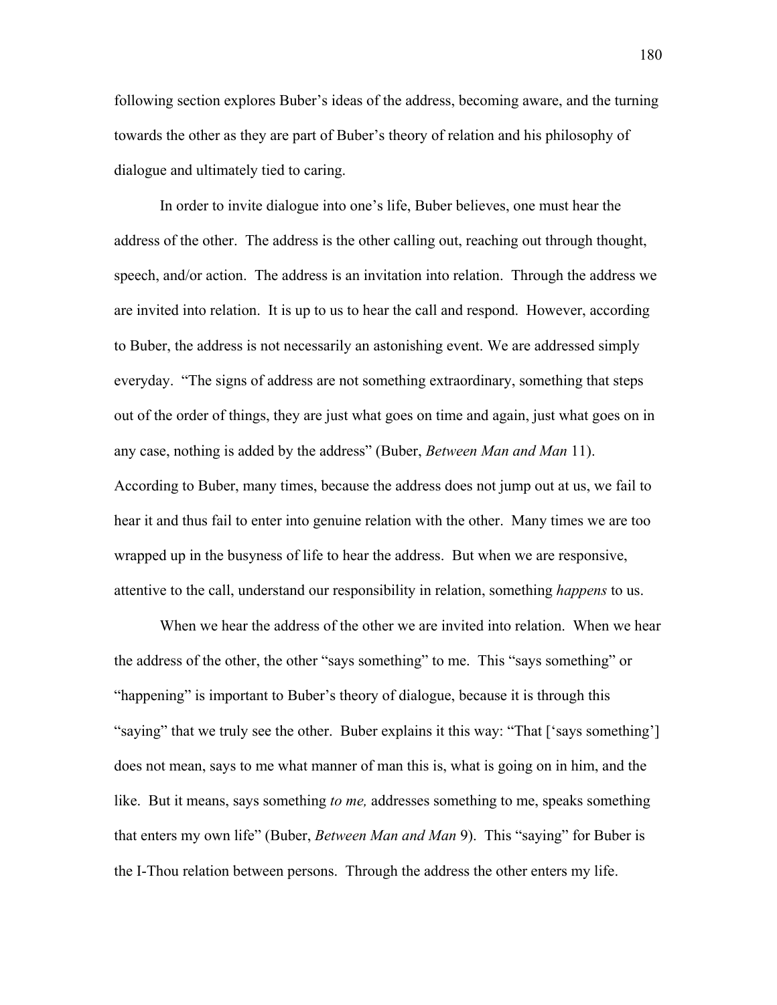following section explores Buber's ideas of the address, becoming aware, and the turning towards the other as they are part of Buber's theory of relation and his philosophy of dialogue and ultimately tied to caring.

In order to invite dialogue into one's life, Buber believes, one must hear the address of the other. The address is the other calling out, reaching out through thought, speech, and/or action. The address is an invitation into relation. Through the address we are invited into relation. It is up to us to hear the call and respond. However, according to Buber, the address is not necessarily an astonishing event. We are addressed simply everyday. "The signs of address are not something extraordinary, something that steps out of the order of things, they are just what goes on time and again, just what goes on in any case, nothing is added by the address" (Buber, *Between Man and Man* 11). According to Buber, many times, because the address does not jump out at us, we fail to hear it and thus fail to enter into genuine relation with the other. Many times we are too wrapped up in the busyness of life to hear the address. But when we are responsive, attentive to the call, understand our responsibility in relation, something *happens* to us.

When we hear the address of the other we are invited into relation. When we hear the address of the other, the other "says something" to me. This "says something" or "happening" is important to Buber's theory of dialogue, because it is through this "saying" that we truly see the other. Buber explains it this way: "That ['says something'] does not mean, says to me what manner of man this is, what is going on in him, and the like. But it means, says something *to me,* addresses something to me, speaks something that enters my own life" (Buber, *Between Man and Man* 9). This "saying" for Buber is the I-Thou relation between persons. Through the address the other enters my life.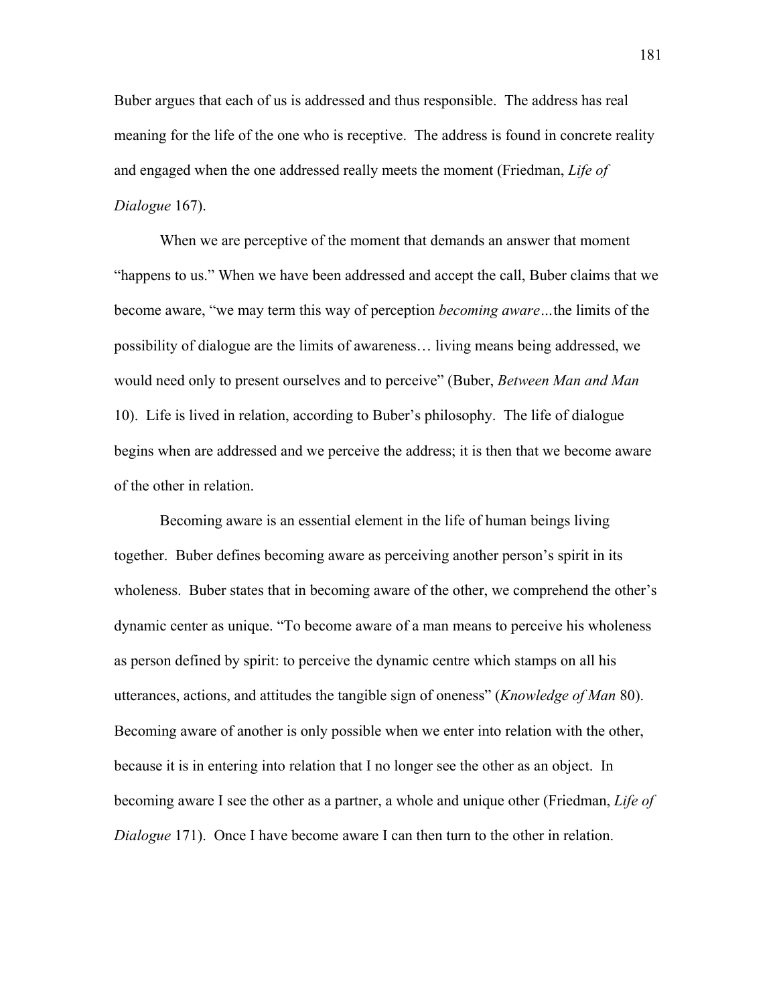Buber argues that each of us is addressed and thus responsible. The address has real meaning for the life of the one who is receptive. The address is found in concrete reality and engaged when the one addressed really meets the moment (Friedman, *Life of Dialogue* 167).

When we are perceptive of the moment that demands an answer that moment "happens to us." When we have been addressed and accept the call, Buber claims that we become aware, "we may term this way of perception *becoming aware…*the limits of the possibility of dialogue are the limits of awareness… living means being addressed, we would need only to present ourselves and to perceive" (Buber, *Between Man and Man* 10). Life is lived in relation, according to Buber's philosophy. The life of dialogue begins when are addressed and we perceive the address; it is then that we become aware of the other in relation.

 Becoming aware is an essential element in the life of human beings living together. Buber defines becoming aware as perceiving another person's spirit in its wholeness. Buber states that in becoming aware of the other, we comprehend the other's dynamic center as unique. "To become aware of a man means to perceive his wholeness as person defined by spirit: to perceive the dynamic centre which stamps on all his utterances, actions, and attitudes the tangible sign of oneness" (*Knowledge of Man* 80). Becoming aware of another is only possible when we enter into relation with the other, because it is in entering into relation that I no longer see the other as an object. In becoming aware I see the other as a partner, a whole and unique other (Friedman, *Life of Dialogue* 171). Once I have become aware I can then turn to the other in relation.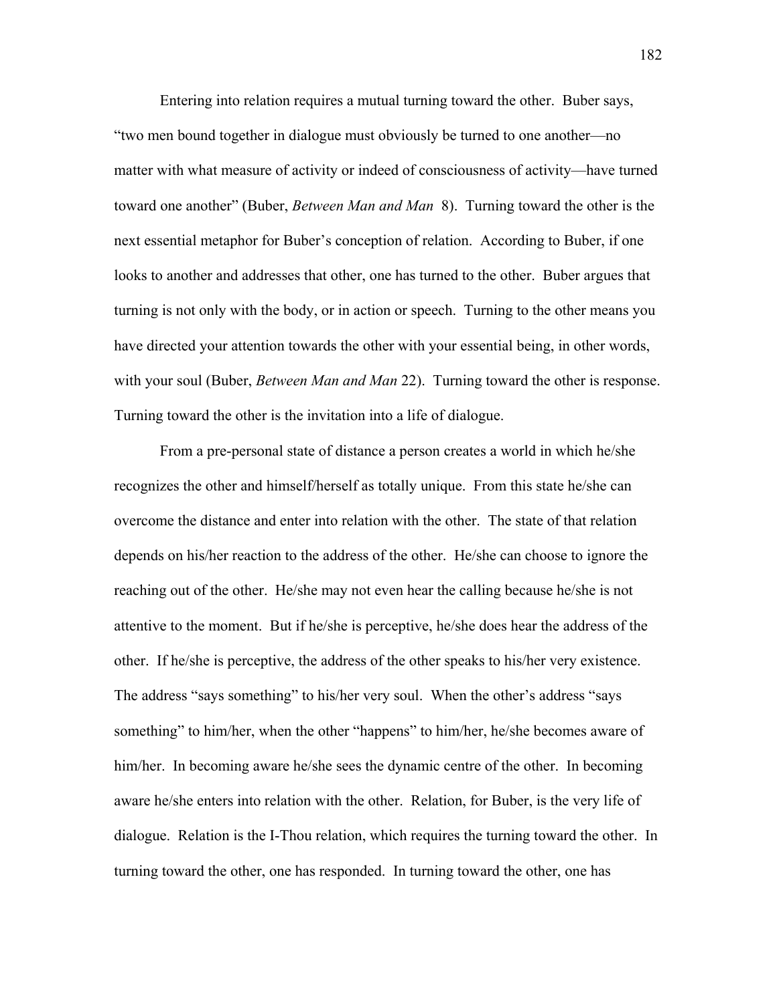Entering into relation requires a mutual turning toward the other. Buber says, "two men bound together in dialogue must obviously be turned to one another—no matter with what measure of activity or indeed of consciousness of activity—have turned toward one another" (Buber, *Between Man and Man* 8). Turning toward the other is the next essential metaphor for Buber's conception of relation. According to Buber, if one looks to another and addresses that other, one has turned to the other. Buber argues that turning is not only with the body, or in action or speech. Turning to the other means you have directed your attention towards the other with your essential being, in other words, with your soul (Buber, *Between Man and Man* 22). Turning toward the other is response. Turning toward the other is the invitation into a life of dialogue.

From a pre-personal state of distance a person creates a world in which he/she recognizes the other and himself/herself as totally unique. From this state he/she can overcome the distance and enter into relation with the other. The state of that relation depends on his/her reaction to the address of the other. He/she can choose to ignore the reaching out of the other. He/she may not even hear the calling because he/she is not attentive to the moment. But if he/she is perceptive, he/she does hear the address of the other. If he/she is perceptive, the address of the other speaks to his/her very existence. The address "says something" to his/her very soul. When the other's address "says something" to him/her, when the other "happens" to him/her, he/she becomes aware of him/her. In becoming aware he/she sees the dynamic centre of the other. In becoming aware he/she enters into relation with the other. Relation, for Buber, is the very life of dialogue. Relation is the I-Thou relation, which requires the turning toward the other. In turning toward the other, one has responded. In turning toward the other, one has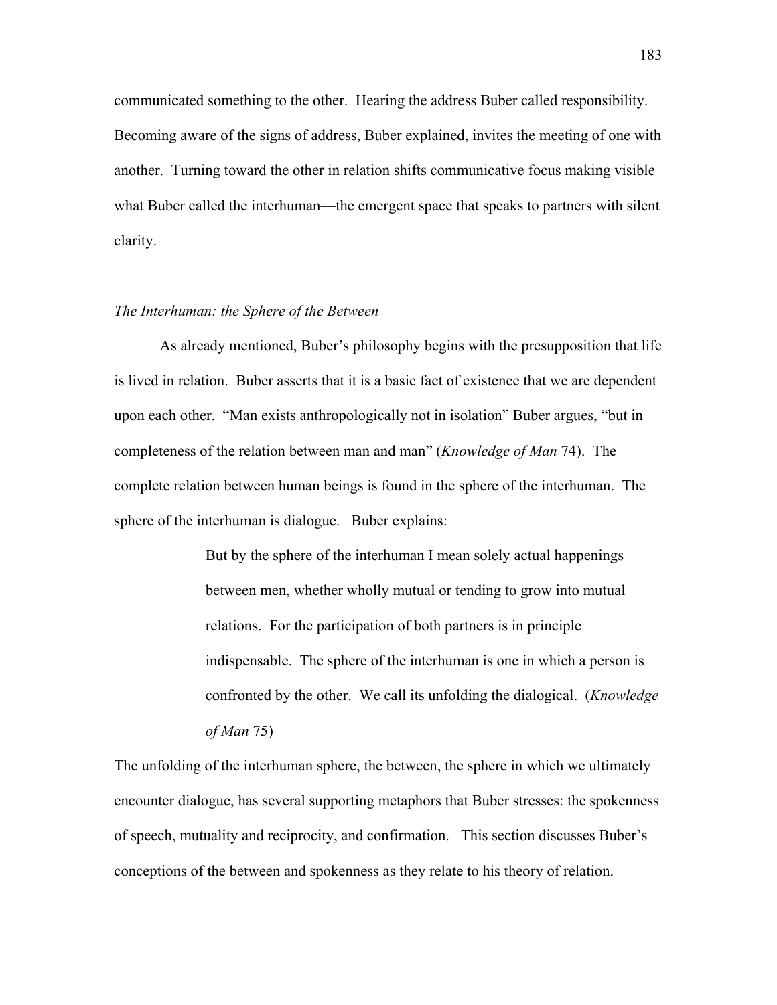communicated something to the other. Hearing the address Buber called responsibility. Becoming aware of the signs of address, Buber explained, invites the meeting of one with another. Turning toward the other in relation shifts communicative focus making visible what Buber called the interhuman—the emergent space that speaks to partners with silent clarity.

### *The Interhuman: the Sphere of the Between*

 As already mentioned, Buber's philosophy begins with the presupposition that life is lived in relation. Buber asserts that it is a basic fact of existence that we are dependent upon each other. "Man exists anthropologically not in isolation" Buber argues, "but in completeness of the relation between man and man" (*Knowledge of Man* 74). The complete relation between human beings is found in the sphere of the interhuman. The sphere of the interhuman is dialogue. Buber explains:

> But by the sphere of the interhuman I mean solely actual happenings between men, whether wholly mutual or tending to grow into mutual relations. For the participation of both partners is in principle indispensable. The sphere of the interhuman is one in which a person is confronted by the other. We call its unfolding the dialogical. (*Knowledge of Man* 75)

The unfolding of the interhuman sphere, the between, the sphere in which we ultimately encounter dialogue, has several supporting metaphors that Buber stresses: the spokenness of speech, mutuality and reciprocity, and confirmation. This section discusses Buber's conceptions of the between and spokenness as they relate to his theory of relation.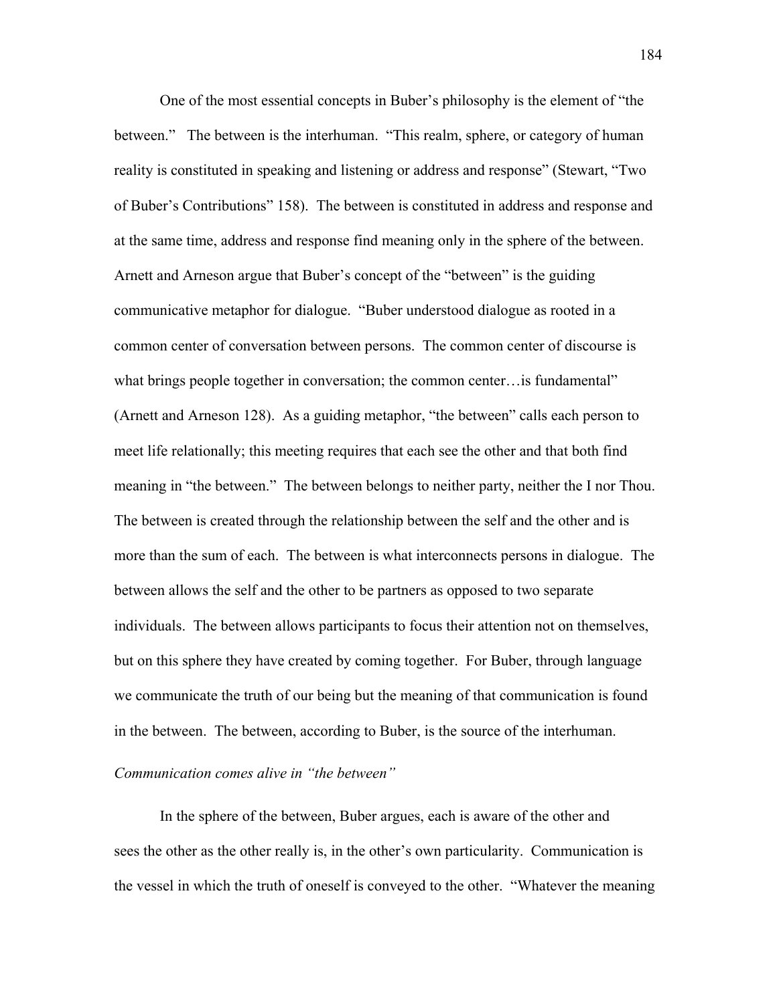One of the most essential concepts in Buber's philosophy is the element of "the between." The between is the interhuman. "This realm, sphere, or category of human reality is constituted in speaking and listening or address and response" (Stewart, "Two of Buber's Contributions" 158). The between is constituted in address and response and at the same time, address and response find meaning only in the sphere of the between. Arnett and Arneson argue that Buber's concept of the "between" is the guiding communicative metaphor for dialogue. "Buber understood dialogue as rooted in a common center of conversation between persons. The common center of discourse is what brings people together in conversation; the common center... is fundamental" (Arnett and Arneson 128). As a guiding metaphor, "the between" calls each person to meet life relationally; this meeting requires that each see the other and that both find meaning in "the between." The between belongs to neither party, neither the I nor Thou. The between is created through the relationship between the self and the other and is more than the sum of each. The between is what interconnects persons in dialogue. The between allows the self and the other to be partners as opposed to two separate individuals. The between allows participants to focus their attention not on themselves, but on this sphere they have created by coming together. For Buber, through language we communicate the truth of our being but the meaning of that communication is found in the between. The between, according to Buber, is the source of the interhuman.

#### *Communication comes alive in "the between"*

 In the sphere of the between, Buber argues, each is aware of the other and sees the other as the other really is, in the other's own particularity. Communication is the vessel in which the truth of oneself is conveyed to the other. "Whatever the meaning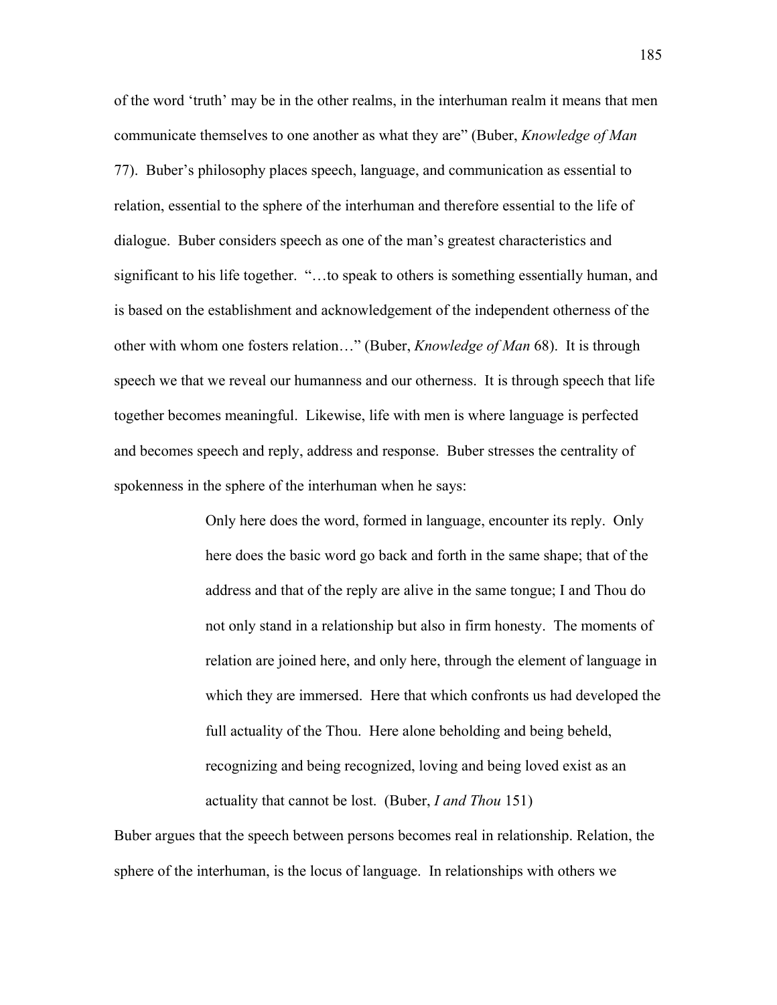of the word 'truth' may be in the other realms, in the interhuman realm it means that men communicate themselves to one another as what they are" (Buber, *Knowledge of Man* 77). Buber's philosophy places speech, language, and communication as essential to relation, essential to the sphere of the interhuman and therefore essential to the life of dialogue. Buber considers speech as one of the man's greatest characteristics and significant to his life together. "…to speak to others is something essentially human, and is based on the establishment and acknowledgement of the independent otherness of the other with whom one fosters relation…" (Buber, *Knowledge of Man* 68). It is through speech we that we reveal our humanness and our otherness. It is through speech that life together becomes meaningful. Likewise, life with men is where language is perfected and becomes speech and reply, address and response. Buber stresses the centrality of spokenness in the sphere of the interhuman when he says:

> Only here does the word, formed in language, encounter its reply. Only here does the basic word go back and forth in the same shape; that of the address and that of the reply are alive in the same tongue; I and Thou do not only stand in a relationship but also in firm honesty. The moments of relation are joined here, and only here, through the element of language in which they are immersed. Here that which confronts us had developed the full actuality of the Thou. Here alone beholding and being beheld, recognizing and being recognized, loving and being loved exist as an actuality that cannot be lost. (Buber, *I and Thou* 151)

Buber argues that the speech between persons becomes real in relationship. Relation, the sphere of the interhuman, is the locus of language. In relationships with others we

185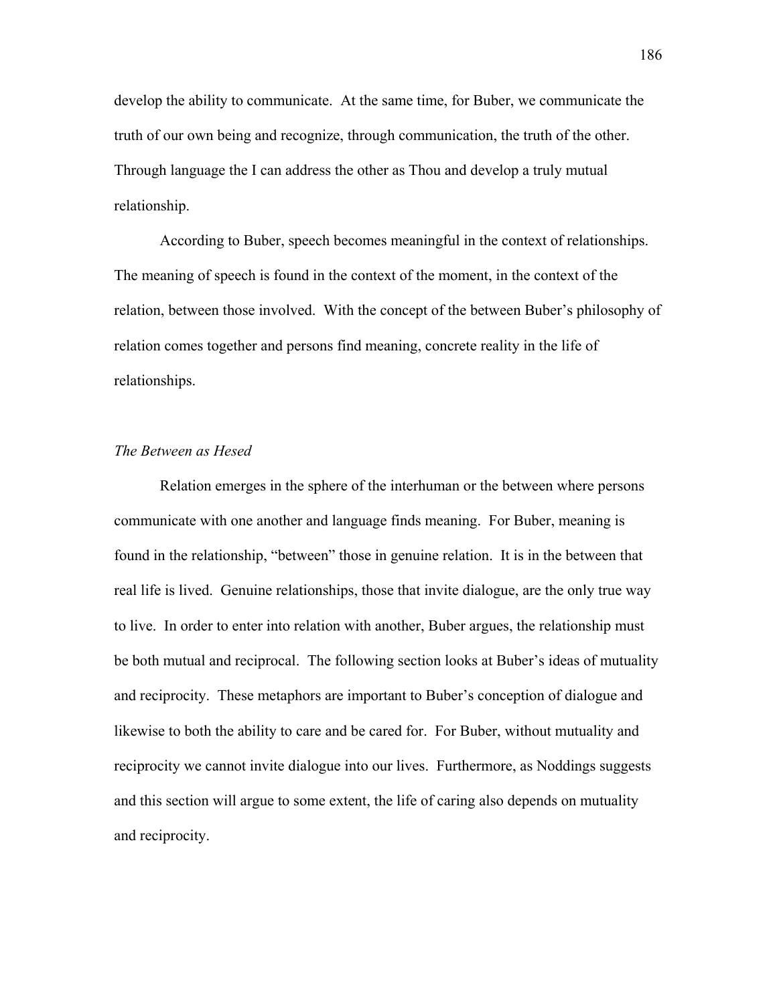develop the ability to communicate. At the same time, for Buber, we communicate the truth of our own being and recognize, through communication, the truth of the other. Through language the I can address the other as Thou and develop a truly mutual relationship.

According to Buber, speech becomes meaningful in the context of relationships. The meaning of speech is found in the context of the moment, in the context of the relation, between those involved. With the concept of the between Buber's philosophy of relation comes together and persons find meaning, concrete reality in the life of relationships.

# *The Between as Hesed*

 Relation emerges in the sphere of the interhuman or the between where persons communicate with one another and language finds meaning. For Buber, meaning is found in the relationship, "between" those in genuine relation. It is in the between that real life is lived. Genuine relationships, those that invite dialogue, are the only true way to live. In order to enter into relation with another, Buber argues, the relationship must be both mutual and reciprocal. The following section looks at Buber's ideas of mutuality and reciprocity. These metaphors are important to Buber's conception of dialogue and likewise to both the ability to care and be cared for. For Buber, without mutuality and reciprocity we cannot invite dialogue into our lives. Furthermore, as Noddings suggests and this section will argue to some extent, the life of caring also depends on mutuality and reciprocity.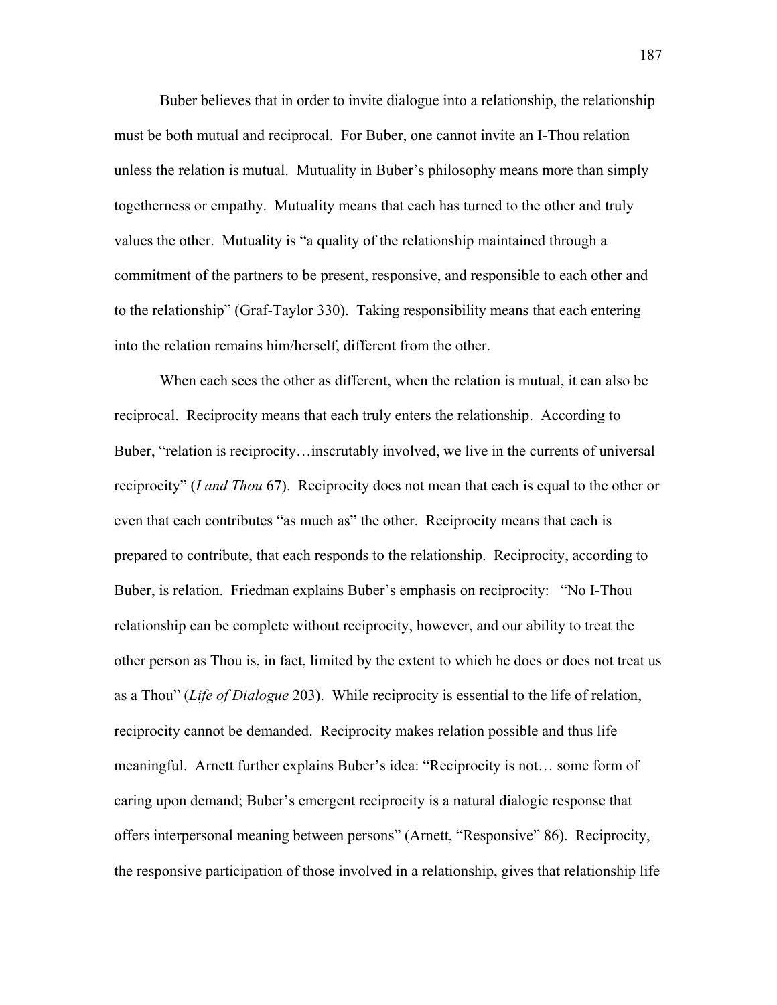Buber believes that in order to invite dialogue into a relationship, the relationship must be both mutual and reciprocal. For Buber, one cannot invite an I-Thou relation unless the relation is mutual. Mutuality in Buber's philosophy means more than simply togetherness or empathy. Mutuality means that each has turned to the other and truly values the other. Mutuality is "a quality of the relationship maintained through a commitment of the partners to be present, responsive, and responsible to each other and to the relationship" (Graf-Taylor 330). Taking responsibility means that each entering into the relation remains him/herself, different from the other.

 When each sees the other as different, when the relation is mutual, it can also be reciprocal. Reciprocity means that each truly enters the relationship. According to Buber, "relation is reciprocity…inscrutably involved, we live in the currents of universal reciprocity" (*I and Thou* 67). Reciprocity does not mean that each is equal to the other or even that each contributes "as much as" the other. Reciprocity means that each is prepared to contribute, that each responds to the relationship. Reciprocity, according to Buber, is relation. Friedman explains Buber's emphasis on reciprocity: "No I-Thou relationship can be complete without reciprocity, however, and our ability to treat the other person as Thou is, in fact, limited by the extent to which he does or does not treat us as a Thou" (*Life of Dialogue* 203). While reciprocity is essential to the life of relation, reciprocity cannot be demanded. Reciprocity makes relation possible and thus life meaningful. Arnett further explains Buber's idea: "Reciprocity is not… some form of caring upon demand; Buber's emergent reciprocity is a natural dialogic response that offers interpersonal meaning between persons" (Arnett, "Responsive" 86). Reciprocity, the responsive participation of those involved in a relationship, gives that relationship life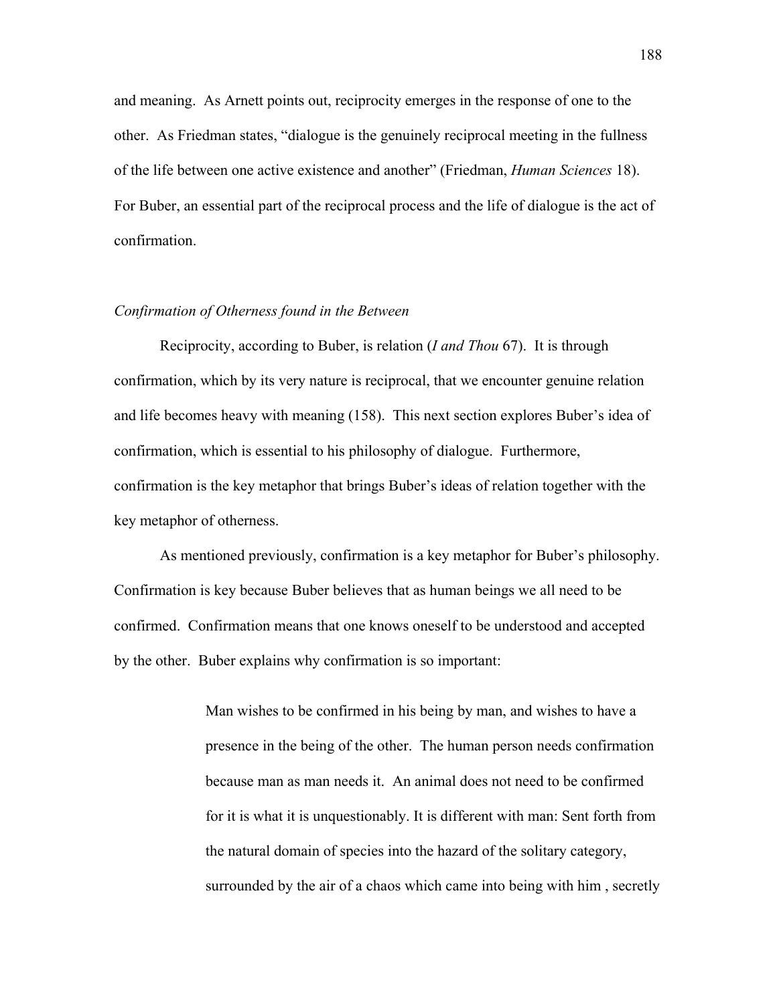and meaning. As Arnett points out, reciprocity emerges in the response of one to the other. As Friedman states, "dialogue is the genuinely reciprocal meeting in the fullness of the life between one active existence and another" (Friedman, *Human Sciences* 18). For Buber, an essential part of the reciprocal process and the life of dialogue is the act of confirmation.

### *Confirmation of Otherness found in the Between*

Reciprocity, according to Buber, is relation (*I and Thou* 67). It is through confirmation, which by its very nature is reciprocal, that we encounter genuine relation and life becomes heavy with meaning (158). This next section explores Buber's idea of confirmation, which is essential to his philosophy of dialogue. Furthermore, confirmation is the key metaphor that brings Buber's ideas of relation together with the key metaphor of otherness.

As mentioned previously, confirmation is a key metaphor for Buber's philosophy. Confirmation is key because Buber believes that as human beings we all need to be confirmed. Confirmation means that one knows oneself to be understood and accepted by the other. Buber explains why confirmation is so important:

> Man wishes to be confirmed in his being by man, and wishes to have a presence in the being of the other. The human person needs confirmation because man as man needs it. An animal does not need to be confirmed for it is what it is unquestionably. It is different with man: Sent forth from the natural domain of species into the hazard of the solitary category, surrounded by the air of a chaos which came into being with him , secretly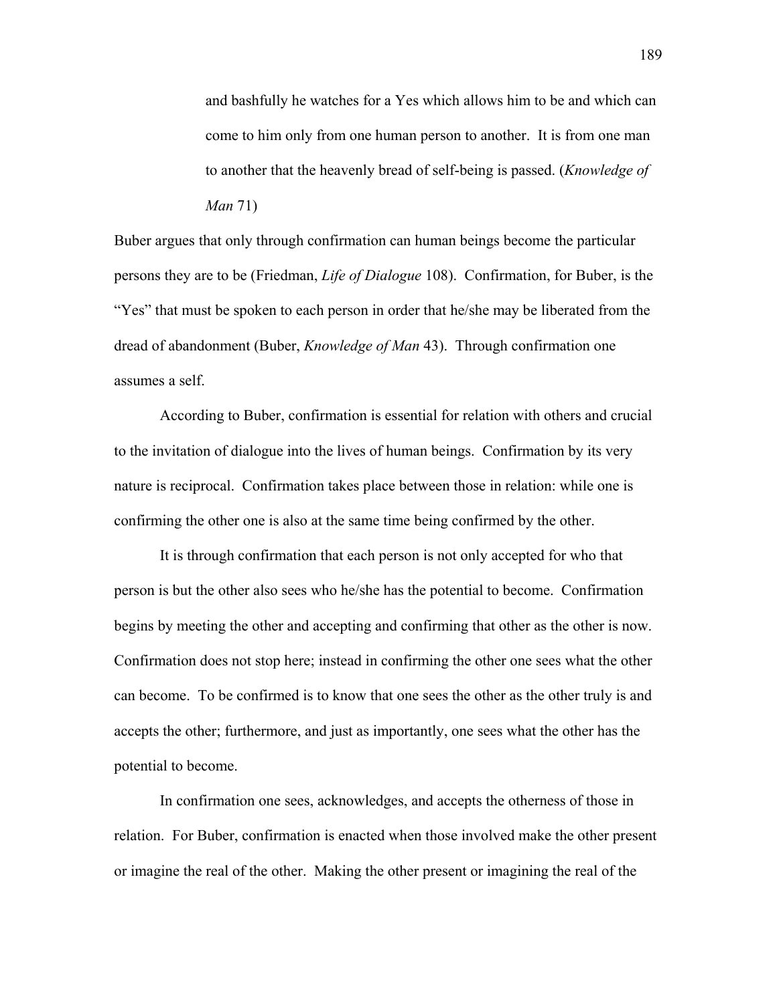and bashfully he watches for a Yes which allows him to be and which can come to him only from one human person to another. It is from one man to another that the heavenly bread of self-being is passed. (*Knowledge of Man* 71)

Buber argues that only through confirmation can human beings become the particular persons they are to be (Friedman, *Life of Dialogue* 108). Confirmation, for Buber, is the "Yes" that must be spoken to each person in order that he/she may be liberated from the dread of abandonment (Buber, *Knowledge of Man* 43). Through confirmation one assumes a self.

According to Buber, confirmation is essential for relation with others and crucial to the invitation of dialogue into the lives of human beings. Confirmation by its very nature is reciprocal. Confirmation takes place between those in relation: while one is confirming the other one is also at the same time being confirmed by the other.

It is through confirmation that each person is not only accepted for who that person is but the other also sees who he/she has the potential to become. Confirmation begins by meeting the other and accepting and confirming that other as the other is now. Confirmation does not stop here; instead in confirming the other one sees what the other can become. To be confirmed is to know that one sees the other as the other truly is and accepts the other; furthermore, and just as importantly, one sees what the other has the potential to become.

In confirmation one sees, acknowledges, and accepts the otherness of those in relation. For Buber, confirmation is enacted when those involved make the other present or imagine the real of the other. Making the other present or imagining the real of the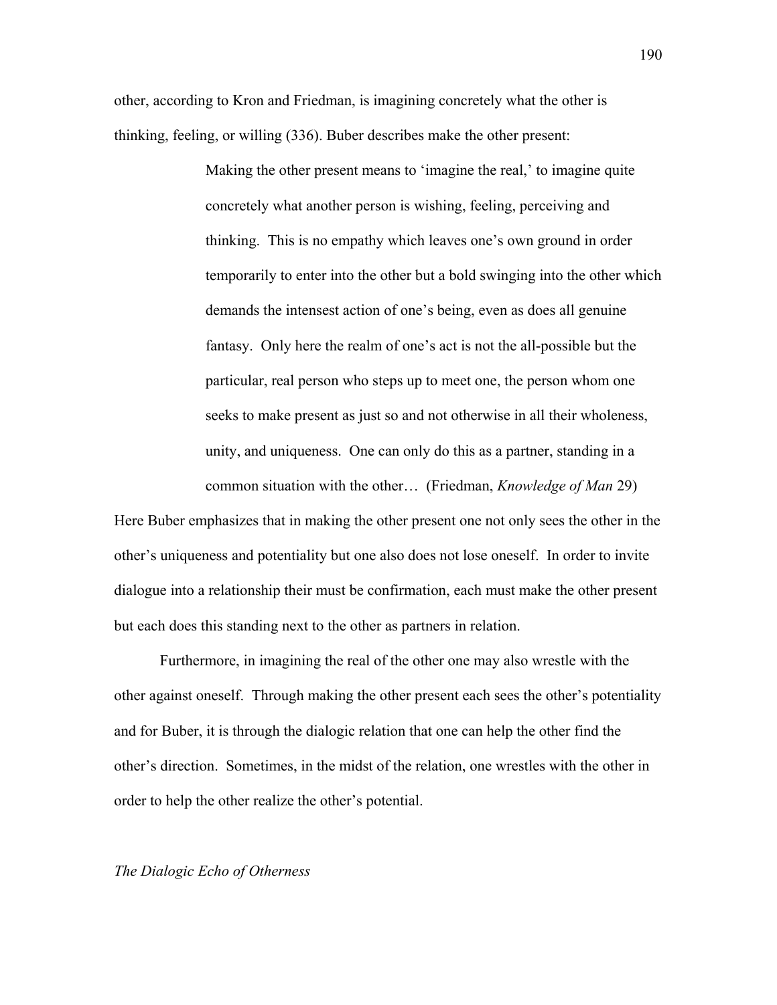other, according to Kron and Friedman, is imagining concretely what the other is thinking, feeling, or willing (336). Buber describes make the other present:

> Making the other present means to 'imagine the real,' to imagine quite concretely what another person is wishing, feeling, perceiving and thinking. This is no empathy which leaves one's own ground in order temporarily to enter into the other but a bold swinging into the other which demands the intensest action of one's being, even as does all genuine fantasy. Only here the realm of one's act is not the all-possible but the particular, real person who steps up to meet one, the person whom one seeks to make present as just so and not otherwise in all their wholeness, unity, and uniqueness. One can only do this as a partner, standing in a common situation with the other… (Friedman, *Knowledge of Man* 29)

Here Buber emphasizes that in making the other present one not only sees the other in the other's uniqueness and potentiality but one also does not lose oneself. In order to invite dialogue into a relationship their must be confirmation, each must make the other present but each does this standing next to the other as partners in relation.

Furthermore, in imagining the real of the other one may also wrestle with the other against oneself. Through making the other present each sees the other's potentiality and for Buber, it is through the dialogic relation that one can help the other find the other's direction. Sometimes, in the midst of the relation, one wrestles with the other in order to help the other realize the other's potential.

#### *The Dialogic Echo of Otherness*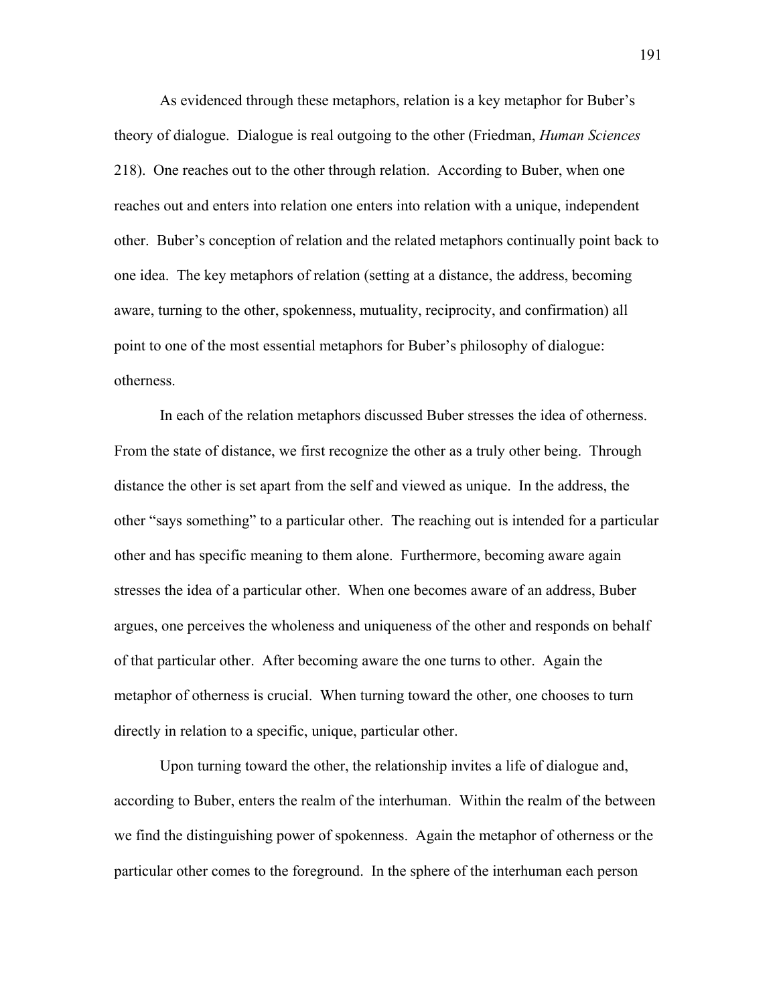As evidenced through these metaphors, relation is a key metaphor for Buber's theory of dialogue. Dialogue is real outgoing to the other (Friedman, *Human Sciences* 218). One reaches out to the other through relation. According to Buber, when one reaches out and enters into relation one enters into relation with a unique, independent other. Buber's conception of relation and the related metaphors continually point back to one idea. The key metaphors of relation (setting at a distance, the address, becoming aware, turning to the other, spokenness, mutuality, reciprocity, and confirmation) all point to one of the most essential metaphors for Buber's philosophy of dialogue: otherness.

 In each of the relation metaphors discussed Buber stresses the idea of otherness. From the state of distance, we first recognize the other as a truly other being. Through distance the other is set apart from the self and viewed as unique. In the address, the other "says something" to a particular other. The reaching out is intended for a particular other and has specific meaning to them alone. Furthermore, becoming aware again stresses the idea of a particular other. When one becomes aware of an address, Buber argues, one perceives the wholeness and uniqueness of the other and responds on behalf of that particular other. After becoming aware the one turns to other. Again the metaphor of otherness is crucial. When turning toward the other, one chooses to turn directly in relation to a specific, unique, particular other.

Upon turning toward the other, the relationship invites a life of dialogue and, according to Buber, enters the realm of the interhuman. Within the realm of the between we find the distinguishing power of spokenness. Again the metaphor of otherness or the particular other comes to the foreground. In the sphere of the interhuman each person

191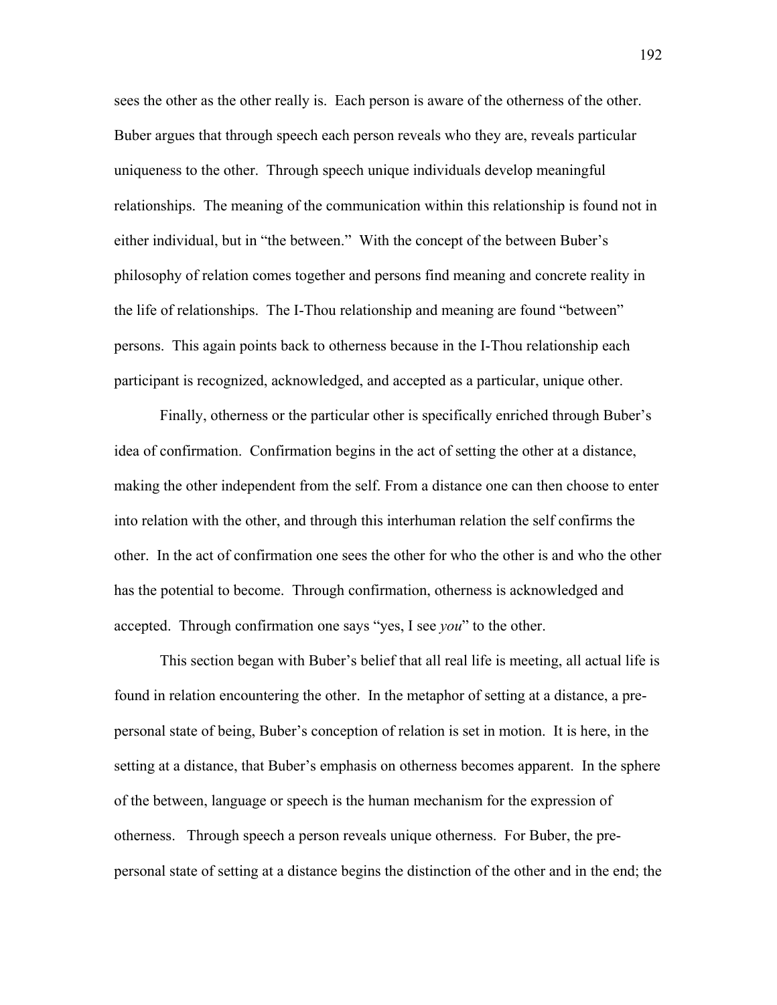sees the other as the other really is. Each person is aware of the otherness of the other. Buber argues that through speech each person reveals who they are, reveals particular uniqueness to the other. Through speech unique individuals develop meaningful relationships. The meaning of the communication within this relationship is found not in either individual, but in "the between." With the concept of the between Buber's philosophy of relation comes together and persons find meaning and concrete reality in the life of relationships. The I-Thou relationship and meaning are found "between" persons. This again points back to otherness because in the I-Thou relationship each participant is recognized, acknowledged, and accepted as a particular, unique other.

 Finally, otherness or the particular other is specifically enriched through Buber's idea of confirmation. Confirmation begins in the act of setting the other at a distance, making the other independent from the self. From a distance one can then choose to enter into relation with the other, and through this interhuman relation the self confirms the other. In the act of confirmation one sees the other for who the other is and who the other has the potential to become. Through confirmation, otherness is acknowledged and accepted. Through confirmation one says "yes, I see *you*" to the other.

 This section began with Buber's belief that all real life is meeting, all actual life is found in relation encountering the other. In the metaphor of setting at a distance, a prepersonal state of being, Buber's conception of relation is set in motion. It is here, in the setting at a distance, that Buber's emphasis on otherness becomes apparent. In the sphere of the between, language or speech is the human mechanism for the expression of otherness. Through speech a person reveals unique otherness. For Buber, the prepersonal state of setting at a distance begins the distinction of the other and in the end; the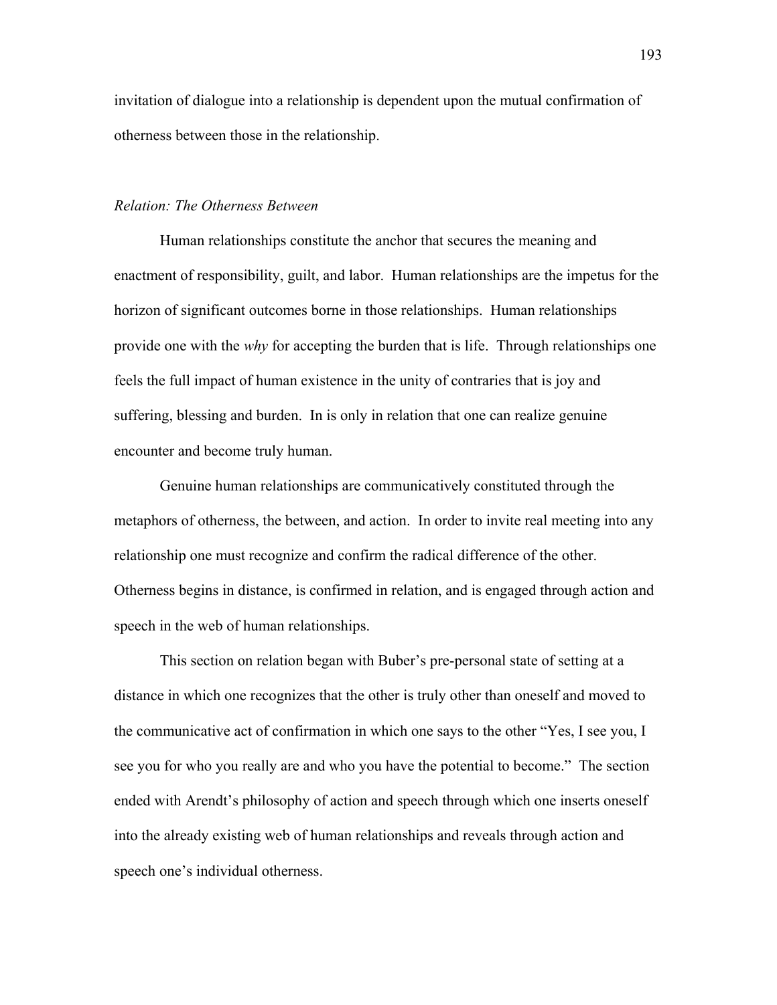invitation of dialogue into a relationship is dependent upon the mutual confirmation of otherness between those in the relationship.

# *Relation: The Otherness Between*

 Human relationships constitute the anchor that secures the meaning and enactment of responsibility, guilt, and labor. Human relationships are the impetus for the horizon of significant outcomes borne in those relationships. Human relationships provide one with the *why* for accepting the burden that is life. Through relationships one feels the full impact of human existence in the unity of contraries that is joy and suffering, blessing and burden. In is only in relation that one can realize genuine encounter and become truly human.

 Genuine human relationships are communicatively constituted through the metaphors of otherness, the between, and action. In order to invite real meeting into any relationship one must recognize and confirm the radical difference of the other. Otherness begins in distance, is confirmed in relation, and is engaged through action and speech in the web of human relationships.

This section on relation began with Buber's pre-personal state of setting at a distance in which one recognizes that the other is truly other than oneself and moved to the communicative act of confirmation in which one says to the other "Yes, I see you, I see you for who you really are and who you have the potential to become." The section ended with Arendt's philosophy of action and speech through which one inserts oneself into the already existing web of human relationships and reveals through action and speech one's individual otherness.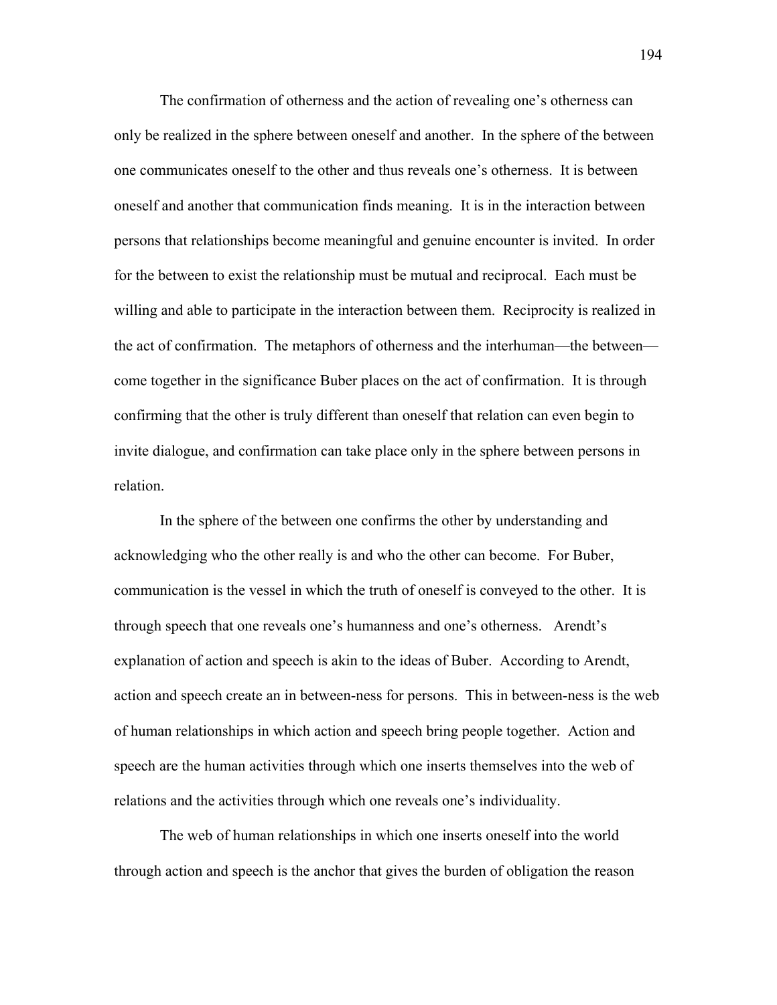The confirmation of otherness and the action of revealing one's otherness can only be realized in the sphere between oneself and another. In the sphere of the between one communicates oneself to the other and thus reveals one's otherness. It is between oneself and another that communication finds meaning. It is in the interaction between persons that relationships become meaningful and genuine encounter is invited. In order for the between to exist the relationship must be mutual and reciprocal. Each must be willing and able to participate in the interaction between them. Reciprocity is realized in the act of confirmation. The metaphors of otherness and the interhuman—the between come together in the significance Buber places on the act of confirmation. It is through confirming that the other is truly different than oneself that relation can even begin to invite dialogue, and confirmation can take place only in the sphere between persons in relation.

In the sphere of the between one confirms the other by understanding and acknowledging who the other really is and who the other can become. For Buber, communication is the vessel in which the truth of oneself is conveyed to the other. It is through speech that one reveals one's humanness and one's otherness. Arendt's explanation of action and speech is akin to the ideas of Buber. According to Arendt, action and speech create an in between-ness for persons. This in between-ness is the web of human relationships in which action and speech bring people together. Action and speech are the human activities through which one inserts themselves into the web of relations and the activities through which one reveals one's individuality.

The web of human relationships in which one inserts oneself into the world through action and speech is the anchor that gives the burden of obligation the reason

194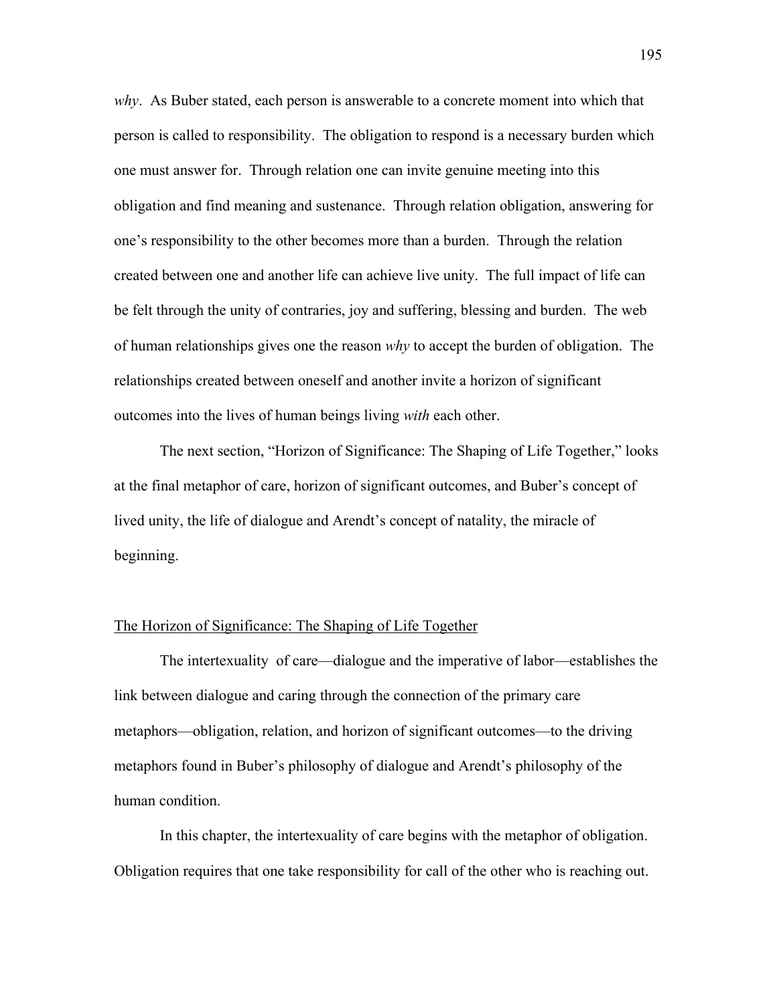*why*. As Buber stated, each person is answerable to a concrete moment into which that person is called to responsibility. The obligation to respond is a necessary burden which one must answer for. Through relation one can invite genuine meeting into this obligation and find meaning and sustenance. Through relation obligation, answering for one's responsibility to the other becomes more than a burden. Through the relation created between one and another life can achieve live unity. The full impact of life can be felt through the unity of contraries, joy and suffering, blessing and burden. The web of human relationships gives one the reason *why* to accept the burden of obligation. The relationships created between oneself and another invite a horizon of significant outcomes into the lives of human beings living *with* each other.

 The next section, "Horizon of Significance: The Shaping of Life Together," looks at the final metaphor of care, horizon of significant outcomes, and Buber's concept of lived unity, the life of dialogue and Arendt's concept of natality, the miracle of beginning.

# The Horizon of Significance: The Shaping of Life Together

The intertexuality of care—dialogue and the imperative of labor—establishes the link between dialogue and caring through the connection of the primary care metaphors—obligation, relation, and horizon of significant outcomes—to the driving metaphors found in Buber's philosophy of dialogue and Arendt's philosophy of the human condition.

In this chapter, the intertexuality of care begins with the metaphor of obligation. Obligation requires that one take responsibility for call of the other who is reaching out.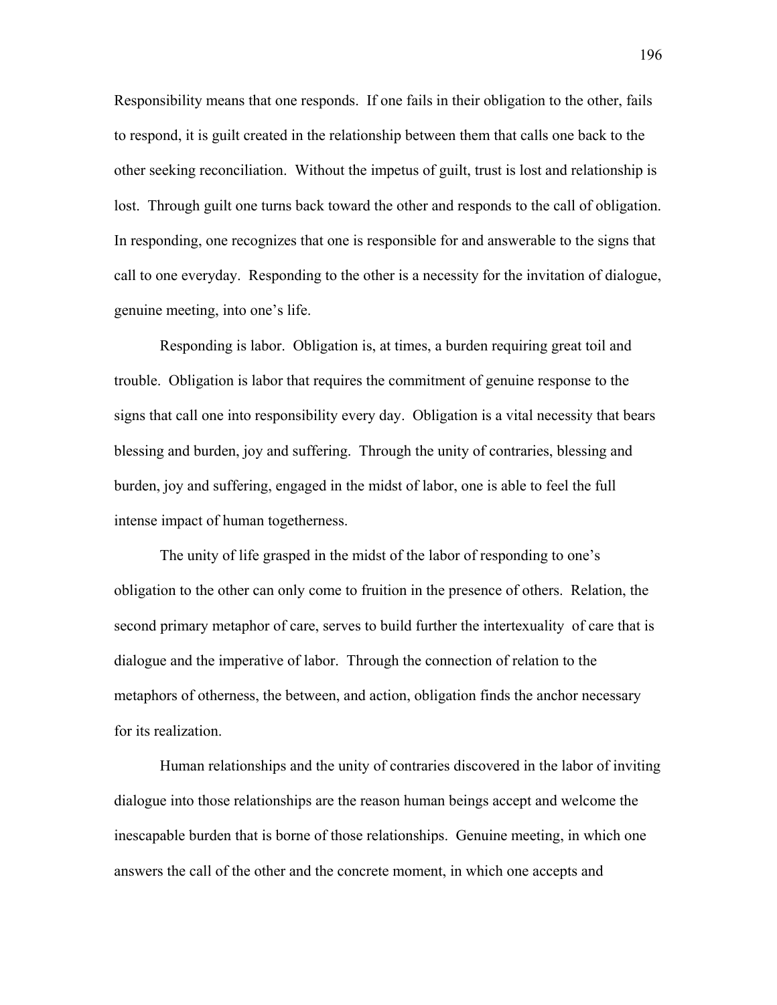Responsibility means that one responds. If one fails in their obligation to the other, fails to respond, it is guilt created in the relationship between them that calls one back to the other seeking reconciliation. Without the impetus of guilt, trust is lost and relationship is lost. Through guilt one turns back toward the other and responds to the call of obligation. In responding, one recognizes that one is responsible for and answerable to the signs that call to one everyday. Responding to the other is a necessity for the invitation of dialogue, genuine meeting, into one's life.

Responding is labor. Obligation is, at times, a burden requiring great toil and trouble. Obligation is labor that requires the commitment of genuine response to the signs that call one into responsibility every day. Obligation is a vital necessity that bears blessing and burden, joy and suffering. Through the unity of contraries, blessing and burden, joy and suffering, engaged in the midst of labor, one is able to feel the full intense impact of human togetherness.

The unity of life grasped in the midst of the labor of responding to one's obligation to the other can only come to fruition in the presence of others. Relation, the second primary metaphor of care, serves to build further the intertexuality of care that is dialogue and the imperative of labor. Through the connection of relation to the metaphors of otherness, the between, and action, obligation finds the anchor necessary for its realization.

Human relationships and the unity of contraries discovered in the labor of inviting dialogue into those relationships are the reason human beings accept and welcome the inescapable burden that is borne of those relationships. Genuine meeting, in which one answers the call of the other and the concrete moment, in which one accepts and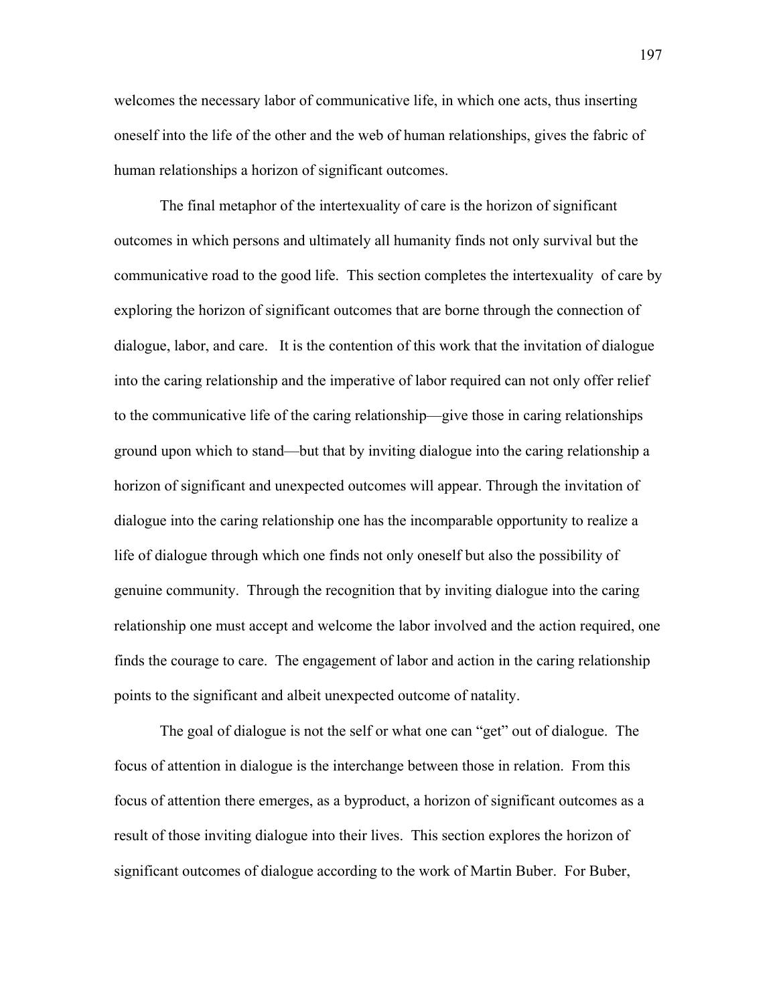welcomes the necessary labor of communicative life, in which one acts, thus inserting oneself into the life of the other and the web of human relationships, gives the fabric of human relationships a horizon of significant outcomes.

The final metaphor of the intertexuality of care is the horizon of significant outcomes in which persons and ultimately all humanity finds not only survival but the communicative road to the good life. This section completes the intertexuality of care by exploring the horizon of significant outcomes that are borne through the connection of dialogue, labor, and care. It is the contention of this work that the invitation of dialogue into the caring relationship and the imperative of labor required can not only offer relief to the communicative life of the caring relationship—give those in caring relationships ground upon which to stand—but that by inviting dialogue into the caring relationship a horizon of significant and unexpected outcomes will appear. Through the invitation of dialogue into the caring relationship one has the incomparable opportunity to realize a life of dialogue through which one finds not only oneself but also the possibility of genuine community. Through the recognition that by inviting dialogue into the caring relationship one must accept and welcome the labor involved and the action required, one finds the courage to care. The engagement of labor and action in the caring relationship points to the significant and albeit unexpected outcome of natality.

The goal of dialogue is not the self or what one can "get" out of dialogue. The focus of attention in dialogue is the interchange between those in relation. From this focus of attention there emerges, as a byproduct, a horizon of significant outcomes as a result of those inviting dialogue into their lives. This section explores the horizon of significant outcomes of dialogue according to the work of Martin Buber. For Buber,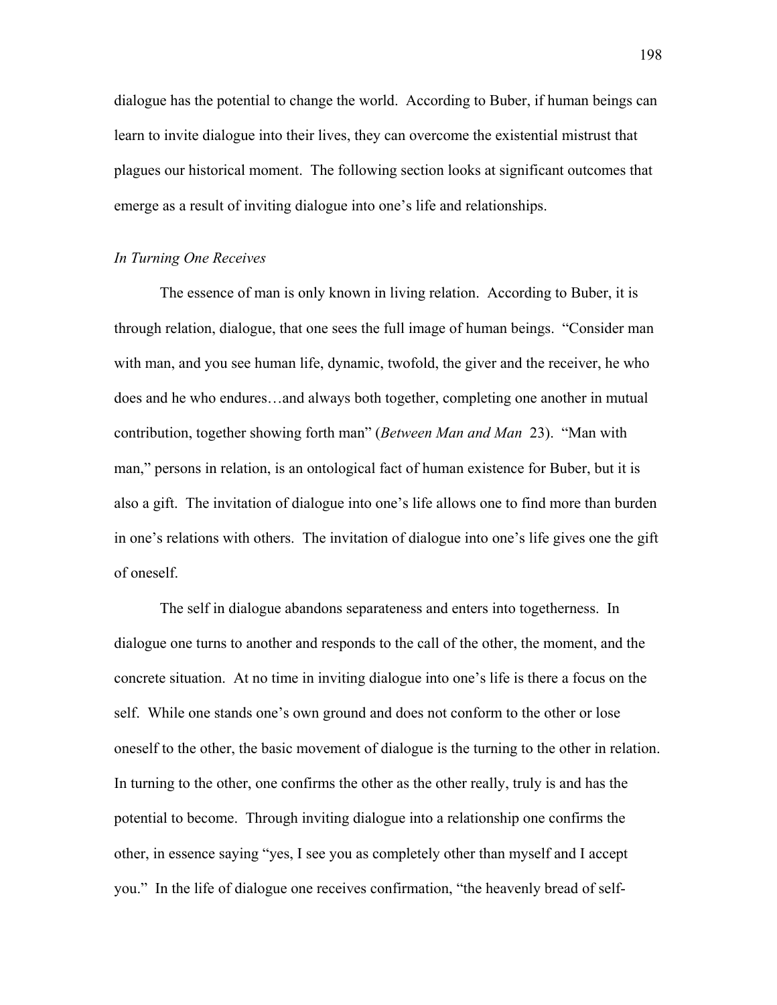dialogue has the potential to change the world. According to Buber, if human beings can learn to invite dialogue into their lives, they can overcome the existential mistrust that plagues our historical moment. The following section looks at significant outcomes that emerge as a result of inviting dialogue into one's life and relationships.

# *In Turning One Receives*

 The essence of man is only known in living relation. According to Buber, it is through relation, dialogue, that one sees the full image of human beings. "Consider man with man, and you see human life, dynamic, twofold, the giver and the receiver, he who does and he who endures…and always both together, completing one another in mutual contribution, together showing forth man" (*Between Man and Man* 23). "Man with man," persons in relation, is an ontological fact of human existence for Buber, but it is also a gift. The invitation of dialogue into one's life allows one to find more than burden in one's relations with others. The invitation of dialogue into one's life gives one the gift of oneself.

The self in dialogue abandons separateness and enters into togetherness. In dialogue one turns to another and responds to the call of the other, the moment, and the concrete situation. At no time in inviting dialogue into one's life is there a focus on the self. While one stands one's own ground and does not conform to the other or lose oneself to the other, the basic movement of dialogue is the turning to the other in relation. In turning to the other, one confirms the other as the other really, truly is and has the potential to become. Through inviting dialogue into a relationship one confirms the other, in essence saying "yes, I see you as completely other than myself and I accept you." In the life of dialogue one receives confirmation, "the heavenly bread of self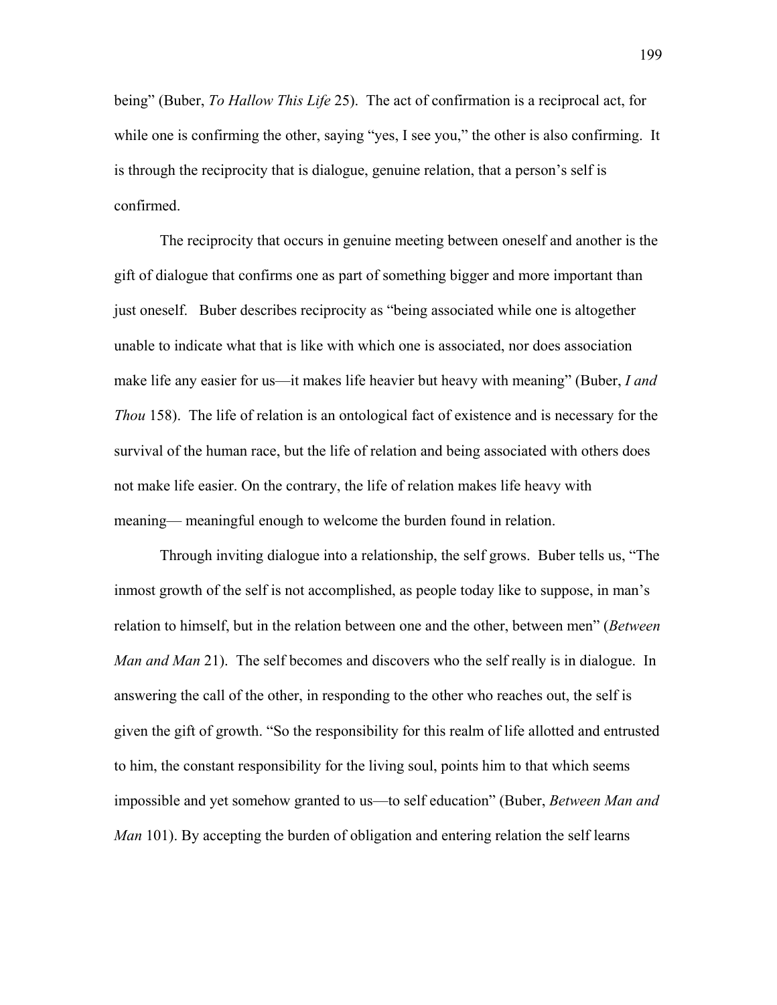being" (Buber, *To Hallow This Life* 25). The act of confirmation is a reciprocal act, for while one is confirming the other, saying "yes, I see you," the other is also confirming. It is through the reciprocity that is dialogue, genuine relation, that a person's self is confirmed.

The reciprocity that occurs in genuine meeting between oneself and another is the gift of dialogue that confirms one as part of something bigger and more important than just oneself. Buber describes reciprocity as "being associated while one is altogether unable to indicate what that is like with which one is associated, nor does association make life any easier for us—it makes life heavier but heavy with meaning" (Buber, *I and Thou* 158). The life of relation is an ontological fact of existence and is necessary for the survival of the human race, but the life of relation and being associated with others does not make life easier. On the contrary, the life of relation makes life heavy with meaning— meaningful enough to welcome the burden found in relation.

Through inviting dialogue into a relationship, the self grows. Buber tells us, "The inmost growth of the self is not accomplished, as people today like to suppose, in man's relation to himself, but in the relation between one and the other, between men" (*Between Man and Man* 21). The self becomes and discovers who the self really is in dialogue. In answering the call of the other, in responding to the other who reaches out, the self is given the gift of growth. "So the responsibility for this realm of life allotted and entrusted to him, the constant responsibility for the living soul, points him to that which seems impossible and yet somehow granted to us—to self education" (Buber, *Between Man and Man* 101). By accepting the burden of obligation and entering relation the self learns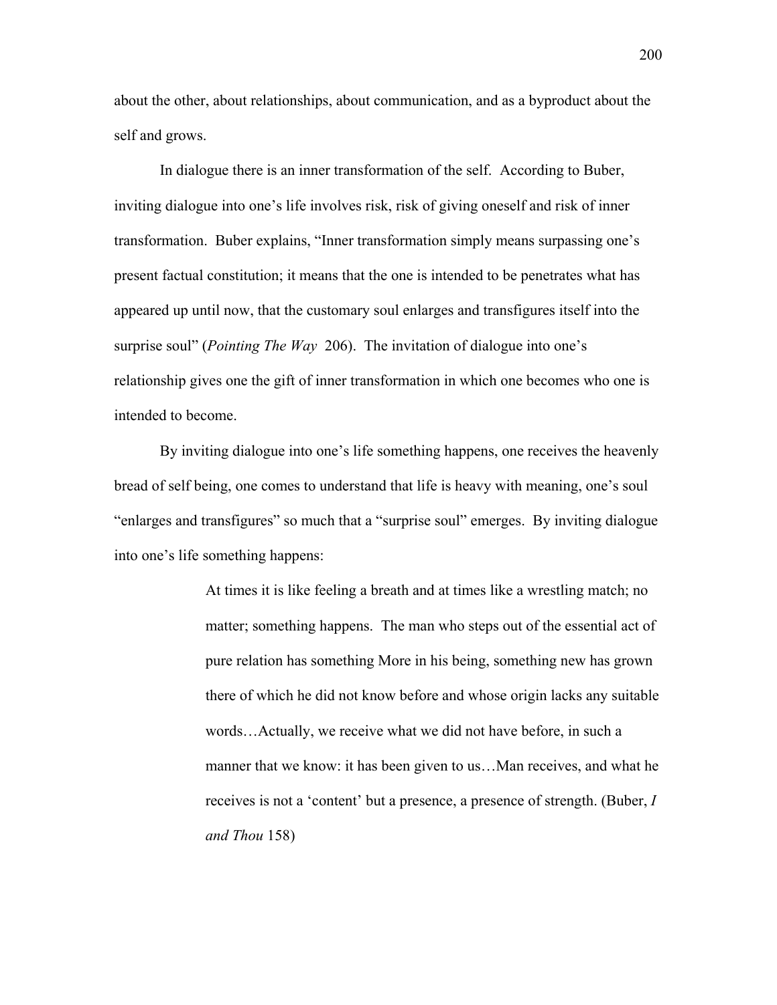about the other, about relationships, about communication, and as a byproduct about the self and grows.

In dialogue there is an inner transformation of the self. According to Buber, inviting dialogue into one's life involves risk, risk of giving oneself and risk of inner transformation. Buber explains, "Inner transformation simply means surpassing one's present factual constitution; it means that the one is intended to be penetrates what has appeared up until now, that the customary soul enlarges and transfigures itself into the surprise soul" (*Pointing The Way* 206). The invitation of dialogue into one's relationship gives one the gift of inner transformation in which one becomes who one is intended to become.

 By inviting dialogue into one's life something happens, one receives the heavenly bread of self being, one comes to understand that life is heavy with meaning, one's soul "enlarges and transfigures" so much that a "surprise soul" emerges. By inviting dialogue into one's life something happens:

> At times it is like feeling a breath and at times like a wrestling match; no matter; something happens. The man who steps out of the essential act of pure relation has something More in his being, something new has grown there of which he did not know before and whose origin lacks any suitable words…Actually, we receive what we did not have before, in such a manner that we know: it has been given to us…Man receives, and what he receives is not a 'content' but a presence, a presence of strength. (Buber, *I and Thou* 158)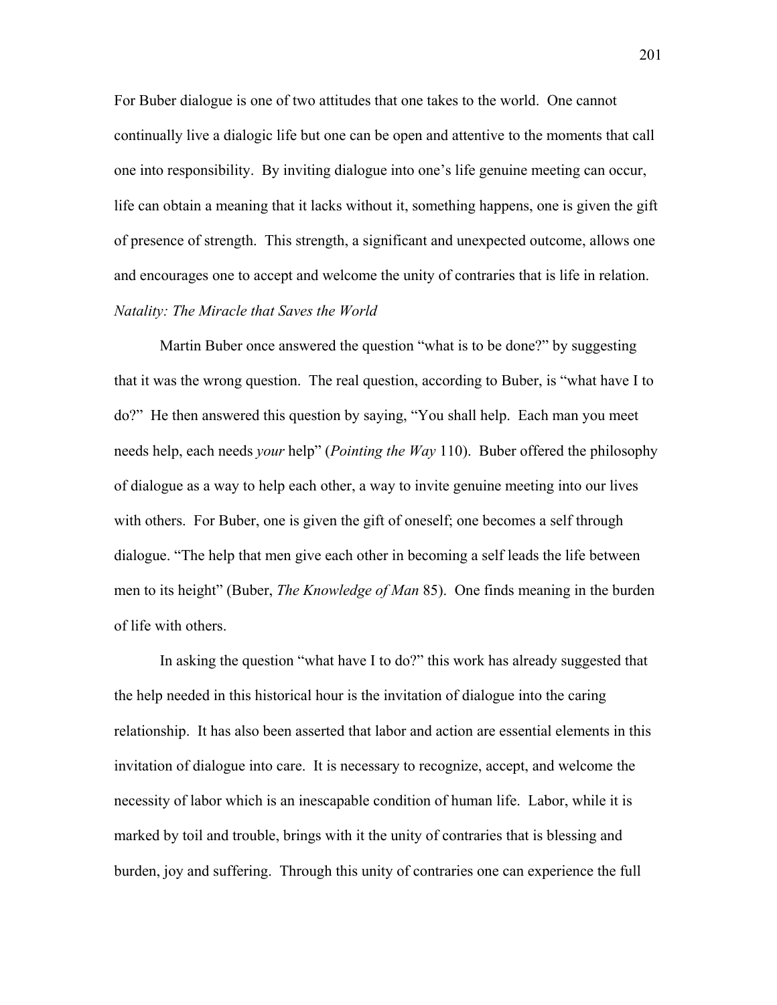For Buber dialogue is one of two attitudes that one takes to the world. One cannot continually live a dialogic life but one can be open and attentive to the moments that call one into responsibility. By inviting dialogue into one's life genuine meeting can occur, life can obtain a meaning that it lacks without it, something happens, one is given the gift of presence of strength. This strength, a significant and unexpected outcome, allows one and encourages one to accept and welcome the unity of contraries that is life in relation. *Natality: The Miracle that Saves the World* 

 Martin Buber once answered the question "what is to be done?" by suggesting that it was the wrong question. The real question, according to Buber, is "what have I to do?" He then answered this question by saying, "You shall help. Each man you meet needs help, each needs *your* help" (*Pointing the Way* 110). Buber offered the philosophy of dialogue as a way to help each other, a way to invite genuine meeting into our lives with others. For Buber, one is given the gift of oneself; one becomes a self through dialogue. "The help that men give each other in becoming a self leads the life between men to its height" (Buber, *The Knowledge of Man* 85). One finds meaning in the burden of life with others.

 In asking the question "what have I to do?" this work has already suggested that the help needed in this historical hour is the invitation of dialogue into the caring relationship. It has also been asserted that labor and action are essential elements in this invitation of dialogue into care. It is necessary to recognize, accept, and welcome the necessity of labor which is an inescapable condition of human life. Labor, while it is marked by toil and trouble, brings with it the unity of contraries that is blessing and burden, joy and suffering. Through this unity of contraries one can experience the full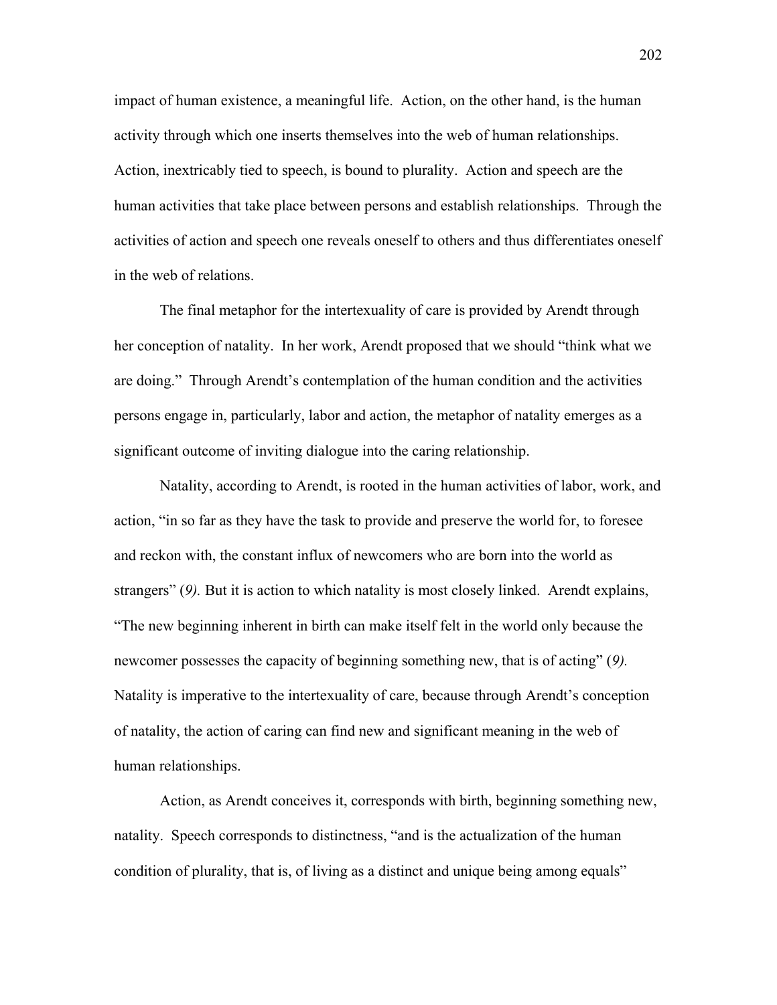impact of human existence, a meaningful life. Action, on the other hand, is the human activity through which one inserts themselves into the web of human relationships. Action, inextricably tied to speech, is bound to plurality. Action and speech are the human activities that take place between persons and establish relationships. Through the activities of action and speech one reveals oneself to others and thus differentiates oneself in the web of relations.

The final metaphor for the intertexuality of care is provided by Arendt through her conception of natality. In her work, Arendt proposed that we should "think what we are doing." Through Arendt's contemplation of the human condition and the activities persons engage in, particularly, labor and action, the metaphor of natality emerges as a significant outcome of inviting dialogue into the caring relationship.

Natality, according to Arendt, is rooted in the human activities of labor, work, and action, "in so far as they have the task to provide and preserve the world for, to foresee and reckon with, the constant influx of newcomers who are born into the world as strangers" (*9).* But it is action to which natality is most closely linked. Arendt explains, "The new beginning inherent in birth can make itself felt in the world only because the newcomer possesses the capacity of beginning something new, that is of acting" (*9).* Natality is imperative to the intertexuality of care, because through Arendt's conception of natality, the action of caring can find new and significant meaning in the web of human relationships.

Action, as Arendt conceives it, corresponds with birth, beginning something new, natality. Speech corresponds to distinctness, "and is the actualization of the human condition of plurality, that is, of living as a distinct and unique being among equals"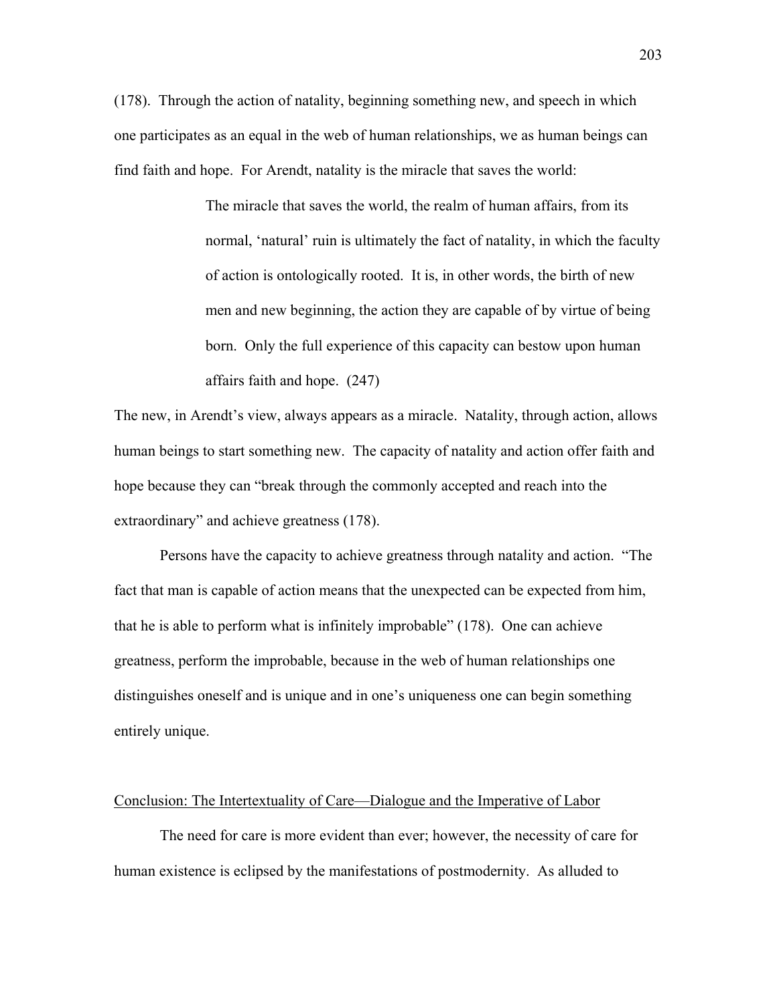(178). Through the action of natality, beginning something new, and speech in which one participates as an equal in the web of human relationships, we as human beings can find faith and hope. For Arendt, natality is the miracle that saves the world:

> The miracle that saves the world, the realm of human affairs, from its normal, 'natural' ruin is ultimately the fact of natality, in which the faculty of action is ontologically rooted. It is, in other words, the birth of new men and new beginning, the action they are capable of by virtue of being born. Only the full experience of this capacity can bestow upon human affairs faith and hope. (247)

The new, in Arendt's view, always appears as a miracle. Natality, through action, allows human beings to start something new. The capacity of natality and action offer faith and hope because they can "break through the commonly accepted and reach into the extraordinary" and achieve greatness (178).

 Persons have the capacity to achieve greatness through natality and action. "The fact that man is capable of action means that the unexpected can be expected from him, that he is able to perform what is infinitely improbable" (178). One can achieve greatness, perform the improbable, because in the web of human relationships one distinguishes oneself and is unique and in one's uniqueness one can begin something entirely unique.

# Conclusion: The Intertextuality of Care—Dialogue and the Imperative of Labor

The need for care is more evident than ever; however, the necessity of care for human existence is eclipsed by the manifestations of postmodernity. As alluded to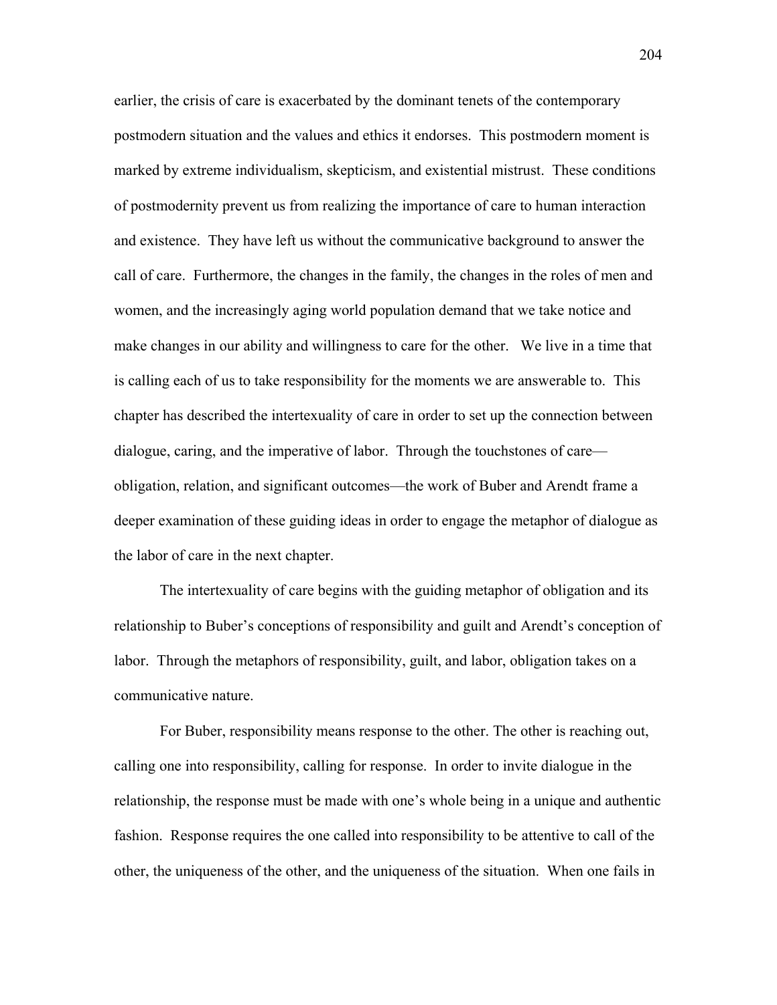earlier, the crisis of care is exacerbated by the dominant tenets of the contemporary postmodern situation and the values and ethics it endorses. This postmodern moment is marked by extreme individualism, skepticism, and existential mistrust. These conditions of postmodernity prevent us from realizing the importance of care to human interaction and existence. They have left us without the communicative background to answer the call of care. Furthermore, the changes in the family, the changes in the roles of men and women, and the increasingly aging world population demand that we take notice and make changes in our ability and willingness to care for the other. We live in a time that is calling each of us to take responsibility for the moments we are answerable to. This chapter has described the intertexuality of care in order to set up the connection between dialogue, caring, and the imperative of labor. Through the touchstones of care obligation, relation, and significant outcomes—the work of Buber and Arendt frame a deeper examination of these guiding ideas in order to engage the metaphor of dialogue as the labor of care in the next chapter.

The intertexuality of care begins with the guiding metaphor of obligation and its relationship to Buber's conceptions of responsibility and guilt and Arendt's conception of labor. Through the metaphors of responsibility, guilt, and labor, obligation takes on a communicative nature.

For Buber, responsibility means response to the other. The other is reaching out, calling one into responsibility, calling for response. In order to invite dialogue in the relationship, the response must be made with one's whole being in a unique and authentic fashion. Response requires the one called into responsibility to be attentive to call of the other, the uniqueness of the other, and the uniqueness of the situation. When one fails in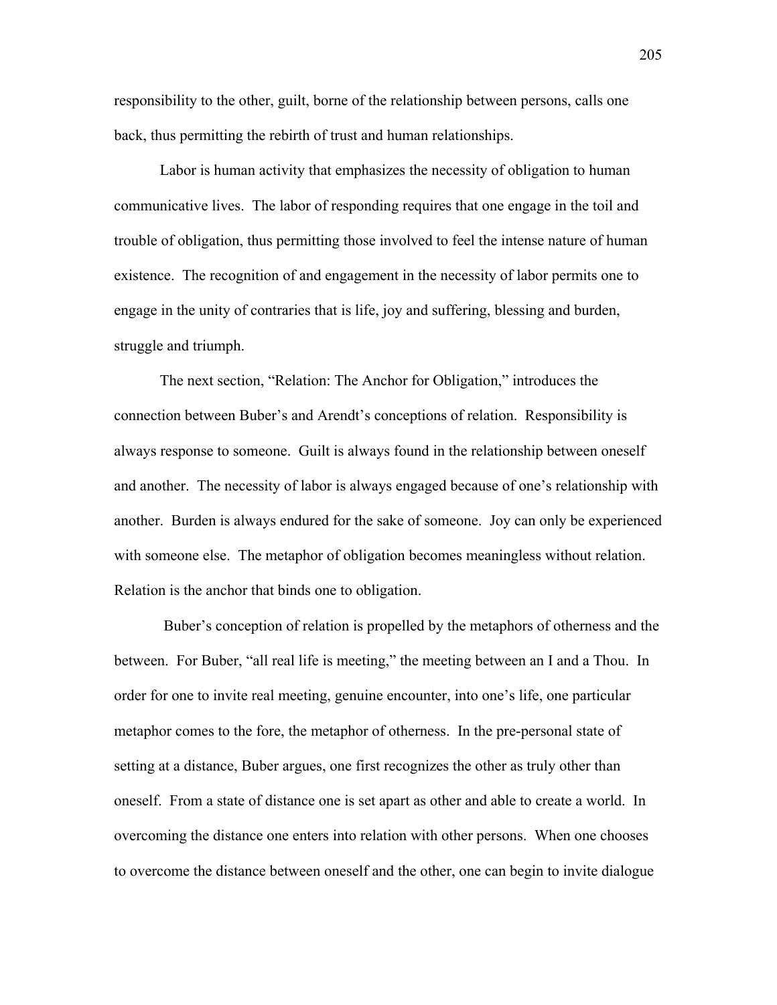responsibility to the other, guilt, borne of the relationship between persons, calls one back, thus permitting the rebirth of trust and human relationships.

Labor is human activity that emphasizes the necessity of obligation to human communicative lives. The labor of responding requires that one engage in the toil and trouble of obligation, thus permitting those involved to feel the intense nature of human existence. The recognition of and engagement in the necessity of labor permits one to engage in the unity of contraries that is life, joy and suffering, blessing and burden, struggle and triumph.

 The next section, "Relation: The Anchor for Obligation," introduces the connection between Buber's and Arendt's conceptions of relation. Responsibility is always response to someone. Guilt is always found in the relationship between oneself and another. The necessity of labor is always engaged because of one's relationship with another. Burden is always endured for the sake of someone. Joy can only be experienced with someone else. The metaphor of obligation becomes meaningless without relation. Relation is the anchor that binds one to obligation.

 Buber's conception of relation is propelled by the metaphors of otherness and the between. For Buber, "all real life is meeting," the meeting between an I and a Thou. In order for one to invite real meeting, genuine encounter, into one's life, one particular metaphor comes to the fore, the metaphor of otherness. In the pre-personal state of setting at a distance, Buber argues, one first recognizes the other as truly other than oneself. From a state of distance one is set apart as other and able to create a world. In overcoming the distance one enters into relation with other persons. When one chooses to overcome the distance between oneself and the other, one can begin to invite dialogue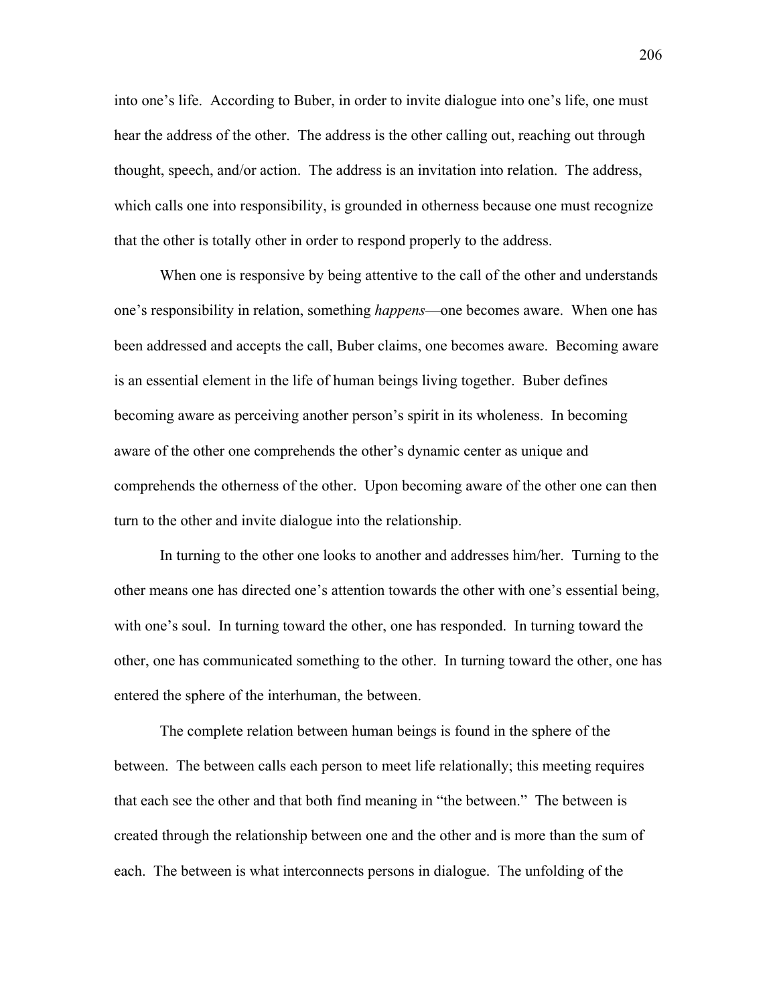into one's life. According to Buber, in order to invite dialogue into one's life, one must hear the address of the other. The address is the other calling out, reaching out through thought, speech, and/or action. The address is an invitation into relation. The address, which calls one into responsibility, is grounded in otherness because one must recognize that the other is totally other in order to respond properly to the address.

When one is responsive by being attentive to the call of the other and understands one's responsibility in relation, something *happens*—one becomes aware. When one has been addressed and accepts the call, Buber claims, one becomes aware. Becoming aware is an essential element in the life of human beings living together. Buber defines becoming aware as perceiving another person's spirit in its wholeness. In becoming aware of the other one comprehends the other's dynamic center as unique and comprehends the otherness of the other. Upon becoming aware of the other one can then turn to the other and invite dialogue into the relationship.

In turning to the other one looks to another and addresses him/her. Turning to the other means one has directed one's attention towards the other with one's essential being, with one's soul. In turning toward the other, one has responded. In turning toward the other, one has communicated something to the other. In turning toward the other, one has entered the sphere of the interhuman, the between.

The complete relation between human beings is found in the sphere of the between. The between calls each person to meet life relationally; this meeting requires that each see the other and that both find meaning in "the between." The between is created through the relationship between one and the other and is more than the sum of each. The between is what interconnects persons in dialogue. The unfolding of the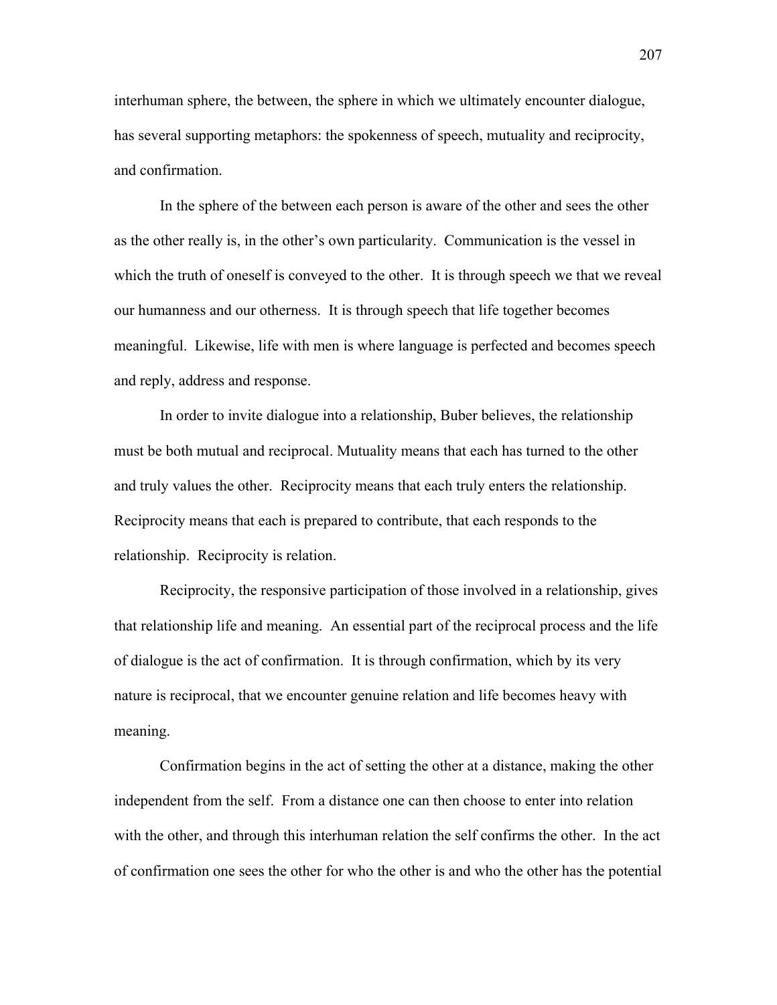interhuman sphere, the between, the sphere in which we ultimately encounter dialogue, has several supporting metaphors: the spokenness of speech, mutuality and reciprocity, and confirmation.

In the sphere of the between each person is aware of the other and sees the other as the other really is, in the other's own particularity. Communication is the vessel in which the truth of oneself is conveyed to the other. It is through speech we that we reveal our humanness and our otherness. It is through speech that life together becomes meaningful. Likewise, life with men is where language is perfected and becomes speech and reply, address and response.

In order to invite dialogue into a relationship, Buber believes, the relationship must be both mutual and reciprocal. Mutuality means that each has turned to the other and truly values the other. Reciprocity means that each truly enters the relationship. Reciprocity means that each is prepared to contribute, that each responds to the relationship. Reciprocity is relation.

Reciprocity, the responsive participation of those involved in a relationship, gives that relationship life and meaning. An essential part of the reciprocal process and the life of dialogue is the act of confirmation. It is through confirmation, which by its very nature is reciprocal, that we encounter genuine relation and life becomes heavy with meaning.

Confirmation begins in the act of setting the other at a distance, making the other independent from the self. From a distance one can then choose to enter into relation with the other, and through this interhuman relation the self confirms the other. In the act of confirmation one sees the other for who the other is and who the other has the potential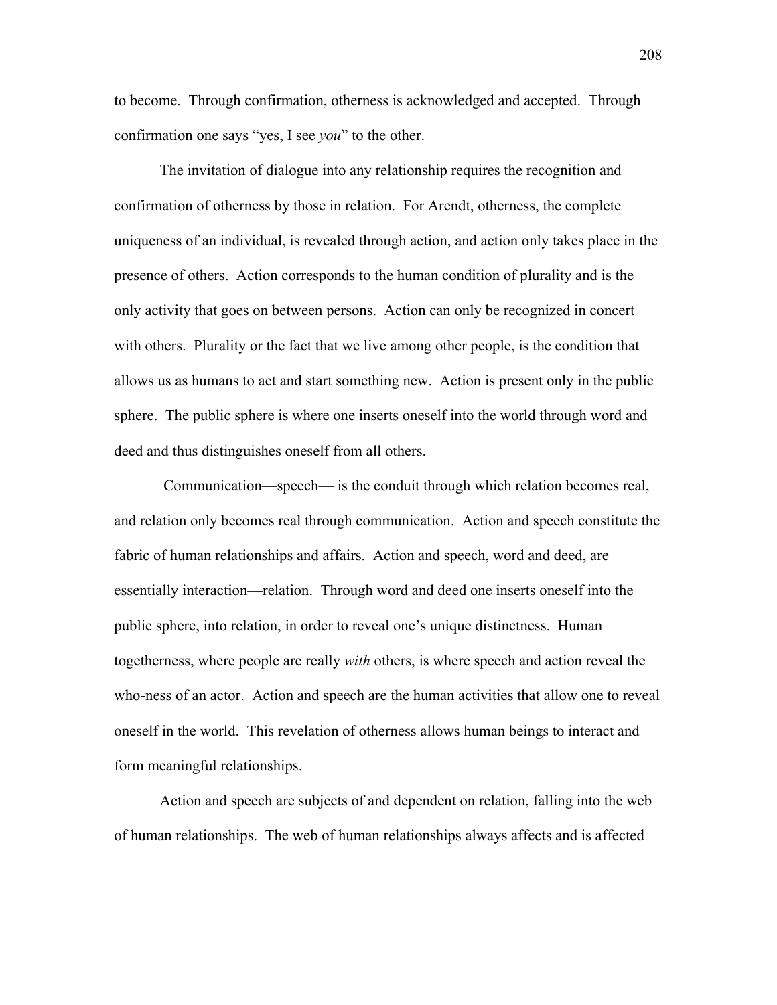to become. Through confirmation, otherness is acknowledged and accepted. Through confirmation one says "yes, I see *you*" to the other.

The invitation of dialogue into any relationship requires the recognition and confirmation of otherness by those in relation. For Arendt, otherness, the complete uniqueness of an individual, is revealed through action, and action only takes place in the presence of others. Action corresponds to the human condition of plurality and is the only activity that goes on between persons. Action can only be recognized in concert with others. Plurality or the fact that we live among other people, is the condition that allows us as humans to act and start something new. Action is present only in the public sphere. The public sphere is where one inserts oneself into the world through word and deed and thus distinguishes oneself from all others.

 Communication—speech— is the conduit through which relation becomes real, and relation only becomes real through communication. Action and speech constitute the fabric of human relationships and affairs. Action and speech, word and deed, are essentially interaction—relation. Through word and deed one inserts oneself into the public sphere, into relation, in order to reveal one's unique distinctness. Human togetherness, where people are really *with* others, is where speech and action reveal the who-ness of an actor. Action and speech are the human activities that allow one to reveal oneself in the world. This revelation of otherness allows human beings to interact and form meaningful relationships.

Action and speech are subjects of and dependent on relation, falling into the web of human relationships. The web of human relationships always affects and is affected

208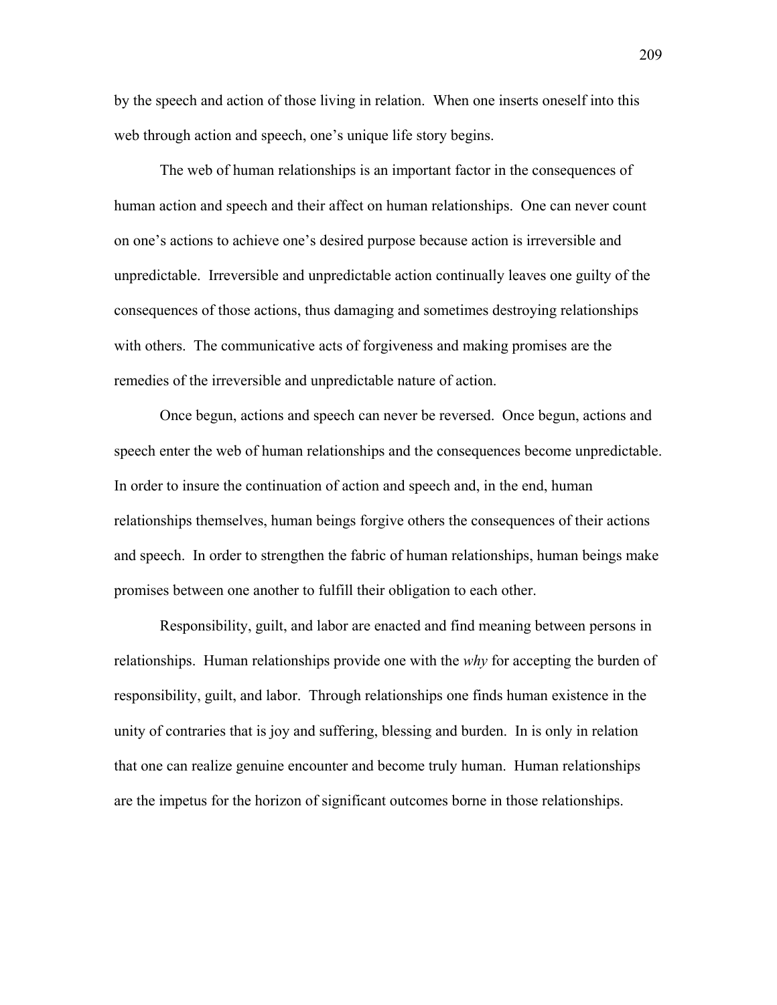by the speech and action of those living in relation. When one inserts oneself into this web through action and speech, one's unique life story begins.

The web of human relationships is an important factor in the consequences of human action and speech and their affect on human relationships. One can never count on one's actions to achieve one's desired purpose because action is irreversible and unpredictable. Irreversible and unpredictable action continually leaves one guilty of the consequences of those actions, thus damaging and sometimes destroying relationships with others. The communicative acts of forgiveness and making promises are the remedies of the irreversible and unpredictable nature of action.

Once begun, actions and speech can never be reversed. Once begun, actions and speech enter the web of human relationships and the consequences become unpredictable. In order to insure the continuation of action and speech and, in the end, human relationships themselves, human beings forgive others the consequences of their actions and speech. In order to strengthen the fabric of human relationships, human beings make promises between one another to fulfill their obligation to each other.

Responsibility, guilt, and labor are enacted and find meaning between persons in relationships. Human relationships provide one with the *why* for accepting the burden of responsibility, guilt, and labor. Through relationships one finds human existence in the unity of contraries that is joy and suffering, blessing and burden. In is only in relation that one can realize genuine encounter and become truly human. Human relationships are the impetus for the horizon of significant outcomes borne in those relationships.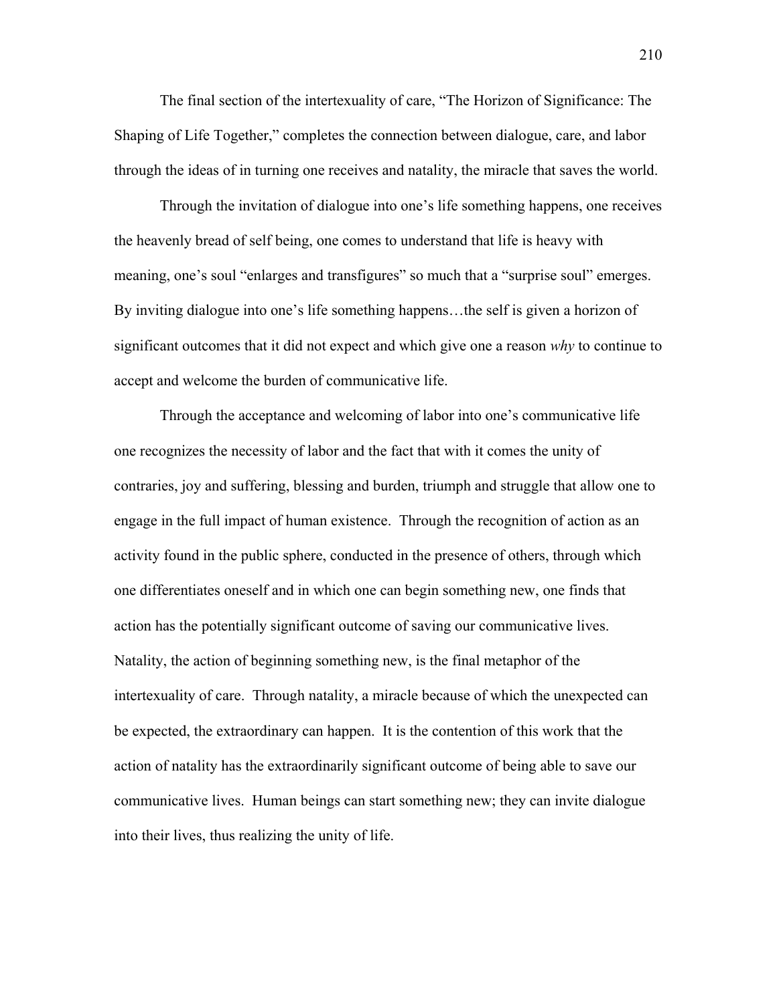The final section of the intertexuality of care, "The Horizon of Significance: The Shaping of Life Together," completes the connection between dialogue, care, and labor through the ideas of in turning one receives and natality, the miracle that saves the world.

 Through the invitation of dialogue into one's life something happens, one receives the heavenly bread of self being, one comes to understand that life is heavy with meaning, one's soul "enlarges and transfigures" so much that a "surprise soul" emerges. By inviting dialogue into one's life something happens…the self is given a horizon of significant outcomes that it did not expect and which give one a reason *why* to continue to accept and welcome the burden of communicative life.

 Through the acceptance and welcoming of labor into one's communicative life one recognizes the necessity of labor and the fact that with it comes the unity of contraries, joy and suffering, blessing and burden, triumph and struggle that allow one to engage in the full impact of human existence. Through the recognition of action as an activity found in the public sphere, conducted in the presence of others, through which one differentiates oneself and in which one can begin something new, one finds that action has the potentially significant outcome of saving our communicative lives. Natality, the action of beginning something new, is the final metaphor of the intertexuality of care. Through natality, a miracle because of which the unexpected can be expected, the extraordinary can happen. It is the contention of this work that the action of natality has the extraordinarily significant outcome of being able to save our communicative lives. Human beings can start something new; they can invite dialogue into their lives, thus realizing the unity of life.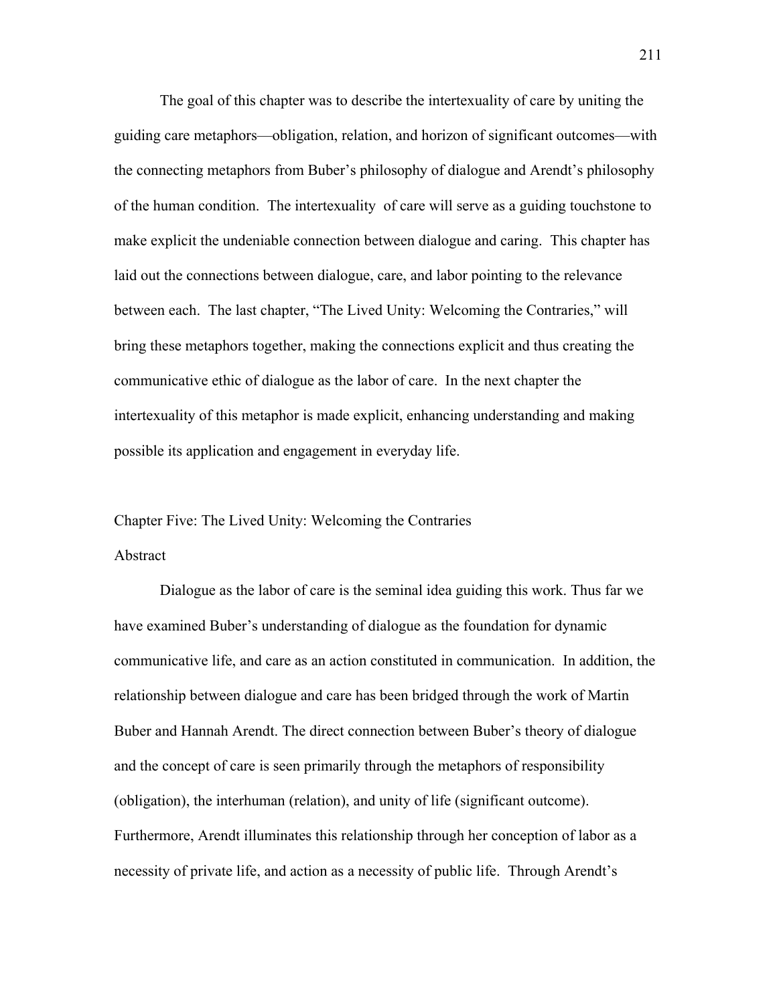The goal of this chapter was to describe the intertexuality of care by uniting the guiding care metaphors—obligation, relation, and horizon of significant outcomes—with the connecting metaphors from Buber's philosophy of dialogue and Arendt's philosophy of the human condition. The intertexuality of care will serve as a guiding touchstone to make explicit the undeniable connection between dialogue and caring. This chapter has laid out the connections between dialogue, care, and labor pointing to the relevance between each. The last chapter, "The Lived Unity: Welcoming the Contraries," will bring these metaphors together, making the connections explicit and thus creating the communicative ethic of dialogue as the labor of care. In the next chapter the intertexuality of this metaphor is made explicit, enhancing understanding and making possible its application and engagement in everyday life.

#### Chapter Five: The Lived Unity: Welcoming the Contraries

#### Abstract

Dialogue as the labor of care is the seminal idea guiding this work. Thus far we have examined Buber's understanding of dialogue as the foundation for dynamic communicative life, and care as an action constituted in communication. In addition, the relationship between dialogue and care has been bridged through the work of Martin Buber and Hannah Arendt. The direct connection between Buber's theory of dialogue and the concept of care is seen primarily through the metaphors of responsibility (obligation), the interhuman (relation), and unity of life (significant outcome). Furthermore, Arendt illuminates this relationship through her conception of labor as a necessity of private life, and action as a necessity of public life. Through Arendt's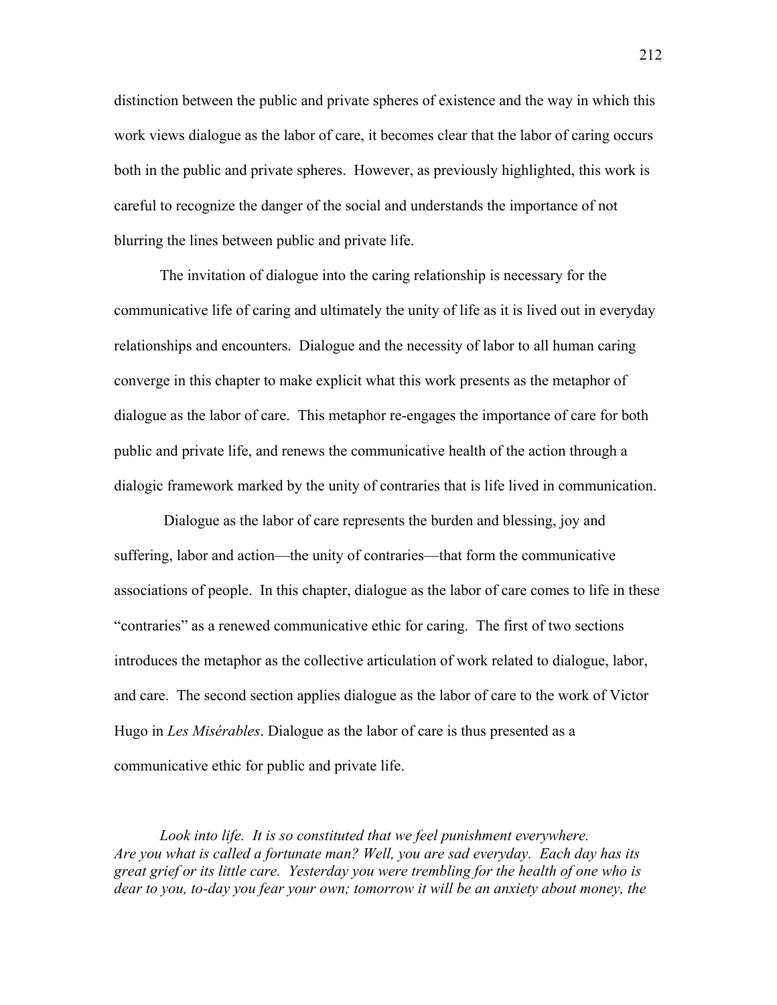distinction between the public and private spheres of existence and the way in which this work views dialogue as the labor of care, it becomes clear that the labor of caring occurs both in the public and private spheres. However, as previously highlighted, this work is careful to recognize the danger of the social and understands the importance of not blurring the lines between public and private life.

The invitation of dialogue into the caring relationship is necessary for the communicative life of caring and ultimately the unity of life as it is lived out in everyday relationships and encounters. Dialogue and the necessity of labor to all human caring converge in this chapter to make explicit what this work presents as the metaphor of dialogue as the labor of care. This metaphor re-engages the importance of care for both public and private life, and renews the communicative health of the action through a dialogic framework marked by the unity of contraries that is life lived in communication.

 Dialogue as the labor of care represents the burden and blessing, joy and suffering, labor and action—the unity of contraries—that form the communicative associations of people. In this chapter, dialogue as the labor of care comes to life in these "contraries" as a renewed communicative ethic for caring. The first of two sections introduces the metaphor as the collective articulation of work related to dialogue, labor, and care. The second section applies dialogue as the labor of care to the work of Victor Hugo in *Les Misérables*. Dialogue as the labor of care is thus presented as a communicative ethic for public and private life.

Look into life. It is so constituted that we feel punishment everywhere. *Are you what is called a fortunate man? Well, you are sad everyday. Each day has its great grief or its little care. Yesterday you were trembling for the health of one who is dear to you, to-day you fear your own; tomorrow it will be an anxiety about money, the*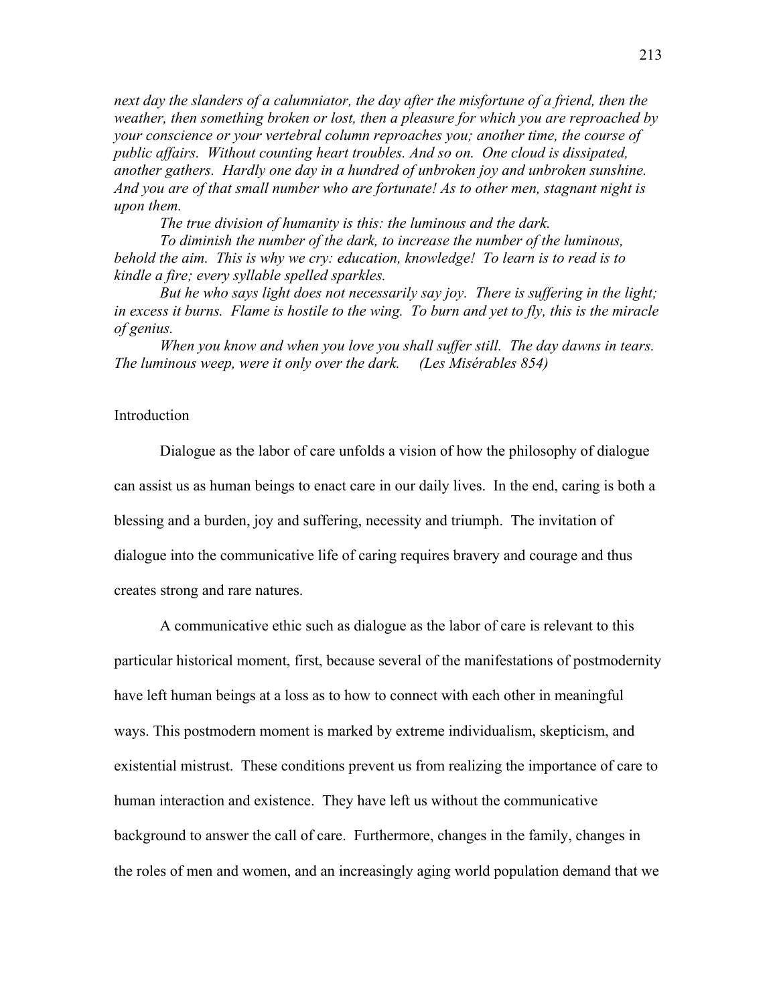*next day the slanders of a calumniator, the day after the misfortune of a friend, then the weather, then something broken or lost, then a pleasure for which you are reproached by your conscience or your vertebral column reproaches you; another time, the course of public affairs. Without counting heart troubles. And so on. One cloud is dissipated, another gathers. Hardly one day in a hundred of unbroken joy and unbroken sunshine. And you are of that small number who are fortunate! As to other men, stagnant night is upon them.* 

 *The true division of humanity is this: the luminous and the dark.* 

 *To diminish the number of the dark, to increase the number of the luminous, behold the aim. This is why we cry: education, knowledge! To learn is to read is to kindle a fire; every syllable spelled sparkles.* 

 *But he who says light does not necessarily say joy. There is suffering in the light; in excess it burns. Flame is hostile to the wing. To burn and yet to fly, this is the miracle of genius.* 

 *When you know and when you love you shall suffer still. The day dawns in tears. The luminous weep, were it only over the dark. (Les Misérables 854)* 

## **Introduction**

Dialogue as the labor of care unfolds a vision of how the philosophy of dialogue can assist us as human beings to enact care in our daily lives. In the end, caring is both a blessing and a burden, joy and suffering, necessity and triumph. The invitation of dialogue into the communicative life of caring requires bravery and courage and thus creates strong and rare natures.

A communicative ethic such as dialogue as the labor of care is relevant to this particular historical moment, first, because several of the manifestations of postmodernity have left human beings at a loss as to how to connect with each other in meaningful ways. This postmodern moment is marked by extreme individualism, skepticism, and existential mistrust. These conditions prevent us from realizing the importance of care to human interaction and existence. They have left us without the communicative background to answer the call of care. Furthermore, changes in the family, changes in the roles of men and women, and an increasingly aging world population demand that we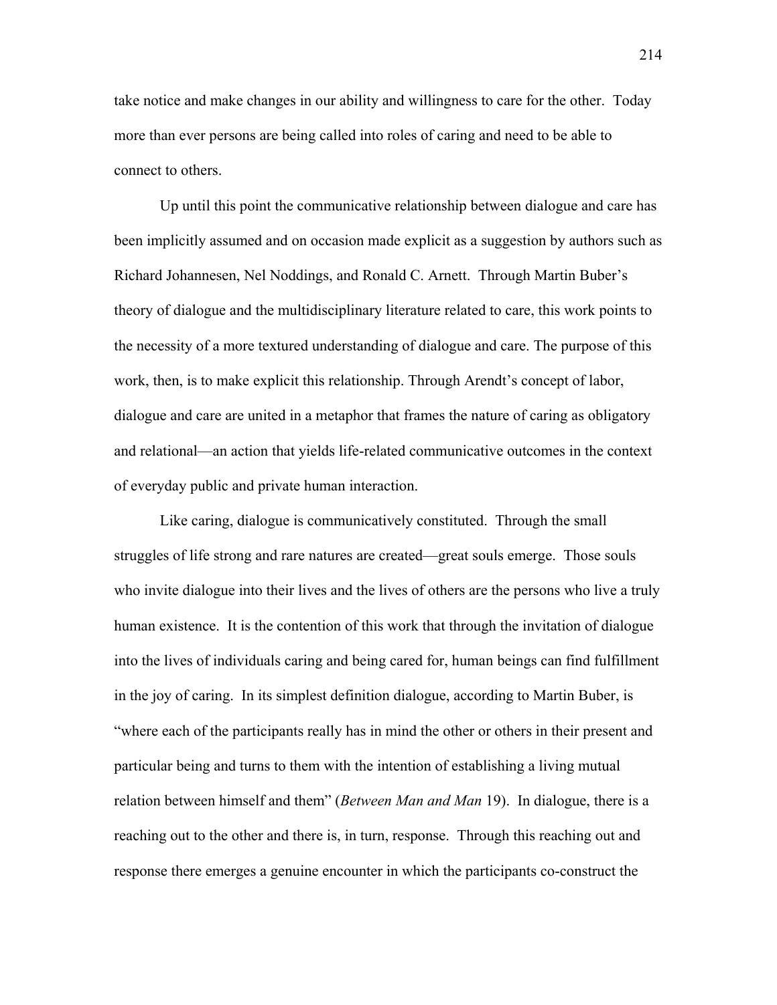take notice and make changes in our ability and willingness to care for the other. Today more than ever persons are being called into roles of caring and need to be able to connect to others.

Up until this point the communicative relationship between dialogue and care has been implicitly assumed and on occasion made explicit as a suggestion by authors such as Richard Johannesen, Nel Noddings, and Ronald C. Arnett. Through Martin Buber's theory of dialogue and the multidisciplinary literature related to care, this work points to the necessity of a more textured understanding of dialogue and care. The purpose of this work, then, is to make explicit this relationship. Through Arendt's concept of labor, dialogue and care are united in a metaphor that frames the nature of caring as obligatory and relational—an action that yields life-related communicative outcomes in the context of everyday public and private human interaction.

Like caring, dialogue is communicatively constituted. Through the small struggles of life strong and rare natures are created—great souls emerge. Those souls who invite dialogue into their lives and the lives of others are the persons who live a truly human existence. It is the contention of this work that through the invitation of dialogue into the lives of individuals caring and being cared for, human beings can find fulfillment in the joy of caring. In its simplest definition dialogue, according to Martin Buber, is "where each of the participants really has in mind the other or others in their present and particular being and turns to them with the intention of establishing a living mutual relation between himself and them" (*Between Man and Man* 19). In dialogue, there is a reaching out to the other and there is, in turn, response. Through this reaching out and response there emerges a genuine encounter in which the participants co-construct the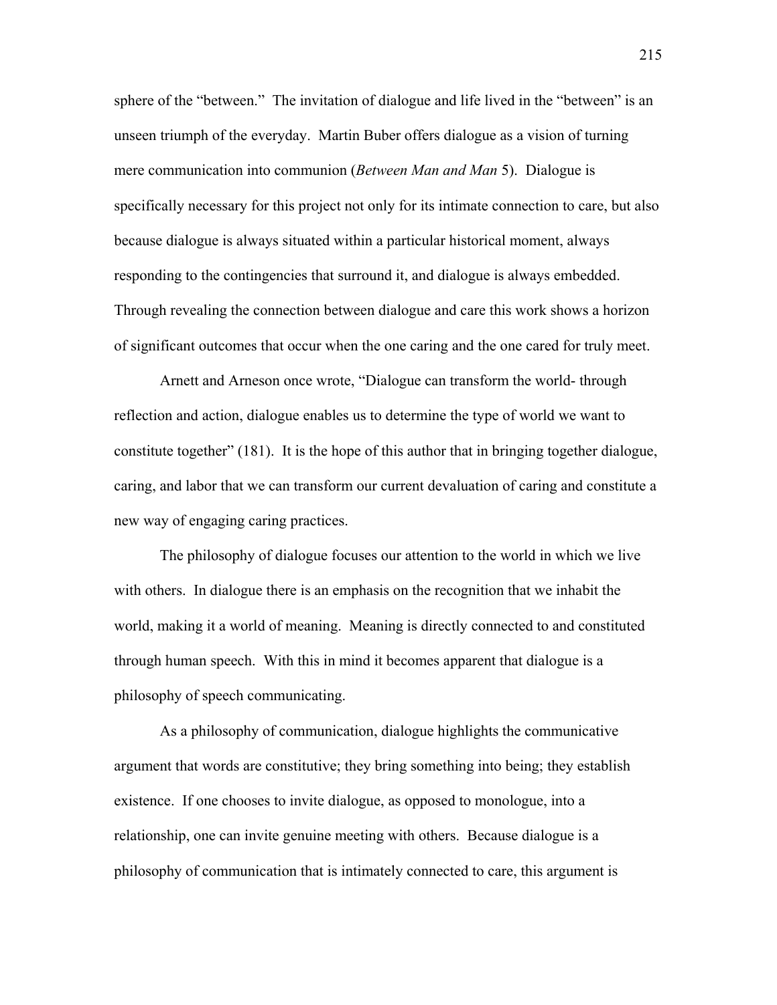sphere of the "between." The invitation of dialogue and life lived in the "between" is an unseen triumph of the everyday. Martin Buber offers dialogue as a vision of turning mere communication into communion (*Between Man and Man* 5). Dialogue is specifically necessary for this project not only for its intimate connection to care, but also because dialogue is always situated within a particular historical moment, always responding to the contingencies that surround it, and dialogue is always embedded. Through revealing the connection between dialogue and care this work shows a horizon of significant outcomes that occur when the one caring and the one cared for truly meet.

Arnett and Arneson once wrote, "Dialogue can transform the world- through reflection and action, dialogue enables us to determine the type of world we want to constitute together" (181). It is the hope of this author that in bringing together dialogue, caring, and labor that we can transform our current devaluation of caring and constitute a new way of engaging caring practices.

The philosophy of dialogue focuses our attention to the world in which we live with others. In dialogue there is an emphasis on the recognition that we inhabit the world, making it a world of meaning. Meaning is directly connected to and constituted through human speech. With this in mind it becomes apparent that dialogue is a philosophy of speech communicating.

As a philosophy of communication, dialogue highlights the communicative argument that words are constitutive; they bring something into being; they establish existence. If one chooses to invite dialogue, as opposed to monologue, into a relationship, one can invite genuine meeting with others. Because dialogue is a philosophy of communication that is intimately connected to care, this argument is

215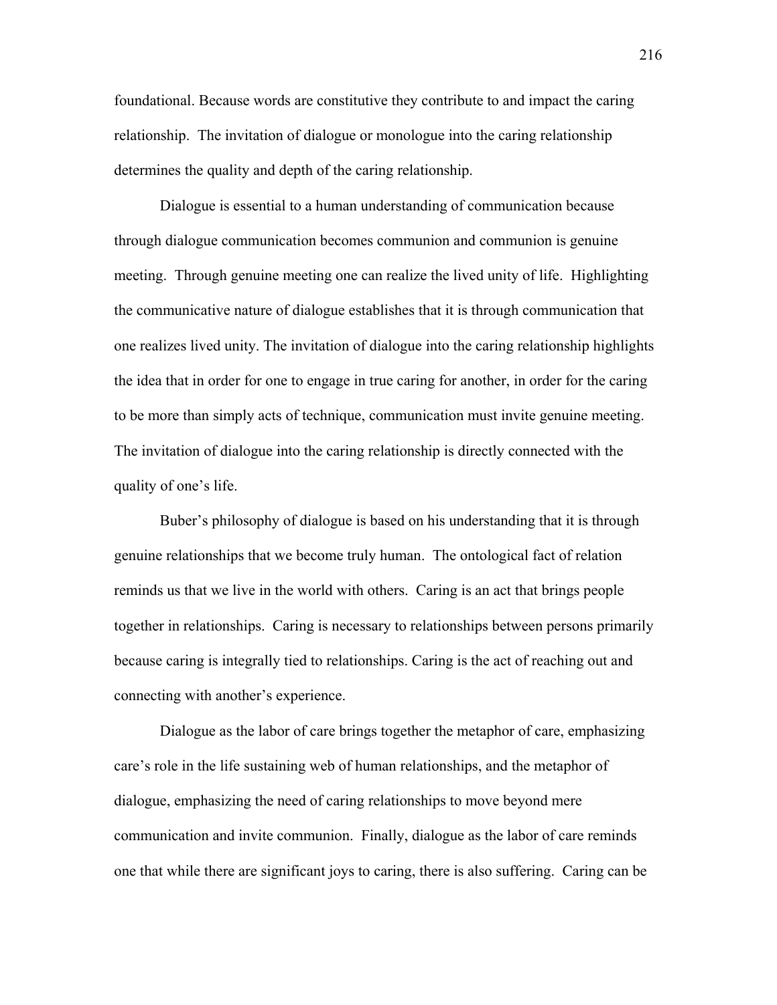foundational. Because words are constitutive they contribute to and impact the caring relationship. The invitation of dialogue or monologue into the caring relationship determines the quality and depth of the caring relationship.

 Dialogue is essential to a human understanding of communication because through dialogue communication becomes communion and communion is genuine meeting. Through genuine meeting one can realize the lived unity of life. Highlighting the communicative nature of dialogue establishes that it is through communication that one realizes lived unity. The invitation of dialogue into the caring relationship highlights the idea that in order for one to engage in true caring for another, in order for the caring to be more than simply acts of technique, communication must invite genuine meeting. The invitation of dialogue into the caring relationship is directly connected with the quality of one's life.

Buber's philosophy of dialogue is based on his understanding that it is through genuine relationships that we become truly human. The ontological fact of relation reminds us that we live in the world with others. Caring is an act that brings people together in relationships. Caring is necessary to relationships between persons primarily because caring is integrally tied to relationships. Caring is the act of reaching out and connecting with another's experience.

Dialogue as the labor of care brings together the metaphor of care, emphasizing care's role in the life sustaining web of human relationships, and the metaphor of dialogue, emphasizing the need of caring relationships to move beyond mere communication and invite communion. Finally, dialogue as the labor of care reminds one that while there are significant joys to caring, there is also suffering. Caring can be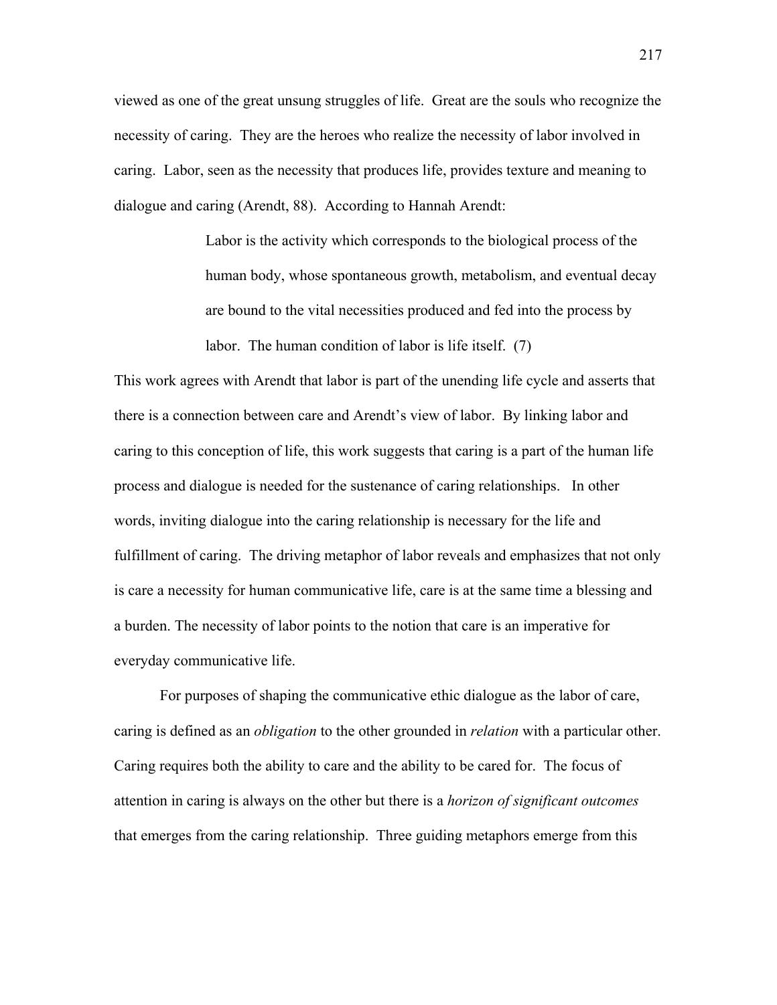viewed as one of the great unsung struggles of life. Great are the souls who recognize the necessity of caring. They are the heroes who realize the necessity of labor involved in caring. Labor, seen as the necessity that produces life, provides texture and meaning to dialogue and caring (Arendt, 88). According to Hannah Arendt:

> Labor is the activity which corresponds to the biological process of the human body, whose spontaneous growth, metabolism, and eventual decay are bound to the vital necessities produced and fed into the process by labor. The human condition of labor is life itself. (7)

This work agrees with Arendt that labor is part of the unending life cycle and asserts that there is a connection between care and Arendt's view of labor. By linking labor and caring to this conception of life, this work suggests that caring is a part of the human life process and dialogue is needed for the sustenance of caring relationships. In other words, inviting dialogue into the caring relationship is necessary for the life and fulfillment of caring. The driving metaphor of labor reveals and emphasizes that not only is care a necessity for human communicative life, care is at the same time a blessing and a burden. The necessity of labor points to the notion that care is an imperative for everyday communicative life.

For purposes of shaping the communicative ethic dialogue as the labor of care, caring is defined as an *obligation* to the other grounded in *relation* with a particular other. Caring requires both the ability to care and the ability to be cared for. The focus of attention in caring is always on the other but there is a *horizon of significant outcomes*  that emerges from the caring relationship. Three guiding metaphors emerge from this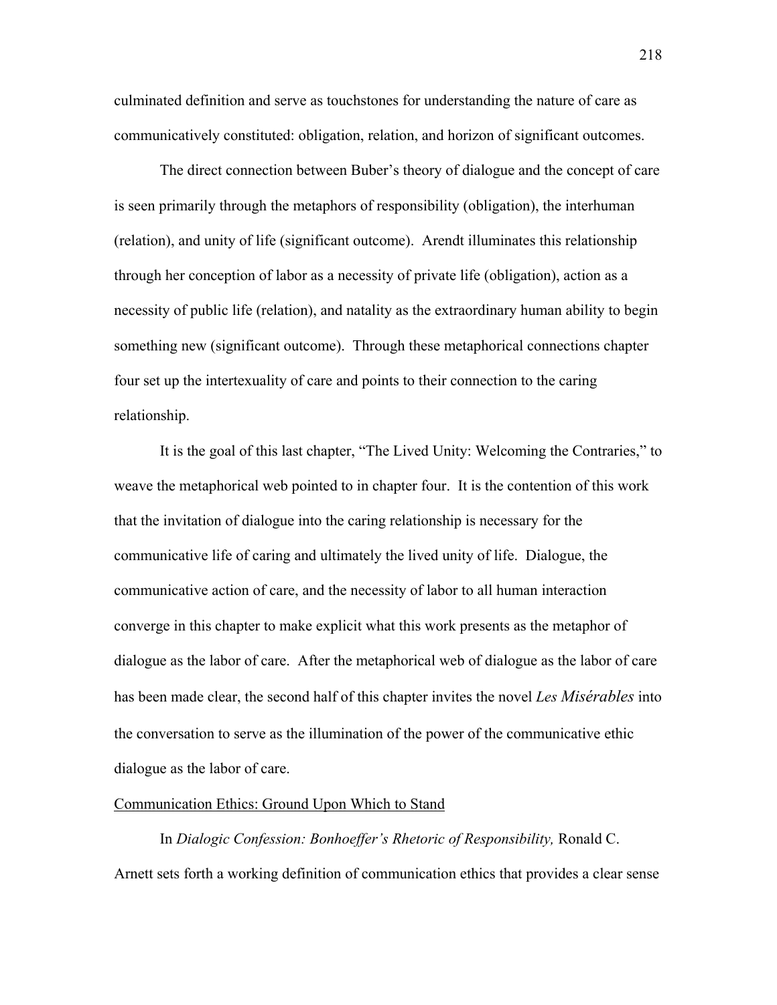culminated definition and serve as touchstones for understanding the nature of care as communicatively constituted: obligation, relation, and horizon of significant outcomes.

The direct connection between Buber's theory of dialogue and the concept of care is seen primarily through the metaphors of responsibility (obligation), the interhuman (relation), and unity of life (significant outcome). Arendt illuminates this relationship through her conception of labor as a necessity of private life (obligation), action as a necessity of public life (relation), and natality as the extraordinary human ability to begin something new (significant outcome). Through these metaphorical connections chapter four set up the intertexuality of care and points to their connection to the caring relationship.

 It is the goal of this last chapter, "The Lived Unity: Welcoming the Contraries," to weave the metaphorical web pointed to in chapter four. It is the contention of this work that the invitation of dialogue into the caring relationship is necessary for the communicative life of caring and ultimately the lived unity of life. Dialogue, the communicative action of care, and the necessity of labor to all human interaction converge in this chapter to make explicit what this work presents as the metaphor of dialogue as the labor of care. After the metaphorical web of dialogue as the labor of care has been made clear, the second half of this chapter invites the novel *Les Misérables* into the conversation to serve as the illumination of the power of the communicative ethic dialogue as the labor of care.

#### Communication Ethics: Ground Upon Which to Stand

 In *Dialogic Confession: Bonhoeffer's Rhetoric of Responsibility,* Ronald C. Arnett sets forth a working definition of communication ethics that provides a clear sense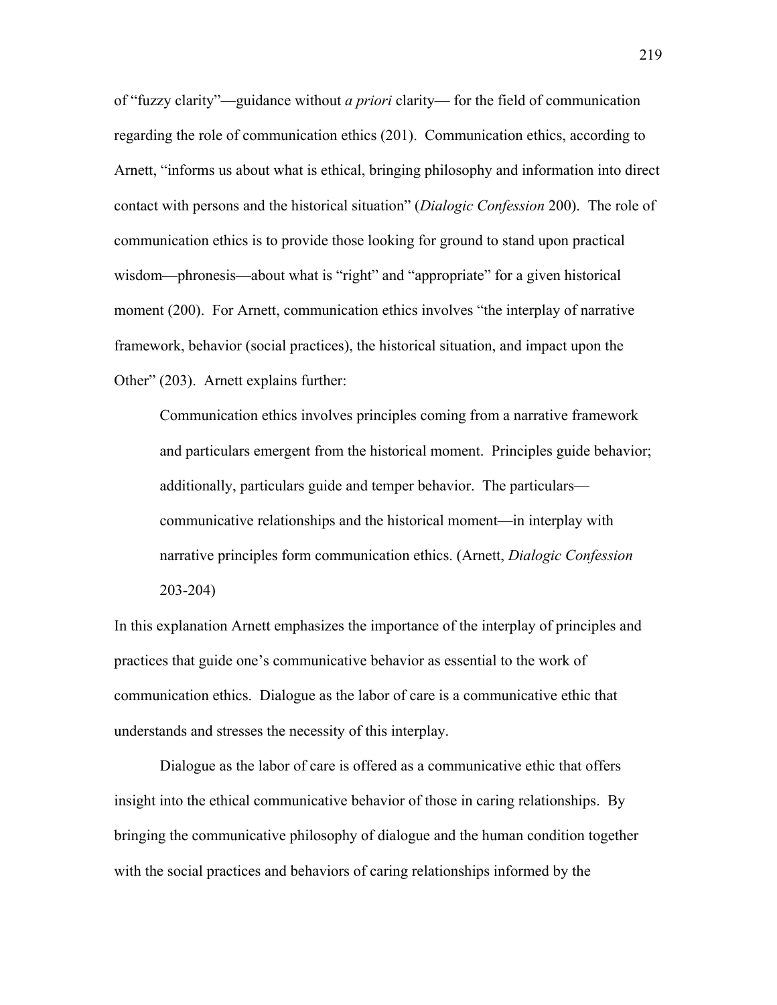of "fuzzy clarity"—guidance without *a priori* clarity— for the field of communication regarding the role of communication ethics (201). Communication ethics, according to Arnett, "informs us about what is ethical, bringing philosophy and information into direct contact with persons and the historical situation" (*Dialogic Confession* 200). The role of communication ethics is to provide those looking for ground to stand upon practical wisdom—phronesis—about what is "right" and "appropriate" for a given historical moment (200). For Arnett, communication ethics involves "the interplay of narrative framework, behavior (social practices), the historical situation, and impact upon the Other" (203). Arnett explains further:

Communication ethics involves principles coming from a narrative framework and particulars emergent from the historical moment. Principles guide behavior; additionally, particulars guide and temper behavior. The particulars communicative relationships and the historical moment—in interplay with narrative principles form communication ethics. (Arnett, *Dialogic Confession* 203-204)

In this explanation Arnett emphasizes the importance of the interplay of principles and practices that guide one's communicative behavior as essential to the work of communication ethics. Dialogue as the labor of care is a communicative ethic that understands and stresses the necessity of this interplay.

 Dialogue as the labor of care is offered as a communicative ethic that offers insight into the ethical communicative behavior of those in caring relationships. By bringing the communicative philosophy of dialogue and the human condition together with the social practices and behaviors of caring relationships informed by the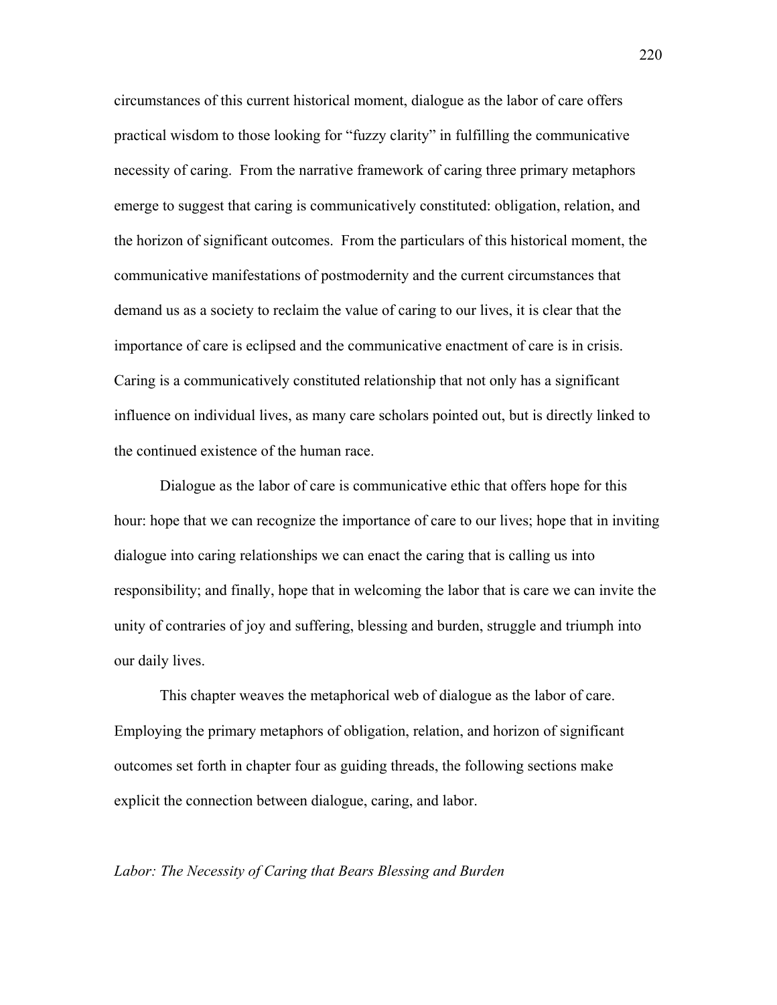circumstances of this current historical moment, dialogue as the labor of care offers practical wisdom to those looking for "fuzzy clarity" in fulfilling the communicative necessity of caring. From the narrative framework of caring three primary metaphors emerge to suggest that caring is communicatively constituted: obligation, relation, and the horizon of significant outcomes. From the particulars of this historical moment, the communicative manifestations of postmodernity and the current circumstances that demand us as a society to reclaim the value of caring to our lives, it is clear that the importance of care is eclipsed and the communicative enactment of care is in crisis. Caring is a communicatively constituted relationship that not only has a significant influence on individual lives, as many care scholars pointed out, but is directly linked to the continued existence of the human race.

 Dialogue as the labor of care is communicative ethic that offers hope for this hour: hope that we can recognize the importance of care to our lives; hope that in inviting dialogue into caring relationships we can enact the caring that is calling us into responsibility; and finally, hope that in welcoming the labor that is care we can invite the unity of contraries of joy and suffering, blessing and burden, struggle and triumph into our daily lives.

 This chapter weaves the metaphorical web of dialogue as the labor of care. Employing the primary metaphors of obligation, relation, and horizon of significant outcomes set forth in chapter four as guiding threads, the following sections make explicit the connection between dialogue, caring, and labor.

#### *Labor: The Necessity of Caring that Bears Blessing and Burden*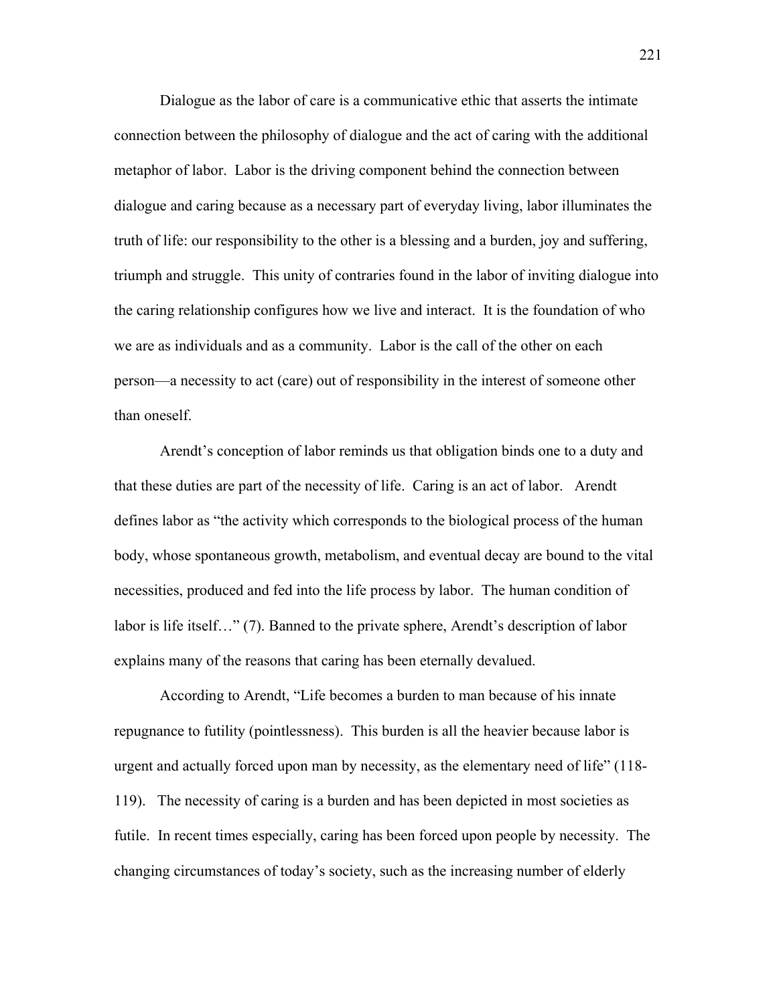Dialogue as the labor of care is a communicative ethic that asserts the intimate connection between the philosophy of dialogue and the act of caring with the additional metaphor of labor. Labor is the driving component behind the connection between dialogue and caring because as a necessary part of everyday living, labor illuminates the truth of life: our responsibility to the other is a blessing and a burden, joy and suffering, triumph and struggle. This unity of contraries found in the labor of inviting dialogue into the caring relationship configures how we live and interact. It is the foundation of who we are as individuals and as a community. Labor is the call of the other on each person—a necessity to act (care) out of responsibility in the interest of someone other than oneself.

Arendt's conception of labor reminds us that obligation binds one to a duty and that these duties are part of the necessity of life. Caring is an act of labor. Arendt defines labor as "the activity which corresponds to the biological process of the human body, whose spontaneous growth, metabolism, and eventual decay are bound to the vital necessities, produced and fed into the life process by labor. The human condition of labor is life itself…" (7). Banned to the private sphere, Arendt's description of labor explains many of the reasons that caring has been eternally devalued.

According to Arendt, "Life becomes a burden to man because of his innate repugnance to futility (pointlessness). This burden is all the heavier because labor is urgent and actually forced upon man by necessity, as the elementary need of life" (118- 119). The necessity of caring is a burden and has been depicted in most societies as futile. In recent times especially, caring has been forced upon people by necessity. The changing circumstances of today's society, such as the increasing number of elderly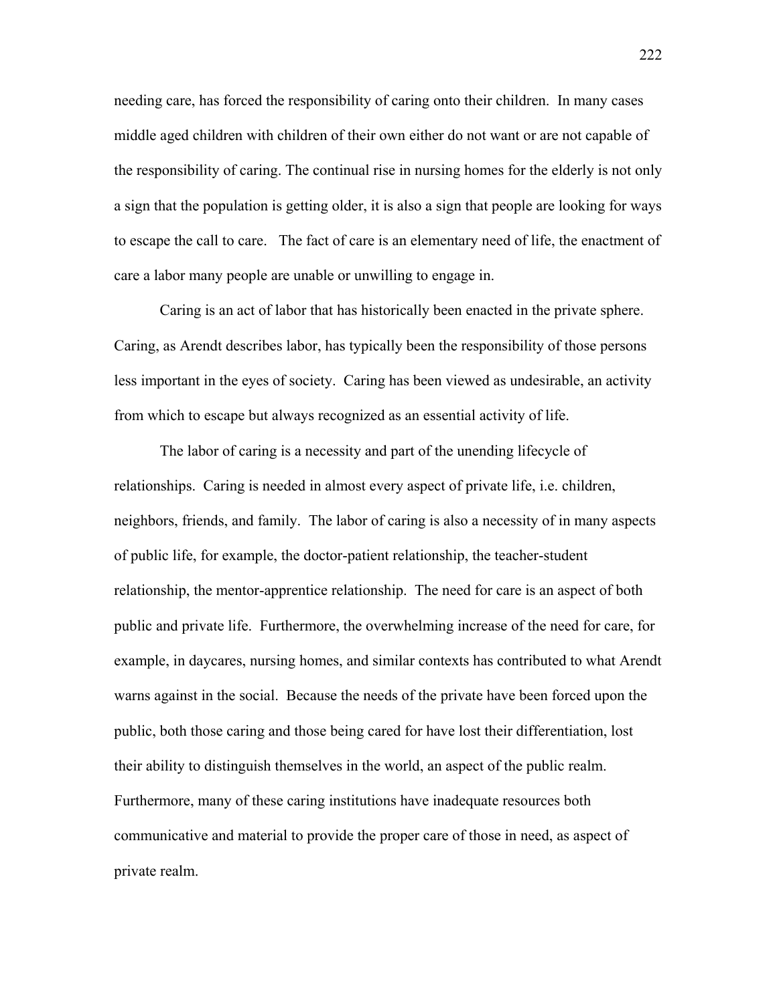needing care, has forced the responsibility of caring onto their children. In many cases middle aged children with children of their own either do not want or are not capable of the responsibility of caring. The continual rise in nursing homes for the elderly is not only a sign that the population is getting older, it is also a sign that people are looking for ways to escape the call to care. The fact of care is an elementary need of life, the enactment of care a labor many people are unable or unwilling to engage in.

Caring is an act of labor that has historically been enacted in the private sphere. Caring, as Arendt describes labor, has typically been the responsibility of those persons less important in the eyes of society. Caring has been viewed as undesirable, an activity from which to escape but always recognized as an essential activity of life.

The labor of caring is a necessity and part of the unending lifecycle of relationships. Caring is needed in almost every aspect of private life, i.e. children, neighbors, friends, and family. The labor of caring is also a necessity of in many aspects of public life, for example, the doctor-patient relationship, the teacher-student relationship, the mentor-apprentice relationship. The need for care is an aspect of both public and private life. Furthermore, the overwhelming increase of the need for care, for example, in daycares, nursing homes, and similar contexts has contributed to what Arendt warns against in the social. Because the needs of the private have been forced upon the public, both those caring and those being cared for have lost their differentiation, lost their ability to distinguish themselves in the world, an aspect of the public realm. Furthermore, many of these caring institutions have inadequate resources both communicative and material to provide the proper care of those in need, as aspect of private realm.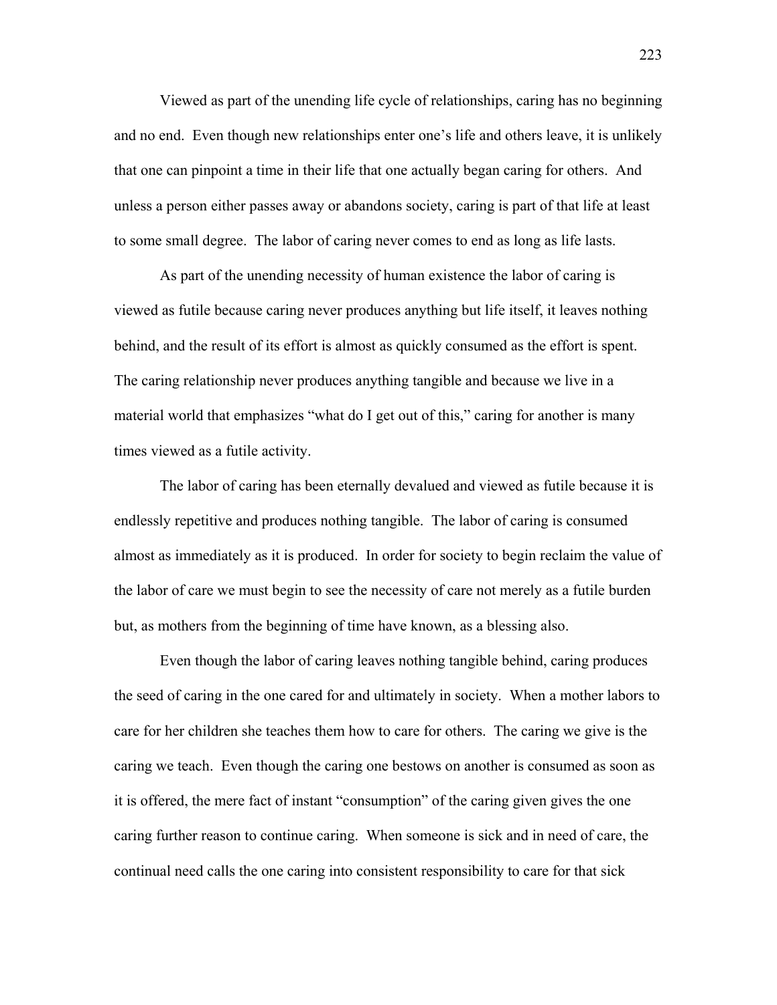Viewed as part of the unending life cycle of relationships, caring has no beginning and no end. Even though new relationships enter one's life and others leave, it is unlikely that one can pinpoint a time in their life that one actually began caring for others. And unless a person either passes away or abandons society, caring is part of that life at least to some small degree. The labor of caring never comes to end as long as life lasts.

As part of the unending necessity of human existence the labor of caring is viewed as futile because caring never produces anything but life itself, it leaves nothing behind, and the result of its effort is almost as quickly consumed as the effort is spent. The caring relationship never produces anything tangible and because we live in a material world that emphasizes "what do I get out of this," caring for another is many times viewed as a futile activity.

The labor of caring has been eternally devalued and viewed as futile because it is endlessly repetitive and produces nothing tangible. The labor of caring is consumed almost as immediately as it is produced. In order for society to begin reclaim the value of the labor of care we must begin to see the necessity of care not merely as a futile burden but, as mothers from the beginning of time have known, as a blessing also.

Even though the labor of caring leaves nothing tangible behind, caring produces the seed of caring in the one cared for and ultimately in society. When a mother labors to care for her children she teaches them how to care for others. The caring we give is the caring we teach. Even though the caring one bestows on another is consumed as soon as it is offered, the mere fact of instant "consumption" of the caring given gives the one caring further reason to continue caring. When someone is sick and in need of care, the continual need calls the one caring into consistent responsibility to care for that sick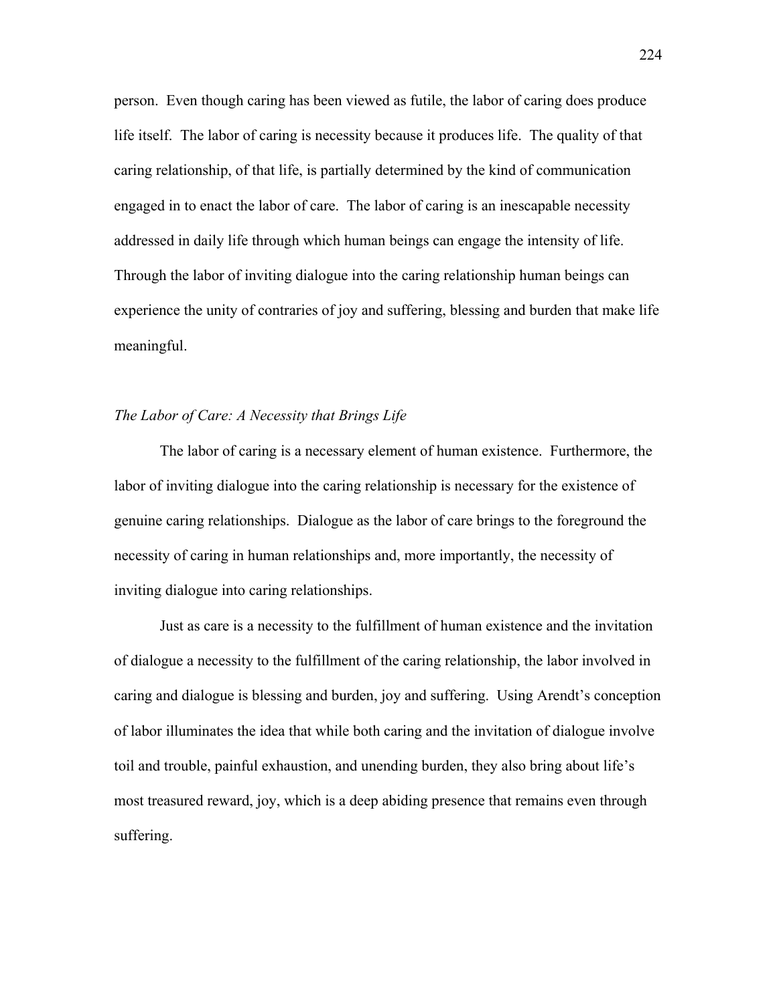person. Even though caring has been viewed as futile, the labor of caring does produce life itself. The labor of caring is necessity because it produces life. The quality of that caring relationship, of that life, is partially determined by the kind of communication engaged in to enact the labor of care. The labor of caring is an inescapable necessity addressed in daily life through which human beings can engage the intensity of life. Through the labor of inviting dialogue into the caring relationship human beings can experience the unity of contraries of joy and suffering, blessing and burden that make life meaningful.

### *The Labor of Care: A Necessity that Brings Life*

The labor of caring is a necessary element of human existence. Furthermore, the labor of inviting dialogue into the caring relationship is necessary for the existence of genuine caring relationships. Dialogue as the labor of care brings to the foreground the necessity of caring in human relationships and, more importantly, the necessity of inviting dialogue into caring relationships.

Just as care is a necessity to the fulfillment of human existence and the invitation of dialogue a necessity to the fulfillment of the caring relationship, the labor involved in caring and dialogue is blessing and burden, joy and suffering. Using Arendt's conception of labor illuminates the idea that while both caring and the invitation of dialogue involve toil and trouble, painful exhaustion, and unending burden, they also bring about life's most treasured reward, joy, which is a deep abiding presence that remains even through suffering.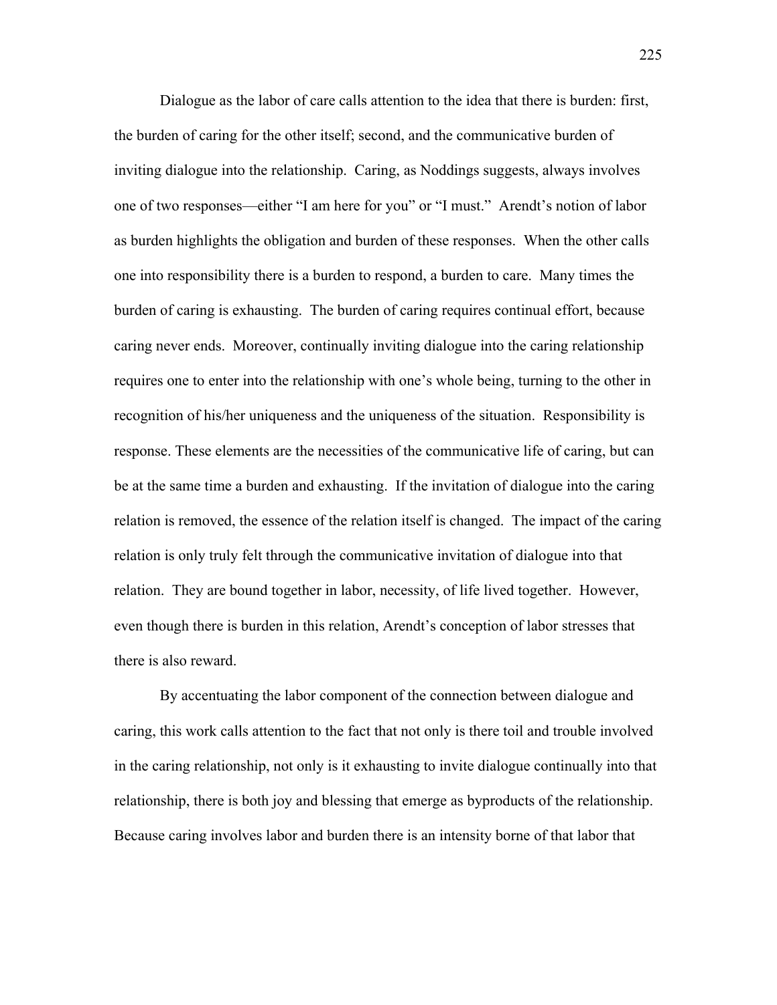Dialogue as the labor of care calls attention to the idea that there is burden: first, the burden of caring for the other itself; second, and the communicative burden of inviting dialogue into the relationship. Caring, as Noddings suggests, always involves one of two responses—either "I am here for you" or "I must." Arendt's notion of labor as burden highlights the obligation and burden of these responses. When the other calls one into responsibility there is a burden to respond, a burden to care. Many times the burden of caring is exhausting. The burden of caring requires continual effort, because caring never ends. Moreover, continually inviting dialogue into the caring relationship requires one to enter into the relationship with one's whole being, turning to the other in recognition of his/her uniqueness and the uniqueness of the situation. Responsibility is response. These elements are the necessities of the communicative life of caring, but can be at the same time a burden and exhausting. If the invitation of dialogue into the caring relation is removed, the essence of the relation itself is changed. The impact of the caring relation is only truly felt through the communicative invitation of dialogue into that relation. They are bound together in labor, necessity, of life lived together. However, even though there is burden in this relation, Arendt's conception of labor stresses that there is also reward.

 By accentuating the labor component of the connection between dialogue and caring, this work calls attention to the fact that not only is there toil and trouble involved in the caring relationship, not only is it exhausting to invite dialogue continually into that relationship, there is both joy and blessing that emerge as byproducts of the relationship. Because caring involves labor and burden there is an intensity borne of that labor that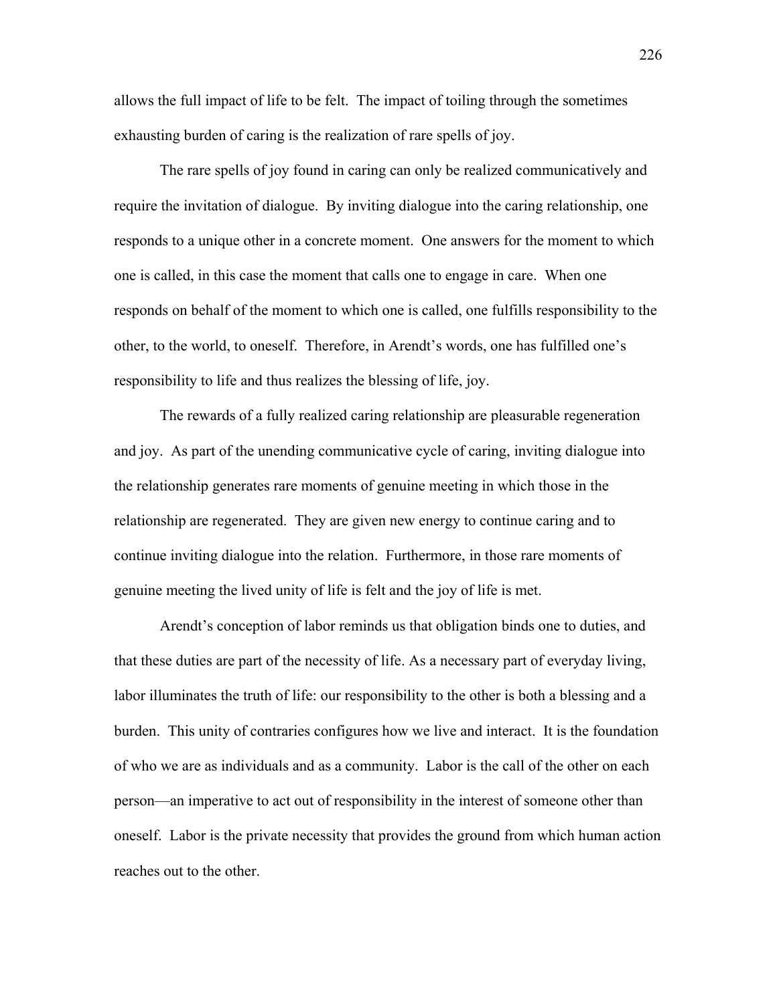allows the full impact of life to be felt. The impact of toiling through the sometimes exhausting burden of caring is the realization of rare spells of joy.

 The rare spells of joy found in caring can only be realized communicatively and require the invitation of dialogue. By inviting dialogue into the caring relationship, one responds to a unique other in a concrete moment. One answers for the moment to which one is called, in this case the moment that calls one to engage in care. When one responds on behalf of the moment to which one is called, one fulfills responsibility to the other, to the world, to oneself. Therefore, in Arendt's words, one has fulfilled one's responsibility to life and thus realizes the blessing of life, joy.

The rewards of a fully realized caring relationship are pleasurable regeneration and joy. As part of the unending communicative cycle of caring, inviting dialogue into the relationship generates rare moments of genuine meeting in which those in the relationship are regenerated. They are given new energy to continue caring and to continue inviting dialogue into the relation. Furthermore, in those rare moments of genuine meeting the lived unity of life is felt and the joy of life is met.

Arendt's conception of labor reminds us that obligation binds one to duties, and that these duties are part of the necessity of life. As a necessary part of everyday living, labor illuminates the truth of life: our responsibility to the other is both a blessing and a burden. This unity of contraries configures how we live and interact. It is the foundation of who we are as individuals and as a community. Labor is the call of the other on each person—an imperative to act out of responsibility in the interest of someone other than oneself. Labor is the private necessity that provides the ground from which human action reaches out to the other.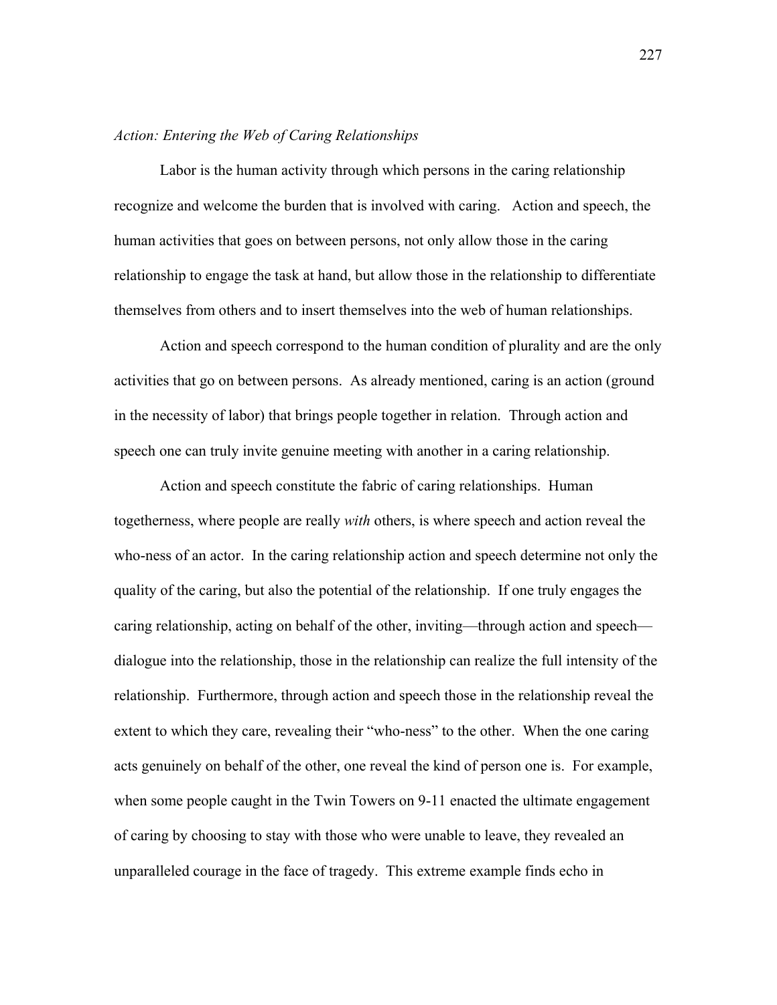### *Action: Entering the Web of Caring Relationships*

Labor is the human activity through which persons in the caring relationship recognize and welcome the burden that is involved with caring. Action and speech, the human activities that goes on between persons, not only allow those in the caring relationship to engage the task at hand, but allow those in the relationship to differentiate themselves from others and to insert themselves into the web of human relationships.

Action and speech correspond to the human condition of plurality and are the only activities that go on between persons. As already mentioned, caring is an action (ground in the necessity of labor) that brings people together in relation. Through action and speech one can truly invite genuine meeting with another in a caring relationship.

Action and speech constitute the fabric of caring relationships. Human togetherness, where people are really *with* others, is where speech and action reveal the who-ness of an actor. In the caring relationship action and speech determine not only the quality of the caring, but also the potential of the relationship. If one truly engages the caring relationship, acting on behalf of the other, inviting—through action and speech dialogue into the relationship, those in the relationship can realize the full intensity of the relationship. Furthermore, through action and speech those in the relationship reveal the extent to which they care, revealing their "who-ness" to the other. When the one caring acts genuinely on behalf of the other, one reveal the kind of person one is. For example, when some people caught in the Twin Towers on 9-11 enacted the ultimate engagement of caring by choosing to stay with those who were unable to leave, they revealed an unparalleled courage in the face of tragedy. This extreme example finds echo in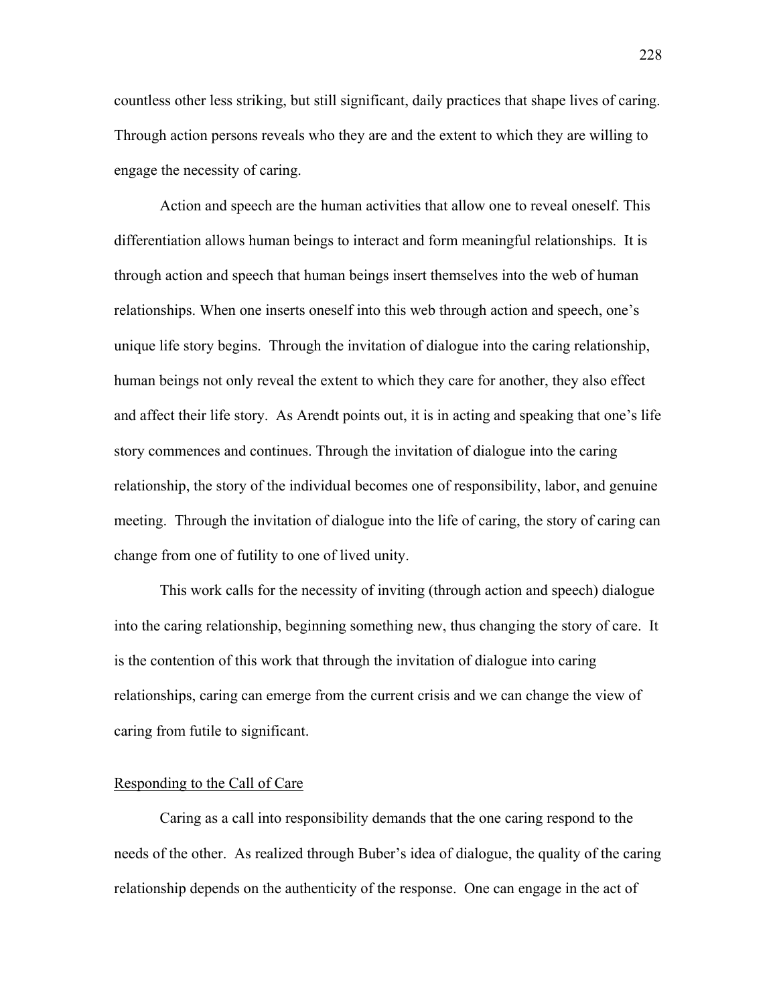countless other less striking, but still significant, daily practices that shape lives of caring. Through action persons reveals who they are and the extent to which they are willing to engage the necessity of caring.

Action and speech are the human activities that allow one to reveal oneself. This differentiation allows human beings to interact and form meaningful relationships. It is through action and speech that human beings insert themselves into the web of human relationships. When one inserts oneself into this web through action and speech, one's unique life story begins. Through the invitation of dialogue into the caring relationship, human beings not only reveal the extent to which they care for another, they also effect and affect their life story. As Arendt points out, it is in acting and speaking that one's life story commences and continues. Through the invitation of dialogue into the caring relationship, the story of the individual becomes one of responsibility, labor, and genuine meeting. Through the invitation of dialogue into the life of caring, the story of caring can change from one of futility to one of lived unity.

This work calls for the necessity of inviting (through action and speech) dialogue into the caring relationship, beginning something new, thus changing the story of care. It is the contention of this work that through the invitation of dialogue into caring relationships, caring can emerge from the current crisis and we can change the view of caring from futile to significant.

### Responding to the Call of Care

Caring as a call into responsibility demands that the one caring respond to the needs of the other. As realized through Buber's idea of dialogue, the quality of the caring relationship depends on the authenticity of the response. One can engage in the act of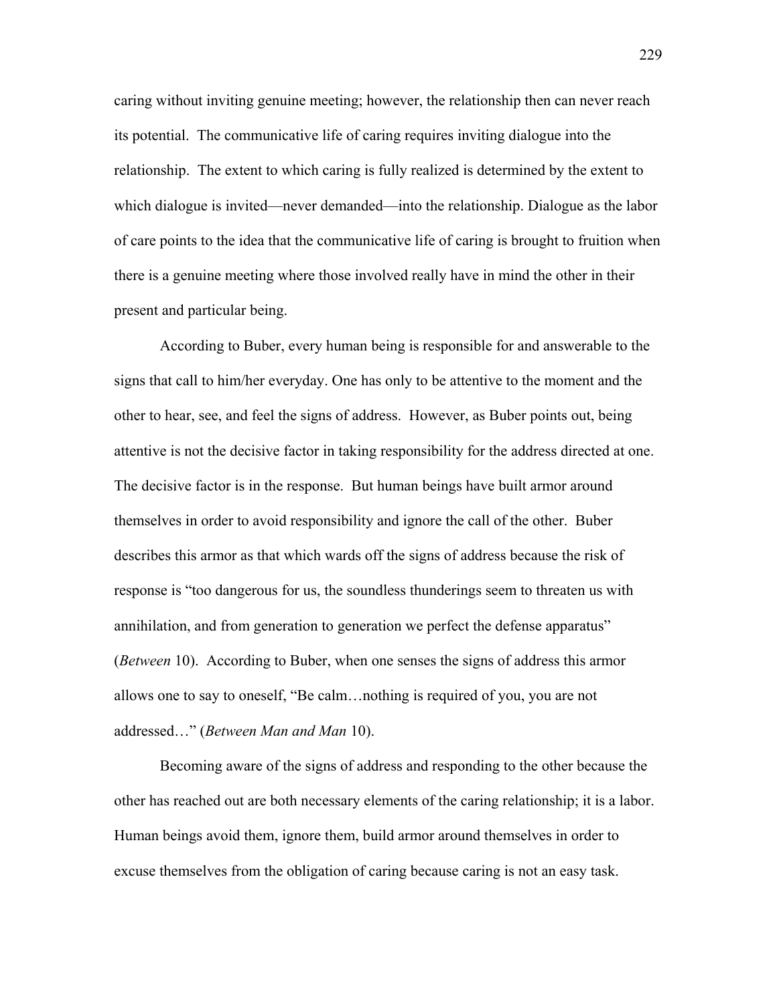caring without inviting genuine meeting; however, the relationship then can never reach its potential. The communicative life of caring requires inviting dialogue into the relationship. The extent to which caring is fully realized is determined by the extent to which dialogue is invited—never demanded—into the relationship. Dialogue as the labor of care points to the idea that the communicative life of caring is brought to fruition when there is a genuine meeting where those involved really have in mind the other in their present and particular being.

According to Buber, every human being is responsible for and answerable to the signs that call to him/her everyday. One has only to be attentive to the moment and the other to hear, see, and feel the signs of address. However, as Buber points out, being attentive is not the decisive factor in taking responsibility for the address directed at one. The decisive factor is in the response. But human beings have built armor around themselves in order to avoid responsibility and ignore the call of the other. Buber describes this armor as that which wards off the signs of address because the risk of response is "too dangerous for us, the soundless thunderings seem to threaten us with annihilation, and from generation to generation we perfect the defense apparatus" (*Between* 10). According to Buber, when one senses the signs of address this armor allows one to say to oneself, "Be calm…nothing is required of you, you are not addressed…" (*Between Man and Man* 10).

Becoming aware of the signs of address and responding to the other because the other has reached out are both necessary elements of the caring relationship; it is a labor. Human beings avoid them, ignore them, build armor around themselves in order to excuse themselves from the obligation of caring because caring is not an easy task.

229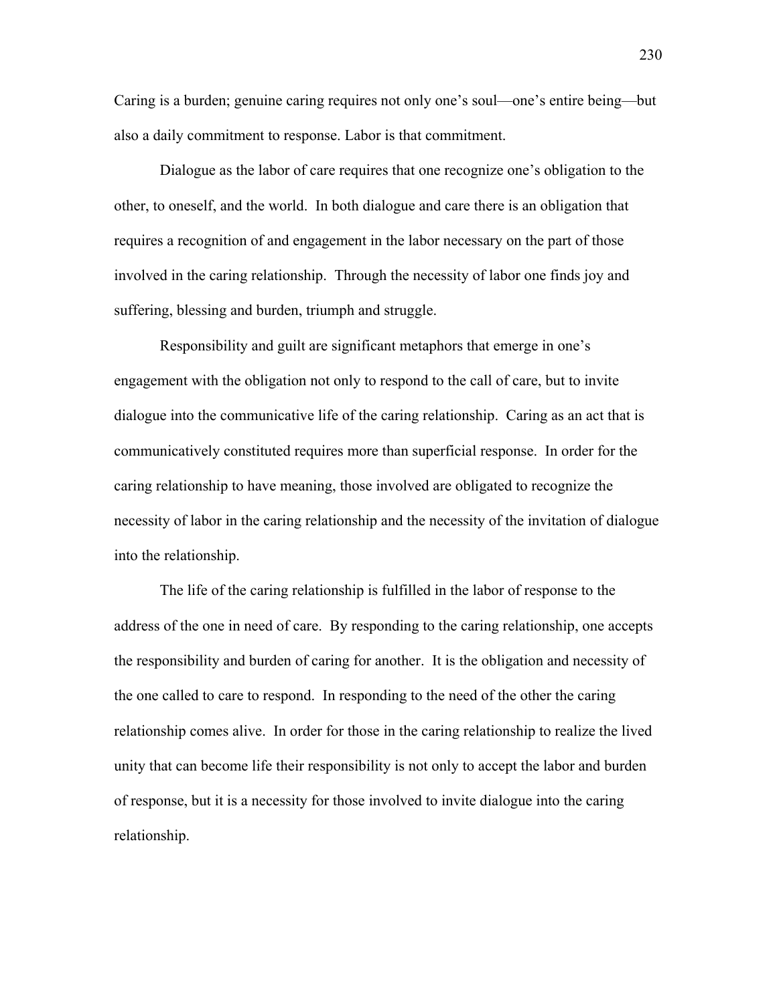Caring is a burden; genuine caring requires not only one's soul—one's entire being—but also a daily commitment to response. Labor is that commitment.

Dialogue as the labor of care requires that one recognize one's obligation to the other, to oneself, and the world. In both dialogue and care there is an obligation that requires a recognition of and engagement in the labor necessary on the part of those involved in the caring relationship. Through the necessity of labor one finds joy and suffering, blessing and burden, triumph and struggle.

Responsibility and guilt are significant metaphors that emerge in one's engagement with the obligation not only to respond to the call of care, but to invite dialogue into the communicative life of the caring relationship. Caring as an act that is communicatively constituted requires more than superficial response. In order for the caring relationship to have meaning, those involved are obligated to recognize the necessity of labor in the caring relationship and the necessity of the invitation of dialogue into the relationship.

The life of the caring relationship is fulfilled in the labor of response to the address of the one in need of care. By responding to the caring relationship, one accepts the responsibility and burden of caring for another. It is the obligation and necessity of the one called to care to respond. In responding to the need of the other the caring relationship comes alive. In order for those in the caring relationship to realize the lived unity that can become life their responsibility is not only to accept the labor and burden of response, but it is a necessity for those involved to invite dialogue into the caring relationship.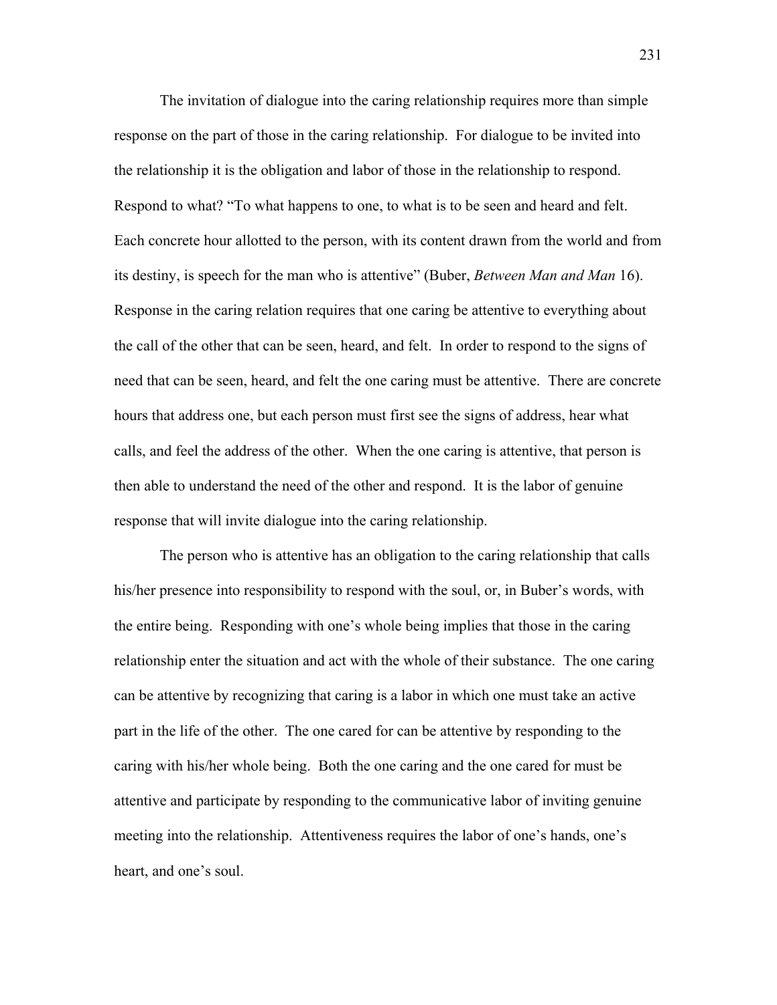The invitation of dialogue into the caring relationship requires more than simple response on the part of those in the caring relationship. For dialogue to be invited into the relationship it is the obligation and labor of those in the relationship to respond. Respond to what? "To what happens to one, to what is to be seen and heard and felt. Each concrete hour allotted to the person, with its content drawn from the world and from its destiny, is speech for the man who is attentive" (Buber, *Between Man and Man* 16). Response in the caring relation requires that one caring be attentive to everything about the call of the other that can be seen, heard, and felt. In order to respond to the signs of need that can be seen, heard, and felt the one caring must be attentive. There are concrete hours that address one, but each person must first see the signs of address, hear what calls, and feel the address of the other. When the one caring is attentive, that person is then able to understand the need of the other and respond. It is the labor of genuine response that will invite dialogue into the caring relationship.

The person who is attentive has an obligation to the caring relationship that calls his/her presence into responsibility to respond with the soul, or, in Buber's words, with the entire being. Responding with one's whole being implies that those in the caring relationship enter the situation and act with the whole of their substance. The one caring can be attentive by recognizing that caring is a labor in which one must take an active part in the life of the other. The one cared for can be attentive by responding to the caring with his/her whole being. Both the one caring and the one cared for must be attentive and participate by responding to the communicative labor of inviting genuine meeting into the relationship. Attentiveness requires the labor of one's hands, one's heart, and one's soul.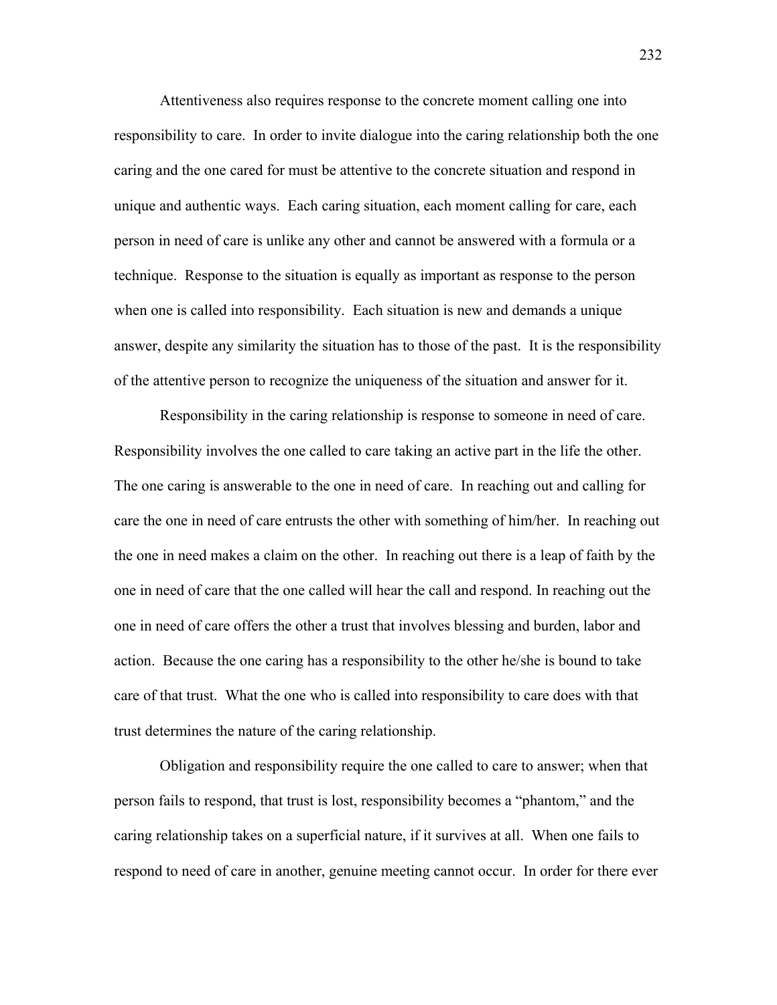Attentiveness also requires response to the concrete moment calling one into responsibility to care. In order to invite dialogue into the caring relationship both the one caring and the one cared for must be attentive to the concrete situation and respond in unique and authentic ways. Each caring situation, each moment calling for care, each person in need of care is unlike any other and cannot be answered with a formula or a technique. Response to the situation is equally as important as response to the person when one is called into responsibility. Each situation is new and demands a unique answer, despite any similarity the situation has to those of the past. It is the responsibility of the attentive person to recognize the uniqueness of the situation and answer for it.

Responsibility in the caring relationship is response to someone in need of care. Responsibility involves the one called to care taking an active part in the life the other. The one caring is answerable to the one in need of care. In reaching out and calling for care the one in need of care entrusts the other with something of him/her. In reaching out the one in need makes a claim on the other. In reaching out there is a leap of faith by the one in need of care that the one called will hear the call and respond. In reaching out the one in need of care offers the other a trust that involves blessing and burden, labor and action. Because the one caring has a responsibility to the other he/she is bound to take care of that trust. What the one who is called into responsibility to care does with that trust determines the nature of the caring relationship.

Obligation and responsibility require the one called to care to answer; when that person fails to respond, that trust is lost, responsibility becomes a "phantom," and the caring relationship takes on a superficial nature, if it survives at all. When one fails to respond to need of care in another, genuine meeting cannot occur. In order for there ever

232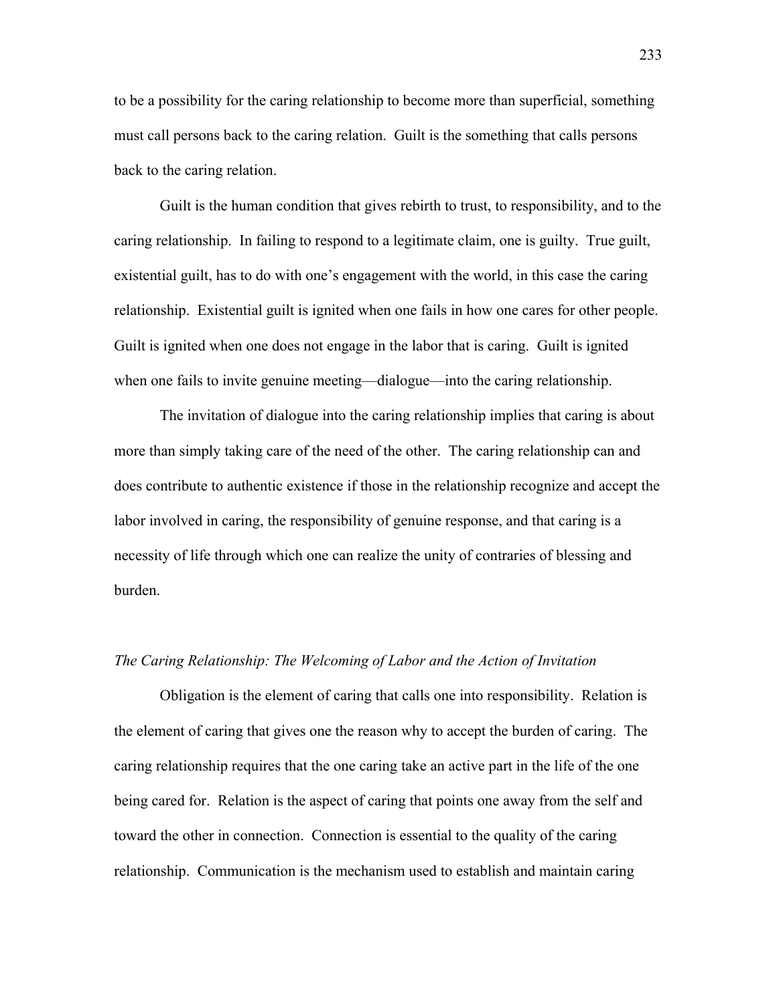to be a possibility for the caring relationship to become more than superficial, something must call persons back to the caring relation. Guilt is the something that calls persons back to the caring relation.

Guilt is the human condition that gives rebirth to trust, to responsibility, and to the caring relationship. In failing to respond to a legitimate claim, one is guilty. True guilt, existential guilt, has to do with one's engagement with the world, in this case the caring relationship. Existential guilt is ignited when one fails in how one cares for other people. Guilt is ignited when one does not engage in the labor that is caring. Guilt is ignited when one fails to invite genuine meeting—dialogue—into the caring relationship.

The invitation of dialogue into the caring relationship implies that caring is about more than simply taking care of the need of the other. The caring relationship can and does contribute to authentic existence if those in the relationship recognize and accept the labor involved in caring, the responsibility of genuine response, and that caring is a necessity of life through which one can realize the unity of contraries of blessing and burden.

### *The Caring Relationship: The Welcoming of Labor and the Action of Invitation*

Obligation is the element of caring that calls one into responsibility. Relation is the element of caring that gives one the reason why to accept the burden of caring. The caring relationship requires that the one caring take an active part in the life of the one being cared for. Relation is the aspect of caring that points one away from the self and toward the other in connection. Connection is essential to the quality of the caring relationship. Communication is the mechanism used to establish and maintain caring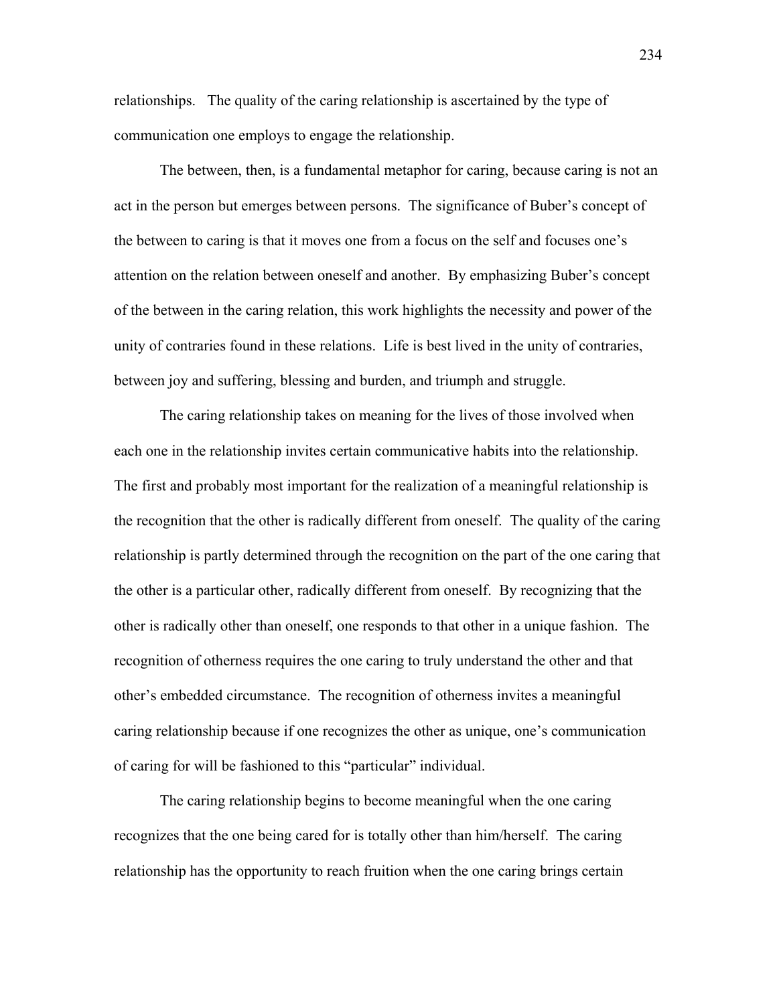relationships. The quality of the caring relationship is ascertained by the type of communication one employs to engage the relationship.

The between, then, is a fundamental metaphor for caring, because caring is not an act in the person but emerges between persons. The significance of Buber's concept of the between to caring is that it moves one from a focus on the self and focuses one's attention on the relation between oneself and another. By emphasizing Buber's concept of the between in the caring relation, this work highlights the necessity and power of the unity of contraries found in these relations. Life is best lived in the unity of contraries, between joy and suffering, blessing and burden, and triumph and struggle.

 The caring relationship takes on meaning for the lives of those involved when each one in the relationship invites certain communicative habits into the relationship. The first and probably most important for the realization of a meaningful relationship is the recognition that the other is radically different from oneself. The quality of the caring relationship is partly determined through the recognition on the part of the one caring that the other is a particular other, radically different from oneself. By recognizing that the other is radically other than oneself, one responds to that other in a unique fashion. The recognition of otherness requires the one caring to truly understand the other and that other's embedded circumstance. The recognition of otherness invites a meaningful caring relationship because if one recognizes the other as unique, one's communication of caring for will be fashioned to this "particular" individual.

The caring relationship begins to become meaningful when the one caring recognizes that the one being cared for is totally other than him/herself. The caring relationship has the opportunity to reach fruition when the one caring brings certain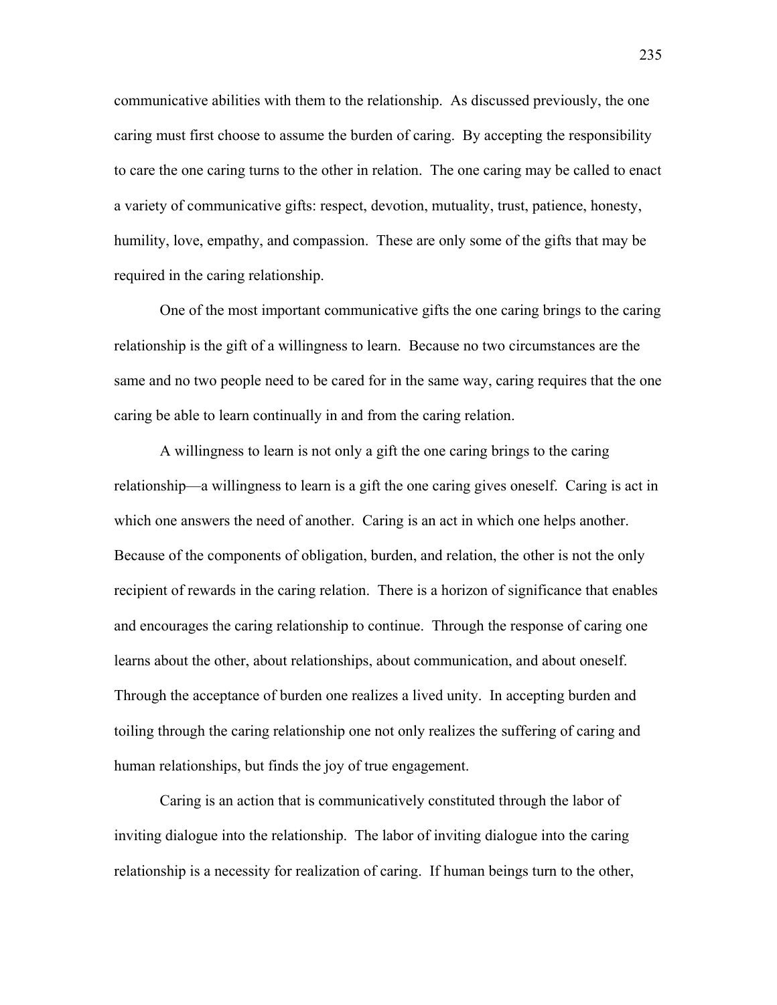communicative abilities with them to the relationship. As discussed previously, the one caring must first choose to assume the burden of caring. By accepting the responsibility to care the one caring turns to the other in relation. The one caring may be called to enact a variety of communicative gifts: respect, devotion, mutuality, trust, patience, honesty, humility, love, empathy, and compassion. These are only some of the gifts that may be required in the caring relationship.

One of the most important communicative gifts the one caring brings to the caring relationship is the gift of a willingness to learn. Because no two circumstances are the same and no two people need to be cared for in the same way, caring requires that the one caring be able to learn continually in and from the caring relation.

 A willingness to learn is not only a gift the one caring brings to the caring relationship—a willingness to learn is a gift the one caring gives oneself. Caring is act in which one answers the need of another. Caring is an act in which one helps another. Because of the components of obligation, burden, and relation, the other is not the only recipient of rewards in the caring relation. There is a horizon of significance that enables and encourages the caring relationship to continue. Through the response of caring one learns about the other, about relationships, about communication, and about oneself. Through the acceptance of burden one realizes a lived unity. In accepting burden and toiling through the caring relationship one not only realizes the suffering of caring and human relationships, but finds the joy of true engagement.

 Caring is an action that is communicatively constituted through the labor of inviting dialogue into the relationship. The labor of inviting dialogue into the caring relationship is a necessity for realization of caring. If human beings turn to the other,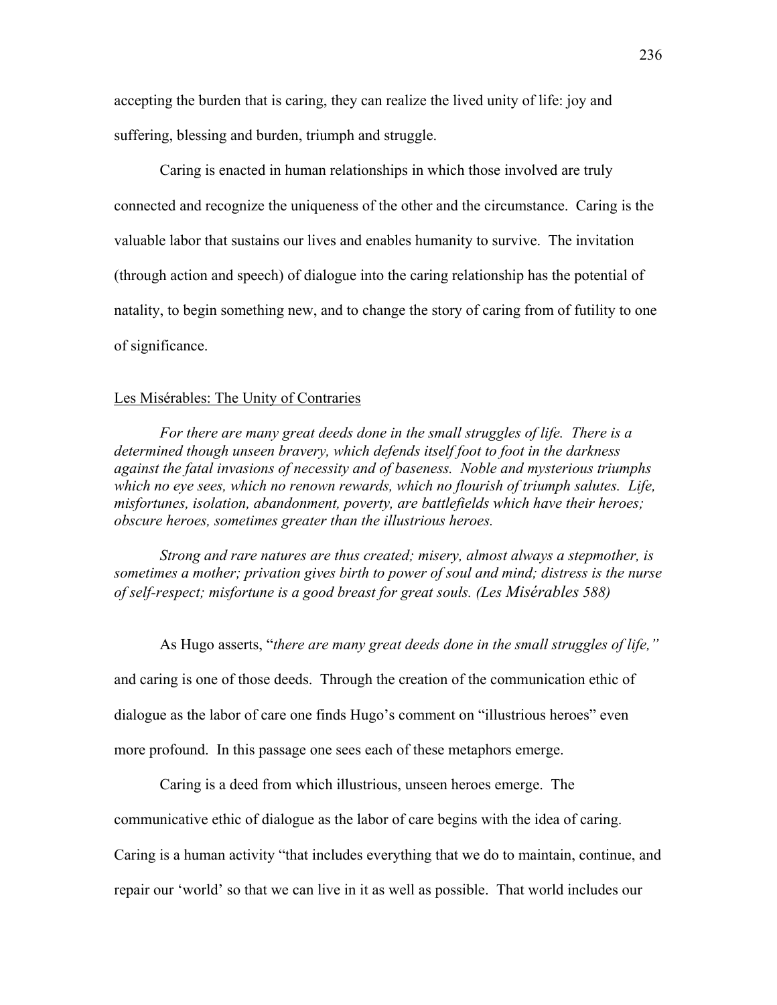accepting the burden that is caring, they can realize the lived unity of life: joy and suffering, blessing and burden, triumph and struggle.

Caring is enacted in human relationships in which those involved are truly connected and recognize the uniqueness of the other and the circumstance. Caring is the valuable labor that sustains our lives and enables humanity to survive. The invitation (through action and speech) of dialogue into the caring relationship has the potential of natality, to begin something new, and to change the story of caring from of futility to one of significance.

### Les Misérables: The Unity of Contraries

*For there are many great deeds done in the small struggles of life. There is a determined though unseen bravery, which defends itself foot to foot in the darkness against the fatal invasions of necessity and of baseness. Noble and mysterious triumphs which no eye sees, which no renown rewards, which no flourish of triumph salutes. Life, misfortunes, isolation, abandonment, poverty, are battlefields which have their heroes; obscure heroes, sometimes greater than the illustrious heroes.* 

*Strong and rare natures are thus created; misery, almost always a stepmother, is sometimes a mother; privation gives birth to power of soul and mind; distress is the nurse of self-respect; misfortune is a good breast for great souls. (Les Misérables 588)* 

As Hugo asserts, "*there are many great deeds done in the small struggles of life,"*  and caring is one of those deeds. Through the creation of the communication ethic of dialogue as the labor of care one finds Hugo's comment on "illustrious heroes" even more profound. In this passage one sees each of these metaphors emerge.

Caring is a deed from which illustrious, unseen heroes emerge. The

communicative ethic of dialogue as the labor of care begins with the idea of caring.

Caring is a human activity "that includes everything that we do to maintain, continue, and

repair our 'world' so that we can live in it as well as possible. That world includes our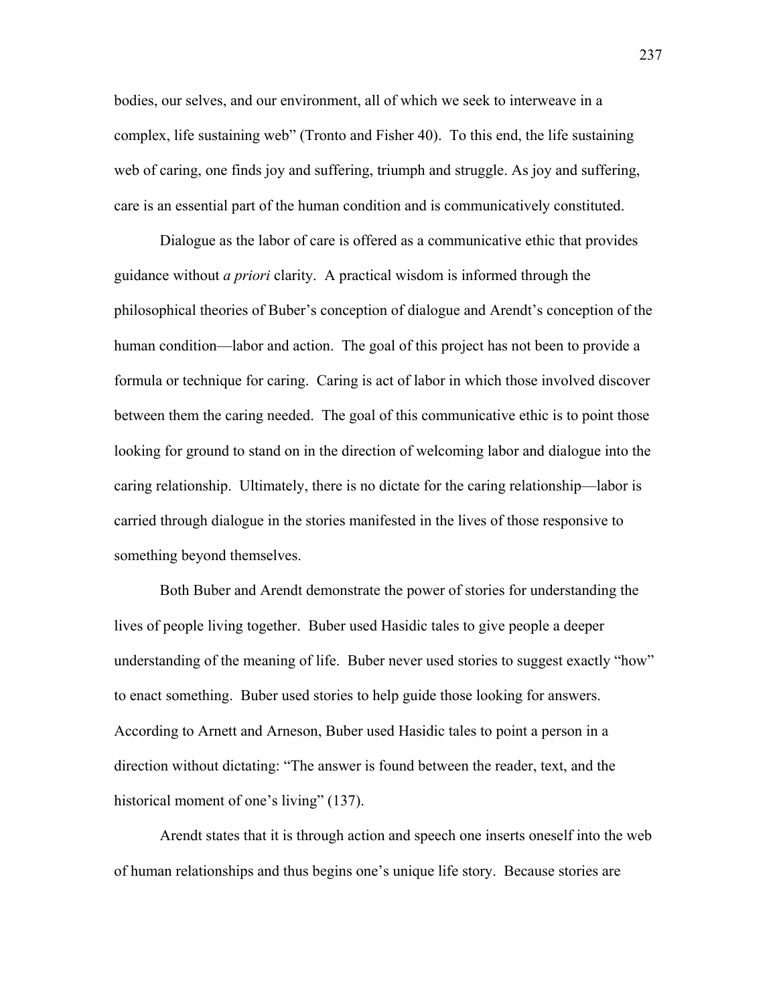bodies, our selves, and our environment, all of which we seek to interweave in a complex, life sustaining web" (Tronto and Fisher 40). To this end, the life sustaining web of caring, one finds joy and suffering, triumph and struggle. As joy and suffering, care is an essential part of the human condition and is communicatively constituted.

Dialogue as the labor of care is offered as a communicative ethic that provides guidance without *a priori* clarity. A practical wisdom is informed through the philosophical theories of Buber's conception of dialogue and Arendt's conception of the human condition—labor and action. The goal of this project has not been to provide a formula or technique for caring. Caring is act of labor in which those involved discover between them the caring needed. The goal of this communicative ethic is to point those looking for ground to stand on in the direction of welcoming labor and dialogue into the caring relationship. Ultimately, there is no dictate for the caring relationship—labor is carried through dialogue in the stories manifested in the lives of those responsive to something beyond themselves.

Both Buber and Arendt demonstrate the power of stories for understanding the lives of people living together. Buber used Hasidic tales to give people a deeper understanding of the meaning of life. Buber never used stories to suggest exactly "how" to enact something. Buber used stories to help guide those looking for answers. According to Arnett and Arneson, Buber used Hasidic tales to point a person in a direction without dictating: "The answer is found between the reader, text, and the historical moment of one's living" (137).

Arendt states that it is through action and speech one inserts oneself into the web of human relationships and thus begins one's unique life story. Because stories are

237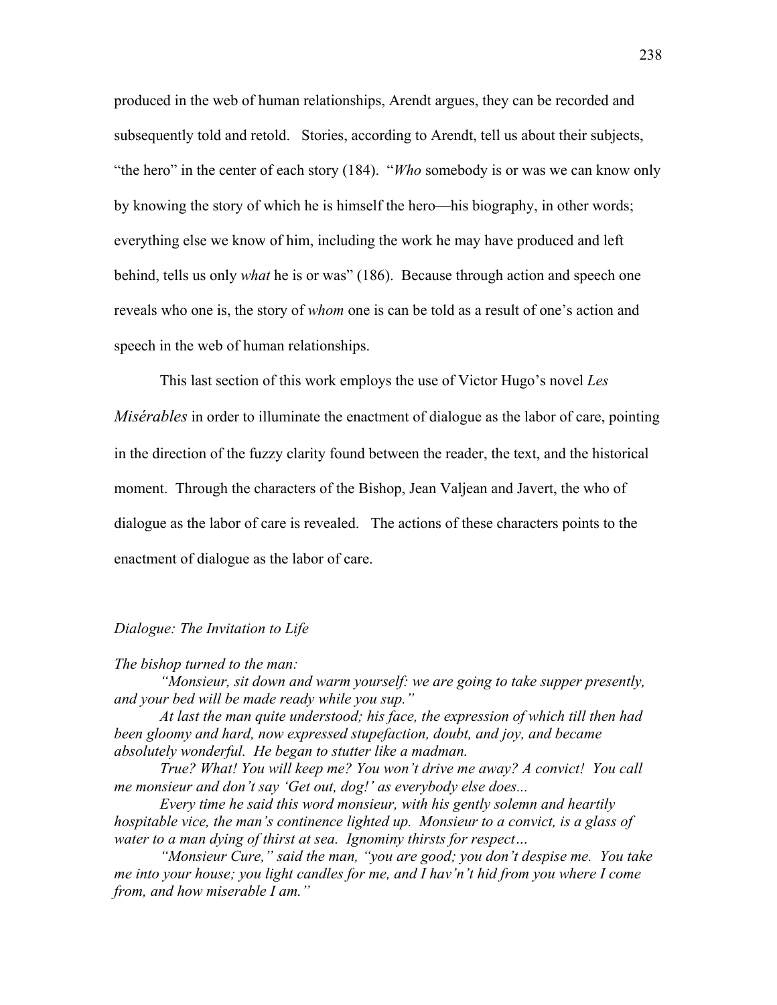produced in the web of human relationships, Arendt argues, they can be recorded and subsequently told and retold. Stories, according to Arendt, tell us about their subjects, "the hero" in the center of each story (184). "*Who* somebody is or was we can know only by knowing the story of which he is himself the hero—his biography, in other words; everything else we know of him, including the work he may have produced and left behind, tells us only *what* he is or was" (186). Because through action and speech one reveals who one is, the story of *whom* one is can be told as a result of one's action and speech in the web of human relationships.

This last section of this work employs the use of Victor Hugo's novel *Les Misérables* in order to illuminate the enactment of dialogue as the labor of care, pointing in the direction of the fuzzy clarity found between the reader, the text, and the historical moment. Through the characters of the Bishop, Jean Valjean and Javert, the who of dialogue as the labor of care is revealed. The actions of these characters points to the enactment of dialogue as the labor of care.

#### *Dialogue: The Invitation to Life*

#### *The bishop turned to the man:*

*"Monsieur, sit down and warm yourself: we are going to take supper presently, and your bed will be made ready while you sup."* 

*At last the man quite understood; his face, the expression of which till then had been gloomy and hard, now expressed stupefaction, doubt, and joy, and became absolutely wonderful. He began to stutter like a madman.* 

*True? What! You will keep me? You won't drive me away? A convict! You call me monsieur and don't say 'Get out, dog!' as everybody else does...* 

*Every time he said this word monsieur, with his gently solemn and heartily hospitable vice, the man's continence lighted up. Monsieur to a convict, is a glass of water to a man dying of thirst at sea. Ignominy thirsts for respect…* 

*"Monsieur Cure," said the man, "you are good; you don't despise me. You take me into your house; you light candles for me, and I hav'n't hid from you where I come from, and how miserable I am."*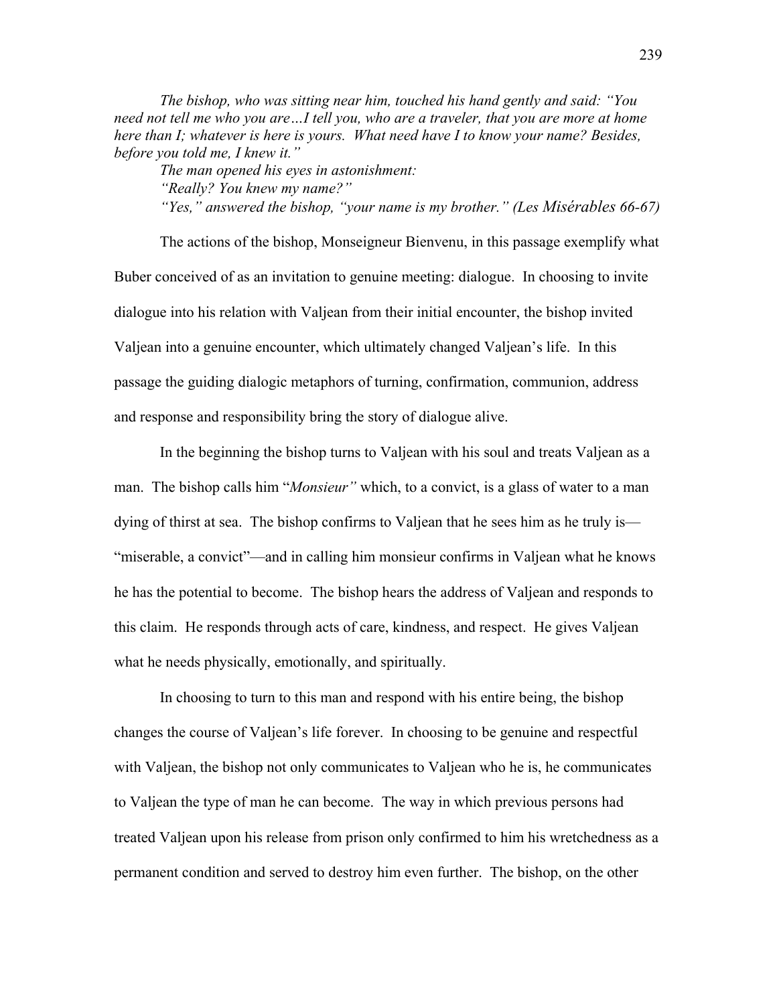*The bishop, who was sitting near him, touched his hand gently and said: "You need not tell me who you are…I tell you, who are a traveler, that you are more at home here than I; whatever is here is yours. What need have I to know your name? Besides, before you told me, I knew it."* 

*The man opened his eyes in astonishment: "Really? You knew my name?"* 

*"Yes," answered the bishop, "your name is my brother." (Les Misérables 66-67)* 

The actions of the bishop, Monseigneur Bienvenu, in this passage exemplify what Buber conceived of as an invitation to genuine meeting: dialogue. In choosing to invite dialogue into his relation with Valjean from their initial encounter, the bishop invited Valjean into a genuine encounter, which ultimately changed Valjean's life. In this passage the guiding dialogic metaphors of turning, confirmation, communion, address and response and responsibility bring the story of dialogue alive.

 In the beginning the bishop turns to Valjean with his soul and treats Valjean as a man. The bishop calls him "*Monsieur"* which, to a convict, is a glass of water to a man dying of thirst at sea. The bishop confirms to Valjean that he sees him as he truly is— "miserable, a convict"—and in calling him monsieur confirms in Valjean what he knows he has the potential to become. The bishop hears the address of Valjean and responds to this claim. He responds through acts of care, kindness, and respect. He gives Valjean what he needs physically, emotionally, and spiritually.

 In choosing to turn to this man and respond with his entire being, the bishop changes the course of Valjean's life forever. In choosing to be genuine and respectful with Valjean, the bishop not only communicates to Valjean who he is, he communicates to Valjean the type of man he can become. The way in which previous persons had treated Valjean upon his release from prison only confirmed to him his wretchedness as a permanent condition and served to destroy him even further. The bishop, on the other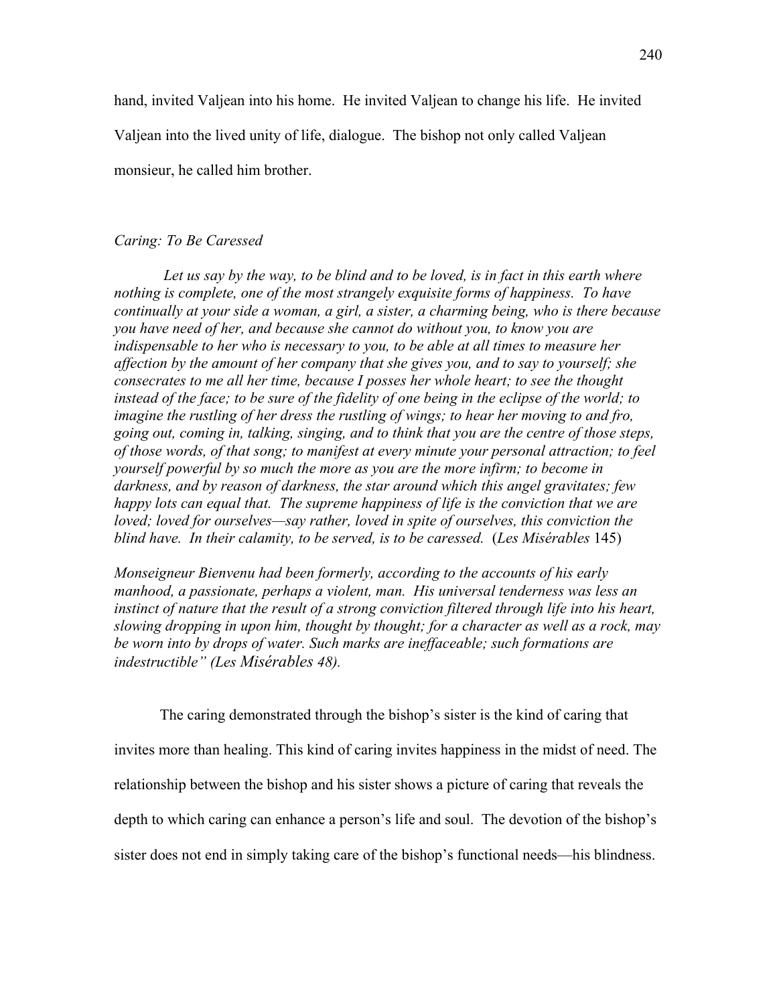hand, invited Valjean into his home. He invited Valjean to change his life. He invited Valjean into the lived unity of life, dialogue. The bishop not only called Valjean monsieur, he called him brother.

#### *Caring: To Be Caressed*

*Let us say by the way, to be blind and to be loved, is in fact in this earth where nothing is complete, one of the most strangely exquisite forms of happiness. To have continually at your side a woman, a girl, a sister, a charming being, who is there because you have need of her, and because she cannot do without you, to know you are indispensable to her who is necessary to you, to be able at all times to measure her affection by the amount of her company that she gives you, and to say to yourself; she consecrates to me all her time, because I posses her whole heart; to see the thought instead of the face; to be sure of the fidelity of one being in the eclipse of the world; to imagine the rustling of her dress the rustling of wings; to hear her moving to and fro, going out, coming in, talking, singing, and to think that you are the centre of those steps, of those words, of that song; to manifest at every minute your personal attraction; to feel yourself powerful by so much the more as you are the more infirm; to become in darkness, and by reason of darkness, the star around which this angel gravitates; few happy lots can equal that. The supreme happiness of life is the conviction that we are loved; loved for ourselves—say rather, loved in spite of ourselves, this conviction the blind have. In their calamity, to be served, is to be caressed.* (*Les Misérables* 145)

*Monseigneur Bienvenu had been formerly, according to the accounts of his early manhood, a passionate, perhaps a violent, man. His universal tenderness was less an instinct of nature that the result of a strong conviction filtered through life into his heart, slowing dropping in upon him, thought by thought; for a character as well as a rock, may be worn into by drops of water. Such marks are ineffaceable; such formations are indestructible" (Les Misérables 48).* 

 The caring demonstrated through the bishop's sister is the kind of caring that invites more than healing. This kind of caring invites happiness in the midst of need. The relationship between the bishop and his sister shows a picture of caring that reveals the depth to which caring can enhance a person's life and soul. The devotion of the bishop's sister does not end in simply taking care of the bishop's functional needs—his blindness.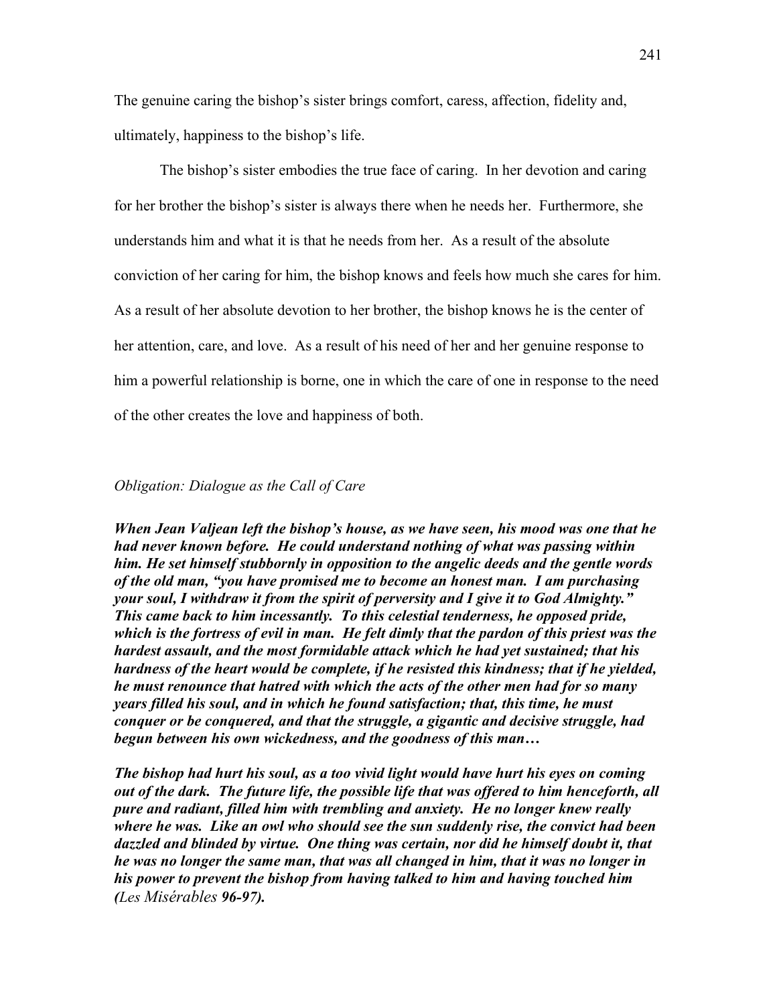The genuine caring the bishop's sister brings comfort, caress, affection, fidelity and, ultimately, happiness to the bishop's life.

The bishop's sister embodies the true face of caring. In her devotion and caring for her brother the bishop's sister is always there when he needs her. Furthermore, she understands him and what it is that he needs from her. As a result of the absolute conviction of her caring for him, the bishop knows and feels how much she cares for him. As a result of her absolute devotion to her brother, the bishop knows he is the center of her attention, care, and love. As a result of his need of her and her genuine response to him a powerful relationship is borne, one in which the care of one in response to the need of the other creates the love and happiness of both.

#### *Obligation: Dialogue as the Call of Care*

*When Jean Valjean left the bishop's house, as we have seen, his mood was one that he had never known before. He could understand nothing of what was passing within him. He set himself stubbornly in opposition to the angelic deeds and the gentle words of the old man, "you have promised me to become an honest man. I am purchasing your soul, I withdraw it from the spirit of perversity and I give it to God Almighty." This came back to him incessantly. To this celestial tenderness, he opposed pride, which is the fortress of evil in man. He felt dimly that the pardon of this priest was the hardest assault, and the most formidable attack which he had yet sustained; that his hardness of the heart would be complete, if he resisted this kindness; that if he yielded, he must renounce that hatred with which the acts of the other men had for so many years filled his soul, and in which he found satisfaction; that, this time, he must conquer or be conquered, and that the struggle, a gigantic and decisive struggle, had begun between his own wickedness, and the goodness of this man…* 

*The bishop had hurt his soul, as a too vivid light would have hurt his eyes on coming out of the dark. The future life, the possible life that was offered to him henceforth, all pure and radiant, filled him with trembling and anxiety. He no longer knew really where he was. Like an owl who should see the sun suddenly rise, the convict had been dazzled and blinded by virtue. One thing was certain, nor did he himself doubt it, that he was no longer the same man, that was all changed in him, that it was no longer in his power to prevent the bishop from having talked to him and having touched him (Les Misérables 96-97).*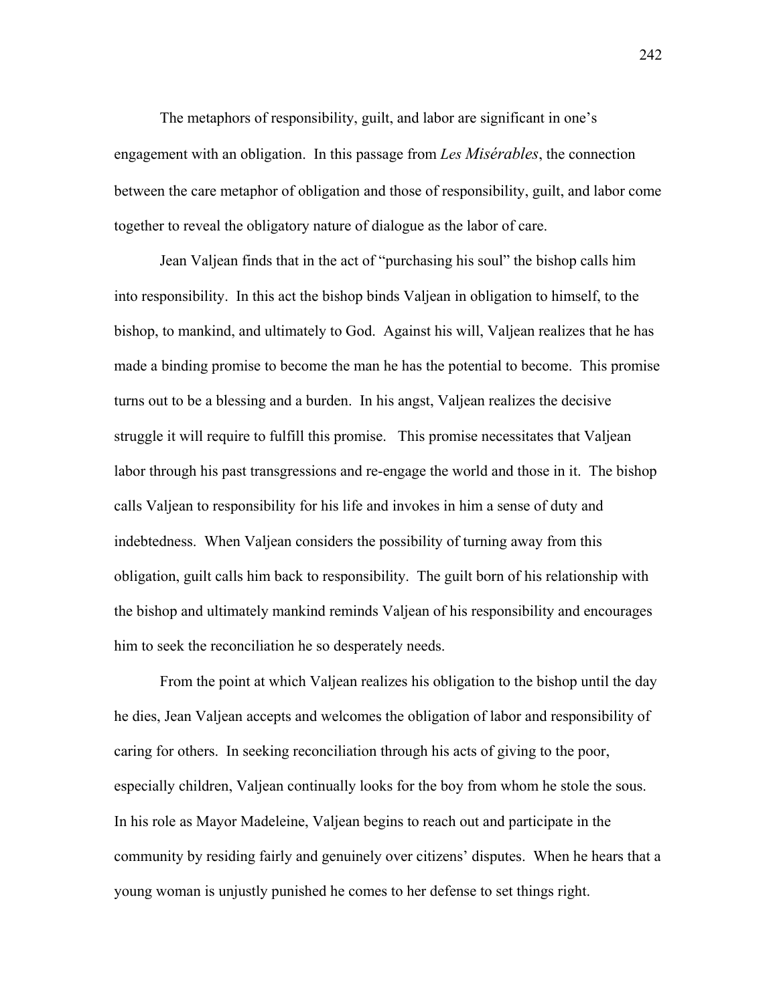The metaphors of responsibility, guilt, and labor are significant in one's engagement with an obligation. In this passage from *Les Misérables*, the connection between the care metaphor of obligation and those of responsibility, guilt, and labor come together to reveal the obligatory nature of dialogue as the labor of care.

Jean Valjean finds that in the act of "purchasing his soul" the bishop calls him into responsibility. In this act the bishop binds Valjean in obligation to himself, to the bishop, to mankind, and ultimately to God. Against his will, Valjean realizes that he has made a binding promise to become the man he has the potential to become. This promise turns out to be a blessing and a burden. In his angst, Valjean realizes the decisive struggle it will require to fulfill this promise. This promise necessitates that Valjean labor through his past transgressions and re-engage the world and those in it. The bishop calls Valjean to responsibility for his life and invokes in him a sense of duty and indebtedness. When Valjean considers the possibility of turning away from this obligation, guilt calls him back to responsibility. The guilt born of his relationship with the bishop and ultimately mankind reminds Valjean of his responsibility and encourages him to seek the reconciliation he so desperately needs.

From the point at which Valjean realizes his obligation to the bishop until the day he dies, Jean Valjean accepts and welcomes the obligation of labor and responsibility of caring for others. In seeking reconciliation through his acts of giving to the poor, especially children, Valjean continually looks for the boy from whom he stole the sous. In his role as Mayor Madeleine, Valjean begins to reach out and participate in the community by residing fairly and genuinely over citizens' disputes. When he hears that a young woman is unjustly punished he comes to her defense to set things right.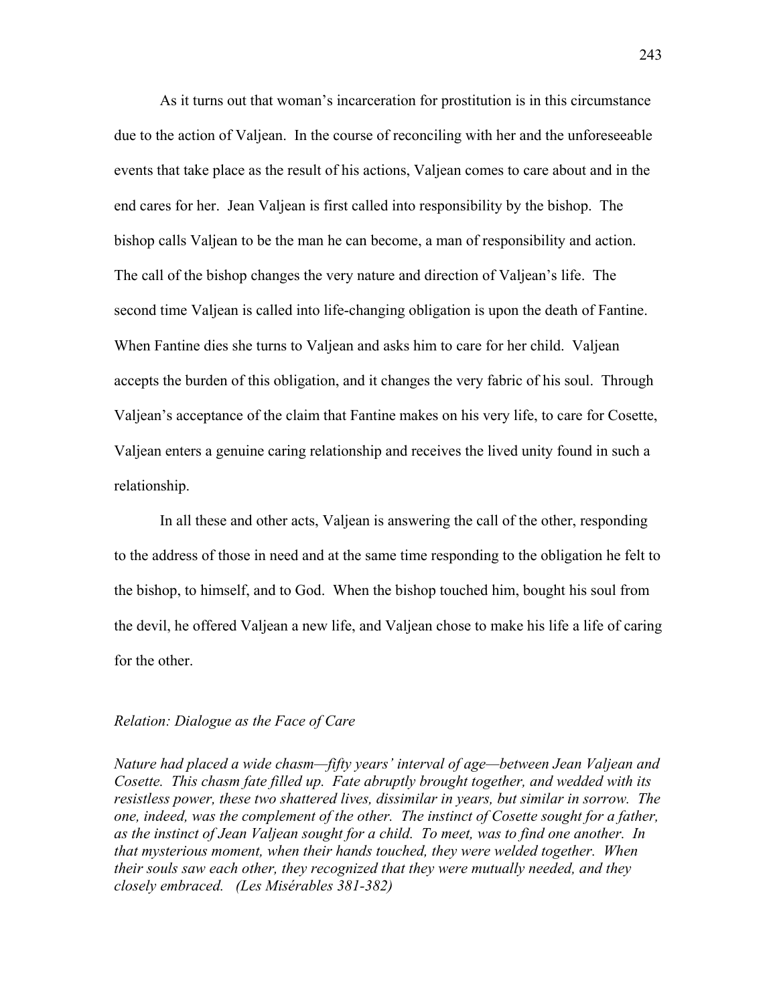As it turns out that woman's incarceration for prostitution is in this circumstance due to the action of Valjean. In the course of reconciling with her and the unforeseeable events that take place as the result of his actions, Valjean comes to care about and in the end cares for her. Jean Valjean is first called into responsibility by the bishop. The bishop calls Valjean to be the man he can become, a man of responsibility and action. The call of the bishop changes the very nature and direction of Valjean's life. The second time Valjean is called into life-changing obligation is upon the death of Fantine. When Fantine dies she turns to Valjean and asks him to care for her child. Valjean accepts the burden of this obligation, and it changes the very fabric of his soul. Through Valjean's acceptance of the claim that Fantine makes on his very life, to care for Cosette, Valjean enters a genuine caring relationship and receives the lived unity found in such a relationship.

In all these and other acts, Valjean is answering the call of the other, responding to the address of those in need and at the same time responding to the obligation he felt to the bishop, to himself, and to God. When the bishop touched him, bought his soul from the devil, he offered Valjean a new life, and Valjean chose to make his life a life of caring for the other.

### *Relation: Dialogue as the Face of Care*

*Nature had placed a wide chasm—fifty years' interval of age—between Jean Valjean and Cosette. This chasm fate filled up. Fate abruptly brought together, and wedded with its resistless power, these two shattered lives, dissimilar in years, but similar in sorrow. The one, indeed, was the complement of the other. The instinct of Cosette sought for a father, as the instinct of Jean Valjean sought for a child. To meet, was to find one another. In that mysterious moment, when their hands touched, they were welded together. When their souls saw each other, they recognized that they were mutually needed, and they closely embraced. (Les Misérables 381-382)*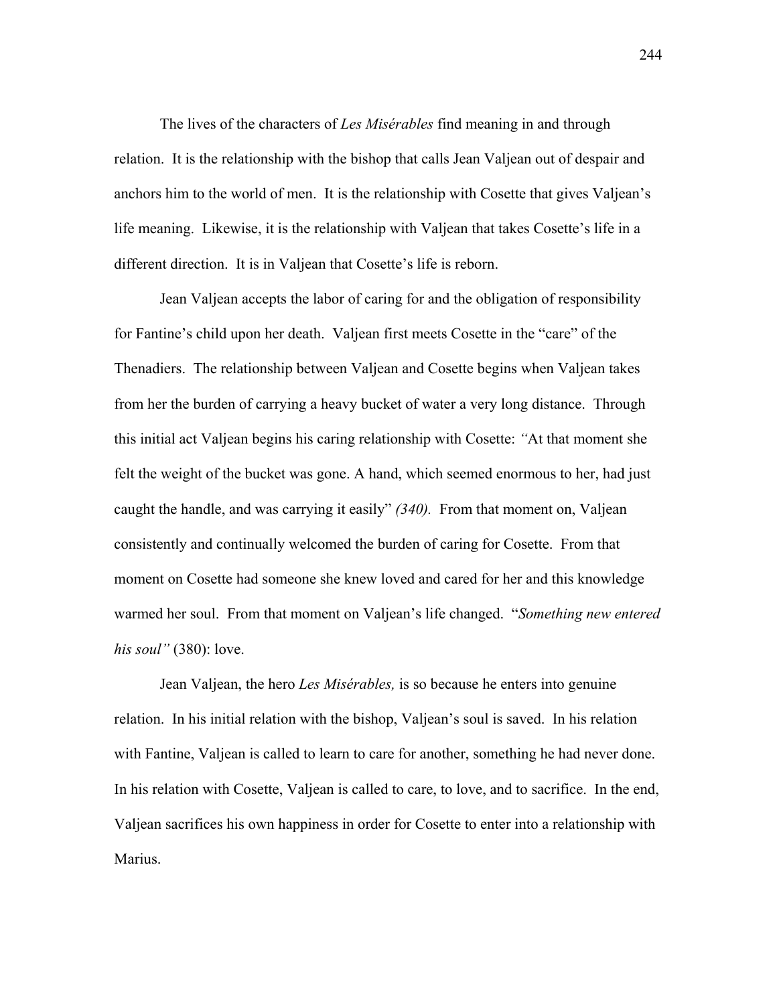The lives of the characters of *Les Misérables* find meaning in and through relation. It is the relationship with the bishop that calls Jean Valjean out of despair and anchors him to the world of men. It is the relationship with Cosette that gives Valjean's life meaning. Likewise, it is the relationship with Valjean that takes Cosette's life in a different direction. It is in Valjean that Cosette's life is reborn.

 Jean Valjean accepts the labor of caring for and the obligation of responsibility for Fantine's child upon her death. Valjean first meets Cosette in the "care" of the Thenadiers. The relationship between Valjean and Cosette begins when Valjean takes from her the burden of carrying a heavy bucket of water a very long distance. Through this initial act Valjean begins his caring relationship with Cosette: *"*At that moment she felt the weight of the bucket was gone. A hand, which seemed enormous to her, had just caught the handle, and was carrying it easily" *(340).* From that moment on, Valjean consistently and continually welcomed the burden of caring for Cosette. From that moment on Cosette had someone she knew loved and cared for her and this knowledge warmed her soul. From that moment on Valjean's life changed. "*Something new entered his soul"* (380): love.

Jean Valjean, the hero *Les Misérables,* is so because he enters into genuine relation. In his initial relation with the bishop, Valjean's soul is saved. In his relation with Fantine, Valjean is called to learn to care for another, something he had never done. In his relation with Cosette, Valjean is called to care, to love, and to sacrifice. In the end, Valjean sacrifices his own happiness in order for Cosette to enter into a relationship with Marius.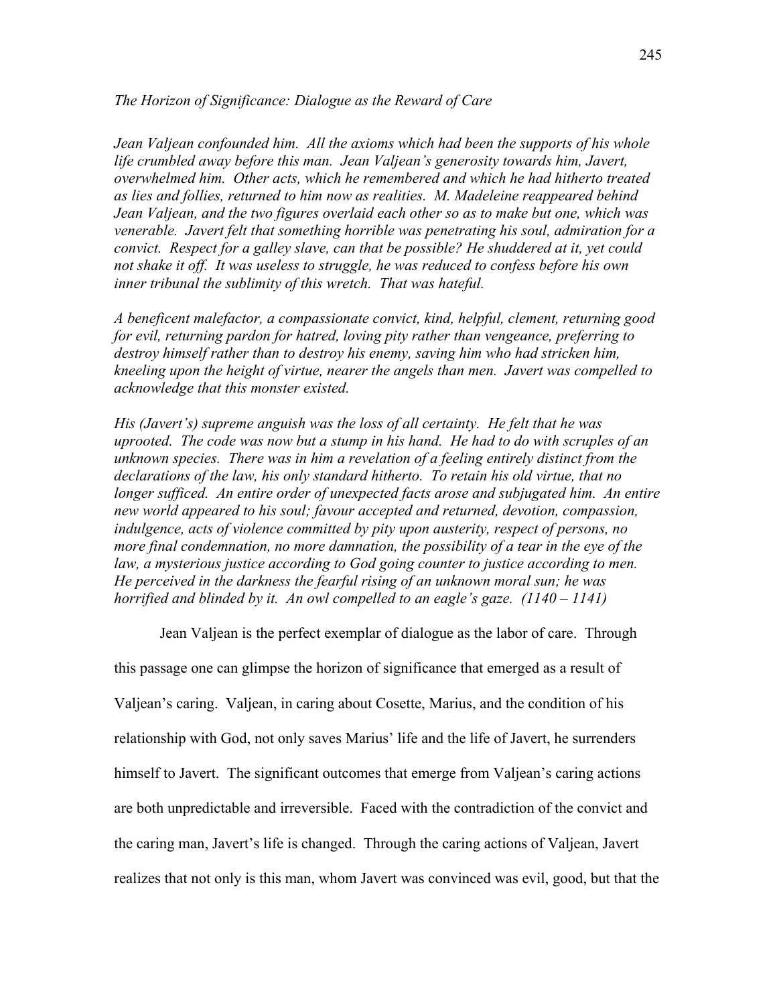### *The Horizon of Significance: Dialogue as the Reward of Care*

*Jean Valjean confounded him. All the axioms which had been the supports of his whole life crumbled away before this man. Jean Valjean's generosity towards him, Javert, overwhelmed him. Other acts, which he remembered and which he had hitherto treated as lies and follies, returned to him now as realities. M. Madeleine reappeared behind Jean Valjean, and the two figures overlaid each other so as to make but one, which was venerable. Javert felt that something horrible was penetrating his soul, admiration for a convict. Respect for a galley slave, can that be possible? He shuddered at it, yet could not shake it off. It was useless to struggle, he was reduced to confess before his own inner tribunal the sublimity of this wretch. That was hateful.* 

*A beneficent malefactor, a compassionate convict, kind, helpful, clement, returning good for evil, returning pardon for hatred, loving pity rather than vengeance, preferring to destroy himself rather than to destroy his enemy, saving him who had stricken him, kneeling upon the height of virtue, nearer the angels than men. Javert was compelled to acknowledge that this monster existed.* 

*His (Javert's) supreme anguish was the loss of all certainty. He felt that he was uprooted. The code was now but a stump in his hand. He had to do with scruples of an unknown species. There was in him a revelation of a feeling entirely distinct from the declarations of the law, his only standard hitherto. To retain his old virtue, that no longer sufficed. An entire order of unexpected facts arose and subjugated him. An entire new world appeared to his soul; favour accepted and returned, devotion, compassion, indulgence, acts of violence committed by pity upon austerity, respect of persons, no more final condemnation, no more damnation, the possibility of a tear in the eye of the*  law, a mysterious justice according to God going counter to justice according to men. *He perceived in the darkness the fearful rising of an unknown moral sun; he was horrified and blinded by it. An owl compelled to an eagle's gaze. (1140 – 1141)* 

Jean Valjean is the perfect exemplar of dialogue as the labor of care. Through

this passage one can glimpse the horizon of significance that emerged as a result of Valjean's caring. Valjean, in caring about Cosette, Marius, and the condition of his relationship with God, not only saves Marius' life and the life of Javert, he surrenders himself to Javert. The significant outcomes that emerge from Valjean's caring actions are both unpredictable and irreversible. Faced with the contradiction of the convict and the caring man, Javert's life is changed. Through the caring actions of Valjean, Javert realizes that not only is this man, whom Javert was convinced was evil, good, but that the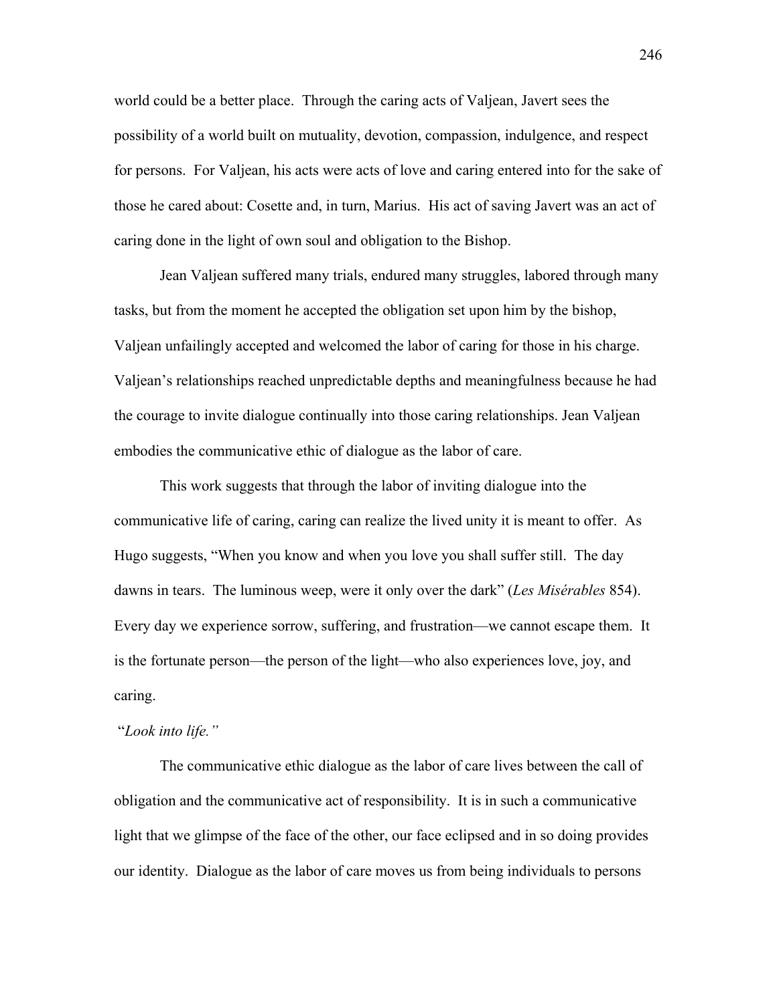world could be a better place. Through the caring acts of Valjean, Javert sees the possibility of a world built on mutuality, devotion, compassion, indulgence, and respect for persons. For Valjean, his acts were acts of love and caring entered into for the sake of those he cared about: Cosette and, in turn, Marius. His act of saving Javert was an act of caring done in the light of own soul and obligation to the Bishop.

Jean Valjean suffered many trials, endured many struggles, labored through many tasks, but from the moment he accepted the obligation set upon him by the bishop, Valjean unfailingly accepted and welcomed the labor of caring for those in his charge. Valjean's relationships reached unpredictable depths and meaningfulness because he had the courage to invite dialogue continually into those caring relationships. Jean Valjean embodies the communicative ethic of dialogue as the labor of care.

This work suggests that through the labor of inviting dialogue into the communicative life of caring, caring can realize the lived unity it is meant to offer. As Hugo suggests, "When you know and when you love you shall suffer still. The day dawns in tears. The luminous weep, were it only over the dark" (*Les Misérables* 854). Every day we experience sorrow, suffering, and frustration—we cannot escape them. It is the fortunate person—the person of the light—who also experiences love, joy, and caring.

#### "*Look into life."*

The communicative ethic dialogue as the labor of care lives between the call of obligation and the communicative act of responsibility. It is in such a communicative light that we glimpse of the face of the other, our face eclipsed and in so doing provides our identity. Dialogue as the labor of care moves us from being individuals to persons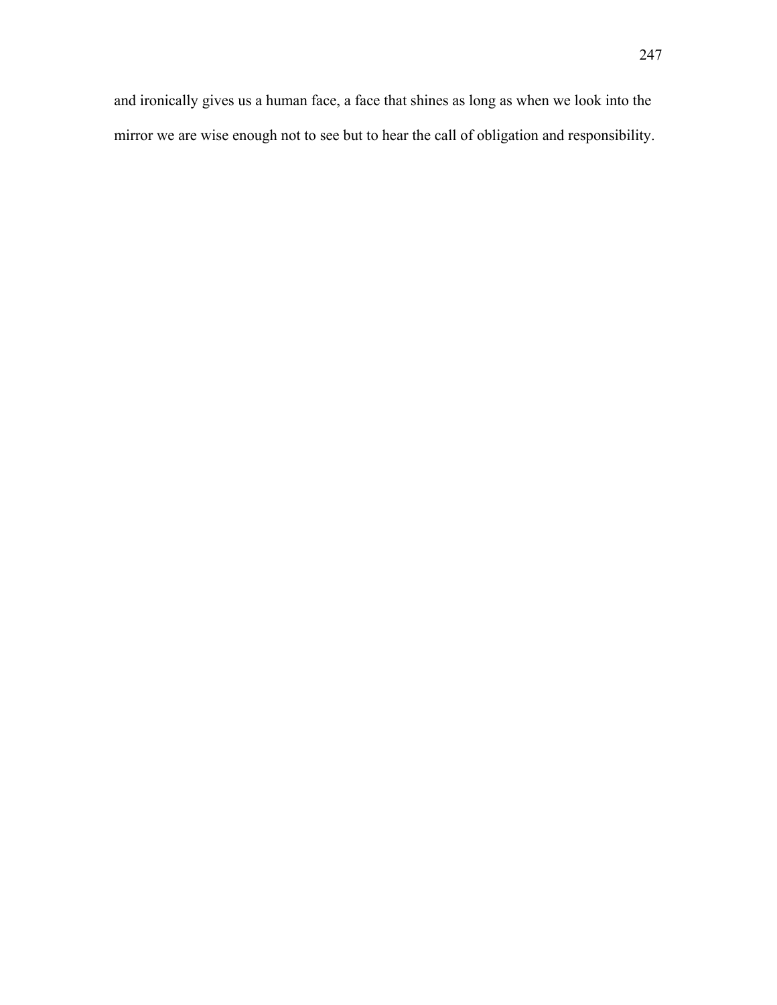and ironically gives us a human face, a face that shines as long as when we look into the mirror we are wise enough not to see but to hear the call of obligation and responsibility.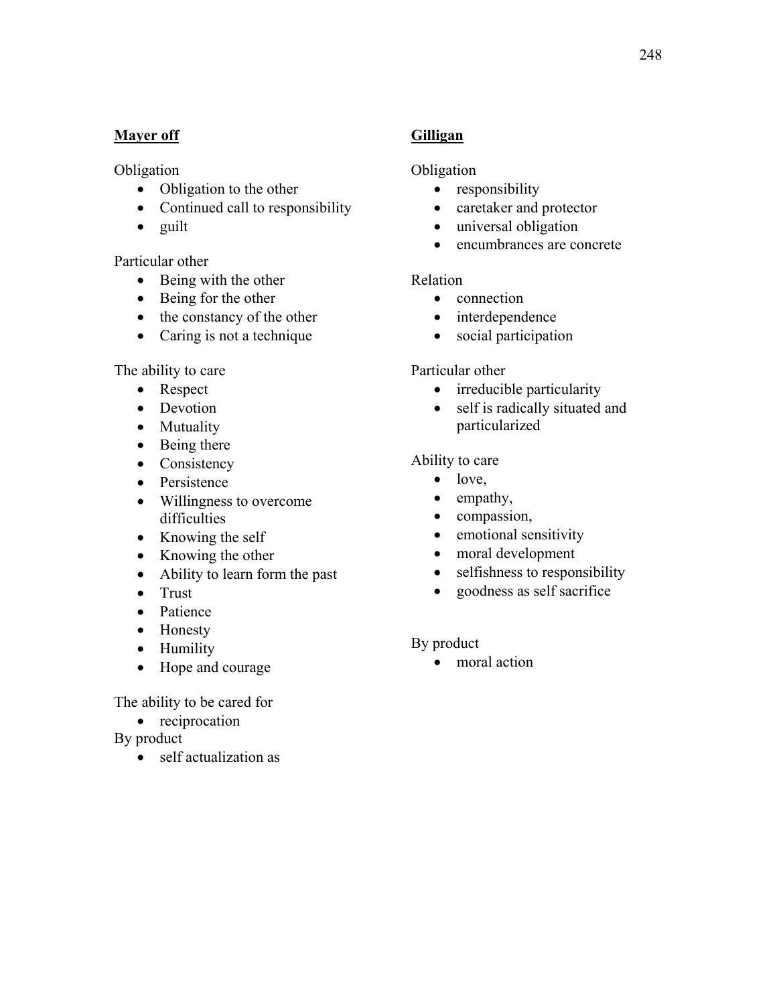### **Mayer off**

Obligation

- Obligation to the other
- Continued call to responsibility
- guilt

Particular other

- Being with the other
- Being for the other
- the constancy of the other
- Caring is not a technique

The ability to care

- Respect
- Devotion
- Mutuality
- Being there
- Consistency
- Persistence
- Willingness to overcome difficulties
- Knowing the self
- Knowing the other
- Ability to learn form the past
- Trust
- Patience
- Honesty
- Humility
- Hope and courage

The ability to be cared for

• reciprocation

By product

• self actualization as

# **Gilligan**

Obligation

- responsibility
- caretaker and protector
- universal obligation
- encumbrances are concrete

### Relation

- connection
- interdependence
- social participation

## Particular other

- irreducible particularity
- self is radically situated and particularized

### Ability to care

- $\bullet$  love,
- empathy,
- compassion,
- emotional sensitivity
- moral development
- selfishness to responsibility
- goodness as self sacrifice

### By product

• moral action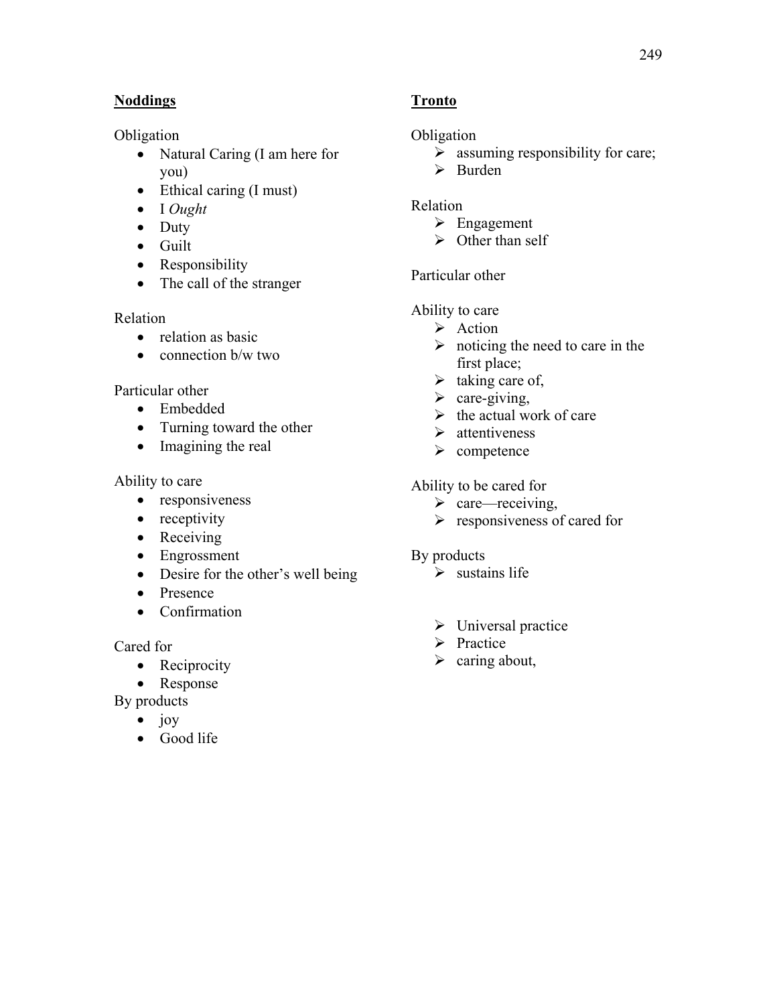# **Noddings**

Obligation

- Natural Caring (I am here for you)
- Ethical caring (I must)
- I *Ought*
- Duty
- Guilt
- Responsibility
- The call of the stranger

# Relation

- relation as basic
- connection b/w two

# Particular other

- Embedded
- Turning toward the other
- Imagining the real

# Ability to care

- responsiveness
- receptivity
- Receiving
- Engrossment
- Desire for the other's well being
- Presence
- Confirmation

# Cared for

- Reciprocity
- Response

# By products

- $\bullet$  joy
- Good life

# **Tronto**

# Obligation

- $\triangleright$  assuming responsibility for care;
- $\triangleright$  Burden

# Relation

- $\triangleright$  Engagement
- $\triangleright$  Other than self

# Particular other

- Ability to care
	- $\triangleright$  Action
	- $\triangleright$  noticing the need to care in the first place;
	- $\blacktriangleright$  taking care of,
	- $\triangleright$  care-giving,
	- $\triangleright$  the actual work of care
	- $\triangleright$  attentiveness
	- $\triangleright$  competence

# Ability to be cared for

- $\triangleright$  care—receiving,
- $\triangleright$  responsiveness of cared for

# By products

- $\triangleright$  sustains life
- $\triangleright$  Universal practice
- $\triangleright$  Practice
- $\triangleright$  caring about,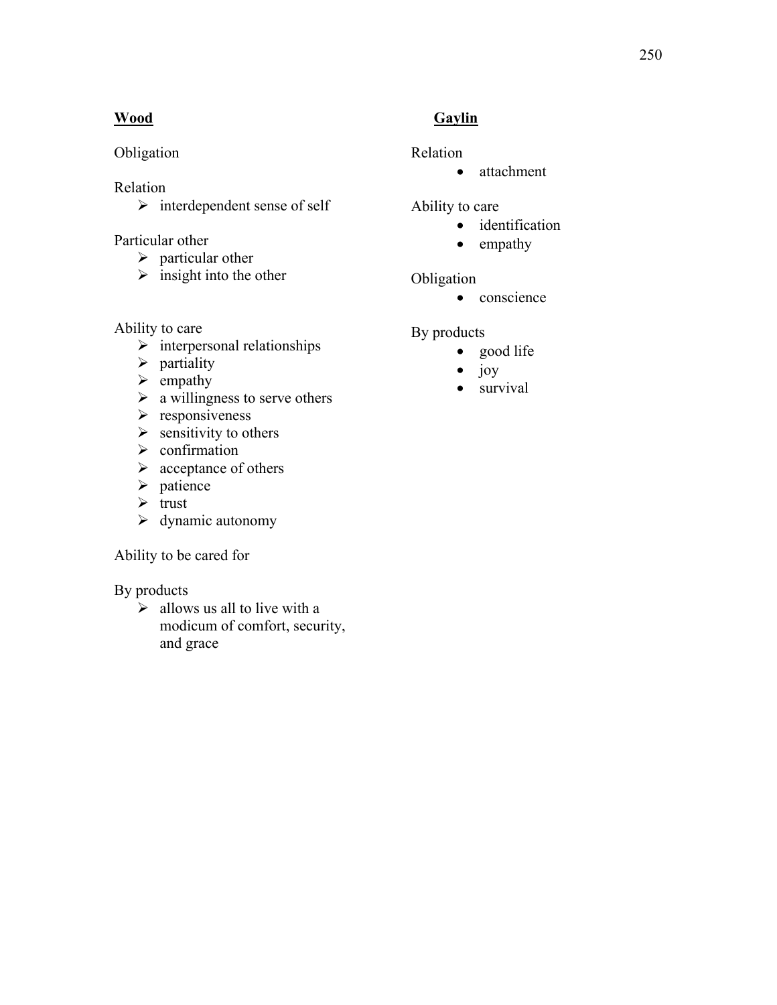## **Wood**

### Obligation

### Relation

 $\triangleright$  interdependent sense of self

### Particular other

- $\triangleright$  particular other
- $\triangleright$  insight into the other

## Ability to care

- $\triangleright$  interpersonal relationships
- $\triangleright$  partiality
- $\triangleright$  empathy
- $\triangleright$  a willingness to serve others
- $\triangleright$  responsiveness
- $\triangleright$  sensitivity to others
- $\triangleright$  confirmation
- $\triangleright$  acceptance of others
- $\triangleright$  patience
- $\triangleright$  trust
- $\blacktriangleright$  dynamic autonomy

Ability to be cared for

By products

 $\triangleright$  allows us all to live with a modicum of comfort, security, and grace

# **Gaylin**

## Relation

• attachment

Ability to care

- identification
- empathy

## Obligation

• conscience

## By products

- good life
- $\bullet$  joy
- survival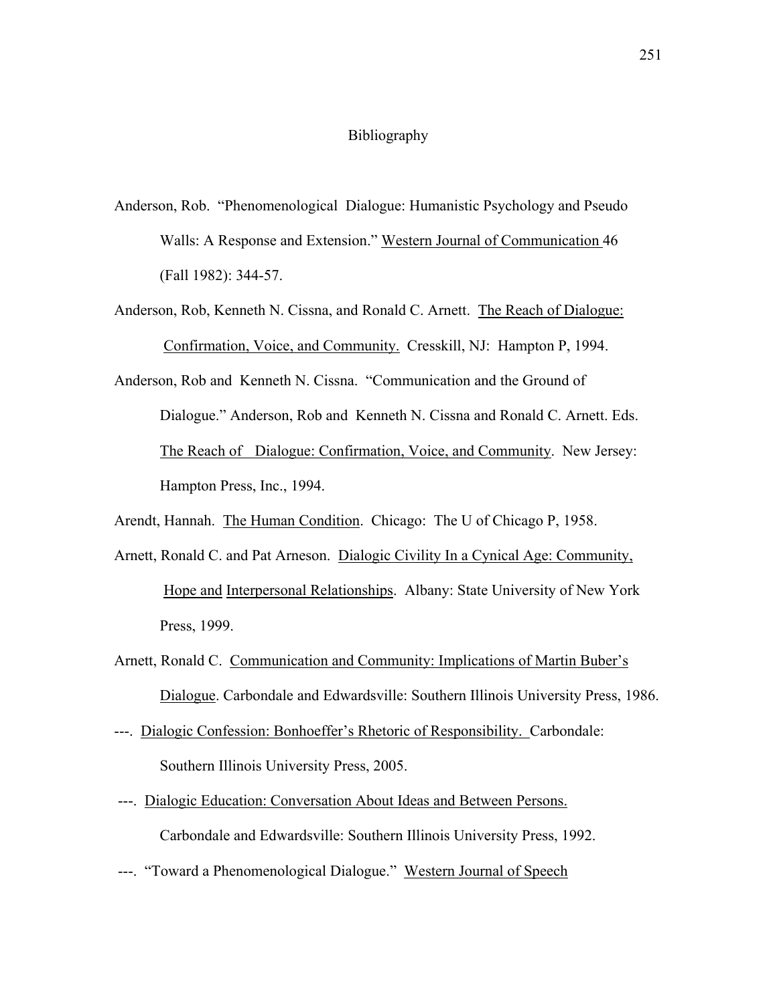### Bibliography

- Anderson, Rob. "Phenomenological Dialogue: Humanistic Psychology and Pseudo Walls: A Response and Extension." Western Journal of Communication 46 (Fall 1982): 344-57.
- Anderson, Rob, Kenneth N. Cissna, and Ronald C. Arnett. The Reach of Dialogue: Confirmation, Voice, and Community. Cresskill, NJ: Hampton P, 1994.
- Anderson, Rob and Kenneth N. Cissna. "Communication and the Ground of Dialogue." Anderson, Rob and Kenneth N. Cissna and Ronald C. Arnett. Eds. The Reach of Dialogue: Confirmation, Voice, and Community. New Jersey: Hampton Press, Inc., 1994.
- Arendt, Hannah. The Human Condition. Chicago: The U of Chicago P, 1958.
- Arnett, Ronald C. and Pat Arneson. Dialogic Civility In a Cynical Age: Community, Hope and Interpersonal Relationships. Albany: State University of New York Press, 1999.
- Arnett, Ronald C. Communication and Community: Implications of Martin Buber's Dialogue. Carbondale and Edwardsville: Southern Illinois University Press, 1986.
- ---. Dialogic Confession: Bonhoeffer's Rhetoric of Responsibility. Carbondale: Southern Illinois University Press, 2005.
- ---. Dialogic Education: Conversation About Ideas and Between Persons. Carbondale and Edwardsville: Southern Illinois University Press, 1992.
- ---. "Toward a Phenomenological Dialogue." Western Journal of Speech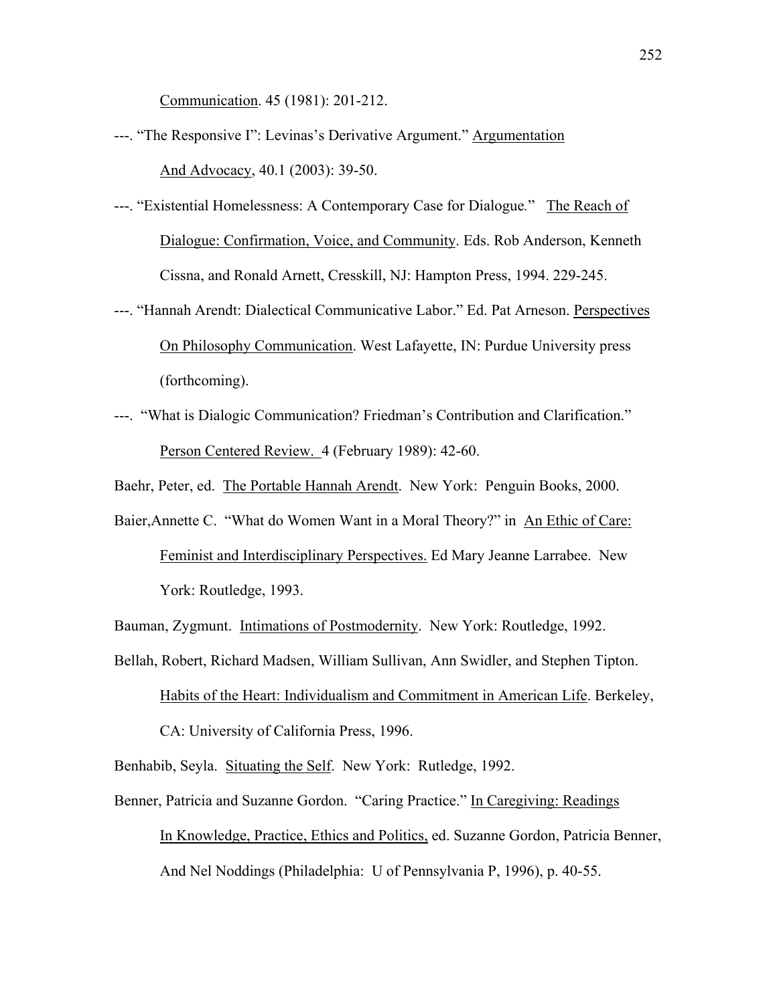Communication. 45 (1981): 201-212.

- ---. "The Responsive I": Levinas's Derivative Argument." Argumentation And Advocacy, 40.1 (2003): 39-50.
- ---. "Existential Homelessness: A Contemporary Case for Dialogue*.*" The Reach of Dialogue: Confirmation, Voice, and Community. Eds. Rob Anderson, Kenneth Cissna, and Ronald Arnett, Cresskill, NJ: Hampton Press, 1994. 229-245.
- ---. "Hannah Arendt: Dialectical Communicative Labor." Ed. Pat Arneson. Perspectives On Philosophy Communication. West Lafayette, IN: Purdue University press (forthcoming).
- ---. "What is Dialogic Communication? Friedman's Contribution and Clarification." Person Centered Review. 4 (February 1989): 42-60.
- Baehr, Peter, ed. The Portable Hannah Arendt. New York: Penguin Books, 2000.
- Baier,Annette C. "What do Women Want in a Moral Theory?" in An Ethic of Care: Feminist and Interdisciplinary Perspectives. Ed Mary Jeanne Larrabee. New York: Routledge, 1993.
- Bauman, Zygmunt. Intimations of Postmodernity. New York: Routledge, 1992.
- Bellah, Robert, Richard Madsen, William Sullivan, Ann Swidler, and Stephen Tipton. Habits of the Heart: Individualism and Commitment in American Life. Berkeley, CA: University of California Press, 1996.
- Benhabib, Seyla. Situating the Self. New York: Rutledge, 1992.
- Benner, Patricia and Suzanne Gordon. "Caring Practice." In Caregiving: Readings In Knowledge, Practice, Ethics and Politics, ed. Suzanne Gordon, Patricia Benner, And Nel Noddings (Philadelphia: U of Pennsylvania P, 1996), p. 40-55.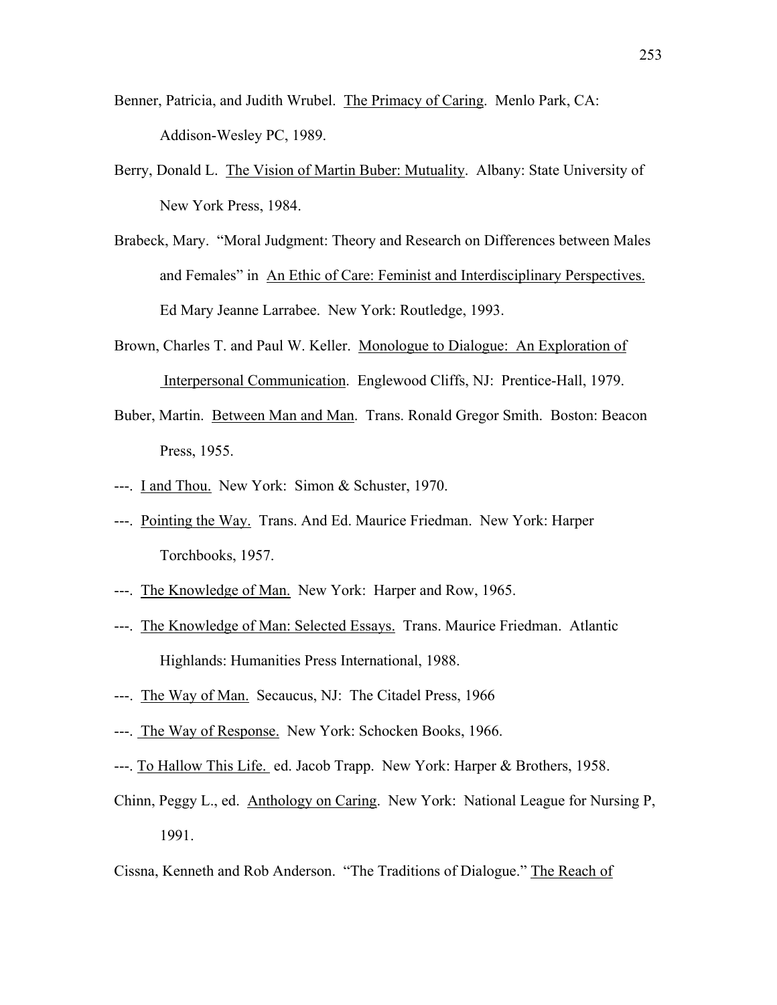- Benner, Patricia, and Judith Wrubel. The Primacy of Caring. Menlo Park, CA: Addison-Wesley PC, 1989.
- Berry, Donald L. The Vision of Martin Buber: Mutuality. Albany: State University of New York Press, 1984.
- Brabeck, Mary. "Moral Judgment: Theory and Research on Differences between Males and Females" in An Ethic of Care: Feminist and Interdisciplinary Perspectives. Ed Mary Jeanne Larrabee. New York: Routledge, 1993.
- Brown, Charles T. and Paul W. Keller. Monologue to Dialogue: An Exploration of Interpersonal Communication. Englewood Cliffs, NJ: Prentice-Hall, 1979.
- Buber, Martin. Between Man and Man. Trans. Ronald Gregor Smith. Boston: Beacon Press, 1955.
- ---. I and Thou. New York: Simon & Schuster, 1970.
- ---. Pointing the Way.Trans. And Ed. Maurice Friedman. New York: Harper Torchbooks, 1957.
- ---. The Knowledge of Man. New York: Harper and Row, 1965.
- ---. The Knowledge of Man: Selected Essays. Trans. Maurice Friedman. Atlantic Highlands: Humanities Press International, 1988.
- ---. The Way of Man. Secaucus, NJ: The Citadel Press, 1966
- ---. The Way of Response. New York: Schocken Books, 1966.
- ---. To Hallow This Life. ed. Jacob Trapp. New York: Harper & Brothers, 1958.
- Chinn, Peggy L., ed. Anthology on Caring. New York: National League for Nursing P, 1991.

Cissna, Kenneth and Rob Anderson. "The Traditions of Dialogue." The Reach of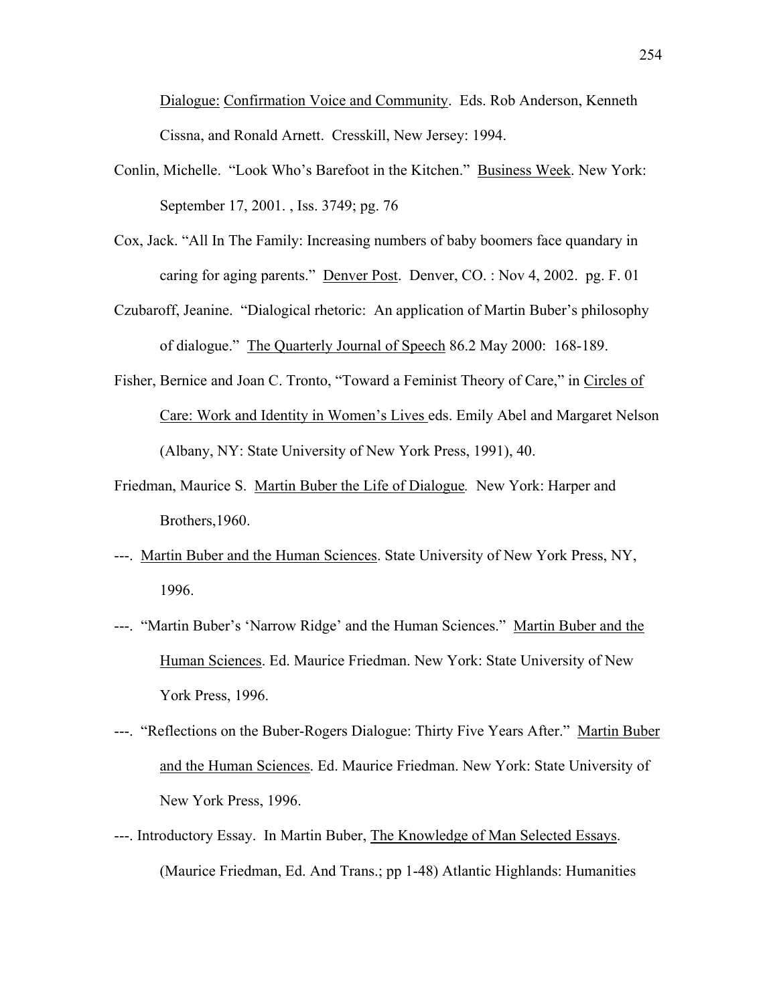Dialogue: Confirmation Voice and Community. Eds. Rob Anderson, Kenneth Cissna, and Ronald Arnett. Cresskill, New Jersey: 1994.

- Conlin, Michelle. "Look Who's Barefoot in the Kitchen." Business Week. New York: September 17, 2001. , Iss. 3749; pg. 76
- Cox, Jack. "All In The Family: Increasing numbers of baby boomers face quandary in caring for aging parents." Denver Post. Denver, CO. : Nov 4, 2002. pg. F. 01
- Czubaroff, Jeanine. "Dialogical rhetoric: An application of Martin Buber's philosophy of dialogue." The Quarterly Journal of Speech 86.2 May 2000: 168-189.
- Fisher, Bernice and Joan C. Tronto, "Toward a Feminist Theory of Care," in Circles of Care: Work and Identity in Women's Lives eds. Emily Abel and Margaret Nelson (Albany, NY: State University of New York Press, 1991), 40.
- Friedman, Maurice S. Martin Buber the Life of Dialogue*.* New York: Harper and Brothers,1960.
- ---. Martin Buber and the Human Sciences. State University of New York Press, NY, 1996.
- ---. "Martin Buber's 'Narrow Ridge' and the Human Sciences." Martin Buber and the Human Sciences. Ed. Maurice Friedman. New York: State University of New York Press, 1996.
- ---. "Reflections on the Buber-Rogers Dialogue: Thirty Five Years After." Martin Buber and the Human Sciences. Ed. Maurice Friedman. New York: State University of New York Press, 1996.
- ---. Introductory Essay. In Martin Buber, The Knowledge of Man Selected Essays. (Maurice Friedman, Ed. And Trans.; pp 1-48) Atlantic Highlands: Humanities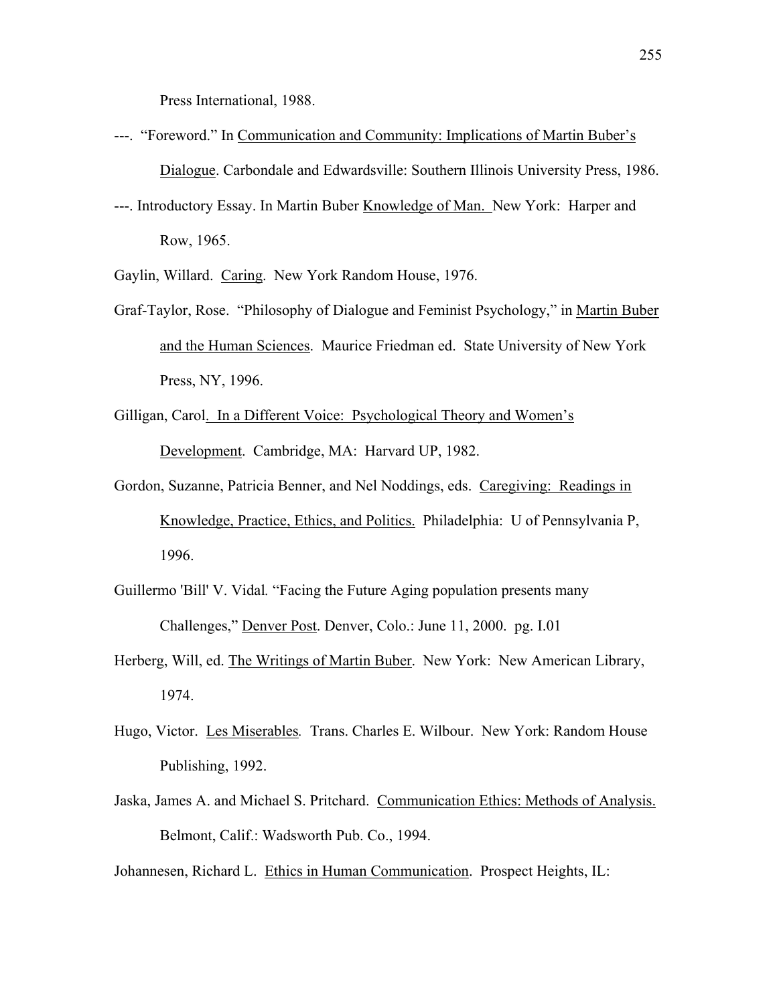Press International, 1988.

- ---. "Foreword." In Communication and Community: Implications of Martin Buber's Dialogue. Carbondale and Edwardsville: Southern Illinois University Press, 1986.
- ---. Introductory Essay. In Martin Buber Knowledge of Man. New York: Harper and Row, 1965.

Gaylin, Willard. Caring. New York Random House, 1976.

- Graf-Taylor, Rose. "Philosophy of Dialogue and Feminist Psychology," in Martin Buber and the Human Sciences. Maurice Friedman ed. State University of New York Press, NY, 1996.
- Gilligan, Carol. In a Different Voice: Psychological Theory and Women's Development. Cambridge, MA: Harvard UP, 1982.
- Gordon, Suzanne, Patricia Benner, and Nel Noddings, eds. Caregiving: Readings in Knowledge, Practice, Ethics, and Politics. Philadelphia: U of Pennsylvania P, 1996.
- Guillermo 'Bill' V. Vidal*.* "Facing the Future Aging population presents many Challenges," Denver Post. Denver, Colo.: June 11, 2000. pg. I.01
- Herberg, Will, ed. The Writings of Martin Buber. New York: New American Library, 1974.
- Hugo, Victor. Les Miserables*.* Trans. Charles E. Wilbour. New York: Random House Publishing, 1992.
- Jaska, James A. and Michael S. Pritchard. Communication Ethics: Methods of Analysis. Belmont, Calif.: Wadsworth Pub. Co., 1994.

Johannesen, Richard L. Ethics in Human Communication. Prospect Heights, IL: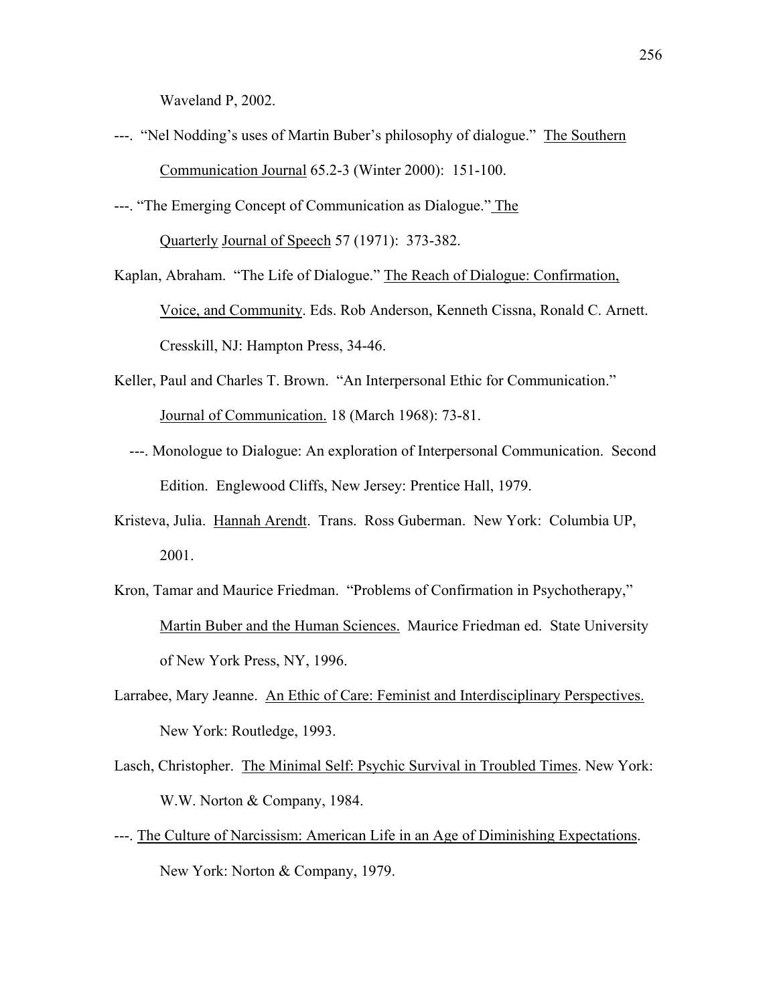Waveland P, 2002.

- ---. "Nel Nodding's uses of Martin Buber's philosophy of dialogue." The Southern Communication Journal 65.2-3 (Winter 2000): 151-100.
- ---. "The Emerging Concept of Communication as Dialogue." The Quarterly Journal of Speech 57 (1971): 373-382.
- Kaplan, Abraham. "The Life of Dialogue." The Reach of Dialogue: Confirmation, Voice, and Community. Eds. Rob Anderson, Kenneth Cissna, Ronald C. Arnett. Cresskill, NJ: Hampton Press, 34-46.
- Keller, Paul and Charles T. Brown. "An Interpersonal Ethic for Communication." Journal of Communication. 18 (March 1968): 73-81.
	- ---. Monologue to Dialogue: An exploration of Interpersonal Communication. Second Edition. Englewood Cliffs, New Jersey: Prentice Hall, 1979.
- Kristeva, Julia. Hannah Arendt. Trans. Ross Guberman. New York: Columbia UP, 2001.
- Kron, Tamar and Maurice Friedman. "Problems of Confirmation in Psychotherapy," Martin Buber and the Human Sciences. Maurice Friedman ed. State University of New York Press, NY, 1996.
- Larrabee, Mary Jeanne. An Ethic of Care: Feminist and Interdisciplinary Perspectives. New York: Routledge, 1993.
- Lasch, Christopher. The Minimal Self: Psychic Survival in Troubled Times. New York: W.W. Norton & Company, 1984.
- ---. The Culture of Narcissism: American Life in an Age of Diminishing Expectations. New York: Norton & Company, 1979.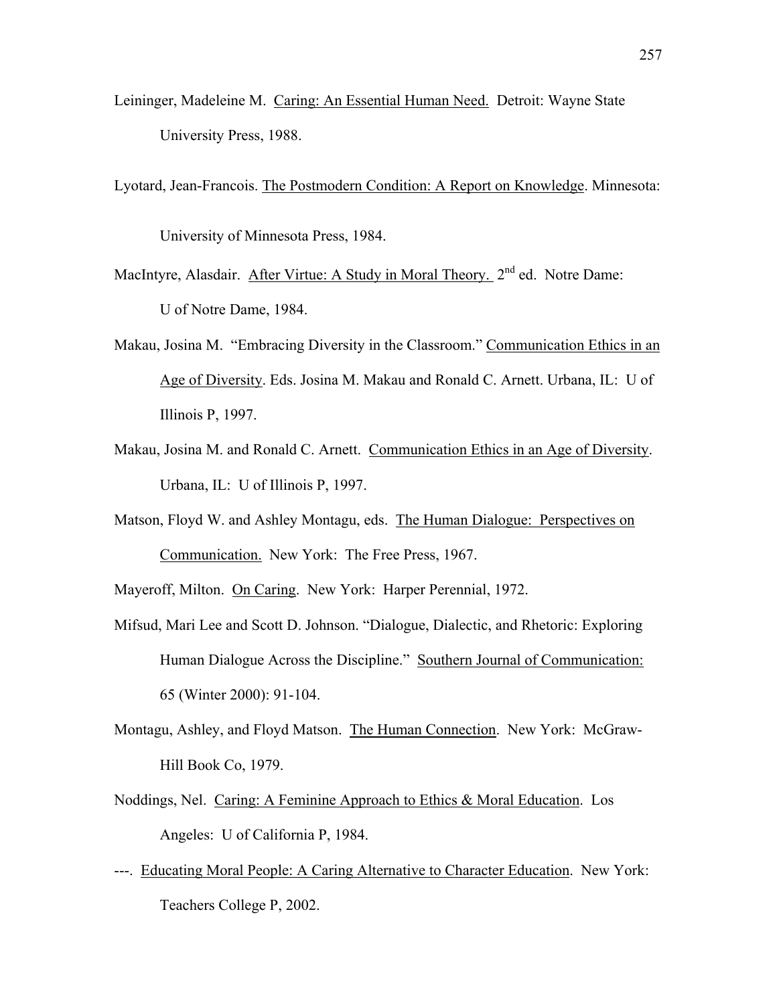Leininger, Madeleine M. Caring: An Essential Human Need. Detroit: Wayne State University Press, 1988.

Lyotard, Jean-Francois. The Postmodern Condition: A Report on Knowledge. Minnesota:

University of Minnesota Press, 1984.

- MacIntyre, Alasdair. After Virtue: A Study in Moral Theory. 2<sup>nd</sup> ed. Notre Dame: U of Notre Dame, 1984.
- Makau, Josina M. "Embracing Diversity in the Classroom." Communication Ethics in an Age of Diversity. Eds. Josina M. Makau and Ronald C. Arnett. Urbana, IL: U of Illinois P, 1997.
- Makau, Josina M. and Ronald C. Arnett. Communication Ethics in an Age of Diversity. Urbana, IL: U of Illinois P, 1997.
- Matson, Floyd W. and Ashley Montagu, eds. The Human Dialogue: Perspectives on Communication. New York: The Free Press, 1967.
- Mayeroff, Milton. On Caring. New York: Harper Perennial, 1972.
- Mifsud, Mari Lee and Scott D. Johnson. "Dialogue, Dialectic, and Rhetoric: Exploring Human Dialogue Across the Discipline." Southern Journal of Communication: 65 (Winter 2000): 91-104.
- Montagu, Ashley, and Floyd Matson. The Human Connection. New York: McGraw-Hill Book Co, 1979.
- Noddings, Nel. Caring: A Feminine Approach to Ethics & Moral Education. Los Angeles: U of California P, 1984.
- ---. Educating Moral People: A Caring Alternative to Character Education. New York: Teachers College P, 2002.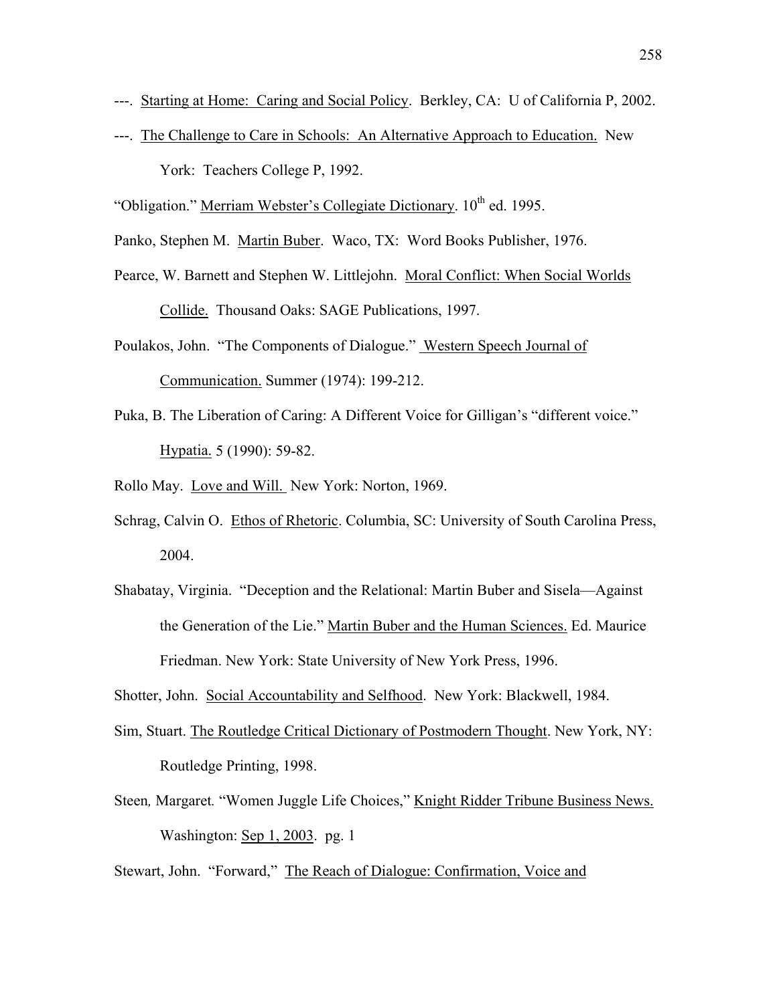- ---. Starting at Home: Caring and Social Policy. Berkley, CA: U of California P, 2002.
- ---. The Challenge to Care in Schools: An Alternative Approach to Education. New York: Teachers College P, 1992.
- "Obligation." Merriam Webster's Collegiate Dictionary.  $10^{th}$  ed. 1995.

Panko, Stephen M. Martin Buber. Waco, TX: Word Books Publisher, 1976.

- Pearce, W. Barnett and Stephen W. Littlejohn. Moral Conflict: When Social Worlds Collide. Thousand Oaks: SAGE Publications, 1997.
- Poulakos, John. "The Components of Dialogue." Western Speech Journal of Communication. Summer (1974): 199-212.
- Puka, B. The Liberation of Caring: A Different Voice for Gilligan's "different voice." Hypatia. 5 (1990): 59-82.

Rollo May. Love and Will. New York: Norton, 1969.

- Schrag, Calvin O. Ethos of Rhetoric. Columbia, SC: University of South Carolina Press, 2004.
- Shabatay, Virginia. "Deception and the Relational: Martin Buber and Sisela—Against the Generation of the Lie." Martin Buber and the Human Sciences. Ed. Maurice Friedman. New York: State University of New York Press, 1996.

Shotter, John. Social Accountability and Selfhood. New York: Blackwell, 1984.

- Sim, Stuart. The Routledge Critical Dictionary of Postmodern Thought. New York, NY: Routledge Printing, 1998.
- Steen*,* Margaret*.* "Women Juggle Life Choices," Knight Ridder Tribune Business News. Washington: Sep 1, 2003. pg. 1

Stewart, John. "Forward," The Reach of Dialogue: Confirmation, Voice and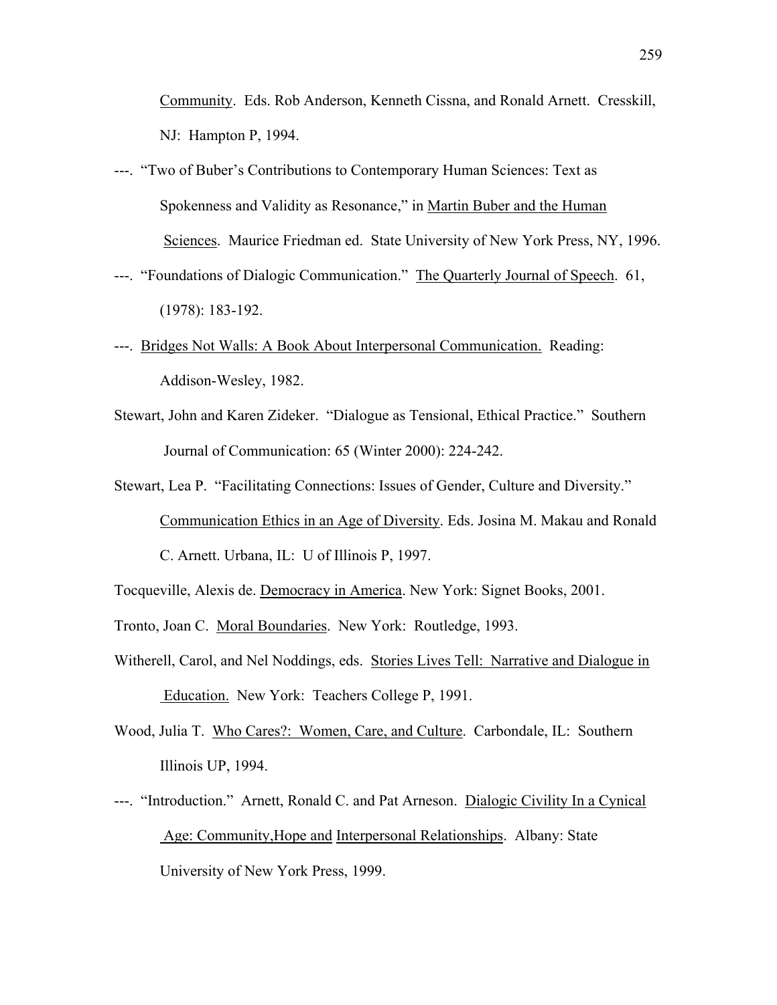Community. Eds. Rob Anderson, Kenneth Cissna, and Ronald Arnett. Cresskill, NJ: Hampton P, 1994.

- ---. "Two of Buber's Contributions to Contemporary Human Sciences: Text as Spokenness and Validity as Resonance," in Martin Buber and the Human Sciences. Maurice Friedman ed. State University of New York Press, NY, 1996.
- ---. "Foundations of Dialogic Communication." The Quarterly Journal of Speech. 61, (1978): 183-192.
- ---. Bridges Not Walls: A Book About Interpersonal Communication. Reading: Addison-Wesley, 1982.
- Stewart, John and Karen Zideker. "Dialogue as Tensional, Ethical Practice." Southern Journal of Communication: 65 (Winter 2000): 224-242.

Stewart, Lea P. "Facilitating Connections: Issues of Gender, Culture and Diversity." Communication Ethics in an Age of Diversity. Eds. Josina M. Makau and Ronald C. Arnett. Urbana, IL: U of Illinois P, 1997.

Tocqueville, Alexis de. Democracy in America. New York: Signet Books, 2001.

- Tronto, Joan C. Moral Boundaries. New York: Routledge, 1993.
- Witherell, Carol, and Nel Noddings, eds. Stories Lives Tell: Narrative and Dialogue in Education. New York: Teachers College P, 1991.
- Wood, Julia T. Who Cares?: Women, Care, and Culture. Carbondale, IL: Southern Illinois UP, 1994.
- ---. "Introduction." Arnett, Ronald C. and Pat Arneson. Dialogic Civility In a Cynical Age: Community,Hope and Interpersonal Relationships. Albany: State University of New York Press, 1999.